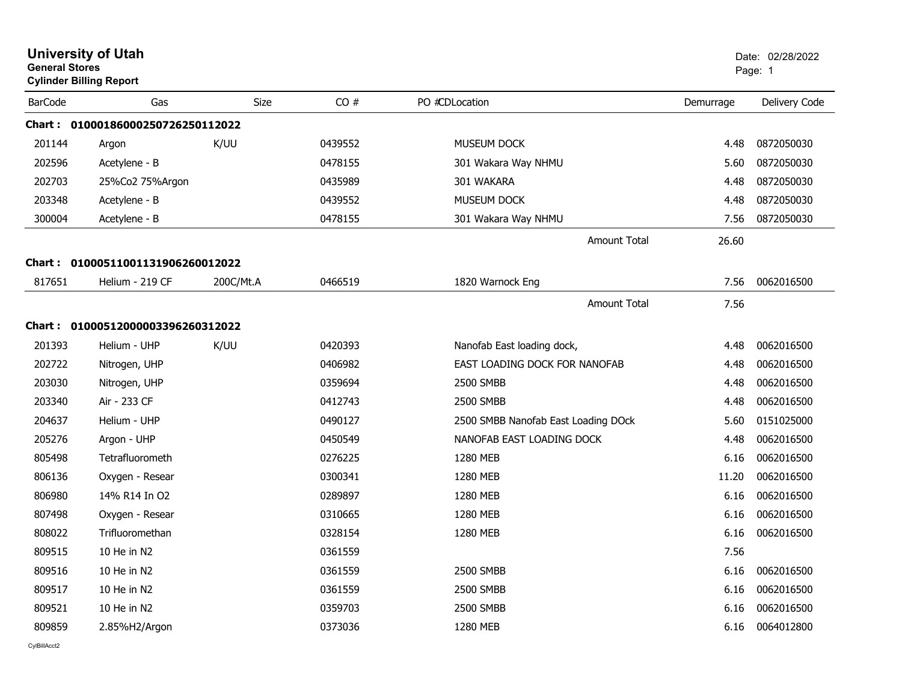| <b>General Stores</b> | <b>University of Utah</b><br><b>Cylinder Billing Report</b> |           |         |                                     |           | Date: 02/28/2022<br>Page: 1 |
|-----------------------|-------------------------------------------------------------|-----------|---------|-------------------------------------|-----------|-----------------------------|
| <b>BarCode</b>        | Gas                                                         | Size      | CO#     | PO #CDLocation                      | Demurrage | Delivery Code               |
|                       | Chart: 01000186000250726250112022                           |           |         |                                     |           |                             |
| 201144                | Argon                                                       | K/UU      | 0439552 | MUSEUM DOCK                         | 4.48      | 0872050030                  |
| 202596                | Acetylene - B                                               |           | 0478155 | 301 Wakara Way NHMU                 | 5.60      | 0872050030                  |
| 202703                | 25%Co2 75%Argon                                             |           | 0435989 | 301 WAKARA                          | 4.48      | 0872050030                  |
| 203348                | Acetylene - B                                               |           | 0439552 | MUSEUM DOCK                         | 4.48      | 0872050030                  |
| 300004                | Acetylene - B                                               |           | 0478155 | 301 Wakara Way NHMU                 | 7.56      | 0872050030                  |
|                       |                                                             |           |         | <b>Amount Total</b>                 | 26.60     |                             |
|                       | Chart: 01000511001131906260012022                           |           |         |                                     |           |                             |
| 817651                | Helium - 219 CF                                             | 200C/Mt.A | 0466519 | 1820 Warnock Eng                    | 7.56      | 0062016500                  |
|                       |                                                             |           |         | <b>Amount Total</b>                 | 7.56      |                             |
|                       | Chart: 01000512000003396260312022                           |           |         |                                     |           |                             |
| 201393                | Helium - UHP                                                | K/UU      | 0420393 | Nanofab East loading dock,          | 4.48      | 0062016500                  |
| 202722                | Nitrogen, UHP                                               |           | 0406982 | EAST LOADING DOCK FOR NANOFAB       | 4.48      | 0062016500                  |
| 203030                | Nitrogen, UHP                                               |           | 0359694 | 2500 SMBB                           | 4.48      | 0062016500                  |
| 203340                | Air - 233 CF                                                |           | 0412743 | 2500 SMBB                           | 4.48      | 0062016500                  |
| 204637                | Helium - UHP                                                |           | 0490127 | 2500 SMBB Nanofab East Loading DOck | 5.60      | 0151025000                  |
| 205276                | Argon - UHP                                                 |           | 0450549 | NANOFAB EAST LOADING DOCK           | 4.48      | 0062016500                  |
| 805498                | Tetrafluorometh                                             |           | 0276225 | 1280 MEB                            | 6.16      | 0062016500                  |
| 806136                | Oxygen - Resear                                             |           | 0300341 | 1280 MEB                            | 11.20     | 0062016500                  |
| 806980                | 14% R14 In O2                                               |           | 0289897 | 1280 MEB                            | 6.16      | 0062016500                  |
| 807498                | Oxygen - Resear                                             |           | 0310665 | 1280 MEB                            | 6.16      | 0062016500                  |
| 808022                | Trifluoromethan                                             |           | 0328154 | 1280 MEB                            | 6.16      | 0062016500                  |
| 809515                | 10 He in N2                                                 |           | 0361559 |                                     | 7.56      |                             |
| 809516                | 10 He in N2                                                 |           | 0361559 | 2500 SMBB                           | 6.16      | 0062016500                  |
| 809517                | 10 He in N2                                                 |           | 0361559 | 2500 SMBB                           | 6.16      | 0062016500                  |
| 809521                | 10 He in N2                                                 |           | 0359703 | 2500 SMBB                           | 6.16      | 0062016500                  |
| 809859                | 2.85%H2/Argon                                               |           | 0373036 | 1280 MEB                            | 6.16      | 0064012800                  |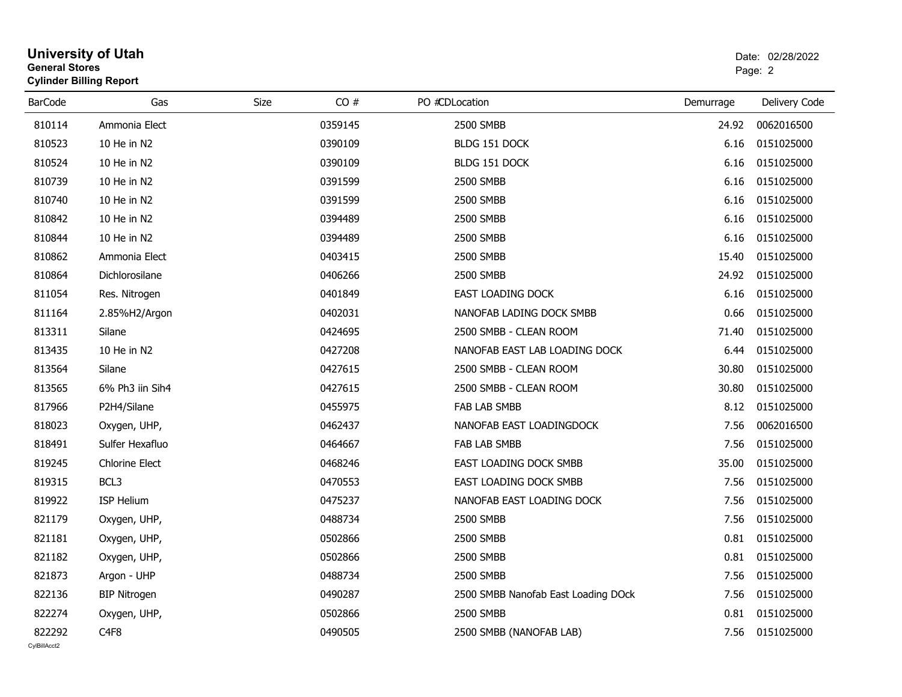| General Stores | <b>Cylinder Billing Report</b> |      |         |                                     |           | Page: 2       |
|----------------|--------------------------------|------|---------|-------------------------------------|-----------|---------------|
| <b>BarCode</b> | Gas                            | Size | CO#     | PO #CDLocation                      | Demurrage | Delivery Code |
| 810114         | Ammonia Elect                  |      | 0359145 | <b>2500 SMBB</b>                    | 24.92     | 0062016500    |
| 810523         | 10 He in N2                    |      | 0390109 | BLDG 151 DOCK                       | 6.16      | 0151025000    |
| 810524         | 10 He in N2                    |      | 0390109 | BLDG 151 DOCK                       | 6.16      | 0151025000    |
| 810739         | 10 He in N2                    |      | 0391599 | 2500 SMBB                           | 6.16      | 0151025000    |
| 810740         | 10 He in N2                    |      | 0391599 | 2500 SMBB                           | 6.16      | 0151025000    |
| 810842         | 10 He in N2                    |      | 0394489 | <b>2500 SMBB</b>                    | 6.16      | 0151025000    |
| 810844         | 10 He in N2                    |      | 0394489 | 2500 SMBB                           | 6.16      | 0151025000    |
| 810862         | Ammonia Elect                  |      | 0403415 | 2500 SMBB                           | 15.40     | 0151025000    |
| 810864         | Dichlorosilane                 |      | 0406266 | 2500 SMBB                           | 24.92     | 0151025000    |
| 811054         | Res. Nitrogen                  |      | 0401849 | EAST LOADING DOCK                   | 6.16      | 0151025000    |
| 811164         | 2.85%H2/Argon                  |      | 0402031 | NANOFAB LADING DOCK SMBB            | 0.66      | 0151025000    |
| 813311         | Silane                         |      | 0424695 | 2500 SMBB - CLEAN ROOM              | 71.40     | 0151025000    |
| 813435         | 10 He in N2                    |      | 0427208 | NANOFAB EAST LAB LOADING DOCK       | 6.44      | 0151025000    |
| 813564         | Silane                         |      | 0427615 | 2500 SMBB - CLEAN ROOM              | 30.80     | 0151025000    |
| 813565         | 6% Ph3 iin Sih4                |      | 0427615 | 2500 SMBB - CLEAN ROOM              | 30.80     | 0151025000    |
| 817966         | P2H4/Silane                    |      | 0455975 | FAB LAB SMBB                        | 8.12      | 0151025000    |
| 818023         | Oxygen, UHP,                   |      | 0462437 | NANOFAB EAST LOADINGDOCK            | 7.56      | 0062016500    |
| 818491         | Sulfer Hexafluo                |      | 0464667 | FAB LAB SMBB                        | 7.56      | 0151025000    |
| 819245         | <b>Chlorine Elect</b>          |      | 0468246 | EAST LOADING DOCK SMBB              | 35.00     | 0151025000    |
| 819315         | BCL3                           |      | 0470553 | EAST LOADING DOCK SMBB              | 7.56      | 0151025000    |
| 819922         | <b>ISP Helium</b>              |      | 0475237 | NANOFAB EAST LOADING DOCK           | 7.56      | 0151025000    |
| 821179         | Oxygen, UHP,                   |      | 0488734 | 2500 SMBB                           | 7.56      | 0151025000    |
| 821181         | Oxygen, UHP,                   |      | 0502866 | 2500 SMBB                           | 0.81      | 0151025000    |
| 821182         | Oxygen, UHP,                   |      | 0502866 | 2500 SMBB                           | 0.81      | 0151025000    |
| 821873         | Argon - UHP                    |      | 0488734 | 2500 SMBB                           | 7.56      | 0151025000    |
| 822136         | <b>BIP Nitrogen</b>            |      | 0490287 | 2500 SMBB Nanofab East Loading DOck | 7.56      | 0151025000    |
| 822274         | Oxygen, UHP,                   |      | 0502866 | 2500 SMBB                           | 0.81      | 0151025000    |
| 822292         | C <sub>4F8</sub>               |      | 0490505 | 2500 SMBB (NANOFAB LAB)             | 7.56      | 0151025000    |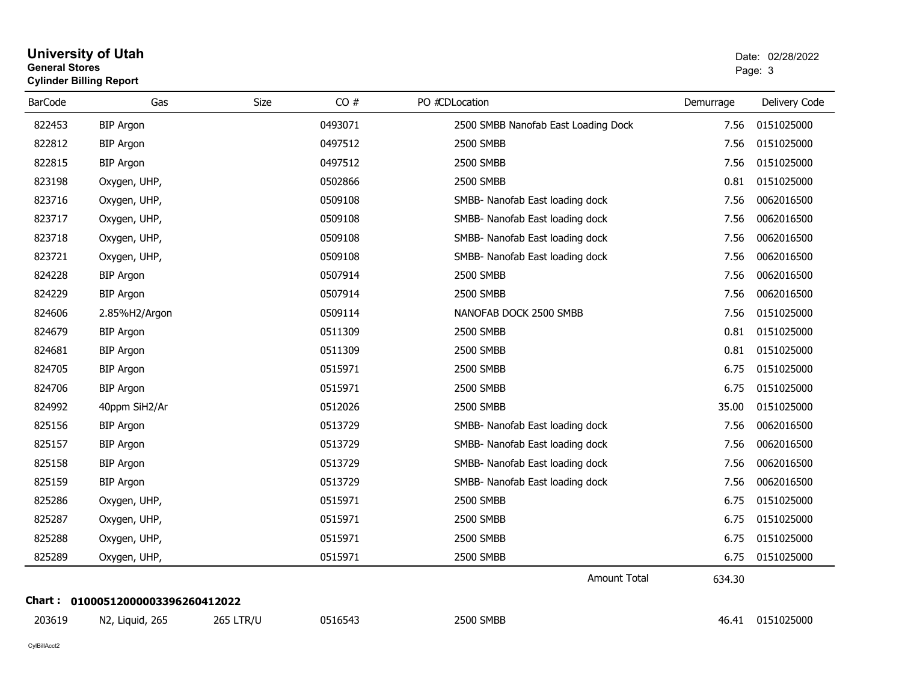| <b>General Stores</b> | <b>Cylinder Billing Report</b> |                  |         |                                     |           | Page: 3       |
|-----------------------|--------------------------------|------------------|---------|-------------------------------------|-----------|---------------|
| <b>BarCode</b>        | Gas                            | Size             | CO#     | PO #CDLocation                      | Demurrage | Delivery Code |
| 822453                | <b>BIP Argon</b>               |                  | 0493071 | 2500 SMBB Nanofab East Loading Dock | 7.56      | 0151025000    |
| 822812                | <b>BIP Argon</b>               |                  | 0497512 | <b>2500 SMBB</b>                    | 7.56      | 0151025000    |
| 822815                | <b>BIP Argon</b>               |                  | 0497512 | 2500 SMBB                           | 7.56      | 0151025000    |
| 823198                | Oxygen, UHP,                   |                  | 0502866 | 2500 SMBB                           | 0.81      | 0151025000    |
| 823716                | Oxygen, UHP,                   |                  | 0509108 | SMBB- Nanofab East loading dock     | 7.56      | 0062016500    |
| 823717                | Oxygen, UHP,                   |                  | 0509108 | SMBB- Nanofab East loading dock     | 7.56      | 0062016500    |
| 823718                | Oxygen, UHP,                   |                  | 0509108 | SMBB- Nanofab East loading dock     | 7.56      | 0062016500    |
| 823721                | Oxygen, UHP,                   |                  | 0509108 | SMBB- Nanofab East loading dock     | 7.56      | 0062016500    |
| 824228                | <b>BIP Argon</b>               |                  | 0507914 | 2500 SMBB                           | 7.56      | 0062016500    |
| 824229                | <b>BIP Argon</b>               |                  | 0507914 | 2500 SMBB                           | 7.56      | 0062016500    |
| 824606                | 2.85%H2/Argon                  |                  | 0509114 | NANOFAB DOCK 2500 SMBB              | 7.56      | 0151025000    |
| 824679                | <b>BIP Argon</b>               |                  | 0511309 | 2500 SMBB                           | 0.81      | 0151025000    |
| 824681                | <b>BIP Argon</b>               |                  | 0511309 | 2500 SMBB                           | 0.81      | 0151025000    |
| 824705                | <b>BIP Argon</b>               |                  | 0515971 | 2500 SMBB                           | 6.75      | 0151025000    |
| 824706                | <b>BIP Argon</b>               |                  | 0515971 | 2500 SMBB                           | 6.75      | 0151025000    |
| 824992                | 40ppm SiH2/Ar                  |                  | 0512026 | 2500 SMBB                           | 35.00     | 0151025000    |
| 825156                | <b>BIP Argon</b>               |                  | 0513729 | SMBB- Nanofab East loading dock     | 7.56      | 0062016500    |
| 825157                | <b>BIP Argon</b>               |                  | 0513729 | SMBB- Nanofab East loading dock     | 7.56      | 0062016500    |
| 825158                | <b>BIP Argon</b>               |                  | 0513729 | SMBB- Nanofab East loading dock     | 7.56      | 0062016500    |
| 825159                | <b>BIP Argon</b>               |                  | 0513729 | SMBB- Nanofab East loading dock     | 7.56      | 0062016500    |
| 825286                | Oxygen, UHP,                   |                  | 0515971 | 2500 SMBB                           | 6.75      | 0151025000    |
| 825287                | Oxygen, UHP,                   |                  | 0515971 | 2500 SMBB                           | 6.75      | 0151025000    |
| 825288                | Oxygen, UHP,                   |                  | 0515971 | 2500 SMBB                           | 6.75      | 0151025000    |
| 825289                | Oxygen, UHP,                   |                  | 0515971 | 2500 SMBB                           | 6.75      | 0151025000    |
|                       |                                |                  |         | <b>Amount Total</b>                 | 634.30    |               |
|                       |                                |                  |         |                                     |           |               |
| 203619                | N2, Liquid, 265                | <b>265 LTR/U</b> | 0516543 | 2500 SMBB                           | 46.41     | 0151025000    |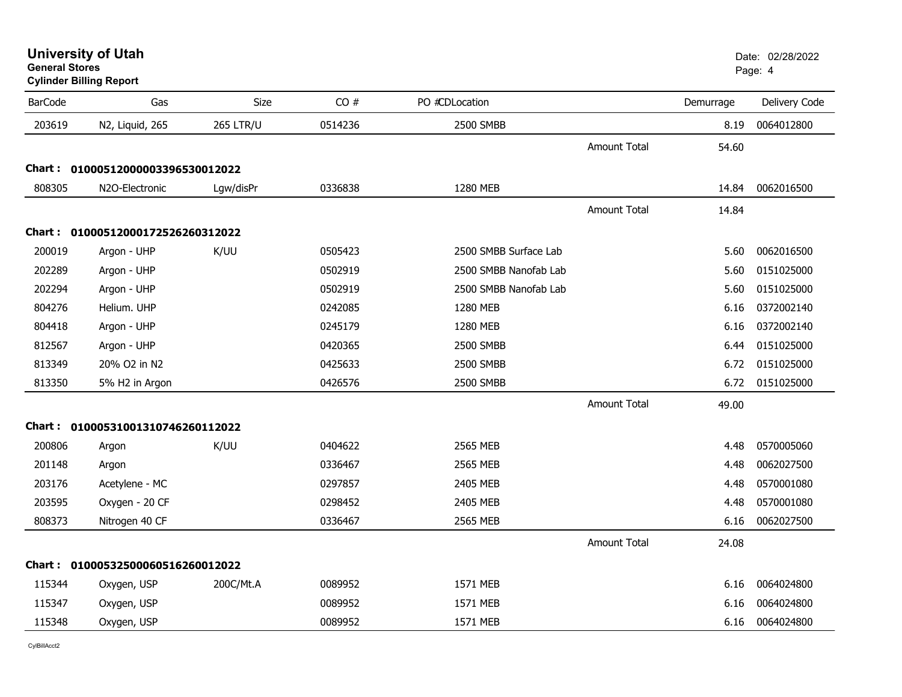| <b>University of Utah</b> |  |
|---------------------------|--|
| <b>General Stores</b>     |  |

### **Cylinder Billing Report**

| <b>BarCode</b> | Gas                               | Size             | CO#     | PO #CDLocation        |                     | Demurrage | Delivery Code |
|----------------|-----------------------------------|------------------|---------|-----------------------|---------------------|-----------|---------------|
| 203619         | N2, Liquid, 265                   | <b>265 LTR/U</b> | 0514236 | 2500 SMBB             |                     | 8.19      | 0064012800    |
|                |                                   |                  |         |                       | <b>Amount Total</b> | 54.60     |               |
|                | Chart: 01000512000003396530012022 |                  |         |                       |                     |           |               |
| 808305         | N2O-Electronic                    | Lgw/disPr        | 0336838 | 1280 MEB              |                     | 14.84     | 0062016500    |
|                |                                   |                  |         |                       | <b>Amount Total</b> | 14.84     |               |
|                | Chart: 01000512000172526260312022 |                  |         |                       |                     |           |               |
| 200019         | Argon - UHP                       | K/UU             | 0505423 | 2500 SMBB Surface Lab |                     | 5.60      | 0062016500    |
| 202289         | Argon - UHP                       |                  | 0502919 | 2500 SMBB Nanofab Lab |                     | 5.60      | 0151025000    |
| 202294         | Argon - UHP                       |                  | 0502919 | 2500 SMBB Nanofab Lab |                     | 5.60      | 0151025000    |
| 804276         | Helium. UHP                       |                  | 0242085 | 1280 MEB              |                     | 6.16      | 0372002140    |
| 804418         | Argon - UHP                       |                  | 0245179 | 1280 MEB              |                     | 6.16      | 0372002140    |
| 812567         | Argon - UHP                       |                  | 0420365 | 2500 SMBB             |                     | 6.44      | 0151025000    |
| 813349         | 20% O2 in N2                      |                  | 0425633 | 2500 SMBB             |                     | 6.72      | 0151025000    |
| 813350         | 5% H2 in Argon                    |                  | 0426576 | 2500 SMBB             |                     | 6.72      | 0151025000    |
|                |                                   |                  |         |                       | <b>Amount Total</b> | 49.00     |               |
|                | Chart: 01000531001310746260112022 |                  |         |                       |                     |           |               |
| 200806         | Argon                             | K/UU             | 0404622 | 2565 MEB              |                     | 4.48      | 0570005060    |
| 201148         | Argon                             |                  | 0336467 | 2565 MEB              |                     | 4.48      | 0062027500    |
| 203176         | Acetylene - MC                    |                  | 0297857 | 2405 MEB              |                     | 4.48      | 0570001080    |
| 203595         | Oxygen - 20 CF                    |                  | 0298452 | 2405 MEB              |                     | 4.48      | 0570001080    |
| 808373         | Nitrogen 40 CF                    |                  | 0336467 | 2565 MEB              |                     | 6.16      | 0062027500    |
|                |                                   |                  |         |                       | <b>Amount Total</b> | 24.08     |               |
|                | Chart: 01000532500060516260012022 |                  |         |                       |                     |           |               |
| 115344         | Oxygen, USP                       | 200C/Mt.A        | 0089952 | 1571 MEB              |                     | 6.16      | 0064024800    |
| 115347         | Oxygen, USP                       |                  | 0089952 | 1571 MEB              |                     | 6.16      | 0064024800    |
| 115348         | Oxygen, USP                       |                  | 0089952 | 1571 MEB              |                     | 6.16      | 0064024800    |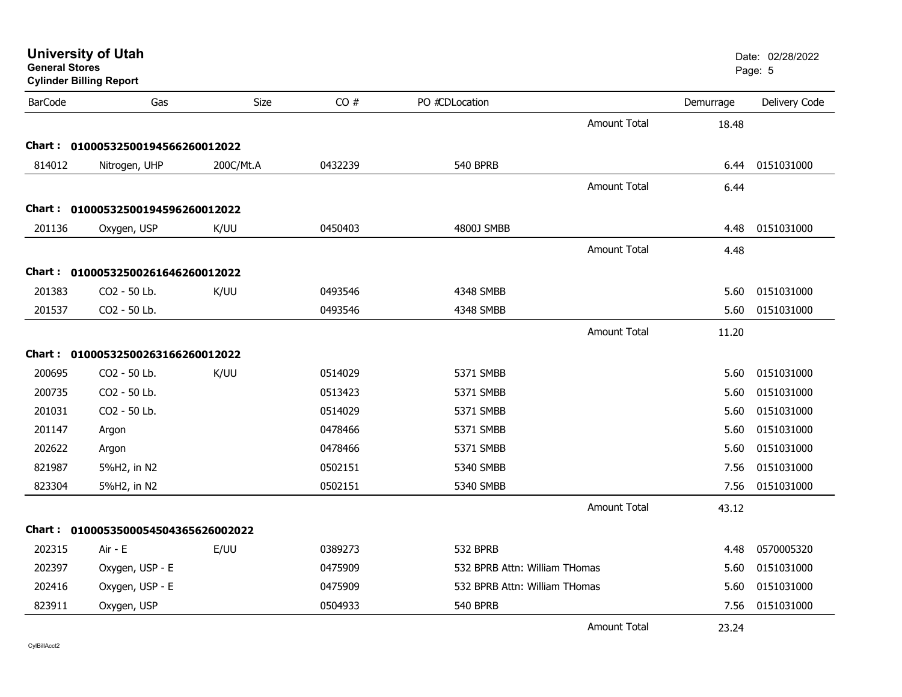| <b>General Stores</b> | <b>University of Utah</b><br><b>Cylinder Billing Report</b> |             |         |                               |                     |           | Date: 02/28/2022<br>Page: 5 |
|-----------------------|-------------------------------------------------------------|-------------|---------|-------------------------------|---------------------|-----------|-----------------------------|
| <b>BarCode</b>        | Gas                                                         | <b>Size</b> | CO#     | PO #CDLocation                |                     | Demurrage | Delivery Code               |
|                       |                                                             |             |         |                               | <b>Amount Total</b> | 18.48     |                             |
| Chart :               | 01000532500194566260012022                                  |             |         |                               |                     |           |                             |
| 814012                | Nitrogen, UHP                                               | 200C/Mt.A   | 0432239 | 540 BPRB                      |                     | 6.44      | 0151031000                  |
|                       |                                                             |             |         |                               | <b>Amount Total</b> | 6.44      |                             |
| Chart :               | 01000532500194596260012022                                  |             |         |                               |                     |           |                             |
| 201136                | Oxygen, USP                                                 | K/UU        | 0450403 | 4800J SMBB                    |                     | 4.48      | 0151031000                  |
|                       |                                                             |             |         |                               | <b>Amount Total</b> | 4.48      |                             |
| Chart :               | 01000532500261646260012022                                  |             |         |                               |                     |           |                             |
| 201383                | CO2 - 50 Lb.                                                | K/UU        | 0493546 | 4348 SMBB                     |                     | 5.60      | 0151031000                  |
| 201537                | CO2 - 50 Lb.                                                |             | 0493546 | 4348 SMBB                     |                     | 5.60      | 0151031000                  |
|                       |                                                             |             |         |                               | <b>Amount Total</b> | 11.20     |                             |
|                       | Chart: 01000532500263166260012022                           |             |         |                               |                     |           |                             |
| 200695                | CO2 - 50 Lb.                                                | K/UU        | 0514029 | 5371 SMBB                     |                     | 5.60      | 0151031000                  |
| 200735                | CO2 - 50 Lb.                                                |             | 0513423 | 5371 SMBB                     |                     | 5.60      | 0151031000                  |
| 201031                | CO2 - 50 Lb.                                                |             | 0514029 | 5371 SMBB                     |                     | 5.60      | 0151031000                  |
| 201147                | Argon                                                       |             | 0478466 | 5371 SMBB                     |                     | 5.60      | 0151031000                  |
| 202622                | Argon                                                       |             | 0478466 | 5371 SMBB                     |                     | 5.60      | 0151031000                  |
| 821987                | 5%H2, in N2                                                 |             | 0502151 | 5340 SMBB                     |                     | 7.56      | 0151031000                  |
| 823304                | 5%H2, in N2                                                 |             | 0502151 | 5340 SMBB                     |                     | 7.56      | 0151031000                  |
|                       |                                                             |             |         |                               | <b>Amount Total</b> | 43.12     |                             |
|                       |                                                             |             |         |                               |                     |           |                             |
|                       | Chart: 0100053500054504365626002022                         |             |         |                               |                     |           |                             |
| 202315                | Air - E                                                     | E/UU        | 0389273 | 532 BPRB                      |                     | 4.48      | 0570005320                  |
| 202397                | Oxygen, USP - E                                             |             | 0475909 | 532 BPRB Attn: William THomas |                     | 5.60      | 0151031000                  |
| 202416                | Oxygen, USP - E                                             |             | 0475909 | 532 BPRB Attn: William THomas |                     | 5.60      | 0151031000                  |
| 823911                | Oxygen, USP                                                 |             | 0504933 | 540 BPRB                      |                     | 7.56      | 0151031000                  |
|                       |                                                             |             |         |                               | <b>Amount Total</b> | 23.24     |                             |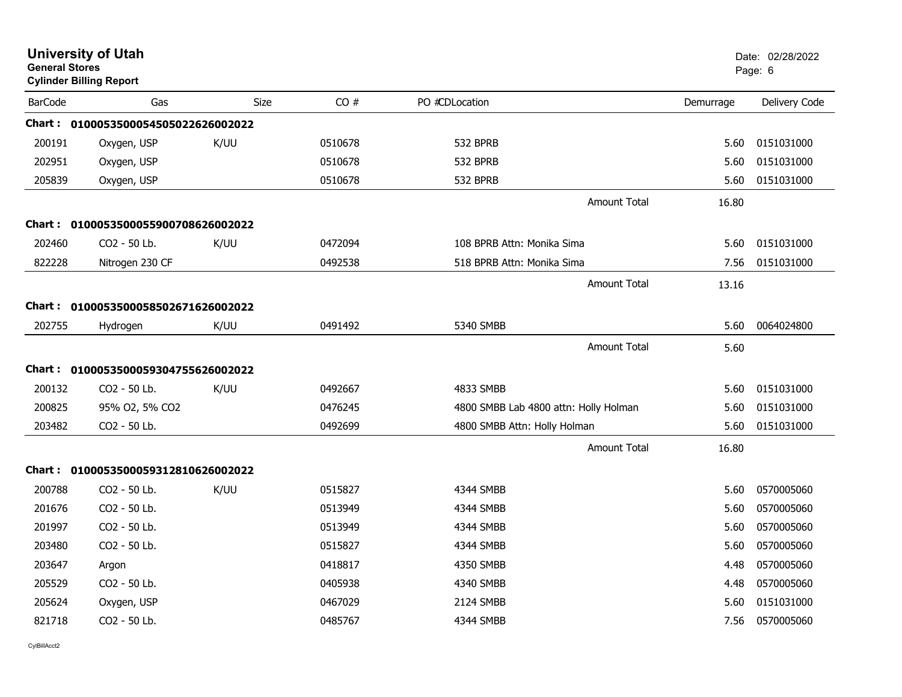| <b>General Stores</b> | <b>University of Utah</b><br><b>Cylinder Billing Report</b> |      |         |                                       |                     |           | Date: 02/28/2022<br>Page: 6 |
|-----------------------|-------------------------------------------------------------|------|---------|---------------------------------------|---------------------|-----------|-----------------------------|
| <b>BarCode</b>        | Gas                                                         | Size | CO#     | PO #CDLocation                        |                     | Demurrage | Delivery Code               |
|                       | Chart: 0100053500054505022626002022                         |      |         |                                       |                     |           |                             |
| 200191                | Oxygen, USP                                                 | K/UU | 0510678 | 532 BPRB                              |                     | 5.60      | 0151031000                  |
| 202951                | Oxygen, USP                                                 |      | 0510678 | 532 BPRB                              |                     | 5.60      | 0151031000                  |
| 205839                | Oxygen, USP                                                 |      | 0510678 | 532 BPRB                              |                     | 5.60      | 0151031000                  |
|                       |                                                             |      |         |                                       | <b>Amount Total</b> | 16.80     |                             |
|                       | Chart: 0100053500055900708626002022                         |      |         |                                       |                     |           |                             |
| 202460                | CO2 - 50 Lb.                                                | K/UU | 0472094 | 108 BPRB Attn: Monika Sima            |                     | 5.60      | 0151031000                  |
| 822228                | Nitrogen 230 CF                                             |      | 0492538 | 518 BPRB Attn: Monika Sima            |                     | 7.56      | 0151031000                  |
|                       |                                                             |      |         |                                       | <b>Amount Total</b> | 13.16     |                             |
|                       | Chart: 0100053500058502671626002022                         |      |         |                                       |                     |           |                             |
| 202755                | Hydrogen                                                    | K/UU | 0491492 | 5340 SMBB                             |                     | 5.60      | 0064024800                  |
|                       |                                                             |      |         |                                       | <b>Amount Total</b> | 5.60      |                             |
|                       | Chart: 0100053500059304755626002022                         |      |         |                                       |                     |           |                             |
| 200132                | CO2 - 50 Lb.                                                | K/UU | 0492667 | 4833 SMBB                             |                     | 5.60      | 0151031000                  |
| 200825                | 95% O2, 5% CO2                                              |      | 0476245 | 4800 SMBB Lab 4800 attn: Holly Holman |                     | 5.60      | 0151031000                  |
| 203482                | CO2 - 50 Lb.                                                |      | 0492699 | 4800 SMBB Attn: Holly Holman          |                     | 5.60      | 0151031000                  |
|                       |                                                             |      |         |                                       | <b>Amount Total</b> | 16.80     |                             |
| Chart :               | 0100053500059312810626002022                                |      |         |                                       |                     |           |                             |
| 200788                | CO2 - 50 Lb.                                                | K/UU | 0515827 | 4344 SMBB                             |                     | 5.60      | 0570005060                  |
| 201676                | CO2 - 50 Lb.                                                |      | 0513949 | 4344 SMBB                             |                     | 5.60      | 0570005060                  |
| 201997                | CO2 - 50 Lb.                                                |      | 0513949 | 4344 SMBB                             |                     | 5.60      | 0570005060                  |
| 203480                | CO2 - 50 Lb.                                                |      | 0515827 | 4344 SMBB                             |                     | 5.60      | 0570005060                  |
| 203647                | Argon                                                       |      | 0418817 | 4350 SMBB                             |                     | 4.48      | 0570005060                  |
| 205529                | CO2 - 50 Lb.                                                |      | 0405938 | 4340 SMBB                             |                     | 4.48      | 0570005060                  |
| 205624                | Oxygen, USP                                                 |      | 0467029 | 2124 SMBB                             |                     | 5.60      | 0151031000                  |
| 821718                | CO2 - 50 Lb.                                                |      | 0485767 | 4344 SMBB                             |                     | 7.56      | 0570005060                  |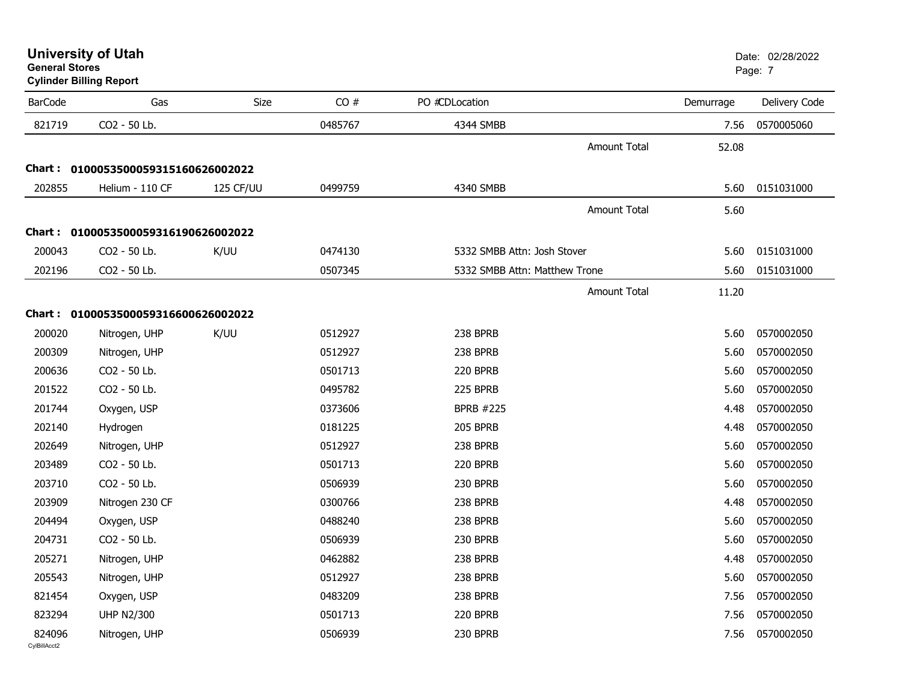**Cylinder Billing Report**

| <b>BarCode</b>         | Gas                                 | <b>Size</b> | CO#     | PO #CDLocation                | Demurrage | Delivery Code |
|------------------------|-------------------------------------|-------------|---------|-------------------------------|-----------|---------------|
| 821719                 | CO2 - 50 Lb.                        |             | 0485767 | 4344 SMBB                     | 7.56      | 0570005060    |
|                        |                                     |             |         | <b>Amount Total</b>           | 52.08     |               |
|                        | Chart: 0100053500059315160626002022 |             |         |                               |           |               |
| 202855                 | Helium - 110 CF                     | 125 CF/UU   | 0499759 | 4340 SMBB                     | 5.60      | 0151031000    |
|                        |                                     |             |         | <b>Amount Total</b>           | 5.60      |               |
|                        | Chart: 0100053500059316190626002022 |             |         |                               |           |               |
| 200043                 | CO2 - 50 Lb.                        | K/UU        | 0474130 | 5332 SMBB Attn: Josh Stover   | 5.60      | 0151031000    |
| 202196                 | CO2 - 50 Lb.                        |             | 0507345 | 5332 SMBB Attn: Matthew Trone | 5.60      | 0151031000    |
|                        |                                     |             |         | <b>Amount Total</b>           | 11.20     |               |
|                        |                                     |             |         |                               |           |               |
|                        | Chart: 0100053500059316600626002022 |             |         |                               |           |               |
| 200020                 | Nitrogen, UHP                       | K/UU        | 0512927 | 238 BPRB                      | 5.60      | 0570002050    |
| 200309                 | Nitrogen, UHP                       |             | 0512927 | 238 BPRB                      | 5.60      | 0570002050    |
| 200636                 | CO2 - 50 Lb.                        |             | 0501713 | 220 BPRB                      | 5.60      | 0570002050    |
| 201522                 | CO2 - 50 Lb.                        |             | 0495782 | 225 BPRB                      | 5.60      | 0570002050    |
| 201744                 | Oxygen, USP                         |             | 0373606 | <b>BPRB #225</b>              | 4.48      | 0570002050    |
| 202140                 | Hydrogen                            |             | 0181225 | <b>205 BPRB</b>               | 4.48      | 0570002050    |
| 202649                 | Nitrogen, UHP                       |             | 0512927 | 238 BPRB                      | 5.60      | 0570002050    |
| 203489                 | CO2 - 50 Lb.                        |             | 0501713 | 220 BPRB                      | 5.60      | 0570002050    |
| 203710                 | CO2 - 50 Lb.                        |             | 0506939 | 230 BPRB                      | 5.60      | 0570002050    |
| 203909                 | Nitrogen 230 CF                     |             | 0300766 | 238 BPRB                      | 4.48      | 0570002050    |
| 204494                 | Oxygen, USP                         |             | 0488240 | 238 BPRB                      | 5.60      | 0570002050    |
| 204731                 | CO2 - 50 Lb.                        |             | 0506939 | 230 BPRB                      | 5.60      | 0570002050    |
| 205271                 | Nitrogen, UHP                       |             | 0462882 | 238 BPRB                      | 4.48      | 0570002050    |
| 205543                 | Nitrogen, UHP                       |             | 0512927 | 238 BPRB                      | 5.60      | 0570002050    |
| 821454                 | Oxygen, USP                         |             | 0483209 | 238 BPRB                      | 7.56      | 0570002050    |
|                        |                                     |             |         |                               |           |               |
| 823294                 | <b>UHP N2/300</b>                   |             | 0501713 | 220 BPRB                      | 7.56      | 0570002050    |
| 824096<br>CvIBillAcct2 | Nitrogen, UHP                       |             | 0506939 | 230 BPRB                      | 7.56      | 0570002050    |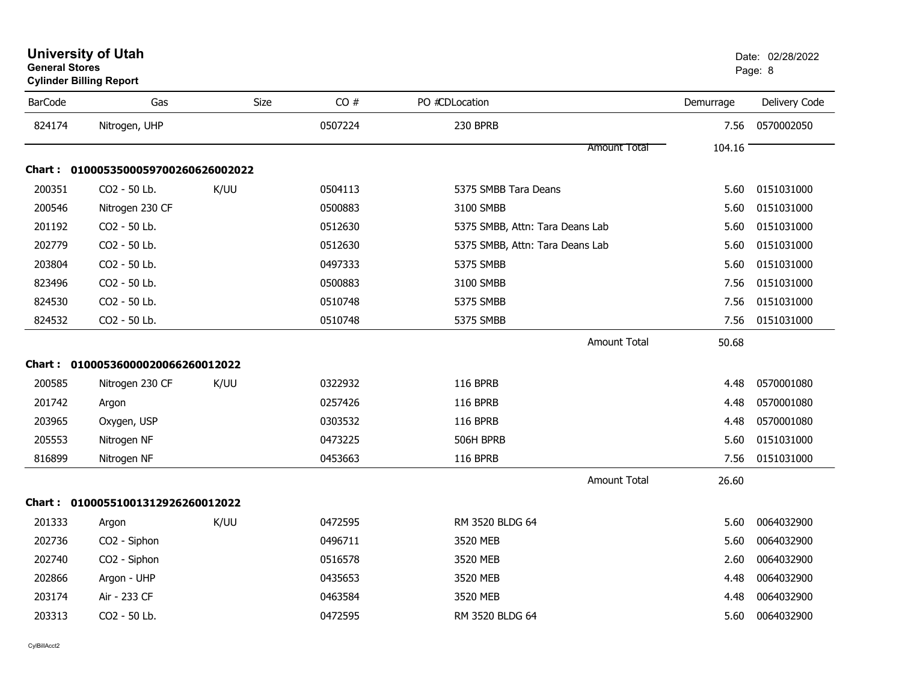| <b>University of Utah</b>      | Date: 0 |
|--------------------------------|---------|
| <b>General Stores</b>          | Page: 8 |
| <b>Cylinder Billing Report</b> |         |

| <b>BarCode</b> | Gas                                 | Size | CO#     | PO #CDLocation                  | Demurrage | Delivery Code |
|----------------|-------------------------------------|------|---------|---------------------------------|-----------|---------------|
| 824174         | Nitrogen, UHP                       |      | 0507224 | 230 BPRB                        | 7.56      | 0570002050    |
|                |                                     |      |         | <b>Amount Total</b>             | 104.16    |               |
|                | Chart: 0100053500059700260626002022 |      |         |                                 |           |               |
| 200351         | CO2 - 50 Lb.                        | K/UU | 0504113 | 5375 SMBB Tara Deans            | 5.60      | 0151031000    |
| 200546         | Nitrogen 230 CF                     |      | 0500883 | 3100 SMBB                       | 5.60      | 0151031000    |
| 201192         | CO2 - 50 Lb.                        |      | 0512630 | 5375 SMBB, Attn: Tara Deans Lab | 5.60      | 0151031000    |
| 202779         | CO2 - 50 Lb.                        |      | 0512630 | 5375 SMBB, Attn: Tara Deans Lab | 5.60      | 0151031000    |
| 203804         | CO2 - 50 Lb.                        |      | 0497333 | 5375 SMBB                       | 5.60      | 0151031000    |
| 823496         | CO2 - 50 Lb.                        |      | 0500883 | 3100 SMBB                       | 7.56      | 0151031000    |
| 824530         | CO2 - 50 Lb.                        |      | 0510748 | 5375 SMBB                       | 7.56      | 0151031000    |
| 824532         | CO2 - 50 Lb.                        |      | 0510748 | 5375 SMBB                       | 7.56      | 0151031000    |
|                |                                     |      |         | Amount Total                    | 50.68     |               |
|                | Chart: 01000536000020066260012022   |      |         |                                 |           |               |
| 200585         | Nitrogen 230 CF                     | K/UU | 0322932 | <b>116 BPRB</b>                 | 4.48      | 0570001080    |
| 201742         | Argon                               |      | 0257426 | <b>116 BPRB</b>                 | 4.48      | 0570001080    |
| 203965         | Oxygen, USP                         |      | 0303532 | <b>116 BPRB</b>                 | 4.48      | 0570001080    |
| 205553         | Nitrogen NF                         |      | 0473225 | 506H BPRB                       | 5.60      | 0151031000    |
| 816899         | Nitrogen NF                         |      | 0453663 | <b>116 BPRB</b>                 | 7.56      | 0151031000    |
|                |                                     |      |         | Amount Total                    | 26.60     |               |
|                | Chart: 01000551001312926260012022   |      |         |                                 |           |               |
| 201333         | Argon                               | K/UU | 0472595 | RM 3520 BLDG 64                 | 5.60      | 0064032900    |
| 202736         | CO2 - Siphon                        |      | 0496711 | 3520 MEB                        | 5.60      | 0064032900    |
| 202740         | CO2 - Siphon                        |      | 0516578 | 3520 MEB                        | 2.60      | 0064032900    |
| 202866         | Argon - UHP                         |      | 0435653 | 3520 MEB                        | 4.48      | 0064032900    |
| 203174         | Air - 233 CF                        |      | 0463584 | 3520 MEB                        | 4.48      | 0064032900    |
| 203313         | CO2 - 50 Lb.                        |      | 0472595 | RM 3520 BLDG 64                 | 5.60      | 0064032900    |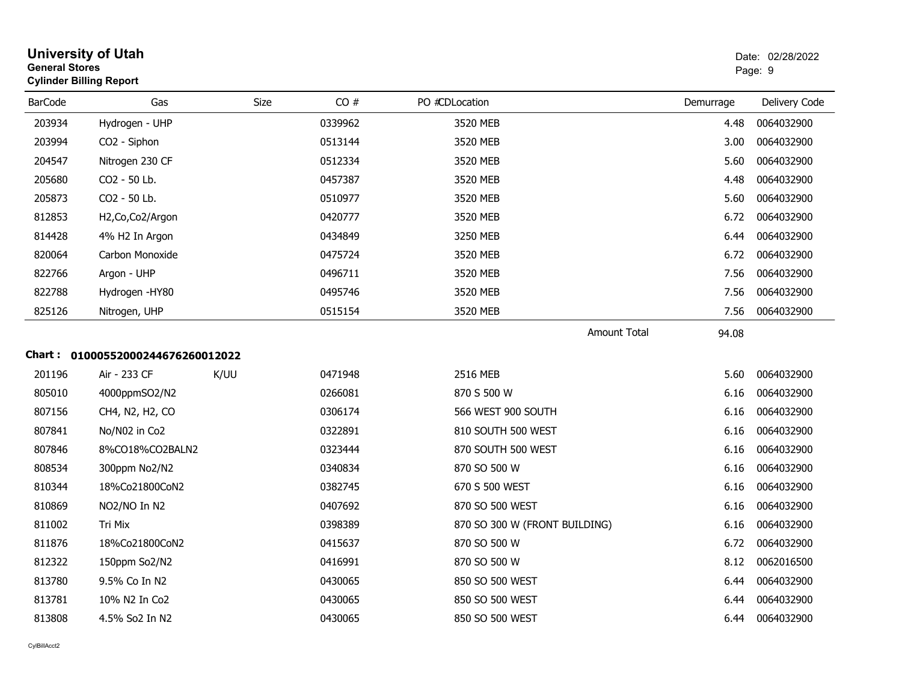| <b>General Stores</b> | <b>University of Utah</b><br><b>Cylinder Billing Report</b> |             |         |                               |           | Date: 02/28/2022<br>Page: 9 |
|-----------------------|-------------------------------------------------------------|-------------|---------|-------------------------------|-----------|-----------------------------|
| <b>BarCode</b>        | Gas                                                         | <b>Size</b> | CO#     | PO #CDLocation                | Demurrage | Delivery Code               |
| 203934                | Hydrogen - UHP                                              |             | 0339962 | 3520 MEB                      | 4.48      | 0064032900                  |
| 203994                | CO2 - Siphon                                                |             | 0513144 | 3520 MEB                      | 3.00      | 0064032900                  |
| 204547                | Nitrogen 230 CF                                             |             | 0512334 | 3520 MEB                      | 5.60      | 0064032900                  |
| 205680                | CO2 - 50 Lb.                                                |             | 0457387 | 3520 MEB                      | 4.48      | 0064032900                  |
| 205873                | CO2 - 50 Lb.                                                |             | 0510977 | 3520 MEB                      | 5.60      | 0064032900                  |
| 812853                | H2, Co, Co2/Argon                                           |             | 0420777 | 3520 MEB                      | 6.72      | 0064032900                  |
| 814428                | 4% H2 In Argon                                              |             | 0434849 | 3250 MEB                      | 6.44      | 0064032900                  |
| 820064                | Carbon Monoxide                                             |             | 0475724 | 3520 MEB                      | 6.72      | 0064032900                  |
| 822766                | Argon - UHP                                                 |             | 0496711 | 3520 MEB                      | 7.56      | 0064032900                  |
| 822788                | Hydrogen - HY80                                             |             | 0495746 | 3520 MEB                      | 7.56      | 0064032900                  |
| 825126                | Nitrogen, UHP                                               |             | 0515154 | 3520 MEB                      | 7.56      | 0064032900                  |
|                       | Chart: 01000552000244676260012022                           |             |         | <b>Amount Total</b>           | 94.08     |                             |
| 201196                | Air - 233 CF                                                | K/UU        | 0471948 | 2516 MEB                      | 5.60      | 0064032900                  |
| 805010                | 4000ppmSO2/N2                                               |             | 0266081 | 870 S 500 W                   | 6.16      | 0064032900                  |
| 807156                | CH4, N2, H2, CO                                             |             | 0306174 | 566 WEST 900 SOUTH            | 6.16      | 0064032900                  |
| 807841                | No/N02 in Co2                                               |             | 0322891 | 810 SOUTH 500 WEST            | 6.16      | 0064032900                  |
| 807846                | 8%CO18%CO2BALN2                                             |             | 0323444 | 870 SOUTH 500 WEST            | 6.16      | 0064032900                  |
| 808534                | 300ppm No2/N2                                               |             | 0340834 | 870 SO 500 W                  | 6.16      | 0064032900                  |
| 810344                | 18%Co21800CoN2                                              |             | 0382745 | 670 S 500 WEST                | 6.16      | 0064032900                  |
| 810869                | NO2/NO In N2                                                |             | 0407692 | 870 SO 500 WEST               | 6.16      | 0064032900                  |
| 811002                | Tri Mix                                                     |             | 0398389 | 870 SO 300 W (FRONT BUILDING) | 6.16      | 0064032900                  |
| 811876                | 18%Co21800CoN2                                              |             | 0415637 | 870 SO 500 W                  | 6.72      | 0064032900                  |
| 812322                | 150ppm So2/N2                                               |             | 0416991 | 870 SO 500 W                  | 8.12      | 0062016500                  |
| 813780                | 9.5% Co In N2                                               |             | 0430065 | 850 SO 500 WEST               | 6.44      | 0064032900                  |
| 813781                | 10% N2 In Co2                                               |             | 0430065 | 850 SO 500 WEST               | 6.44      | 0064032900                  |
| 813808                | 4.5% So2 In N2                                              |             | 0430065 | 850 SO 500 WEST               | 6.44      | 0064032900                  |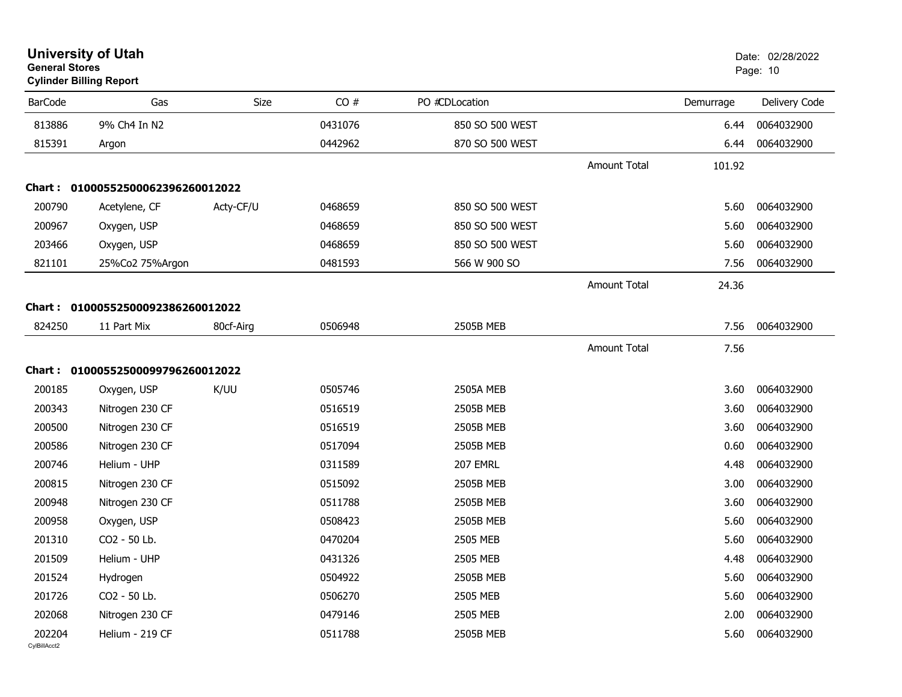| <b>General Stores</b>  | <b>University of Utah</b><br><b>Cylinder Billing Report</b> |           |         |                  |                     |           | Date: 02/28/2022<br>Page: 10 |
|------------------------|-------------------------------------------------------------|-----------|---------|------------------|---------------------|-----------|------------------------------|
| <b>BarCode</b>         | Gas                                                         | Size      | CO#     | PO #CDLocation   |                     | Demurrage | Delivery Code                |
| 813886                 | 9% Ch4 In N2                                                |           | 0431076 | 850 SO 500 WEST  |                     | 6.44      | 0064032900                   |
| 815391                 | Argon                                                       |           | 0442962 | 870 SO 500 WEST  |                     | 6.44      | 0064032900                   |
|                        |                                                             |           |         |                  | <b>Amount Total</b> | 101.92    |                              |
| Chart :                | 01000552500062396260012022                                  |           |         |                  |                     |           |                              |
| 200790                 | Acetylene, CF                                               | Acty-CF/U | 0468659 | 850 SO 500 WEST  |                     | 5.60      | 0064032900                   |
| 200967                 | Oxygen, USP                                                 |           | 0468659 | 850 SO 500 WEST  |                     | 5.60      | 0064032900                   |
| 203466                 | Oxygen, USP                                                 |           | 0468659 | 850 SO 500 WEST  |                     | 5.60      | 0064032900                   |
| 821101                 | 25%Co2 75%Argon                                             |           | 0481593 | 566 W 900 SO     |                     | 7.56      | 0064032900                   |
|                        |                                                             |           |         |                  | <b>Amount Total</b> | 24.36     |                              |
| Chart :                | 01000552500092386260012022                                  |           |         |                  |                     |           |                              |
| 824250                 | 11 Part Mix                                                 | 80cf-Airg | 0506948 | 2505B MEB        |                     | 7.56      | 0064032900                   |
|                        |                                                             |           |         |                  | <b>Amount Total</b> | 7.56      |                              |
|                        | Chart: 01000552500099796260012022                           |           |         |                  |                     |           |                              |
| 200185                 | Oxygen, USP                                                 | K/UU      | 0505746 | <b>2505A MEB</b> |                     | 3.60      | 0064032900                   |
| 200343                 | Nitrogen 230 CF                                             |           | 0516519 | 2505B MEB        |                     | 3.60      | 0064032900                   |
| 200500                 | Nitrogen 230 CF                                             |           | 0516519 | 2505B MEB        |                     | 3.60      | 0064032900                   |
| 200586                 | Nitrogen 230 CF                                             |           | 0517094 | 2505B MEB        |                     | 0.60      | 0064032900                   |
| 200746                 | Helium - UHP                                                |           | 0311589 | <b>207 EMRL</b>  |                     | 4.48      | 0064032900                   |
| 200815                 | Nitrogen 230 CF                                             |           | 0515092 | 2505B MEB        |                     | 3.00      | 0064032900                   |
| 200948                 | Nitrogen 230 CF                                             |           | 0511788 | 2505B MEB        |                     | 3.60      | 0064032900                   |
| 200958                 | Oxygen, USP                                                 |           | 0508423 | 2505B MEB        |                     | 5.60      | 0064032900                   |
| 201310                 | CO2 - 50 Lb.                                                |           | 0470204 | 2505 MEB         |                     | 5.60      | 0064032900                   |
| 201509                 | Helium - UHP                                                |           | 0431326 | 2505 MEB         |                     | 4.48      | 0064032900                   |
| 201524                 | Hydrogen                                                    |           | 0504922 | 2505B MEB        |                     | 5.60      | 0064032900                   |
| 201726                 | CO2 - 50 Lb.                                                |           | 0506270 | 2505 MEB         |                     | 5.60      | 0064032900                   |
| 202068                 | Nitrogen 230 CF                                             |           | 0479146 | 2505 MEB         |                     | 2.00      | 0064032900                   |
| 202204<br>CvIBillAcct2 | Helium - 219 CF                                             |           | 0511788 | 2505B MEB        |                     | 5.60      | 0064032900                   |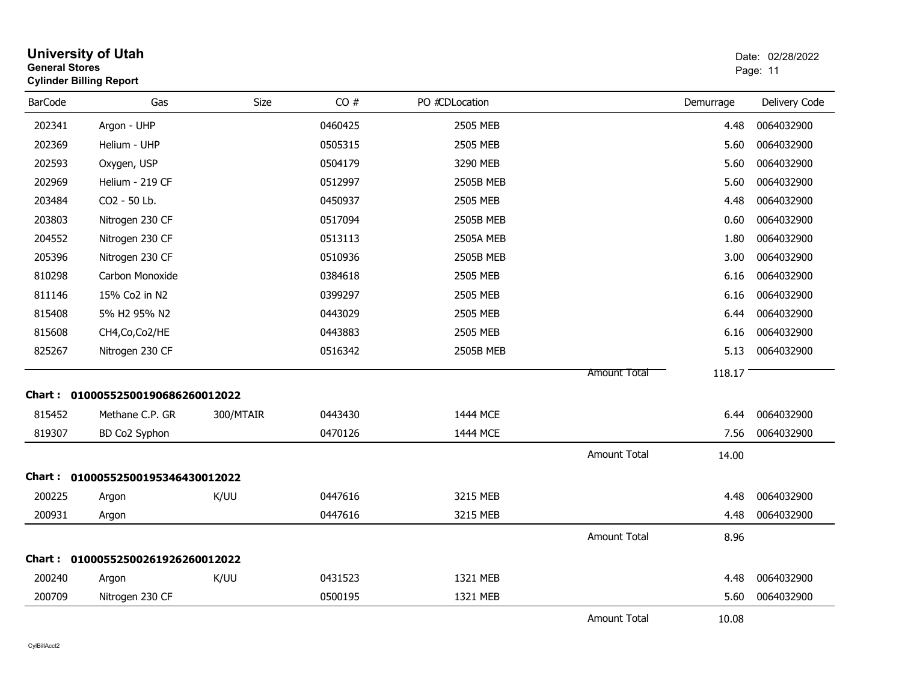| <b>General Stores</b> | <b>University of Utah</b><br><b>Cylinder Billing Report</b> |             |         |                  |                     |           | Date: 02/28/2022<br>Page: 11 |
|-----------------------|-------------------------------------------------------------|-------------|---------|------------------|---------------------|-----------|------------------------------|
| <b>BarCode</b>        | Gas                                                         | <b>Size</b> | CO#     | PO #CDLocation   |                     | Demurrage | Delivery Code                |
| 202341                | Argon - UHP                                                 |             | 0460425 | 2505 MEB         |                     | 4.48      | 0064032900                   |
| 202369                | Helium - UHP                                                |             | 0505315 | 2505 MEB         |                     | 5.60      | 0064032900                   |
| 202593                | Oxygen, USP                                                 |             | 0504179 | 3290 MEB         |                     | 5.60      | 0064032900                   |
| 202969                | Helium - 219 CF                                             |             | 0512997 | 2505B MEB        |                     | 5.60      | 0064032900                   |
| 203484                | CO2 - 50 Lb.                                                |             | 0450937 | 2505 MEB         |                     | 4.48      | 0064032900                   |
| 203803                | Nitrogen 230 CF                                             |             | 0517094 | 2505B MEB        |                     | 0.60      | 0064032900                   |
| 204552                | Nitrogen 230 CF                                             |             | 0513113 | <b>2505A MEB</b> |                     | 1.80      | 0064032900                   |
| 205396                | Nitrogen 230 CF                                             |             | 0510936 | 2505B MEB        |                     | 3.00      | 0064032900                   |
| 810298                | Carbon Monoxide                                             |             | 0384618 | 2505 MEB         |                     | 6.16      | 0064032900                   |
| 811146                | 15% Co2 in N2                                               |             | 0399297 | 2505 MEB         |                     | 6.16      | 0064032900                   |
| 815408                | 5% H2 95% N2                                                |             | 0443029 | 2505 MEB         |                     | 6.44      | 0064032900                   |
| 815608                | CH4, Co, Co2/HE                                             |             | 0443883 | 2505 MEB         |                     | 6.16      | 0064032900                   |
| 825267                | Nitrogen 230 CF                                             |             | 0516342 | 2505B MEB        |                     | 5.13      | 0064032900                   |
|                       |                                                             |             |         |                  | Amount Total        | 118.17    |                              |
|                       | Chart: 01000552500190686260012022                           |             |         |                  |                     |           |                              |
| 815452                | Methane C.P. GR                                             | 300/MTAIR   | 0443430 | 1444 MCE         |                     | 6.44      | 0064032900                   |
| 819307                | BD Co2 Syphon                                               |             | 0470126 | 1444 MCE         |                     | 7.56      | 0064032900                   |
|                       |                                                             |             |         |                  | <b>Amount Total</b> | 14.00     |                              |
|                       | Chart: 01000552500195346430012022                           |             |         |                  |                     |           |                              |
| 200225                | Argon                                                       | K/UU        | 0447616 | 3215 MEB         |                     | 4.48      | 0064032900                   |
| 200931                | Argon                                                       |             | 0447616 | 3215 MEB         |                     | 4.48      | 0064032900                   |
|                       |                                                             |             |         |                  | <b>Amount Total</b> | 8.96      |                              |
|                       | Chart: 01000552500261926260012022                           |             |         |                  |                     |           |                              |
| 200240                | Argon                                                       | K/UU        | 0431523 | 1321 MEB         |                     | 4.48      | 0064032900                   |
| 200709                | Nitrogen 230 CF                                             |             | 0500195 | 1321 MEB         |                     | 5.60      | 0064032900                   |
|                       |                                                             |             |         |                  | <b>Amount Total</b> | 10.08     |                              |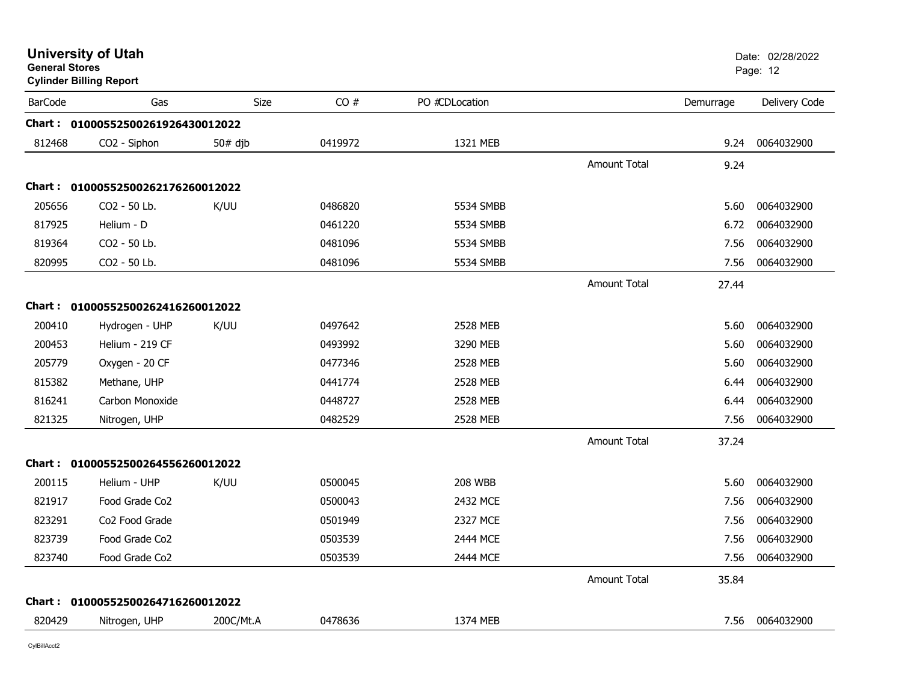|                | <b>University of Utah</b><br><b>General Stores</b><br><b>Cylinder Billing Report</b> |             |         |                |                     |           | Date: 02/28/2022<br>Page: 12 |
|----------------|--------------------------------------------------------------------------------------|-------------|---------|----------------|---------------------|-----------|------------------------------|
| <b>BarCode</b> | Gas                                                                                  | <b>Size</b> | CO#     | PO #CDLocation |                     | Demurrage | Delivery Code                |
| Chart :        | 01000552500261926430012022                                                           |             |         |                |                     |           |                              |
| 812468         | CO2 - Siphon                                                                         | $50#$ djb   | 0419972 | 1321 MEB       |                     | 9.24      | 0064032900                   |
|                |                                                                                      |             |         |                | <b>Amount Total</b> | 9.24      |                              |
|                | Chart: 01000552500262176260012022                                                    |             |         |                |                     |           |                              |
| 205656         | CO2 - 50 Lb.                                                                         | K/UU        | 0486820 | 5534 SMBB      |                     | 5.60      | 0064032900                   |
| 817925         | Helium - D                                                                           |             | 0461220 | 5534 SMBB      |                     | 6.72      | 0064032900                   |
| 819364         | CO2 - 50 Lb.                                                                         |             | 0481096 | 5534 SMBB      |                     | 7.56      | 0064032900                   |
| 820995         | CO2 - 50 Lb.                                                                         |             | 0481096 | 5534 SMBB      |                     | 7.56      | 0064032900                   |
|                |                                                                                      |             |         |                | <b>Amount Total</b> | 27.44     |                              |
|                | Chart: 01000552500262416260012022                                                    |             |         |                |                     |           |                              |
| 200410         | Hydrogen - UHP                                                                       | K/UU        | 0497642 | 2528 MEB       |                     | 5.60      | 0064032900                   |
| 200453         | Helium - 219 CF                                                                      |             | 0493992 | 3290 MEB       |                     | 5.60      | 0064032900                   |
| 205779         | Oxygen - 20 CF                                                                       |             | 0477346 | 2528 MEB       |                     | 5.60      | 0064032900                   |
| 815382         | Methane, UHP                                                                         |             | 0441774 | 2528 MEB       |                     | 6.44      | 0064032900                   |
| 816241         | Carbon Monoxide                                                                      |             | 0448727 | 2528 MEB       |                     | 6.44      | 0064032900                   |
| 821325         | Nitrogen, UHP                                                                        |             | 0482529 | 2528 MEB       |                     | 7.56      | 0064032900                   |
|                |                                                                                      |             |         |                | Amount Total        | 37.24     |                              |
|                | Chart: 01000552500264556260012022                                                    |             |         |                |                     |           |                              |
| 200115         | Helium - UHP                                                                         | K/UU        | 0500045 | <b>208 WBB</b> |                     | 5.60      | 0064032900                   |
| 821917         | Food Grade Co2                                                                       |             | 0500043 | 2432 MCE       |                     | 7.56      | 0064032900                   |
| 823291         | Co <sub>2</sub> Food Grade                                                           |             | 0501949 | 2327 MCE       |                     | 7.56      | 0064032900                   |
| 823739         | Food Grade Co <sub>2</sub>                                                           |             | 0503539 | 2444 MCE       |                     | 7.56      | 0064032900                   |
| 823740         | Food Grade Co2                                                                       |             | 0503539 | 2444 MCE       |                     | 7.56      | 0064032900                   |
|                |                                                                                      |             |         |                | <b>Amount Total</b> | 35.84     |                              |
|                | Chart: 01000552500264716260012022                                                    |             |         |                |                     |           |                              |
| 820429         | Nitrogen, UHP                                                                        | 200C/Mt.A   | 0478636 | 1374 MEB       |                     | 7.56      | 0064032900                   |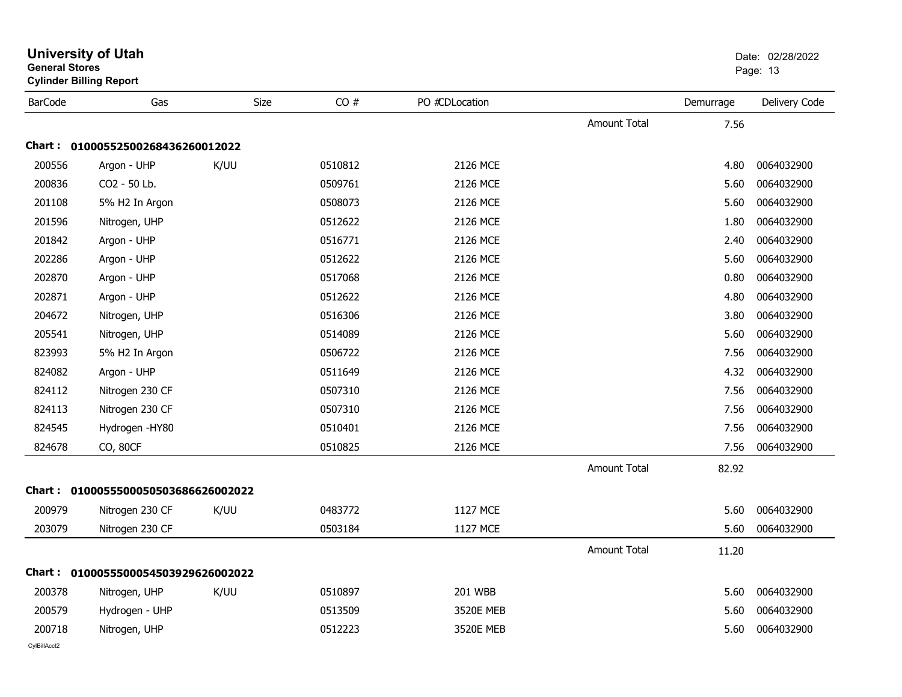| General Stores | <b>Cylinder Billing Report</b>      |      |         |                |                     |           | Page: 13      |  |
|----------------|-------------------------------------|------|---------|----------------|---------------------|-----------|---------------|--|
| <b>BarCode</b> | Gas                                 | Size | CO#     | PO #CDLocation |                     | Demurrage | Delivery Code |  |
|                |                                     |      |         |                | Amount Total        | 7.56      |               |  |
|                | Chart: 01000552500268436260012022   |      |         |                |                     |           |               |  |
| 200556         | Argon - UHP                         | K/UU | 0510812 | 2126 MCE       |                     | 4.80      | 0064032900    |  |
| 200836         | CO2 - 50 Lb.                        |      | 0509761 | 2126 MCE       |                     | 5.60      | 0064032900    |  |
| 201108         | 5% H2 In Argon                      |      | 0508073 | 2126 MCE       |                     | 5.60      | 0064032900    |  |
| 201596         | Nitrogen, UHP                       |      | 0512622 | 2126 MCE       |                     | 1.80      | 0064032900    |  |
| 201842         | Argon - UHP                         |      | 0516771 | 2126 MCE       |                     | 2.40      | 0064032900    |  |
| 202286         | Argon - UHP                         |      | 0512622 | 2126 MCE       |                     | 5.60      | 0064032900    |  |
| 202870         | Argon - UHP                         |      | 0517068 | 2126 MCE       |                     | 0.80      | 0064032900    |  |
| 202871         | Argon - UHP                         |      | 0512622 | 2126 MCE       |                     | 4.80      | 0064032900    |  |
| 204672         | Nitrogen, UHP                       |      | 0516306 | 2126 MCE       |                     | 3.80      | 0064032900    |  |
| 205541         | Nitrogen, UHP                       |      | 0514089 | 2126 MCE       |                     | 5.60      | 0064032900    |  |
| 823993         | 5% H2 In Argon                      |      | 0506722 | 2126 MCE       |                     | 7.56      | 0064032900    |  |
| 824082         | Argon - UHP                         |      | 0511649 | 2126 MCE       |                     | 4.32      | 0064032900    |  |
| 824112         | Nitrogen 230 CF                     |      | 0507310 | 2126 MCE       |                     | 7.56      | 0064032900    |  |
| 824113         | Nitrogen 230 CF                     |      | 0507310 | 2126 MCE       |                     | 7.56      | 0064032900    |  |
| 824545         | Hydrogen -HY80                      |      | 0510401 | 2126 MCE       |                     | 7.56      | 0064032900    |  |
| 824678         | CO, 80CF                            |      | 0510825 | 2126 MCE       |                     | 7.56      | 0064032900    |  |
|                |                                     |      |         |                | <b>Amount Total</b> | 82.92     |               |  |
|                | Chart: 0100055500050503686626002022 |      |         |                |                     |           |               |  |
| 200979         | Nitrogen 230 CF                     | K/UU | 0483772 | 1127 MCE       |                     | 5.60      | 0064032900    |  |
| 203079         | Nitrogen 230 CF                     |      | 0503184 | 1127 MCE       |                     | 5.60      | 0064032900    |  |
|                |                                     |      |         |                | <b>Amount Total</b> | 11.20     |               |  |
|                | Chart: 0100055500054503929626002022 |      |         |                |                     |           |               |  |
| 200378         | Nitrogen, UHP                       | K/UU | 0510897 | 201 WBB        |                     | 5.60      | 0064032900    |  |
| 200579         | Hydrogen - UHP                      |      | 0513509 | 3520E MEB      |                     | 5.60      | 0064032900    |  |
| 200718         | Nitrogen, UHP                       |      | 0512223 | 3520E MEB      |                     | 5.60      | 0064032900    |  |
| CvIBillAcct2   |                                     |      |         |                |                     |           |               |  |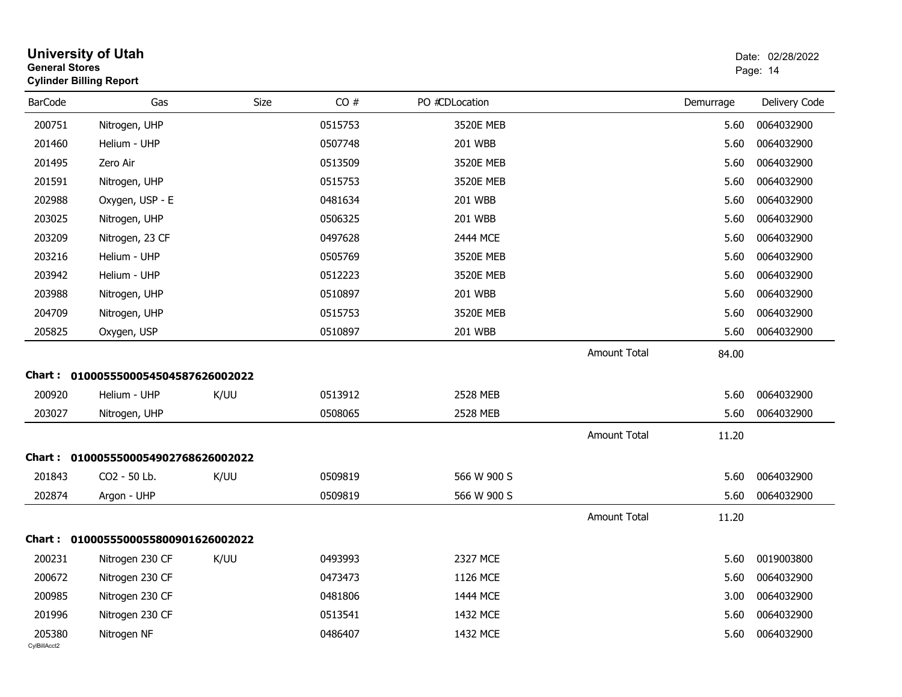| <b>General Stores</b>  | <b>University of Utah</b><br><b>Cylinder Billing Report</b> |      |         |                |                     |           | Date: 02/28/2022<br>Page: 14 |
|------------------------|-------------------------------------------------------------|------|---------|----------------|---------------------|-----------|------------------------------|
| <b>BarCode</b>         | Gas                                                         | Size | CO#     | PO #CDLocation |                     | Demurrage | Delivery Code                |
| 200751                 | Nitrogen, UHP                                               |      | 0515753 | 3520E MEB      |                     | 5.60      | 0064032900                   |
| 201460                 | Helium - UHP                                                |      | 0507748 | 201 WBB        |                     | 5.60      | 0064032900                   |
| 201495                 | Zero Air                                                    |      | 0513509 | 3520E MEB      |                     | 5.60      | 0064032900                   |
| 201591                 | Nitrogen, UHP                                               |      | 0515753 | 3520E MEB      |                     | 5.60      | 0064032900                   |
| 202988                 | Oxygen, USP - E                                             |      | 0481634 | 201 WBB        |                     | 5.60      | 0064032900                   |
| 203025                 | Nitrogen, UHP                                               |      | 0506325 | <b>201 WBB</b> |                     | 5.60      | 0064032900                   |
| 203209                 | Nitrogen, 23 CF                                             |      | 0497628 | 2444 MCE       |                     | 5.60      | 0064032900                   |
| 203216                 | Helium - UHP                                                |      | 0505769 | 3520E MEB      |                     | 5.60      | 0064032900                   |
| 203942                 | Helium - UHP                                                |      | 0512223 | 3520E MEB      |                     | 5.60      | 0064032900                   |
| 203988                 | Nitrogen, UHP                                               |      | 0510897 | 201 WBB        |                     | 5.60      | 0064032900                   |
| 204709                 | Nitrogen, UHP                                               |      | 0515753 | 3520E MEB      |                     | 5.60      | 0064032900                   |
| 205825                 | Oxygen, USP                                                 |      | 0510897 | 201 WBB        |                     | 5.60      | 0064032900                   |
|                        |                                                             |      |         |                | <b>Amount Total</b> | 84.00     |                              |
|                        | Chart: 0100055500054504587626002022                         |      |         |                |                     |           |                              |
| 200920                 | Helium - UHP                                                | K/UU | 0513912 | 2528 MEB       |                     | 5.60      | 0064032900                   |
| 203027                 | Nitrogen, UHP                                               |      | 0508065 | 2528 MEB       |                     | 5.60      | 0064032900                   |
|                        |                                                             |      |         |                | <b>Amount Total</b> | 11.20     |                              |
|                        | Chart: 0100055500054902768626002022                         |      |         |                |                     |           |                              |
| 201843                 | CO2 - 50 Lb.                                                | K/UU | 0509819 | 566 W 900 S    |                     | 5.60      | 0064032900                   |
| 202874                 | Argon - UHP                                                 |      | 0509819 | 566 W 900 S    |                     | 5.60      | 0064032900                   |
|                        |                                                             |      |         |                | Amount Total        | 11.20     |                              |
|                        | Chart: 0100055500055800901626002022                         |      |         |                |                     |           |                              |
| 200231                 | Nitrogen 230 CF                                             | K/UU | 0493993 | 2327 MCE       |                     | 5.60      | 0019003800                   |
| 200672                 | Nitrogen 230 CF                                             |      | 0473473 | 1126 MCE       |                     | 5.60      | 0064032900                   |
| 200985                 | Nitrogen 230 CF                                             |      | 0481806 | 1444 MCE       |                     | 3.00      | 0064032900                   |
| 201996                 | Nitrogen 230 CF                                             |      | 0513541 | 1432 MCE       |                     | 5.60      | 0064032900                   |
| 205380<br>CylBillAcct2 | Nitrogen NF                                                 |      | 0486407 | 1432 MCE       |                     | 5.60      | 0064032900                   |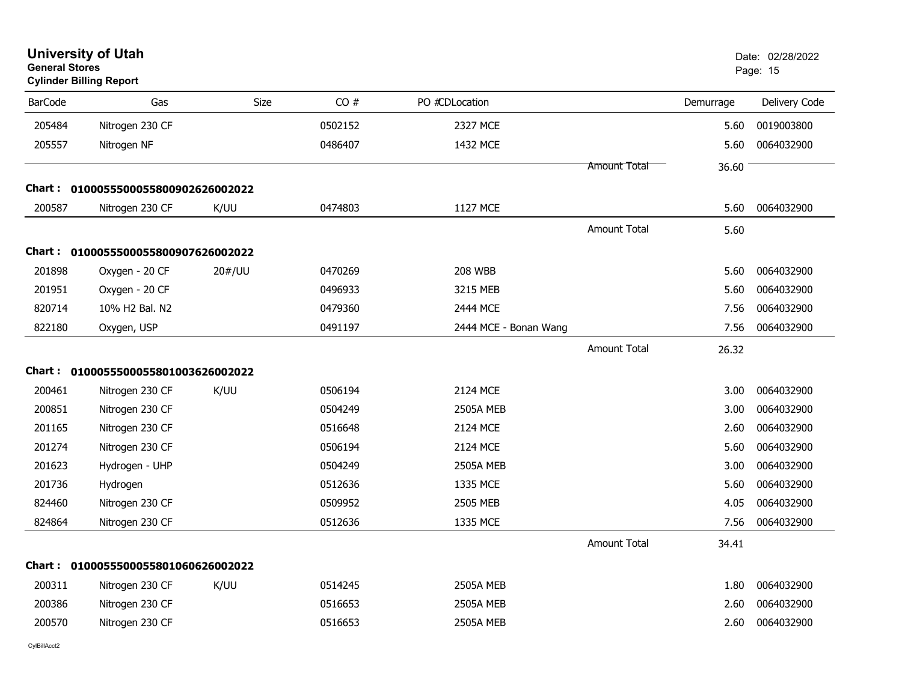| <b>University of Utah</b><br><b>General Stores</b><br><b>Cylinder Billing Report</b> |        |                                                                                                                                                   |                       |                     |           | Date: 02/28/2022<br>Page: 15 |
|--------------------------------------------------------------------------------------|--------|---------------------------------------------------------------------------------------------------------------------------------------------------|-----------------------|---------------------|-----------|------------------------------|
| <b>BarCode</b><br>Gas                                                                | Size   | CO#                                                                                                                                               | PO #CDLocation        |                     | Demurrage | Delivery Code                |
| 205484<br>Nitrogen 230 CF                                                            |        | 0502152                                                                                                                                           | 2327 MCE              |                     | 5.60      | 0019003800                   |
| 205557<br>Nitrogen NF                                                                |        | 0486407                                                                                                                                           | 1432 MCE              |                     | 5.60      | 0064032900                   |
|                                                                                      |        |                                                                                                                                                   |                       | Amount Total        | 36.60     |                              |
|                                                                                      |        |                                                                                                                                                   |                       |                     |           |                              |
| 200587<br>Nitrogen 230 CF                                                            | K/UU   | 0474803                                                                                                                                           | 1127 MCE              |                     | 5.60      | 0064032900                   |
|                                                                                      |        |                                                                                                                                                   |                       | <b>Amount Total</b> | 5.60      |                              |
|                                                                                      |        |                                                                                                                                                   |                       |                     |           |                              |
| 201898<br>Oxygen - 20 CF                                                             | 20#/UU | 0470269                                                                                                                                           | 208 WBB               |                     | 5.60      | 0064032900                   |
| 201951<br>Oxygen - 20 CF                                                             |        | 0496933                                                                                                                                           | 3215 MEB              |                     | 5.60      | 0064032900                   |
| 820714<br>10% H2 Bal. N2                                                             |        | 0479360                                                                                                                                           | 2444 MCE              |                     | 7.56      | 0064032900                   |
| 822180<br>Oxygen, USP                                                                |        | 0491197                                                                                                                                           | 2444 MCE - Bonan Wang |                     | 7.56      | 0064032900                   |
|                                                                                      |        |                                                                                                                                                   |                       | <b>Amount Total</b> | 26.32     |                              |
|                                                                                      |        |                                                                                                                                                   |                       |                     |           |                              |
| 200461<br>Nitrogen 230 CF                                                            | K/UU   | 0506194                                                                                                                                           | 2124 MCE              |                     | 3.00      | 0064032900                   |
| 200851<br>Nitrogen 230 CF                                                            |        | 0504249                                                                                                                                           | <b>2505A MEB</b>      |                     | 3.00      | 0064032900                   |
| 201165<br>Nitrogen 230 CF                                                            |        | 0516648                                                                                                                                           | 2124 MCE              |                     | 2.60      | 0064032900                   |
| 201274<br>Nitrogen 230 CF                                                            |        | 0506194                                                                                                                                           | 2124 MCE              |                     | 5.60      | 0064032900                   |
| 201623<br>Hydrogen - UHP                                                             |        | 0504249                                                                                                                                           | <b>2505A MEB</b>      |                     | 3.00      | 0064032900                   |
| 201736<br>Hydrogen                                                                   |        | 0512636                                                                                                                                           | 1335 MCE              |                     | 5.60      | 0064032900                   |
| 824460<br>Nitrogen 230 CF                                                            |        | 0509952                                                                                                                                           | 2505 MEB              |                     | 4.05      | 0064032900                   |
| 824864<br>Nitrogen 230 CF                                                            |        | 0512636                                                                                                                                           | 1335 MCE              |                     | 7.56      | 0064032900                   |
|                                                                                      |        |                                                                                                                                                   |                       | Amount Total        | 34.41     |                              |
|                                                                                      |        |                                                                                                                                                   |                       |                     |           |                              |
| 200311<br>Nitrogen 230 CF                                                            | K/UU   | 0514245                                                                                                                                           | <b>2505A MEB</b>      |                     | 1.80      | 0064032900                   |
| 200386<br>Nitrogen 230 CF                                                            |        | 0516653                                                                                                                                           | <b>2505A MEB</b>      |                     | 2.60      | 0064032900                   |
| 200570<br>Nitrogen 230 CF                                                            |        | 0516653                                                                                                                                           | <b>2505A MEB</b>      |                     | 2.60      | 0064032900                   |
|                                                                                      |        | Chart: 0100055500055800902626002022<br>Chart: 0100055500055800907626002022<br>Chart: 0100055500055801003626002022<br>0100055500055801060626002022 |                       |                     |           |                              |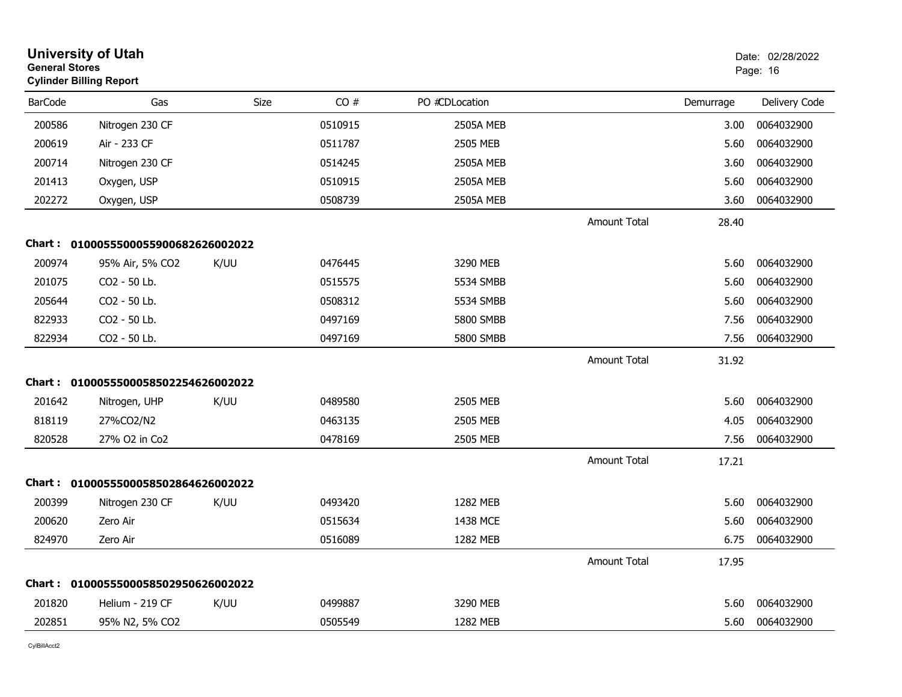|                | <b>University of Utah</b><br><b>General Stores</b><br><b>Cylinder Billing Report</b> |             |         |                  | Date: 02/28/2022<br>Page: 16 |           |               |
|----------------|--------------------------------------------------------------------------------------|-------------|---------|------------------|------------------------------|-----------|---------------|
| <b>BarCode</b> | Gas                                                                                  | <b>Size</b> | CO#     | PO #CDLocation   |                              | Demurrage | Delivery Code |
| 200586         | Nitrogen 230 CF                                                                      |             | 0510915 | <b>2505A MEB</b> |                              | 3.00      | 0064032900    |
| 200619         | Air - 233 CF                                                                         |             | 0511787 | 2505 MEB         |                              | 5.60      | 0064032900    |
| 200714         | Nitrogen 230 CF                                                                      |             | 0514245 | <b>2505A MEB</b> |                              | 3.60      | 0064032900    |
| 201413         | Oxygen, USP                                                                          |             | 0510915 | <b>2505A MEB</b> |                              | 5.60      | 0064032900    |
| 202272         | Oxygen, USP                                                                          |             | 0508739 | 2505A MEB        |                              | 3.60      | 0064032900    |
|                |                                                                                      |             |         |                  | <b>Amount Total</b>          | 28.40     |               |
|                | Chart: 0100055500055900682626002022                                                  |             |         |                  |                              |           |               |
| 200974         | 95% Air, 5% CO2                                                                      | K/UU        | 0476445 | 3290 MEB         |                              | 5.60      | 0064032900    |
| 201075         | CO2 - 50 Lb.                                                                         |             | 0515575 | 5534 SMBB        |                              | 5.60      | 0064032900    |
| 205644         | CO2 - 50 Lb.                                                                         |             | 0508312 | 5534 SMBB        |                              | 5.60      | 0064032900    |
| 822933         | CO2 - 50 Lb.                                                                         |             | 0497169 | 5800 SMBB        |                              | 7.56      | 0064032900    |
| 822934         | CO2 - 50 Lb.                                                                         |             | 0497169 | 5800 SMBB        |                              | 7.56      | 0064032900    |
|                |                                                                                      |             |         |                  | <b>Amount Total</b>          | 31.92     |               |
|                | Chart: 0100055500058502254626002022                                                  |             |         |                  |                              |           |               |
| 201642         | Nitrogen, UHP                                                                        | K/UU        | 0489580 | 2505 MEB         |                              | 5.60      | 0064032900    |
| 818119         | 27%CO2/N2                                                                            |             | 0463135 | 2505 MEB         |                              | 4.05      | 0064032900    |
| 820528         | 27% O2 in Co2                                                                        |             | 0478169 | 2505 MEB         |                              | 7.56      | 0064032900    |
|                |                                                                                      |             |         |                  | <b>Amount Total</b>          | 17.21     |               |
|                | Chart: 0100055500058502864626002022                                                  |             |         |                  |                              |           |               |
| 200399         | Nitrogen 230 CF                                                                      | K/UU        | 0493420 | 1282 MEB         |                              | 5.60      | 0064032900    |
| 200620         | Zero Air                                                                             |             | 0515634 | 1438 MCE         |                              | 5.60      | 0064032900    |
| 824970         | Zero Air                                                                             |             | 0516089 | 1282 MEB         |                              | 6.75      | 0064032900    |
|                |                                                                                      |             |         |                  | <b>Amount Total</b>          | 17.95     |               |
|                | Chart: 0100055500058502950626002022                                                  |             |         |                  |                              |           |               |
| 201820         | Helium - 219 CF                                                                      | K/UU        | 0499887 | 3290 MEB         |                              | 5.60      | 0064032900    |
| 202851         | 95% N2, 5% CO2                                                                       |             | 0505549 | 1282 MEB         |                              | 5.60      | 0064032900    |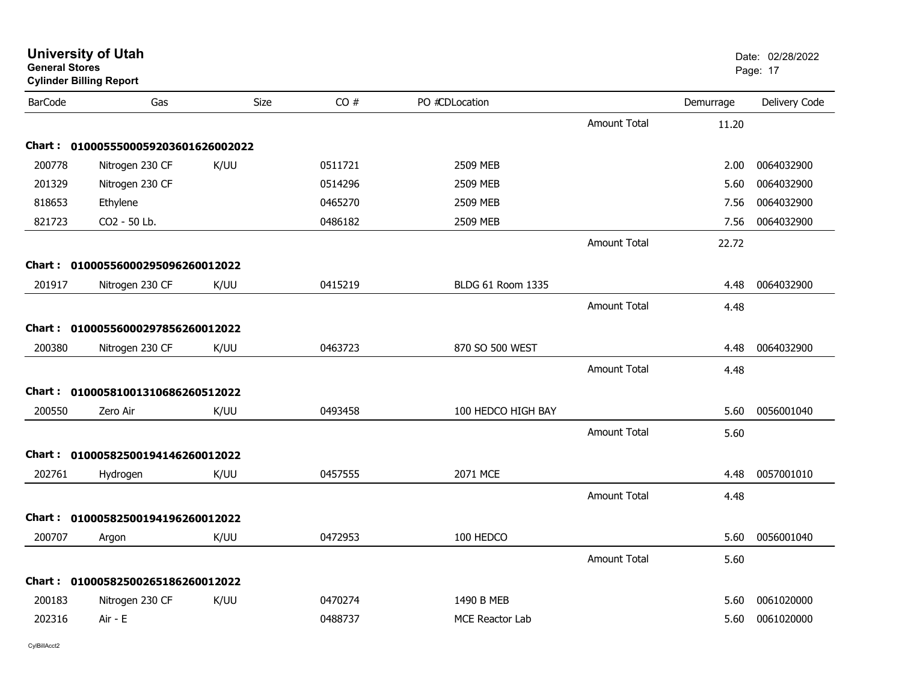| <b>General Stores</b> | <b>Cylinder Billing Report</b>    |      |         |                    |                     |           | Page: 17      |
|-----------------------|-----------------------------------|------|---------|--------------------|---------------------|-----------|---------------|
| <b>BarCode</b>        | Gas                               | Size | CO#     | PO #CDLocation     |                     | Demurrage | Delivery Code |
|                       |                                   |      |         |                    | <b>Amount Total</b> | 11.20     |               |
| Chart :               | 0100055500059203601626002022      |      |         |                    |                     |           |               |
| 200778                | Nitrogen 230 CF                   | K/UU | 0511721 | 2509 MEB           |                     | 2.00      | 0064032900    |
| 201329                | Nitrogen 230 CF                   |      | 0514296 | 2509 MEB           |                     | 5.60      | 0064032900    |
| 818653                | Ethylene                          |      | 0465270 | 2509 MEB           |                     | 7.56      | 0064032900    |
| 821723                | CO2 - 50 Lb.                      |      | 0486182 | 2509 MEB           |                     | 7.56      | 0064032900    |
|                       |                                   |      |         |                    | <b>Amount Total</b> | 22.72     |               |
| Chart :               | 01000556000295096260012022        |      |         |                    |                     |           |               |
| 201917                | Nitrogen 230 CF                   | K/UU | 0415219 | BLDG 61 Room 1335  |                     | 4.48      | 0064032900    |
|                       |                                   |      |         |                    | <b>Amount Total</b> | 4.48      |               |
| Chart :               | 01000556000297856260012022        |      |         |                    |                     |           |               |
| 200380                | Nitrogen 230 CF                   | K/UU | 0463723 | 870 SO 500 WEST    |                     | 4.48      | 0064032900    |
|                       |                                   |      |         |                    | <b>Amount Total</b> | 4.48      |               |
| Chart :               | 01000581001310686260512022        |      |         |                    |                     |           |               |
| 200550                | Zero Air                          | K/UU | 0493458 | 100 HEDCO HIGH BAY |                     | 5.60      | 0056001040    |
|                       |                                   |      |         |                    | <b>Amount Total</b> | 5.60      |               |
| Chart :               | 01000582500194146260012022        |      |         |                    |                     |           |               |
| 202761                | Hydrogen                          | K/UU | 0457555 | 2071 MCE           |                     | 4.48      | 0057001010    |
|                       |                                   |      |         |                    | <b>Amount Total</b> | 4.48      |               |
|                       | Chart: 01000582500194196260012022 |      |         |                    |                     |           |               |
| 200707                | Argon                             | K/UU | 0472953 | 100 HEDCO          |                     | 5.60      | 0056001040    |
|                       |                                   |      |         |                    | <b>Amount Total</b> | 5.60      |               |
| Chart :               | 01000582500265186260012022        |      |         |                    |                     |           |               |
| 200183                | Nitrogen 230 CF                   | K/UU | 0470274 | 1490 B MEB         |                     | 5.60      | 0061020000    |
| 202316                | Air - E                           |      | 0488737 | MCE Reactor Lab    |                     | 5.60      | 0061020000    |
|                       |                                   |      |         |                    |                     |           |               |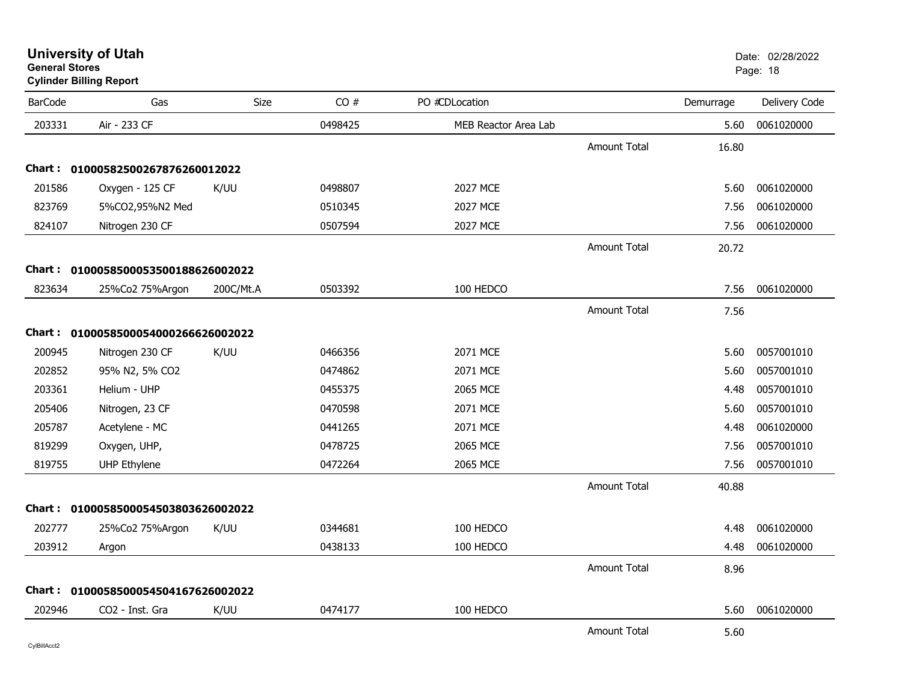| <b>University of Utah</b> |  |
|---------------------------|--|
| <b>General Stores</b>     |  |

### **Cylinder Billing Report**

| <b>BarCode</b> | Gas                                 | <b>Size</b> | CO#     | PO #CDLocation       |                     | Demurrage | Delivery Code |
|----------------|-------------------------------------|-------------|---------|----------------------|---------------------|-----------|---------------|
| 203331         | Air - 233 CF                        |             | 0498425 | MEB Reactor Area Lab |                     | 5.60      | 0061020000    |
|                |                                     |             |         |                      | <b>Amount Total</b> | 16.80     |               |
|                | Chart: 01000582500267876260012022   |             |         |                      |                     |           |               |
| 201586         | Oxygen - 125 CF                     | K/UU        | 0498807 | 2027 MCE             |                     | 5.60      | 0061020000    |
| 823769         | 5%CO2,95%N2 Med                     |             | 0510345 | 2027 MCE             |                     | 7.56      | 0061020000    |
| 824107         | Nitrogen 230 CF                     |             | 0507594 | 2027 MCE             |                     | 7.56      | 0061020000    |
|                |                                     |             |         |                      | <b>Amount Total</b> | 20.72     |               |
|                | Chart: 0100058500053500188626002022 |             |         |                      |                     |           |               |
| 823634         | 25%Co2 75%Argon                     | 200C/Mt.A   | 0503392 | 100 HEDCO            |                     | 7.56      | 0061020000    |
|                |                                     |             |         |                      | <b>Amount Total</b> | 7.56      |               |
|                | Chart: 0100058500054000266626002022 |             |         |                      |                     |           |               |
| 200945         | Nitrogen 230 CF                     | K/UU        | 0466356 | 2071 MCE             |                     | 5.60      | 0057001010    |
| 202852         | 95% N2, 5% CO2                      |             | 0474862 | 2071 MCE             |                     | 5.60      | 0057001010    |
| 203361         | Helium - UHP                        |             | 0455375 | 2065 MCE             |                     | 4.48      | 0057001010    |
| 205406         | Nitrogen, 23 CF                     |             | 0470598 | 2071 MCE             |                     | 5.60      | 0057001010    |
| 205787         | Acetylene - MC                      |             | 0441265 | 2071 MCE             |                     | 4.48      | 0061020000    |
| 819299         | Oxygen, UHP,                        |             | 0478725 | 2065 MCE             |                     | 7.56      | 0057001010    |
| 819755         | <b>UHP Ethylene</b>                 |             | 0472264 | 2065 MCE             |                     | 7.56      | 0057001010    |
|                |                                     |             |         |                      | <b>Amount Total</b> | 40.88     |               |
|                | Chart: 0100058500054503803626002022 |             |         |                      |                     |           |               |
| 202777         | 25%Co2 75%Argon                     | K/UU        | 0344681 | 100 HEDCO            |                     | 4.48      | 0061020000    |
| 203912         | Argon                               |             | 0438133 | 100 HEDCO            |                     | 4.48      | 0061020000    |
|                |                                     |             |         |                      | Amount Total        | 8.96      |               |
|                | Chart: 0100058500054504167626002022 |             |         |                      |                     |           |               |
| 202946         | CO2 - Inst. Gra                     | K/UU        | 0474177 | 100 HEDCO            |                     | 5.60      | 0061020000    |
|                |                                     |             |         |                      | <b>Amount Total</b> | 5.60      |               |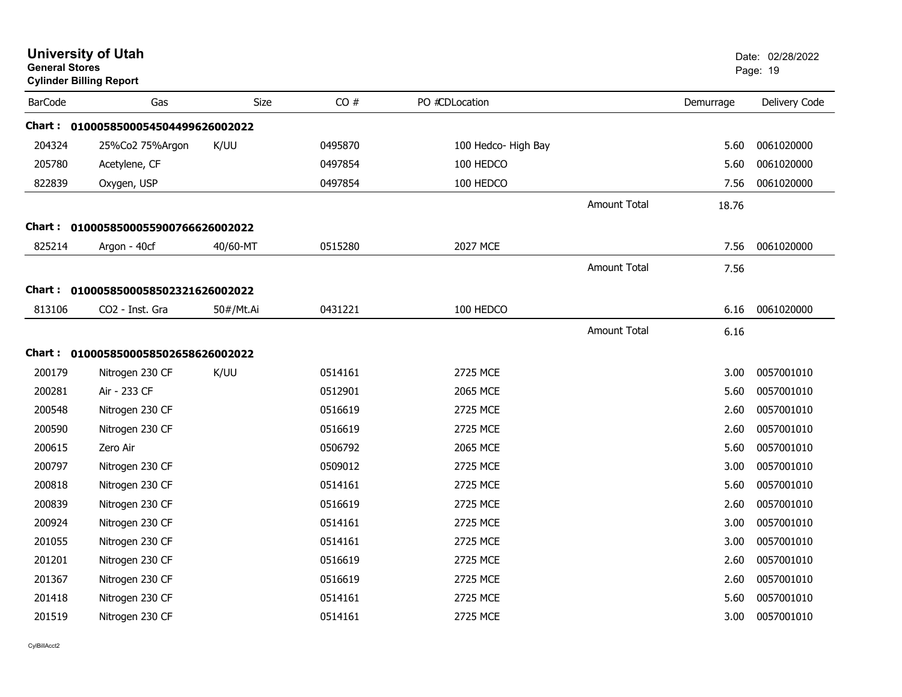| <b>General Stores</b> | <b>University of Utah</b><br><b>Cylinder Billing Report</b> |             |         |                     |                     |           | Date: 02/28/2022<br>Page: 19 |
|-----------------------|-------------------------------------------------------------|-------------|---------|---------------------|---------------------|-----------|------------------------------|
| <b>BarCode</b>        | Gas                                                         | <b>Size</b> | CO#     | PO #CDLocation      |                     | Demurrage | Delivery Code                |
|                       | Chart: 0100058500054504499626002022                         |             |         |                     |                     |           |                              |
| 204324                | 25%Co2 75%Argon                                             | K/UU        | 0495870 | 100 Hedco- High Bay |                     | 5.60      | 0061020000                   |
| 205780                | Acetylene, CF                                               |             | 0497854 | 100 HEDCO           |                     | 5.60      | 0061020000                   |
| 822839                | Oxygen, USP                                                 |             | 0497854 | 100 HEDCO           |                     | 7.56      | 0061020000                   |
|                       |                                                             |             |         |                     | Amount Total        | 18.76     |                              |
|                       | Chart: 0100058500055900766626002022                         |             |         |                     |                     |           |                              |
| 825214                | Argon - 40cf                                                | 40/60-MT    | 0515280 | 2027 MCE            |                     | 7.56      | 0061020000                   |
|                       |                                                             |             |         |                     | <b>Amount Total</b> | 7.56      |                              |
|                       | Chart: 0100058500058502321626002022                         |             |         |                     |                     |           |                              |
| 813106                | CO <sub>2</sub> - Inst. Gra                                 | 50#/Mt.Ai   | 0431221 | 100 HEDCO           |                     | 6.16      | 0061020000                   |
|                       |                                                             |             |         |                     | Amount Total        | 6.16      |                              |
|                       | Chart: 0100058500058502658626002022                         |             |         |                     |                     |           |                              |
| 200179                | Nitrogen 230 CF                                             | K/UU        | 0514161 | 2725 MCE            |                     | 3.00      | 0057001010                   |
| 200281                | Air - 233 CF                                                |             | 0512901 | 2065 MCE            |                     | 5.60      | 0057001010                   |
| 200548                | Nitrogen 230 CF                                             |             | 0516619 | 2725 MCE            |                     | 2.60      | 0057001010                   |
| 200590                | Nitrogen 230 CF                                             |             | 0516619 | 2725 MCE            |                     | 2.60      | 0057001010                   |
| 200615                | Zero Air                                                    |             | 0506792 | 2065 MCE            |                     | 5.60      | 0057001010                   |
| 200797                | Nitrogen 230 CF                                             |             | 0509012 | 2725 MCE            |                     | 3.00      | 0057001010                   |
| 200818                | Nitrogen 230 CF                                             |             | 0514161 | 2725 MCE            |                     | 5.60      | 0057001010                   |
| 200839                | Nitrogen 230 CF                                             |             | 0516619 | 2725 MCE            |                     | 2.60      | 0057001010                   |
| 200924                | Nitrogen 230 CF                                             |             | 0514161 | 2725 MCE            |                     | 3.00      | 0057001010                   |
| 201055                | Nitrogen 230 CF                                             |             | 0514161 | 2725 MCE            |                     | 3.00      | 0057001010                   |
| 201201                | Nitrogen 230 CF                                             |             | 0516619 | 2725 MCE            |                     | 2.60      | 0057001010                   |
| 201367                | Nitrogen 230 CF                                             |             | 0516619 | 2725 MCE            |                     | 2.60      | 0057001010                   |
| 201418                | Nitrogen 230 CF                                             |             | 0514161 | 2725 MCE            |                     | 5.60      | 0057001010                   |
| 201519                | Nitrogen 230 CF                                             |             | 0514161 | 2725 MCE            |                     | 3.00      | 0057001010                   |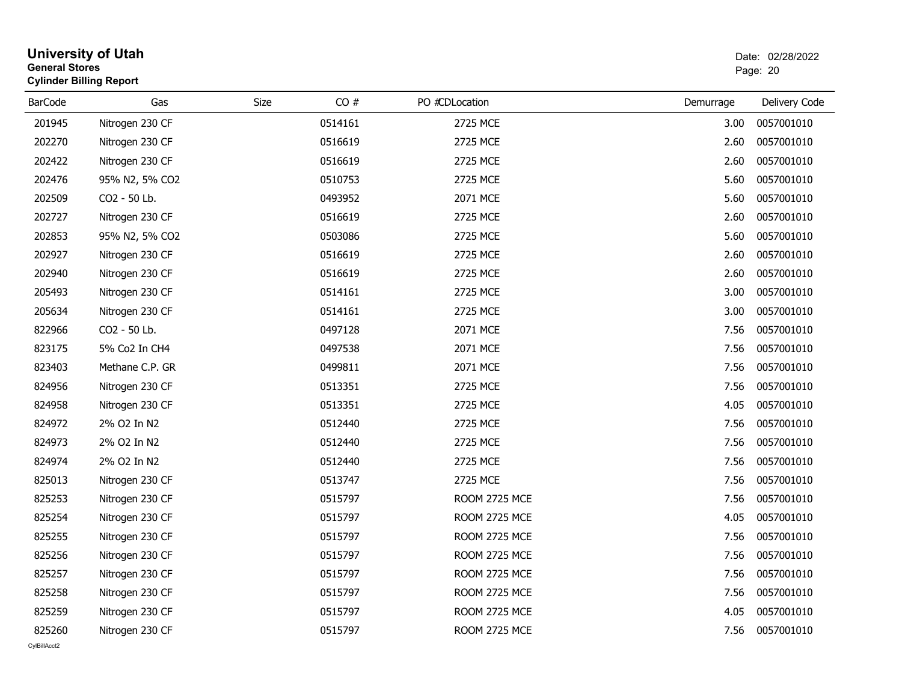|         | <b>University of Utah</b><br><b>General Stores</b><br><b>Cylinder Billing Report</b> |      |         |                      | Date: 02/28/2022<br>Page: 20 |               |  |
|---------|--------------------------------------------------------------------------------------|------|---------|----------------------|------------------------------|---------------|--|
| BarCode | Gas                                                                                  | Size | CO#     | PO #CDLocation       | Demurrage                    | Delivery Code |  |
| 201945  | Nitrogen 230 CF                                                                      |      | 0514161 | 2725 MCE             | 3.00                         | 0057001010    |  |
| 202270  | Nitrogen 230 CF                                                                      |      | 0516619 | 2725 MCE             | 2.60                         | 0057001010    |  |
| 202422  | Nitrogen 230 CF                                                                      |      | 0516619 | 2725 MCE             | 2.60                         | 0057001010    |  |
| 202476  | 95% N2, 5% CO2                                                                       |      | 0510753 | 2725 MCE             | 5.60                         | 0057001010    |  |
| 202509  | CO2 - 50 Lb.                                                                         |      | 0493952 | 2071 MCE             | 5.60                         | 0057001010    |  |
| 202727  | Nitrogen 230 CF                                                                      |      | 0516619 | 2725 MCE             | 2.60                         | 0057001010    |  |
| 202853  | 95% N2, 5% CO2                                                                       |      | 0503086 | 2725 MCE             | 5.60                         | 0057001010    |  |
| 202927  | Nitrogen 230 CF                                                                      |      | 0516619 | 2725 MCE             | 2.60                         | 0057001010    |  |
| 202940  | Nitrogen 230 CF                                                                      |      | 0516619 | 2725 MCE             | 2.60                         | 0057001010    |  |
| 205493  | Nitrogen 230 CF                                                                      |      | 0514161 | 2725 MCE             | 3.00                         | 0057001010    |  |
| 205634  | Nitrogen 230 CF                                                                      |      | 0514161 | 2725 MCE             | 3.00                         | 0057001010    |  |
| 822966  | CO2 - 50 Lb.                                                                         |      | 0497128 | 2071 MCE             | 7.56                         | 0057001010    |  |
| 823175  | 5% Co2 In CH4                                                                        |      | 0497538 | 2071 MCE             | 7.56                         | 0057001010    |  |
| 823403  | Methane C.P. GR                                                                      |      | 0499811 | 2071 MCE             | 7.56                         | 0057001010    |  |
| 824956  | Nitrogen 230 CF                                                                      |      | 0513351 | 2725 MCE             | 7.56                         | 0057001010    |  |
| 824958  | Nitrogen 230 CF                                                                      |      | 0513351 | 2725 MCE             | 4.05                         | 0057001010    |  |
| 824972  | 2% O2 In N2                                                                          |      | 0512440 | 2725 MCE             | 7.56                         | 0057001010    |  |
| 824973  | 2% O2 In N2                                                                          |      | 0512440 | 2725 MCE             | 7.56                         | 0057001010    |  |
| 824974  | 2% O2 In N2                                                                          |      | 0512440 | 2725 MCE             | 7.56                         | 0057001010    |  |
| 825013  | Nitrogen 230 CF                                                                      |      | 0513747 | 2725 MCE             | 7.56                         | 0057001010    |  |
| 825253  | Nitrogen 230 CF                                                                      |      | 0515797 | <b>ROOM 2725 MCE</b> | 7.56                         | 0057001010    |  |
| 825254  | Nitrogen 230 CF                                                                      |      | 0515797 | ROOM 2725 MCE        | 4.05                         | 0057001010    |  |
| 825255  | Nitrogen 230 CF                                                                      |      | 0515797 | ROOM 2725 MCE        | 7.56                         | 0057001010    |  |
| 825256  | Nitrogen 230 CF                                                                      |      | 0515797 | ROOM 2725 MCE        | 7.56                         | 0057001010    |  |
| 825257  | Nitrogen 230 CF                                                                      |      | 0515797 | ROOM 2725 MCE        | 7.56                         | 0057001010    |  |
| 825258  | Nitrogen 230 CF                                                                      |      | 0515797 | <b>ROOM 2725 MCE</b> | 7.56                         | 0057001010    |  |
| 825259  | Nitrogen 230 CF                                                                      |      | 0515797 | ROOM 2725 MCE        | 4.05                         | 0057001010    |  |
| 825260  | Nitrogen 230 CF                                                                      |      | 0515797 | ROOM 2725 MCE        | 7.56                         | 0057001010    |  |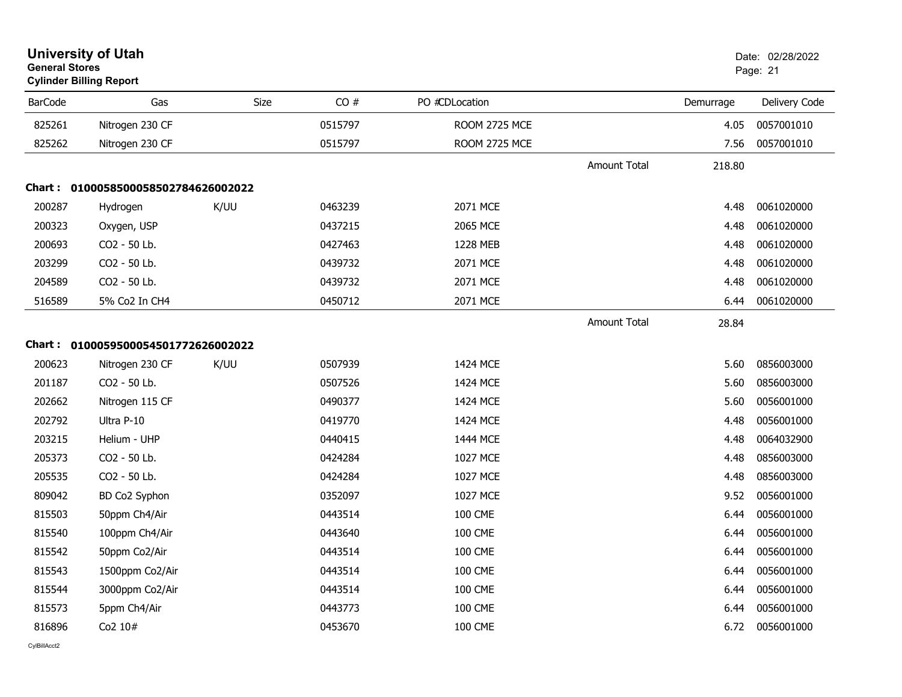| <b>General Stores</b> | <b>Cylinder Billing Report</b>      |             |         |                      |                     |           | Page: 21      |
|-----------------------|-------------------------------------|-------------|---------|----------------------|---------------------|-----------|---------------|
| <b>BarCode</b>        | Gas                                 | <b>Size</b> | CO#     | PO #CDLocation       |                     | Demurrage | Delivery Code |
| 825261                | Nitrogen 230 CF                     |             | 0515797 | ROOM 2725 MCE        |                     | 4.05      | 0057001010    |
| 825262                | Nitrogen 230 CF                     |             | 0515797 | <b>ROOM 2725 MCE</b> |                     | 7.56      | 0057001010    |
|                       |                                     |             |         |                      | <b>Amount Total</b> | 218.80    |               |
|                       | Chart: 0100058500058502784626002022 |             |         |                      |                     |           |               |
| 200287                | Hydrogen                            | K/UU        | 0463239 | 2071 MCE             |                     | 4.48      | 0061020000    |
| 200323                | Oxygen, USP                         |             | 0437215 | 2065 MCE             |                     | 4.48      | 0061020000    |
| 200693                | CO <sub>2</sub> - 50 Lb.            |             | 0427463 | 1228 MEB             |                     | 4.48      | 0061020000    |
| 203299                | CO2 - 50 Lb.                        |             | 0439732 | 2071 MCE             |                     | 4.48      | 0061020000    |
| 204589                | CO2 - 50 Lb.                        |             | 0439732 | 2071 MCE             |                     | 4.48      | 0061020000    |
| 516589                | 5% Co2 In CH4                       |             | 0450712 | 2071 MCE             |                     | 6.44      | 0061020000    |
|                       |                                     |             |         |                      | <b>Amount Total</b> | 28.84     |               |
|                       | Chart: 0100059500054501772626002022 |             |         |                      |                     |           |               |
| 200623                | Nitrogen 230 CF                     | K/UU        | 0507939 | 1424 MCE             |                     | 5.60      | 0856003000    |
| 201187                | CO2 - 50 Lb.                        |             | 0507526 | 1424 MCE             |                     | 5.60      | 0856003000    |
| 202662                | Nitrogen 115 CF                     |             | 0490377 | 1424 MCE             |                     | 5.60      | 0056001000    |
| 202792                | Ultra P-10                          |             | 0419770 | 1424 MCE             |                     | 4.48      | 0056001000    |
| 203215                | Helium - UHP                        |             | 0440415 | 1444 MCE             |                     | 4.48      | 0064032900    |
| 205373                | CO2 - 50 Lb.                        |             | 0424284 | 1027 MCE             |                     | 4.48      | 0856003000    |
| 205535                | CO2 - 50 Lb.                        |             | 0424284 | 1027 MCE             |                     | 4.48      | 0856003000    |
| 809042                | BD Co2 Syphon                       |             | 0352097 | 1027 MCE             |                     | 9.52      | 0056001000    |
| 815503                | 50ppm Ch4/Air                       |             | 0443514 | <b>100 CME</b>       |                     | 6.44      | 0056001000    |
| 815540                | 100ppm Ch4/Air                      |             | 0443640 | <b>100 CME</b>       |                     | 6.44      | 0056001000    |
| 815542                | 50ppm Co2/Air                       |             | 0443514 | <b>100 CME</b>       |                     | 6.44      | 0056001000    |
| 815543                | 1500ppm Co2/Air                     |             | 0443514 | <b>100 CME</b>       |                     | 6.44      | 0056001000    |
| 815544                | 3000ppm Co2/Air                     |             | 0443514 | <b>100 CME</b>       |                     | 6.44      | 0056001000    |
| 815573                | 5ppm Ch4/Air                        |             | 0443773 | <b>100 CME</b>       |                     | 6.44      | 0056001000    |
| 816896                | Co2 10#                             |             | 0453670 | <b>100 CME</b>       |                     | 6.72      | 0056001000    |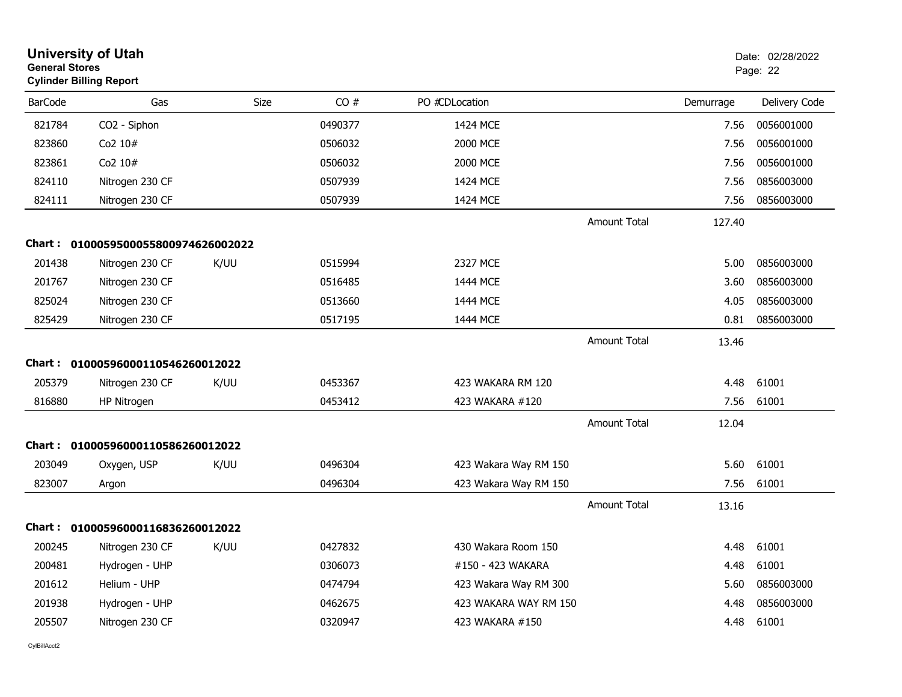|                | <b>University of Utah</b><br><b>General Stores</b><br><b>Cylinder Billing Report</b> |      |         |                       |                     |           | Date: 02/28/2022<br>Page: 22 |  |
|----------------|--------------------------------------------------------------------------------------|------|---------|-----------------------|---------------------|-----------|------------------------------|--|
| <b>BarCode</b> | Gas                                                                                  | Size | CO#     | PO #CDLocation        |                     | Demurrage | Delivery Code                |  |
| 821784         | CO2 - Siphon                                                                         |      | 0490377 | 1424 MCE              |                     | 7.56      | 0056001000                   |  |
| 823860         | Co2 10#                                                                              |      | 0506032 | 2000 MCE              |                     | 7.56      | 0056001000                   |  |
| 823861         | Co2 10#                                                                              |      | 0506032 | 2000 MCE              |                     | 7.56      | 0056001000                   |  |
| 824110         | Nitrogen 230 CF                                                                      |      | 0507939 | 1424 MCE              |                     | 7.56      | 0856003000                   |  |
| 824111         | Nitrogen 230 CF                                                                      |      | 0507939 | 1424 MCE              |                     | 7.56      | 0856003000                   |  |
|                |                                                                                      |      |         |                       | <b>Amount Total</b> | 127.40    |                              |  |
|                | Chart: 0100059500055800974626002022                                                  |      |         |                       |                     |           |                              |  |
| 201438         | Nitrogen 230 CF                                                                      | K/UU | 0515994 | 2327 MCE              |                     | 5.00      | 0856003000                   |  |
| 201767         | Nitrogen 230 CF                                                                      |      | 0516485 | 1444 MCE              |                     | 3.60      | 0856003000                   |  |
| 825024         | Nitrogen 230 CF                                                                      |      | 0513660 | 1444 MCE              |                     | 4.05      | 0856003000                   |  |
| 825429         | Nitrogen 230 CF                                                                      |      | 0517195 | 1444 MCE              |                     | 0.81      | 0856003000                   |  |
|                |                                                                                      |      |         |                       | <b>Amount Total</b> | 13.46     |                              |  |
|                | Chart: 01000596000110546260012022                                                    |      |         |                       |                     |           |                              |  |
| 205379         | Nitrogen 230 CF                                                                      | K/UU | 0453367 | 423 WAKARA RM 120     |                     | 4.48      | 61001                        |  |
| 816880         | HP Nitrogen                                                                          |      | 0453412 | 423 WAKARA #120       |                     | 7.56      | 61001                        |  |
|                |                                                                                      |      |         |                       | <b>Amount Total</b> | 12.04     |                              |  |
|                | Chart: 01000596000110586260012022                                                    |      |         |                       |                     |           |                              |  |
| 203049         | Oxygen, USP                                                                          | K/UU | 0496304 | 423 Wakara Way RM 150 |                     | 5.60      | 61001                        |  |
| 823007         | Argon                                                                                |      | 0496304 | 423 Wakara Way RM 150 |                     | 7.56      | 61001                        |  |
|                |                                                                                      |      |         |                       | <b>Amount Total</b> | 13.16     |                              |  |
|                | Chart: 01000596000116836260012022                                                    |      |         |                       |                     |           |                              |  |
| 200245         | Nitrogen 230 CF                                                                      | K/UU | 0427832 | 430 Wakara Room 150   |                     | 4.48      | 61001                        |  |
| 200481         | Hydrogen - UHP                                                                       |      | 0306073 | #150 - 423 WAKARA     |                     | 4.48      | 61001                        |  |
| 201612         | Helium - UHP                                                                         |      | 0474794 | 423 Wakara Way RM 300 |                     | 5.60      | 0856003000                   |  |
| 201938         | Hydrogen - UHP                                                                       |      | 0462675 | 423 WAKARA WAY RM 150 |                     | 4.48      | 0856003000                   |  |
| 205507         | Nitrogen 230 CF                                                                      |      | 0320947 | 423 WAKARA #150       |                     | 4.48      | 61001                        |  |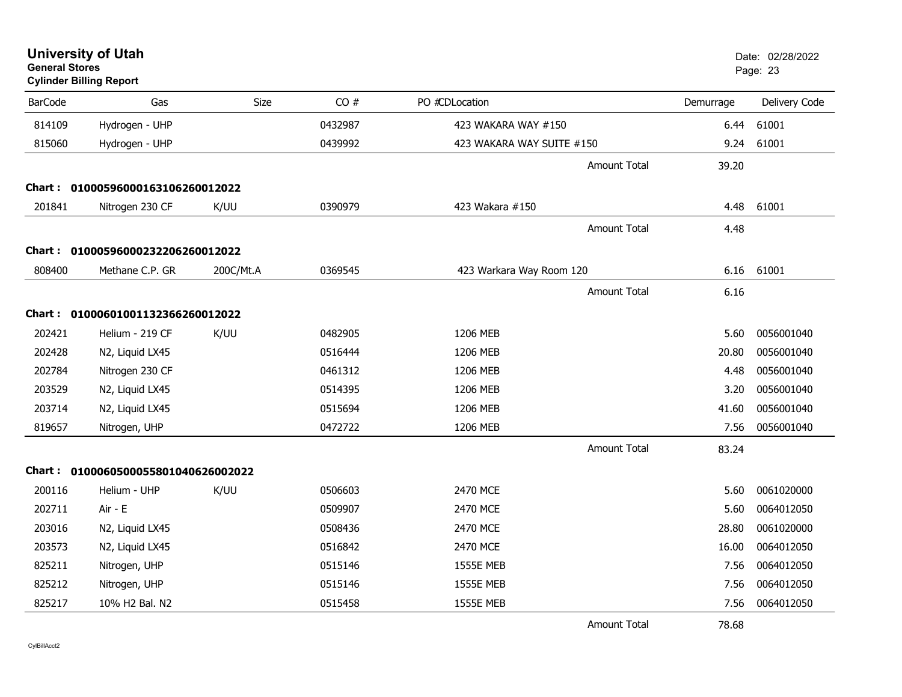| <b>General Stores</b> | <b>University of Utah</b><br><b>Cylinder Billing Report</b> |           |         |                           |                     |           | Date: 02/28/2022<br>Page: 23 |
|-----------------------|-------------------------------------------------------------|-----------|---------|---------------------------|---------------------|-----------|------------------------------|
| <b>BarCode</b>        | Gas                                                         | Size      | CO#     | PO #CDLocation            |                     | Demurrage | Delivery Code                |
| 814109                | Hydrogen - UHP                                              |           | 0432987 | 423 WAKARA WAY #150       |                     | 6.44      | 61001                        |
| 815060                | Hydrogen - UHP                                              |           | 0439992 | 423 WAKARA WAY SUITE #150 |                     | 9.24      | 61001                        |
|                       |                                                             |           |         |                           | Amount Total        | 39.20     |                              |
|                       | Chart: 01000596000163106260012022                           |           |         |                           |                     |           |                              |
| 201841                | Nitrogen 230 CF                                             | K/UU      | 0390979 | 423 Wakara #150           |                     | 4.48      | 61001                        |
|                       |                                                             |           |         |                           | Amount Total        | 4.48      |                              |
|                       | Chart: 01000596000232206260012022                           |           |         |                           |                     |           |                              |
| 808400                | Methane C.P. GR                                             | 200C/Mt.A | 0369545 | 423 Warkara Way Room 120  |                     | 6.16      | 61001                        |
|                       |                                                             |           |         |                           | Amount Total        | 6.16      |                              |
|                       | Chart: 01000601001132366260012022                           |           |         |                           |                     |           |                              |
| 202421                | Helium - 219 CF                                             | K/UU      | 0482905 | 1206 MEB                  |                     | 5.60      | 0056001040                   |
| 202428                | N2, Liquid LX45                                             |           | 0516444 | 1206 MEB                  |                     | 20.80     | 0056001040                   |
| 202784                | Nitrogen 230 CF                                             |           | 0461312 | 1206 MEB                  |                     | 4.48      | 0056001040                   |
| 203529                | N2, Liquid LX45                                             |           | 0514395 | 1206 MEB                  |                     | 3.20      | 0056001040                   |
| 203714                | N2, Liquid LX45                                             |           | 0515694 | 1206 MEB                  |                     | 41.60     | 0056001040                   |
| 819657                | Nitrogen, UHP                                               |           | 0472722 | 1206 MEB                  |                     | 7.56      | 0056001040                   |
|                       |                                                             |           |         |                           | <b>Amount Total</b> | 83.24     |                              |
| Chart :               | 0100060500055801040626002022                                |           |         |                           |                     |           |                              |
| 200116                | Helium - UHP                                                | K/UU      | 0506603 | 2470 MCE                  |                     | 5.60      | 0061020000                   |
| 202711                | Air - E                                                     |           | 0509907 | 2470 MCE                  |                     | 5.60      | 0064012050                   |
| 203016                | N2, Liquid LX45                                             |           | 0508436 | 2470 MCE                  |                     | 28.80     | 0061020000                   |
| 203573                | N2, Liquid LX45                                             |           | 0516842 | 2470 MCE                  |                     | 16.00     | 0064012050                   |
| 825211                | Nitrogen, UHP                                               |           | 0515146 | <b>1555E MEB</b>          |                     | 7.56      | 0064012050                   |
| 825212                | Nitrogen, UHP                                               |           | 0515146 | <b>1555E MEB</b>          |                     | 7.56      | 0064012050                   |
| 825217                | 10% H2 Bal. N2                                              |           | 0515458 | <b>1555E MEB</b>          |                     | 7.56      | 0064012050                   |
|                       |                                                             |           |         |                           | Amount Total        | 78.68     |                              |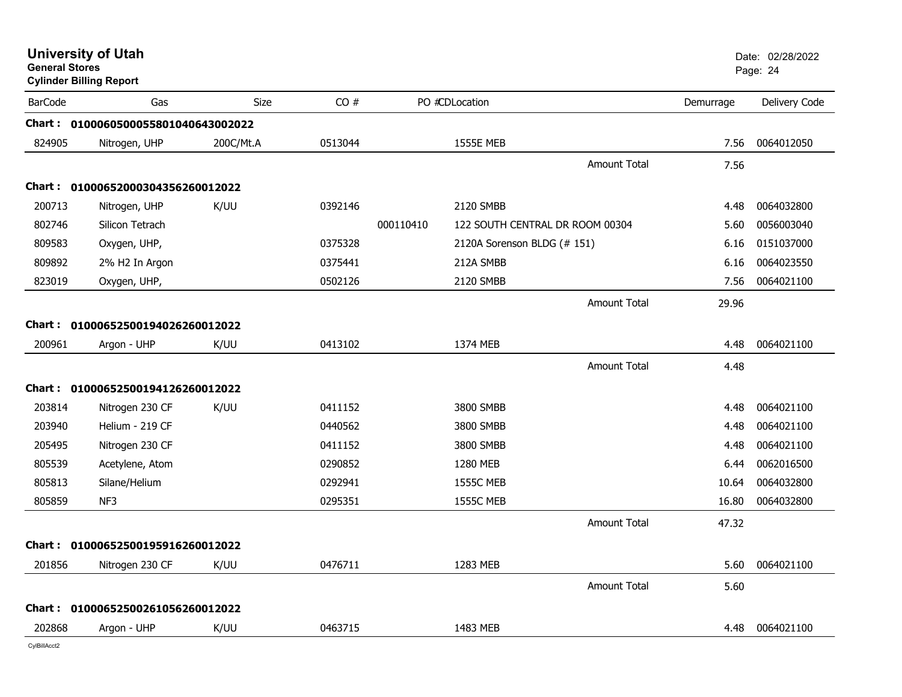| <b>General Stores</b> | <b>University of Utah</b><br><b>Cylinder Billing Report</b> |             |         |           |                                 |           | Date: 02/28/2022<br>Page: 24 |
|-----------------------|-------------------------------------------------------------|-------------|---------|-----------|---------------------------------|-----------|------------------------------|
| <b>BarCode</b>        | Gas                                                         | <b>Size</b> | CO#     |           | PO #CDLocation                  | Demurrage | Delivery Code                |
|                       | Chart: 0100060500055801040643002022                         |             |         |           |                                 |           |                              |
| 824905                | Nitrogen, UHP                                               | 200C/Mt.A   | 0513044 |           | <b>1555E MEB</b>                | 7.56      | 0064012050                   |
|                       |                                                             |             |         |           | <b>Amount Total</b>             | 7.56      |                              |
|                       | Chart: 01000652000304356260012022                           |             |         |           |                                 |           |                              |
| 200713                | Nitrogen, UHP                                               | K/UU        | 0392146 |           | 2120 SMBB                       | 4.48      | 0064032800                   |
| 802746                | Silicon Tetrach                                             |             |         | 000110410 | 122 SOUTH CENTRAL DR ROOM 00304 | 5.60      | 0056003040                   |
| 809583                | Oxygen, UHP,                                                |             | 0375328 |           | 2120A Sorenson BLDG (# 151)     | 6.16      | 0151037000                   |
| 809892                | 2% H2 In Argon                                              |             | 0375441 |           | 212A SMBB                       | 6.16      | 0064023550                   |
| 823019                | Oxygen, UHP,                                                |             | 0502126 |           | 2120 SMBB                       | 7.56      | 0064021100                   |
|                       |                                                             |             |         |           | <b>Amount Total</b>             | 29.96     |                              |
| Chart :               | 01000652500194026260012022                                  |             |         |           |                                 |           |                              |
| 200961                | Argon - UHP                                                 | K/UU        | 0413102 |           | 1374 MEB                        | 4.48      | 0064021100                   |
|                       |                                                             |             |         |           | <b>Amount Total</b>             | 4.48      |                              |
| Chart :               | 01000652500194126260012022                                  |             |         |           |                                 |           |                              |
| 203814                | Nitrogen 230 CF                                             | K/UU        | 0411152 |           | 3800 SMBB                       | 4.48      | 0064021100                   |
| 203940                | Helium - 219 CF                                             |             | 0440562 |           | 3800 SMBB                       | 4.48      | 0064021100                   |
| 205495                | Nitrogen 230 CF                                             |             | 0411152 |           | 3800 SMBB                       | 4.48      | 0064021100                   |
| 805539                | Acetylene, Atom                                             |             | 0290852 |           | 1280 MEB                        | 6.44      | 0062016500                   |
| 805813                | Silane/Helium                                               |             | 0292941 |           | <b>1555C MEB</b>                | 10.64     | 0064032800                   |
| 805859                | NF3                                                         |             | 0295351 |           | <b>1555C MEB</b>                | 16.80     | 0064032800                   |
|                       |                                                             |             |         |           | <b>Amount Total</b>             | 47.32     |                              |
| Chart :               | 01000652500195916260012022                                  |             |         |           |                                 |           |                              |
| 201856                | Nitrogen 230 CF                                             | K/UU        | 0476711 |           | 1283 MEB                        | 5.60      | 0064021100                   |
|                       |                                                             |             |         |           | <b>Amount Total</b>             | 5.60      |                              |
| Chart :               | 01000652500261056260012022                                  |             |         |           |                                 |           |                              |
| 202868                | Argon - UHP                                                 | K/UU        | 0463715 |           | 1483 MEB                        | 4.48      | 0064021100                   |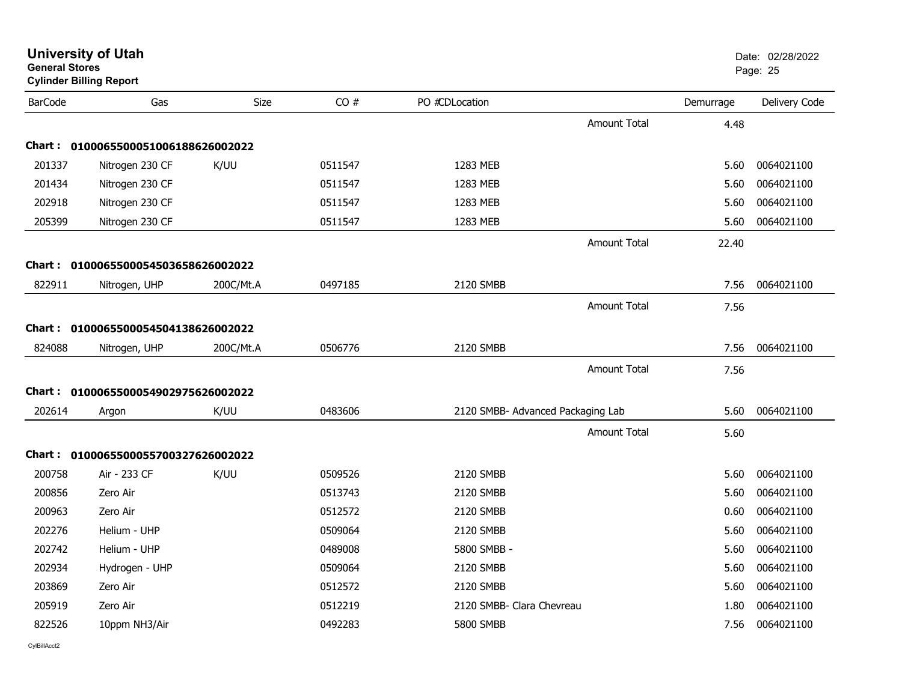| <b>General Stores</b> | <b>Cylinder Billing Report</b>      |           |         |                                   |                     |           | Page: 25      |
|-----------------------|-------------------------------------|-----------|---------|-----------------------------------|---------------------|-----------|---------------|
| <b>BarCode</b>        | Gas                                 | Size      | CO#     | PO #CDLocation                    |                     | Demurrage | Delivery Code |
|                       |                                     |           |         |                                   | <b>Amount Total</b> | 4.48      |               |
|                       | Chart: 0100065500051006188626002022 |           |         |                                   |                     |           |               |
| 201337                | Nitrogen 230 CF                     | K/UU      | 0511547 | 1283 MEB                          |                     | 5.60      | 0064021100    |
| 201434                | Nitrogen 230 CF                     |           | 0511547 | 1283 MEB                          |                     | 5.60      | 0064021100    |
| 202918                | Nitrogen 230 CF                     |           | 0511547 | 1283 MEB                          |                     | 5.60      | 0064021100    |
| 205399                | Nitrogen 230 CF                     |           | 0511547 | 1283 MEB                          |                     | 5.60      | 0064021100    |
|                       |                                     |           |         |                                   | <b>Amount Total</b> | 22.40     |               |
| Chart :               | 0100065500054503658626002022        |           |         |                                   |                     |           |               |
| 822911                | Nitrogen, UHP                       | 200C/Mt.A | 0497185 | 2120 SMBB                         |                     | 7.56      | 0064021100    |
|                       |                                     |           |         |                                   | <b>Amount Total</b> | 7.56      |               |
|                       | Chart: 0100065500054504138626002022 |           |         |                                   |                     |           |               |
| 824088                | Nitrogen, UHP                       | 200C/Mt.A | 0506776 | 2120 SMBB                         |                     | 7.56      | 0064021100    |
|                       |                                     |           |         |                                   | <b>Amount Total</b> | 7.56      |               |
|                       | Chart: 0100065500054902975626002022 |           |         |                                   |                     |           |               |
| 202614                | Argon                               | K/UU      | 0483606 | 2120 SMBB- Advanced Packaging Lab |                     | 5.60      | 0064021100    |
|                       |                                     |           |         |                                   | <b>Amount Total</b> | 5.60      |               |
|                       | Chart: 0100065500055700327626002022 |           |         |                                   |                     |           |               |
| 200758                | Air - 233 CF                        | K/UU      | 0509526 | 2120 SMBB                         |                     | 5.60      | 0064021100    |
| 200856                | Zero Air                            |           | 0513743 | 2120 SMBB                         |                     | 5.60      | 0064021100    |
| 200963                | Zero Air                            |           | 0512572 | 2120 SMBB                         |                     | 0.60      | 0064021100    |
| 202276                | Helium - UHP                        |           | 0509064 | 2120 SMBB                         |                     | 5.60      | 0064021100    |
| 202742                | Helium - UHP                        |           | 0489008 | 5800 SMBB -                       |                     | 5.60      | 0064021100    |
| 202934                | Hydrogen - UHP                      |           | 0509064 | 2120 SMBB                         |                     | 5.60      | 0064021100    |
| 203869                | Zero Air                            |           | 0512572 | 2120 SMBB                         |                     | 5.60      | 0064021100    |
| 205919                | Zero Air                            |           | 0512219 | 2120 SMBB- Clara Chevreau         |                     | 1.80      | 0064021100    |
| 822526                | 10ppm NH3/Air                       |           | 0492283 | 5800 SMBB                         |                     | 7.56      | 0064021100    |
|                       |                                     |           |         |                                   |                     |           |               |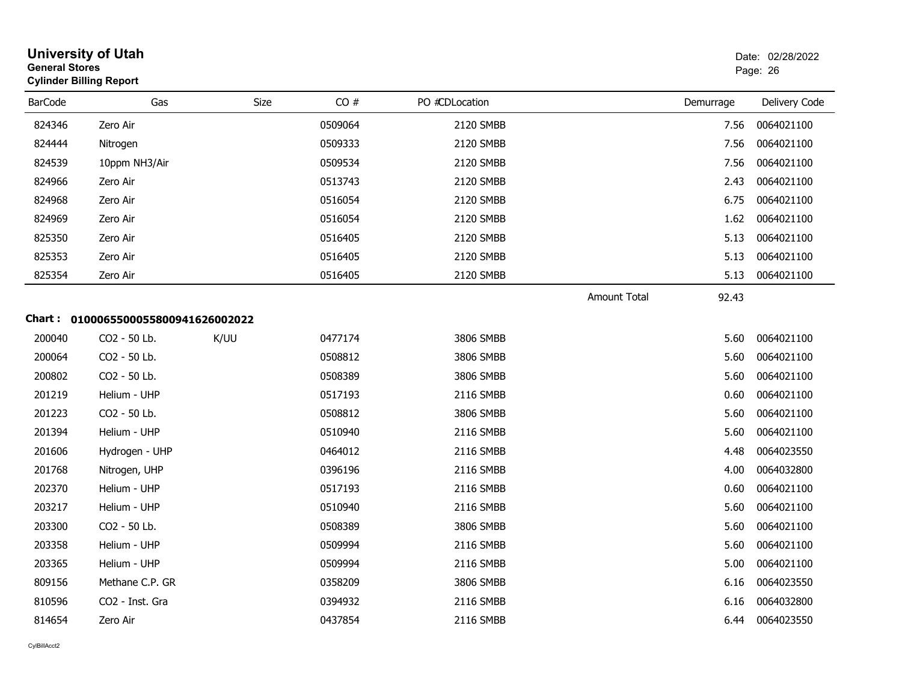| <b>General Stores</b> | <b>University of Utah</b><br><b>Cylinder Billing Report</b> |      |         |                |                     |           | Date: 02/28/2022<br>Page: 26 |
|-----------------------|-------------------------------------------------------------|------|---------|----------------|---------------------|-----------|------------------------------|
| <b>BarCode</b>        | Gas                                                         | Size | CO#     | PO #CDLocation |                     | Demurrage | Delivery Code                |
| 824346                | Zero Air                                                    |      | 0509064 | 2120 SMBB      |                     | 7.56      | 0064021100                   |
| 824444                | Nitrogen                                                    |      | 0509333 | 2120 SMBB      |                     | 7.56      | 0064021100                   |
| 824539                | 10ppm NH3/Air                                               |      | 0509534 | 2120 SMBB      |                     | 7.56      | 0064021100                   |
| 824966                | Zero Air                                                    |      | 0513743 | 2120 SMBB      |                     | 2.43      | 0064021100                   |
| 824968                | Zero Air                                                    |      | 0516054 | 2120 SMBB      |                     | 6.75      | 0064021100                   |
| 824969                | Zero Air                                                    |      | 0516054 | 2120 SMBB      |                     | 1.62      | 0064021100                   |
| 825350                | Zero Air                                                    |      | 0516405 | 2120 SMBB      |                     | 5.13      | 0064021100                   |
| 825353                | Zero Air                                                    |      | 0516405 | 2120 SMBB      |                     | 5.13      | 0064021100                   |
| 825354                | Zero Air                                                    |      | 0516405 | 2120 SMBB      |                     | 5.13      | 0064021100                   |
|                       |                                                             |      |         |                | <b>Amount Total</b> | 92.43     |                              |
|                       | Chart: 0100065500055800941626002022                         |      |         |                |                     |           |                              |
| 200040                | CO2 - 50 Lb.                                                | K/UU | 0477174 | 3806 SMBB      |                     | 5.60      | 0064021100                   |
| 200064                | CO2 - 50 Lb.                                                |      | 0508812 | 3806 SMBB      |                     | 5.60      | 0064021100                   |
| 200802                | CO2 - 50 Lb.                                                |      | 0508389 | 3806 SMBB      |                     | 5.60      | 0064021100                   |
| 201219                | Helium - UHP                                                |      | 0517193 | 2116 SMBB      |                     | 0.60      | 0064021100                   |
| 201223                | CO2 - 50 Lb.                                                |      | 0508812 | 3806 SMBB      |                     | 5.60      | 0064021100                   |
| 201394                | Helium - UHP                                                |      | 0510940 | 2116 SMBB      |                     | 5.60      | 0064021100                   |
| 201606                | Hydrogen - UHP                                              |      | 0464012 | 2116 SMBB      |                     | 4.48      | 0064023550                   |
| 201768                | Nitrogen, UHP                                               |      | 0396196 | 2116 SMBB      |                     | 4.00      | 0064032800                   |
| 202370                | Helium - UHP                                                |      | 0517193 | 2116 SMBB      |                     | 0.60      | 0064021100                   |
| 203217                | Helium - UHP                                                |      | 0510940 | 2116 SMBB      |                     | 5.60      | 0064021100                   |
| 203300                | CO2 - 50 Lb.                                                |      | 0508389 | 3806 SMBB      |                     | 5.60      | 0064021100                   |
| 203358                | Helium - UHP                                                |      | 0509994 | 2116 SMBB      |                     | 5.60      | 0064021100                   |
| 203365                | Helium - UHP                                                |      | 0509994 | 2116 SMBB      |                     | 5.00      | 0064021100                   |
| 809156                | Methane C.P. GR                                             |      | 0358209 | 3806 SMBB      |                     | 6.16      | 0064023550                   |
| 810596                | CO2 - Inst. Gra                                             |      | 0394932 | 2116 SMBB      |                     | 6.16      | 0064032800                   |
| 814654                | Zero Air                                                    |      | 0437854 | 2116 SMBB      |                     | 6.44      | 0064023550                   |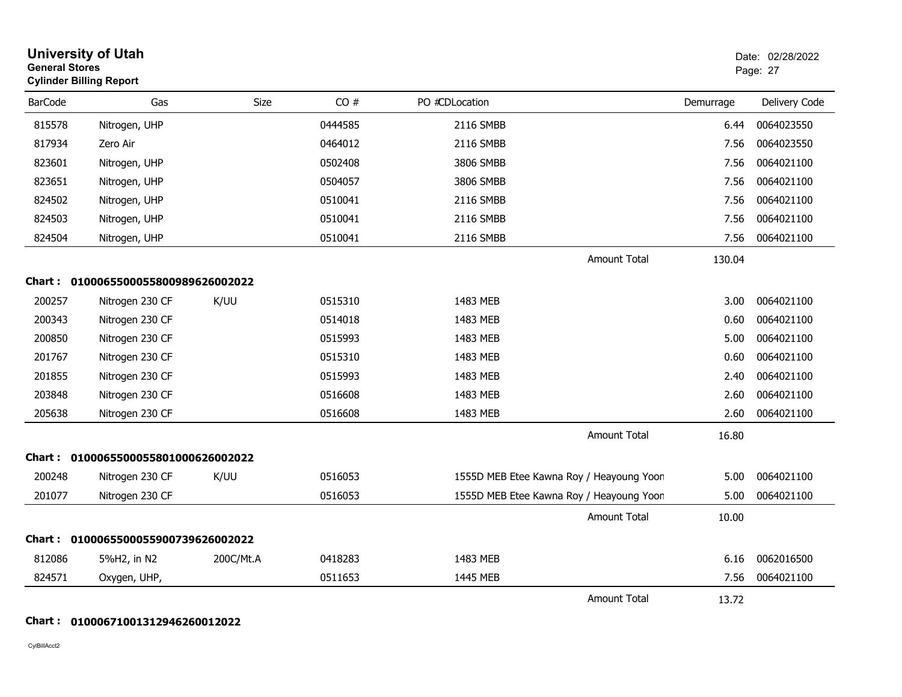| <b>General Stores</b> | <b>University of Utah</b><br><b>Cylinder Billing Report</b> |           |         |                |                                          |           | Date: 02/28/2022<br>Page: 27 |
|-----------------------|-------------------------------------------------------------|-----------|---------|----------------|------------------------------------------|-----------|------------------------------|
| <b>BarCode</b>        | Gas                                                         | Size      | CO#     | PO #CDLocation |                                          | Demurrage | Delivery Code                |
| 815578                | Nitrogen, UHP                                               |           | 0444585 | 2116 SMBB      |                                          | 6.44      | 0064023550                   |
| 817934                | Zero Air                                                    |           | 0464012 | 2116 SMBB      |                                          | 7.56      | 0064023550                   |
| 823601                | Nitrogen, UHP                                               |           | 0502408 | 3806 SMBB      |                                          | 7.56      | 0064021100                   |
| 823651                | Nitrogen, UHP                                               |           | 0504057 | 3806 SMBB      |                                          | 7.56      | 0064021100                   |
| 824502                | Nitrogen, UHP                                               |           | 0510041 | 2116 SMBB      |                                          | 7.56      | 0064021100                   |
| 824503                | Nitrogen, UHP                                               |           | 0510041 | 2116 SMBB      |                                          | 7.56      | 0064021100                   |
| 824504                | Nitrogen, UHP                                               |           | 0510041 | 2116 SMBB      |                                          | 7.56      | 0064021100                   |
|                       |                                                             |           |         |                | <b>Amount Total</b>                      | 130.04    |                              |
|                       | Chart: 0100065500055800989626002022                         |           |         |                |                                          |           |                              |
| 200257                | Nitrogen 230 CF                                             | K/UU      | 0515310 | 1483 MEB       |                                          | 3.00      | 0064021100                   |
| 200343                | Nitrogen 230 CF                                             |           | 0514018 | 1483 MEB       |                                          | 0.60      | 0064021100                   |
| 200850                | Nitrogen 230 CF                                             |           | 0515993 | 1483 MEB       |                                          | 5.00      | 0064021100                   |
| 201767                | Nitrogen 230 CF                                             |           | 0515310 | 1483 MEB       |                                          | 0.60      | 0064021100                   |
| 201855                | Nitrogen 230 CF                                             |           | 0515993 | 1483 MEB       |                                          | 2.40      | 0064021100                   |
| 203848                | Nitrogen 230 CF                                             |           | 0516608 | 1483 MEB       |                                          | 2.60      | 0064021100                   |
| 205638                | Nitrogen 230 CF                                             |           | 0516608 | 1483 MEB       |                                          | 2.60      | 0064021100                   |
|                       |                                                             |           |         |                | <b>Amount Total</b>                      | 16.80     |                              |
|                       | Chart: 0100065500055801000626002022                         |           |         |                |                                          |           |                              |
| 200248                | Nitrogen 230 CF                                             | K/UU      | 0516053 |                | 1555D MEB Etee Kawna Roy / Heayoung Yoon | 5.00      | 0064021100                   |
| 201077                | Nitrogen 230 CF                                             |           | 0516053 |                | 1555D MEB Etee Kawna Roy / Heayoung Yoon | 5.00      | 0064021100                   |
|                       |                                                             |           |         |                | Amount Total                             | 10.00     |                              |
|                       | Chart: 0100065500055900739626002022                         |           |         |                |                                          |           |                              |
| 812086                | 5%H2, in N2                                                 | 200C/Mt.A | 0418283 | 1483 MEB       |                                          | 6.16      | 0062016500                   |
| 824571                | Oxygen, UHP,                                                |           | 0511653 | 1445 MEB       |                                          | 7.56      | 0064021100                   |
|                       |                                                             |           |         |                | <b>Amount Total</b>                      | 13.72     |                              |

### **Chart : 01000671001312946260012022**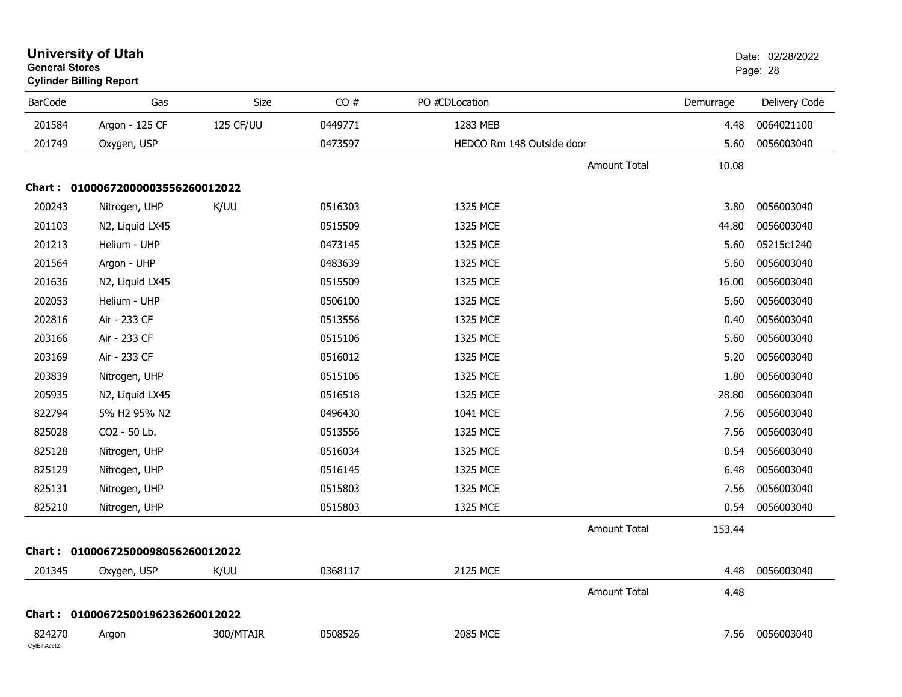| <b>General Stores</b>  | <b>University of Utah</b><br><b>Cylinder Billing Report</b> |           |         |                           |                     |           | Date: 02/28/2022<br>Page: 28 |
|------------------------|-------------------------------------------------------------|-----------|---------|---------------------------|---------------------|-----------|------------------------------|
| <b>BarCode</b>         | Gas                                                         | Size      | CO#     | PO #CDLocation            |                     | Demurrage | Delivery Code                |
| 201584                 | Argon - 125 CF                                              | 125 CF/UU | 0449771 | 1283 MEB                  |                     | 4.48      | 0064021100                   |
| 201749                 | Oxygen, USP                                                 |           | 0473597 | HEDCO Rm 148 Outside door |                     | 5.60      | 0056003040                   |
|                        |                                                             |           |         |                           | Amount Total        | 10.08     |                              |
|                        | Chart: 01000672000003556260012022                           |           |         |                           |                     |           |                              |
| 200243                 | Nitrogen, UHP                                               | K/UU      | 0516303 | 1325 MCE                  |                     | 3.80      | 0056003040                   |
| 201103                 | N2, Liquid LX45                                             |           | 0515509 | 1325 MCE                  |                     | 44.80     | 0056003040                   |
| 201213                 | Helium - UHP                                                |           | 0473145 | 1325 MCE                  |                     | 5.60      | 05215c1240                   |
| 201564                 | Argon - UHP                                                 |           | 0483639 | 1325 MCE                  |                     | 5.60      | 0056003040                   |
| 201636                 | N2, Liquid LX45                                             |           | 0515509 | 1325 MCE                  |                     | 16.00     | 0056003040                   |
| 202053                 | Helium - UHP                                                |           | 0506100 | 1325 MCE                  |                     | 5.60      | 0056003040                   |
| 202816                 | Air - 233 CF                                                |           | 0513556 | 1325 MCE                  |                     | 0.40      | 0056003040                   |
| 203166                 | Air - 233 CF                                                |           | 0515106 | 1325 MCE                  |                     | 5.60      | 0056003040                   |
| 203169                 | Air - 233 CF                                                |           | 0516012 | 1325 MCE                  |                     | 5.20      | 0056003040                   |
| 203839                 | Nitrogen, UHP                                               |           | 0515106 | 1325 MCE                  |                     | 1.80      | 0056003040                   |
| 205935                 | N2, Liquid LX45                                             |           | 0516518 | 1325 MCE                  |                     | 28.80     | 0056003040                   |
| 822794                 | 5% H2 95% N2                                                |           | 0496430 | 1041 MCE                  |                     | 7.56      | 0056003040                   |
| 825028                 | CO2 - 50 Lb.                                                |           | 0513556 | 1325 MCE                  |                     | 7.56      | 0056003040                   |
| 825128                 | Nitrogen, UHP                                               |           | 0516034 | 1325 MCE                  |                     | 0.54      | 0056003040                   |
| 825129                 | Nitrogen, UHP                                               |           | 0516145 | 1325 MCE                  |                     | 6.48      | 0056003040                   |
| 825131                 | Nitrogen, UHP                                               |           | 0515803 | 1325 MCE                  |                     | 7.56      | 0056003040                   |
| 825210                 | Nitrogen, UHP                                               |           | 0515803 | 1325 MCE                  |                     | 0.54      | 0056003040                   |
|                        |                                                             |           |         |                           | Amount Total        | 153.44    |                              |
|                        | Chart: 01000672500098056260012022                           |           |         |                           |                     |           |                              |
| 201345                 | Oxygen, USP                                                 | K/UU      | 0368117 | 2125 MCE                  |                     | 4.48      | 0056003040                   |
|                        |                                                             |           |         |                           | <b>Amount Total</b> | 4.48      |                              |
|                        | Chart: 01000672500196236260012022                           |           |         |                           |                     |           |                              |
| 824270<br>CylBillAcct2 | Argon                                                       | 300/MTAIR | 0508526 | 2085 MCE                  |                     | 7.56      | 0056003040                   |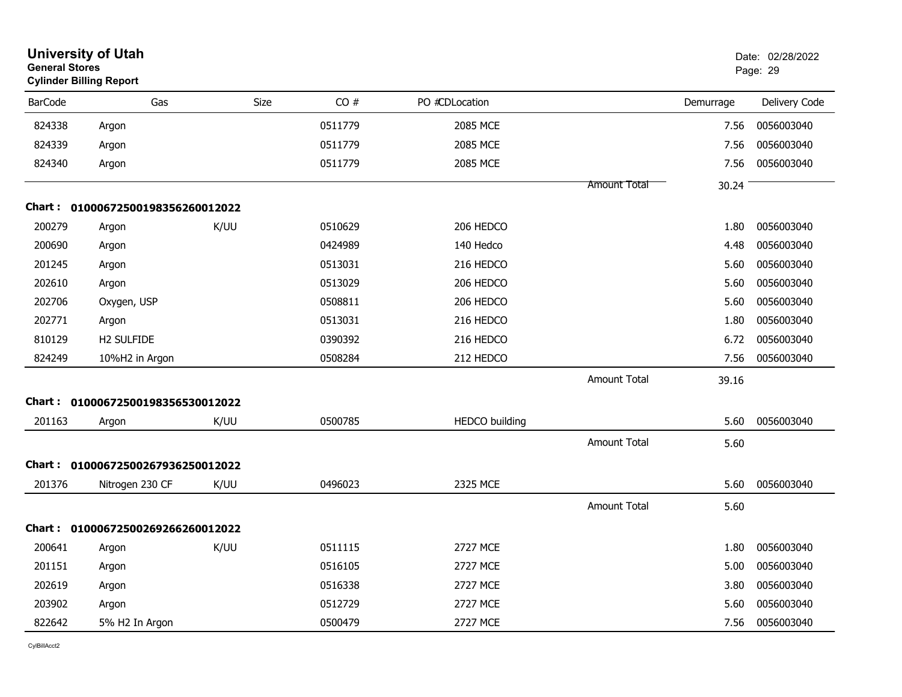| <b>General Stores</b> | <b>University of Utah</b><br><b>Cylinder Billing Report</b> |      |         |                       |                     |           | Date: 02/28/2022<br>Page: 29 |
|-----------------------|-------------------------------------------------------------|------|---------|-----------------------|---------------------|-----------|------------------------------|
| <b>BarCode</b>        | Gas                                                         | Size | CO#     | PO #CDLocation        |                     | Demurrage | Delivery Code                |
| 824338                | Argon                                                       |      | 0511779 | 2085 MCE              |                     | 7.56      | 0056003040                   |
| 824339                | Argon                                                       |      | 0511779 | 2085 MCE              |                     | 7.56      | 0056003040                   |
| 824340                | Argon                                                       |      | 0511779 | 2085 MCE              |                     | 7.56      | 0056003040                   |
|                       |                                                             |      |         |                       | Amount Total        | 30.24     |                              |
| Chart :               | 01000672500198356260012022                                  |      |         |                       |                     |           |                              |
| 200279                | Argon                                                       | K/UU | 0510629 | 206 HEDCO             |                     | 1.80      | 0056003040                   |
| 200690                | Argon                                                       |      | 0424989 | 140 Hedco             |                     | 4.48      | 0056003040                   |
| 201245                | Argon                                                       |      | 0513031 | 216 HEDCO             |                     | 5.60      | 0056003040                   |
| 202610                | Argon                                                       |      | 0513029 | 206 HEDCO             |                     | 5.60      | 0056003040                   |
| 202706                | Oxygen, USP                                                 |      | 0508811 | 206 HEDCO             |                     | 5.60      | 0056003040                   |
| 202771                | Argon                                                       |      | 0513031 | 216 HEDCO             |                     | 1.80      | 0056003040                   |
| 810129                | H2 SULFIDE                                                  |      | 0390392 | 216 HEDCO             |                     | 6.72      | 0056003040                   |
| 824249                | 10%H2 in Argon                                              |      | 0508284 | 212 HEDCO             |                     | 7.56      | 0056003040                   |
|                       |                                                             |      |         |                       | <b>Amount Total</b> | 39.16     |                              |
|                       | Chart: 01000672500198356530012022                           |      |         |                       |                     |           |                              |
| 201163                | Argon                                                       | K/UU | 0500785 | <b>HEDCO</b> building |                     | 5.60      | 0056003040                   |
|                       |                                                             |      |         |                       | <b>Amount Total</b> | 5.60      |                              |
|                       | Chart: 01000672500267936250012022                           |      |         |                       |                     |           |                              |
| 201376                | Nitrogen 230 CF                                             | K/UU | 0496023 | 2325 MCE              |                     | 5.60      | 0056003040                   |
|                       |                                                             |      |         |                       | <b>Amount Total</b> | 5.60      |                              |
| Chart :               | 01000672500269266260012022                                  |      |         |                       |                     |           |                              |
| 200641                | Argon                                                       | K/UU | 0511115 | 2727 MCE              |                     | 1.80      | 0056003040                   |
| 201151                | Argon                                                       |      | 0516105 | 2727 MCE              |                     | 5.00      | 0056003040                   |
| 202619                | Argon                                                       |      | 0516338 | <b>2727 MCE</b>       |                     | 3.80      | 0056003040                   |
| 203902                | Argon                                                       |      | 0512729 | 2727 MCE              |                     | 5.60      | 0056003040                   |
| 822642                | 5% H2 In Argon                                              |      | 0500479 | 2727 MCE              |                     | 7.56      | 0056003040                   |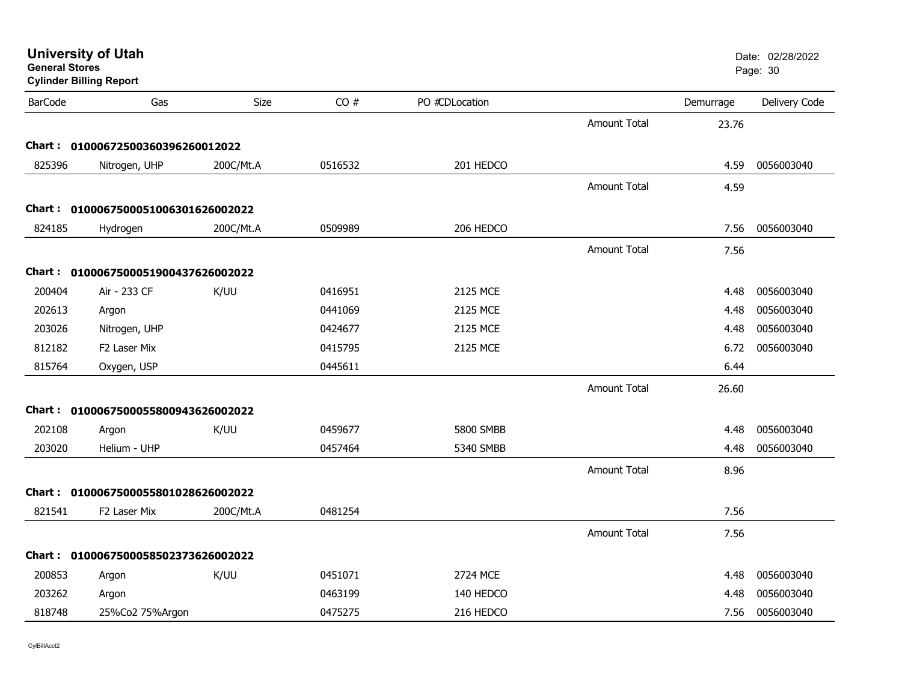| <b>General Stores</b> | <b>University of Utah</b><br><b>Cylinder Billing Report</b> |           |         |                  |                     |           | Date: 02/28/2022<br>Page: 30 |
|-----------------------|-------------------------------------------------------------|-----------|---------|------------------|---------------------|-----------|------------------------------|
| <b>BarCode</b>        | Gas                                                         | Size      | CO#     | PO #CDLocation   |                     | Demurrage | Delivery Code                |
|                       |                                                             |           |         |                  | <b>Amount Total</b> | 23.76     |                              |
|                       | Chart: 01000672500360396260012022                           |           |         |                  |                     |           |                              |
| 825396                | Nitrogen, UHP                                               | 200C/Mt.A | 0516532 | 201 HEDCO        |                     | 4.59      | 0056003040                   |
|                       |                                                             |           |         |                  | <b>Amount Total</b> | 4.59      |                              |
|                       | Chart: 0100067500051006301626002022                         |           |         |                  |                     |           |                              |
| 824185                | Hydrogen                                                    | 200C/Mt.A | 0509989 | 206 HEDCO        |                     | 7.56      | 0056003040                   |
|                       |                                                             |           |         |                  | <b>Amount Total</b> | 7.56      |                              |
|                       | Chart: 0100067500051900437626002022                         |           |         |                  |                     |           |                              |
| 200404                | Air - 233 CF                                                | K/UU      | 0416951 | 2125 MCE         |                     | 4.48      | 0056003040                   |
| 202613                | Argon                                                       |           | 0441069 | 2125 MCE         |                     | 4.48      | 0056003040                   |
| 203026                | Nitrogen, UHP                                               |           | 0424677 | 2125 MCE         |                     | 4.48      | 0056003040                   |
| 812182                | F2 Laser Mix                                                |           | 0415795 | 2125 MCE         |                     | 6.72      | 0056003040                   |
| 815764                | Oxygen, USP                                                 |           | 0445611 |                  |                     | 6.44      |                              |
|                       |                                                             |           |         |                  | <b>Amount Total</b> | 26.60     |                              |
|                       | Chart: 0100067500055800943626002022                         |           |         |                  |                     |           |                              |
| 202108                | Argon                                                       | K/UU      | 0459677 | <b>5800 SMBB</b> |                     | 4.48      | 0056003040                   |
| 203020                | Helium - UHP                                                |           | 0457464 | 5340 SMBB        |                     | 4.48      | 0056003040                   |
|                       |                                                             |           |         |                  | <b>Amount Total</b> | 8.96      |                              |
|                       | Chart: 0100067500055801028626002022                         |           |         |                  |                     |           |                              |
| 821541                | F2 Laser Mix                                                | 200C/Mt.A | 0481254 |                  |                     | 7.56      |                              |
|                       |                                                             |           |         |                  | <b>Amount Total</b> | 7.56      |                              |
|                       | Chart: 0100067500058502373626002022                         |           |         |                  |                     |           |                              |
| 200853                | Argon                                                       | K/UU      | 0451071 | 2724 MCE         |                     | 4.48      | 0056003040                   |
| 203262                | Argon                                                       |           | 0463199 | 140 HEDCO        |                     | 4.48      | 0056003040                   |
| 818748                | 25%Co2 75%Argon                                             |           | 0475275 | 216 HEDCO        |                     | 7.56      | 0056003040                   |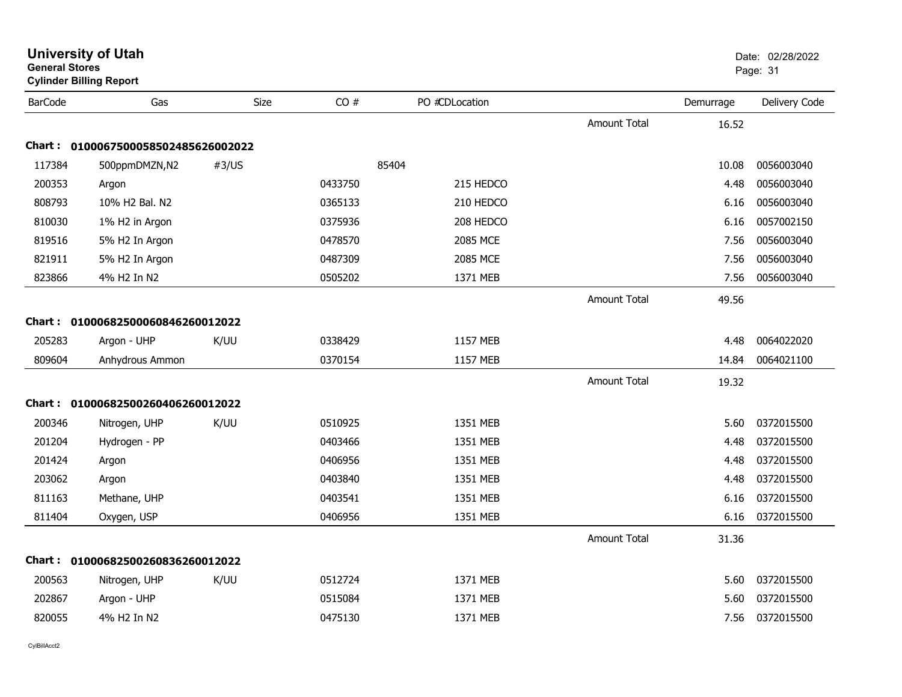| <b>General Stores</b> | <b>Cylinder Billing Report</b>      |       |         |                |                     |           | Page: 31      |
|-----------------------|-------------------------------------|-------|---------|----------------|---------------------|-----------|---------------|
| <b>BarCode</b>        | Gas                                 | Size  | CO#     | PO #CDLocation |                     | Demurrage | Delivery Code |
|                       |                                     |       |         |                | <b>Amount Total</b> | 16.52     |               |
|                       | Chart: 0100067500058502485626002022 |       |         |                |                     |           |               |
| 117384                | 500ppmDMZN,N2                       | #3/US |         | 85404          |                     | 10.08     | 0056003040    |
| 200353                | Argon                               |       | 0433750 | 215 HEDCO      |                     | 4.48      | 0056003040    |
| 808793                | 10% H2 Bal. N2                      |       | 0365133 | 210 HEDCO      |                     | 6.16      | 0056003040    |
| 810030                | 1% H2 in Argon                      |       | 0375936 | 208 HEDCO      |                     | 6.16      | 0057002150    |
| 819516                | 5% H2 In Argon                      |       | 0478570 | 2085 MCE       |                     | 7.56      | 0056003040    |
| 821911                | 5% H2 In Argon                      |       | 0487309 | 2085 MCE       |                     | 7.56      | 0056003040    |
| 823866                | 4% H2 In N2                         |       | 0505202 | 1371 MEB       |                     | 7.56      | 0056003040    |
|                       |                                     |       |         |                | <b>Amount Total</b> | 49.56     |               |
| <b>Chart :</b>        | 01000682500060846260012022          |       |         |                |                     |           |               |
| 205283                | Argon - UHP                         | K/UU  | 0338429 | 1157 MEB       |                     | 4.48      | 0064022020    |
| 809604                | Anhydrous Ammon                     |       | 0370154 | 1157 MEB       |                     | 14.84     | 0064021100    |
|                       |                                     |       |         |                | <b>Amount Total</b> | 19.32     |               |
|                       | Chart: 01000682500260406260012022   |       |         |                |                     |           |               |
| 200346                | Nitrogen, UHP                       | K/UU  | 0510925 | 1351 MEB       |                     | 5.60      | 0372015500    |
| 201204                | Hydrogen - PP                       |       | 0403466 | 1351 MEB       |                     | 4.48      | 0372015500    |
| 201424                | Argon                               |       | 0406956 | 1351 MEB       |                     | 4.48      | 0372015500    |
| 203062                | Argon                               |       | 0403840 | 1351 MEB       |                     | 4.48      | 0372015500    |
| 811163                | Methane, UHP                        |       | 0403541 | 1351 MEB       |                     | 6.16      | 0372015500    |
| 811404                | Oxygen, USP                         |       | 0406956 | 1351 MEB       |                     | 6.16      | 0372015500    |
|                       |                                     |       |         |                | <b>Amount Total</b> | 31.36     |               |
|                       | Chart: 01000682500260836260012022   |       |         |                |                     |           |               |
| 200563                | Nitrogen, UHP                       | K/UU  | 0512724 | 1371 MEB       |                     | 5.60      | 0372015500    |
| 202867                | Argon - UHP                         |       | 0515084 | 1371 MEB       |                     | 5.60      | 0372015500    |
| 820055                | 4% H2 In N2                         |       | 0475130 | 1371 MEB       |                     | 7.56      | 0372015500    |
|                       |                                     |       |         |                |                     |           |               |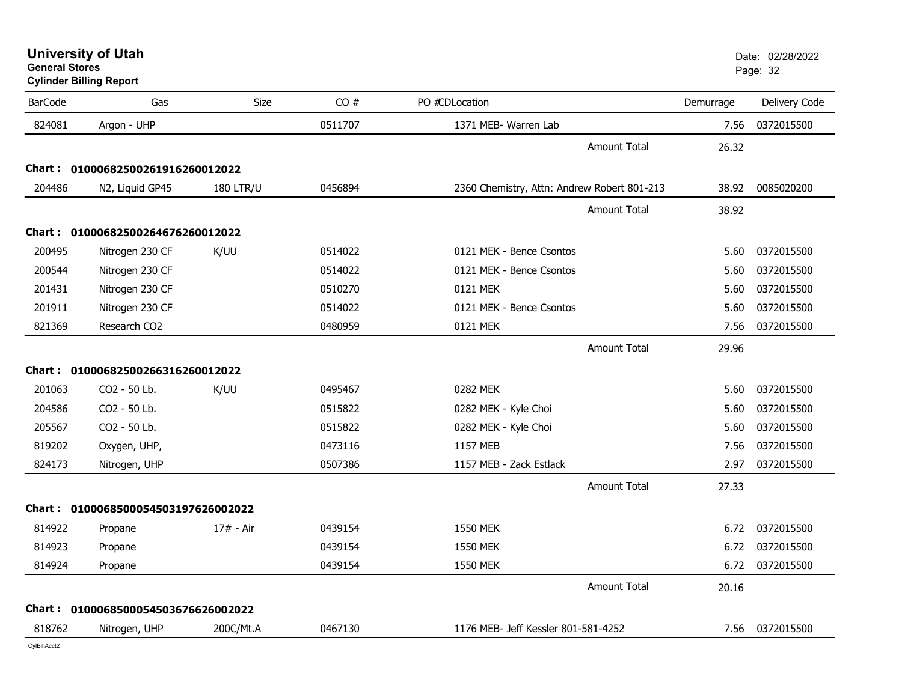**General StoresCylinder Billing Report**

| <b>BarCode</b> | Gas                                 | <b>Size</b>      | CO#     | PO #CDLocation                              | Demurrage | Delivery Code   |
|----------------|-------------------------------------|------------------|---------|---------------------------------------------|-----------|-----------------|
| 824081         | Argon - UHP                         |                  | 0511707 | 1371 MEB- Warren Lab                        | 7.56      | 0372015500      |
|                |                                     |                  |         | <b>Amount Total</b>                         | 26.32     |                 |
|                | Chart: 01000682500261916260012022   |                  |         |                                             |           |                 |
| 204486         | N2, Liquid GP45                     | <b>180 LTR/U</b> | 0456894 | 2360 Chemistry, Attn: Andrew Robert 801-213 | 38.92     | 0085020200      |
|                |                                     |                  |         | <b>Amount Total</b>                         | 38.92     |                 |
|                | Chart: 01000682500264676260012022   |                  |         |                                             |           |                 |
| 200495         | Nitrogen 230 CF                     | K/UU             | 0514022 | 0121 MEK - Bence Csontos                    | 5.60      | 0372015500      |
| 200544         | Nitrogen 230 CF                     |                  | 0514022 | 0121 MEK - Bence Csontos                    | 5.60      | 0372015500      |
| 201431         | Nitrogen 230 CF                     |                  | 0510270 | 0121 MEK                                    | 5.60      | 0372015500      |
| 201911         | Nitrogen 230 CF                     |                  | 0514022 | 0121 MEK - Bence Csontos                    | 5.60      | 0372015500      |
| 821369         | Research CO2                        |                  | 0480959 | 0121 MEK                                    | 7.56      | 0372015500      |
|                |                                     |                  |         | <b>Amount Total</b>                         | 29.96     |                 |
|                | Chart: 01000682500266316260012022   |                  |         |                                             |           |                 |
| 201063         | CO2 - 50 Lb.                        | K/UU             | 0495467 | 0282 MEK                                    | 5.60      | 0372015500      |
| 204586         | CO2 - 50 Lb.                        |                  | 0515822 | 0282 MEK - Kyle Choi                        | 5.60      | 0372015500      |
| 205567         | CO2 - 50 Lb.                        |                  | 0515822 | 0282 MEK - Kyle Choi                        | 5.60      | 0372015500      |
| 819202         | Oxygen, UHP,                        |                  | 0473116 | 1157 MEB                                    | 7.56      | 0372015500      |
| 824173         | Nitrogen, UHP                       |                  | 0507386 | 1157 MEB - Zack Estlack                     | 2.97      | 0372015500      |
|                |                                     |                  |         | <b>Amount Total</b>                         | 27.33     |                 |
|                | Chart: 0100068500054503197626002022 |                  |         |                                             |           |                 |
| 814922         | Propane                             | 17# - Air        | 0439154 | <b>1550 MEK</b>                             | 6.72      | 0372015500      |
| 814923         | Propane                             |                  | 0439154 | 1550 MEK                                    | 6.72      | 0372015500      |
| 814924         | Propane                             |                  | 0439154 | 1550 MEK                                    | 6.72      | 0372015500      |
|                |                                     |                  |         | <b>Amount Total</b>                         | 20.16     |                 |
|                | Chart: 0100068500054503676626002022 |                  |         |                                             |           |                 |
| 818762         | Nitrogen, UHP                       | 200C/Mt.A        | 0467130 | 1176 MEB- Jeff Kessler 801-581-4252         |           | 7.56 0372015500 |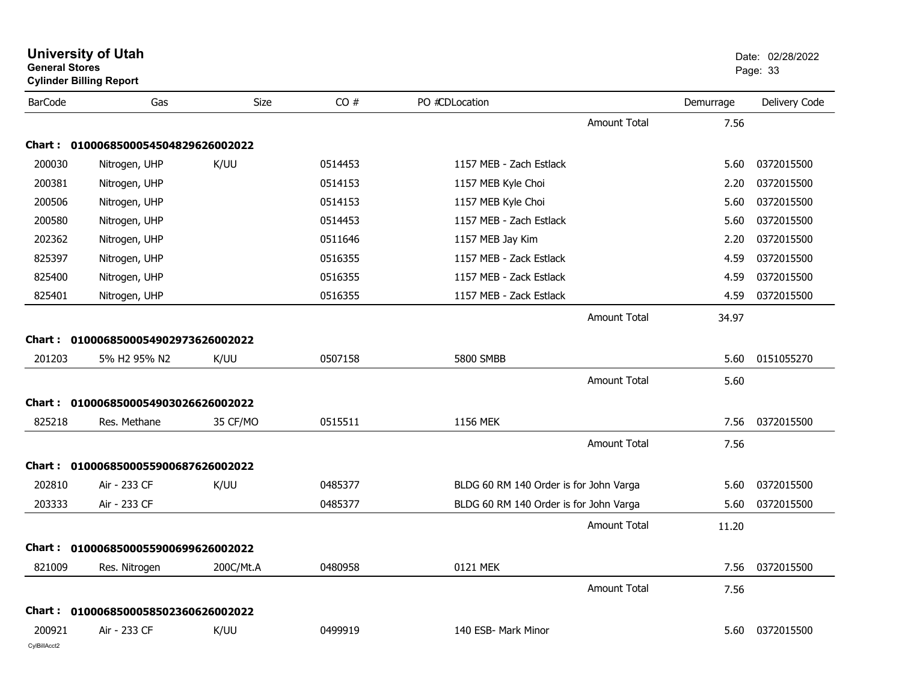| <b>General Stores</b>  | <b>University of Utah</b><br><b>Cylinder Billing Report</b> |           |         |                                        |                     |           | Date: 02/28/2022<br>Page: 33 |
|------------------------|-------------------------------------------------------------|-----------|---------|----------------------------------------|---------------------|-----------|------------------------------|
| <b>BarCode</b>         | Gas                                                         | Size      | CO#     | PO #CDLocation                         |                     | Demurrage | Delivery Code                |
|                        |                                                             |           |         |                                        | <b>Amount Total</b> | 7.56      |                              |
|                        | Chart: 0100068500054504829626002022                         |           |         |                                        |                     |           |                              |
| 200030                 | Nitrogen, UHP                                               | K/UU      | 0514453 | 1157 MEB - Zach Estlack                |                     | 5.60      | 0372015500                   |
| 200381                 | Nitrogen, UHP                                               |           | 0514153 | 1157 MEB Kyle Choi                     |                     | 2.20      | 0372015500                   |
| 200506                 | Nitrogen, UHP                                               |           | 0514153 | 1157 MEB Kyle Choi                     |                     | 5.60      | 0372015500                   |
| 200580                 | Nitrogen, UHP                                               |           | 0514453 | 1157 MEB - Zach Estlack                |                     | 5.60      | 0372015500                   |
| 202362                 | Nitrogen, UHP                                               |           | 0511646 | 1157 MEB Jay Kim                       |                     | 2.20      | 0372015500                   |
| 825397                 | Nitrogen, UHP                                               |           | 0516355 | 1157 MEB - Zack Estlack                |                     | 4.59      | 0372015500                   |
| 825400                 | Nitrogen, UHP                                               |           | 0516355 | 1157 MEB - Zack Estlack                |                     | 4.59      | 0372015500                   |
| 825401                 | Nitrogen, UHP                                               |           | 0516355 | 1157 MEB - Zack Estlack                |                     | 4.59      | 0372015500                   |
|                        |                                                             |           |         |                                        | <b>Amount Total</b> | 34.97     |                              |
|                        | Chart: 0100068500054902973626002022                         |           |         |                                        |                     |           |                              |
| 201203                 | 5% H2 95% N2                                                | K/UU      | 0507158 | 5800 SMBB                              |                     | 5.60      | 0151055270                   |
|                        |                                                             |           |         |                                        | <b>Amount Total</b> | 5.60      |                              |
| <b>Chart:</b>          | 0100068500054903026626002022                                |           |         |                                        |                     |           |                              |
| 825218                 | Res. Methane                                                | 35 CF/MO  | 0515511 | 1156 MEK                               |                     | 7.56      | 0372015500                   |
|                        |                                                             |           |         |                                        | <b>Amount Total</b> | 7.56      |                              |
| Chart :                | 0100068500055900687626002022                                |           |         |                                        |                     |           |                              |
| 202810                 | Air - 233 CF                                                | K/UU      | 0485377 | BLDG 60 RM 140 Order is for John Varga |                     | 5.60      | 0372015500                   |
| 203333                 | Air - 233 CF                                                |           | 0485377 | BLDG 60 RM 140 Order is for John Varga |                     | 5.60      | 0372015500                   |
|                        |                                                             |           |         |                                        |                     |           |                              |
|                        |                                                             |           |         |                                        | <b>Amount Total</b> | 11.20     |                              |
|                        | Chart: 0100068500055900699626002022                         |           |         |                                        |                     |           |                              |
| 821009                 | Res. Nitrogen                                               | 200C/Mt.A | 0480958 | 0121 MEK                               |                     | 7.56      | 0372015500                   |
|                        |                                                             |           |         |                                        | <b>Amount Total</b> | 7.56      |                              |
|                        | Chart: 0100068500058502360626002022                         |           |         |                                        |                     |           |                              |
| 200921<br>CylBillAcct2 | Air - 233 CF                                                | K/UU      | 0499919 | 140 ESB- Mark Minor                    |                     | 5.60      | 0372015500                   |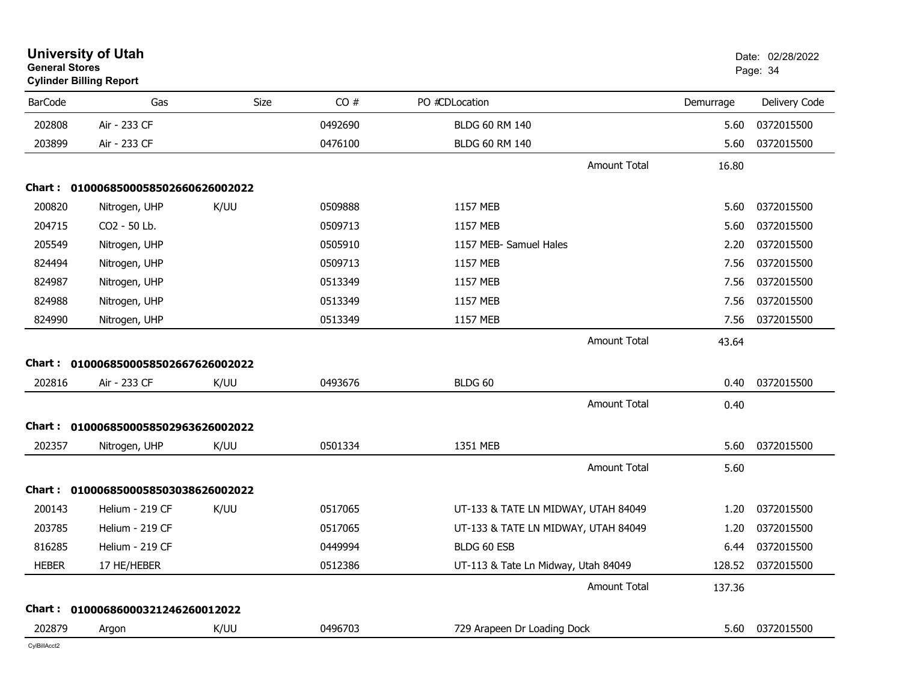| <b>General Stores</b> | <b>University of Utah</b><br><b>Cylinder Billing Report</b> |      |         |                                     |           | Date: 02/28/2022<br>Page: 34 |
|-----------------------|-------------------------------------------------------------|------|---------|-------------------------------------|-----------|------------------------------|
| <b>BarCode</b>        | Gas                                                         | Size | CO#     | PO #CDLocation                      | Demurrage | Delivery Code                |
| 202808                | Air - 233 CF                                                |      | 0492690 | <b>BLDG 60 RM 140</b>               | 5.60      | 0372015500                   |
| 203899                | Air - 233 CF                                                |      | 0476100 | <b>BLDG 60 RM 140</b>               | 5.60      | 0372015500                   |
|                       |                                                             |      |         | <b>Amount Total</b>                 | 16.80     |                              |
|                       | Chart: 0100068500058502660626002022                         |      |         |                                     |           |                              |
| 200820                | Nitrogen, UHP                                               | K/UU | 0509888 | 1157 MEB                            | 5.60      | 0372015500                   |
| 204715                | CO2 - 50 Lb.                                                |      | 0509713 | 1157 MEB                            | 5.60      | 0372015500                   |
| 205549                | Nitrogen, UHP                                               |      | 0505910 | 1157 MEB- Samuel Hales              | 2.20      | 0372015500                   |
| 824494                | Nitrogen, UHP                                               |      | 0509713 | 1157 MEB                            | 7.56      | 0372015500                   |
| 824987                | Nitrogen, UHP                                               |      | 0513349 | 1157 MEB                            | 7.56      | 0372015500                   |
| 824988                | Nitrogen, UHP                                               |      | 0513349 | 1157 MEB                            | 7.56      | 0372015500                   |
| 824990                | Nitrogen, UHP                                               |      | 0513349 | 1157 MEB                            | 7.56      | 0372015500                   |
|                       | Chart: 0100068500058502667626002022                         |      |         | <b>Amount Total</b>                 | 43.64     |                              |
| 202816                | Air - 233 CF                                                | K/UU | 0493676 | BLDG 60                             | 0.40      | 0372015500                   |
|                       |                                                             |      |         | <b>Amount Total</b>                 | 0.40      |                              |
|                       | Chart: 0100068500058502963626002022                         |      |         |                                     |           |                              |
| 202357                | Nitrogen, UHP                                               | K/UU | 0501334 | 1351 MEB                            | 5.60      | 0372015500                   |
|                       |                                                             |      |         | <b>Amount Total</b>                 | 5.60      |                              |
|                       | Chart: 0100068500058503038626002022                         |      |         |                                     |           |                              |
| 200143                | Helium - 219 CF                                             | K/UU | 0517065 | UT-133 & TATE LN MIDWAY, UTAH 84049 | 1.20      | 0372015500                   |
| 203785                | Helium - 219 CF                                             |      | 0517065 | UT-133 & TATE LN MIDWAY, UTAH 84049 | 1.20      | 0372015500                   |
| 816285                | Helium - 219 CF                                             |      | 0449994 | BLDG 60 ESB                         | 6.44      | 0372015500                   |
| <b>HEBER</b>          | 17 HE/HEBER                                                 |      | 0512386 | UT-113 & Tate Ln Midway, Utah 84049 | 128.52    | 0372015500                   |
|                       |                                                             |      |         | <b>Amount Total</b>                 | 137.36    |                              |
|                       | Chart: 01000686000321246260012022                           |      |         |                                     |           |                              |
| 202879                | Argon                                                       | K/UU | 0496703 | 729 Arapeen Dr Loading Dock         |           | 5.60 0372015500              |
| CvIBillAcct2          |                                                             |      |         |                                     |           |                              |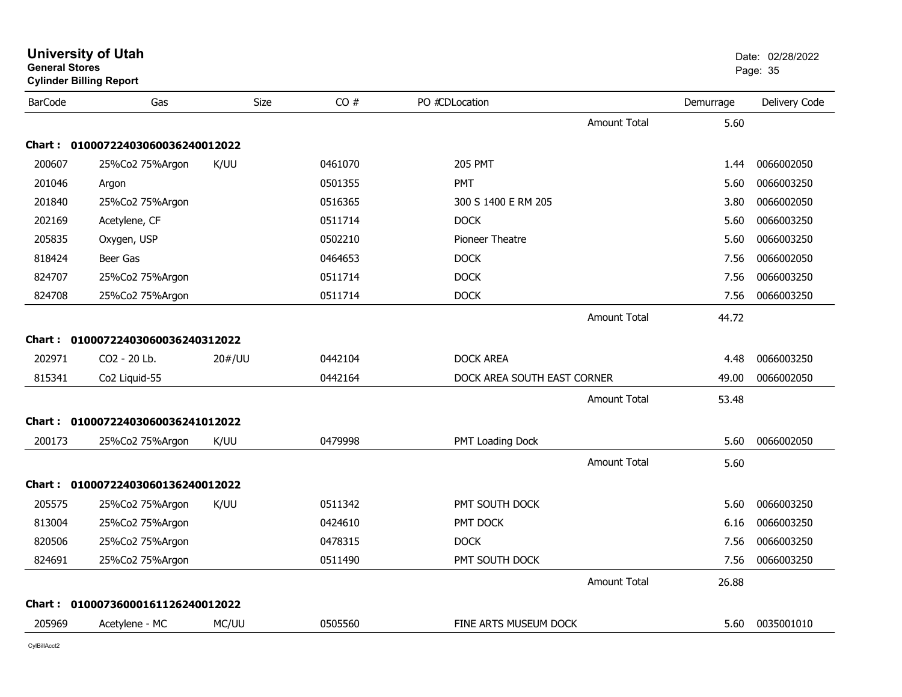| <b>General Stores</b><br><b>Cylinder Billing Report</b> |                                   |             |         |                             | Page: 35            |           |               |
|---------------------------------------------------------|-----------------------------------|-------------|---------|-----------------------------|---------------------|-----------|---------------|
| <b>BarCode</b>                                          | Gas                               | <b>Size</b> | CO#     | PO #CDLocation              |                     | Demurrage | Delivery Code |
|                                                         |                                   |             |         |                             | <b>Amount Total</b> | 5.60      |               |
|                                                         | Chart: 01000722403060036240012022 |             |         |                             |                     |           |               |
| 200607                                                  | 25%Co2 75%Argon                   | K/UU        | 0461070 | <b>205 PMT</b>              |                     | 1.44      | 0066002050    |
| 201046                                                  | Argon                             |             | 0501355 | <b>PMT</b>                  |                     | 5.60      | 0066003250    |
| 201840                                                  | 25%Co2 75%Argon                   |             | 0516365 | 300 S 1400 E RM 205         |                     | 3.80      | 0066002050    |
| 202169                                                  | Acetylene, CF                     |             | 0511714 | <b>DOCK</b>                 |                     | 5.60      | 0066003250    |
| 205835                                                  | Oxygen, USP                       |             | 0502210 | Pioneer Theatre             |                     | 5.60      | 0066003250    |
| 818424                                                  | Beer Gas                          |             | 0464653 | <b>DOCK</b>                 |                     | 7.56      | 0066002050    |
| 824707                                                  | 25%Co2 75%Argon                   |             | 0511714 | <b>DOCK</b>                 |                     | 7.56      | 0066003250    |
| 824708                                                  | 25%Co2 75%Argon                   |             | 0511714 | <b>DOCK</b>                 |                     | 7.56      | 0066003250    |
|                                                         |                                   |             |         |                             | <b>Amount Total</b> | 44.72     |               |
|                                                         | Chart: 01000722403060036240312022 |             |         |                             |                     |           |               |
| 202971                                                  | CO2 - 20 Lb.                      | 20#/UU      | 0442104 | <b>DOCK AREA</b>            |                     | 4.48      | 0066003250    |
| 815341                                                  | Co2 Liquid-55                     |             | 0442164 | DOCK AREA SOUTH EAST CORNER |                     | 49.00     | 0066002050    |
|                                                         |                                   |             |         |                             | <b>Amount Total</b> | 53.48     |               |
|                                                         | Chart: 01000722403060036241012022 |             |         |                             |                     |           |               |
| 200173                                                  | 25%Co2 75%Argon                   | K/UU        | 0479998 | PMT Loading Dock            |                     | 5.60      | 0066002050    |
|                                                         |                                   |             |         |                             | <b>Amount Total</b> | 5.60      |               |
|                                                         | Chart: 01000722403060136240012022 |             |         |                             |                     |           |               |
| 205575                                                  | 25%Co2 75%Argon                   | K/UU        | 0511342 | PMT SOUTH DOCK              |                     | 5.60      | 0066003250    |
| 813004                                                  | 25%Co2 75%Argon                   |             | 0424610 | PMT DOCK                    |                     | 6.16      | 0066003250    |
| 820506                                                  | 25%Co2 75%Argon                   |             | 0478315 | <b>DOCK</b>                 |                     | 7.56      | 0066003250    |
| 824691                                                  | 25%Co2 75%Argon                   |             | 0511490 | PMT SOUTH DOCK              |                     | 7.56      | 0066003250    |
|                                                         |                                   |             |         |                             | <b>Amount Total</b> | 26.88     |               |
|                                                         | Chart: 01000736000161126240012022 |             |         |                             |                     |           |               |
| 205969                                                  | Acetylene - MC                    | MC/UU       | 0505560 | FINE ARTS MUSEUM DOCK       |                     | 5.60      | 0035001010    |
|                                                         |                                   |             |         |                             |                     |           |               |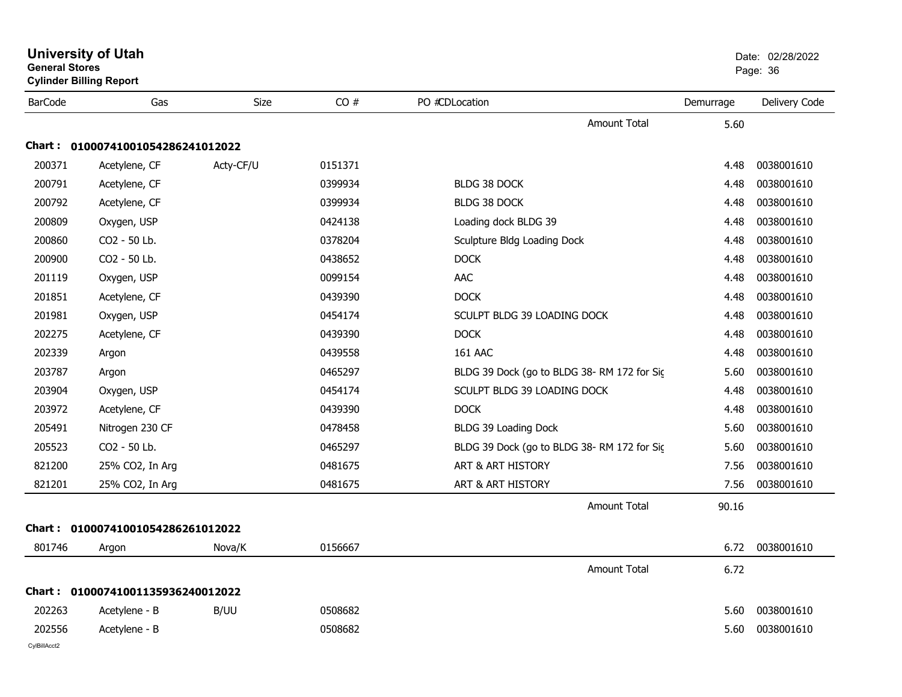| <b>University of Utah</b><br><b>General Stores</b><br><b>Cylinder Billing Report</b> |                                   |           | Date: 02/28/2022<br>Page: 36 |                                            |           |                 |
|--------------------------------------------------------------------------------------|-----------------------------------|-----------|------------------------------|--------------------------------------------|-----------|-----------------|
| <b>BarCode</b>                                                                       | Gas                               | Size      | CO#                          | PO #CDLocation                             | Demurrage | Delivery Code   |
|                                                                                      |                                   |           |                              | <b>Amount Total</b>                        | 5.60      |                 |
| <b>Chart :</b>                                                                       | 01000741001054286241012022        |           |                              |                                            |           |                 |
| 200371                                                                               | Acetylene, CF                     | Acty-CF/U | 0151371                      |                                            | 4.48      | 0038001610      |
| 200791                                                                               | Acetylene, CF                     |           | 0399934                      | BLDG 38 DOCK                               | 4.48      | 0038001610      |
| 200792                                                                               | Acetylene, CF                     |           | 0399934                      | <b>BLDG 38 DOCK</b>                        | 4.48      | 0038001610      |
| 200809                                                                               | Oxygen, USP                       |           | 0424138                      | Loading dock BLDG 39                       | 4.48      | 0038001610      |
| 200860                                                                               | CO2 - 50 Lb.                      |           | 0378204                      | Sculpture Bldg Loading Dock                | 4.48      | 0038001610      |
| 200900                                                                               | CO2 - 50 Lb.                      |           | 0438652                      | <b>DOCK</b>                                | 4.48      | 0038001610      |
| 201119                                                                               | Oxygen, USP                       |           | 0099154                      | AAC                                        | 4.48      | 0038001610      |
| 201851                                                                               | Acetylene, CF                     |           | 0439390                      | <b>DOCK</b>                                | 4.48      | 0038001610      |
| 201981                                                                               | Oxygen, USP                       |           | 0454174                      | SCULPT BLDG 39 LOADING DOCK                | 4.48      | 0038001610      |
| 202275                                                                               | Acetylene, CF                     |           | 0439390                      | <b>DOCK</b>                                | 4.48      | 0038001610      |
| 202339                                                                               | Argon                             |           | 0439558                      | <b>161 AAC</b>                             | 4.48      | 0038001610      |
| 203787                                                                               | Argon                             |           | 0465297                      | BLDG 39 Dock (go to BLDG 38-RM 172 for Sic | 5.60      | 0038001610      |
| 203904                                                                               | Oxygen, USP                       |           | 0454174                      | SCULPT BLDG 39 LOADING DOCK                | 4.48      | 0038001610      |
| 203972                                                                               | Acetylene, CF                     |           | 0439390                      | <b>DOCK</b>                                | 4.48      | 0038001610      |
| 205491                                                                               | Nitrogen 230 CF                   |           | 0478458                      | BLDG 39 Loading Dock                       | 5.60      | 0038001610      |
| 205523                                                                               | CO2 - 50 Lb.                      |           | 0465297                      | BLDG 39 Dock (go to BLDG 38-RM 172 for Sic | 5.60      | 0038001610      |
| 821200                                                                               | 25% CO2, In Arg                   |           | 0481675                      | ART & ART HISTORY                          | 7.56      | 0038001610      |
| 821201                                                                               | 25% CO2, In Arg                   |           | 0481675                      | ART & ART HISTORY                          | 7.56      | 0038001610      |
|                                                                                      |                                   |           |                              | Amount Total                               | 90.16     |                 |
| <b>Chart :</b>                                                                       | 01000741001054286261012022        |           |                              |                                            |           |                 |
| 801746                                                                               | Argon                             | Nova/K    | 0156667                      |                                            |           | 6.72 0038001610 |
|                                                                                      |                                   |           |                              | <b>Amount Total</b>                        | 6.72      |                 |
|                                                                                      | Chart: 01000741001135936240012022 |           |                              |                                            |           |                 |
| 202263                                                                               | Acetylene - B                     | B/UU      | 0508682                      |                                            | 5.60      | 0038001610      |
| 202556                                                                               | Acetylene - B                     |           | 0508682                      |                                            | 5.60      | 0038001610      |
| CylBillAcct2                                                                         |                                   |           |                              |                                            |           |                 |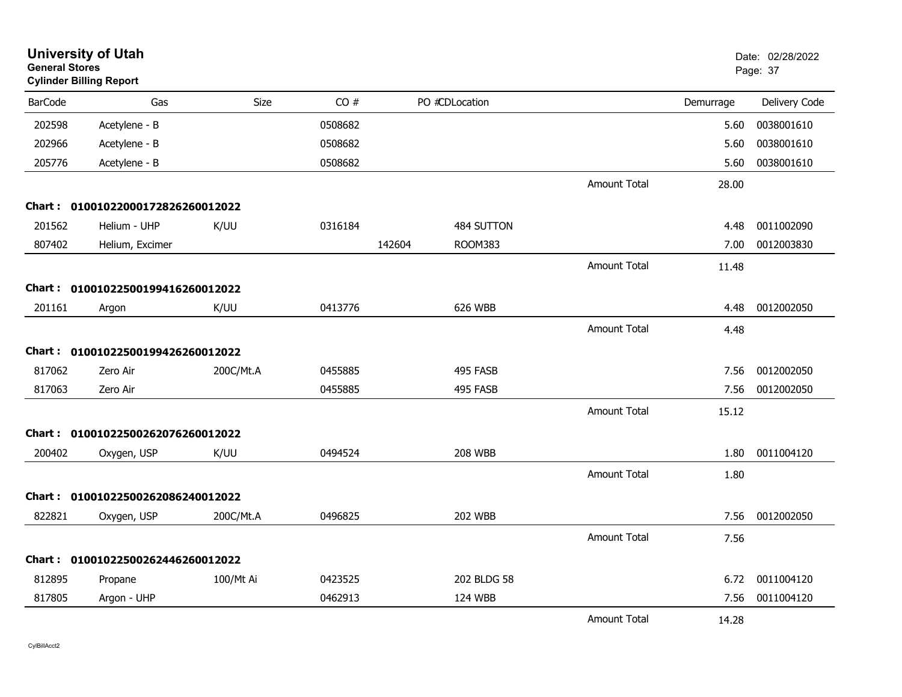| <b>General Stores</b> | <b>University of Utah</b><br><b>Cylinder Billing Report</b> |           |         |        |                |                     |           | Date: 02/28/2022<br>Page: 37 |
|-----------------------|-------------------------------------------------------------|-----------|---------|--------|----------------|---------------------|-----------|------------------------------|
| <b>BarCode</b>        | Gas                                                         | Size      | CO#     |        | PO #CDLocation |                     | Demurrage | Delivery Code                |
| 202598                | Acetylene - B                                               |           | 0508682 |        |                |                     | 5.60      | 0038001610                   |
| 202966                | Acetylene - B                                               |           | 0508682 |        |                |                     | 5.60      | 0038001610                   |
| 205776                | Acetylene - B                                               |           | 0508682 |        |                |                     | 5.60      | 0038001610                   |
|                       |                                                             |           |         |        |                | <b>Amount Total</b> | 28.00     |                              |
|                       | Chart: 01001022000172826260012022                           |           |         |        |                |                     |           |                              |
| 201562                | Helium - UHP                                                | K/UU      | 0316184 |        | 484 SUTTON     |                     | 4.48      | 0011002090                   |
| 807402                | Helium, Excimer                                             |           |         | 142604 | <b>ROOM383</b> |                     | 7.00      | 0012003830                   |
|                       |                                                             |           |         |        |                | <b>Amount Total</b> | 11.48     |                              |
|                       | Chart: 01001022500199416260012022                           |           |         |        |                |                     |           |                              |
| 201161                | Argon                                                       | K/UU      | 0413776 |        | 626 WBB        |                     | 4.48      | 0012002050                   |
|                       |                                                             |           |         |        |                | <b>Amount Total</b> | 4.48      |                              |
|                       | Chart: 01001022500199426260012022                           |           |         |        |                |                     |           |                              |
| 817062                | Zero Air                                                    | 200C/Mt.A | 0455885 |        | 495 FASB       |                     | 7.56      | 0012002050                   |
| 817063                | Zero Air                                                    |           | 0455885 |        | 495 FASB       |                     | 7.56      | 0012002050                   |
|                       |                                                             |           |         |        |                | <b>Amount Total</b> | 15.12     |                              |
| Chart :               | 01001022500262076260012022                                  |           |         |        |                |                     |           |                              |
| 200402                | Oxygen, USP                                                 | K/UU      | 0494524 |        | <b>208 WBB</b> |                     | 1.80      | 0011004120                   |
|                       |                                                             |           |         |        |                | <b>Amount Total</b> | 1.80      |                              |
| Chart :               | 01001022500262086240012022                                  |           |         |        |                |                     |           |                              |
| 822821                | Oxygen, USP                                                 | 200C/Mt.A | 0496825 |        | <b>202 WBB</b> |                     | 7.56      | 0012002050                   |
|                       |                                                             |           |         |        |                | <b>Amount Total</b> | 7.56      |                              |
|                       | Chart: 01001022500262446260012022                           |           |         |        |                |                     |           |                              |
| 812895                | Propane                                                     | 100/Mt Ai | 0423525 |        | 202 BLDG 58    |                     | 6.72      | 0011004120                   |
| 817805                | Argon - UHP                                                 |           | 0462913 |        | 124 WBB        |                     | 7.56      | 0011004120                   |
|                       |                                                             |           |         |        |                | <b>Amount Total</b> | 14.28     |                              |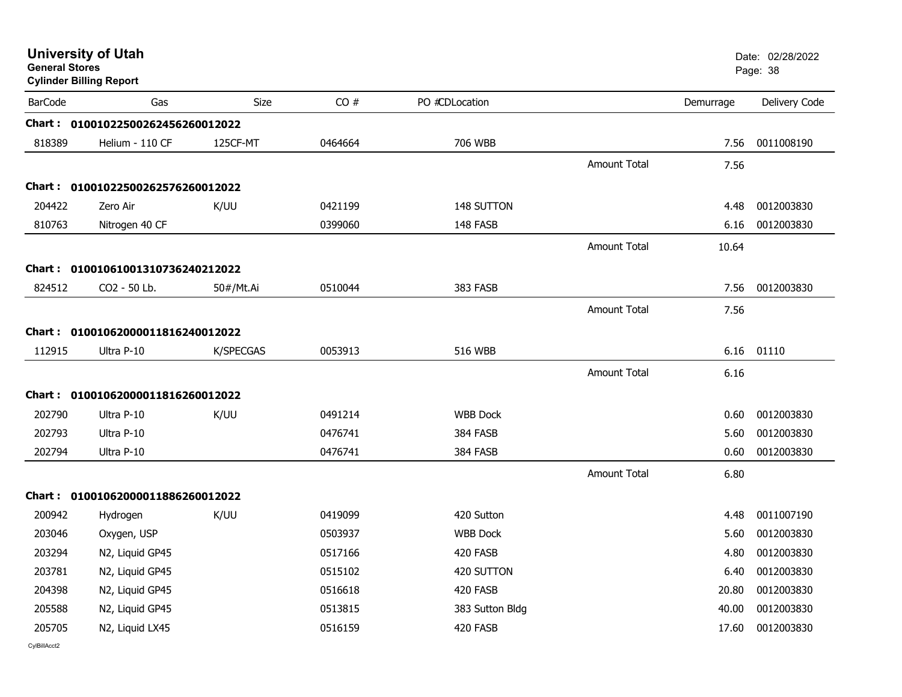| <b>General Stores</b> | <b>University of Utah</b><br><b>Cylinder Billing Report</b> |             |         |                 |                     |           | Date: 02/28/2022<br>Page: 38 |
|-----------------------|-------------------------------------------------------------|-------------|---------|-----------------|---------------------|-----------|------------------------------|
| <b>BarCode</b>        | Gas                                                         | <b>Size</b> | CO#     | PO #CDLocation  |                     | Demurrage | Delivery Code                |
|                       | Chart: 01001022500262456260012022                           |             |         |                 |                     |           |                              |
| 818389                | Helium - 110 CF                                             | 125CF-MT    | 0464664 | 706 WBB         |                     | 7.56      | 0011008190                   |
|                       |                                                             |             |         |                 | <b>Amount Total</b> | 7.56      |                              |
|                       | Chart: 01001022500262576260012022                           |             |         |                 |                     |           |                              |
| 204422                | Zero Air                                                    | K/UU        | 0421199 | 148 SUTTON      |                     | 4.48      | 0012003830                   |
| 810763                | Nitrogen 40 CF                                              |             | 0399060 | 148 FASB        |                     | 6.16      | 0012003830                   |
|                       |                                                             |             |         |                 | <b>Amount Total</b> | 10.64     |                              |
|                       | Chart: 01001061001310736240212022                           |             |         |                 |                     |           |                              |
| 824512                | CO2 - 50 Lb.                                                | 50#/Mt.Ai   | 0510044 | 383 FASB        |                     | 7.56      | 0012003830                   |
|                       |                                                             |             |         |                 | <b>Amount Total</b> | 7.56      |                              |
|                       | Chart: 01001062000011816240012022                           |             |         |                 |                     |           |                              |
| 112915                | Ultra P-10                                                  | K/SPECGAS   | 0053913 | 516 WBB         |                     | 6.16      | 01110                        |
|                       |                                                             |             |         |                 | <b>Amount Total</b> | 6.16      |                              |
|                       | Chart: 01001062000011816260012022                           |             |         |                 |                     |           |                              |
| 202790                | Ultra P-10                                                  | K/UU        | 0491214 | <b>WBB Dock</b> |                     | 0.60      | 0012003830                   |
| 202793                | Ultra P-10                                                  |             | 0476741 | 384 FASB        |                     | 5.60      | 0012003830                   |
| 202794                | Ultra P-10                                                  |             | 0476741 | 384 FASB        |                     | 0.60      | 0012003830                   |
|                       |                                                             |             |         |                 | <b>Amount Total</b> | 6.80      |                              |
|                       | Chart: 01001062000011886260012022                           |             |         |                 |                     |           |                              |
| 200942                | Hydrogen                                                    | K/UU        | 0419099 | 420 Sutton      |                     | 4.48      | 0011007190                   |
| 203046                | Oxygen, USP                                                 |             | 0503937 | <b>WBB Dock</b> |                     | 5.60      | 0012003830                   |
| 203294                | N2, Liquid GP45                                             |             | 0517166 | 420 FASB        |                     | 4.80      | 0012003830                   |
| 203781                | N2, Liquid GP45                                             |             | 0515102 | 420 SUTTON      |                     | 6.40      | 0012003830                   |
| 204398                | N2, Liquid GP45                                             |             | 0516618 | 420 FASB        |                     | 20.80     | 0012003830                   |
| 205588                | N2, Liquid GP45                                             |             | 0513815 | 383 Sutton Bldg |                     | 40.00     | 0012003830                   |
| 205705                | N2, Liquid LX45                                             |             | 0516159 | 420 FASB        |                     | 17.60     | 0012003830                   |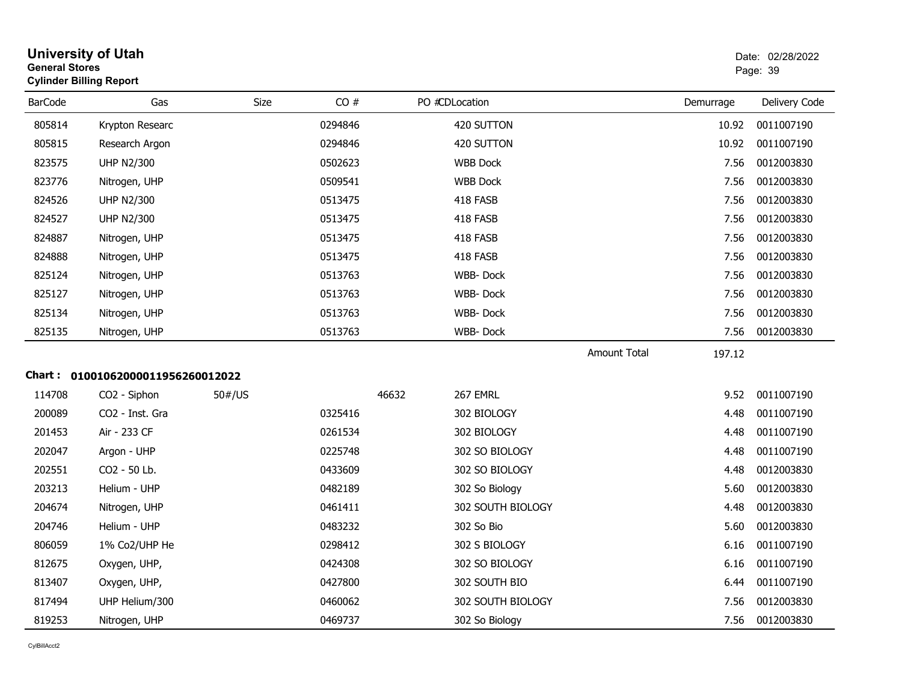| <b>University of Utah</b><br><b>General Stores</b><br><b>Cylinder Billing Report</b> |                                   |        |         |       |                   |                     |           | Date: 02/28/2022<br>Page: 39 |
|--------------------------------------------------------------------------------------|-----------------------------------|--------|---------|-------|-------------------|---------------------|-----------|------------------------------|
| <b>BarCode</b>                                                                       | Gas                               | Size   | CO#     |       | PO #CDLocation    |                     | Demurrage | Delivery Code                |
| 805814                                                                               | Krypton Researc                   |        | 0294846 |       | 420 SUTTON        |                     | 10.92     | 0011007190                   |
| 805815                                                                               | Research Argon                    |        | 0294846 |       | 420 SUTTON        |                     | 10.92     | 0011007190                   |
| 823575                                                                               | <b>UHP N2/300</b>                 |        | 0502623 |       | <b>WBB Dock</b>   |                     | 7.56      | 0012003830                   |
| 823776                                                                               | Nitrogen, UHP                     |        | 0509541 |       | <b>WBB Dock</b>   |                     | 7.56      | 0012003830                   |
| 824526                                                                               | <b>UHP N2/300</b>                 |        | 0513475 |       | 418 FASB          |                     | 7.56      | 0012003830                   |
| 824527                                                                               | <b>UHP N2/300</b>                 |        | 0513475 |       | 418 FASB          |                     | 7.56      | 0012003830                   |
| 824887                                                                               | Nitrogen, UHP                     |        | 0513475 |       | 418 FASB          |                     | 7.56      | 0012003830                   |
| 824888                                                                               | Nitrogen, UHP                     |        | 0513475 |       | 418 FASB          |                     | 7.56      | 0012003830                   |
| 825124                                                                               | Nitrogen, UHP                     |        | 0513763 |       | WBB-Dock          |                     | 7.56      | 0012003830                   |
| 825127                                                                               | Nitrogen, UHP                     |        | 0513763 |       | <b>WBB-Dock</b>   |                     | 7.56      | 0012003830                   |
| 825134                                                                               | Nitrogen, UHP                     |        | 0513763 |       | WBB-Dock          |                     | 7.56      | 0012003830                   |
| 825135                                                                               | Nitrogen, UHP                     |        | 0513763 |       | WBB-Dock          |                     | 7.56      | 0012003830                   |
|                                                                                      |                                   |        |         |       |                   | <b>Amount Total</b> | 197.12    |                              |
|                                                                                      | Chart: 01001062000011956260012022 |        |         |       |                   |                     |           |                              |
| 114708                                                                               | CO2 - Siphon                      | 50#/US |         | 46632 | 267 EMRL          |                     | 9.52      | 0011007190                   |
| 200089                                                                               | CO <sub>2</sub> - Inst. Gra       |        | 0325416 |       | 302 BIOLOGY       |                     | 4.48      | 0011007190                   |
| 201453                                                                               | Air - 233 CF                      |        | 0261534 |       | 302 BIOLOGY       |                     | 4.48      | 0011007190                   |
| 202047                                                                               | Argon - UHP                       |        | 0225748 |       | 302 SO BIOLOGY    |                     | 4.48      | 0011007190                   |
| 202551                                                                               | CO2 - 50 Lb.                      |        | 0433609 |       | 302 SO BIOLOGY    |                     | 4.48      | 0012003830                   |
| 203213                                                                               | Helium - UHP                      |        | 0482189 |       | 302 So Biology    |                     | 5.60      | 0012003830                   |
| 204674                                                                               | Nitrogen, UHP                     |        | 0461411 |       | 302 SOUTH BIOLOGY |                     | 4.48      | 0012003830                   |
| 204746                                                                               | Helium - UHP                      |        | 0483232 |       | 302 So Bio        |                     | 5.60      | 0012003830                   |
| 806059                                                                               | 1% Co2/UHP He                     |        | 0298412 |       | 302 S BIOLOGY     |                     | 6.16      | 0011007190                   |
| 812675                                                                               | Oxygen, UHP,                      |        | 0424308 |       | 302 SO BIOLOGY    |                     | 6.16      | 0011007190                   |
| 813407                                                                               | Oxygen, UHP,                      |        | 0427800 |       | 302 SOUTH BIO     |                     | 6.44      | 0011007190                   |
| 817494                                                                               | UHP Helium/300                    |        | 0460062 |       | 302 SOUTH BIOLOGY |                     | 7.56      | 0012003830                   |
| 819253                                                                               | Nitrogen, UHP                     |        | 0469737 |       | 302 So Biology    |                     | 7.56      | 0012003830                   |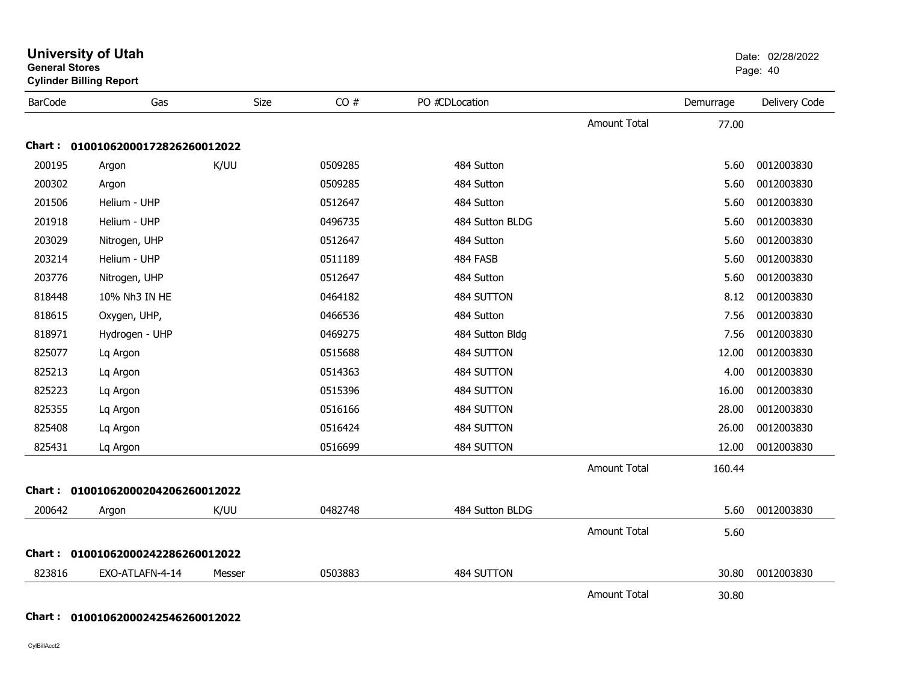| <b>General Stores</b> | <b>Cylinder Billing Report</b>    | Page: 40 |         |                 |                     |           |               |
|-----------------------|-----------------------------------|----------|---------|-----------------|---------------------|-----------|---------------|
| <b>BarCode</b>        | Gas                               | Size     | CO#     | PO #CDLocation  |                     | Demurrage | Delivery Code |
|                       |                                   |          |         |                 | <b>Amount Total</b> | 77.00     |               |
|                       | Chart: 01001062000172826260012022 |          |         |                 |                     |           |               |
| 200195                | Argon                             | K/UU     | 0509285 | 484 Sutton      |                     | 5.60      | 0012003830    |
| 200302                | Argon                             |          | 0509285 | 484 Sutton      |                     | 5.60      | 0012003830    |
| 201506                | Helium - UHP                      |          | 0512647 | 484 Sutton      |                     | 5.60      | 0012003830    |
| 201918                | Helium - UHP                      |          | 0496735 | 484 Sutton BLDG |                     | 5.60      | 0012003830    |
| 203029                | Nitrogen, UHP                     |          | 0512647 | 484 Sutton      |                     | 5.60      | 0012003830    |
| 203214                | Helium - UHP                      |          | 0511189 | 484 FASB        |                     | 5.60      | 0012003830    |
| 203776                | Nitrogen, UHP                     |          | 0512647 | 484 Sutton      |                     | 5.60      | 0012003830    |
| 818448                | 10% Nh3 IN HE                     |          | 0464182 | 484 SUTTON      |                     | 8.12      | 0012003830    |
| 818615                | Oxygen, UHP,                      |          | 0466536 | 484 Sutton      |                     | 7.56      | 0012003830    |
| 818971                | Hydrogen - UHP                    |          | 0469275 | 484 Sutton Bldg |                     | 7.56      | 0012003830    |
| 825077                | Lq Argon                          |          | 0515688 | 484 SUTTON      |                     | 12.00     | 0012003830    |
| 825213                | Lq Argon                          |          | 0514363 | 484 SUTTON      |                     | 4.00      | 0012003830    |
| 825223                | Lq Argon                          |          | 0515396 | 484 SUTTON      |                     | 16.00     | 0012003830    |
| 825355                | Lq Argon                          |          | 0516166 | 484 SUTTON      |                     | 28.00     | 0012003830    |
| 825408                | Lq Argon                          |          | 0516424 | 484 SUTTON      |                     | 26.00     | 0012003830    |
| 825431                | Lq Argon                          |          | 0516699 | 484 SUTTON      |                     | 12.00     | 0012003830    |
|                       |                                   |          |         |                 | <b>Amount Total</b> | 160.44    |               |
|                       | Chart: 01001062000204206260012022 |          |         |                 |                     |           |               |
| 200642                | Argon                             | K/UU     | 0482748 | 484 Sutton BLDG |                     | 5.60      | 0012003830    |
|                       |                                   |          |         |                 | <b>Amount Total</b> | 5.60      |               |
|                       | Chart: 01001062000242286260012022 |          |         |                 |                     |           |               |
| 823816                | EXO-ATLAFN-4-14                   | Messer   | 0503883 | 484 SUTTON      |                     | 30.80     | 0012003830    |
|                       |                                   |          |         |                 | Amount Total        | 30.80     |               |

### **Chart : 01001062000242546260012022**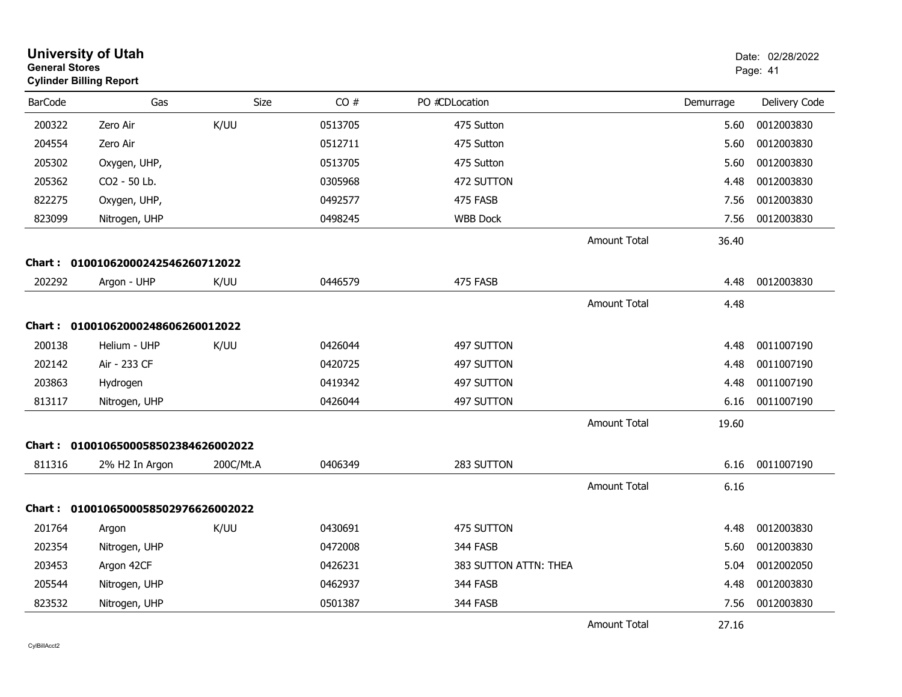| <b>General Stores</b> | <b>University of Utah</b><br><b>Cylinder Billing Report</b> |           |         |                       |                     |           | Date: 02/28/2022<br>Page: 41 |
|-----------------------|-------------------------------------------------------------|-----------|---------|-----------------------|---------------------|-----------|------------------------------|
| <b>BarCode</b>        | Gas                                                         | Size      | CO#     | PO #CDLocation        |                     | Demurrage | Delivery Code                |
| 200322                | Zero Air                                                    | K/UU      | 0513705 | 475 Sutton            |                     | 5.60      | 0012003830                   |
| 204554                | Zero Air                                                    |           | 0512711 | 475 Sutton            |                     | 5.60      | 0012003830                   |
| 205302                | Oxygen, UHP,                                                |           | 0513705 | 475 Sutton            |                     | 5.60      | 0012003830                   |
| 205362                | CO2 - 50 Lb.                                                |           | 0305968 | 472 SUTTON            |                     | 4.48      | 0012003830                   |
| 822275                | Oxygen, UHP,                                                |           | 0492577 | 475 FASB              |                     | 7.56      | 0012003830                   |
| 823099                | Nitrogen, UHP                                               |           | 0498245 | <b>WBB Dock</b>       |                     | 7.56      | 0012003830                   |
|                       |                                                             |           |         |                       | <b>Amount Total</b> | 36.40     |                              |
|                       | Chart: 01001062000242546260712022                           |           |         |                       |                     |           |                              |
| 202292                | Argon - UHP                                                 | K/UU      | 0446579 | 475 FASB              |                     | 4.48      | 0012003830                   |
|                       |                                                             |           |         |                       | <b>Amount Total</b> | 4.48      |                              |
|                       | Chart: 01001062000248606260012022                           |           |         |                       |                     |           |                              |
| 200138                | Helium - UHP                                                | K/UU      | 0426044 | 497 SUTTON            |                     | 4.48      | 0011007190                   |
| 202142                | Air - 233 CF                                                |           | 0420725 | 497 SUTTON            |                     | 4.48      | 0011007190                   |
| 203863                | Hydrogen                                                    |           | 0419342 | 497 SUTTON            |                     | 4.48      | 0011007190                   |
| 813117                | Nitrogen, UHP                                               |           | 0426044 | 497 SUTTON            |                     | 6.16      | 0011007190                   |
|                       |                                                             |           |         |                       | Amount Total        | 19.60     |                              |
|                       | Chart: 0100106500058502384626002022                         |           |         |                       |                     |           |                              |
| 811316                | 2% H2 In Argon                                              | 200C/Mt.A | 0406349 | 283 SUTTON            |                     | 6.16      | 0011007190                   |
|                       |                                                             |           |         |                       | Amount Total        | 6.16      |                              |
|                       | Chart: 0100106500058502976626002022                         |           |         |                       |                     |           |                              |
| 201764                | Argon                                                       | K/UU      | 0430691 | 475 SUTTON            |                     | 4.48      | 0012003830                   |
| 202354                | Nitrogen, UHP                                               |           | 0472008 | 344 FASB              |                     | 5.60      | 0012003830                   |
| 203453                | Argon 42CF                                                  |           | 0426231 | 383 SUTTON ATTN: THEA |                     | 5.04      | 0012002050                   |
| 205544                | Nitrogen, UHP                                               |           | 0462937 | 344 FASB              |                     | 4.48      | 0012003830                   |
| 823532                | Nitrogen, UHP                                               |           | 0501387 | 344 FASB              |                     | 7.56      | 0012003830                   |
|                       |                                                             |           |         |                       | Amount Total        | 27.16     |                              |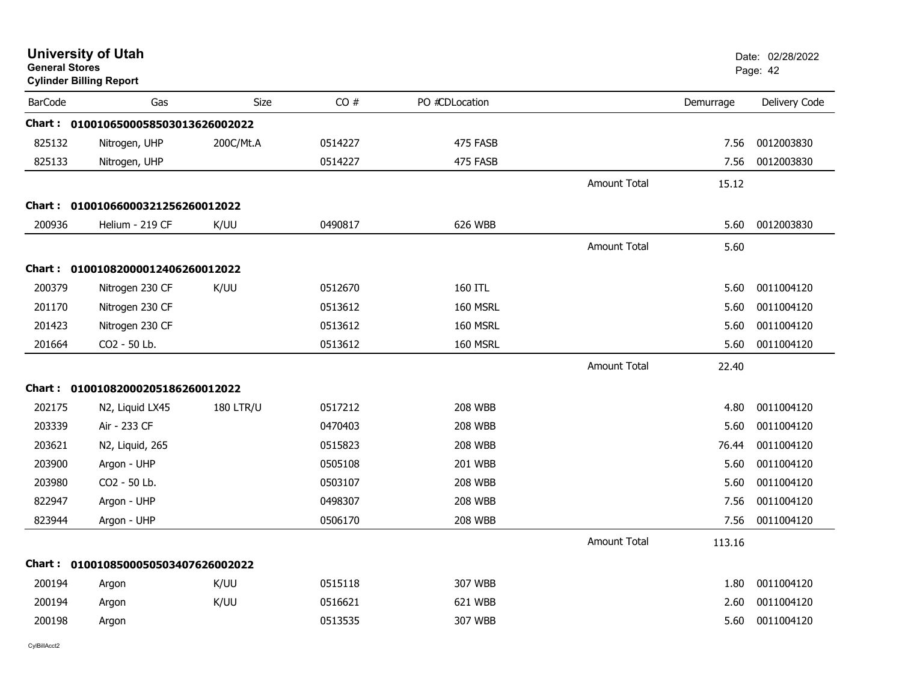| <b>General Stores</b> | <b>University of Utah</b><br><b>Cylinder Billing Report</b> |                  |         |                |                     |           | Date: 02/28/2022<br>Page: 42 |
|-----------------------|-------------------------------------------------------------|------------------|---------|----------------|---------------------|-----------|------------------------------|
| <b>BarCode</b>        | Gas                                                         | Size             | CO#     | PO #CDLocation |                     | Demurrage | Delivery Code                |
|                       | Chart: 0100106500058503013626002022                         |                  |         |                |                     |           |                              |
| 825132                | Nitrogen, UHP                                               | 200C/Mt.A        | 0514227 | 475 FASB       |                     | 7.56      | 0012003830                   |
| 825133                | Nitrogen, UHP                                               |                  | 0514227 | 475 FASB       |                     | 7.56      | 0012003830                   |
|                       |                                                             |                  |         |                | <b>Amount Total</b> | 15.12     |                              |
| Chart :               | 01001066000321256260012022                                  |                  |         |                |                     |           |                              |
| 200936                | Helium - 219 CF                                             | K/UU             | 0490817 | 626 WBB        |                     | 5.60      | 0012003830                   |
|                       |                                                             |                  |         |                | <b>Amount Total</b> | 5.60      |                              |
| Chart :               | 01001082000012406260012022                                  |                  |         |                |                     |           |                              |
| 200379                | Nitrogen 230 CF                                             | K/UU             | 0512670 | 160 ITL        |                     | 5.60      | 0011004120                   |
| 201170                | Nitrogen 230 CF                                             |                  | 0513612 | 160 MSRL       |                     | 5.60      | 0011004120                   |
| 201423                | Nitrogen 230 CF                                             |                  | 0513612 | 160 MSRL       |                     | 5.60      | 0011004120                   |
| 201664                | CO2 - 50 Lb.                                                |                  | 0513612 | 160 MSRL       |                     | 5.60      | 0011004120                   |
|                       |                                                             |                  |         |                | <b>Amount Total</b> | 22.40     |                              |
|                       | Chart: 01001082000205186260012022                           |                  |         |                |                     |           |                              |
| 202175                | N2, Liquid LX45                                             | <b>180 LTR/U</b> | 0517212 | <b>208 WBB</b> |                     | 4.80      | 0011004120                   |
| 203339                | Air - 233 CF                                                |                  | 0470403 | <b>208 WBB</b> |                     | 5.60      | 0011004120                   |
| 203621                | N2, Liquid, 265                                             |                  | 0515823 | <b>208 WBB</b> |                     | 76.44     | 0011004120                   |
| 203900                | Argon - UHP                                                 |                  | 0505108 | 201 WBB        |                     | 5.60      | 0011004120                   |
| 203980                | CO2 - 50 Lb.                                                |                  | 0503107 | <b>208 WBB</b> |                     | 5.60      | 0011004120                   |
| 822947                | Argon - UHP                                                 |                  | 0498307 | <b>208 WBB</b> |                     | 7.56      | 0011004120                   |
| 823944                | Argon - UHP                                                 |                  | 0506170 | <b>208 WBB</b> |                     | 7.56      | 0011004120                   |
|                       |                                                             |                  |         |                | <b>Amount Total</b> | 113.16    |                              |
| Chart :               | 0100108500050503407626002022                                |                  |         |                |                     |           |                              |
| 200194                | Argon                                                       | K/UU             | 0515118 | 307 WBB        |                     | 1.80      | 0011004120                   |
| 200194                | Argon                                                       | K/UU             | 0516621 | 621 WBB        |                     | 2.60      | 0011004120                   |
| 200198                | Argon                                                       |                  | 0513535 | 307 WBB        |                     | 5.60      | 0011004120                   |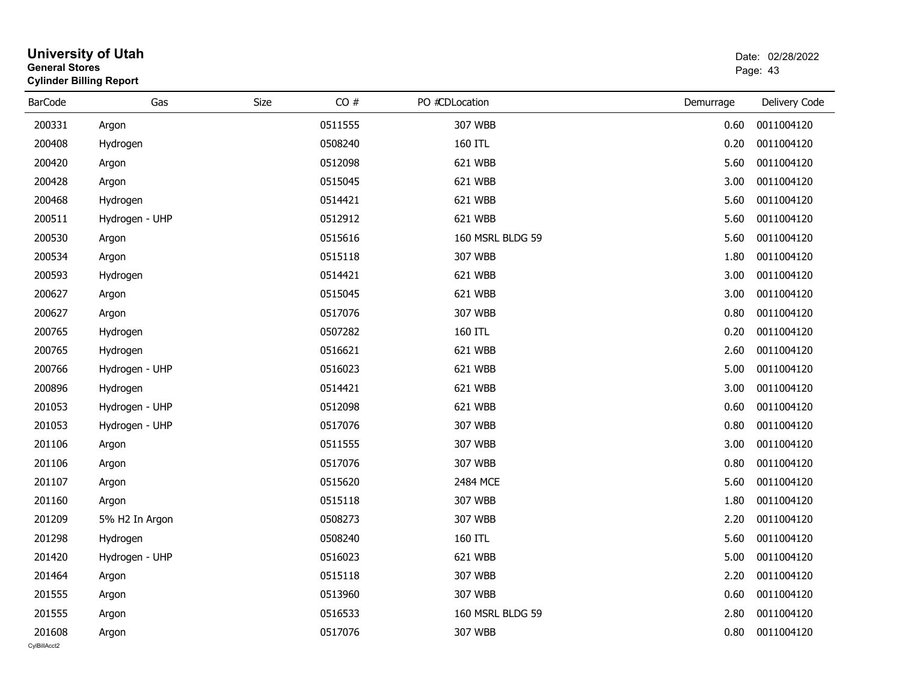| <b>General Stores</b> | <b>Cylinder Billing Report</b> |      |         |                  |           | Page: 43      |
|-----------------------|--------------------------------|------|---------|------------------|-----------|---------------|
| <b>BarCode</b>        | Gas                            | Size | CO#     | PO #CDLocation   | Demurrage | Delivery Code |
| 200331                | Argon                          |      | 0511555 | 307 WBB          | 0.60      | 0011004120    |
| 200408                | Hydrogen                       |      | 0508240 | 160 ITL          | 0.20      | 0011004120    |
| 200420                | Argon                          |      | 0512098 | 621 WBB          | 5.60      | 0011004120    |
| 200428                | Argon                          |      | 0515045 | 621 WBB          | 3.00      | 0011004120    |
| 200468                | Hydrogen                       |      | 0514421 | 621 WBB          | 5.60      | 0011004120    |
| 200511                | Hydrogen - UHP                 |      | 0512912 | 621 WBB          | 5.60      | 0011004120    |
| 200530                | Argon                          |      | 0515616 | 160 MSRL BLDG 59 | 5.60      | 0011004120    |
| 200534                | Argon                          |      | 0515118 | 307 WBB          | 1.80      | 0011004120    |
| 200593                | Hydrogen                       |      | 0514421 | 621 WBB          | 3.00      | 0011004120    |
| 200627                | Argon                          |      | 0515045 | 621 WBB          | 3.00      | 0011004120    |
| 200627                | Argon                          |      | 0517076 | 307 WBB          | 0.80      | 0011004120    |
| 200765                | Hydrogen                       |      | 0507282 | 160 ITL          | 0.20      | 0011004120    |
| 200765                | Hydrogen                       |      | 0516621 | 621 WBB          | 2.60      | 0011004120    |
| 200766                | Hydrogen - UHP                 |      | 0516023 | 621 WBB          | 5.00      | 0011004120    |
| 200896                | Hydrogen                       |      | 0514421 | 621 WBB          | 3.00      | 0011004120    |
| 201053                | Hydrogen - UHP                 |      | 0512098 | 621 WBB          | 0.60      | 0011004120    |
| 201053                | Hydrogen - UHP                 |      | 0517076 | 307 WBB          | 0.80      | 0011004120    |
| 201106                | Argon                          |      | 0511555 | 307 WBB          | 3.00      | 0011004120    |
| 201106                | Argon                          |      | 0517076 | 307 WBB          | 0.80      | 0011004120    |
| 201107                | Argon                          |      | 0515620 | 2484 MCE         | 5.60      | 0011004120    |
| 201160                | Argon                          |      | 0515118 | 307 WBB          | 1.80      | 0011004120    |
| 201209                | 5% H2 In Argon                 |      | 0508273 | 307 WBB          | 2.20      | 0011004120    |
| 201298                | Hydrogen                       |      | 0508240 | 160 ITL          | 5.60      | 0011004120    |
| 201420                | Hydrogen - UHP                 |      | 0516023 | 621 WBB          | 5.00      | 0011004120    |
| 201464                | Argon                          |      | 0515118 | 307 WBB          | 2.20      | 0011004120    |
| 201555                | Argon                          |      | 0513960 | 307 WBB          | 0.60      | 0011004120    |
| 201555                | Argon                          |      | 0516533 | 160 MSRL BLDG 59 | 2.80      | 0011004120    |
| 201608                | Argon                          |      | 0517076 | 307 WBB          | 0.80      | 0011004120    |
| CvIBillAcct2          |                                |      |         |                  |           |               |

## **University of Utah**  Date: 02/28/2022 **General Stores**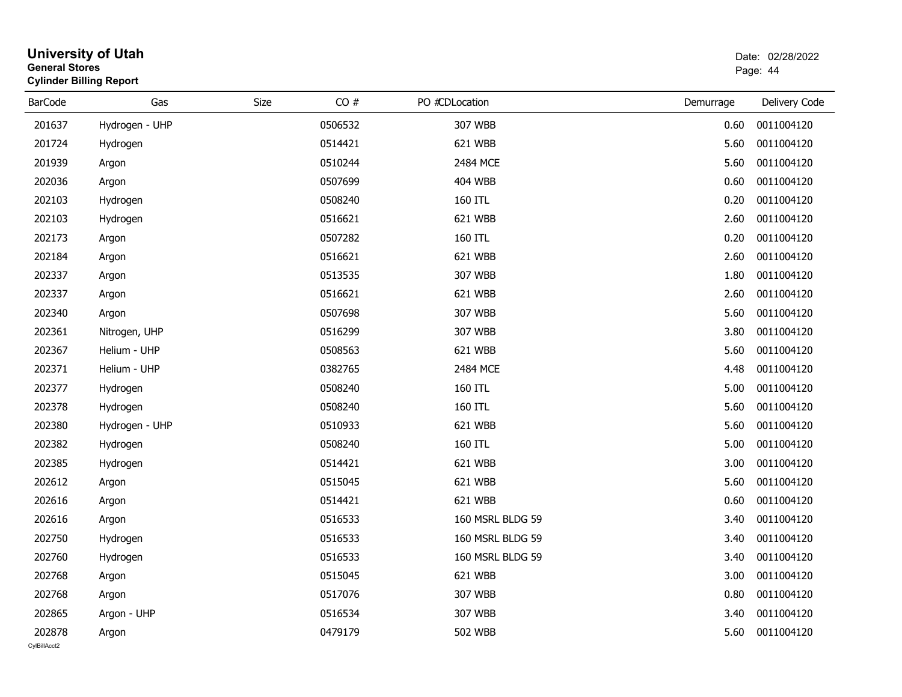| <b>General Stores</b>  | <b>Cylinder Billing Report</b> |      |         |                  |           | Page: 44      |
|------------------------|--------------------------------|------|---------|------------------|-----------|---------------|
| <b>BarCode</b>         | Gas                            | Size | CO#     | PO #CDLocation   | Demurrage | Delivery Code |
| 201637                 | Hydrogen - UHP                 |      | 0506532 | 307 WBB          | 0.60      | 0011004120    |
| 201724                 | Hydrogen                       |      | 0514421 | 621 WBB          | 5.60      | 0011004120    |
| 201939                 | Argon                          |      | 0510244 | 2484 MCE         | 5.60      | 0011004120    |
| 202036                 | Argon                          |      | 0507699 | <b>404 WBB</b>   | 0.60      | 0011004120    |
| 202103                 | Hydrogen                       |      | 0508240 | 160 ITL          | 0.20      | 0011004120    |
| 202103                 | Hydrogen                       |      | 0516621 | 621 WBB          | 2.60      | 0011004120    |
| 202173                 | Argon                          |      | 0507282 | 160 ITL          | 0.20      | 0011004120    |
| 202184                 | Argon                          |      | 0516621 | 621 WBB          | 2.60      | 0011004120    |
| 202337                 | Argon                          |      | 0513535 | 307 WBB          | 1.80      | 0011004120    |
| 202337                 | Argon                          |      | 0516621 | 621 WBB          | 2.60      | 0011004120    |
| 202340                 | Argon                          |      | 0507698 | 307 WBB          | 5.60      | 0011004120    |
| 202361                 | Nitrogen, UHP                  |      | 0516299 | 307 WBB          | 3.80      | 0011004120    |
| 202367                 | Helium - UHP                   |      | 0508563 | 621 WBB          | 5.60      | 0011004120    |
| 202371                 | Helium - UHP                   |      | 0382765 | 2484 MCE         | 4.48      | 0011004120    |
| 202377                 | Hydrogen                       |      | 0508240 | 160 ITL          | 5.00      | 0011004120    |
| 202378                 | Hydrogen                       |      | 0508240 | 160 ITL          | 5.60      | 0011004120    |
| 202380                 | Hydrogen - UHP                 |      | 0510933 | 621 WBB          | 5.60      | 0011004120    |
| 202382                 | Hydrogen                       |      | 0508240 | 160 ITL          | 5.00      | 0011004120    |
| 202385                 | Hydrogen                       |      | 0514421 | 621 WBB          | 3.00      | 0011004120    |
| 202612                 | Argon                          |      | 0515045 | 621 WBB          | 5.60      | 0011004120    |
| 202616                 | Argon                          |      | 0514421 | 621 WBB          | 0.60      | 0011004120    |
| 202616                 | Argon                          |      | 0516533 | 160 MSRL BLDG 59 | 3.40      | 0011004120    |
| 202750                 | Hydrogen                       |      | 0516533 | 160 MSRL BLDG 59 | 3.40      | 0011004120    |
| 202760                 | Hydrogen                       |      | 0516533 | 160 MSRL BLDG 59 | 3.40      | 0011004120    |
| 202768                 | Argon                          |      | 0515045 | 621 WBB          | 3.00      | 0011004120    |
| 202768                 | Argon                          |      | 0517076 | 307 WBB          | 0.80      | 0011004120    |
| 202865                 | Argon - UHP                    |      | 0516534 | 307 WBB          | 3.40      | 0011004120    |
| 202878<br>CylBillAcct2 | Argon                          |      | 0479179 | <b>502 WBB</b>   | 5.60      | 0011004120    |
|                        |                                |      |         |                  |           |               |

## **University of Utah** Date: 02/28/2022 **General Stores**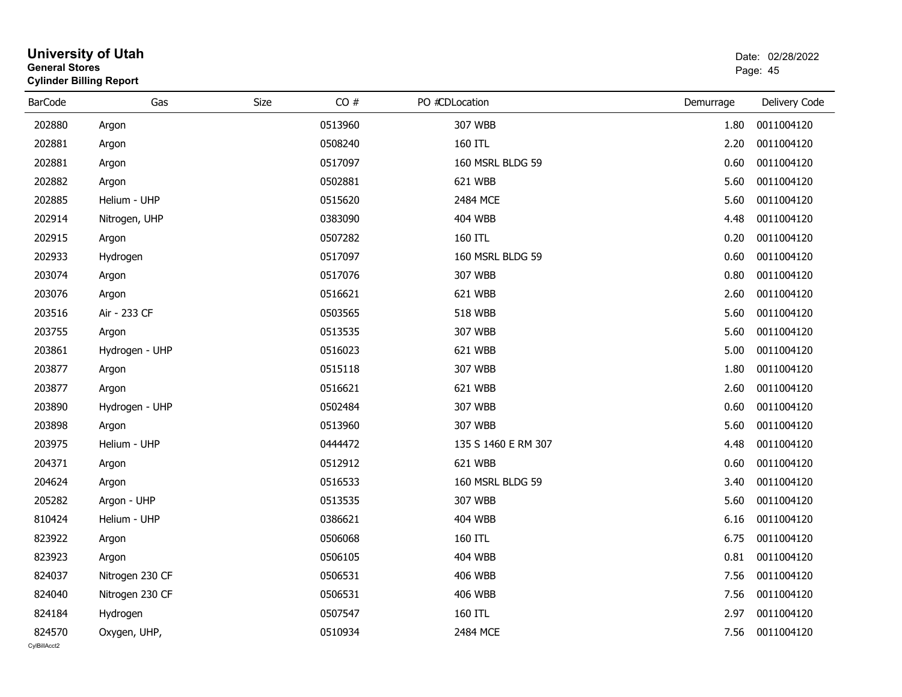| eneral Storesض | <b>Cylinder Billing Report</b> |      |         |                     |           | Page: 45      |
|----------------|--------------------------------|------|---------|---------------------|-----------|---------------|
| <b>BarCode</b> | Gas                            | Size | CO#     | PO #CDLocation      | Demurrage | Delivery Code |
| 202880         | Argon                          |      | 0513960 | 307 WBB             | 1.80      | 0011004120    |
| 202881         | Argon                          |      | 0508240 | 160 ITL             | 2.20      | 0011004120    |
| 202881         | Argon                          |      | 0517097 | 160 MSRL BLDG 59    | 0.60      | 0011004120    |
| 202882         | Argon                          |      | 0502881 | 621 WBB             | 5.60      | 0011004120    |
| 202885         | Helium - UHP                   |      | 0515620 | 2484 MCE            | 5.60      | 0011004120    |
| 202914         | Nitrogen, UHP                  |      | 0383090 | <b>404 WBB</b>      | 4.48      | 0011004120    |
| 202915         | Argon                          |      | 0507282 | 160 ITL             | 0.20      | 0011004120    |
| 202933         | Hydrogen                       |      | 0517097 | 160 MSRL BLDG 59    | 0.60      | 0011004120    |
| 203074         | Argon                          |      | 0517076 | 307 WBB             | 0.80      | 0011004120    |
| 203076         | Argon                          |      | 0516621 | 621 WBB             | 2.60      | 0011004120    |
| 203516         | Air - 233 CF                   |      | 0503565 | <b>518 WBB</b>      | 5.60      | 0011004120    |
| 203755         | Argon                          |      | 0513535 | 307 WBB             | 5.60      | 0011004120    |
| 203861         | Hydrogen - UHP                 |      | 0516023 | 621 WBB             | 5.00      | 0011004120    |
| 203877         | Argon                          |      | 0515118 | 307 WBB             | 1.80      | 0011004120    |
| 203877         | Argon                          |      | 0516621 | 621 WBB             | 2.60      | 0011004120    |
| 203890         | Hydrogen - UHP                 |      | 0502484 | 307 WBB             | 0.60      | 0011004120    |
| 203898         | Argon                          |      | 0513960 | 307 WBB             | 5.60      | 0011004120    |
| 203975         | Helium - UHP                   |      | 0444472 | 135 S 1460 E RM 307 | 4.48      | 0011004120    |
| 204371         | Argon                          |      | 0512912 | 621 WBB             | 0.60      | 0011004120    |
| 204624         | Argon                          |      | 0516533 | 160 MSRL BLDG 59    | 3.40      | 0011004120    |
| 205282         | Argon - UHP                    |      | 0513535 | 307 WBB             | 5.60      | 0011004120    |
| 810424         | Helium - UHP                   |      | 0386621 | 404 WBB             | 6.16      | 0011004120    |
| 823922         | Argon                          |      | 0506068 | 160 ITL             | 6.75      | 0011004120    |
| 823923         | Argon                          |      | 0506105 | <b>404 WBB</b>      | 0.81      | 0011004120    |
| 824037         | Nitrogen 230 CF                |      | 0506531 | 406 WBB             | 7.56      | 0011004120    |
| 824040         | Nitrogen 230 CF                |      | 0506531 | <b>406 WBB</b>      | 7.56      | 0011004120    |
| 824184         | Hydrogen                       |      | 0507547 | 160 ITL             | 2.97      | 0011004120    |
| 824570         | Oxygen, UHP,                   |      | 0510934 | 2484 MCE            | 7.56      | 0011004120    |

## **University of Utah** Date: 02/28/2022 **General Stores**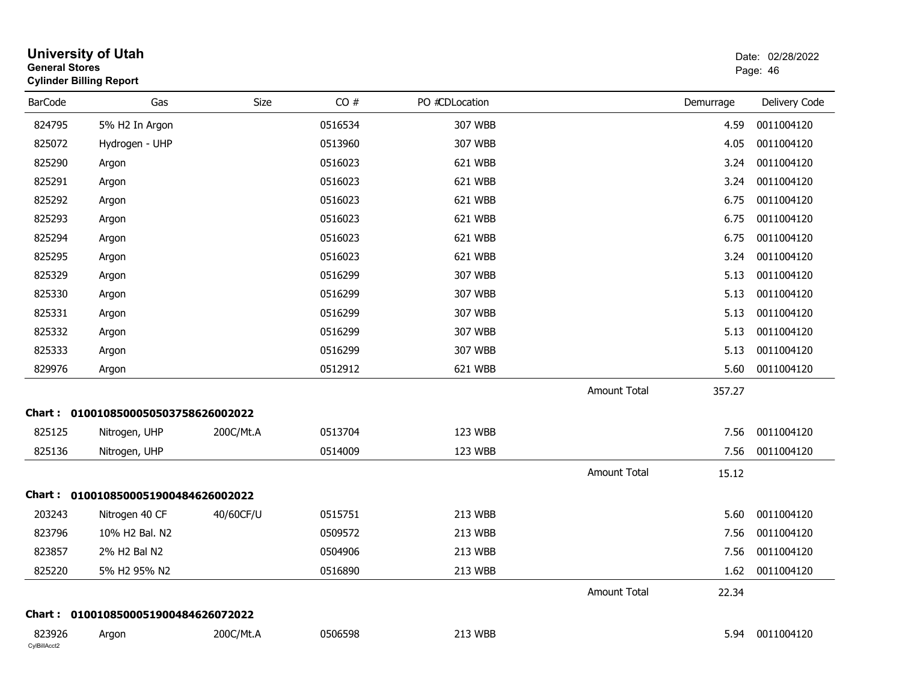| <b>General Stores</b>  | <b>University of Utah</b><br><b>Cylinder Billing Report</b> |           |         |                |                     |           | Date: 02/28/2022<br>Page: 46 |
|------------------------|-------------------------------------------------------------|-----------|---------|----------------|---------------------|-----------|------------------------------|
| <b>BarCode</b>         | Gas                                                         | Size      | CO#     | PO #CDLocation |                     | Demurrage | Delivery Code                |
| 824795                 | 5% H2 In Argon                                              |           | 0516534 | 307 WBB        |                     | 4.59      | 0011004120                   |
| 825072                 | Hydrogen - UHP                                              |           | 0513960 | 307 WBB        |                     | 4.05      | 0011004120                   |
| 825290                 | Argon                                                       |           | 0516023 | 621 WBB        |                     | 3.24      | 0011004120                   |
| 825291                 | Argon                                                       |           | 0516023 | 621 WBB        |                     | 3.24      | 0011004120                   |
| 825292                 | Argon                                                       |           | 0516023 | 621 WBB        |                     | 6.75      | 0011004120                   |
| 825293                 | Argon                                                       |           | 0516023 | 621 WBB        |                     | 6.75      | 0011004120                   |
| 825294                 | Argon                                                       |           | 0516023 | 621 WBB        |                     | 6.75      | 0011004120                   |
| 825295                 | Argon                                                       |           | 0516023 | 621 WBB        |                     | 3.24      | 0011004120                   |
| 825329                 | Argon                                                       |           | 0516299 | 307 WBB        |                     | 5.13      | 0011004120                   |
| 825330                 | Argon                                                       |           | 0516299 | 307 WBB        |                     | 5.13      | 0011004120                   |
| 825331                 | Argon                                                       |           | 0516299 | 307 WBB        |                     | 5.13      | 0011004120                   |
| 825332                 | Argon                                                       |           | 0516299 | 307 WBB        |                     | 5.13      | 0011004120                   |
| 825333                 | Argon                                                       |           | 0516299 | 307 WBB        |                     | 5.13      | 0011004120                   |
| 829976                 | Argon                                                       |           | 0512912 | 621 WBB        |                     | 5.60      | 0011004120                   |
|                        |                                                             |           |         |                | <b>Amount Total</b> | 357.27    |                              |
|                        | Chart: 0100108500050503758626002022                         |           |         |                |                     |           |                              |
| 825125                 | Nitrogen, UHP                                               | 200C/Mt.A | 0513704 | 123 WBB        |                     | 7.56      | 0011004120                   |
| 825136                 | Nitrogen, UHP                                               |           | 0514009 | 123 WBB        |                     | 7.56      | 0011004120                   |
|                        |                                                             |           |         |                | <b>Amount Total</b> | 15.12     |                              |
|                        | Chart: 0100108500051900484626002022                         |           |         |                |                     |           |                              |
| 203243                 | Nitrogen 40 CF                                              | 40/60CF/U | 0515751 | 213 WBB        |                     | 5.60      | 0011004120                   |
| 823796                 | 10% H2 Bal. N2                                              |           | 0509572 | 213 WBB        |                     | 7.56      | 0011004120                   |
| 823857                 | 2% H2 Bal N2                                                |           | 0504906 | 213 WBB        |                     | 7.56      | 0011004120                   |
| 825220                 | 5% H2 95% N2                                                |           | 0516890 | 213 WBB        |                     | 1.62      | 0011004120                   |
|                        |                                                             |           |         |                | Amount Total        | 22.34     |                              |
|                        | Chart: 0100108500051900484626072022                         |           |         |                |                     |           |                              |
| 823926<br>CylBillAcct2 | Argon                                                       | 200C/Mt.A | 0506598 | 213 WBB        |                     | 5.94      | 0011004120                   |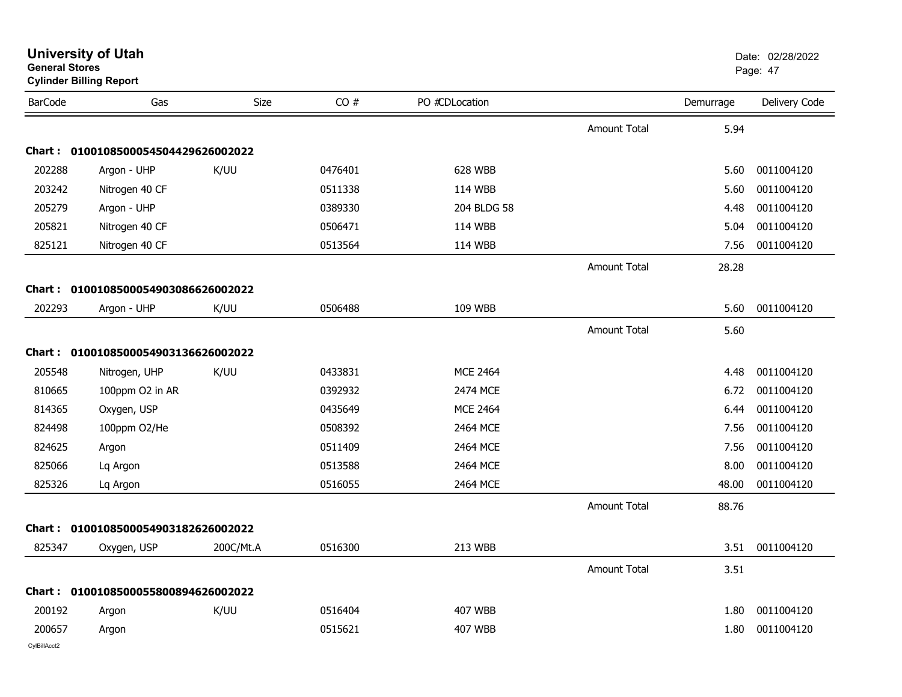| <b>General Stores</b> | <b>Cylinder Billing Report</b>      |           |         |                 |                     |           | Page: 47      |
|-----------------------|-------------------------------------|-----------|---------|-----------------|---------------------|-----------|---------------|
| <b>BarCode</b>        | Gas                                 | Size      | CO#     | PO #CDLocation  |                     | Demurrage | Delivery Code |
|                       |                                     |           |         |                 | Amount Total        | 5.94      |               |
|                       | Chart: 0100108500054504429626002022 |           |         |                 |                     |           |               |
| 202288                | Argon - UHP                         | K/UU      | 0476401 | 628 WBB         |                     | 5.60      | 0011004120    |
| 203242                | Nitrogen 40 CF                      |           | 0511338 | <b>114 WBB</b>  |                     | 5.60      | 0011004120    |
| 205279                | Argon - UHP                         |           | 0389330 | 204 BLDG 58     |                     | 4.48      | 0011004120    |
| 205821                | Nitrogen 40 CF                      |           | 0506471 | <b>114 WBB</b>  |                     | 5.04      | 0011004120    |
| 825121                | Nitrogen 40 CF                      |           | 0513564 | 114 WBB         |                     | 7.56      | 0011004120    |
|                       |                                     |           |         |                 | <b>Amount Total</b> | 28.28     |               |
|                       | Chart: 0100108500054903086626002022 |           |         |                 |                     |           |               |
| 202293                | Argon - UHP                         | K/UU      | 0506488 | 109 WBB         |                     | 5.60      | 0011004120    |
|                       |                                     |           |         |                 | Amount Total        | 5.60      |               |
|                       | Chart: 0100108500054903136626002022 |           |         |                 |                     |           |               |
| 205548                | Nitrogen, UHP                       | K/UU      | 0433831 | <b>MCE 2464</b> |                     | 4.48      | 0011004120    |
| 810665                | 100ppm O2 in AR                     |           | 0392932 | 2474 MCE        |                     | 6.72      | 0011004120    |
| 814365                | Oxygen, USP                         |           | 0435649 | <b>MCE 2464</b> |                     | 6.44      | 0011004120    |
| 824498                | 100ppm O2/He                        |           | 0508392 | 2464 MCE        |                     | 7.56      | 0011004120    |
| 824625                | Argon                               |           | 0511409 | 2464 MCE        |                     | 7.56      | 0011004120    |
| 825066                | Lq Argon                            |           | 0513588 | 2464 MCE        |                     | 8.00      | 0011004120    |
| 825326                | Lq Argon                            |           | 0516055 | 2464 MCE        |                     | 48.00     | 0011004120    |
|                       |                                     |           |         |                 | Amount Total        | 88.76     |               |
|                       | Chart: 0100108500054903182626002022 |           |         |                 |                     |           |               |
| 825347                | Oxygen, USP                         | 200C/Mt.A | 0516300 | 213 WBB         |                     | 3.51      | 0011004120    |
|                       |                                     |           |         |                 | <b>Amount Total</b> | 3.51      |               |
|                       | Chart: 0100108500055800894626002022 |           |         |                 |                     |           |               |
| 200192                | Argon                               | K/UU      | 0516404 | 407 WBB         |                     | 1.80      | 0011004120    |
| 200657                | Argon                               |           | 0515621 | <b>407 WBB</b>  |                     | 1.80      | 0011004120    |
| CvIBillAcct2          |                                     |           |         |                 |                     |           |               |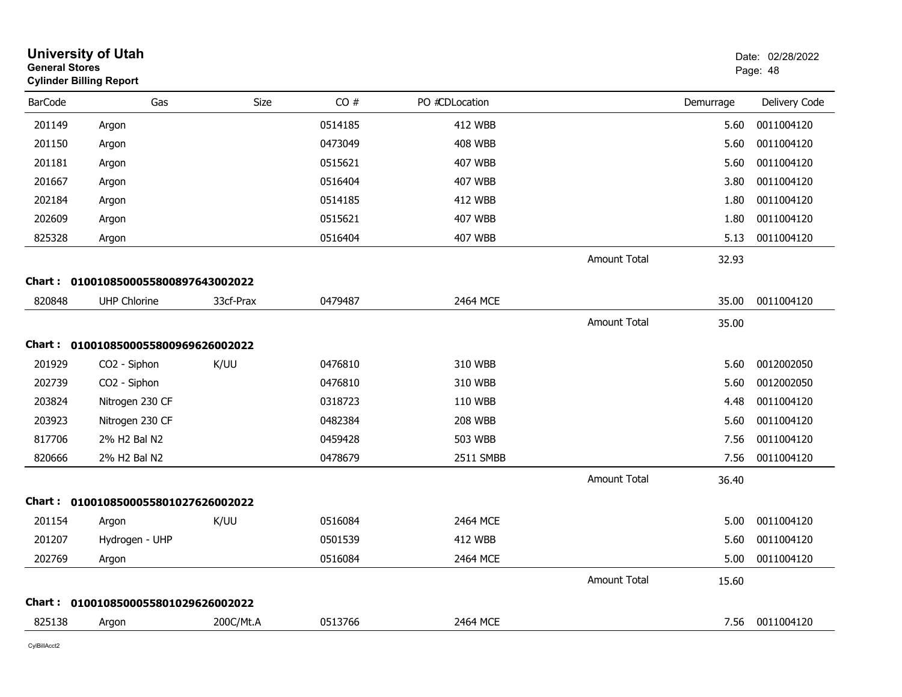| CO#<br>PO #CDLocation<br><b>BarCode</b><br>Gas<br>Size<br>Delivery Code<br>Demurrage<br>201149<br>0514185<br>0011004120<br>412 WBB<br>5.60<br>Argon<br>201150<br>0473049<br><b>408 WBB</b><br>0011004120<br>5.60<br>Argon<br>201181<br>0515621<br><b>407 WBB</b><br>0011004120<br>5.60<br>Argon<br>201667<br>0516404<br><b>407 WBB</b><br>0011004120<br>3.80<br>Argon<br>202184<br>0514185<br><b>412 WBB</b><br>0011004120<br>1.80<br>Argon<br>202609<br>0515621<br><b>407 WBB</b><br>1.80<br>0011004120<br>Argon<br>825328<br>0516404<br>407 WBB<br>0011004120<br>5.13<br>Argon<br><b>Amount Total</b><br>32.93<br>Chart: 0100108500055800897643002022<br>820848<br>33cf-Prax<br>2464 MCE<br>0011004120<br><b>UHP Chlorine</b><br>0479487<br>35.00<br><b>Amount Total</b><br>35.00<br>Chart: 0100108500055800969626002022<br>201929<br>K/UU<br>0476810<br>310 WBB<br>5.60<br>0012002050<br>CO2 - Siphon<br>202739<br>CO2 - Siphon<br>0476810<br>310 WBB<br>0012002050<br>5.60<br>203824<br>Nitrogen 230 CF<br>0318723<br>110 WBB<br>0011004120<br>4.48<br>203923<br>0482384<br><b>208 WBB</b><br>0011004120<br>Nitrogen 230 CF<br>5.60<br>817706<br>2% H2 Bal N2<br>0459428<br>503 WBB<br>0011004120<br>7.56<br>820666<br>2% H2 Bal N2<br>0478679<br>2511 SMBB<br>0011004120<br>7.56<br><b>Amount Total</b><br>36.40<br>Chart: 0100108500055801027626002022<br>201154<br>K/UU<br>0516084<br>2464 MCE<br>0011004120<br>5.00<br>Argon<br>201207<br><b>412 WBB</b><br>0011004120<br>Hydrogen - UHP<br>0501539<br>5.60<br>202769<br>0516084<br>2464 MCE<br>5.00<br>0011004120<br>Argon<br><b>Amount Total</b><br>15.60<br>Chart: 0100108500055801029626002022<br>825138<br>0513766<br>2464 MCE<br>0011004120<br>200C/Mt.A<br>7.56<br>Argon | <b>General Stores</b> | <b>University of Utah</b><br><b>Cylinder Billing Report</b> |  |  | Date: 02/28/2022<br>Page: 48 |
|-----------------------------------------------------------------------------------------------------------------------------------------------------------------------------------------------------------------------------------------------------------------------------------------------------------------------------------------------------------------------------------------------------------------------------------------------------------------------------------------------------------------------------------------------------------------------------------------------------------------------------------------------------------------------------------------------------------------------------------------------------------------------------------------------------------------------------------------------------------------------------------------------------------------------------------------------------------------------------------------------------------------------------------------------------------------------------------------------------------------------------------------------------------------------------------------------------------------------------------------------------------------------------------------------------------------------------------------------------------------------------------------------------------------------------------------------------------------------------------------------------------------------------------------------------------------------------------------------------------------------------------------------------------------------------------------------------------------------------------------|-----------------------|-------------------------------------------------------------|--|--|------------------------------|
|                                                                                                                                                                                                                                                                                                                                                                                                                                                                                                                                                                                                                                                                                                                                                                                                                                                                                                                                                                                                                                                                                                                                                                                                                                                                                                                                                                                                                                                                                                                                                                                                                                                                                                                                         |                       |                                                             |  |  |                              |
|                                                                                                                                                                                                                                                                                                                                                                                                                                                                                                                                                                                                                                                                                                                                                                                                                                                                                                                                                                                                                                                                                                                                                                                                                                                                                                                                                                                                                                                                                                                                                                                                                                                                                                                                         |                       |                                                             |  |  |                              |
|                                                                                                                                                                                                                                                                                                                                                                                                                                                                                                                                                                                                                                                                                                                                                                                                                                                                                                                                                                                                                                                                                                                                                                                                                                                                                                                                                                                                                                                                                                                                                                                                                                                                                                                                         |                       |                                                             |  |  |                              |
|                                                                                                                                                                                                                                                                                                                                                                                                                                                                                                                                                                                                                                                                                                                                                                                                                                                                                                                                                                                                                                                                                                                                                                                                                                                                                                                                                                                                                                                                                                                                                                                                                                                                                                                                         |                       |                                                             |  |  |                              |
|                                                                                                                                                                                                                                                                                                                                                                                                                                                                                                                                                                                                                                                                                                                                                                                                                                                                                                                                                                                                                                                                                                                                                                                                                                                                                                                                                                                                                                                                                                                                                                                                                                                                                                                                         |                       |                                                             |  |  |                              |
|                                                                                                                                                                                                                                                                                                                                                                                                                                                                                                                                                                                                                                                                                                                                                                                                                                                                                                                                                                                                                                                                                                                                                                                                                                                                                                                                                                                                                                                                                                                                                                                                                                                                                                                                         |                       |                                                             |  |  |                              |
|                                                                                                                                                                                                                                                                                                                                                                                                                                                                                                                                                                                                                                                                                                                                                                                                                                                                                                                                                                                                                                                                                                                                                                                                                                                                                                                                                                                                                                                                                                                                                                                                                                                                                                                                         |                       |                                                             |  |  |                              |
|                                                                                                                                                                                                                                                                                                                                                                                                                                                                                                                                                                                                                                                                                                                                                                                                                                                                                                                                                                                                                                                                                                                                                                                                                                                                                                                                                                                                                                                                                                                                                                                                                                                                                                                                         |                       |                                                             |  |  |                              |
|                                                                                                                                                                                                                                                                                                                                                                                                                                                                                                                                                                                                                                                                                                                                                                                                                                                                                                                                                                                                                                                                                                                                                                                                                                                                                                                                                                                                                                                                                                                                                                                                                                                                                                                                         |                       |                                                             |  |  |                              |
|                                                                                                                                                                                                                                                                                                                                                                                                                                                                                                                                                                                                                                                                                                                                                                                                                                                                                                                                                                                                                                                                                                                                                                                                                                                                                                                                                                                                                                                                                                                                                                                                                                                                                                                                         |                       |                                                             |  |  |                              |
|                                                                                                                                                                                                                                                                                                                                                                                                                                                                                                                                                                                                                                                                                                                                                                                                                                                                                                                                                                                                                                                                                                                                                                                                                                                                                                                                                                                                                                                                                                                                                                                                                                                                                                                                         |                       |                                                             |  |  |                              |
|                                                                                                                                                                                                                                                                                                                                                                                                                                                                                                                                                                                                                                                                                                                                                                                                                                                                                                                                                                                                                                                                                                                                                                                                                                                                                                                                                                                                                                                                                                                                                                                                                                                                                                                                         |                       |                                                             |  |  |                              |
|                                                                                                                                                                                                                                                                                                                                                                                                                                                                                                                                                                                                                                                                                                                                                                                                                                                                                                                                                                                                                                                                                                                                                                                                                                                                                                                                                                                                                                                                                                                                                                                                                                                                                                                                         |                       |                                                             |  |  |                              |
|                                                                                                                                                                                                                                                                                                                                                                                                                                                                                                                                                                                                                                                                                                                                                                                                                                                                                                                                                                                                                                                                                                                                                                                                                                                                                                                                                                                                                                                                                                                                                                                                                                                                                                                                         |                       |                                                             |  |  |                              |
|                                                                                                                                                                                                                                                                                                                                                                                                                                                                                                                                                                                                                                                                                                                                                                                                                                                                                                                                                                                                                                                                                                                                                                                                                                                                                                                                                                                                                                                                                                                                                                                                                                                                                                                                         |                       |                                                             |  |  |                              |
|                                                                                                                                                                                                                                                                                                                                                                                                                                                                                                                                                                                                                                                                                                                                                                                                                                                                                                                                                                                                                                                                                                                                                                                                                                                                                                                                                                                                                                                                                                                                                                                                                                                                                                                                         |                       |                                                             |  |  |                              |
|                                                                                                                                                                                                                                                                                                                                                                                                                                                                                                                                                                                                                                                                                                                                                                                                                                                                                                                                                                                                                                                                                                                                                                                                                                                                                                                                                                                                                                                                                                                                                                                                                                                                                                                                         |                       |                                                             |  |  |                              |
|                                                                                                                                                                                                                                                                                                                                                                                                                                                                                                                                                                                                                                                                                                                                                                                                                                                                                                                                                                                                                                                                                                                                                                                                                                                                                                                                                                                                                                                                                                                                                                                                                                                                                                                                         |                       |                                                             |  |  |                              |
|                                                                                                                                                                                                                                                                                                                                                                                                                                                                                                                                                                                                                                                                                                                                                                                                                                                                                                                                                                                                                                                                                                                                                                                                                                                                                                                                                                                                                                                                                                                                                                                                                                                                                                                                         |                       |                                                             |  |  |                              |
|                                                                                                                                                                                                                                                                                                                                                                                                                                                                                                                                                                                                                                                                                                                                                                                                                                                                                                                                                                                                                                                                                                                                                                                                                                                                                                                                                                                                                                                                                                                                                                                                                                                                                                                                         |                       |                                                             |  |  |                              |
|                                                                                                                                                                                                                                                                                                                                                                                                                                                                                                                                                                                                                                                                                                                                                                                                                                                                                                                                                                                                                                                                                                                                                                                                                                                                                                                                                                                                                                                                                                                                                                                                                                                                                                                                         |                       |                                                             |  |  |                              |
|                                                                                                                                                                                                                                                                                                                                                                                                                                                                                                                                                                                                                                                                                                                                                                                                                                                                                                                                                                                                                                                                                                                                                                                                                                                                                                                                                                                                                                                                                                                                                                                                                                                                                                                                         |                       |                                                             |  |  |                              |
|                                                                                                                                                                                                                                                                                                                                                                                                                                                                                                                                                                                                                                                                                                                                                                                                                                                                                                                                                                                                                                                                                                                                                                                                                                                                                                                                                                                                                                                                                                                                                                                                                                                                                                                                         |                       |                                                             |  |  |                              |
|                                                                                                                                                                                                                                                                                                                                                                                                                                                                                                                                                                                                                                                                                                                                                                                                                                                                                                                                                                                                                                                                                                                                                                                                                                                                                                                                                                                                                                                                                                                                                                                                                                                                                                                                         |                       |                                                             |  |  |                              |
|                                                                                                                                                                                                                                                                                                                                                                                                                                                                                                                                                                                                                                                                                                                                                                                                                                                                                                                                                                                                                                                                                                                                                                                                                                                                                                                                                                                                                                                                                                                                                                                                                                                                                                                                         |                       |                                                             |  |  |                              |
|                                                                                                                                                                                                                                                                                                                                                                                                                                                                                                                                                                                                                                                                                                                                                                                                                                                                                                                                                                                                                                                                                                                                                                                                                                                                                                                                                                                                                                                                                                                                                                                                                                                                                                                                         |                       |                                                             |  |  |                              |
|                                                                                                                                                                                                                                                                                                                                                                                                                                                                                                                                                                                                                                                                                                                                                                                                                                                                                                                                                                                                                                                                                                                                                                                                                                                                                                                                                                                                                                                                                                                                                                                                                                                                                                                                         |                       |                                                             |  |  |                              |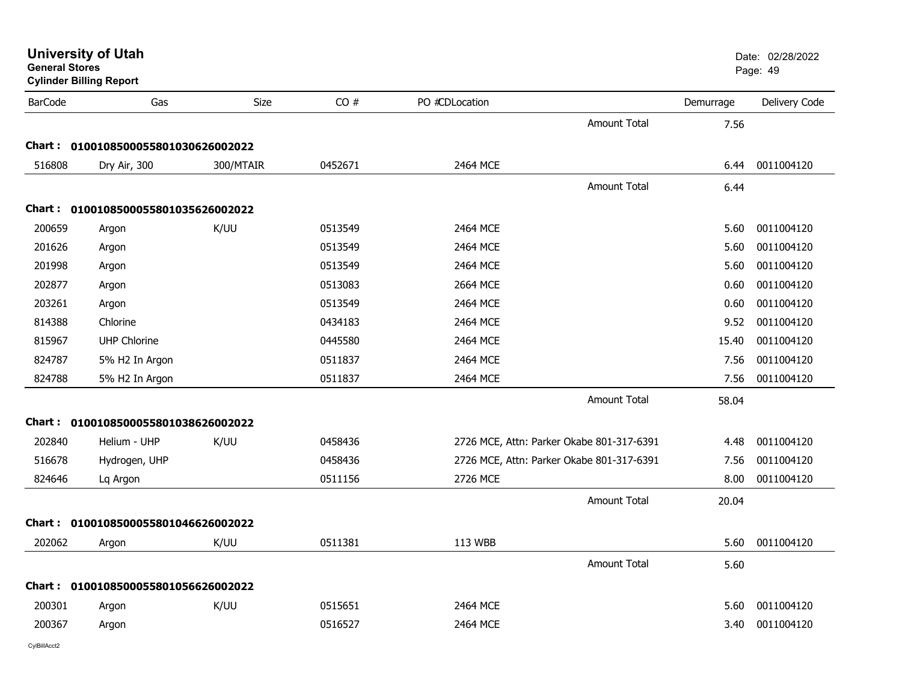| General Stores | <b>Cylinder Billing Report</b>      |             |         |                |                                           |           | Page: 49      |
|----------------|-------------------------------------|-------------|---------|----------------|-------------------------------------------|-----------|---------------|
| <b>BarCode</b> | Gas                                 | <b>Size</b> | CO#     | PO #CDLocation |                                           | Demurrage | Delivery Code |
|                |                                     |             |         |                | <b>Amount Total</b>                       | 7.56      |               |
|                | Chart: 0100108500055801030626002022 |             |         |                |                                           |           |               |
| 516808         | Dry Air, 300                        | 300/MTAIR   | 0452671 | 2464 MCE       |                                           | 6.44      | 0011004120    |
|                |                                     |             |         |                | <b>Amount Total</b>                       | 6.44      |               |
|                | Chart: 0100108500055801035626002022 |             |         |                |                                           |           |               |
| 200659         | Argon                               | K/UU        | 0513549 | 2464 MCE       |                                           | 5.60      | 0011004120    |
| 201626         | Argon                               |             | 0513549 | 2464 MCE       |                                           | 5.60      | 0011004120    |
| 201998         | Argon                               |             | 0513549 | 2464 MCE       |                                           | 5.60      | 0011004120    |
| 202877         | Argon                               |             | 0513083 | 2664 MCE       |                                           | 0.60      | 0011004120    |
| 203261         | Argon                               |             | 0513549 | 2464 MCE       |                                           | 0.60      | 0011004120    |
| 814388         | Chlorine                            |             | 0434183 | 2464 MCE       |                                           | 9.52      | 0011004120    |
| 815967         | <b>UHP Chlorine</b>                 |             | 0445580 | 2464 MCE       |                                           | 15.40     | 0011004120    |
| 824787         | 5% H2 In Argon                      |             | 0511837 | 2464 MCE       |                                           | 7.56      | 0011004120    |
| 824788         | 5% H2 In Argon                      |             | 0511837 | 2464 MCE       |                                           | 7.56      | 0011004120    |
|                |                                     |             |         |                | <b>Amount Total</b>                       | 58.04     |               |
|                | Chart: 0100108500055801038626002022 |             |         |                |                                           |           |               |
| 202840         | Helium - UHP                        | K/UU        | 0458436 |                | 2726 MCE, Attn: Parker Okabe 801-317-6391 | 4.48      | 0011004120    |
| 516678         | Hydrogen, UHP                       |             | 0458436 |                | 2726 MCE, Attn: Parker Okabe 801-317-6391 | 7.56      | 0011004120    |
| 824646         | Lq Argon                            |             | 0511156 | 2726 MCE       |                                           | 8.00      | 0011004120    |
|                |                                     |             |         |                | <b>Amount Total</b>                       | 20.04     |               |
|                | Chart: 0100108500055801046626002022 |             |         |                |                                           |           |               |
| 202062         | Argon                               | K/UU        | 0511381 | 113 WBB        |                                           | 5.60      | 0011004120    |
|                |                                     |             |         |                | <b>Amount Total</b>                       | 5.60      |               |
|                | Chart: 0100108500055801056626002022 |             |         |                |                                           |           |               |
| 200301         | Argon                               | K/UU        | 0515651 | 2464 MCE       |                                           | 5.60      | 0011004120    |
| 200367         | Argon                               |             | 0516527 | 2464 MCE       |                                           | 3.40      | 0011004120    |
|                |                                     |             |         |                |                                           |           |               |

**General Stores**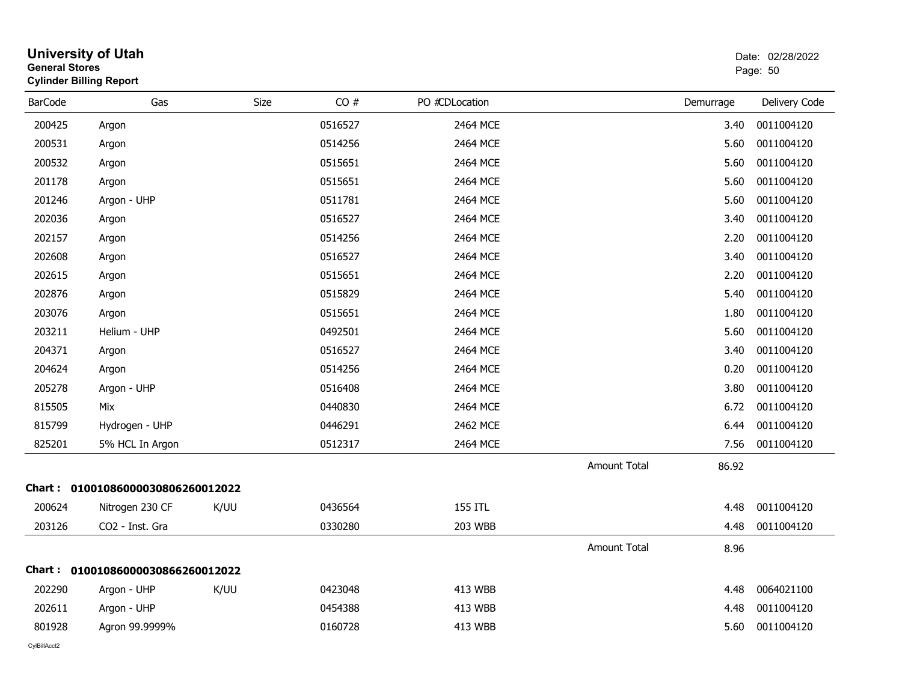| <b>General Stores</b> | <b>University of Utah</b><br><b>Cylinder Billing Report</b> |      |         |                |                     |           | Date: 02/28/2022<br>Page: 50 |
|-----------------------|-------------------------------------------------------------|------|---------|----------------|---------------------|-----------|------------------------------|
| <b>BarCode</b>        | Gas                                                         | Size | CO#     | PO #CDLocation |                     | Demurrage | Delivery Code                |
| 200425                | Argon                                                       |      | 0516527 | 2464 MCE       |                     | 3.40      | 0011004120                   |
| 200531                | Argon                                                       |      | 0514256 | 2464 MCE       |                     | 5.60      | 0011004120                   |
| 200532                | Argon                                                       |      | 0515651 | 2464 MCE       |                     | 5.60      | 0011004120                   |
| 201178                | Argon                                                       |      | 0515651 | 2464 MCE       |                     | 5.60      | 0011004120                   |
| 201246                | Argon - UHP                                                 |      | 0511781 | 2464 MCE       |                     | 5.60      | 0011004120                   |
| 202036                | Argon                                                       |      | 0516527 | 2464 MCE       |                     | 3.40      | 0011004120                   |
| 202157                | Argon                                                       |      | 0514256 | 2464 MCE       |                     | 2.20      | 0011004120                   |
| 202608                | Argon                                                       |      | 0516527 | 2464 MCE       |                     | 3.40      | 0011004120                   |
| 202615                | Argon                                                       |      | 0515651 | 2464 MCE       |                     | 2.20      | 0011004120                   |
| 202876                | Argon                                                       |      | 0515829 | 2464 MCE       |                     | 5.40      | 0011004120                   |
| 203076                | Argon                                                       |      | 0515651 | 2464 MCE       |                     | 1.80      | 0011004120                   |
| 203211                | Helium - UHP                                                |      | 0492501 | 2464 MCE       |                     | 5.60      | 0011004120                   |
| 204371                | Argon                                                       |      | 0516527 | 2464 MCE       |                     | 3.40      | 0011004120                   |
| 204624                | Argon                                                       |      | 0514256 | 2464 MCE       |                     | 0.20      | 0011004120                   |
| 205278                | Argon - UHP                                                 |      | 0516408 | 2464 MCE       |                     | 3.80      | 0011004120                   |
| 815505                | Mix                                                         |      | 0440830 | 2464 MCE       |                     | 6.72      | 0011004120                   |
| 815799                | Hydrogen - UHP                                              |      | 0446291 | 2462 MCE       |                     | 6.44      | 0011004120                   |
| 825201                | 5% HCL In Argon                                             |      | 0512317 | 2464 MCE       |                     | 7.56      | 0011004120                   |
|                       |                                                             |      |         |                | <b>Amount Total</b> | 86.92     |                              |
|                       | Chart: 01001086000030806260012022                           |      |         |                |                     |           |                              |
| 200624                | Nitrogen 230 CF                                             | K/UU | 0436564 | 155 ITL        |                     | 4.48      | 0011004120                   |
| 203126                | CO2 - Inst. Gra                                             |      | 0330280 | <b>203 WBB</b> |                     | 4.48      | 0011004120                   |
|                       |                                                             |      |         |                | <b>Amount Total</b> | 8.96      |                              |
|                       | Chart: 01001086000030866260012022                           |      |         |                |                     |           |                              |
| 202290                | Argon - UHP                                                 | K/UU | 0423048 | <b>413 WBB</b> |                     | 4.48      | 0064021100                   |
| 202611                | Argon - UHP                                                 |      | 0454388 | <b>413 WBB</b> |                     | 4.48      | 0011004120                   |
| 801928                | Agron 99.9999%                                              |      | 0160728 | 413 WBB        |                     | 5.60      | 0011004120                   |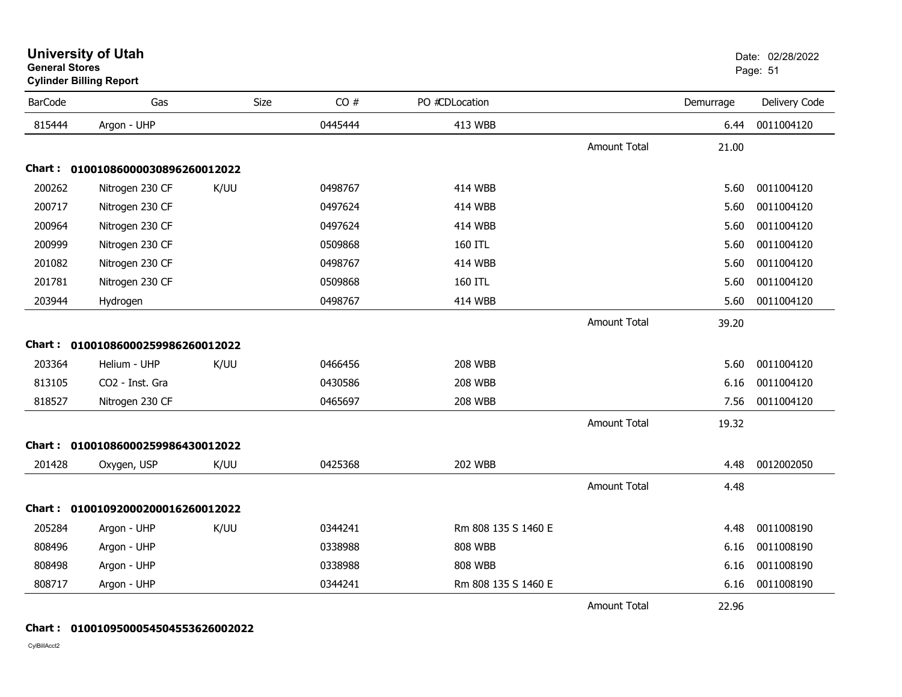| <b>BarCode</b> | Gas                               | Size | CO#     | PO #CDLocation      |                     | Demurrage | Delivery Code |
|----------------|-----------------------------------|------|---------|---------------------|---------------------|-----------|---------------|
| 815444         | Argon - UHP                       |      | 0445444 | 413 WBB             |                     | 6.44      | 0011004120    |
|                |                                   |      |         |                     | <b>Amount Total</b> | 21.00     |               |
|                | Chart: 01001086000030896260012022 |      |         |                     |                     |           |               |
| 200262         | Nitrogen 230 CF                   | K/UU | 0498767 | <b>414 WBB</b>      |                     | 5.60      | 0011004120    |
| 200717         | Nitrogen 230 CF                   |      | 0497624 | <b>414 WBB</b>      |                     | 5.60      | 0011004120    |
| 200964         | Nitrogen 230 CF                   |      | 0497624 | <b>414 WBB</b>      |                     | 5.60      | 0011004120    |
| 200999         | Nitrogen 230 CF                   |      | 0509868 | 160 ITL             |                     | 5.60      | 0011004120    |
| 201082         | Nitrogen 230 CF                   |      | 0498767 | <b>414 WBB</b>      |                     | 5.60      | 0011004120    |
| 201781         | Nitrogen 230 CF                   |      | 0509868 | 160 ITL             |                     | 5.60      | 0011004120    |
| 203944         | Hydrogen                          |      | 0498767 | <b>414 WBB</b>      |                     | 5.60      | 0011004120    |
|                |                                   |      |         |                     | <b>Amount Total</b> | 39.20     |               |
| Chart:         | 01001086000259986260012022        |      |         |                     |                     |           |               |
| 203364         | Helium - UHP                      | K/UU | 0466456 | <b>208 WBB</b>      |                     | 5.60      | 0011004120    |
| 813105         | CO2 - Inst. Gra                   |      | 0430586 | <b>208 WBB</b>      |                     | 6.16      | 0011004120    |
| 818527         | Nitrogen 230 CF                   |      | 0465697 | <b>208 WBB</b>      |                     | 7.56      | 0011004120    |
|                |                                   |      |         |                     | <b>Amount Total</b> | 19.32     |               |
|                | Chart: 01001086000259986430012022 |      |         |                     |                     |           |               |
| 201428         | Oxygen, USP                       | K/UU | 0425368 | <b>202 WBB</b>      |                     | 4.48      | 0012002050    |
|                |                                   |      |         |                     | <b>Amount Total</b> | 4.48      |               |
| Chart :        | 01001092000200016260012022        |      |         |                     |                     |           |               |
| 205284         | Argon - UHP                       | K/UU | 0344241 | Rm 808 135 S 1460 E |                     | 4.48      | 0011008190    |
| 808496         | Argon - UHP                       |      | 0338988 | <b>808 WBB</b>      |                     | 6.16      | 0011008190    |
| 808498         | Argon - UHP                       |      | 0338988 | <b>808 WBB</b>      |                     | 6.16      | 0011008190    |
| 808717         | Argon - UHP                       |      | 0344241 | Rm 808 135 S 1460 E |                     | 6.16      | 0011008190    |
|                |                                   |      |         |                     | <b>Amount Total</b> | 22.96     |               |

## **Chart : 0100109500054504553626002022**

CylBillAcct2

#### **University of Utah** Date: 02/28/2022 **General Stores**s and the contract of the contract of the contract of the contract of the contract of the contract of the contract of the contract of the contract of the contract of the contract of the contract of the contract of the cont **Cylinder Billing Report**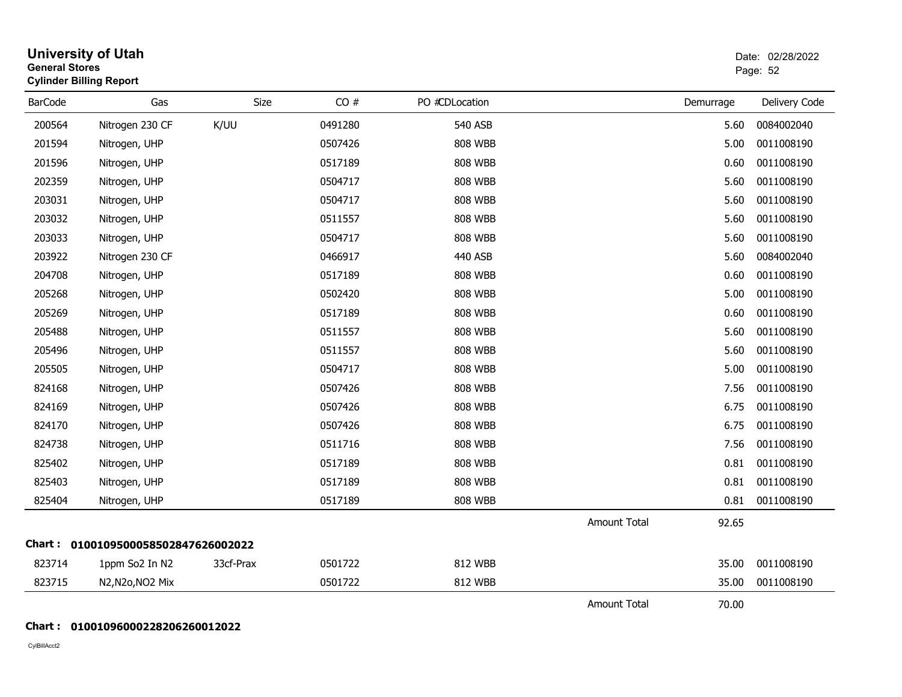| <b>General Stores</b> | <b>University of Utah</b><br><b>Cylinder Billing Report</b> |           |         |                |                     |           | Date: 02/28/2022<br>Page: 52 |
|-----------------------|-------------------------------------------------------------|-----------|---------|----------------|---------------------|-----------|------------------------------|
| <b>BarCode</b>        | Gas                                                         | Size      | CO#     | PO #CDLocation |                     | Demurrage | Delivery Code                |
| 200564                | Nitrogen 230 CF                                             | K/UU      | 0491280 | 540 ASB        |                     | 5.60      | 0084002040                   |
| 201594                | Nitrogen, UHP                                               |           | 0507426 | <b>808 WBB</b> |                     | 5.00      | 0011008190                   |
| 201596                | Nitrogen, UHP                                               |           | 0517189 | <b>808 WBB</b> |                     | 0.60      | 0011008190                   |
| 202359                | Nitrogen, UHP                                               |           | 0504717 | <b>808 WBB</b> |                     | 5.60      | 0011008190                   |
| 203031                | Nitrogen, UHP                                               |           | 0504717 | <b>808 WBB</b> |                     | 5.60      | 0011008190                   |
| 203032                | Nitrogen, UHP                                               |           | 0511557 | <b>808 WBB</b> |                     | 5.60      | 0011008190                   |
| 203033                | Nitrogen, UHP                                               |           | 0504717 | <b>808 WBB</b> |                     | 5.60      | 0011008190                   |
| 203922                | Nitrogen 230 CF                                             |           | 0466917 | 440 ASB        |                     | 5.60      | 0084002040                   |
| 204708                | Nitrogen, UHP                                               |           | 0517189 | <b>808 WBB</b> |                     | 0.60      | 0011008190                   |
| 205268                | Nitrogen, UHP                                               |           | 0502420 | <b>808 WBB</b> |                     | 5.00      | 0011008190                   |
| 205269                | Nitrogen, UHP                                               |           | 0517189 | <b>808 WBB</b> |                     | 0.60      | 0011008190                   |
| 205488                | Nitrogen, UHP                                               |           | 0511557 | <b>808 WBB</b> |                     | 5.60      | 0011008190                   |
| 205496                | Nitrogen, UHP                                               |           | 0511557 | <b>808 WBB</b> |                     | 5.60      | 0011008190                   |
| 205505                | Nitrogen, UHP                                               |           | 0504717 | <b>808 WBB</b> |                     | 5.00      | 0011008190                   |
| 824168                | Nitrogen, UHP                                               |           | 0507426 | <b>808 WBB</b> |                     | 7.56      | 0011008190                   |
| 824169                | Nitrogen, UHP                                               |           | 0507426 | <b>808 WBB</b> |                     | 6.75      | 0011008190                   |
| 824170                | Nitrogen, UHP                                               |           | 0507426 | <b>808 WBB</b> |                     | 6.75      | 0011008190                   |
| 824738                | Nitrogen, UHP                                               |           | 0511716 | <b>808 WBB</b> |                     | 7.56      | 0011008190                   |
| 825402                | Nitrogen, UHP                                               |           | 0517189 | <b>808 WBB</b> |                     | 0.81      | 0011008190                   |
| 825403                | Nitrogen, UHP                                               |           | 0517189 | <b>808 WBB</b> |                     | 0.81      | 0011008190                   |
| 825404                | Nitrogen, UHP                                               |           | 0517189 | <b>808 WBB</b> |                     | 0.81      | 0011008190                   |
|                       |                                                             |           |         |                | <b>Amount Total</b> | 92.65     |                              |
|                       | Chart: 0100109500058502847626002022                         |           |         |                |                     |           |                              |
| 823714                | 1ppm So2 In N2                                              | 33cf-Prax | 0501722 | 812 WBB        |                     | 35.00     | 0011008190                   |
| 823715                | N2, N2o, NO2 Mix                                            |           | 0501722 | 812 WBB        |                     | 35.00     | 0011008190                   |
|                       |                                                             |           |         |                | <b>Amount Total</b> | 70.00     |                              |

### **Chart : 01001096000228206260012022**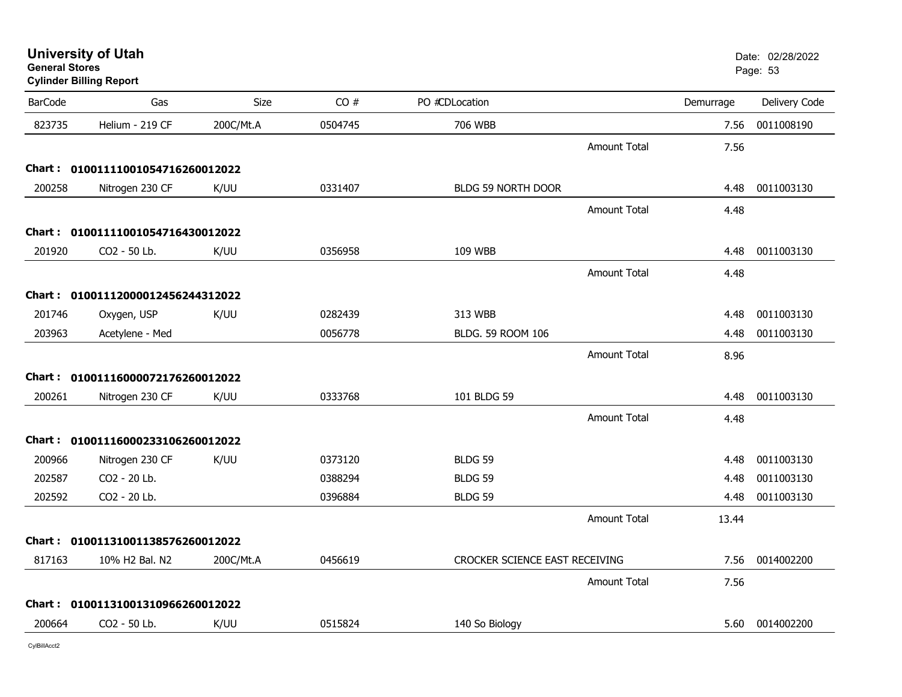| <b>General Stores</b> | <b>Cylinder Billing Report</b>    |           |         |                                |                     |           | Page: 53      |
|-----------------------|-----------------------------------|-----------|---------|--------------------------------|---------------------|-----------|---------------|
| <b>BarCode</b>        | Gas                               | Size      | CO#     | PO #CDLocation                 |                     | Demurrage | Delivery Code |
| 823735                | Helium - 219 CF                   | 200C/Mt.A | 0504745 | 706 WBB                        |                     | 7.56      | 0011008190    |
|                       |                                   |           |         |                                | <b>Amount Total</b> | 7.56      |               |
|                       | Chart: 01001111001054716260012022 |           |         |                                |                     |           |               |
| 200258                | Nitrogen 230 CF                   | K/UU      | 0331407 | <b>BLDG 59 NORTH DOOR</b>      |                     | 4.48      | 0011003130    |
|                       |                                   |           |         |                                | <b>Amount Total</b> | 4.48      |               |
|                       | Chart: 01001111001054716430012022 |           |         |                                |                     |           |               |
| 201920                | CO2 - 50 Lb.                      | K/UU      | 0356958 | 109 WBB                        |                     | 4.48      | 0011003130    |
|                       |                                   |           |         |                                | <b>Amount Total</b> | 4.48      |               |
|                       | Chart: 01001112000012456244312022 |           |         |                                |                     |           |               |
| 201746                | Oxygen, USP                       | K/UU      | 0282439 | 313 WBB                        |                     | 4.48      | 0011003130    |
| 203963                | Acetylene - Med                   |           | 0056778 | BLDG. 59 ROOM 106              |                     | 4.48      | 0011003130    |
|                       |                                   |           |         |                                | <b>Amount Total</b> | 8.96      |               |
|                       | Chart: 01001116000072176260012022 |           |         |                                |                     |           |               |
| 200261                | Nitrogen 230 CF                   | K/UU      | 0333768 | 101 BLDG 59                    |                     | 4.48      | 0011003130    |
|                       |                                   |           |         |                                | <b>Amount Total</b> | 4.48      |               |
|                       | Chart: 01001116000233106260012022 |           |         |                                |                     |           |               |
| 200966                | Nitrogen 230 CF                   | K/UU      | 0373120 | BLDG 59                        |                     | 4.48      | 0011003130    |
| 202587                | CO2 - 20 Lb.                      |           | 0388294 | BLDG 59                        |                     | 4.48      | 0011003130    |
| 202592                | CO2 - 20 Lb.                      |           | 0396884 | <b>BLDG 59</b>                 |                     | 4.48      | 0011003130    |
|                       |                                   |           |         |                                | Amount Total        | 13.44     |               |
|                       | Chart: 01001131001138576260012022 |           |         |                                |                     |           |               |
| 817163                | 10% H2 Bal. N2                    | 200C/Mt.A | 0456619 | CROCKER SCIENCE EAST RECEIVING |                     | 7.56      | 0014002200    |
|                       |                                   |           |         |                                | <b>Amount Total</b> | 7.56      |               |
|                       | Chart: 01001131001310966260012022 |           |         |                                |                     |           |               |
| 200664                | CO2 - 50 Lb.                      | K/UU      | 0515824 | 140 So Biology                 |                     | 5.60      | 0014002200    |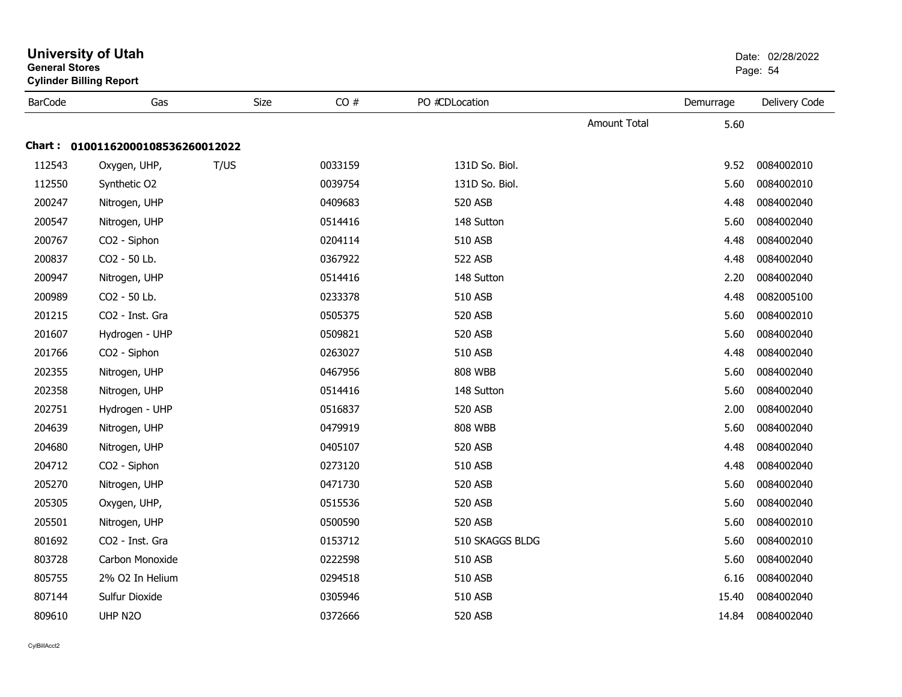|                | <b>Cylinder Billing Report</b>    |      |         |                 |              |           |               |  |  |  |  |
|----------------|-----------------------------------|------|---------|-----------------|--------------|-----------|---------------|--|--|--|--|
| <b>BarCode</b> | Gas                               | Size | CO#     | PO #CDLocation  |              | Demurrage | Delivery Code |  |  |  |  |
|                |                                   |      |         |                 | Amount Total | 5.60      |               |  |  |  |  |
|                | Chart: 01001162000108536260012022 |      |         |                 |              |           |               |  |  |  |  |
| 112543         | Oxygen, UHP,                      | T/US | 0033159 | 131D So. Biol.  |              | 9.52      | 0084002010    |  |  |  |  |
| 112550         | Synthetic O2                      |      | 0039754 | 131D So. Biol.  |              | 5.60      | 0084002010    |  |  |  |  |
| 200247         | Nitrogen, UHP                     |      | 0409683 | 520 ASB         |              | 4.48      | 0084002040    |  |  |  |  |
| 200547         | Nitrogen, UHP                     |      | 0514416 | 148 Sutton      |              | 5.60      | 0084002040    |  |  |  |  |
| 200767         | CO2 - Siphon                      |      | 0204114 | 510 ASB         |              | 4.48      | 0084002040    |  |  |  |  |
| 200837         | CO2 - 50 Lb.                      |      | 0367922 | 522 ASB         |              | 4.48      | 0084002040    |  |  |  |  |
| 200947         | Nitrogen, UHP                     |      | 0514416 | 148 Sutton      |              | 2.20      | 0084002040    |  |  |  |  |
| 200989         | CO2 - 50 Lb.                      |      | 0233378 | 510 ASB         |              | 4.48      | 0082005100    |  |  |  |  |
| 201215         | CO2 - Inst. Gra                   |      | 0505375 | 520 ASB         |              | 5.60      | 0084002010    |  |  |  |  |
| 201607         | Hydrogen - UHP                    |      | 0509821 | 520 ASB         |              | 5.60      | 0084002040    |  |  |  |  |
| 201766         | CO2 - Siphon                      |      | 0263027 | 510 ASB         |              | 4.48      | 0084002040    |  |  |  |  |
| 202355         | Nitrogen, UHP                     |      | 0467956 | <b>808 WBB</b>  |              | 5.60      | 0084002040    |  |  |  |  |
| 202358         | Nitrogen, UHP                     |      | 0514416 | 148 Sutton      |              | 5.60      | 0084002040    |  |  |  |  |
| 202751         | Hydrogen - UHP                    |      | 0516837 | 520 ASB         |              | 2.00      | 0084002040    |  |  |  |  |
| 204639         | Nitrogen, UHP                     |      | 0479919 | <b>808 WBB</b>  |              | 5.60      | 0084002040    |  |  |  |  |
| 204680         | Nitrogen, UHP                     |      | 0405107 | 520 ASB         |              | 4.48      | 0084002040    |  |  |  |  |
| 204712         | CO2 - Siphon                      |      | 0273120 | 510 ASB         |              | 4.48      | 0084002040    |  |  |  |  |
| 205270         | Nitrogen, UHP                     |      | 0471730 | 520 ASB         |              | 5.60      | 0084002040    |  |  |  |  |
| 205305         | Oxygen, UHP,                      |      | 0515536 | 520 ASB         |              | 5.60      | 0084002040    |  |  |  |  |
| 205501         | Nitrogen, UHP                     |      | 0500590 | 520 ASB         |              | 5.60      | 0084002010    |  |  |  |  |
| 801692         | CO2 - Inst. Gra                   |      | 0153712 | 510 SKAGGS BLDG |              | 5.60      | 0084002010    |  |  |  |  |
| 803728         | Carbon Monoxide                   |      | 0222598 | 510 ASB         |              | 5.60      | 0084002040    |  |  |  |  |
| 805755         | 2% O2 In Helium                   |      | 0294518 | 510 ASB         |              | 6.16      | 0084002040    |  |  |  |  |
| 807144         | Sulfur Dioxide                    |      | 0305946 | 510 ASB         |              | 15.40     | 0084002040    |  |  |  |  |
| 809610         | UHP N2O                           |      | 0372666 | 520 ASB         |              | 14.84     | 0084002040    |  |  |  |  |

#### **University of Utah** Date: 02/28/2022 **General Stores**end and the state of the state of the state of the state of the state of the state of the Page: 54  $\,$  Page: 54  $\,$ **Cylinder Billing Report**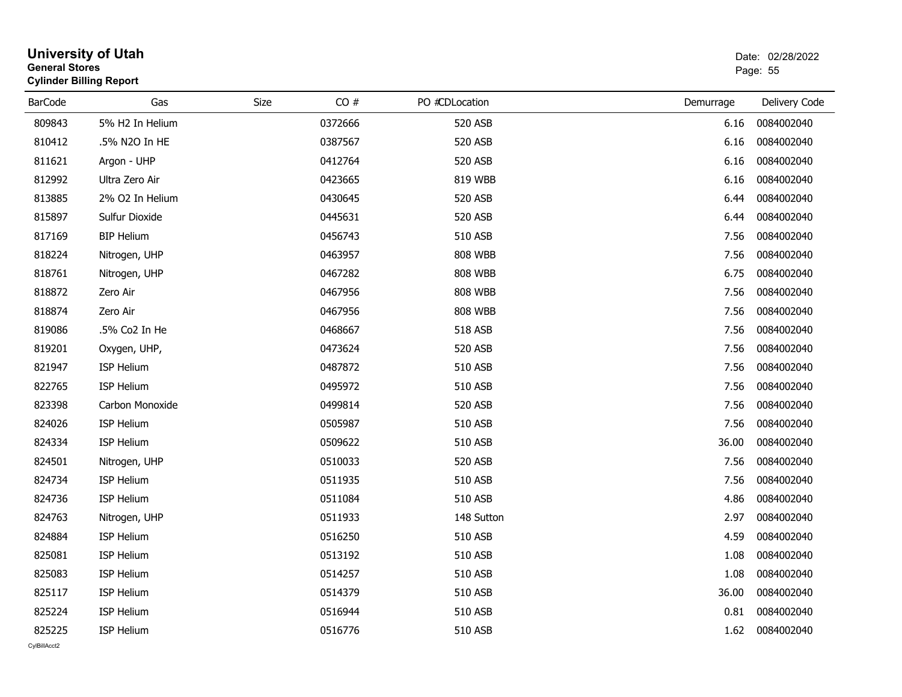| <b>General Stores</b> | <b>Cylinder Billing Report</b> |      |         |                |           | Page: 55      |
|-----------------------|--------------------------------|------|---------|----------------|-----------|---------------|
| <b>BarCode</b>        | Gas                            | Size | CO#     | PO #CDLocation | Demurrage | Delivery Code |
| 809843                | 5% H2 In Helium                |      | 0372666 | 520 ASB        | 6.16      | 0084002040    |
| 810412                | .5% N2O In HE                  |      | 0387567 | 520 ASB        | 6.16      | 0084002040    |
| 811621                | Argon - UHP                    |      | 0412764 | 520 ASB        | 6.16      | 0084002040    |
| 812992                | Ultra Zero Air                 |      | 0423665 | 819 WBB        | 6.16      | 0084002040    |
| 813885                | 2% O2 In Helium                |      | 0430645 | 520 ASB        | 6.44      | 0084002040    |
| 815897                | Sulfur Dioxide                 |      | 0445631 | 520 ASB        | 6.44      | 0084002040    |
| 817169                | <b>BIP Helium</b>              |      | 0456743 | <b>510 ASB</b> | 7.56      | 0084002040    |
| 818224                | Nitrogen, UHP                  |      | 0463957 | <b>808 WBB</b> | 7.56      | 0084002040    |
| 818761                | Nitrogen, UHP                  |      | 0467282 | <b>808 WBB</b> | 6.75      | 0084002040    |
| 818872                | Zero Air                       |      | 0467956 | <b>808 WBB</b> | 7.56      | 0084002040    |
| 818874                | Zero Air                       |      | 0467956 | <b>808 WBB</b> | 7.56      | 0084002040    |
| 819086                | .5% Co2 In He                  |      | 0468667 | 518 ASB        | 7.56      | 0084002040    |
| 819201                | Oxygen, UHP,                   |      | 0473624 | 520 ASB        | 7.56      | 0084002040    |
| 821947                | ISP Helium                     |      | 0487872 | 510 ASB        | 7.56      | 0084002040    |
| 822765                | ISP Helium                     |      | 0495972 | 510 ASB        | 7.56      | 0084002040    |
| 823398                | Carbon Monoxide                |      | 0499814 | 520 ASB        | 7.56      | 0084002040    |
| 824026                | ISP Helium                     |      | 0505987 | 510 ASB        | 7.56      | 0084002040    |
| 824334                | ISP Helium                     |      | 0509622 | <b>510 ASB</b> | 36.00     | 0084002040    |
| 824501                | Nitrogen, UHP                  |      | 0510033 | 520 ASB        | 7.56      | 0084002040    |
| 824734                | ISP Helium                     |      | 0511935 | 510 ASB        | 7.56      | 0084002040    |
| 824736                | <b>ISP Helium</b>              |      | 0511084 | 510 ASB        | 4.86      | 0084002040    |
| 824763                | Nitrogen, UHP                  |      | 0511933 | 148 Sutton     | 2.97      | 0084002040    |
| 824884                | <b>ISP Helium</b>              |      | 0516250 | 510 ASB        | 4.59      | 0084002040    |
| 825081                | ISP Helium                     |      | 0513192 | 510 ASB        | 1.08      | 0084002040    |
| 825083                | ISP Helium                     |      | 0514257 | 510 ASB        | 1.08      | 0084002040    |
| 825117                | ISP Helium                     |      | 0514379 | 510 ASB        | 36.00     | 0084002040    |
| 825224                | ISP Helium                     |      | 0516944 | 510 ASB        | 0.81      | 0084002040    |
| 825225                | ISP Helium                     |      | 0516776 | 510 ASB        | 1.62      | 0084002040    |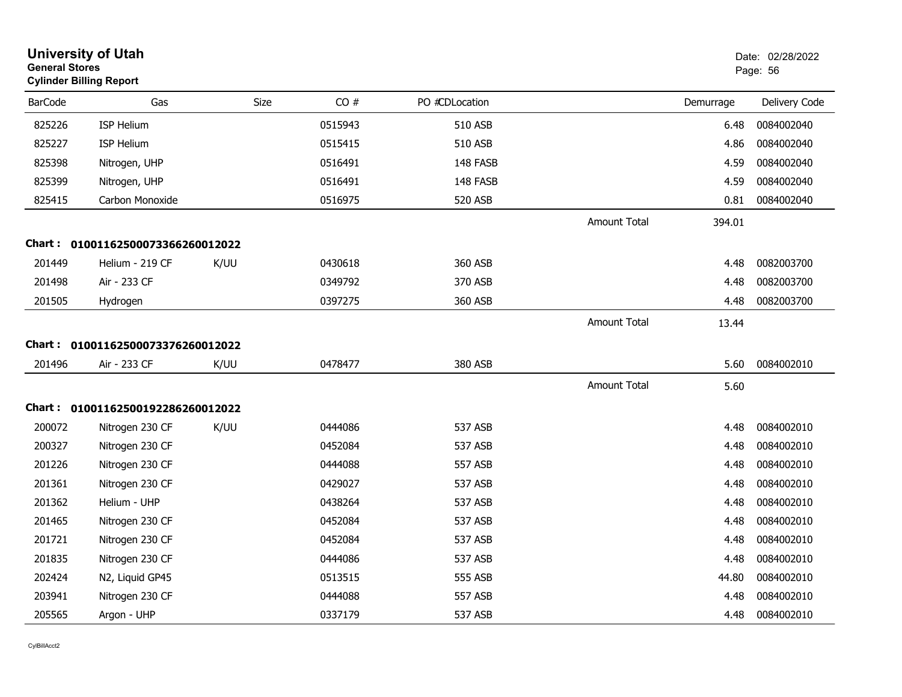| <b>General Stores</b> | <b>University of Utah</b><br><b>Cylinder Billing Report</b> |      |         |                |                     |           | Date: 02/28/2022<br>Page: 56 |
|-----------------------|-------------------------------------------------------------|------|---------|----------------|---------------------|-----------|------------------------------|
| <b>BarCode</b>        | Gas                                                         | Size | CO#     | PO #CDLocation |                     | Demurrage | Delivery Code                |
| 825226                | <b>ISP Helium</b>                                           |      | 0515943 | 510 ASB        |                     | 6.48      | 0084002040                   |
| 825227                | <b>ISP Helium</b>                                           |      | 0515415 | 510 ASB        |                     | 4.86      | 0084002040                   |
| 825398                | Nitrogen, UHP                                               |      | 0516491 | 148 FASB       |                     | 4.59      | 0084002040                   |
| 825399                | Nitrogen, UHP                                               |      | 0516491 | 148 FASB       |                     | 4.59      | 0084002040                   |
| 825415                | Carbon Monoxide                                             |      | 0516975 | 520 ASB        |                     | 0.81      | 0084002040                   |
|                       |                                                             |      |         |                | Amount Total        | 394.01    |                              |
|                       | Chart: 01001162500073366260012022                           |      |         |                |                     |           |                              |
| 201449                | Helium - 219 CF                                             | K/UU | 0430618 | 360 ASB        |                     | 4.48      | 0082003700                   |
| 201498                | Air - 233 CF                                                |      | 0349792 | 370 ASB        |                     | 4.48      | 0082003700                   |
| 201505                | Hydrogen                                                    |      | 0397275 | 360 ASB        |                     | 4.48      | 0082003700                   |
|                       |                                                             |      |         |                | <b>Amount Total</b> | 13.44     |                              |
|                       | Chart: 01001162500073376260012022                           |      |         |                |                     |           |                              |
| 201496                | Air - 233 CF                                                | K/UU | 0478477 | 380 ASB        |                     | 5.60      | 0084002010                   |
|                       |                                                             |      |         |                | <b>Amount Total</b> | 5.60      |                              |
|                       | Chart: 01001162500192286260012022                           |      |         |                |                     |           |                              |
| 200072                | Nitrogen 230 CF                                             | K/UU | 0444086 | 537 ASB        |                     | 4.48      | 0084002010                   |
| 200327                | Nitrogen 230 CF                                             |      | 0452084 | 537 ASB        |                     | 4.48      | 0084002010                   |
| 201226                | Nitrogen 230 CF                                             |      | 0444088 | 557 ASB        |                     | 4.48      | 0084002010                   |
| 201361                | Nitrogen 230 CF                                             |      | 0429027 | 537 ASB        |                     | 4.48      | 0084002010                   |
| 201362                | Helium - UHP                                                |      | 0438264 | 537 ASB        |                     | 4.48      | 0084002010                   |
| 201465                | Nitrogen 230 CF                                             |      | 0452084 | 537 ASB        |                     | 4.48      | 0084002010                   |
| 201721                | Nitrogen 230 CF                                             |      | 0452084 | 537 ASB        |                     | 4.48      | 0084002010                   |
| 201835                | Nitrogen 230 CF                                             |      | 0444086 | 537 ASB        |                     | 4.48      | 0084002010                   |
| 202424                | N2, Liquid GP45                                             |      | 0513515 | 555 ASB        |                     | 44.80     | 0084002010                   |
| 203941                | Nitrogen 230 CF                                             |      | 0444088 | 557 ASB        |                     | 4.48      | 0084002010                   |
| 205565                | Argon - UHP                                                 |      | 0337179 | 537 ASB        |                     | 4.48      | 0084002010                   |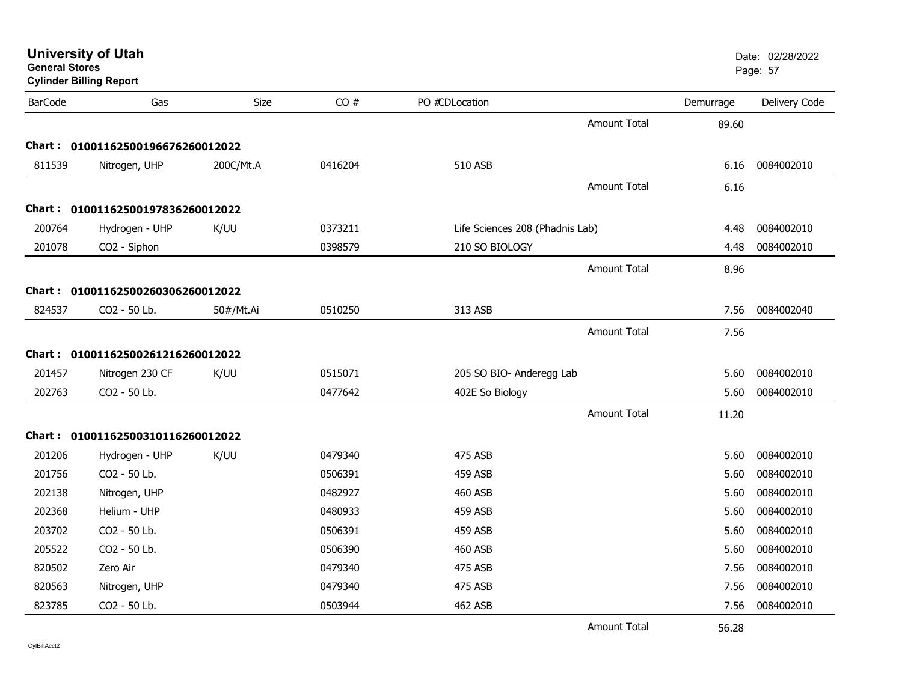| <b>University of Utah</b> |  |
|---------------------------|--|
| <b>General Stores</b>     |  |

| <b>BarCode</b> | Gas                               | Size      | CO#     | PO #CDLocation                  |                     | Demurrage | Delivery Code |
|----------------|-----------------------------------|-----------|---------|---------------------------------|---------------------|-----------|---------------|
|                |                                   |           |         |                                 | <b>Amount Total</b> | 89.60     |               |
|                | Chart: 01001162500196676260012022 |           |         |                                 |                     |           |               |
| 811539         | Nitrogen, UHP                     | 200C/Mt.A | 0416204 | 510 ASB                         |                     | 6.16      | 0084002010    |
|                |                                   |           |         |                                 | <b>Amount Total</b> | 6.16      |               |
| Chart:         | 01001162500197836260012022        |           |         |                                 |                     |           |               |
| 200764         | Hydrogen - UHP                    | K/UU      | 0373211 | Life Sciences 208 (Phadnis Lab) |                     | 4.48      | 0084002010    |
| 201078         | CO2 - Siphon                      |           | 0398579 | 210 SO BIOLOGY                  |                     | 4.48      | 0084002010    |
|                |                                   |           |         |                                 | <b>Amount Total</b> | 8.96      |               |
|                | Chart: 01001162500260306260012022 |           |         |                                 |                     |           |               |
| 824537         | CO2 - 50 Lb.                      | 50#/Mt.Ai | 0510250 | 313 ASB                         |                     | 7.56      | 0084002040    |
|                |                                   |           |         |                                 | <b>Amount Total</b> | 7.56      |               |
|                | Chart: 01001162500261216260012022 |           |         |                                 |                     |           |               |
| 201457         | Nitrogen 230 CF                   | K/UU      | 0515071 | 205 SO BIO- Anderegg Lab        |                     | 5.60      | 0084002010    |
| 202763         | CO2 - 50 Lb.                      |           | 0477642 | 402E So Biology                 |                     | 5.60      | 0084002010    |
|                |                                   |           |         |                                 | <b>Amount Total</b> | 11.20     |               |
|                |                                   |           |         |                                 |                     |           |               |
| Chart:         | 01001162500310116260012022        |           |         |                                 |                     |           |               |
| 201206         | Hydrogen - UHP                    | K/UU      | 0479340 | 475 ASB                         |                     | 5.60      | 0084002010    |
| 201756         | CO2 - 50 Lb.                      |           | 0506391 | 459 ASB                         |                     | 5.60      | 0084002010    |
| 202138         | Nitrogen, UHP                     |           | 0482927 | <b>460 ASB</b>                  |                     | 5.60      | 0084002010    |
| 202368         | Helium - UHP                      |           | 0480933 | <b>459 ASB</b>                  |                     | 5.60      | 0084002010    |
| 203702         | CO2 - 50 Lb.                      |           | 0506391 | <b>459 ASB</b>                  |                     | 5.60      | 0084002010    |
| 205522         | CO2 - 50 Lb.                      |           | 0506390 | <b>460 ASB</b>                  |                     | 5.60      | 0084002010    |
| 820502         | Zero Air                          |           | 0479340 | 475 ASB                         |                     | 7.56      | 0084002010    |
| 820563         | Nitrogen, UHP                     |           | 0479340 | 475 ASB                         |                     | 7.56      | 0084002010    |
| 823785         | CO2 - 50 Lb.                      |           | 0503944 | <b>462 ASB</b>                  |                     | 7.56      | 0084002010    |
|                |                                   |           |         |                                 | .                   |           |               |

Amount Total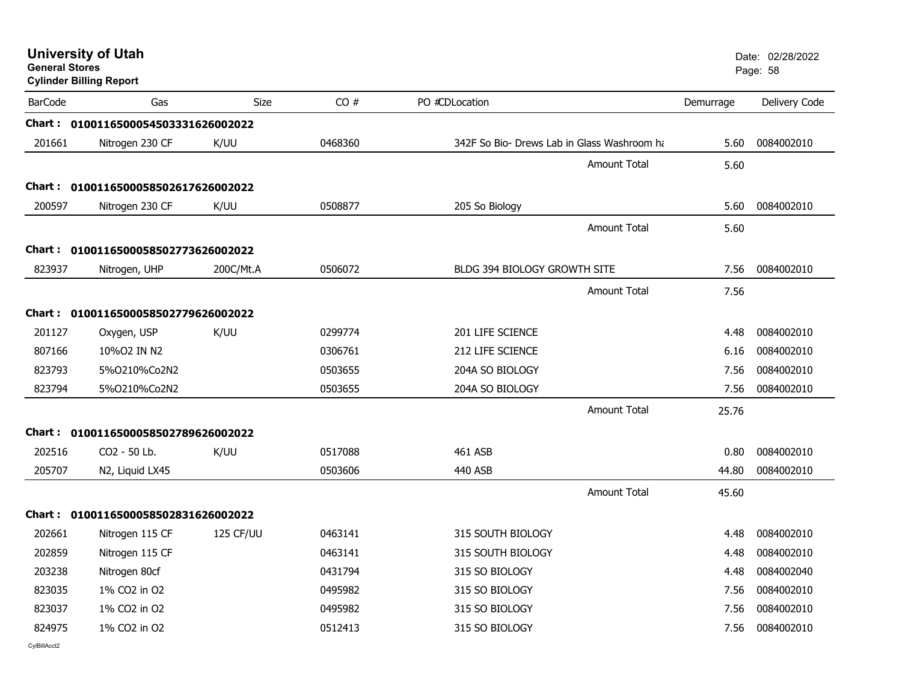|                                      |                                                                                                                                                                                                                                                                                                             |                                                                                                                                                                                                                                                             |                                             |                                      | Date: 02/28/2022<br>Page: 58 |
|--------------------------------------|-------------------------------------------------------------------------------------------------------------------------------------------------------------------------------------------------------------------------------------------------------------------------------------------------------------|-------------------------------------------------------------------------------------------------------------------------------------------------------------------------------------------------------------------------------------------------------------|---------------------------------------------|--------------------------------------|------------------------------|
| Gas                                  | <b>Size</b>                                                                                                                                                                                                                                                                                                 | CO#                                                                                                                                                                                                                                                         | PO #CDLocation                              | Demurrage                            | Delivery Code                |
|                                      |                                                                                                                                                                                                                                                                                                             |                                                                                                                                                                                                                                                             |                                             |                                      |                              |
| Nitrogen 230 CF                      | K/UU                                                                                                                                                                                                                                                                                                        | 0468360                                                                                                                                                                                                                                                     | 342F So Bio- Drews Lab in Glass Washroom ha | 5.60                                 | 0084002010                   |
|                                      |                                                                                                                                                                                                                                                                                                             |                                                                                                                                                                                                                                                             | <b>Amount Total</b>                         | 5.60                                 |                              |
|                                      |                                                                                                                                                                                                                                                                                                             |                                                                                                                                                                                                                                                             |                                             |                                      |                              |
| Nitrogen 230 CF                      | K/UU                                                                                                                                                                                                                                                                                                        | 0508877                                                                                                                                                                                                                                                     | 205 So Biology                              | 5.60                                 | 0084002010                   |
|                                      |                                                                                                                                                                                                                                                                                                             |                                                                                                                                                                                                                                                             | <b>Amount Total</b>                         | 5.60                                 |                              |
|                                      |                                                                                                                                                                                                                                                                                                             |                                                                                                                                                                                                                                                             |                                             |                                      |                              |
|                                      |                                                                                                                                                                                                                                                                                                             | 0506072                                                                                                                                                                                                                                                     | BLDG 394 BIOLOGY GROWTH SITE                | 7.56                                 | 0084002010                   |
|                                      |                                                                                                                                                                                                                                                                                                             |                                                                                                                                                                                                                                                             | Amount Total                                |                                      |                              |
|                                      |                                                                                                                                                                                                                                                                                                             |                                                                                                                                                                                                                                                             |                                             |                                      |                              |
|                                      |                                                                                                                                                                                                                                                                                                             |                                                                                                                                                                                                                                                             |                                             |                                      | 0084002010                   |
|                                      |                                                                                                                                                                                                                                                                                                             |                                                                                                                                                                                                                                                             |                                             | 6.16                                 | 0084002010                   |
| 5%0210%Co2N2                         |                                                                                                                                                                                                                                                                                                             | 0503655                                                                                                                                                                                                                                                     | 204A SO BIOLOGY                             | 7.56                                 | 0084002010                   |
| 5%O210%Co2N2                         |                                                                                                                                                                                                                                                                                                             | 0503655                                                                                                                                                                                                                                                     | 204A SO BIOLOGY                             | 7.56                                 | 0084002010                   |
|                                      |                                                                                                                                                                                                                                                                                                             |                                                                                                                                                                                                                                                             | <b>Amount Total</b>                         | 25.76                                |                              |
|                                      |                                                                                                                                                                                                                                                                                                             |                                                                                                                                                                                                                                                             |                                             |                                      |                              |
| CO2 - 50 Lb.                         | K/UU                                                                                                                                                                                                                                                                                                        | 0517088                                                                                                                                                                                                                                                     | 461 ASB                                     | 0.80                                 | 0084002010                   |
| N2, Liquid LX45                      |                                                                                                                                                                                                                                                                                                             | 0503606                                                                                                                                                                                                                                                     | 440 ASB                                     | 44.80                                | 0084002010                   |
|                                      |                                                                                                                                                                                                                                                                                                             |                                                                                                                                                                                                                                                             | <b>Amount Total</b>                         | 45.60                                |                              |
|                                      |                                                                                                                                                                                                                                                                                                             |                                                                                                                                                                                                                                                             |                                             |                                      |                              |
| Nitrogen 115 CF                      | 125 CF/UU                                                                                                                                                                                                                                                                                                   | 0463141                                                                                                                                                                                                                                                     | 315 SOUTH BIOLOGY                           | 4.48                                 | 0084002010                   |
| Nitrogen 115 CF                      |                                                                                                                                                                                                                                                                                                             | 0463141                                                                                                                                                                                                                                                     | 315 SOUTH BIOLOGY                           | 4.48                                 | 0084002010                   |
| Nitrogen 80cf                        |                                                                                                                                                                                                                                                                                                             | 0431794                                                                                                                                                                                                                                                     | 315 SO BIOLOGY                              | 4.48                                 | 0084002040                   |
| 1% CO <sub>2</sub> in O <sub>2</sub> |                                                                                                                                                                                                                                                                                                             | 0495982                                                                                                                                                                                                                                                     | 315 SO BIOLOGY                              | 7.56                                 | 0084002010                   |
| 1% CO2 in O2                         |                                                                                                                                                                                                                                                                                                             | 0495982                                                                                                                                                                                                                                                     | 315 SO BIOLOGY                              | 7.56                                 | 0084002010                   |
| 1% CO2 in O2                         |                                                                                                                                                                                                                                                                                                             | 0512413                                                                                                                                                                                                                                                     | 315 SO BIOLOGY                              | 7.56                                 | 0084002010                   |
|                                      | <b>University of Utah</b><br><b>General Stores</b><br><b>Cylinder Billing Report</b><br><b>BarCode</b><br>201661<br>200597<br>823937<br>Nitrogen, UHP<br>201127<br>Oxygen, USP<br>807166<br>10%O2 IN N2<br>823793<br>823794<br>202516<br>205707<br>202661<br>202859<br>203238<br>823035<br>823037<br>824975 | Chart: 0100116500054503331626002022<br>Chart: 0100116500058502617626002022<br>Chart: 0100116500058502773626002022<br>200C/Mt.A<br>Chart: 0100116500058502779626002022<br>K/UU<br>Chart: 0100116500058502789626002022<br>Chart: 0100116500058502831626002022 | 0299774<br>0306761                          | 201 LIFE SCIENCE<br>212 LIFE SCIENCE | 7.56<br>4.48                 |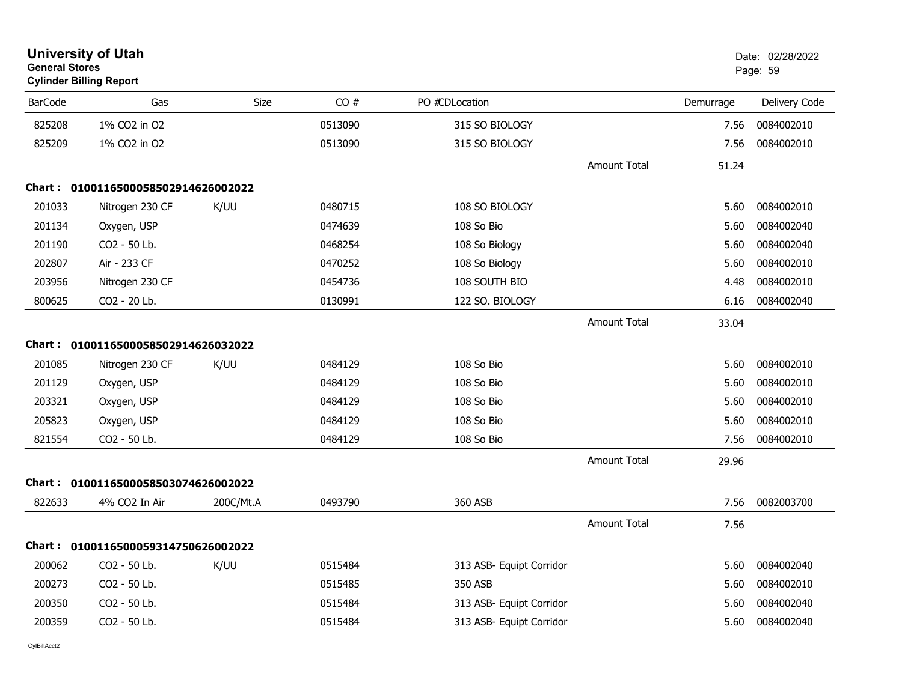| <b>General Stores</b> | <b>Cylinder Billing Report</b>      |             |         |                          |                     |           | Page: 59      |
|-----------------------|-------------------------------------|-------------|---------|--------------------------|---------------------|-----------|---------------|
| <b>BarCode</b>        | Gas                                 | <b>Size</b> | CO#     | PO #CDLocation           |                     | Demurrage | Delivery Code |
| 825208                | 1% CO2 in O2                        |             | 0513090 | 315 SO BIOLOGY           |                     | 7.56      | 0084002010    |
| 825209                | 1% CO2 in O2                        |             | 0513090 | 315 SO BIOLOGY           |                     | 7.56      | 0084002010    |
|                       |                                     |             |         |                          | <b>Amount Total</b> | 51.24     |               |
|                       | Chart: 0100116500058502914626002022 |             |         |                          |                     |           |               |
| 201033                | Nitrogen 230 CF                     | K/UU        | 0480715 | 108 SO BIOLOGY           |                     | 5.60      | 0084002010    |
| 201134                | Oxygen, USP                         |             | 0474639 | 108 So Bio               |                     | 5.60      | 0084002040    |
| 201190                | CO2 - 50 Lb.                        |             | 0468254 | 108 So Biology           |                     | 5.60      | 0084002040    |
| 202807                | Air - 233 CF                        |             | 0470252 | 108 So Biology           |                     | 5.60      | 0084002010    |
| 203956                | Nitrogen 230 CF                     |             | 0454736 | 108 SOUTH BIO            |                     | 4.48      | 0084002010    |
| 800625                | CO2 - 20 Lb.                        |             | 0130991 | 122 SO. BIOLOGY          |                     | 6.16      | 0084002040    |
|                       |                                     |             |         |                          | <b>Amount Total</b> | 33.04     |               |
|                       | Chart: 0100116500058502914626032022 |             |         |                          |                     |           |               |
| 201085                | Nitrogen 230 CF                     | K/UU        | 0484129 | 108 So Bio               |                     | 5.60      | 0084002010    |
| 201129                | Oxygen, USP                         |             | 0484129 | 108 So Bio               |                     | 5.60      | 0084002010    |
| 203321                | Oxygen, USP                         |             | 0484129 | 108 So Bio               |                     | 5.60      | 0084002010    |
| 205823                | Oxygen, USP                         |             | 0484129 | 108 So Bio               |                     | 5.60      | 0084002010    |
| 821554                | CO2 - 50 Lb.                        |             | 0484129 | 108 So Bio               |                     | 7.56      | 0084002010    |
|                       |                                     |             |         |                          | <b>Amount Total</b> | 29.96     |               |
|                       | Chart: 0100116500058503074626002022 |             |         |                          |                     |           |               |
| 822633                | 4% CO2 In Air                       | 200C/Mt.A   | 0493790 | 360 ASB                  |                     | 7.56      | 0082003700    |
|                       |                                     |             |         |                          | <b>Amount Total</b> | 7.56      |               |
|                       | Chart: 0100116500059314750626002022 |             |         |                          |                     |           |               |
| 200062                | CO2 - 50 Lb.                        | K/UU        | 0515484 | 313 ASB- Equipt Corridor |                     | 5.60      | 0084002040    |
| 200273                | CO2 - 50 Lb.                        |             | 0515485 | 350 ASB                  |                     | 5.60      | 0084002010    |
| 200350                | CO2 - 50 Lb.                        |             | 0515484 | 313 ASB- Equipt Corridor |                     | 5.60      | 0084002040    |
| 200359                | CO2 - 50 Lb.                        |             | 0515484 | 313 ASB- Equipt Corridor |                     | 5.60      | 0084002040    |
|                       |                                     |             |         |                          |                     |           |               |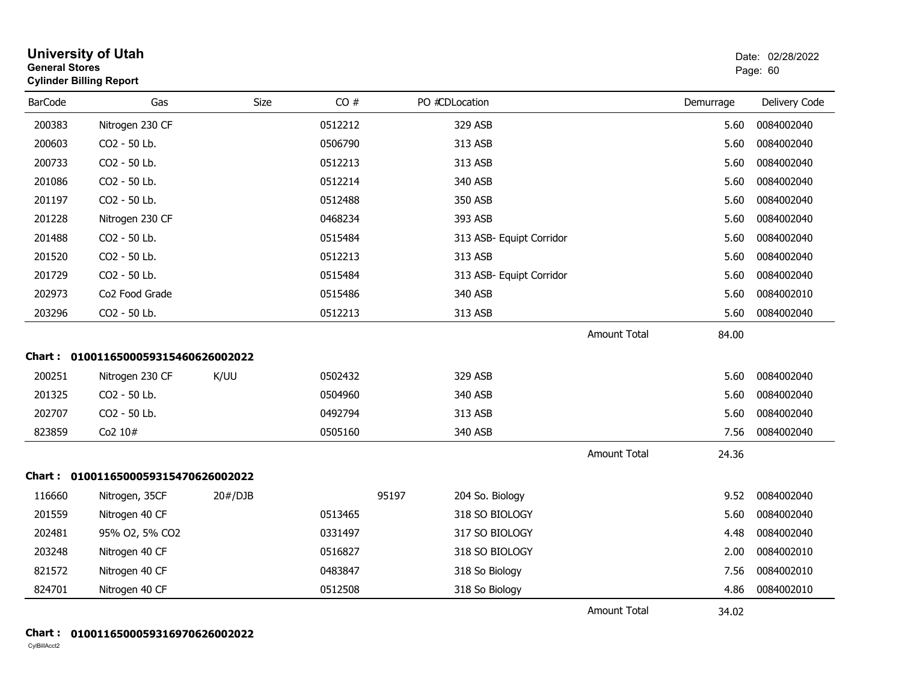| <b>General Stores</b> | <b>University of Utah</b><br><b>Cylinder Billing Report</b> |         |         |       |                          |                     |           | Date: 02/28/2022<br>Page: 60 |
|-----------------------|-------------------------------------------------------------|---------|---------|-------|--------------------------|---------------------|-----------|------------------------------|
| <b>BarCode</b>        | Gas                                                         | Size    | CO#     |       | PO #CDLocation           |                     | Demurrage | Delivery Code                |
| 200383                | Nitrogen 230 CF                                             |         | 0512212 |       | 329 ASB                  |                     | 5.60      | 0084002040                   |
| 200603                | CO2 - 50 Lb.                                                |         | 0506790 |       | 313 ASB                  |                     | 5.60      | 0084002040                   |
| 200733                | CO2 - 50 Lb.                                                |         | 0512213 |       | 313 ASB                  |                     | 5.60      | 0084002040                   |
| 201086                | CO2 - 50 Lb.                                                |         | 0512214 |       | 340 ASB                  |                     | 5.60      | 0084002040                   |
| 201197                | CO2 - 50 Lb.                                                |         | 0512488 |       | 350 ASB                  |                     | 5.60      | 0084002040                   |
| 201228                | Nitrogen 230 CF                                             |         | 0468234 |       | 393 ASB                  |                     | 5.60      | 0084002040                   |
| 201488                | CO2 - 50 Lb.                                                |         | 0515484 |       | 313 ASB- Equipt Corridor |                     | 5.60      | 0084002040                   |
| 201520                | CO2 - 50 Lb.                                                |         | 0512213 |       | 313 ASB                  |                     | 5.60      | 0084002040                   |
| 201729                | CO2 - 50 Lb.                                                |         | 0515484 |       | 313 ASB- Equipt Corridor |                     | 5.60      | 0084002040                   |
| 202973                | Co <sub>2</sub> Food Grade                                  |         | 0515486 |       | 340 ASB                  |                     | 5.60      | 0084002010                   |
| 203296                | CO2 - 50 Lb.                                                |         | 0512213 |       | 313 ASB                  |                     | 5.60      | 0084002040                   |
|                       |                                                             |         |         |       |                          | <b>Amount Total</b> | 84.00     |                              |
|                       | Chart: 0100116500059315460626002022                         |         |         |       |                          |                     |           |                              |
| 200251                | Nitrogen 230 CF                                             | K/UU    | 0502432 |       | 329 ASB                  |                     | 5.60      | 0084002040                   |
| 201325                | CO2 - 50 Lb.                                                |         | 0504960 |       | 340 ASB                  |                     | 5.60      | 0084002040                   |
| 202707                | CO2 - 50 Lb.                                                |         | 0492794 |       | 313 ASB                  |                     | 5.60      | 0084002040                   |
| 823859                | Co2 10#                                                     |         | 0505160 |       | 340 ASB                  |                     | 7.56      | 0084002040                   |
|                       |                                                             |         |         |       |                          | <b>Amount Total</b> | 24.36     |                              |
|                       | Chart: 0100116500059315470626002022                         |         |         |       |                          |                     |           |                              |
| 116660                | Nitrogen, 35CF                                              | 20#/DJB |         | 95197 | 204 So. Biology          |                     | 9.52      | 0084002040                   |
| 201559                | Nitrogen 40 CF                                              |         | 0513465 |       | 318 SO BIOLOGY           |                     | 5.60      | 0084002040                   |
| 202481                | 95% O2, 5% CO2                                              |         | 0331497 |       | 317 SO BIOLOGY           |                     | 4.48      | 0084002040                   |
| 203248                | Nitrogen 40 CF                                              |         | 0516827 |       | 318 SO BIOLOGY           |                     | 2.00      | 0084002010                   |
| 821572                | Nitrogen 40 CF                                              |         | 0483847 |       | 318 So Biology           |                     | 7.56      | 0084002010                   |
| 824701                | Nitrogen 40 CF                                              |         | 0512508 |       | 318 So Biology           |                     | 4.86      | 0084002010                   |
|                       |                                                             |         |         |       |                          | <b>Amount Total</b> | 34.02     |                              |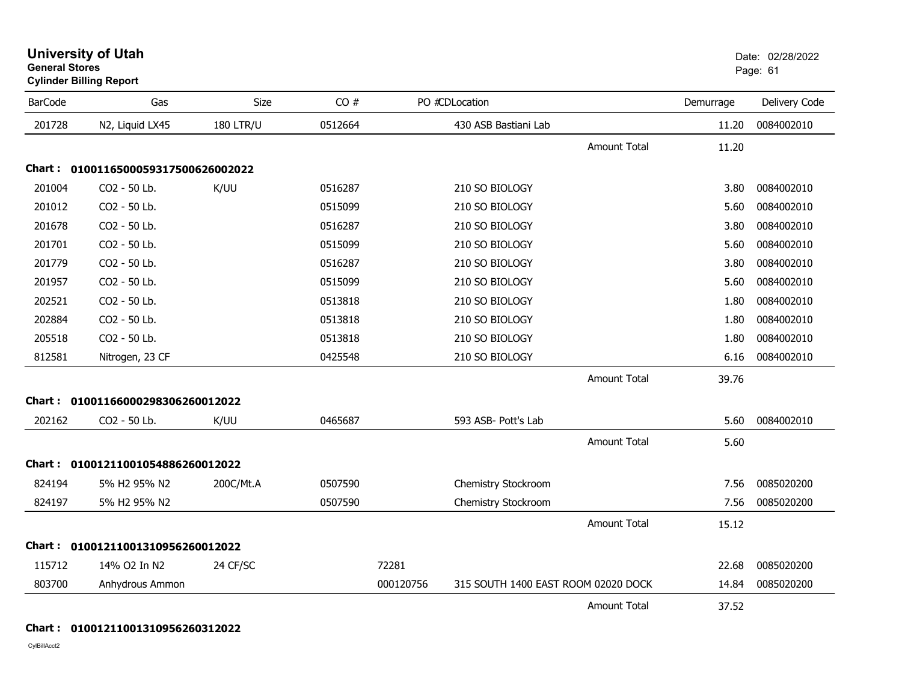|                | <b>Cylinder Billing Report</b>      |                  |         |           |                                     |                     |           | . ugo. o .    |
|----------------|-------------------------------------|------------------|---------|-----------|-------------------------------------|---------------------|-----------|---------------|
| <b>BarCode</b> | Gas                                 | Size             | CO#     |           | PO #CDLocation                      |                     | Demurrage | Delivery Code |
| 201728         | N2, Liquid LX45                     | <b>180 LTR/U</b> | 0512664 |           | 430 ASB Bastiani Lab                |                     | 11.20     | 0084002010    |
|                |                                     |                  |         |           |                                     | <b>Amount Total</b> | 11.20     |               |
|                | Chart: 0100116500059317500626002022 |                  |         |           |                                     |                     |           |               |
| 201004         | CO2 - 50 Lb.                        | K/UU             | 0516287 |           | 210 SO BIOLOGY                      |                     | 3.80      | 0084002010    |
| 201012         | CO2 - 50 Lb.                        |                  | 0515099 |           | 210 SO BIOLOGY                      |                     | 5.60      | 0084002010    |
| 201678         | CO2 - 50 Lb.                        |                  | 0516287 |           | 210 SO BIOLOGY                      |                     | 3.80      | 0084002010    |
| 201701         | CO2 - 50 Lb.                        |                  | 0515099 |           | 210 SO BIOLOGY                      |                     | 5.60      | 0084002010    |
| 201779         | CO2 - 50 Lb.                        |                  | 0516287 |           | 210 SO BIOLOGY                      |                     | 3.80      | 0084002010    |
| 201957         | CO2 - 50 Lb.                        |                  | 0515099 |           | 210 SO BIOLOGY                      |                     | 5.60      | 0084002010    |
| 202521         | CO2 - 50 Lb.                        |                  | 0513818 |           | 210 SO BIOLOGY                      |                     | 1.80      | 0084002010    |
| 202884         | CO2 - 50 Lb.                        |                  | 0513818 |           | 210 SO BIOLOGY                      |                     | 1.80      | 0084002010    |
| 205518         | CO2 - 50 Lb.                        |                  | 0513818 |           | 210 SO BIOLOGY                      |                     | 1.80      | 0084002010    |
| 812581         | Nitrogen, 23 CF                     |                  | 0425548 |           | 210 SO BIOLOGY                      |                     | 6.16      | 0084002010    |
|                |                                     |                  |         |           |                                     | <b>Amount Total</b> | 39.76     |               |
|                | Chart: 01001166000298306260012022   |                  |         |           |                                     |                     |           |               |
| 202162         | CO2 - 50 Lb.                        | K/UU             | 0465687 |           | 593 ASB- Pott's Lab                 |                     | 5.60      | 0084002010    |
|                |                                     |                  |         |           |                                     | <b>Amount Total</b> | 5.60      |               |
| <b>Chart :</b> | 01001211001054886260012022          |                  |         |           |                                     |                     |           |               |
| 824194         | 5% H2 95% N2                        | 200C/Mt.A        | 0507590 |           | Chemistry Stockroom                 |                     | 7.56      | 0085020200    |
| 824197         | 5% H2 95% N2                        |                  | 0507590 |           | Chemistry Stockroom                 |                     | 7.56      | 0085020200    |
|                |                                     |                  |         |           |                                     | <b>Amount Total</b> | 15.12     |               |
|                | Chart: 01001211001310956260012022   |                  |         |           |                                     |                     |           |               |
| 115712         | 14% O2 In N2                        | 24 CF/SC         |         | 72281     |                                     |                     | 22.68     | 0085020200    |
| 803700         | Anhydrous Ammon                     |                  |         | 000120756 | 315 SOUTH 1400 EAST ROOM 02020 DOCK |                     | 14.84     | 0085020200    |
|                |                                     |                  |         |           |                                     | <b>Amount Total</b> | 37.52     |               |

end and the state of the state of the state of the state of the state of the state of the state of the state of the state of the state of the state of the state of the state of the state of the state of the state of the st

### **Chart : 01001211001310956260312022**

CylBillAcct2

**General Stores**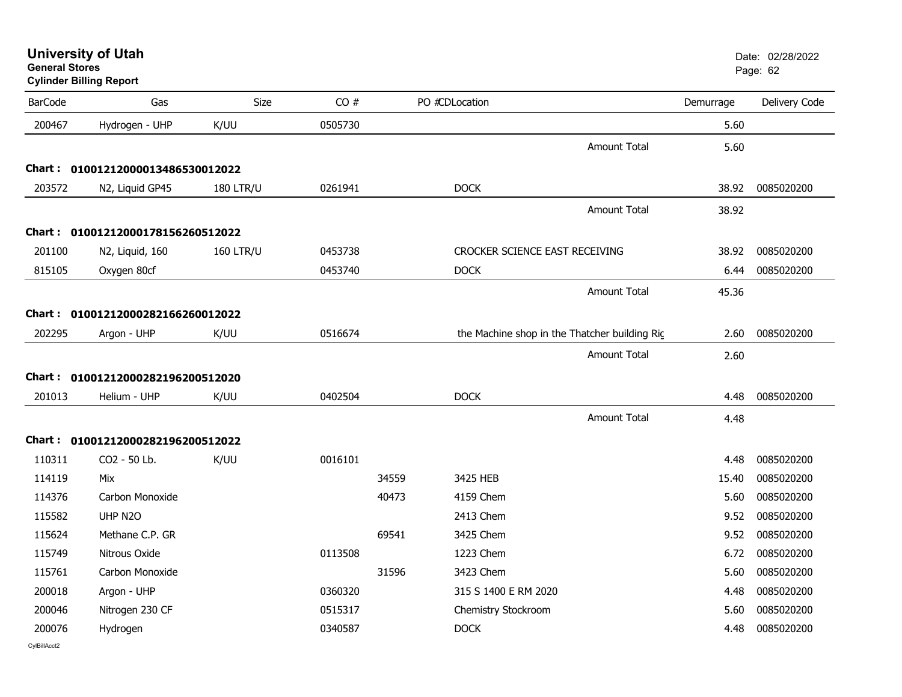| <b>General Stores</b> | <b>University of Utah</b><br><b>Cylinder Billing Report</b> |                  |         |       |                                               |                     |           | Date: 02/28/2022<br>Page: 62 |
|-----------------------|-------------------------------------------------------------|------------------|---------|-------|-----------------------------------------------|---------------------|-----------|------------------------------|
| <b>BarCode</b>        | Gas                                                         | Size             | CO#     |       | PO #CDLocation                                |                     | Demurrage | Delivery Code                |
| 200467                | Hydrogen - UHP                                              | K/UU             | 0505730 |       |                                               |                     | 5.60      |                              |
|                       |                                                             |                  |         |       |                                               | Amount Total        | 5.60      |                              |
|                       | Chart: 01001212000013486530012022                           |                  |         |       |                                               |                     |           |                              |
| 203572                | N2, Liquid GP45                                             | <b>180 LTR/U</b> | 0261941 |       | <b>DOCK</b>                                   |                     | 38.92     | 0085020200                   |
|                       |                                                             |                  |         |       |                                               | Amount Total        | 38.92     |                              |
|                       | Chart: 01001212000178156260512022                           |                  |         |       |                                               |                     |           |                              |
| 201100                | N2, Liquid, 160                                             | <b>160 LTR/U</b> | 0453738 |       | CROCKER SCIENCE EAST RECEIVING                |                     | 38.92     | 0085020200                   |
| 815105                | Oxygen 80cf                                                 |                  | 0453740 |       | <b>DOCK</b>                                   |                     | 6.44      | 0085020200                   |
|                       |                                                             |                  |         |       |                                               | <b>Amount Total</b> | 45.36     |                              |
|                       | Chart: 01001212000282166260012022                           |                  |         |       |                                               |                     |           |                              |
| 202295                | Argon - UHP                                                 | K/UU             | 0516674 |       | the Machine shop in the Thatcher building Rig |                     | 2.60      | 0085020200                   |
|                       |                                                             |                  |         |       |                                               | Amount Total        | 2.60      |                              |
|                       | Chart: 01001212000282196200512020                           |                  |         |       |                                               |                     |           |                              |
| 201013                | Helium - UHP                                                | K/UU             | 0402504 |       | <b>DOCK</b>                                   |                     | 4.48      | 0085020200                   |
|                       |                                                             |                  |         |       |                                               | <b>Amount Total</b> | 4.48      |                              |
|                       | Chart: 01001212000282196200512022                           |                  |         |       |                                               |                     |           |                              |
| 110311                | CO2 - 50 Lb.                                                | K/UU             | 0016101 |       |                                               |                     | 4.48      | 0085020200                   |
| 114119                | Mix                                                         |                  |         | 34559 | 3425 HEB                                      |                     | 15.40     | 0085020200                   |
| 114376                | Carbon Monoxide                                             |                  |         | 40473 | 4159 Chem                                     |                     | 5.60      | 0085020200                   |
| 115582                | UHP N <sub>20</sub>                                         |                  |         |       | 2413 Chem                                     |                     | 9.52      | 0085020200                   |
| 115624                | Methane C.P. GR                                             |                  |         | 69541 | 3425 Chem                                     |                     | 9.52      | 0085020200                   |
| 115749                | Nitrous Oxide                                               |                  | 0113508 |       | 1223 Chem                                     |                     | 6.72      | 0085020200                   |
| 115761                | Carbon Monoxide                                             |                  |         | 31596 | 3423 Chem                                     |                     | 5.60      | 0085020200                   |
| 200018                | Argon - UHP                                                 |                  | 0360320 |       | 315 S 1400 E RM 2020                          |                     | 4.48      | 0085020200                   |
| 200046                | Nitrogen 230 CF                                             |                  | 0515317 |       | Chemistry Stockroom                           |                     | 5.60      | 0085020200                   |
| 200076                | Hydrogen                                                    |                  | 0340587 |       | <b>DOCK</b>                                   |                     | 4.48      | 0085020200                   |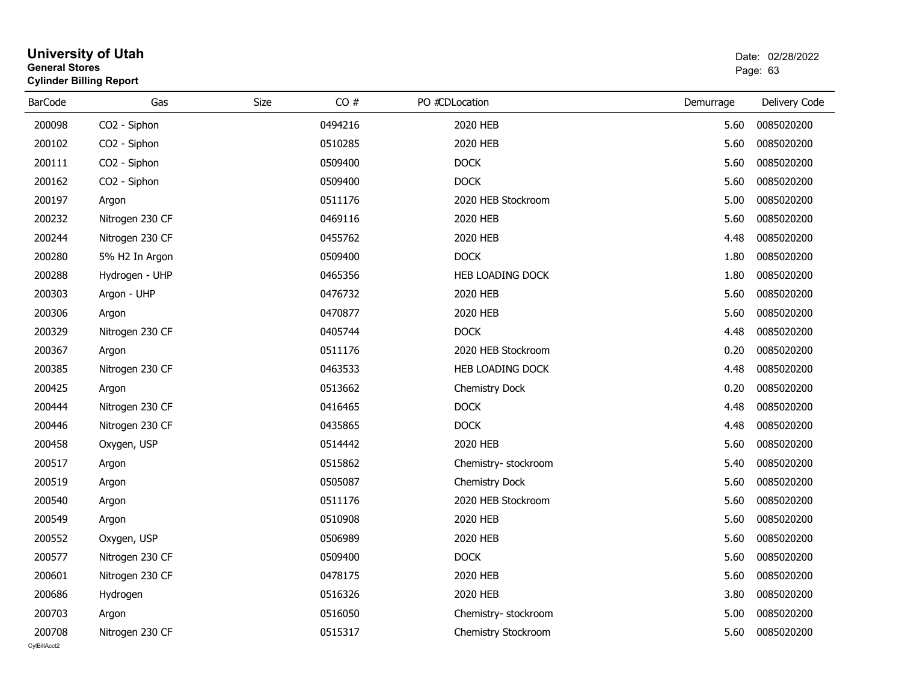| General Stores | <b>Cylinder Billing Report</b> |      |         |                |                       | Page: 63  |               |  |
|----------------|--------------------------------|------|---------|----------------|-----------------------|-----------|---------------|--|
| <b>BarCode</b> | Gas                            | Size | CO#     | PO #CDLocation |                       | Demurrage | Delivery Code |  |
| 200098         | CO2 - Siphon                   |      | 0494216 |                | 2020 HEB              | 5.60      | 0085020200    |  |
| 200102         | CO <sub>2</sub> - Siphon       |      | 0510285 |                | 2020 HEB              | 5.60      | 0085020200    |  |
| 200111         | CO2 - Siphon                   |      | 0509400 |                | <b>DOCK</b>           | 5.60      | 0085020200    |  |
| 200162         | CO2 - Siphon                   |      | 0509400 |                | <b>DOCK</b>           | 5.60      | 0085020200    |  |
| 200197         | Argon                          |      | 0511176 |                | 2020 HEB Stockroom    | 5.00      | 0085020200    |  |
| 200232         | Nitrogen 230 CF                |      | 0469116 |                | 2020 HEB              | 5.60      | 0085020200    |  |
| 200244         | Nitrogen 230 CF                |      | 0455762 |                | 2020 HEB              | 4.48      | 0085020200    |  |
| 200280         | 5% H2 In Argon                 |      | 0509400 |                | <b>DOCK</b>           | 1.80      | 0085020200    |  |
| 200288         | Hydrogen - UHP                 |      | 0465356 |                | HEB LOADING DOCK      | 1.80      | 0085020200    |  |
| 200303         | Argon - UHP                    |      | 0476732 |                | 2020 HEB              | 5.60      | 0085020200    |  |
| 200306         | Argon                          |      | 0470877 |                | 2020 HEB              | 5.60      | 0085020200    |  |
| 200329         | Nitrogen 230 CF                |      | 0405744 |                | <b>DOCK</b>           | 4.48      | 0085020200    |  |
| 200367         | Argon                          |      | 0511176 |                | 2020 HEB Stockroom    | 0.20      | 0085020200    |  |
| 200385         | Nitrogen 230 CF                |      | 0463533 |                | HEB LOADING DOCK      | 4.48      | 0085020200    |  |
| 200425         | Argon                          |      | 0513662 |                | <b>Chemistry Dock</b> | 0.20      | 0085020200    |  |
| 200444         | Nitrogen 230 CF                |      | 0416465 |                | <b>DOCK</b>           | 4.48      | 0085020200    |  |
| 200446         | Nitrogen 230 CF                |      | 0435865 |                | <b>DOCK</b>           | 4.48      | 0085020200    |  |
| 200458         | Oxygen, USP                    |      | 0514442 |                | 2020 HEB              | 5.60      | 0085020200    |  |
| 200517         | Argon                          |      | 0515862 |                | Chemistry-stockroom   | 5.40      | 0085020200    |  |
| 200519         | Argon                          |      | 0505087 |                | Chemistry Dock        | 5.60      | 0085020200    |  |
| 200540         | Argon                          |      | 0511176 |                | 2020 HEB Stockroom    | 5.60      | 0085020200    |  |
| 200549         | Argon                          |      | 0510908 |                | 2020 HEB              | 5.60      | 0085020200    |  |
| 200552         | Oxygen, USP                    |      | 0506989 |                | 2020 HEB              | 5.60      | 0085020200    |  |
| 200577         | Nitrogen 230 CF                |      | 0509400 |                | <b>DOCK</b>           | 5.60      | 0085020200    |  |
| 200601         | Nitrogen 230 CF                |      | 0478175 |                | 2020 HEB              | 5.60      | 0085020200    |  |
| 200686         | Hydrogen                       |      | 0516326 |                | 2020 HEB              | 3.80      | 0085020200    |  |
| 200703         | Argon                          |      | 0516050 |                | Chemistry- stockroom  | 5.00      | 0085020200    |  |
| 200708         | Nitrogen 230 CF                |      | 0515317 |                | Chemistry Stockroom   | 5.60      | 0085020200    |  |

## **University of Utah** Date: 02/28/2022 **General Stores**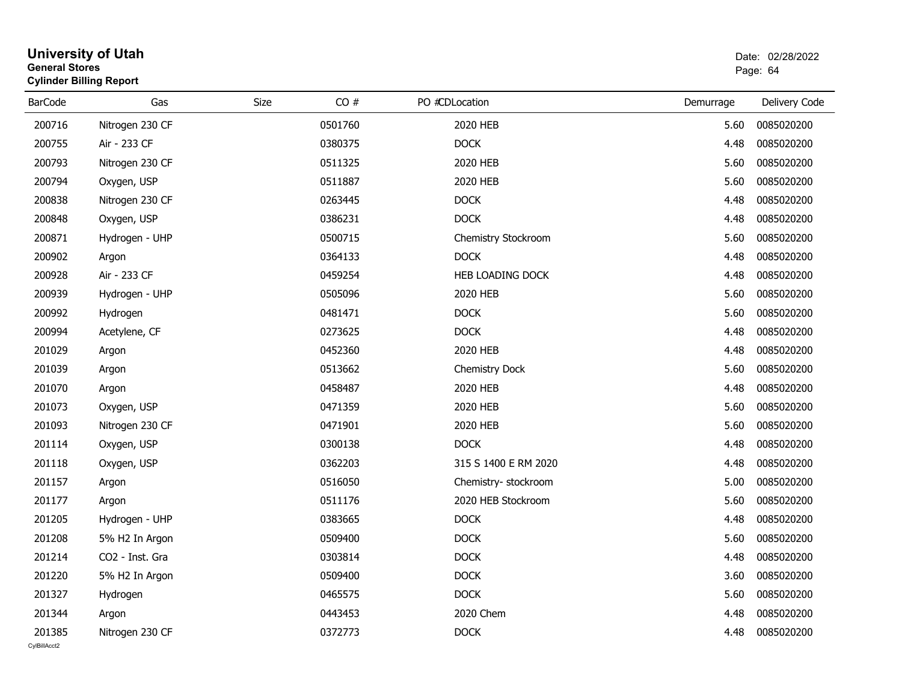| General Stores | <b>Cylinder Billing Report</b> |             | Page: 64 |                      |           |               |
|----------------|--------------------------------|-------------|----------|----------------------|-----------|---------------|
| <b>BarCode</b> | Gas                            | <b>Size</b> | CO#      | PO #CDLocation       | Demurrage | Delivery Code |
| 200716         | Nitrogen 230 CF                |             | 0501760  | 2020 HEB             | 5.60      | 0085020200    |
| 200755         | Air - 233 CF                   |             | 0380375  | <b>DOCK</b>          | 4.48      | 0085020200    |
| 200793         | Nitrogen 230 CF                |             | 0511325  | 2020 HEB             | 5.60      | 0085020200    |
| 200794         | Oxygen, USP                    |             | 0511887  | 2020 HEB             | 5.60      | 0085020200    |
| 200838         | Nitrogen 230 CF                |             | 0263445  | <b>DOCK</b>          | 4.48      | 0085020200    |
| 200848         | Oxygen, USP                    |             | 0386231  | <b>DOCK</b>          | 4.48      | 0085020200    |
| 200871         | Hydrogen - UHP                 |             | 0500715  | Chemistry Stockroom  | 5.60      | 0085020200    |
| 200902         | Argon                          |             | 0364133  | <b>DOCK</b>          | 4.48      | 0085020200    |
| 200928         | Air - 233 CF                   |             | 0459254  | HEB LOADING DOCK     | 4.48      | 0085020200    |
| 200939         | Hydrogen - UHP                 |             | 0505096  | 2020 HEB             | 5.60      | 0085020200    |
| 200992         | Hydrogen                       |             | 0481471  | <b>DOCK</b>          | 5.60      | 0085020200    |
| 200994         | Acetylene, CF                  |             | 0273625  | <b>DOCK</b>          | 4.48      | 0085020200    |
| 201029         | Argon                          |             | 0452360  | 2020 HEB             | 4.48      | 0085020200    |
| 201039         | Argon                          |             | 0513662  | Chemistry Dock       | 5.60      | 0085020200    |
| 201070         | Argon                          |             | 0458487  | 2020 HEB             | 4.48      | 0085020200    |
| 201073         | Oxygen, USP                    |             | 0471359  | 2020 HEB             | 5.60      | 0085020200    |
| 201093         | Nitrogen 230 CF                |             | 0471901  | 2020 HEB             | 5.60      | 0085020200    |
| 201114         | Oxygen, USP                    |             | 0300138  | <b>DOCK</b>          | 4.48      | 0085020200    |
| 201118         | Oxygen, USP                    |             | 0362203  | 315 S 1400 E RM 2020 | 4.48      | 0085020200    |
| 201157         | Argon                          |             | 0516050  | Chemistry- stockroom | 5.00      | 0085020200    |
| 201177         | Argon                          |             | 0511176  | 2020 HEB Stockroom   | 5.60      | 0085020200    |
| 201205         | Hydrogen - UHP                 |             | 0383665  | <b>DOCK</b>          | 4.48      | 0085020200    |
| 201208         | 5% H2 In Argon                 |             | 0509400  | <b>DOCK</b>          | 5.60      | 0085020200    |
| 201214         | CO2 - Inst. Gra                |             | 0303814  | <b>DOCK</b>          | 4.48      | 0085020200    |
| 201220         | 5% H2 In Argon                 |             | 0509400  | <b>DOCK</b>          | 3.60      | 0085020200    |
| 201327         | Hydrogen                       |             | 0465575  | DOCK                 | 5.60      | 0085020200    |
| 201344         | Argon                          |             | 0443453  | 2020 Chem            | 4.48      | 0085020200    |
| 201385         | Nitrogen 230 CF                |             | 0372773  | <b>DOCK</b>          | 4.48      | 0085020200    |

## **University of Utah** Date: 02/28/2022 **General Stores**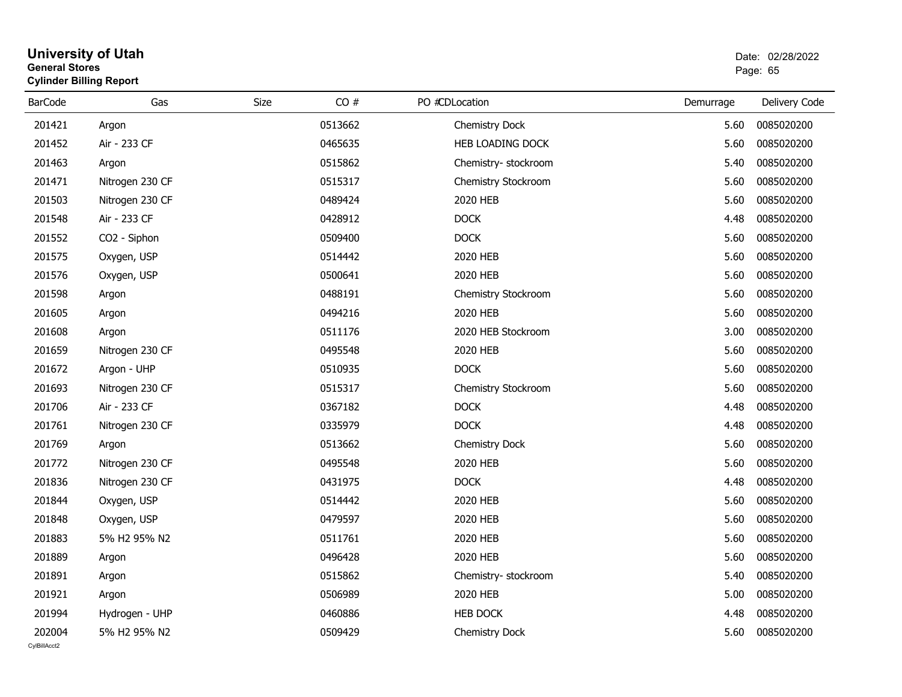#### **University of Utah** Date: 02/28/2022 **General Stores**entry of the control of the control of the control of the control of the control of the control of the control of the control of the control of the control of the control of the control of the control of the control of the **Cylinder Billing Report**

| <b>BarCode</b> | Gas             | CO#<br>Size | PO #CDLocation       | Demurrage | Delivery Code |
|----------------|-----------------|-------------|----------------------|-----------|---------------|
| 201421         | Argon           | 0513662     | Chemistry Dock       | 5.60      | 0085020200    |
| 201452         | Air - 233 CF    | 0465635     | HEB LOADING DOCK     | 5.60      | 0085020200    |
| 201463         | Argon           | 0515862     | Chemistry- stockroom | 5.40      | 0085020200    |
| 201471         | Nitrogen 230 CF | 0515317     | Chemistry Stockroom  | 5.60      | 0085020200    |
| 201503         | Nitrogen 230 CF | 0489424     | 2020 HEB             | 5.60      | 0085020200    |
| 201548         | Air - 233 CF    | 0428912     | <b>DOCK</b>          | 4.48      | 0085020200    |
| 201552         | CO2 - Siphon    | 0509400     | <b>DOCK</b>          | 5.60      | 0085020200    |
| 201575         | Oxygen, USP     | 0514442     | 2020 HEB             | 5.60      | 0085020200    |
| 201576         | Oxygen, USP     | 0500641     | 2020 HEB             | 5.60      | 0085020200    |
| 201598         | Argon           | 0488191     | Chemistry Stockroom  | 5.60      | 0085020200    |
| 201605         | Argon           | 0494216     | 2020 HEB             | 5.60      | 0085020200    |
| 201608         | Argon           | 0511176     | 2020 HEB Stockroom   | 3.00      | 0085020200    |
| 201659         | Nitrogen 230 CF | 0495548     | 2020 HEB             | 5.60      | 0085020200    |
| 201672         | Argon - UHP     | 0510935     | <b>DOCK</b>          | 5.60      | 0085020200    |
| 201693         | Nitrogen 230 CF | 0515317     | Chemistry Stockroom  | 5.60      | 0085020200    |
| 201706         | Air - 233 CF    | 0367182     | <b>DOCK</b>          | 4.48      | 0085020200    |
| 201761         | Nitrogen 230 CF | 0335979     | <b>DOCK</b>          | 4.48      | 0085020200    |
| 201769         | Argon           | 0513662     | Chemistry Dock       | 5.60      | 0085020200    |
| 201772         | Nitrogen 230 CF | 0495548     | 2020 HEB             | 5.60      | 0085020200    |
| 201836         | Nitrogen 230 CF | 0431975     | <b>DOCK</b>          | 4.48      | 0085020200    |
| 201844         | Oxygen, USP     | 0514442     | 2020 HEB             | 5.60      | 0085020200    |
| 201848         | Oxygen, USP     | 0479597     | 2020 HEB             | 5.60      | 0085020200    |
| 201883         | 5% H2 95% N2    | 0511761     | 2020 HEB             | 5.60      | 0085020200    |
| 201889         | Argon           | 0496428     | 2020 HEB             | 5.60      | 0085020200    |
| 201891         | Argon           | 0515862     | Chemistry-stockroom  | 5.40      | 0085020200    |
| 201921         | Argon           | 0506989     | 2020 HEB             | 5.00      | 0085020200    |
| 201994         | Hydrogen - UHP  | 0460886     | <b>HEB DOCK</b>      | 4.48      | 0085020200    |
| 202004         | 5% H2 95% N2    | 0509429     | Chemistry Dock       | 5.60      | 0085020200    |
| CvIBillAcct2   |                 |             |                      |           |               |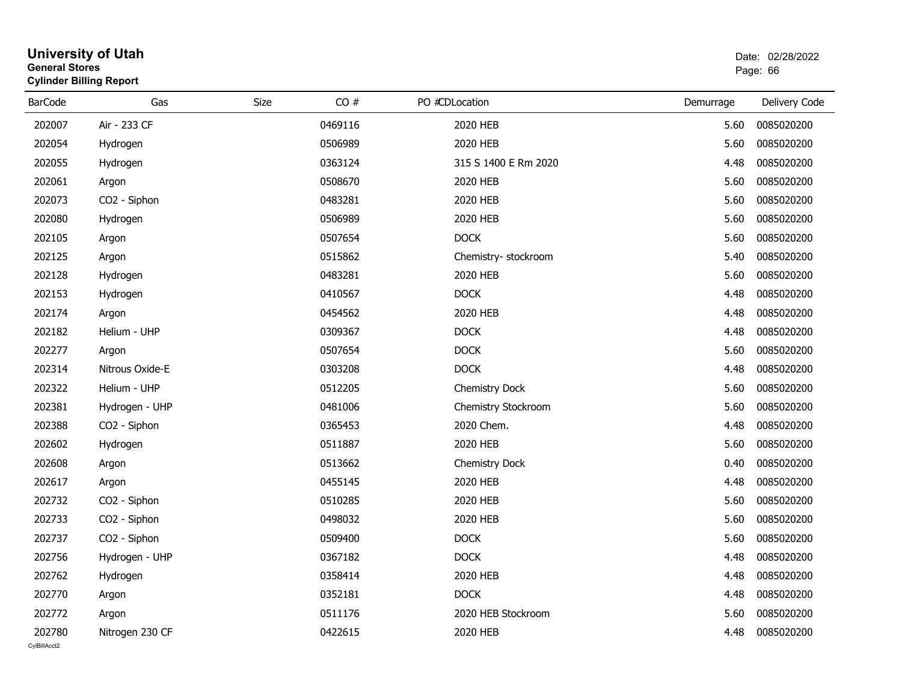| General Stores | <b>Cylinder Billing Report</b> |      |         |                      | Page: 66  |               |  |
|----------------|--------------------------------|------|---------|----------------------|-----------|---------------|--|
| <b>BarCode</b> | Gas                            | Size | CO#     | PO #CDLocation       | Demurrage | Delivery Code |  |
| 202007         | Air - 233 CF                   |      | 0469116 | 2020 HEB             | 5.60      | 0085020200    |  |
| 202054         | Hydrogen                       |      | 0506989 | 2020 HEB             | 5.60      | 0085020200    |  |
| 202055         | Hydrogen                       |      | 0363124 | 315 S 1400 E Rm 2020 | 4.48      | 0085020200    |  |
| 202061         | Argon                          |      | 0508670 | 2020 HEB             | 5.60      | 0085020200    |  |
| 202073         | CO2 - Siphon                   |      | 0483281 | 2020 HEB             | 5.60      | 0085020200    |  |
| 202080         | Hydrogen                       |      | 0506989 | 2020 HEB             | 5.60      | 0085020200    |  |
| 202105         | Argon                          |      | 0507654 | <b>DOCK</b>          | 5.60      | 0085020200    |  |
| 202125         | Argon                          |      | 0515862 | Chemistry- stockroom | 5.40      | 0085020200    |  |
| 202128         | Hydrogen                       |      | 0483281 | 2020 HEB             | 5.60      | 0085020200    |  |
| 202153         | Hydrogen                       |      | 0410567 | <b>DOCK</b>          | 4.48      | 0085020200    |  |
| 202174         | Argon                          |      | 0454562 | 2020 HEB             | 4.48      | 0085020200    |  |
| 202182         | Helium - UHP                   |      | 0309367 | <b>DOCK</b>          | 4.48      | 0085020200    |  |
| 202277         | Argon                          |      | 0507654 | <b>DOCK</b>          | 5.60      | 0085020200    |  |
| 202314         | Nitrous Oxide-E                |      | 0303208 | <b>DOCK</b>          | 4.48      | 0085020200    |  |
| 202322         | Helium - UHP                   |      | 0512205 | Chemistry Dock       | 5.60      | 0085020200    |  |
| 202381         | Hydrogen - UHP                 |      | 0481006 | Chemistry Stockroom  | 5.60      | 0085020200    |  |
| 202388         | CO <sub>2</sub> - Siphon       |      | 0365453 | 2020 Chem.           | 4.48      | 0085020200    |  |
| 202602         | Hydrogen                       |      | 0511887 | 2020 HEB             | 5.60      | 0085020200    |  |
| 202608         | Argon                          |      | 0513662 | Chemistry Dock       | 0.40      | 0085020200    |  |
| 202617         | Argon                          |      | 0455145 | 2020 HEB             | 4.48      | 0085020200    |  |
| 202732         | CO2 - Siphon                   |      | 0510285 | 2020 HEB             | 5.60      | 0085020200    |  |
| 202733         | CO <sub>2</sub> - Siphon       |      | 0498032 | 2020 HEB             | 5.60      | 0085020200    |  |
| 202737         | CO2 - Siphon                   |      | 0509400 | <b>DOCK</b>          | 5.60      | 0085020200    |  |
| 202756         | Hydrogen - UHP                 |      | 0367182 | <b>DOCK</b>          | 4.48      | 0085020200    |  |
| 202762         | Hydrogen                       |      | 0358414 | 2020 HEB             | 4.48      | 0085020200    |  |
| 202770         | Argon                          |      | 0352181 | <b>DOCK</b>          | 4.48      | 0085020200    |  |
| 202772         | Argon                          |      | 0511176 | 2020 HEB Stockroom   | 5.60      | 0085020200    |  |
| 202780         | Nitrogen 230 CF                |      | 0422615 | 2020 HEB             | 4.48      | 0085020200    |  |

## **University of Utah** Date: 02/28/2022 **General Stores**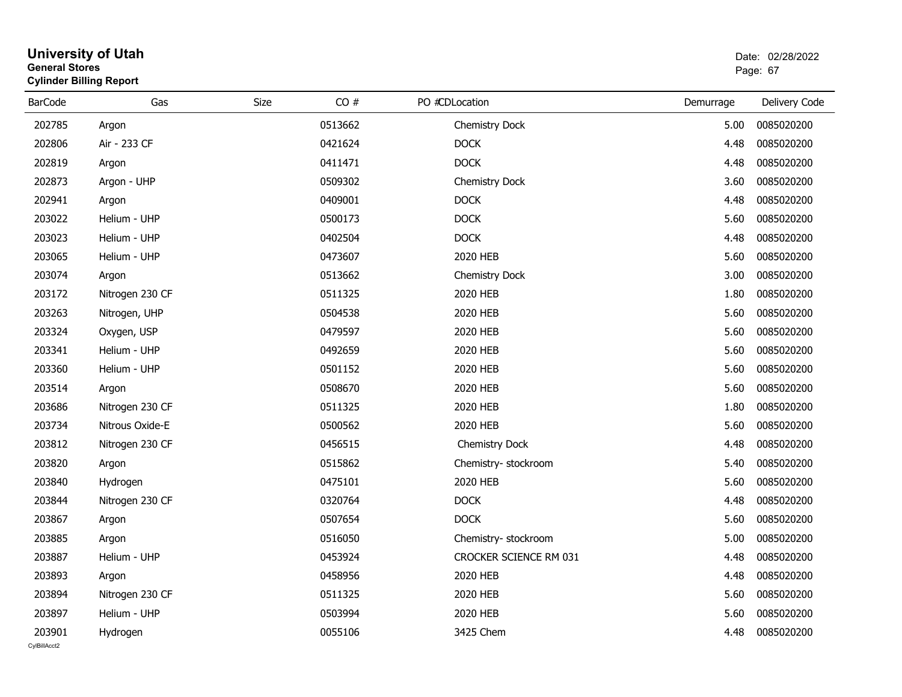### **University of Utah** Date: 02/28/2022 **General Stores**end and the state of the state of the state of the state of the state of the state of the state of the state of the state of the state of the state of the state of the state of the state of the state of the state of the st **Cylinder Billing Report**

| <b>BarCode</b> | Gas             | CO#<br>Size | PO #CDLocation         | Demurrage | Delivery Code |
|----------------|-----------------|-------------|------------------------|-----------|---------------|
| 202785         | Argon           | 0513662     | Chemistry Dock         | 5.00      | 0085020200    |
| 202806         | Air - 233 CF    | 0421624     | <b>DOCK</b>            | 4.48      | 0085020200    |
| 202819         | Argon           | 0411471     | <b>DOCK</b>            | 4.48      | 0085020200    |
| 202873         | Argon - UHP     | 0509302     | Chemistry Dock         | 3.60      | 0085020200    |
| 202941         | Argon           | 0409001     | <b>DOCK</b>            | 4.48      | 0085020200    |
| 203022         | Helium - UHP    | 0500173     | <b>DOCK</b>            | 5.60      | 0085020200    |
| 203023         | Helium - UHP    | 0402504     | <b>DOCK</b>            | 4.48      | 0085020200    |
| 203065         | Helium - UHP    | 0473607     | 2020 HEB               | 5.60      | 0085020200    |
| 203074         | Argon           | 0513662     | Chemistry Dock         | 3.00      | 0085020200    |
| 203172         | Nitrogen 230 CF | 0511325     | 2020 HEB               | 1.80      | 0085020200    |
| 203263         | Nitrogen, UHP   | 0504538     | 2020 HEB               | 5.60      | 0085020200    |
| 203324         | Oxygen, USP     | 0479597     | 2020 HEB               | 5.60      | 0085020200    |
| 203341         | Helium - UHP    | 0492659     | 2020 HEB               | 5.60      | 0085020200    |
| 203360         | Helium - UHP    | 0501152     | 2020 HEB               | 5.60      | 0085020200    |
| 203514         | Argon           | 0508670     | 2020 HEB               | 5.60      | 0085020200    |
| 203686         | Nitrogen 230 CF | 0511325     | 2020 HEB               | 1.80      | 0085020200    |
| 203734         | Nitrous Oxide-E | 0500562     | 2020 HEB               | 5.60      | 0085020200    |
| 203812         | Nitrogen 230 CF | 0456515     | Chemistry Dock         | 4.48      | 0085020200    |
| 203820         | Argon           | 0515862     | Chemistry- stockroom   | 5.40      | 0085020200    |
| 203840         | Hydrogen        | 0475101     | 2020 HEB               | 5.60      | 0085020200    |
| 203844         | Nitrogen 230 CF | 0320764     | <b>DOCK</b>            | 4.48      | 0085020200    |
| 203867         | Argon           | 0507654     | <b>DOCK</b>            | 5.60      | 0085020200    |
| 203885         | Argon           | 0516050     | Chemistry-stockroom    | 5.00      | 0085020200    |
| 203887         | Helium - UHP    | 0453924     | CROCKER SCIENCE RM 031 | 4.48      | 0085020200    |
| 203893         | Argon           | 0458956     | 2020 HEB               | 4.48      | 0085020200    |
| 203894         | Nitrogen 230 CF | 0511325     | 2020 HEB               | 5.60      | 0085020200    |
| 203897         | Helium - UHP    | 0503994     | 2020 HEB               | 5.60      | 0085020200    |
| 203901         | Hydrogen        | 0055106     | 3425 Chem              | 4.48      | 0085020200    |
| CvIBillAcct2   |                 |             |                        |           |               |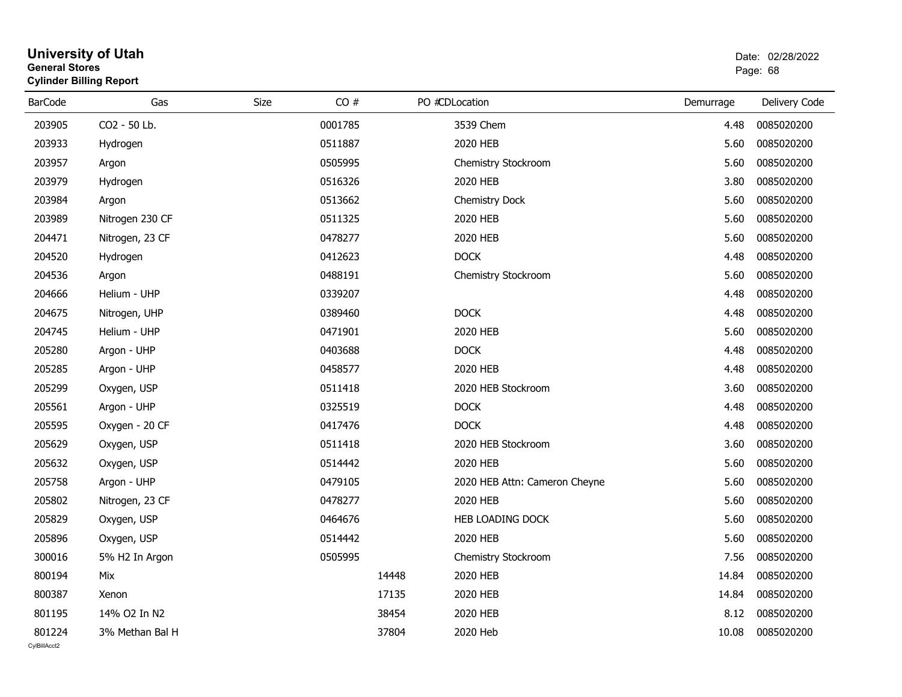| General Stores | <b>Cylinder Billing Report</b> |      |         |       |                               | Page: 68  |               |  |
|----------------|--------------------------------|------|---------|-------|-------------------------------|-----------|---------------|--|
| <b>BarCode</b> | Gas                            | Size | CO#     |       | PO #CDLocation                | Demurrage | Delivery Code |  |
| 203905         | CO2 - 50 Lb.                   |      | 0001785 |       | 3539 Chem                     | 4.48      | 0085020200    |  |
| 203933         | Hydrogen                       |      | 0511887 |       | 2020 HEB                      | 5.60      | 0085020200    |  |
| 203957         | Argon                          |      | 0505995 |       | Chemistry Stockroom           | 5.60      | 0085020200    |  |
| 203979         | Hydrogen                       |      | 0516326 |       | 2020 HEB                      | 3.80      | 0085020200    |  |
| 203984         | Argon                          |      | 0513662 |       | Chemistry Dock                | 5.60      | 0085020200    |  |
| 203989         | Nitrogen 230 CF                |      | 0511325 |       | 2020 HEB                      | 5.60      | 0085020200    |  |
| 204471         | Nitrogen, 23 CF                |      | 0478277 |       | 2020 HEB                      | 5.60      | 0085020200    |  |
| 204520         | Hydrogen                       |      | 0412623 |       | <b>DOCK</b>                   | 4.48      | 0085020200    |  |
| 204536         | Argon                          |      | 0488191 |       | Chemistry Stockroom           | 5.60      | 0085020200    |  |
| 204666         | Helium - UHP                   |      | 0339207 |       |                               | 4.48      | 0085020200    |  |
| 204675         | Nitrogen, UHP                  |      | 0389460 |       | <b>DOCK</b>                   | 4.48      | 0085020200    |  |
| 204745         | Helium - UHP                   |      | 0471901 |       | 2020 HEB                      | 5.60      | 0085020200    |  |
| 205280         | Argon - UHP                    |      | 0403688 |       | <b>DOCK</b>                   | 4.48      | 0085020200    |  |
| 205285         | Argon - UHP                    |      | 0458577 |       | 2020 HEB                      | 4.48      | 0085020200    |  |
| 205299         | Oxygen, USP                    |      | 0511418 |       | 2020 HEB Stockroom            | 3.60      | 0085020200    |  |
| 205561         | Argon - UHP                    |      | 0325519 |       | <b>DOCK</b>                   | 4.48      | 0085020200    |  |
| 205595         | Oxygen - 20 CF                 |      | 0417476 |       | <b>DOCK</b>                   | 4.48      | 0085020200    |  |
| 205629         | Oxygen, USP                    |      | 0511418 |       | 2020 HEB Stockroom            | 3.60      | 0085020200    |  |
| 205632         | Oxygen, USP                    |      | 0514442 |       | 2020 HEB                      | 5.60      | 0085020200    |  |
| 205758         | Argon - UHP                    |      | 0479105 |       | 2020 HEB Attn: Cameron Cheyne | 5.60      | 0085020200    |  |
| 205802         | Nitrogen, 23 CF                |      | 0478277 |       | 2020 HEB                      | 5.60      | 0085020200    |  |
| 205829         | Oxygen, USP                    |      | 0464676 |       | HEB LOADING DOCK              | 5.60      | 0085020200    |  |
| 205896         | Oxygen, USP                    |      | 0514442 |       | 2020 HEB                      | 5.60      | 0085020200    |  |
| 300016         | 5% H2 In Argon                 |      | 0505995 |       | Chemistry Stockroom           | 7.56      | 0085020200    |  |
| 800194         | Mix                            |      |         | 14448 | 2020 HEB                      | 14.84     | 0085020200    |  |
| 800387         | Xenon                          |      |         | 17135 | 2020 HEB                      | 14.84     | 0085020200    |  |
| 801195         | 14% O2 In N2                   |      |         | 38454 | 2020 HEB                      | 8.12      | 0085020200    |  |
| 801224         | 3% Methan Bal H                |      |         | 37804 | 2020 Heb                      | 10.08     | 0085020200    |  |

## **University of Utah** Date: 02/28/2022 **General Stores**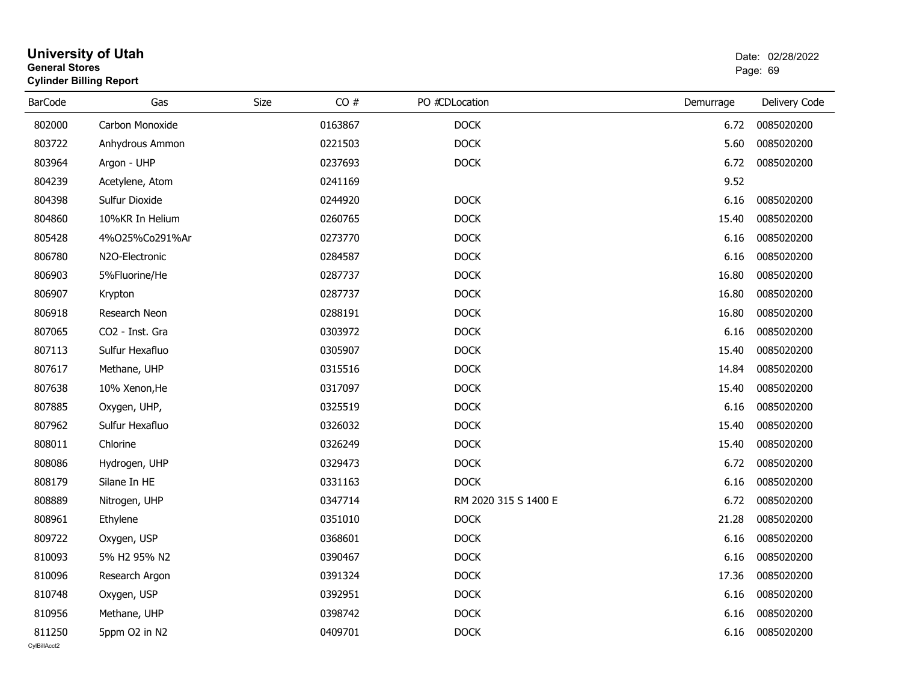| <b>General Stores</b>  | <b>University of Utah</b><br><b>Cylinder Billing Report</b> |      |         |                      | Date: 02/28/2022<br>Page: 69 |                 |  |  |
|------------------------|-------------------------------------------------------------|------|---------|----------------------|------------------------------|-----------------|--|--|
| <b>BarCode</b>         | Gas                                                         | Size | CO#     | PO #CDLocation       | Demurrage                    | Delivery Code   |  |  |
| 802000                 | Carbon Monoxide                                             |      | 0163867 | <b>DOCK</b>          | 6.72                         | 0085020200      |  |  |
| 803722                 | Anhydrous Ammon                                             |      | 0221503 | <b>DOCK</b>          | 5.60                         | 0085020200      |  |  |
| 803964                 | Argon - UHP                                                 |      | 0237693 | <b>DOCK</b>          | 6.72                         | 0085020200      |  |  |
| 804239                 | Acetylene, Atom                                             |      | 0241169 |                      | 9.52                         |                 |  |  |
| 804398                 | Sulfur Dioxide                                              |      | 0244920 | <b>DOCK</b>          | 6.16                         | 0085020200      |  |  |
| 804860                 | 10%KR In Helium                                             |      | 0260765 | <b>DOCK</b>          | 15.40                        | 0085020200      |  |  |
| 805428                 | 4%025%Co291%Ar                                              |      | 0273770 | <b>DOCK</b>          | 6.16                         | 0085020200      |  |  |
| 806780                 | N2O-Electronic                                              |      | 0284587 | <b>DOCK</b>          | 6.16                         | 0085020200      |  |  |
| 806903                 | 5%Fluorine/He                                               |      | 0287737 | <b>DOCK</b>          | 16.80                        | 0085020200      |  |  |
| 806907                 | Krypton                                                     |      | 0287737 | <b>DOCK</b>          | 16.80                        | 0085020200      |  |  |
| 806918                 | Research Neon                                               |      | 0288191 | <b>DOCK</b>          | 16.80                        | 0085020200      |  |  |
| 807065                 | CO2 - Inst. Gra                                             |      | 0303972 | <b>DOCK</b>          | 6.16                         | 0085020200      |  |  |
| 807113                 | Sulfur Hexafluo                                             |      | 0305907 | <b>DOCK</b>          | 15.40                        | 0085020200      |  |  |
| 807617                 | Methane, UHP                                                |      | 0315516 | <b>DOCK</b>          | 14.84                        | 0085020200      |  |  |
| 807638                 | 10% Xenon, He                                               |      | 0317097 | <b>DOCK</b>          | 15.40                        | 0085020200      |  |  |
| 807885                 | Oxygen, UHP,                                                |      | 0325519 | <b>DOCK</b>          | 6.16                         | 0085020200      |  |  |
| 807962                 | Sulfur Hexafluo                                             |      | 0326032 | <b>DOCK</b>          | 15.40                        | 0085020200      |  |  |
| 808011                 | Chlorine                                                    |      | 0326249 | <b>DOCK</b>          | 15.40                        | 0085020200      |  |  |
| 808086                 | Hydrogen, UHP                                               |      | 0329473 | <b>DOCK</b>          | 6.72                         | 0085020200      |  |  |
| 808179                 | Silane In HE                                                |      | 0331163 | <b>DOCK</b>          | 6.16                         | 0085020200      |  |  |
| 808889                 | Nitrogen, UHP                                               |      | 0347714 | RM 2020 315 S 1400 E | 6.72                         | 0085020200      |  |  |
| 808961                 | Ethylene                                                    |      | 0351010 | <b>DOCK</b>          | 21.28                        | 0085020200      |  |  |
| 809722                 | Oxygen, USP                                                 |      | 0368601 | <b>DOCK</b>          | 6.16                         | 0085020200      |  |  |
| 810093                 | 5% H2 95% N2                                                |      | 0390467 | <b>DOCK</b>          |                              | 6.16 0085020200 |  |  |
| 810096                 | Research Argon                                              |      | 0391324 | <b>DOCK</b>          | 17.36                        | 0085020200      |  |  |
| 810748                 | Oxygen, USP                                                 |      | 0392951 | <b>DOCK</b>          | 6.16                         | 0085020200      |  |  |
| 810956                 | Methane, UHP                                                |      | 0398742 | <b>DOCK</b>          | 6.16                         | 0085020200      |  |  |
| 811250<br>CvIBillAcct2 | 5ppm O2 in N2                                               |      | 0409701 | <b>DOCK</b>          | 6.16                         | 0085020200      |  |  |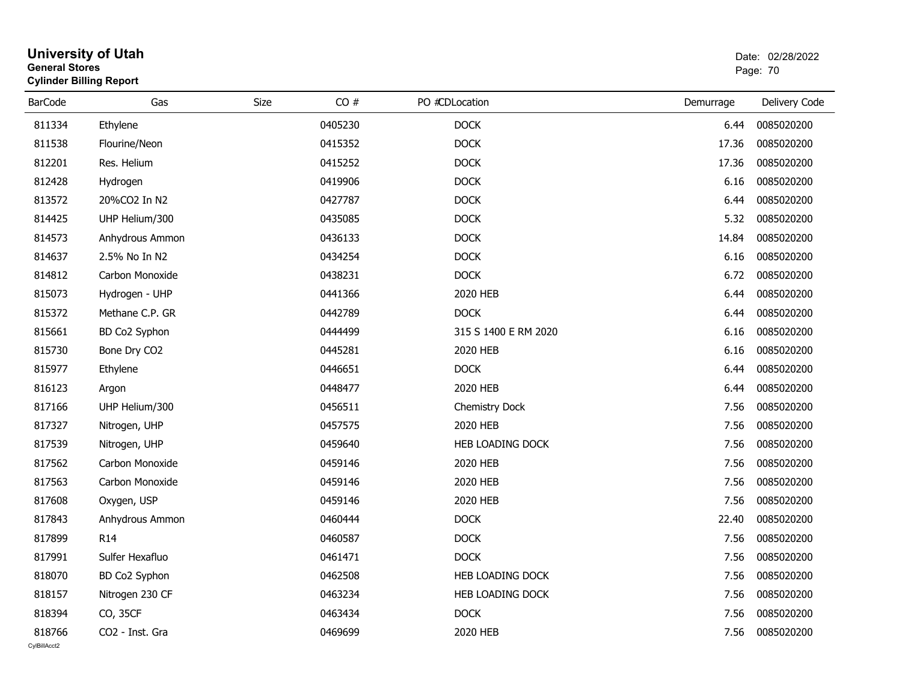| <b>General Stores</b> | <b>University of Utah</b><br><b>Cylinder Billing Report</b> |      |         |                      | Date: 02/28/2022<br>Page: 70 |               |
|-----------------------|-------------------------------------------------------------|------|---------|----------------------|------------------------------|---------------|
| <b>BarCode</b>        | Gas                                                         | Size | CO#     | PO #CDLocation       | Demurrage                    | Delivery Code |
| 811334                | Ethylene                                                    |      | 0405230 | <b>DOCK</b>          | 6.44                         | 0085020200    |
| 811538                | Flourine/Neon                                               |      | 0415352 | <b>DOCK</b>          | 17.36                        | 0085020200    |
| 812201                | Res. Helium                                                 |      | 0415252 | <b>DOCK</b>          | 17.36                        | 0085020200    |
| 812428                | Hydrogen                                                    |      | 0419906 | <b>DOCK</b>          | 6.16                         | 0085020200    |
| 813572                | 20%CO2 In N2                                                |      | 0427787 | <b>DOCK</b>          | 6.44                         | 0085020200    |
| 814425                | UHP Helium/300                                              |      | 0435085 | <b>DOCK</b>          | 5.32                         | 0085020200    |
| 814573                | Anhydrous Ammon                                             |      | 0436133 | <b>DOCK</b>          | 14.84                        | 0085020200    |
| 814637                | 2.5% No In N2                                               |      | 0434254 | <b>DOCK</b>          | 6.16                         | 0085020200    |
| 814812                | Carbon Monoxide                                             |      | 0438231 | <b>DOCK</b>          | 6.72                         | 0085020200    |
| 815073                | Hydrogen - UHP                                              |      | 0441366 | 2020 HEB             | 6.44                         | 0085020200    |
| 815372                | Methane C.P. GR                                             |      | 0442789 | <b>DOCK</b>          | 6.44                         | 0085020200    |
| 815661                | BD Co2 Syphon                                               |      | 0444499 | 315 S 1400 E RM 2020 | 6.16                         | 0085020200    |
| 815730                | Bone Dry CO2                                                |      | 0445281 | 2020 HEB             | 6.16                         | 0085020200    |
| 815977                | Ethylene                                                    |      | 0446651 | <b>DOCK</b>          | 6.44                         | 0085020200    |
| 816123                | Argon                                                       |      | 0448477 | 2020 HEB             | 6.44                         | 0085020200    |
| 817166                | UHP Helium/300                                              |      | 0456511 | Chemistry Dock       | 7.56                         | 0085020200    |
| 817327                | Nitrogen, UHP                                               |      | 0457575 | 2020 HEB             | 7.56                         | 0085020200    |
| 817539                | Nitrogen, UHP                                               |      | 0459640 | HEB LOADING DOCK     | 7.56                         | 0085020200    |
| 817562                | Carbon Monoxide                                             |      | 0459146 | 2020 HEB             | 7.56                         | 0085020200    |
| 817563                | Carbon Monoxide                                             |      | 0459146 | 2020 HEB             | 7.56                         | 0085020200    |
| 817608                | Oxygen, USP                                                 |      | 0459146 | 2020 HEB             | 7.56                         | 0085020200    |
| 817843                | Anhydrous Ammon                                             |      | 0460444 | <b>DOCK</b>          | 22.40                        | 0085020200    |
| 817899                | R <sub>14</sub>                                             |      | 0460587 | <b>DOCK</b>          | 7.56                         | 0085020200    |
| 817991                | Sulfer Hexafluo                                             |      | 0461471 | <b>DOCK</b>          | 7.56                         | 0085020200    |
| 818070                | BD Co2 Syphon                                               |      | 0462508 | HEB LOADING DOCK     | 7.56                         | 0085020200    |
| 818157                | Nitrogen 230 CF                                             |      | 0463234 | HEB LOADING DOCK     | 7.56                         | 0085020200    |
| 818394                | CO, 35CF                                                    |      | 0463434 | <b>DOCK</b>          | 7.56                         | 0085020200    |
| 818766                | CO2 - Inst. Gra                                             |      | 0469699 | 2020 HEB             | 7.56                         | 0085020200    |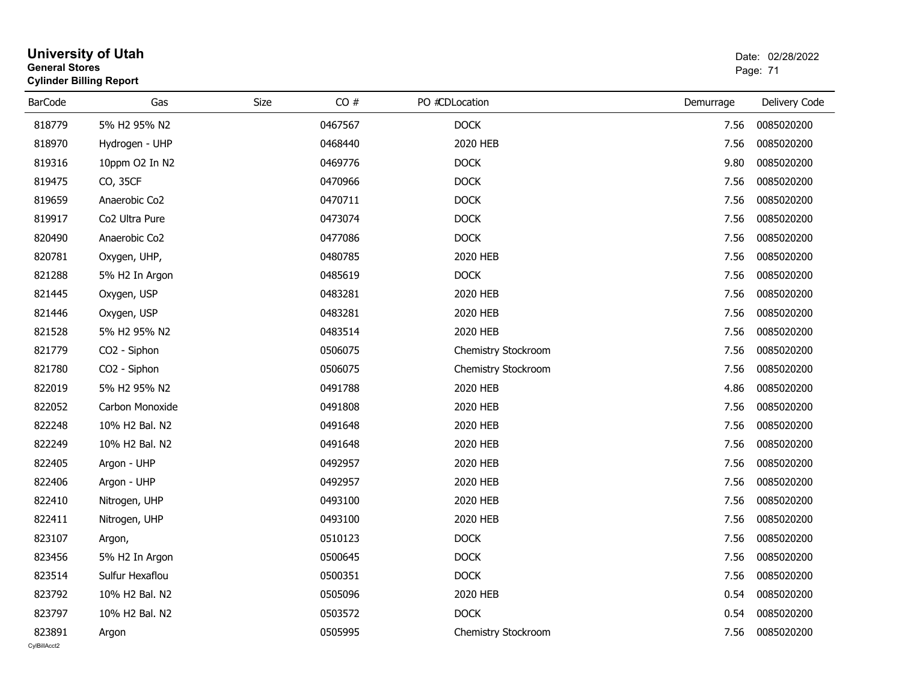|                        | <b>University of Utah</b><br><b>General Stores</b><br><b>Cylinder Billing Report</b> |      |         |                     | Date: 02/28/2022<br>Page: 71 |               |
|------------------------|--------------------------------------------------------------------------------------|------|---------|---------------------|------------------------------|---------------|
| <b>BarCode</b>         | Gas                                                                                  | Size | CO#     | PO #CDLocation      | Demurrage                    | Delivery Code |
| 818779                 | 5% H2 95% N2                                                                         |      | 0467567 | <b>DOCK</b>         | 7.56                         | 0085020200    |
| 818970                 | Hydrogen - UHP                                                                       |      | 0468440 | 2020 HEB            | 7.56                         | 0085020200    |
| 819316                 | 10ppm O2 In N2                                                                       |      | 0469776 | <b>DOCK</b>         | 9.80                         | 0085020200    |
| 819475                 | CO, 35CF                                                                             |      | 0470966 | <b>DOCK</b>         | 7.56                         | 0085020200    |
| 819659                 | Anaerobic Co2                                                                        |      | 0470711 | <b>DOCK</b>         | 7.56                         | 0085020200    |
| 819917                 | Co2 Ultra Pure                                                                       |      | 0473074 | <b>DOCK</b>         | 7.56                         | 0085020200    |
| 820490                 | Anaerobic Co2                                                                        |      | 0477086 | <b>DOCK</b>         | 7.56                         | 0085020200    |
| 820781                 | Oxygen, UHP,                                                                         |      | 0480785 | 2020 HEB            | 7.56                         | 0085020200    |
| 821288                 | 5% H2 In Argon                                                                       |      | 0485619 | <b>DOCK</b>         | 7.56                         | 0085020200    |
| 821445                 | Oxygen, USP                                                                          |      | 0483281 | 2020 HEB            | 7.56                         | 0085020200    |
| 821446                 | Oxygen, USP                                                                          |      | 0483281 | 2020 HEB            | 7.56                         | 0085020200    |
| 821528                 | 5% H2 95% N2                                                                         |      | 0483514 | 2020 HEB            | 7.56                         | 0085020200    |
| 821779                 | CO2 - Siphon                                                                         |      | 0506075 | Chemistry Stockroom | 7.56                         | 0085020200    |
| 821780                 | CO2 - Siphon                                                                         |      | 0506075 | Chemistry Stockroom | 7.56                         | 0085020200    |
| 822019                 | 5% H2 95% N2                                                                         |      | 0491788 | 2020 HEB            | 4.86                         | 0085020200    |
| 822052                 | Carbon Monoxide                                                                      |      | 0491808 | 2020 HEB            | 7.56                         | 0085020200    |
| 822248                 | 10% H2 Bal. N2                                                                       |      | 0491648 | 2020 HEB            | 7.56                         | 0085020200    |
| 822249                 | 10% H2 Bal. N2                                                                       |      | 0491648 | 2020 HEB            | 7.56                         | 0085020200    |
| 822405                 | Argon - UHP                                                                          |      | 0492957 | 2020 HEB            | 7.56                         | 0085020200    |
| 822406                 | Argon - UHP                                                                          |      | 0492957 | 2020 HEB            | 7.56                         | 0085020200    |
| 822410                 | Nitrogen, UHP                                                                        |      | 0493100 | 2020 HEB            | 7.56                         | 0085020200    |
| 822411                 | Nitrogen, UHP                                                                        |      | 0493100 | 2020 HEB            | 7.56                         | 0085020200    |
| 823107                 | Argon,                                                                               |      | 0510123 | <b>DOCK</b>         | 7.56                         | 0085020200    |
| 823456                 | 5% H2 In Argon                                                                       |      | 0500645 | <b>DOCK</b>         | 7.56                         | 0085020200    |
| 823514                 | Sulfur Hexaflou                                                                      |      | 0500351 | <b>DOCK</b>         | 7.56                         | 0085020200    |
| 823792                 | 10% H2 Bal. N2                                                                       |      | 0505096 | 2020 HEB            | 0.54                         | 0085020200    |
| 823797                 | 10% H2 Bal. N2                                                                       |      | 0503572 | <b>DOCK</b>         | 0.54                         | 0085020200    |
| 823891<br>CvIBillAcct2 | Argon                                                                                |      | 0505995 | Chemistry Stockroom | 7.56                         | 0085020200    |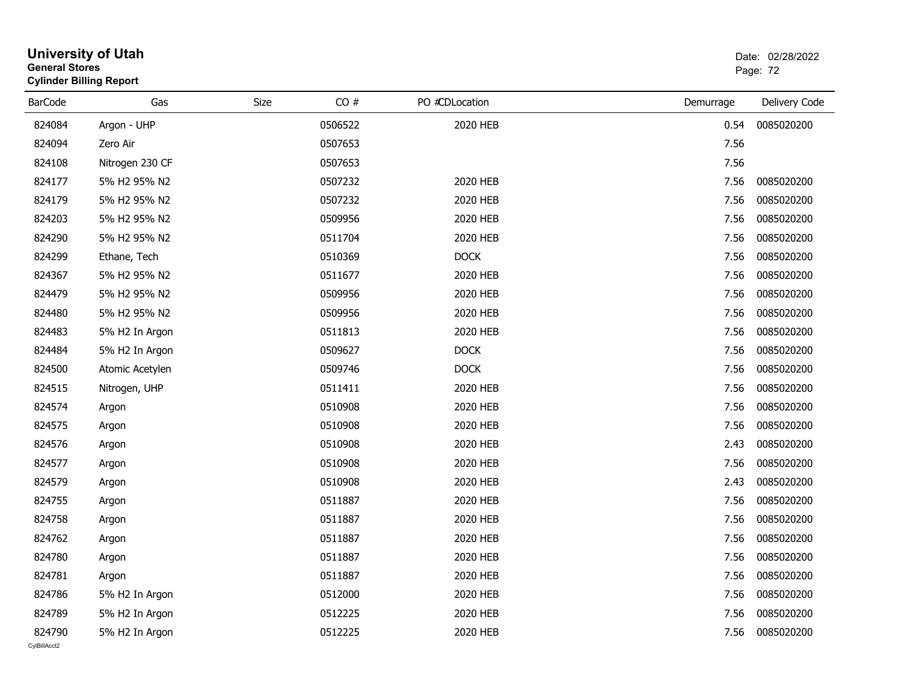#### **University of Utah** Date: 02/28/2022 **General Stores**s and the contract of the contract of the contract of the contract of the contract of the contract of the contract of the contract of the contract of the contract of the contract of the contract of the contract of the cont **Cylinder Billing Report**

| <b>BarCode</b> | Gas             | Size | CO#     | PO #CDLocation | Demurrage | Delivery Code |
|----------------|-----------------|------|---------|----------------|-----------|---------------|
| 824084         | Argon - UHP     |      | 0506522 | 2020 HEB       | 0.54      | 0085020200    |
| 824094         | Zero Air        |      | 0507653 |                | 7.56      |               |
| 824108         | Nitrogen 230 CF |      | 0507653 |                | 7.56      |               |
| 824177         | 5% H2 95% N2    |      | 0507232 | 2020 HEB       | 7.56      | 0085020200    |
| 824179         | 5% H2 95% N2    |      | 0507232 | 2020 HEB       | 7.56      | 0085020200    |
| 824203         | 5% H2 95% N2    |      | 0509956 | 2020 HEB       | 7.56      | 0085020200    |
| 824290         | 5% H2 95% N2    |      | 0511704 | 2020 HEB       | 7.56      | 0085020200    |
| 824299         | Ethane, Tech    |      | 0510369 | <b>DOCK</b>    | 7.56      | 0085020200    |
| 824367         | 5% H2 95% N2    |      | 0511677 | 2020 HEB       | 7.56      | 0085020200    |
| 824479         | 5% H2 95% N2    |      | 0509956 | 2020 HEB       | 7.56      | 0085020200    |
| 824480         | 5% H2 95% N2    |      | 0509956 | 2020 HEB       | 7.56      | 0085020200    |
| 824483         | 5% H2 In Argon  |      | 0511813 | 2020 HEB       | 7.56      | 0085020200    |
| 824484         | 5% H2 In Argon  |      | 0509627 | <b>DOCK</b>    | 7.56      | 0085020200    |
| 824500         | Atomic Acetylen |      | 0509746 | <b>DOCK</b>    | 7.56      | 0085020200    |
| 824515         | Nitrogen, UHP   |      | 0511411 | 2020 HEB       | 7.56      | 0085020200    |
| 824574         | Argon           |      | 0510908 | 2020 HEB       | 7.56      | 0085020200    |
| 824575         | Argon           |      | 0510908 | 2020 HEB       | 7.56      | 0085020200    |
| 824576         | Argon           |      | 0510908 | 2020 HEB       | 2.43      | 0085020200    |
| 824577         | Argon           |      | 0510908 | 2020 HEB       | 7.56      | 0085020200    |
| 824579         | Argon           |      | 0510908 | 2020 HEB       | 2.43      | 0085020200    |
| 824755         | Argon           |      | 0511887 | 2020 HEB       | 7.56      | 0085020200    |
| 824758         | Argon           |      | 0511887 | 2020 HEB       | 7.56      | 0085020200    |
| 824762         | Argon           |      | 0511887 | 2020 HEB       | 7.56      | 0085020200    |
| 824780         | Argon           |      | 0511887 | 2020 HEB       | 7.56      | 0085020200    |
| 824781         | Argon           |      | 0511887 | 2020 HEB       | 7.56      | 0085020200    |
| 824786         | 5% H2 In Argon  |      | 0512000 | 2020 HEB       | 7.56      | 0085020200    |
| 824789         | 5% H2 In Argon  |      | 0512225 | 2020 HEB       | 7.56      | 0085020200    |
| 824790         | 5% H2 In Argon  |      | 0512225 | 2020 HEB       | 7.56      | 0085020200    |
| CvIBillAcct2   |                 |      |         |                |           |               |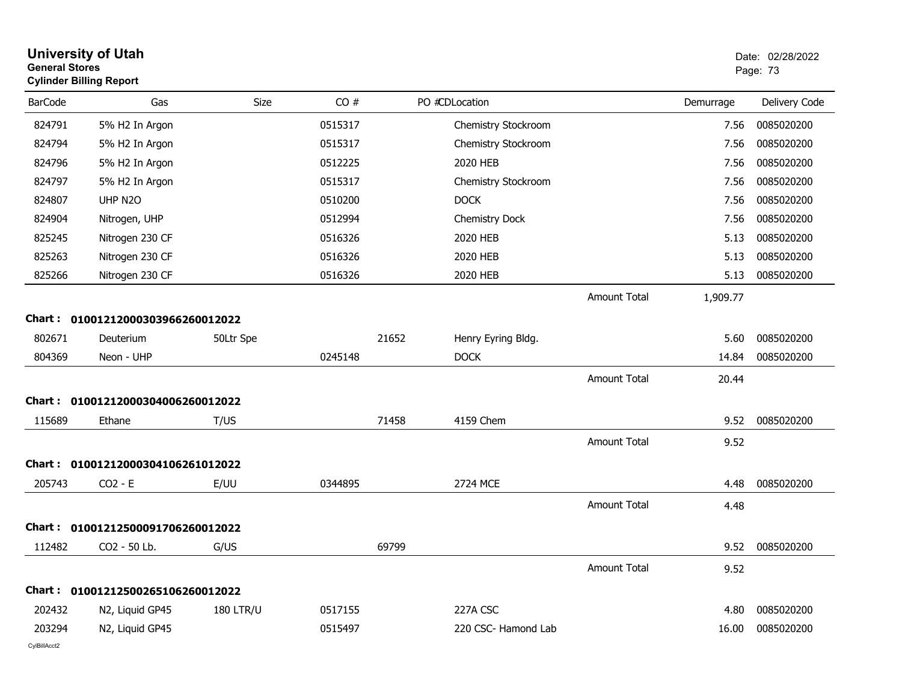| <b>General Stores</b> | <b>University of Utah</b><br><b>Cylinder Billing Report</b> |                  |         |       |                     |                     |           | Date: 02/28/2022<br>Page: 73 |
|-----------------------|-------------------------------------------------------------|------------------|---------|-------|---------------------|---------------------|-----------|------------------------------|
| <b>BarCode</b>        | Gas                                                         | Size             | CO#     |       | PO #CDLocation      |                     | Demurrage | Delivery Code                |
| 824791                | 5% H2 In Argon                                              |                  | 0515317 |       | Chemistry Stockroom |                     | 7.56      | 0085020200                   |
| 824794                | 5% H2 In Argon                                              |                  | 0515317 |       | Chemistry Stockroom |                     | 7.56      | 0085020200                   |
| 824796                | 5% H2 In Argon                                              |                  | 0512225 |       | 2020 HEB            |                     | 7.56      | 0085020200                   |
| 824797                | 5% H2 In Argon                                              |                  | 0515317 |       | Chemistry Stockroom |                     | 7.56      | 0085020200                   |
| 824807                | UHP N2O                                                     |                  | 0510200 |       | <b>DOCK</b>         |                     | 7.56      | 0085020200                   |
| 824904                | Nitrogen, UHP                                               |                  | 0512994 |       | Chemistry Dock      |                     | 7.56      | 0085020200                   |
| 825245                | Nitrogen 230 CF                                             |                  | 0516326 |       | 2020 HEB            |                     | 5.13      | 0085020200                   |
| 825263                | Nitrogen 230 CF                                             |                  | 0516326 |       | 2020 HEB            |                     | 5.13      | 0085020200                   |
| 825266                | Nitrogen 230 CF                                             |                  | 0516326 |       | 2020 HEB            |                     | 5.13      | 0085020200                   |
|                       |                                                             |                  |         |       |                     | <b>Amount Total</b> | 1,909.77  |                              |
|                       | Chart: 01001212000303966260012022                           |                  |         |       |                     |                     |           |                              |
| 802671                | Deuterium                                                   | 50Ltr Spe        |         | 21652 | Henry Eyring Bldg.  |                     | 5.60      | 0085020200                   |
| 804369                | Neon - UHP                                                  |                  | 0245148 |       | <b>DOCK</b>         |                     | 14.84     | 0085020200                   |
|                       |                                                             |                  |         |       |                     | <b>Amount Total</b> | 20.44     |                              |
|                       | Chart: 01001212000304006260012022                           |                  |         |       |                     |                     |           |                              |
| 115689                | Ethane                                                      | T/US             |         | 71458 | 4159 Chem           |                     | 9.52      | 0085020200                   |
|                       |                                                             |                  |         |       |                     | <b>Amount Total</b> | 9.52      |                              |
|                       | Chart: 01001212000304106261012022                           |                  |         |       |                     |                     |           |                              |
| 205743                | $CO2 - E$                                                   | E/UU             | 0344895 |       | 2724 MCE            |                     | 4.48      | 0085020200                   |
|                       |                                                             |                  |         |       |                     | <b>Amount Total</b> | 4.48      |                              |
|                       | Chart: 01001212500091706260012022                           |                  |         |       |                     |                     |           |                              |
| 112482                | CO <sub>2</sub> - 50 Lb.                                    | G/US             |         | 69799 |                     |                     | 9.52      | 0085020200                   |
|                       |                                                             |                  |         |       |                     | <b>Amount Total</b> | 9.52      |                              |
|                       | Chart: 01001212500265106260012022                           |                  |         |       |                     |                     |           |                              |
| 202432                | N2, Liquid GP45                                             | <b>180 LTR/U</b> | 0517155 |       | 227A CSC            |                     | 4.80      | 0085020200                   |
| 203294                | N2, Liquid GP45                                             |                  | 0515497 |       | 220 CSC- Hamond Lab |                     | 16.00     | 0085020200                   |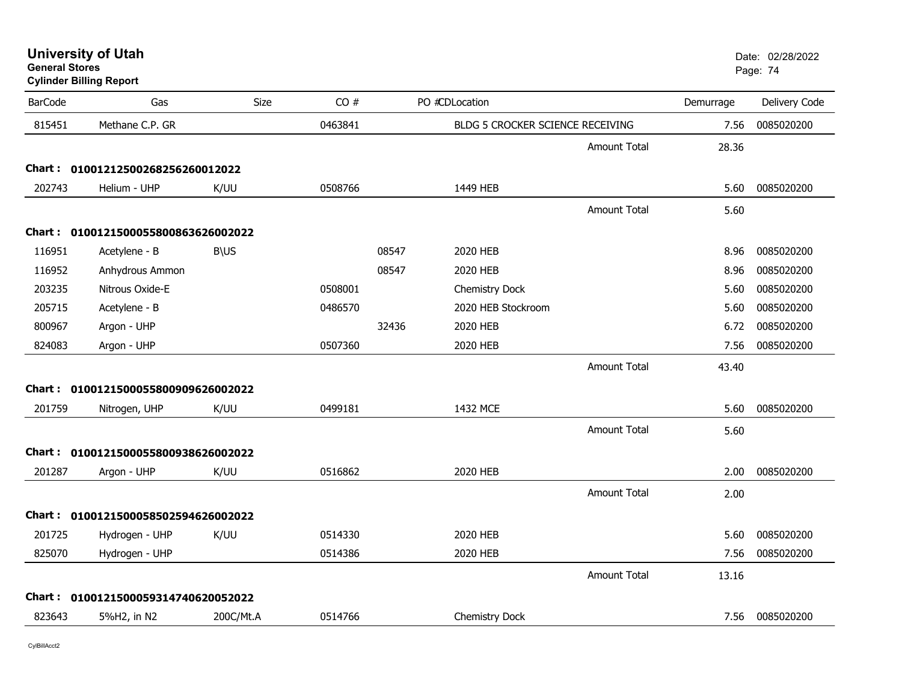**University of Utah** Date: 02/28/2022 **General Stores**

**Cylinder Billing Report**

| 815451<br>Methane C.P. GR<br>0463841<br>0085020200<br>BLDG 5 CROCKER SCIENCE RECEIVING<br>7.56<br><b>Amount Total</b><br>28.36<br>Chart: 01001212500268256260012022<br>202743<br>Helium - UHP<br>0508766<br>1449 HEB<br>0085020200<br>K/UU<br>5.60<br><b>Amount Total</b><br>5.60<br>Chart: 0100121500055800863626002022<br>116951<br>08547<br>2020 HEB<br>0085020200<br>Acetylene - B<br><b>B\US</b><br>8.96<br>08547<br>0085020200<br>116952<br>Anhydrous Ammon<br>2020 HEB<br>8.96<br>Nitrous Oxide-E<br>0508001<br>0085020200<br>203235<br>Chemistry Dock<br>5.60<br>205715<br>2020 HEB Stockroom<br>0085020200<br>Acetylene - B<br>0486570<br>5.60<br>800967<br>Argon - UHP<br>32436<br>2020 HEB<br>0085020200<br>6.72<br>0507360<br>2020 HEB<br>0085020200<br>824083<br>Argon - UHP<br>7.56<br><b>Amount Total</b><br>43.40<br>Chart: 0100121500055800909626002022<br>201759<br>0499181<br>1432 MCE<br>0085020200<br>K/UU<br>5.60<br>Nitrogen, UHP<br><b>Amount Total</b><br>5.60<br>Chart: 0100121500055800938626002022<br>201287<br>2020 HEB<br>2.00<br>0085020200<br>K/UU<br>0516862<br>Argon - UHP<br><b>Amount Total</b><br>2.00<br>Chart: 0100121500058502594626002022<br>201725<br>Hydrogen - UHP<br>K/UU<br>0514330<br>2020 HEB<br>5.60<br>0085020200<br>0514386<br>2020 HEB<br>0085020200<br>825070<br>Hydrogen - UHP<br>7.56<br><b>Amount Total</b><br>13.16<br>Chart: 0100121500059314740620052022 | <b>BarCode</b> | Gas | Size | CO# | PO #CDLocation | Demurrage | Delivery Code |
|---------------------------------------------------------------------------------------------------------------------------------------------------------------------------------------------------------------------------------------------------------------------------------------------------------------------------------------------------------------------------------------------------------------------------------------------------------------------------------------------------------------------------------------------------------------------------------------------------------------------------------------------------------------------------------------------------------------------------------------------------------------------------------------------------------------------------------------------------------------------------------------------------------------------------------------------------------------------------------------------------------------------------------------------------------------------------------------------------------------------------------------------------------------------------------------------------------------------------------------------------------------------------------------------------------------------------------------------------------------------------------------------------------------------|----------------|-----|------|-----|----------------|-----------|---------------|
|                                                                                                                                                                                                                                                                                                                                                                                                                                                                                                                                                                                                                                                                                                                                                                                                                                                                                                                                                                                                                                                                                                                                                                                                                                                                                                                                                                                                                     |                |     |      |     |                |           |               |
|                                                                                                                                                                                                                                                                                                                                                                                                                                                                                                                                                                                                                                                                                                                                                                                                                                                                                                                                                                                                                                                                                                                                                                                                                                                                                                                                                                                                                     |                |     |      |     |                |           |               |
|                                                                                                                                                                                                                                                                                                                                                                                                                                                                                                                                                                                                                                                                                                                                                                                                                                                                                                                                                                                                                                                                                                                                                                                                                                                                                                                                                                                                                     |                |     |      |     |                |           |               |
|                                                                                                                                                                                                                                                                                                                                                                                                                                                                                                                                                                                                                                                                                                                                                                                                                                                                                                                                                                                                                                                                                                                                                                                                                                                                                                                                                                                                                     |                |     |      |     |                |           |               |
|                                                                                                                                                                                                                                                                                                                                                                                                                                                                                                                                                                                                                                                                                                                                                                                                                                                                                                                                                                                                                                                                                                                                                                                                                                                                                                                                                                                                                     |                |     |      |     |                |           |               |
|                                                                                                                                                                                                                                                                                                                                                                                                                                                                                                                                                                                                                                                                                                                                                                                                                                                                                                                                                                                                                                                                                                                                                                                                                                                                                                                                                                                                                     |                |     |      |     |                |           |               |
|                                                                                                                                                                                                                                                                                                                                                                                                                                                                                                                                                                                                                                                                                                                                                                                                                                                                                                                                                                                                                                                                                                                                                                                                                                                                                                                                                                                                                     |                |     |      |     |                |           |               |
|                                                                                                                                                                                                                                                                                                                                                                                                                                                                                                                                                                                                                                                                                                                                                                                                                                                                                                                                                                                                                                                                                                                                                                                                                                                                                                                                                                                                                     |                |     |      |     |                |           |               |
|                                                                                                                                                                                                                                                                                                                                                                                                                                                                                                                                                                                                                                                                                                                                                                                                                                                                                                                                                                                                                                                                                                                                                                                                                                                                                                                                                                                                                     |                |     |      |     |                |           |               |
|                                                                                                                                                                                                                                                                                                                                                                                                                                                                                                                                                                                                                                                                                                                                                                                                                                                                                                                                                                                                                                                                                                                                                                                                                                                                                                                                                                                                                     |                |     |      |     |                |           |               |
|                                                                                                                                                                                                                                                                                                                                                                                                                                                                                                                                                                                                                                                                                                                                                                                                                                                                                                                                                                                                                                                                                                                                                                                                                                                                                                                                                                                                                     |                |     |      |     |                |           |               |
|                                                                                                                                                                                                                                                                                                                                                                                                                                                                                                                                                                                                                                                                                                                                                                                                                                                                                                                                                                                                                                                                                                                                                                                                                                                                                                                                                                                                                     |                |     |      |     |                |           |               |
|                                                                                                                                                                                                                                                                                                                                                                                                                                                                                                                                                                                                                                                                                                                                                                                                                                                                                                                                                                                                                                                                                                                                                                                                                                                                                                                                                                                                                     |                |     |      |     |                |           |               |
|                                                                                                                                                                                                                                                                                                                                                                                                                                                                                                                                                                                                                                                                                                                                                                                                                                                                                                                                                                                                                                                                                                                                                                                                                                                                                                                                                                                                                     |                |     |      |     |                |           |               |
|                                                                                                                                                                                                                                                                                                                                                                                                                                                                                                                                                                                                                                                                                                                                                                                                                                                                                                                                                                                                                                                                                                                                                                                                                                                                                                                                                                                                                     |                |     |      |     |                |           |               |
|                                                                                                                                                                                                                                                                                                                                                                                                                                                                                                                                                                                                                                                                                                                                                                                                                                                                                                                                                                                                                                                                                                                                                                                                                                                                                                                                                                                                                     |                |     |      |     |                |           |               |
|                                                                                                                                                                                                                                                                                                                                                                                                                                                                                                                                                                                                                                                                                                                                                                                                                                                                                                                                                                                                                                                                                                                                                                                                                                                                                                                                                                                                                     |                |     |      |     |                |           |               |
|                                                                                                                                                                                                                                                                                                                                                                                                                                                                                                                                                                                                                                                                                                                                                                                                                                                                                                                                                                                                                                                                                                                                                                                                                                                                                                                                                                                                                     |                |     |      |     |                |           |               |
|                                                                                                                                                                                                                                                                                                                                                                                                                                                                                                                                                                                                                                                                                                                                                                                                                                                                                                                                                                                                                                                                                                                                                                                                                                                                                                                                                                                                                     |                |     |      |     |                |           |               |
|                                                                                                                                                                                                                                                                                                                                                                                                                                                                                                                                                                                                                                                                                                                                                                                                                                                                                                                                                                                                                                                                                                                                                                                                                                                                                                                                                                                                                     |                |     |      |     |                |           |               |
|                                                                                                                                                                                                                                                                                                                                                                                                                                                                                                                                                                                                                                                                                                                                                                                                                                                                                                                                                                                                                                                                                                                                                                                                                                                                                                                                                                                                                     |                |     |      |     |                |           |               |
|                                                                                                                                                                                                                                                                                                                                                                                                                                                                                                                                                                                                                                                                                                                                                                                                                                                                                                                                                                                                                                                                                                                                                                                                                                                                                                                                                                                                                     |                |     |      |     |                |           |               |
|                                                                                                                                                                                                                                                                                                                                                                                                                                                                                                                                                                                                                                                                                                                                                                                                                                                                                                                                                                                                                                                                                                                                                                                                                                                                                                                                                                                                                     |                |     |      |     |                |           |               |
|                                                                                                                                                                                                                                                                                                                                                                                                                                                                                                                                                                                                                                                                                                                                                                                                                                                                                                                                                                                                                                                                                                                                                                                                                                                                                                                                                                                                                     |                |     |      |     |                |           |               |
| 823643<br>5%H2, in N2<br>200C/Mt.A<br>0514766<br>Chemistry Dock<br>7.56<br>0085020200                                                                                                                                                                                                                                                                                                                                                                                                                                                                                                                                                                                                                                                                                                                                                                                                                                                                                                                                                                                                                                                                                                                                                                                                                                                                                                                               |                |     |      |     |                |           |               |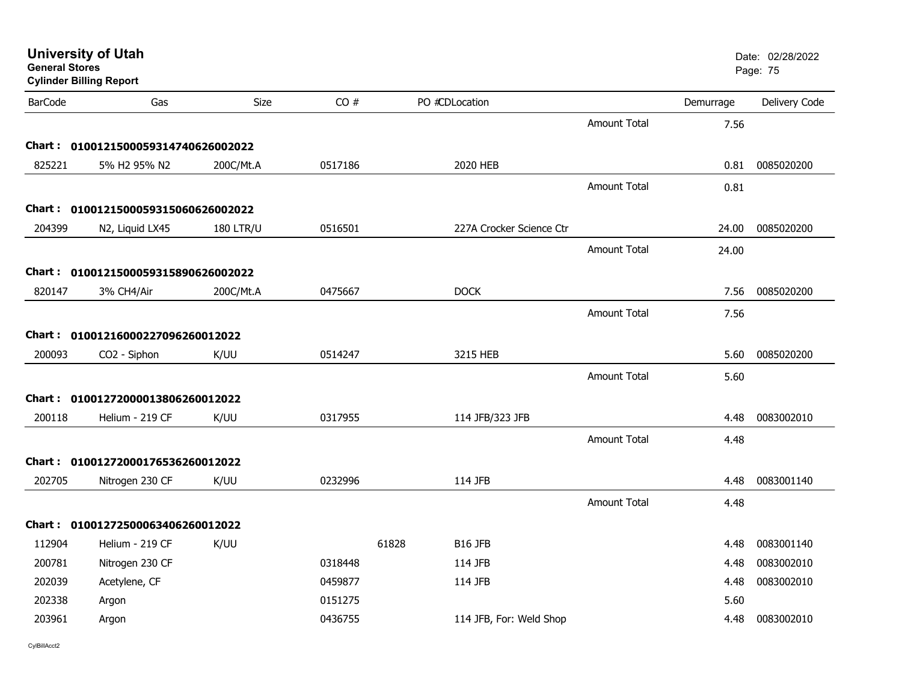| <b>General Stores</b> | <b>Cylinder Billing Report</b>                       |                  |         |       |                          |                     |           | Page: 75        |
|-----------------------|------------------------------------------------------|------------------|---------|-------|--------------------------|---------------------|-----------|-----------------|
| <b>BarCode</b>        | Gas                                                  | Size             | CO#     |       | PO #CDLocation           |                     | Demurrage | Delivery Code   |
|                       |                                                      |                  |         |       |                          | <b>Amount Total</b> | 7.56      |                 |
|                       | Chart: 0100121500059314740626002022                  |                  |         |       |                          |                     |           |                 |
| 825221                | 5% H2 95% N2                                         | 200C/Mt.A        | 0517186 |       | 2020 HEB                 |                     |           | 0.81 0085020200 |
|                       |                                                      |                  |         |       |                          | <b>Amount Total</b> | 0.81      |                 |
|                       | Chart: 0100121500059315060626002022                  |                  |         |       |                          |                     |           |                 |
| 204399                | N2, Liquid LX45                                      | <b>180 LTR/U</b> | 0516501 |       | 227A Crocker Science Ctr |                     | 24.00     | 0085020200      |
|                       |                                                      |                  |         |       |                          | <b>Amount Total</b> | 24.00     |                 |
|                       | Chart: 0100121500059315890626002022                  |                  |         |       |                          |                     |           |                 |
| 820147                | 3% CH4/Air                                           | 200C/Mt.A        | 0475667 |       | <b>DOCK</b>              |                     | 7.56      | 0085020200      |
|                       |                                                      |                  |         |       |                          | <b>Amount Total</b> | 7.56      |                 |
|                       | Chart: 01001216000227096260012022                    |                  |         |       |                          |                     |           |                 |
| 200093                | CO2 - Siphon                                         | K/UU             | 0514247 |       | 3215 HEB                 |                     | 5.60      | 0085020200      |
|                       |                                                      |                  |         |       |                          | <b>Amount Total</b> | 5.60      |                 |
|                       | Chart: 01001272000013806260012022                    |                  |         |       |                          |                     |           |                 |
| 200118                | Helium - 219 CF                                      | K/UU             | 0317955 |       | 114 JFB/323 JFB          |                     | 4.48      | 0083002010      |
|                       |                                                      |                  |         |       |                          | <b>Amount Total</b> | 4.48      |                 |
|                       | Chart: 01001272000176536260012022                    |                  |         |       |                          |                     |           |                 |
| 202705                | Nitrogen 230 CF                                      | K/UU             | 0232996 |       | 114 JFB                  |                     | 4.48      | 0083001140      |
|                       |                                                      |                  |         |       |                          | <b>Amount Total</b> | 4.48      |                 |
|                       |                                                      |                  |         |       |                          |                     |           |                 |
| 112904                | Chart: 01001272500063406260012022<br>Helium - 219 CF | K/UU             |         | 61828 | <b>B16 JFB</b>           |                     | 4.48      | 0083001140      |
| 200781                | Nitrogen 230 CF                                      |                  | 0318448 |       | 114 JFB                  |                     | 4.48      | 0083002010      |
| 202039                | Acetylene, CF                                        |                  | 0459877 |       | 114 JFB                  |                     | 4.48      | 0083002010      |
| 202338                | Argon                                                |                  | 0151275 |       |                          |                     | 5.60      |                 |
| 203961                | Argon                                                |                  | 0436755 |       | 114 JFB, For: Weld Shop  |                     | 4.48      | 0083002010      |
|                       |                                                      |                  |         |       |                          |                     |           |                 |

# **University of Utah**  Date: 02/28/2022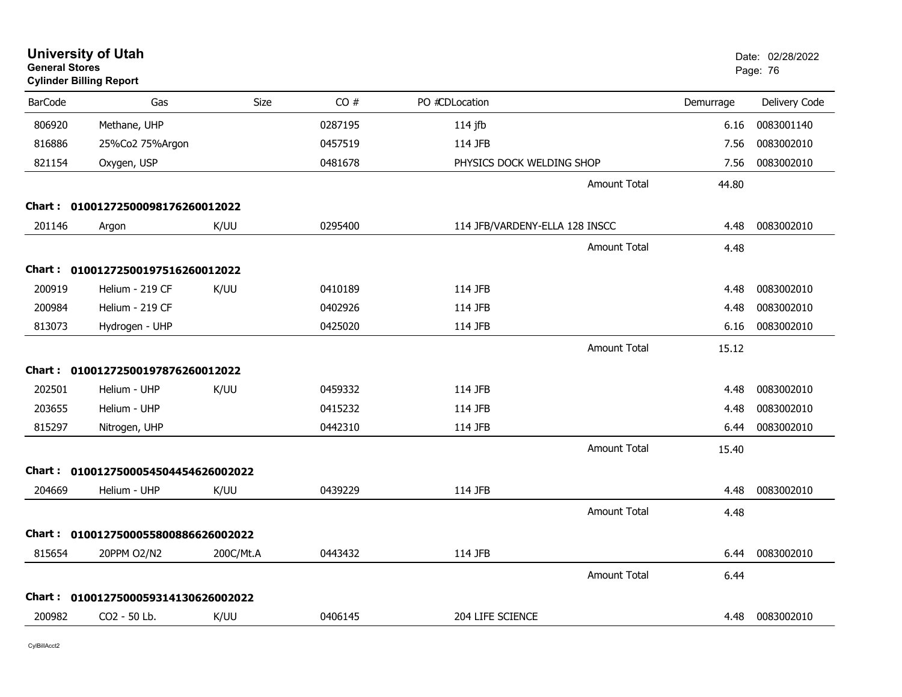| <b>General Stores</b> | <b>University of Utah</b><br><b>Cylinder Billing Report</b> |             |         |                                |                     |           | Date: 02/28/2022<br>Page: 76 |
|-----------------------|-------------------------------------------------------------|-------------|---------|--------------------------------|---------------------|-----------|------------------------------|
| <b>BarCode</b>        | Gas                                                         | <b>Size</b> | CO#     | PO #CDLocation                 |                     | Demurrage | Delivery Code                |
| 806920                | Methane, UHP                                                |             | 0287195 | $114$ jfb                      |                     | 6.16      | 0083001140                   |
| 816886                | 25%Co2 75%Argon                                             |             | 0457519 | 114 JFB                        |                     | 7.56      | 0083002010                   |
| 821154                | Oxygen, USP                                                 |             | 0481678 | PHYSICS DOCK WELDING SHOP      |                     | 7.56      | 0083002010                   |
|                       |                                                             |             |         |                                | <b>Amount Total</b> | 44.80     |                              |
|                       | Chart: 01001272500098176260012022                           |             |         |                                |                     |           |                              |
| 201146                | Argon                                                       | K/UU        | 0295400 | 114 JFB/VARDENY-ELLA 128 INSCC |                     | 4.48      | 0083002010                   |
|                       |                                                             |             |         |                                | <b>Amount Total</b> | 4.48      |                              |
|                       | Chart: 01001272500197516260012022                           |             |         |                                |                     |           |                              |
| 200919                | Helium - 219 CF                                             | K/UU        | 0410189 | 114 JFB                        |                     | 4.48      | 0083002010                   |
| 200984                | Helium - 219 CF                                             |             | 0402926 | 114 JFB                        |                     | 4.48      | 0083002010                   |
| 813073                | Hydrogen - UHP                                              |             | 0425020 | 114 JFB                        |                     | 6.16      | 0083002010                   |
|                       |                                                             |             |         |                                | <b>Amount Total</b> | 15.12     |                              |
|                       | Chart: 01001272500197876260012022                           |             |         |                                |                     |           |                              |
| 202501                | Helium - UHP                                                | K/UU        | 0459332 | 114 JFB                        |                     | 4.48      | 0083002010                   |
| 203655                | Helium - UHP                                                |             | 0415232 | 114 JFB                        |                     | 4.48      | 0083002010                   |
| 815297                | Nitrogen, UHP                                               |             | 0442310 | 114 JFB                        |                     | 6.44      | 0083002010                   |
|                       |                                                             |             |         |                                | Amount Total        | 15.40     |                              |
|                       | Chart: 0100127500054504454626002022                         |             |         |                                |                     |           |                              |
| 204669                | Helium - UHP                                                | K/UU        | 0439229 | 114 JFB                        |                     | 4.48      | 0083002010                   |
|                       |                                                             |             |         |                                | <b>Amount Total</b> | 4.48      |                              |
|                       | Chart: 0100127500055800886626002022                         |             |         |                                |                     |           |                              |
| 815654                | 20PPM O2/N2                                                 | 200C/Mt.A   | 0443432 | 114 JFB                        |                     | 6.44      | 0083002010                   |
|                       |                                                             |             |         |                                | <b>Amount Total</b> | 6.44      |                              |
|                       | Chart: 0100127500059314130626002022                         |             |         |                                |                     |           |                              |
| 200982                | CO2 - 50 Lb.                                                | K/UU        | 0406145 | 204 LIFE SCIENCE               |                     | 4.48      | 0083002010                   |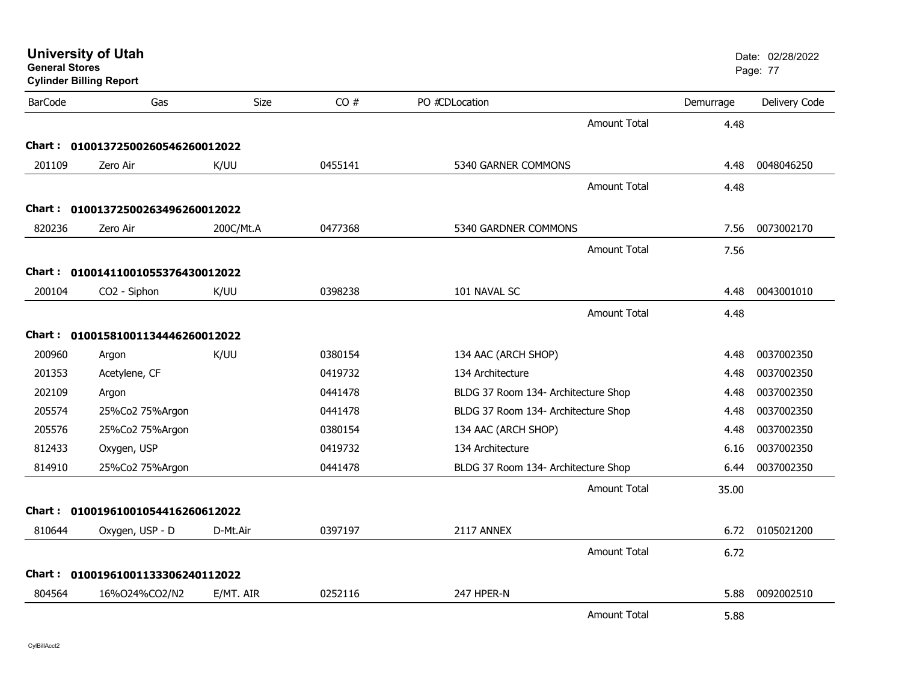| <b>General Stores</b> | <b>University of Utah</b><br><b>Cylinder Billing Report</b> |           |         |                                     |           | Date: 02/28/2022<br>Page: 77 |
|-----------------------|-------------------------------------------------------------|-----------|---------|-------------------------------------|-----------|------------------------------|
| <b>BarCode</b>        | Gas                                                         | Size      | CO#     | PO #CDLocation                      | Demurrage | Delivery Code                |
|                       |                                                             |           |         | <b>Amount Total</b>                 | 4.48      |                              |
| Chart :               | 01001372500260546260012022                                  |           |         |                                     |           |                              |
| 201109                | Zero Air                                                    | K/UU      | 0455141 | 5340 GARNER COMMONS                 | 4.48      | 0048046250                   |
|                       |                                                             |           |         | <b>Amount Total</b>                 | 4.48      |                              |
|                       | Chart: 01001372500263496260012022                           |           |         |                                     |           |                              |
| 820236                | Zero Air                                                    | 200C/Mt.A | 0477368 | 5340 GARDNER COMMONS                | 7.56      | 0073002170                   |
|                       |                                                             |           |         | <b>Amount Total</b>                 | 7.56      |                              |
|                       | Chart: 01001411001055376430012022                           |           |         |                                     |           |                              |
| 200104                | CO <sub>2</sub> - Siphon                                    | K/UU      | 0398238 | 101 NAVAL SC                        | 4.48      | 0043001010                   |
|                       |                                                             |           |         | <b>Amount Total</b>                 | 4.48      |                              |
|                       | Chart: 01001581001134446260012022                           |           |         |                                     |           |                              |
| 200960                | Argon                                                       | K/UU      | 0380154 | 134 AAC (ARCH SHOP)                 | 4.48      | 0037002350                   |
| 201353                | Acetylene, CF                                               |           | 0419732 | 134 Architecture                    | 4.48      | 0037002350                   |
| 202109                | Argon                                                       |           | 0441478 | BLDG 37 Room 134- Architecture Shop | 4.48      | 0037002350                   |
| 205574                | 25%Co2 75%Argon                                             |           | 0441478 | BLDG 37 Room 134- Architecture Shop | 4.48      | 0037002350                   |
| 205576                | 25%Co2 75%Argon                                             |           | 0380154 | 134 AAC (ARCH SHOP)                 | 4.48      | 0037002350                   |
| 812433                | Oxygen, USP                                                 |           | 0419732 | 134 Architecture                    | 6.16      | 0037002350                   |
| 814910                | 25%Co2 75%Argon                                             |           | 0441478 | BLDG 37 Room 134- Architecture Shop | 6.44      | 0037002350                   |
|                       |                                                             |           |         | <b>Amount Total</b>                 | 35.00     |                              |
| Chart :               | 01001961001054416260612022                                  |           |         |                                     |           |                              |
| 810644                | Oxygen, USP - D                                             | D-Mt.Air  | 0397197 | 2117 ANNEX                          | 6.72      | 0105021200                   |
|                       |                                                             |           |         | <b>Amount Total</b>                 | 6.72      |                              |
|                       | Chart: 01001961001133306240112022                           |           |         |                                     |           |                              |
| 804564                | 16%O24%CO2/N2                                               | E/MT. AIR | 0252116 | 247 HPER-N                          | 5.88      | 0092002510                   |
|                       |                                                             |           |         | <b>Amount Total</b>                 | 5.88      |                              |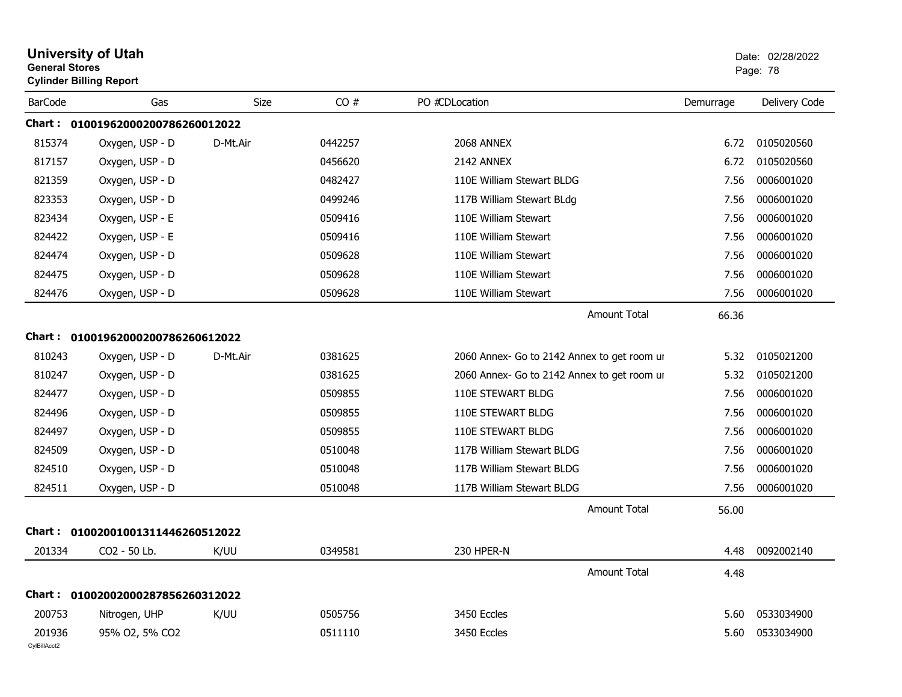| <b>General Stores</b>  | <b>University of Utah</b><br><b>Cylinder Billing Report</b> |             |         |                                             |           | Date: 02/28/2022<br>Page: 78 |
|------------------------|-------------------------------------------------------------|-------------|---------|---------------------------------------------|-----------|------------------------------|
| <b>BarCode</b>         | Gas                                                         | <b>Size</b> | CO#     | PO #CDLocation                              | Demurrage | Delivery Code                |
|                        | Chart: 01001962000200786260012022                           |             |         |                                             |           |                              |
| 815374                 | Oxygen, USP - D                                             | D-Mt.Air    | 0442257 | 2068 ANNEX                                  | 6.72      | 0105020560                   |
| 817157                 | Oxygen, USP - D                                             |             | 0456620 | 2142 ANNEX                                  | 6.72      | 0105020560                   |
| 821359                 | Oxygen, USP - D                                             |             | 0482427 | 110E William Stewart BLDG                   | 7.56      | 0006001020                   |
| 823353                 | Oxygen, USP - D                                             |             | 0499246 | 117B William Stewart BLdg                   | 7.56      | 0006001020                   |
| 823434                 | Oxygen, USP - E                                             |             | 0509416 | 110E William Stewart                        | 7.56      | 0006001020                   |
| 824422                 | Oxygen, USP - E                                             |             | 0509416 | 110E William Stewart                        | 7.56      | 0006001020                   |
| 824474                 | Oxygen, USP - D                                             |             | 0509628 | 110E William Stewart                        | 7.56      | 0006001020                   |
| 824475                 | Oxygen, USP - D                                             |             | 0509628 | 110E William Stewart                        | 7.56      | 0006001020                   |
| 824476                 | Oxygen, USP - D                                             |             | 0509628 | 110E William Stewart                        | 7.56      | 0006001020                   |
|                        |                                                             |             |         | <b>Amount Total</b>                         | 66.36     |                              |
|                        | Chart: 01001962000200786260612022                           |             |         |                                             |           |                              |
| 810243                 | Oxygen, USP - D                                             | D-Mt.Air    | 0381625 | 2060 Annex- Go to 2142 Annex to get room ur | 5.32      | 0105021200                   |
| 810247                 | Oxygen, USP - D                                             |             | 0381625 | 2060 Annex- Go to 2142 Annex to get room ur | 5.32      | 0105021200                   |
| 824477                 | Oxygen, USP - D                                             |             | 0509855 | 110E STEWART BLDG                           | 7.56      | 0006001020                   |
| 824496                 | Oxygen, USP - D                                             |             | 0509855 | <b>110E STEWART BLDG</b>                    | 7.56      | 0006001020                   |
| 824497                 | Oxygen, USP - D                                             |             | 0509855 | 110E STEWART BLDG                           | 7.56      | 0006001020                   |
| 824509                 | Oxygen, USP - D                                             |             | 0510048 | 117B William Stewart BLDG                   | 7.56      | 0006001020                   |
| 824510                 | Oxygen, USP - D                                             |             | 0510048 | 117B William Stewart BLDG                   | 7.56      | 0006001020                   |
| 824511                 | Oxygen, USP - D                                             |             | 0510048 | 117B William Stewart BLDG                   | 7.56      | 0006001020                   |
|                        |                                                             |             |         | <b>Amount Total</b>                         | 56.00     |                              |
|                        | Chart: 01002001001311446260512022                           |             |         |                                             |           |                              |
| 201334                 | CO2 - 50 Lb.                                                | K/UU        | 0349581 | 230 HPER-N                                  | 4.48      | 0092002140                   |
|                        |                                                             |             |         | <b>Amount Total</b>                         | 4.48      |                              |
|                        | Chart: 01002002000287856260312022                           |             |         |                                             |           |                              |
| 200753                 | Nitrogen, UHP                                               | K/UU        | 0505756 | 3450 Eccles                                 | 5.60      | 0533034900                   |
| 201936<br>CylBillAcct2 | 95% O2, 5% CO2                                              |             | 0511110 | 3450 Eccles                                 | 5.60      | 0533034900                   |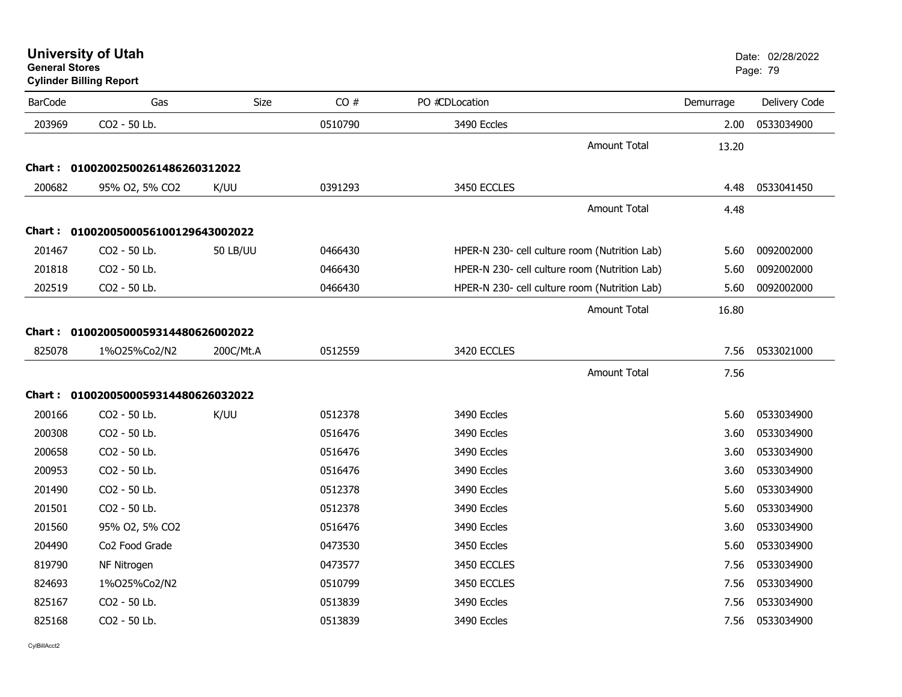**University of Utah** Date: 02/28/2022

**General StoresCylinder Billing Report**

| <b>BarCode</b> | Gas                                 | Size            | CO#     | PO #CDLocation                                | Demurrage | Delivery Code |
|----------------|-------------------------------------|-----------------|---------|-----------------------------------------------|-----------|---------------|
| 203969         | CO2 - 50 Lb.                        |                 | 0510790 | 3490 Eccles                                   | 2.00      | 0533034900    |
|                |                                     |                 |         | <b>Amount Total</b>                           | 13.20     |               |
|                | Chart: 01002002500261486260312022   |                 |         |                                               |           |               |
| 200682         | 95% O2, 5% CO2                      | K/UU            | 0391293 | 3450 ECCLES                                   | 4.48      | 0533041450    |
|                |                                     |                 |         | <b>Amount Total</b>                           | 4.48      |               |
|                | Chart: 0100200500056100129643002022 |                 |         |                                               |           |               |
| 201467         | CO2 - 50 Lb.                        | <b>50 LB/UU</b> | 0466430 | HPER-N 230- cell culture room (Nutrition Lab) | 5.60      | 0092002000    |
| 201818         | CO2 - 50 Lb.                        |                 | 0466430 | HPER-N 230- cell culture room (Nutrition Lab) | 5.60      | 0092002000    |
| 202519         | CO2 - 50 Lb.                        |                 | 0466430 | HPER-N 230- cell culture room (Nutrition Lab) | 5.60      | 0092002000    |
|                |                                     |                 |         | Amount Total                                  | 16.80     |               |
|                | Chart: 0100200500059314480626002022 |                 |         |                                               |           |               |
| 825078         | 1%025%Co2/N2                        | 200C/Mt.A       | 0512559 | 3420 ECCLES                                   | 7.56      | 0533021000    |
|                |                                     |                 |         | <b>Amount Total</b>                           | 7.56      |               |
|                | Chart: 0100200500059314480626032022 |                 |         |                                               |           |               |
| 200166         | CO2 - 50 Lb.                        | K/UU            | 0512378 | 3490 Eccles                                   | 5.60      | 0533034900    |
| 200308         | CO2 - 50 Lb.                        |                 | 0516476 | 3490 Eccles                                   | 3.60      | 0533034900    |
| 200658         | CO2 - 50 Lb.                        |                 | 0516476 | 3490 Eccles                                   | 3.60      | 0533034900    |
| 200953         | CO2 - 50 Lb.                        |                 | 0516476 | 3490 Eccles                                   | 3.60      | 0533034900    |
| 201490         | CO2 - 50 Lb.                        |                 | 0512378 | 3490 Eccles                                   | 5.60      | 0533034900    |
| 201501         | CO2 - 50 Lb.                        |                 | 0512378 | 3490 Eccles                                   | 5.60      | 0533034900    |
| 201560         | 95% O2, 5% CO2                      |                 | 0516476 | 3490 Eccles                                   | 3.60      | 0533034900    |
| 204490         | Co2 Food Grade                      |                 | 0473530 | 3450 Eccles                                   | 5.60      | 0533034900    |
| 819790         | NF Nitrogen                         |                 | 0473577 | 3450 ECCLES                                   | 7.56      | 0533034900    |
| 824693         | 1%025%Co2/N2                        |                 | 0510799 | 3450 ECCLES                                   | 7.56      | 0533034900    |
| 825167         | CO2 - 50 Lb.                        |                 | 0513839 | 3490 Eccles                                   | 7.56      | 0533034900    |
| 825168         | CO2 - 50 Lb.                        |                 | 0513839 | 3490 Eccles                                   | 7.56      | 0533034900    |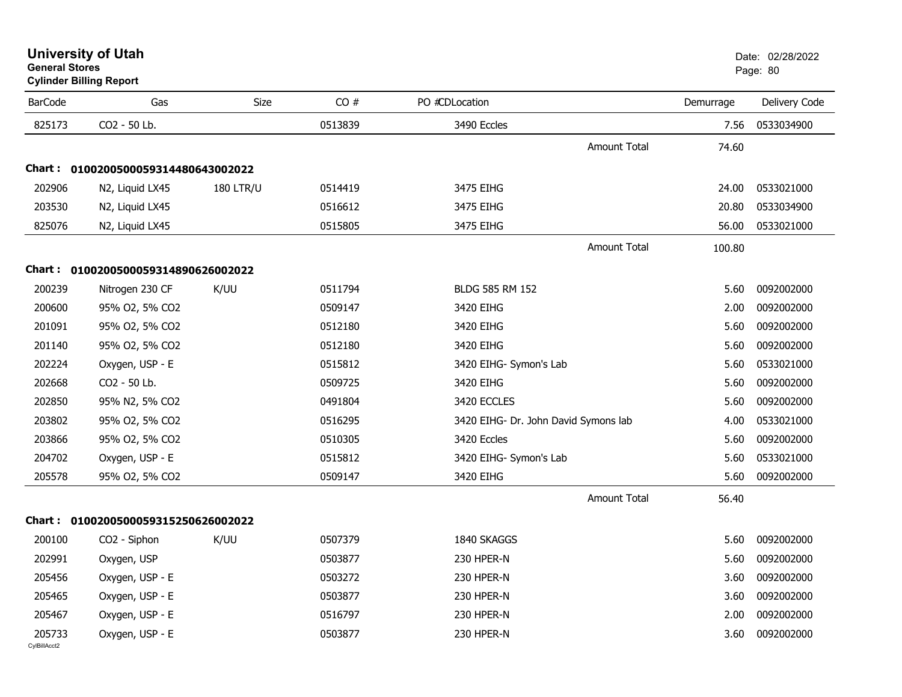| General Stores         | <b>Cylinder Billing Report</b>      |                  |         |                                      |                     |           | Page: 80      |
|------------------------|-------------------------------------|------------------|---------|--------------------------------------|---------------------|-----------|---------------|
| <b>BarCode</b>         | Gas                                 | Size             | CO#     | PO #CDLocation                       |                     | Demurrage | Delivery Code |
| 825173                 | CO2 - 50 Lb.                        |                  | 0513839 | 3490 Eccles                          |                     | 7.56      | 0533034900    |
|                        |                                     |                  |         |                                      | <b>Amount Total</b> | 74.60     |               |
|                        | Chart: 0100200500059314480643002022 |                  |         |                                      |                     |           |               |
| 202906                 | N2, Liquid LX45                     | <b>180 LTR/U</b> | 0514419 | 3475 EIHG                            |                     | 24.00     | 0533021000    |
| 203530                 | N2, Liquid LX45                     |                  | 0516612 | 3475 EIHG                            |                     | 20.80     | 0533034900    |
| 825076                 | N2, Liquid LX45                     |                  | 0515805 | 3475 EIHG                            |                     | 56.00     | 0533021000    |
|                        |                                     |                  |         |                                      | <b>Amount Total</b> | 100.80    |               |
|                        | Chart: 0100200500059314890626002022 |                  |         |                                      |                     |           |               |
| 200239                 | Nitrogen 230 CF                     | K/UU             | 0511794 | BLDG 585 RM 152                      |                     | 5.60      | 0092002000    |
| 200600                 | 95% O2, 5% CO2                      |                  | 0509147 | 3420 EIHG                            |                     | 2.00      | 0092002000    |
| 201091                 | 95% O2, 5% CO2                      |                  | 0512180 | 3420 EIHG                            |                     | 5.60      | 0092002000    |
| 201140                 | 95% O2, 5% CO2                      |                  | 0512180 | 3420 EIHG                            |                     | 5.60      | 0092002000    |
| 202224                 | Oxygen, USP - E                     |                  | 0515812 | 3420 EIHG- Symon's Lab               |                     | 5.60      | 0533021000    |
| 202668                 | CO2 - 50 Lb.                        |                  | 0509725 | 3420 EIHG                            |                     | 5.60      | 0092002000    |
| 202850                 | 95% N2, 5% CO2                      |                  | 0491804 | 3420 ECCLES                          |                     | 5.60      | 0092002000    |
| 203802                 | 95% O2, 5% CO2                      |                  | 0516295 | 3420 EIHG- Dr. John David Symons lab |                     | 4.00      | 0533021000    |
| 203866                 | 95% O2, 5% CO2                      |                  | 0510305 | 3420 Eccles                          |                     | 5.60      | 0092002000    |
| 204702                 | Oxygen, USP - E                     |                  | 0515812 | 3420 EIHG- Symon's Lab               |                     | 5.60      | 0533021000    |
| 205578                 | 95% O2, 5% CO2                      |                  | 0509147 | 3420 EIHG                            |                     | 5.60      | 0092002000    |
|                        |                                     |                  |         |                                      | <b>Amount Total</b> | 56.40     |               |
|                        | Chart: 0100200500059315250626002022 |                  |         |                                      |                     |           |               |
| 200100                 | CO <sub>2</sub> - Siphon            | K/UU             | 0507379 | 1840 SKAGGS                          |                     | 5.60      | 0092002000    |
| 202991                 | Oxygen, USP                         |                  | 0503877 | 230 HPER-N                           |                     | 5.60      | 0092002000    |
| 205456                 | Oxygen, USP - E                     |                  | 0503272 | 230 HPER-N                           |                     | 3.60      | 0092002000    |
| 205465                 | Oxygen, USP - E                     |                  | 0503877 | 230 HPER-N                           |                     | 3.60      | 0092002000    |
| 205467                 | Oxygen, USP - E                     |                  | 0516797 | 230 HPER-N                           |                     | 2.00      | 0092002000    |
| 205733<br>CvIBillAcct2 | Oxygen, USP - E                     |                  | 0503877 | 230 HPER-N                           |                     | 3.60      | 0092002000    |

**University of Utah** Date: 02/28/2022

**General Stores**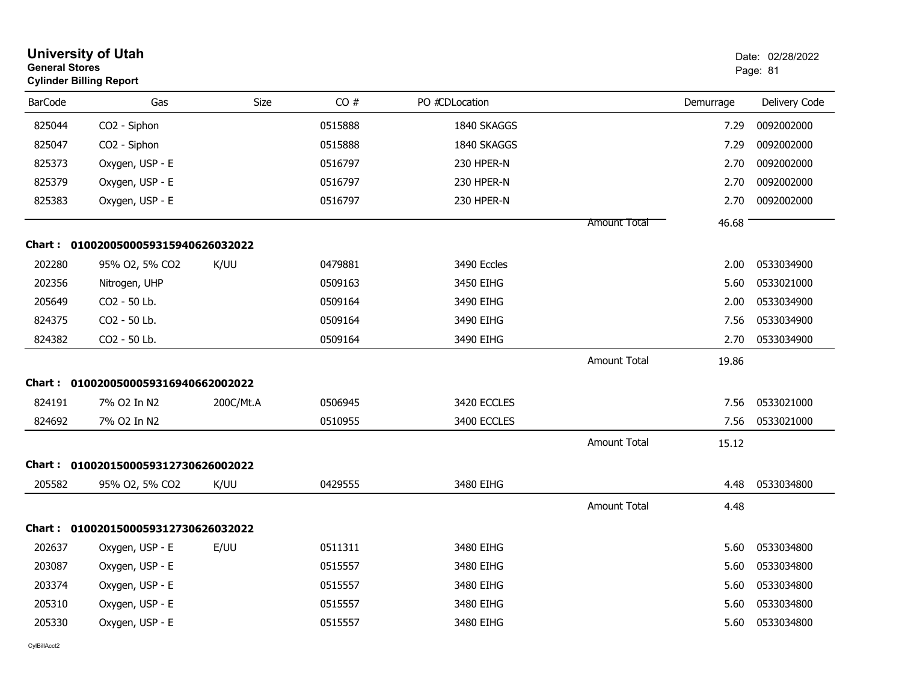| <b>General Stores</b> | <b>University of Utah</b><br><b>Cylinder Billing Report</b> |             |         |                |                     |           | Date: 02/28/2022<br>Page: 81 |
|-----------------------|-------------------------------------------------------------|-------------|---------|----------------|---------------------|-----------|------------------------------|
| <b>BarCode</b>        | Gas                                                         | <b>Size</b> | CO#     | PO #CDLocation |                     | Demurrage | Delivery Code                |
| 825044                | CO2 - Siphon                                                |             | 0515888 | 1840 SKAGGS    |                     | 7.29      | 0092002000                   |
| 825047                | CO2 - Siphon                                                |             | 0515888 | 1840 SKAGGS    |                     | 7.29      | 0092002000                   |
| 825373                | Oxygen, USP - E                                             |             | 0516797 | 230 HPER-N     |                     | 2.70      | 0092002000                   |
| 825379                | Oxygen, USP - E                                             |             | 0516797 | 230 HPER-N     |                     | 2.70      | 0092002000                   |
| 825383                | Oxygen, USP - E                                             |             | 0516797 | 230 HPER-N     |                     | 2.70      | 0092002000                   |
|                       |                                                             |             |         |                | <b>Amount Total</b> | 46.68     |                              |
|                       | Chart: 0100200500059315940626032022                         |             |         |                |                     |           |                              |
| 202280                | 95% O2, 5% CO2                                              | K/UU        | 0479881 | 3490 Eccles    |                     | 2.00      | 0533034900                   |
| 202356                | Nitrogen, UHP                                               |             | 0509163 | 3450 EIHG      |                     | 5.60      | 0533021000                   |
| 205649                | CO2 - 50 Lb.                                                |             | 0509164 | 3490 EIHG      |                     | 2.00      | 0533034900                   |
| 824375                | CO <sub>2</sub> - 50 Lb.                                    |             | 0509164 | 3490 EIHG      |                     | 7.56      | 0533034900                   |
| 824382                | CO2 - 50 Lb.                                                |             | 0509164 | 3490 EIHG      |                     | 2.70      | 0533034900                   |
|                       |                                                             |             |         |                | <b>Amount Total</b> | 19.86     |                              |
|                       | Chart: 0100200500059316940662002022                         |             |         |                |                     |           |                              |
| 824191                | 7% 02 In N2                                                 | 200C/Mt.A   | 0506945 | 3420 ECCLES    |                     | 7.56      | 0533021000                   |
| 824692                | 7% O2 In N2                                                 |             | 0510955 | 3400 ECCLES    |                     | 7.56      | 0533021000                   |
|                       |                                                             |             |         |                | <b>Amount Total</b> | 15.12     |                              |
|                       | Chart: 0100201500059312730626002022                         |             |         |                |                     |           |                              |
| 205582                | 95% O2, 5% CO2                                              | K/UU        | 0429555 | 3480 EIHG      |                     | 4.48      | 0533034800                   |
|                       |                                                             |             |         |                | <b>Amount Total</b> | 4.48      |                              |
|                       | Chart: 0100201500059312730626032022                         |             |         |                |                     |           |                              |
| 202637                | Oxygen, USP - E                                             | E/UU        | 0511311 | 3480 EIHG      |                     | 5.60      | 0533034800                   |
| 203087                | Oxygen, USP - E                                             |             | 0515557 | 3480 EIHG      |                     | 5.60      | 0533034800                   |
| 203374                | Oxygen, USP - E                                             |             | 0515557 | 3480 EIHG      |                     | 5.60      | 0533034800                   |
| 205310                | Oxygen, USP - E                                             |             | 0515557 | 3480 EIHG      |                     | 5.60      | 0533034800                   |
| 205330                | Oxygen, USP - E                                             |             | 0515557 | 3480 EIHG      |                     | 5.60      | 0533034800                   |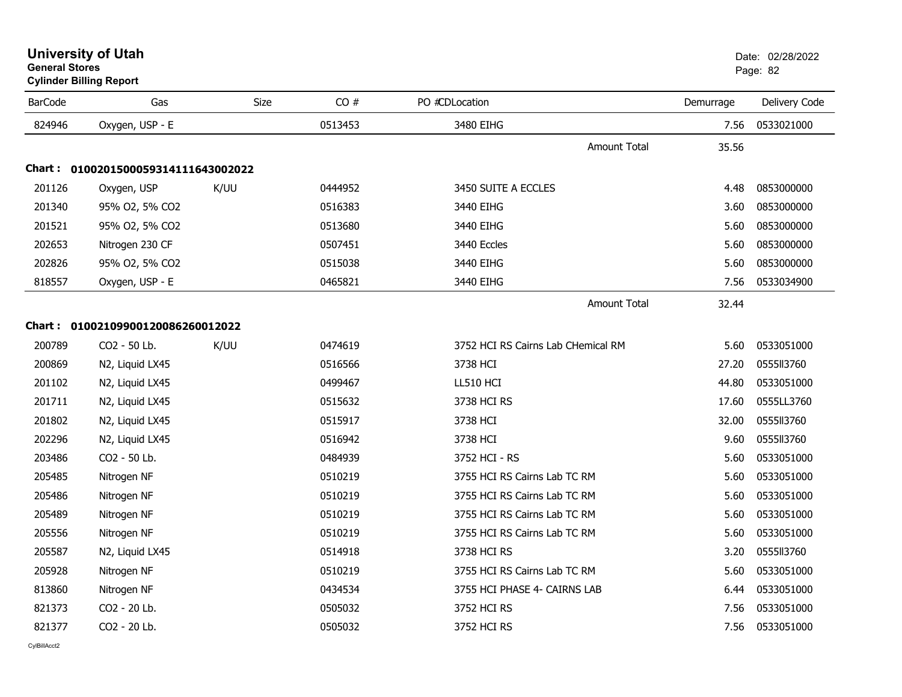| <b>University of Utah</b>      | Date: 02 |
|--------------------------------|----------|
| <b>General Stores</b>          | Page: 82 |
| <b>Cylinder Billing Report</b> |          |

| <b>BarCode</b> | Gas                                 | Size | CO#     | PO #CDLocation                     | Demurrage | Delivery Code |
|----------------|-------------------------------------|------|---------|------------------------------------|-----------|---------------|
| 824946         | Oxygen, USP - E                     |      | 0513453 | 3480 EIHG                          | 7.56      | 0533021000    |
|                |                                     |      |         | <b>Amount Total</b>                | 35.56     |               |
|                | Chart: 0100201500059314111643002022 |      |         |                                    |           |               |
| 201126         | Oxygen, USP                         | K/UU | 0444952 | 3450 SUITE A ECCLES                | 4.48      | 0853000000    |
| 201340         | 95% O2, 5% CO2                      |      | 0516383 | 3440 EIHG                          | 3.60      | 0853000000    |
| 201521         | 95% O2, 5% CO2                      |      | 0513680 | 3440 EIHG                          | 5.60      | 0853000000    |
| 202653         | Nitrogen 230 CF                     |      | 0507451 | 3440 Eccles                        | 5.60      | 0853000000    |
| 202826         | 95% O2, 5% CO2                      |      | 0515038 | 3440 EIHG                          | 5.60      | 0853000000    |
| 818557         | Oxygen, USP - E                     |      | 0465821 | 3440 EIHG                          | 7.56      | 0533034900    |
|                |                                     |      |         | Amount Total                       | 32.44     |               |
|                | Chart: 01002109900120086260012022   |      |         |                                    |           |               |
| 200789         | CO2 - 50 Lb.                        | K/UU | 0474619 | 3752 HCI RS Cairns Lab CHemical RM | 5.60      | 0533051000    |
| 200869         | N2, Liquid LX45                     |      | 0516566 | 3738 HCI                           | 27.20     | 0555113760    |
| 201102         | N2, Liquid LX45                     |      | 0499467 | <b>LL510 HCI</b>                   | 44.80     | 0533051000    |
| 201711         | N2, Liquid LX45                     |      | 0515632 | 3738 HCI RS                        | 17.60     | 0555LL3760    |
| 201802         | N2, Liquid LX45                     |      | 0515917 | 3738 HCI                           | 32.00     | 0555113760    |
| 202296         | N2, Liquid LX45                     |      | 0516942 | 3738 HCI                           | 9.60      | 0555113760    |
| 203486         | CO2 - 50 Lb.                        |      | 0484939 | 3752 HCI - RS                      | 5.60      | 0533051000    |
| 205485         | Nitrogen NF                         |      | 0510219 | 3755 HCI RS Cairns Lab TC RM       | 5.60      | 0533051000    |
| 205486         | Nitrogen NF                         |      | 0510219 | 3755 HCI RS Cairns Lab TC RM       | 5.60      | 0533051000    |
| 205489         | Nitrogen NF                         |      | 0510219 | 3755 HCI RS Cairns Lab TC RM       | 5.60      | 0533051000    |
| 205556         | Nitrogen NF                         |      | 0510219 | 3755 HCI RS Cairns Lab TC RM       | 5.60      | 0533051000    |
| 205587         | N2, Liquid LX45                     |      | 0514918 | 3738 HCI RS                        | 3.20      | 0555113760    |
| 205928         | Nitrogen NF                         |      | 0510219 | 3755 HCI RS Cairns Lab TC RM       | 5.60      | 0533051000    |
| 813860         | Nitrogen NF                         |      | 0434534 | 3755 HCI PHASE 4- CAIRNS LAB       | 6.44      | 0533051000    |
| 821373         | CO2 - 20 Lb.                        |      | 0505032 | 3752 HCI RS                        | 7.56      | 0533051000    |
| 821377         | CO2 - 20 Lb.                        |      | 0505032 | 3752 HCI RS                        | 7.56      | 0533051000    |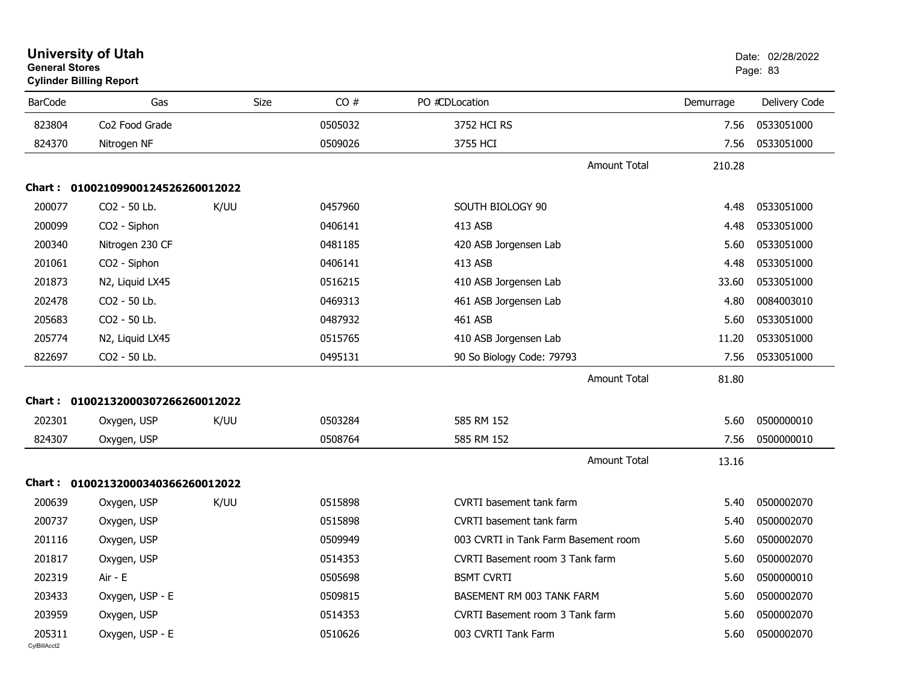| <b>General Stores</b>  | <b>University of Utah</b><br><b>Cylinder Billing Report</b> |      |         |                                      |           | Date: 02/28/2022<br>Page: 83 |
|------------------------|-------------------------------------------------------------|------|---------|--------------------------------------|-----------|------------------------------|
| <b>BarCode</b>         | Gas                                                         | Size | CO#     | PO #CDLocation                       | Demurrage | Delivery Code                |
| 823804                 | Co <sub>2</sub> Food Grade                                  |      | 0505032 | 3752 HCI RS                          | 7.56      | 0533051000                   |
| 824370                 | Nitrogen NF                                                 |      | 0509026 | 3755 HCI                             | 7.56      | 0533051000                   |
|                        |                                                             |      |         | <b>Amount Total</b>                  | 210.28    |                              |
|                        | Chart: 01002109900124526260012022                           |      |         |                                      |           |                              |
| 200077                 | CO2 - 50 Lb.                                                | K/UU | 0457960 | SOUTH BIOLOGY 90                     | 4.48      | 0533051000                   |
| 200099                 | CO2 - Siphon                                                |      | 0406141 | 413 ASB                              | 4.48      | 0533051000                   |
| 200340                 | Nitrogen 230 CF                                             |      | 0481185 | 420 ASB Jorgensen Lab                | 5.60      | 0533051000                   |
| 201061                 | CO2 - Siphon                                                |      | 0406141 | 413 ASB                              | 4.48      | 0533051000                   |
| 201873                 | N2, Liquid LX45                                             |      | 0516215 | 410 ASB Jorgensen Lab                | 33.60     | 0533051000                   |
| 202478                 | CO2 - 50 Lb.                                                |      | 0469313 | 461 ASB Jorgensen Lab                | 4.80      | 0084003010                   |
| 205683                 | CO2 - 50 Lb.                                                |      | 0487932 | 461 ASB                              | 5.60      | 0533051000                   |
| 205774                 | N2, Liquid LX45                                             |      | 0515765 | 410 ASB Jorgensen Lab                | 11.20     | 0533051000                   |
| 822697                 | CO2 - 50 Lb.                                                |      | 0495131 | 90 So Biology Code: 79793            | 7.56      | 0533051000                   |
|                        |                                                             |      |         | <b>Amount Total</b>                  | 81.80     |                              |
|                        | Chart: 01002132000307266260012022                           |      |         |                                      |           |                              |
| 202301                 | Oxygen, USP                                                 | K/UU | 0503284 | 585 RM 152                           | 5.60      | 0500000010                   |
| 824307                 | Oxygen, USP                                                 |      | 0508764 | 585 RM 152                           | 7.56      | 0500000010                   |
|                        |                                                             |      |         | <b>Amount Total</b>                  | 13.16     |                              |
|                        | Chart: 01002132000340366260012022                           |      |         |                                      |           |                              |
| 200639                 | Oxygen, USP                                                 | K/UU | 0515898 | <b>CVRTI</b> basement tank farm      | 5.40      | 0500002070                   |
| 200737                 | Oxygen, USP                                                 |      | 0515898 | <b>CVRTI</b> basement tank farm      | 5.40      | 0500002070                   |
| 201116                 | Oxygen, USP                                                 |      | 0509949 | 003 CVRTI in Tank Farm Basement room | 5.60      | 0500002070                   |
| 201817                 | Oxygen, USP                                                 |      | 0514353 | CVRTI Basement room 3 Tank farm      | 5.60      | 0500002070                   |
| 202319                 | Air - E                                                     |      | 0505698 | <b>BSMT CVRTI</b>                    | 5.60      | 0500000010                   |
| 203433                 | Oxygen, USP - E                                             |      | 0509815 | BASEMENT RM 003 TANK FARM            | 5.60      | 0500002070                   |
| 203959                 | Oxygen, USP                                                 |      | 0514353 | CVRTI Basement room 3 Tank farm      | 5.60      | 0500002070                   |
| 205311<br>CylBillAcct2 | Oxygen, USP - E                                             |      | 0510626 | 003 CVRTI Tank Farm                  | 5.60      | 0500002070                   |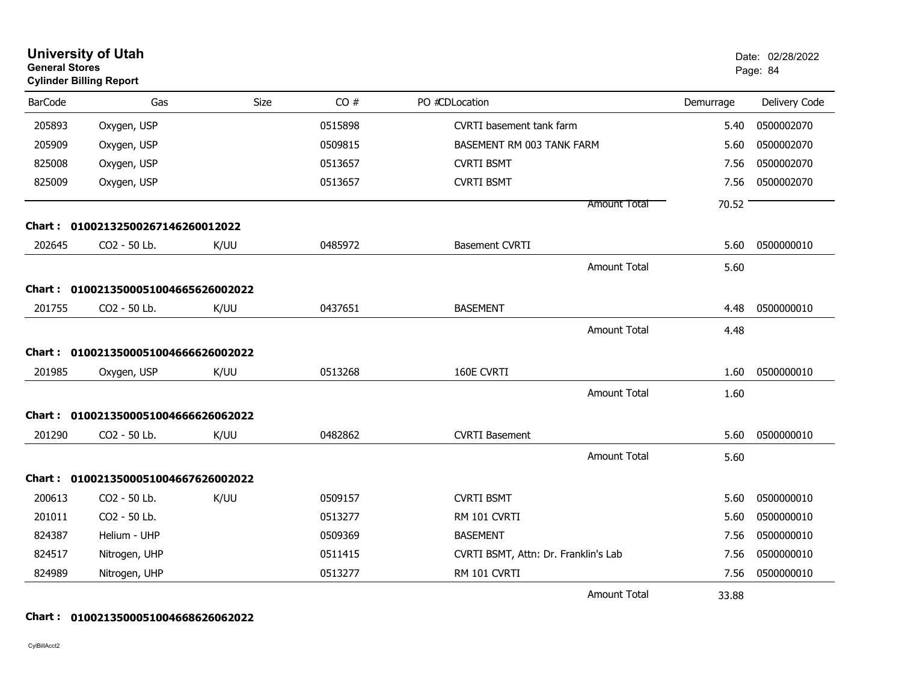| <b>General Stores</b> | <b>University of Utah</b><br><b>Cylinder Billing Report</b> |      |         |                                      |           | Date: 02/28/2022<br>Page: 84 |
|-----------------------|-------------------------------------------------------------|------|---------|--------------------------------------|-----------|------------------------------|
| <b>BarCode</b>        | Gas                                                         | Size | CO#     | PO #CDLocation                       | Demurrage | Delivery Code                |
| 205893                | Oxygen, USP                                                 |      | 0515898 | CVRTI basement tank farm             | 5.40      | 0500002070                   |
| 205909                | Oxygen, USP                                                 |      | 0509815 | BASEMENT RM 003 TANK FARM            | 5.60      | 0500002070                   |
| 825008                | Oxygen, USP                                                 |      | 0513657 | <b>CVRTI BSMT</b>                    | 7.56      | 0500002070                   |
| 825009                | Oxygen, USP                                                 |      | 0513657 | <b>CVRTI BSMT</b>                    | 7.56      | 0500002070                   |
|                       |                                                             |      |         | <b>Amount Total</b>                  | 70.52     |                              |
|                       | Chart: 01002132500267146260012022                           |      |         |                                      |           |                              |
| 202645                | CO2 - 50 Lb.                                                | K/UU | 0485972 | <b>Basement CVRTI</b>                | 5.60      | 0500000010                   |
|                       |                                                             |      |         | <b>Amount Total</b>                  | 5.60      |                              |
|                       | Chart: 0100213500051004665626002022                         |      |         |                                      |           |                              |
| 201755                | CO2 - 50 Lb.                                                | K/UU | 0437651 | <b>BASEMENT</b>                      | 4.48      | 0500000010                   |
|                       |                                                             |      |         | <b>Amount Total</b>                  | 4.48      |                              |
|                       | Chart: 0100213500051004666626002022                         |      |         |                                      |           |                              |
| 201985                | Oxygen, USP                                                 | K/UU | 0513268 | 160E CVRTI                           | 1.60      | 0500000010                   |
|                       |                                                             |      |         | <b>Amount Total</b>                  | 1.60      |                              |
|                       | Chart: 0100213500051004666626062022                         |      |         |                                      |           |                              |
| 201290                | CO2 - 50 Lb.                                                | K/UU | 0482862 | <b>CVRTI Basement</b>                | 5.60      | 0500000010                   |
|                       |                                                             |      |         |                                      |           |                              |
|                       |                                                             |      |         | <b>Amount Total</b>                  | 5.60      |                              |
| Chart :               | 0100213500051004667626002022                                |      |         |                                      |           |                              |
| 200613                | CO2 - 50 Lb.                                                | K/UU | 0509157 | <b>CVRTI BSMT</b>                    | 5.60      | 0500000010                   |
| 201011                | CO2 - 50 Lb.                                                |      | 0513277 | RM 101 CVRTI                         | 5.60      | 0500000010                   |
| 824387                | Helium - UHP                                                |      | 0509369 | <b>BASEMENT</b>                      | 7.56      | 0500000010                   |
| 824517                | Nitrogen, UHP                                               |      | 0511415 | CVRTI BSMT, Attn: Dr. Franklin's Lab | 7.56      | 0500000010                   |
| 824989                | Nitrogen, UHP                                               |      | 0513277 | RM 101 CVRTI                         | 7.56      | 0500000010                   |
|                       |                                                             |      |         | <b>Amount Total</b>                  | 33.88     |                              |

#### **Chart : 0100213500051004668626062022**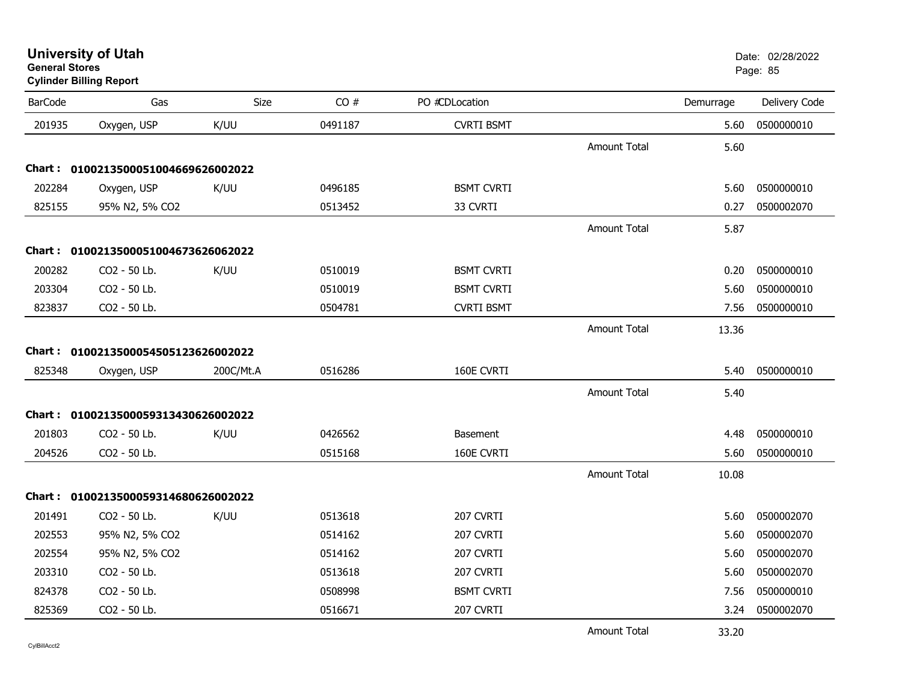**University of Utah** Date: 02/28/2022 **General Stores**

# **Cylinder Billing Report**

| <b>BarCode</b> | Gas                                 | Size      | CO#     | PO #CDLocation    |                     | Demurrage | Delivery Code |
|----------------|-------------------------------------|-----------|---------|-------------------|---------------------|-----------|---------------|
| 201935         | Oxygen, USP                         | K/UU      | 0491187 | <b>CVRTI BSMT</b> |                     | 5.60      | 0500000010    |
|                |                                     |           |         |                   | <b>Amount Total</b> | 5.60      |               |
|                | Chart: 0100213500051004669626002022 |           |         |                   |                     |           |               |
| 202284         | Oxygen, USP                         | K/UU      | 0496185 | <b>BSMT CVRTI</b> |                     | 5.60      | 0500000010    |
| 825155         | 95% N2, 5% CO2                      |           | 0513452 | 33 CVRTI          |                     | 0.27      | 0500002070    |
|                |                                     |           |         |                   | <b>Amount Total</b> | 5.87      |               |
|                | Chart: 0100213500051004673626062022 |           |         |                   |                     |           |               |
| 200282         | CO2 - 50 Lb.                        | K/UU      | 0510019 | <b>BSMT CVRTI</b> |                     | 0.20      | 0500000010    |
| 203304         | CO2 - 50 Lb.                        |           | 0510019 | <b>BSMT CVRTI</b> |                     | 5.60      | 0500000010    |
| 823837         | CO2 - 50 Lb.                        |           | 0504781 | <b>CVRTI BSMT</b> |                     | 7.56      | 0500000010    |
|                |                                     |           |         |                   | <b>Amount Total</b> | 13.36     |               |
|                | Chart: 0100213500054505123626002022 |           |         |                   |                     |           |               |
| 825348         | Oxygen, USP                         | 200C/Mt.A | 0516286 | 160E CVRTI        |                     | 5.40      | 0500000010    |
|                |                                     |           |         |                   | <b>Amount Total</b> | 5.40      |               |
|                | Chart: 0100213500059313430626002022 |           |         |                   |                     |           |               |
| 201803         | CO2 - 50 Lb.                        | K/UU      | 0426562 | Basement          |                     | 4.48      | 0500000010    |
| 204526         | CO2 - 50 Lb.                        |           | 0515168 | 160E CVRTI        |                     | 5.60      | 0500000010    |
|                |                                     |           |         |                   | <b>Amount Total</b> | 10.08     |               |
|                | Chart: 0100213500059314680626002022 |           |         |                   |                     |           |               |
| 201491         | CO2 - 50 Lb.                        | K/UU      | 0513618 | 207 CVRTI         |                     | 5.60      | 0500002070    |
| 202553         | 95% N2, 5% CO2                      |           | 0514162 | 207 CVRTI         |                     | 5.60      | 0500002070    |
| 202554         | 95% N2, 5% CO2                      |           | 0514162 | 207 CVRTI         |                     | 5.60      | 0500002070    |
| 203310         | CO2 - 50 Lb.                        |           | 0513618 | 207 CVRTI         |                     | 5.60      | 0500002070    |
| 824378         | CO2 - 50 Lb.                        |           | 0508998 | <b>BSMT CVRTI</b> |                     | 7.56      | 0500000010    |
| 825369         | CO2 - 50 Lb.                        |           | 0516671 | 207 CVRTI         |                     | 3.24      | 0500002070    |
|                |                                     |           |         |                   | <b>Amount Total</b> | 33.20     |               |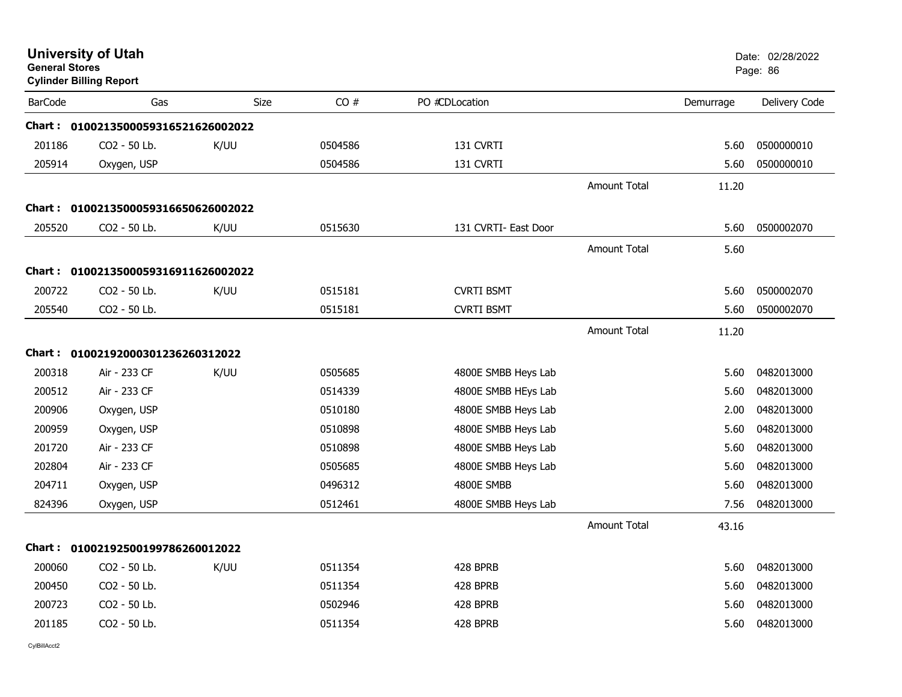| <b>General Stores</b> | <b>University of Utah</b><br><b>Cylinder Billing Report</b> |      |         |                      |                     |           | Date: 02/28/2022<br>Page: 86 |
|-----------------------|-------------------------------------------------------------|------|---------|----------------------|---------------------|-----------|------------------------------|
| <b>BarCode</b>        | Gas                                                         | Size | CO#     | PO #CDLocation       |                     | Demurrage | Delivery Code                |
|                       | Chart: 0100213500059316521626002022                         |      |         |                      |                     |           |                              |
| 201186                | CO2 - 50 Lb.                                                | K/UU | 0504586 | 131 CVRTI            |                     | 5.60      | 0500000010                   |
| 205914                | Oxygen, USP                                                 |      | 0504586 | 131 CVRTI            |                     | 5.60      | 0500000010                   |
|                       |                                                             |      |         |                      | <b>Amount Total</b> | 11.20     |                              |
|                       | Chart: 0100213500059316650626002022                         |      |         |                      |                     |           |                              |
| 205520                | CO2 - 50 Lb.                                                | K/UU | 0515630 | 131 CVRTI- East Door |                     | 5.60      | 0500002070                   |
|                       |                                                             |      |         |                      | <b>Amount Total</b> | 5.60      |                              |
|                       | Chart: 0100213500059316911626002022                         |      |         |                      |                     |           |                              |
| 200722                | CO2 - 50 Lb.                                                | K/UU | 0515181 | <b>CVRTI BSMT</b>    |                     | 5.60      | 0500002070                   |
| 205540                | CO2 - 50 Lb.                                                |      | 0515181 | <b>CVRTI BSMT</b>    |                     | 5.60      | 0500002070                   |
|                       |                                                             |      |         |                      | <b>Amount Total</b> | 11.20     |                              |
|                       | Chart: 01002192000301236260312022                           |      |         |                      |                     |           |                              |
| 200318                | Air - 233 CF                                                | K/UU | 0505685 | 4800E SMBB Heys Lab  |                     | 5.60      | 0482013000                   |
| 200512                | Air - 233 CF                                                |      | 0514339 | 4800E SMBB HEys Lab  |                     | 5.60      | 0482013000                   |
| 200906                | Oxygen, USP                                                 |      | 0510180 | 4800E SMBB Heys Lab  |                     | 2.00      | 0482013000                   |
| 200959                | Oxygen, USP                                                 |      | 0510898 | 4800E SMBB Heys Lab  |                     | 5.60      | 0482013000                   |
| 201720                | Air - 233 CF                                                |      | 0510898 | 4800E SMBB Heys Lab  |                     | 5.60      | 0482013000                   |
| 202804                | Air - 233 CF                                                |      | 0505685 | 4800E SMBB Heys Lab  |                     | 5.60      | 0482013000                   |
| 204711                | Oxygen, USP                                                 |      | 0496312 | 4800E SMBB           |                     | 5.60      | 0482013000                   |
| 824396                | Oxygen, USP                                                 |      | 0512461 | 4800E SMBB Heys Lab  |                     | 7.56      | 0482013000                   |
|                       |                                                             |      |         |                      | <b>Amount Total</b> | 43.16     |                              |
|                       | Chart: 01002192500199786260012022                           |      |         |                      |                     |           |                              |
| 200060                | CO2 - 50 Lb.                                                | K/UU | 0511354 | 428 BPRB             |                     | 5.60      | 0482013000                   |
| 200450                | CO2 - 50 Lb.                                                |      | 0511354 | 428 BPRB             |                     | 5.60      | 0482013000                   |
| 200723                | CO2 - 50 Lb.                                                |      | 0502946 | 428 BPRB             |                     | 5.60      | 0482013000                   |
| 201185                | CO2 - 50 Lb.                                                |      | 0511354 | 428 BPRB             |                     | 5.60      | 0482013000                   |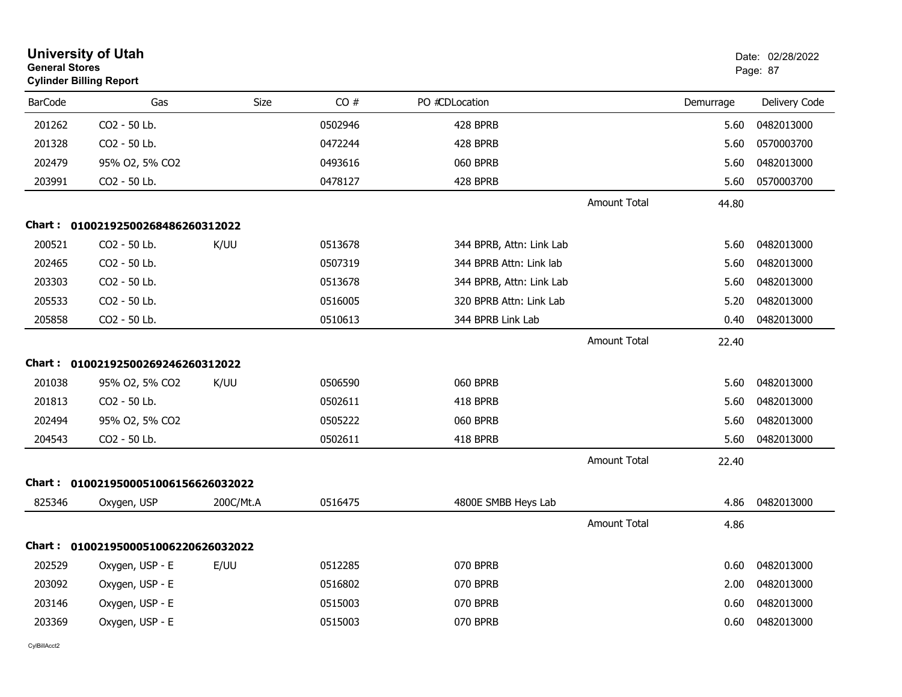|                | <b>University of Utah</b><br><b>General Stores</b><br><b>Cylinder Billing Report</b> |           |         |                          |                     |           | Date: 02/28/2022<br>Page: 87 |
|----------------|--------------------------------------------------------------------------------------|-----------|---------|--------------------------|---------------------|-----------|------------------------------|
| <b>BarCode</b> | Gas                                                                                  | Size      | CO#     | PO #CDLocation           |                     | Demurrage | Delivery Code                |
| 201262         | CO2 - 50 Lb.                                                                         |           | 0502946 | 428 BPRB                 |                     | 5.60      | 0482013000                   |
| 201328         | CO2 - 50 Lb.                                                                         |           | 0472244 | 428 BPRB                 |                     | 5.60      | 0570003700                   |
| 202479         | 95% O2, 5% CO2                                                                       |           | 0493616 | 060 BPRB                 |                     | 5.60      | 0482013000                   |
| 203991         | CO2 - 50 Lb.                                                                         |           | 0478127 | 428 BPRB                 |                     | 5.60      | 0570003700                   |
|                |                                                                                      |           |         |                          | <b>Amount Total</b> | 44.80     |                              |
|                | Chart: 01002192500268486260312022                                                    |           |         |                          |                     |           |                              |
| 200521         | CO2 - 50 Lb.                                                                         | K/UU      | 0513678 | 344 BPRB, Attn: Link Lab |                     | 5.60      | 0482013000                   |
| 202465         | CO2 - 50 Lb.                                                                         |           | 0507319 | 344 BPRB Attn: Link lab  |                     | 5.60      | 0482013000                   |
| 203303         | CO2 - 50 Lb.                                                                         |           | 0513678 | 344 BPRB, Attn: Link Lab |                     | 5.60      | 0482013000                   |
| 205533         | CO2 - 50 Lb.                                                                         |           | 0516005 | 320 BPRB Attn: Link Lab  |                     | 5.20      | 0482013000                   |
| 205858         | CO2 - 50 Lb.                                                                         |           | 0510613 | 344 BPRB Link Lab        |                     | 0.40      | 0482013000                   |
|                |                                                                                      |           |         |                          | <b>Amount Total</b> | 22.40     |                              |
| Chart :        | 01002192500269246260312022                                                           |           |         |                          |                     |           |                              |
| 201038         | 95% O2, 5% CO2                                                                       | K/UU      | 0506590 | 060 BPRB                 |                     | 5.60      | 0482013000                   |
| 201813         | CO2 - 50 Lb.                                                                         |           | 0502611 | 418 BPRB                 |                     | 5.60      | 0482013000                   |
| 202494         | 95% O2, 5% CO2                                                                       |           | 0505222 | 060 BPRB                 |                     | 5.60      | 0482013000                   |
| 204543         | CO2 - 50 Lb.                                                                         |           | 0502611 | 418 BPRB                 |                     | 5.60      | 0482013000                   |
|                |                                                                                      |           |         |                          | <b>Amount Total</b> | 22.40     |                              |
|                | Chart: 0100219500051006156626032022                                                  |           |         |                          |                     |           |                              |
| 825346         | Oxygen, USP                                                                          | 200C/Mt.A | 0516475 | 4800E SMBB Heys Lab      |                     | 4.86      | 0482013000                   |
|                |                                                                                      |           |         |                          | <b>Amount Total</b> | 4.86      |                              |
|                | Chart: 0100219500051006220626032022                                                  |           |         |                          |                     |           |                              |
| 202529         | Oxygen, USP - E                                                                      | E/UU      | 0512285 | 070 BPRB                 |                     | 0.60      | 0482013000                   |
| 203092         | Oxygen, USP - E                                                                      |           | 0516802 | 070 BPRB                 |                     | 2.00      | 0482013000                   |
| 203146         | Oxygen, USP - E                                                                      |           | 0515003 | 070 BPRB                 |                     | 0.60      | 0482013000                   |
| 203369         | Oxygen, USP - E                                                                      |           | 0515003 | 070 BPRB                 |                     | 0.60      | 0482013000                   |
|                |                                                                                      |           |         |                          |                     |           |                              |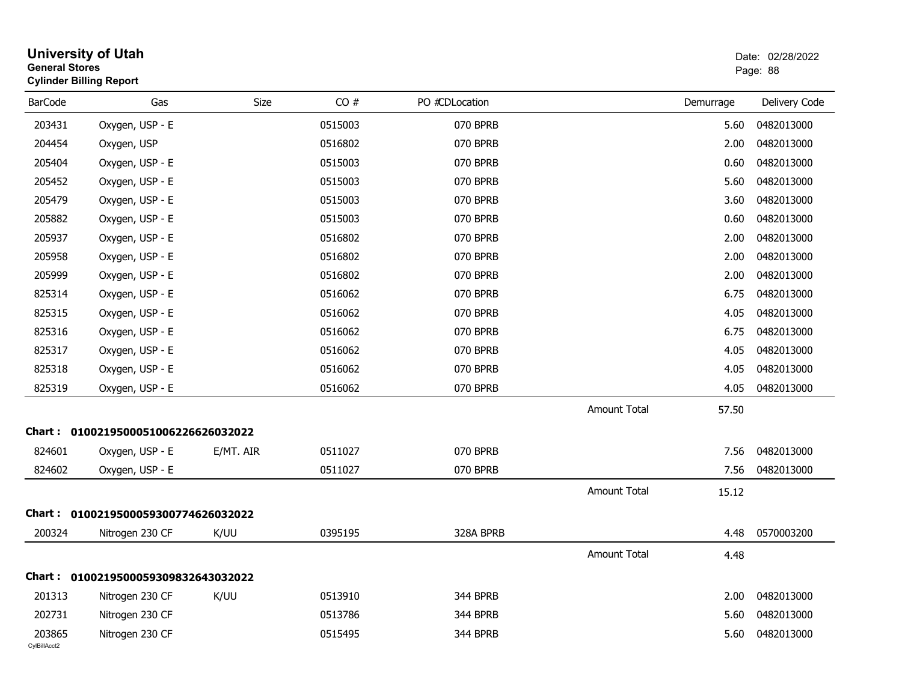| <b>General Stores</b>  | <b>University of Utah</b><br><b>Cylinder Billing Report</b> |           |         |                |                     |           | Date: 02/28/2022<br>Page: 88 |
|------------------------|-------------------------------------------------------------|-----------|---------|----------------|---------------------|-----------|------------------------------|
| <b>BarCode</b>         | Gas                                                         | Size      | CO#     | PO #CDLocation |                     | Demurrage | Delivery Code                |
| 203431                 | Oxygen, USP - E                                             |           | 0515003 | 070 BPRB       |                     | 5.60      | 0482013000                   |
| 204454                 | Oxygen, USP                                                 |           | 0516802 | 070 BPRB       |                     | 2.00      | 0482013000                   |
| 205404                 | Oxygen, USP - E                                             |           | 0515003 | 070 BPRB       |                     | 0.60      | 0482013000                   |
| 205452                 | Oxygen, USP - E                                             |           | 0515003 | 070 BPRB       |                     | 5.60      | 0482013000                   |
| 205479                 | Oxygen, USP - E                                             |           | 0515003 | 070 BPRB       |                     | 3.60      | 0482013000                   |
| 205882                 | Oxygen, USP - E                                             |           | 0515003 | 070 BPRB       |                     | 0.60      | 0482013000                   |
| 205937                 | Oxygen, USP - E                                             |           | 0516802 | 070 BPRB       |                     | 2.00      | 0482013000                   |
| 205958                 | Oxygen, USP - E                                             |           | 0516802 | 070 BPRB       |                     | 2.00      | 0482013000                   |
| 205999                 | Oxygen, USP - E                                             |           | 0516802 | 070 BPRB       |                     | 2.00      | 0482013000                   |
| 825314                 | Oxygen, USP - E                                             |           | 0516062 | 070 BPRB       |                     | 6.75      | 0482013000                   |
| 825315                 | Oxygen, USP - E                                             |           | 0516062 | 070 BPRB       |                     | 4.05      | 0482013000                   |
| 825316                 | Oxygen, USP - E                                             |           | 0516062 | 070 BPRB       |                     | 6.75      | 0482013000                   |
| 825317                 | Oxygen, USP - E                                             |           | 0516062 | 070 BPRB       |                     | 4.05      | 0482013000                   |
| 825318                 | Oxygen, USP - E                                             |           | 0516062 | 070 BPRB       |                     | 4.05      | 0482013000                   |
| 825319                 | Oxygen, USP - E                                             |           | 0516062 | 070 BPRB       |                     | 4.05      | 0482013000                   |
|                        |                                                             |           |         |                | <b>Amount Total</b> | 57.50     |                              |
|                        | Chart: 0100219500051006226626032022                         |           |         |                |                     |           |                              |
| 824601                 | Oxygen, USP - E                                             | E/MT. AIR | 0511027 | 070 BPRB       |                     | 7.56      | 0482013000                   |
| 824602                 | Oxygen, USP - E                                             |           | 0511027 | 070 BPRB       |                     | 7.56      | 0482013000                   |
|                        |                                                             |           |         |                | <b>Amount Total</b> | 15.12     |                              |
|                        | Chart: 0100219500059300774626032022                         |           |         |                |                     |           |                              |
| 200324                 | Nitrogen 230 CF                                             | K/UU      | 0395195 | 328A BPRB      |                     | 4.48      | 0570003200                   |
|                        |                                                             |           |         |                | <b>Amount Total</b> | 4.48      |                              |
|                        | Chart: 0100219500059309832643032022                         |           |         |                |                     |           |                              |
| 201313                 | Nitrogen 230 CF                                             | K/UU      | 0513910 | 344 BPRB       |                     | 2.00      | 0482013000                   |
| 202731                 | Nitrogen 230 CF                                             |           | 0513786 | 344 BPRB       |                     | 5.60      | 0482013000                   |
| 203865<br>CylBillAcct2 | Nitrogen 230 CF                                             |           | 0515495 | 344 BPRB       |                     | 5.60      | 0482013000                   |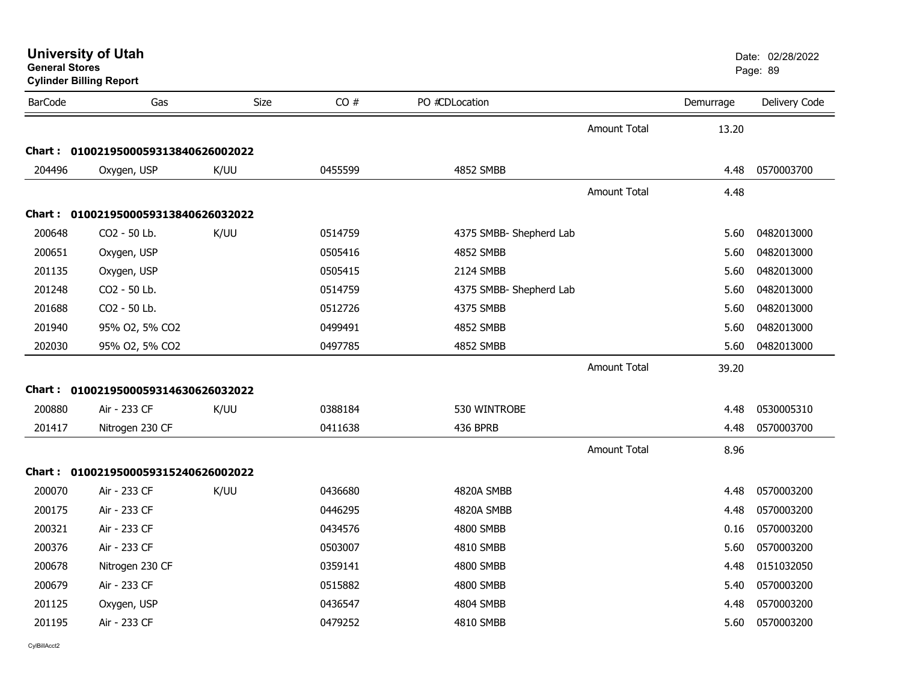| <b>Cylinder Billing Report</b> |                                     |      |         |                         |                     |           | rage.ob       |  |  |
|--------------------------------|-------------------------------------|------|---------|-------------------------|---------------------|-----------|---------------|--|--|
| <b>BarCode</b>                 | Gas                                 | Size | CO#     | PO #CDLocation          |                     | Demurrage | Delivery Code |  |  |
|                                |                                     |      |         |                         | <b>Amount Total</b> | 13.20     |               |  |  |
|                                | Chart: 0100219500059313840626002022 |      |         |                         |                     |           |               |  |  |
| 204496                         | Oxygen, USP                         | K/UU | 0455599 | 4852 SMBB               |                     | 4.48      | 0570003700    |  |  |
|                                |                                     |      |         |                         | <b>Amount Total</b> | 4.48      |               |  |  |
|                                | Chart: 0100219500059313840626032022 |      |         |                         |                     |           |               |  |  |
| 200648                         | CO2 - 50 Lb.                        | K/UU | 0514759 | 4375 SMBB- Shepherd Lab |                     | 5.60      | 0482013000    |  |  |
| 200651                         | Oxygen, USP                         |      | 0505416 | 4852 SMBB               |                     | 5.60      | 0482013000    |  |  |
| 201135                         | Oxygen, USP                         |      | 0505415 | 2124 SMBB               |                     | 5.60      | 0482013000    |  |  |
| 201248                         | CO2 - 50 Lb.                        |      | 0514759 | 4375 SMBB- Shepherd Lab |                     | 5.60      | 0482013000    |  |  |
| 201688                         | CO2 - 50 Lb.                        |      | 0512726 | 4375 SMBB               |                     | 5.60      | 0482013000    |  |  |
| 201940                         | 95% O2, 5% CO2                      |      | 0499491 | 4852 SMBB               |                     | 5.60      | 0482013000    |  |  |
| 202030                         | 95% O2, 5% CO2                      |      | 0497785 | 4852 SMBB               |                     | 5.60      | 0482013000    |  |  |
|                                |                                     |      |         |                         | <b>Amount Total</b> | 39.20     |               |  |  |
|                                | Chart: 0100219500059314630626032022 |      |         |                         |                     |           |               |  |  |
| 200880                         | Air - 233 CF                        | K/UU | 0388184 | 530 WINTROBE            |                     | 4.48      | 0530005310    |  |  |
| 201417                         | Nitrogen 230 CF                     |      | 0411638 | 436 BPRB                |                     | 4.48      | 0570003700    |  |  |
|                                |                                     |      |         |                         | <b>Amount Total</b> | 8.96      |               |  |  |
|                                | Chart: 0100219500059315240626002022 |      |         |                         |                     |           |               |  |  |
| 200070                         | Air - 233 CF                        | K/UU | 0436680 | 4820A SMBB              |                     | 4.48      | 0570003200    |  |  |
| 200175                         | Air - 233 CF                        |      | 0446295 | 4820A SMBB              |                     | 4.48      | 0570003200    |  |  |
| 200321                         | Air - 233 CF                        |      | 0434576 | 4800 SMBB               |                     | 0.16      | 0570003200    |  |  |
| 200376                         | Air - 233 CF                        |      | 0503007 | 4810 SMBB               |                     | 5.60      | 0570003200    |  |  |
| 200678                         | Nitrogen 230 CF                     |      | 0359141 | 4800 SMBB               |                     | 4.48      | 0151032050    |  |  |
| 200679                         | Air - 233 CF                        |      | 0515882 | 4800 SMBB               |                     | 5.40      | 0570003200    |  |  |
| 201125                         | Oxygen, USP                         |      | 0436547 | 4804 SMBB               |                     | 4.48      | 0570003200    |  |  |
| 201195                         | Air - 233 CF                        |      | 0479252 | 4810 SMBB               |                     | 5.60      | 0570003200    |  |  |

# **University of Utah**  Date: 02/28/2022 **General Stores**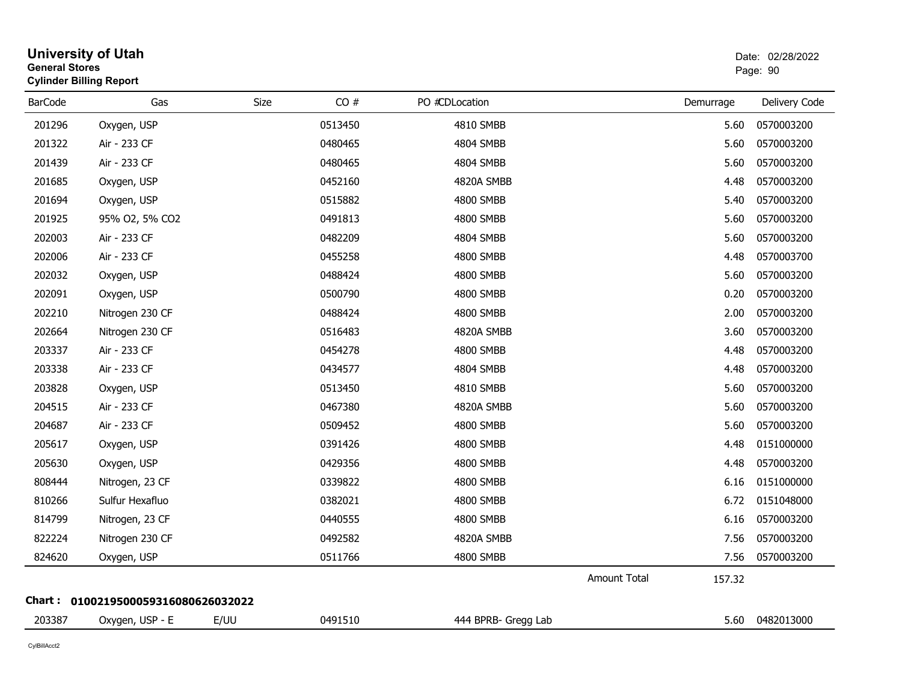| <b>General Stores</b> | <b>University of Utah</b><br><b>Cylinder Billing Report</b> |      |         |                     |                     |           | Date: 02/28/2022<br>Page: 90 |
|-----------------------|-------------------------------------------------------------|------|---------|---------------------|---------------------|-----------|------------------------------|
| <b>BarCode</b>        | Gas                                                         | Size | CO#     | PO #CDLocation      |                     | Demurrage | Delivery Code                |
| 201296                | Oxygen, USP                                                 |      | 0513450 | 4810 SMBB           |                     | 5.60      | 0570003200                   |
| 201322                | Air - 233 CF                                                |      | 0480465 | 4804 SMBB           |                     | 5.60      | 0570003200                   |
| 201439                | Air - 233 CF                                                |      | 0480465 | 4804 SMBB           |                     | 5.60      | 0570003200                   |
| 201685                | Oxygen, USP                                                 |      | 0452160 | 4820A SMBB          |                     | 4.48      | 0570003200                   |
| 201694                | Oxygen, USP                                                 |      | 0515882 | 4800 SMBB           |                     | 5.40      | 0570003200                   |
| 201925                | 95% O2, 5% CO2                                              |      | 0491813 | 4800 SMBB           |                     | 5.60      | 0570003200                   |
| 202003                | Air - 233 CF                                                |      | 0482209 | 4804 SMBB           |                     | 5.60      | 0570003200                   |
| 202006                | Air - 233 CF                                                |      | 0455258 | 4800 SMBB           |                     | 4.48      | 0570003700                   |
| 202032                | Oxygen, USP                                                 |      | 0488424 | 4800 SMBB           |                     | 5.60      | 0570003200                   |
| 202091                | Oxygen, USP                                                 |      | 0500790 | 4800 SMBB           |                     | 0.20      | 0570003200                   |
| 202210                | Nitrogen 230 CF                                             |      | 0488424 | 4800 SMBB           |                     | 2.00      | 0570003200                   |
| 202664                | Nitrogen 230 CF                                             |      | 0516483 | 4820A SMBB          |                     | 3.60      | 0570003200                   |
| 203337                | Air - 233 CF                                                |      | 0454278 | 4800 SMBB           |                     | 4.48      | 0570003200                   |
| 203338                | Air - 233 CF                                                |      | 0434577 | 4804 SMBB           |                     | 4.48      | 0570003200                   |
| 203828                | Oxygen, USP                                                 |      | 0513450 | 4810 SMBB           |                     | 5.60      | 0570003200                   |
| 204515                | Air - 233 CF                                                |      | 0467380 | 4820A SMBB          |                     | 5.60      | 0570003200                   |
| 204687                | Air - 233 CF                                                |      | 0509452 | 4800 SMBB           |                     | 5.60      | 0570003200                   |
| 205617                | Oxygen, USP                                                 |      | 0391426 | 4800 SMBB           |                     | 4.48      | 0151000000                   |
| 205630                | Oxygen, USP                                                 |      | 0429356 | 4800 SMBB           |                     | 4.48      | 0570003200                   |
| 808444                | Nitrogen, 23 CF                                             |      | 0339822 | 4800 SMBB           |                     | 6.16      | 0151000000                   |
| 810266                | Sulfur Hexafluo                                             |      | 0382021 | 4800 SMBB           |                     | 6.72      | 0151048000                   |
| 814799                | Nitrogen, 23 CF                                             |      | 0440555 | 4800 SMBB           |                     | 6.16      | 0570003200                   |
| 822224                | Nitrogen 230 CF                                             |      | 0492582 | 4820A SMBB          |                     | 7.56      | 0570003200                   |
| 824620                | Oxygen, USP                                                 |      | 0511766 | 4800 SMBB           |                     | 7.56      | 0570003200                   |
|                       |                                                             |      |         |                     | <b>Amount Total</b> | 157.32    |                              |
| Chart :               | 0100219500059316080626032022                                |      |         |                     |                     |           |                              |
| 203387                | Oxygen, USP - E                                             | E/UU | 0491510 | 444 BPRB- Gregg Lab |                     | 5.60      | 0482013000                   |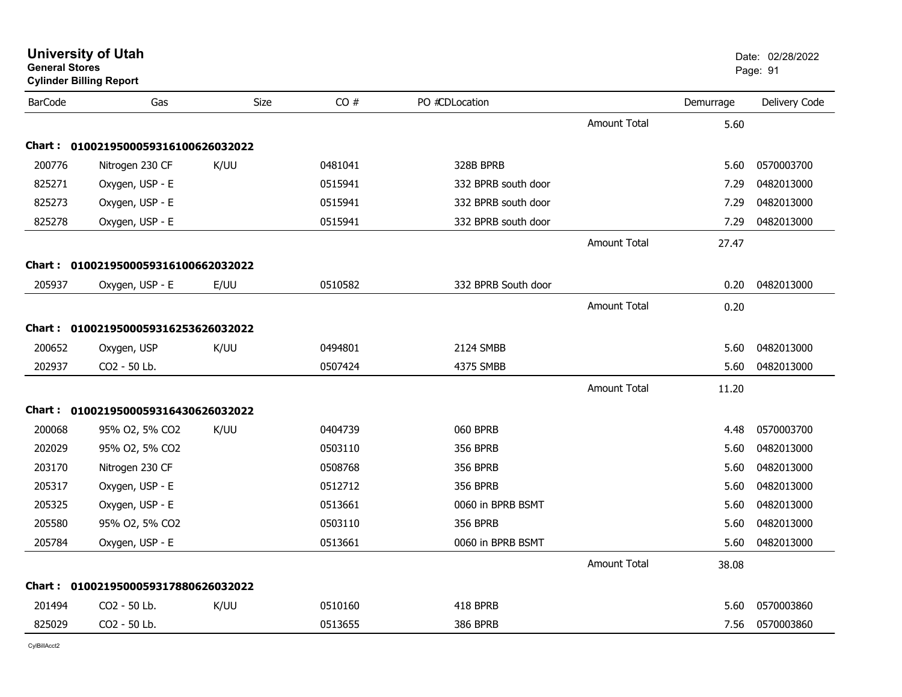| CO#<br>PO #CDLocation<br><b>BarCode</b><br>Gas<br>Size<br>Demurrage<br><b>Amount Total</b><br>5.60<br>Chart: 0100219500059316100626032022<br>200776<br>K/UU<br>328B BPRB<br>Nitrogen 230 CF<br>0481041<br>5.60<br>825271<br>Oxygen, USP - E<br>0515941<br>332 BPRB south door<br>7.29<br>825273<br>Oxygen, USP - E<br>332 BPRB south door<br>0515941<br>7.29<br>825278<br>Oxygen, USP - E<br>0515941<br>332 BPRB south door<br>7.29<br><b>Amount Total</b><br>27.47<br>Chart: 0100219500059316100662032022<br>205937<br>E/UU<br>0510582<br>332 BPRB South door<br>Oxygen, USP - E<br>0.20<br>Amount Total<br>0.20<br>Chart: 0100219500059316253626032022<br>200652<br>K/UU<br>2124 SMBB<br>Oxygen, USP<br>0494801<br>5.60<br>202937<br>CO2 - 50 Lb.<br>0507424<br>4375 SMBB<br>5.60<br><b>Amount Total</b><br>11.20<br>Chart: 0100219500059316430626032022<br>200068<br>K/UU<br>060 BPRB<br>95% O2, 5% CO2<br>0404739<br>4.48<br>202029<br>95% O2, 5% CO2<br>0503110<br><b>356 BPRB</b><br>5.60<br>203170<br>Nitrogen 230 CF<br>0508768<br><b>356 BPRB</b><br>5.60<br>205317<br>Oxygen, USP - E<br><b>356 BPRB</b><br>0512712<br>5.60<br>205325<br>Oxygen, USP - E<br>0513661<br>0060 in BPRB BSMT<br>5.60<br>205580<br>95% O2, 5% CO2<br>0503110<br><b>356 BPRB</b><br>5.60<br>205784<br>Oxygen, USP - E<br>0513661<br>0060 in BPRB BSMT<br>5.60<br><b>Amount Total</b><br>38.08<br>Chart: 0100219500059317880626032022<br>K/UU<br>201494<br>CO2 - 50 Lb.<br>0510160<br>418 BPRB<br>5.60 |        | <b>General Stores</b><br><b>Cylinder Billing Report</b> |  |         |                 |      | Page: 91      |
|-------------------------------------------------------------------------------------------------------------------------------------------------------------------------------------------------------------------------------------------------------------------------------------------------------------------------------------------------------------------------------------------------------------------------------------------------------------------------------------------------------------------------------------------------------------------------------------------------------------------------------------------------------------------------------------------------------------------------------------------------------------------------------------------------------------------------------------------------------------------------------------------------------------------------------------------------------------------------------------------------------------------------------------------------------------------------------------------------------------------------------------------------------------------------------------------------------------------------------------------------------------------------------------------------------------------------------------------------------------------------------------------------------------------------------------------------------------------------------------------|--------|---------------------------------------------------------|--|---------|-----------------|------|---------------|
|                                                                                                                                                                                                                                                                                                                                                                                                                                                                                                                                                                                                                                                                                                                                                                                                                                                                                                                                                                                                                                                                                                                                                                                                                                                                                                                                                                                                                                                                                           |        |                                                         |  |         |                 |      | Delivery Code |
|                                                                                                                                                                                                                                                                                                                                                                                                                                                                                                                                                                                                                                                                                                                                                                                                                                                                                                                                                                                                                                                                                                                                                                                                                                                                                                                                                                                                                                                                                           |        |                                                         |  |         |                 |      |               |
|                                                                                                                                                                                                                                                                                                                                                                                                                                                                                                                                                                                                                                                                                                                                                                                                                                                                                                                                                                                                                                                                                                                                                                                                                                                                                                                                                                                                                                                                                           |        |                                                         |  |         |                 |      |               |
|                                                                                                                                                                                                                                                                                                                                                                                                                                                                                                                                                                                                                                                                                                                                                                                                                                                                                                                                                                                                                                                                                                                                                                                                                                                                                                                                                                                                                                                                                           |        |                                                         |  |         |                 |      | 0570003700    |
|                                                                                                                                                                                                                                                                                                                                                                                                                                                                                                                                                                                                                                                                                                                                                                                                                                                                                                                                                                                                                                                                                                                                                                                                                                                                                                                                                                                                                                                                                           |        |                                                         |  |         |                 |      | 0482013000    |
|                                                                                                                                                                                                                                                                                                                                                                                                                                                                                                                                                                                                                                                                                                                                                                                                                                                                                                                                                                                                                                                                                                                                                                                                                                                                                                                                                                                                                                                                                           |        |                                                         |  |         |                 |      | 0482013000    |
|                                                                                                                                                                                                                                                                                                                                                                                                                                                                                                                                                                                                                                                                                                                                                                                                                                                                                                                                                                                                                                                                                                                                                                                                                                                                                                                                                                                                                                                                                           |        |                                                         |  |         |                 |      | 0482013000    |
|                                                                                                                                                                                                                                                                                                                                                                                                                                                                                                                                                                                                                                                                                                                                                                                                                                                                                                                                                                                                                                                                                                                                                                                                                                                                                                                                                                                                                                                                                           |        |                                                         |  |         |                 |      |               |
|                                                                                                                                                                                                                                                                                                                                                                                                                                                                                                                                                                                                                                                                                                                                                                                                                                                                                                                                                                                                                                                                                                                                                                                                                                                                                                                                                                                                                                                                                           |        |                                                         |  |         |                 |      |               |
|                                                                                                                                                                                                                                                                                                                                                                                                                                                                                                                                                                                                                                                                                                                                                                                                                                                                                                                                                                                                                                                                                                                                                                                                                                                                                                                                                                                                                                                                                           |        |                                                         |  |         |                 |      | 0482013000    |
|                                                                                                                                                                                                                                                                                                                                                                                                                                                                                                                                                                                                                                                                                                                                                                                                                                                                                                                                                                                                                                                                                                                                                                                                                                                                                                                                                                                                                                                                                           |        |                                                         |  |         |                 |      |               |
|                                                                                                                                                                                                                                                                                                                                                                                                                                                                                                                                                                                                                                                                                                                                                                                                                                                                                                                                                                                                                                                                                                                                                                                                                                                                                                                                                                                                                                                                                           |        |                                                         |  |         |                 |      |               |
|                                                                                                                                                                                                                                                                                                                                                                                                                                                                                                                                                                                                                                                                                                                                                                                                                                                                                                                                                                                                                                                                                                                                                                                                                                                                                                                                                                                                                                                                                           |        |                                                         |  |         |                 |      | 0482013000    |
|                                                                                                                                                                                                                                                                                                                                                                                                                                                                                                                                                                                                                                                                                                                                                                                                                                                                                                                                                                                                                                                                                                                                                                                                                                                                                                                                                                                                                                                                                           |        |                                                         |  |         |                 |      | 0482013000    |
|                                                                                                                                                                                                                                                                                                                                                                                                                                                                                                                                                                                                                                                                                                                                                                                                                                                                                                                                                                                                                                                                                                                                                                                                                                                                                                                                                                                                                                                                                           |        |                                                         |  |         |                 |      |               |
|                                                                                                                                                                                                                                                                                                                                                                                                                                                                                                                                                                                                                                                                                                                                                                                                                                                                                                                                                                                                                                                                                                                                                                                                                                                                                                                                                                                                                                                                                           |        |                                                         |  |         |                 |      |               |
|                                                                                                                                                                                                                                                                                                                                                                                                                                                                                                                                                                                                                                                                                                                                                                                                                                                                                                                                                                                                                                                                                                                                                                                                                                                                                                                                                                                                                                                                                           |        |                                                         |  |         |                 |      | 0570003700    |
|                                                                                                                                                                                                                                                                                                                                                                                                                                                                                                                                                                                                                                                                                                                                                                                                                                                                                                                                                                                                                                                                                                                                                                                                                                                                                                                                                                                                                                                                                           |        |                                                         |  |         |                 |      | 0482013000    |
|                                                                                                                                                                                                                                                                                                                                                                                                                                                                                                                                                                                                                                                                                                                                                                                                                                                                                                                                                                                                                                                                                                                                                                                                                                                                                                                                                                                                                                                                                           |        |                                                         |  |         |                 |      | 0482013000    |
|                                                                                                                                                                                                                                                                                                                                                                                                                                                                                                                                                                                                                                                                                                                                                                                                                                                                                                                                                                                                                                                                                                                                                                                                                                                                                                                                                                                                                                                                                           |        |                                                         |  |         |                 |      | 0482013000    |
|                                                                                                                                                                                                                                                                                                                                                                                                                                                                                                                                                                                                                                                                                                                                                                                                                                                                                                                                                                                                                                                                                                                                                                                                                                                                                                                                                                                                                                                                                           |        |                                                         |  |         |                 |      | 0482013000    |
|                                                                                                                                                                                                                                                                                                                                                                                                                                                                                                                                                                                                                                                                                                                                                                                                                                                                                                                                                                                                                                                                                                                                                                                                                                                                                                                                                                                                                                                                                           |        |                                                         |  |         |                 |      | 0482013000    |
|                                                                                                                                                                                                                                                                                                                                                                                                                                                                                                                                                                                                                                                                                                                                                                                                                                                                                                                                                                                                                                                                                                                                                                                                                                                                                                                                                                                                                                                                                           |        |                                                         |  |         |                 |      | 0482013000    |
|                                                                                                                                                                                                                                                                                                                                                                                                                                                                                                                                                                                                                                                                                                                                                                                                                                                                                                                                                                                                                                                                                                                                                                                                                                                                                                                                                                                                                                                                                           |        |                                                         |  |         |                 |      |               |
|                                                                                                                                                                                                                                                                                                                                                                                                                                                                                                                                                                                                                                                                                                                                                                                                                                                                                                                                                                                                                                                                                                                                                                                                                                                                                                                                                                                                                                                                                           |        |                                                         |  |         |                 |      |               |
|                                                                                                                                                                                                                                                                                                                                                                                                                                                                                                                                                                                                                                                                                                                                                                                                                                                                                                                                                                                                                                                                                                                                                                                                                                                                                                                                                                                                                                                                                           |        |                                                         |  |         |                 |      | 0570003860    |
|                                                                                                                                                                                                                                                                                                                                                                                                                                                                                                                                                                                                                                                                                                                                                                                                                                                                                                                                                                                                                                                                                                                                                                                                                                                                                                                                                                                                                                                                                           | 825029 | CO2 - 50 Lb.                                            |  | 0513655 | <b>386 BPRB</b> | 7.56 | 0570003860    |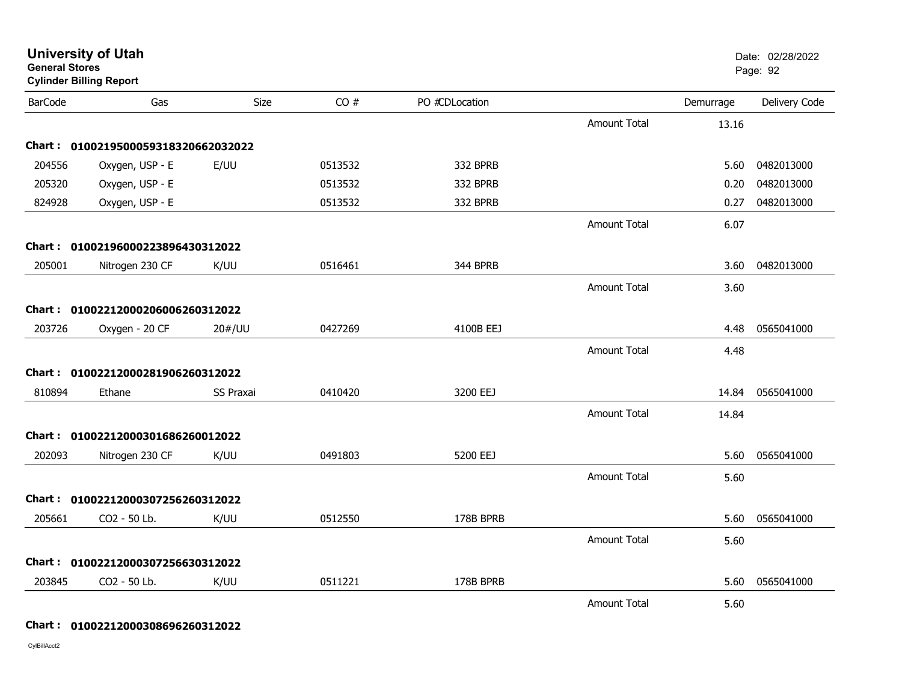| <b>General Stores</b> | <b>Cylinder Billing Report</b>      |                  |         |                |                     |           | Page: 92      |
|-----------------------|-------------------------------------|------------------|---------|----------------|---------------------|-----------|---------------|
| <b>BarCode</b>        | Gas                                 | <b>Size</b>      | CO#     | PO #CDLocation |                     | Demurrage | Delivery Code |
|                       |                                     |                  |         |                | <b>Amount Total</b> | 13.16     |               |
|                       | Chart: 0100219500059318320662032022 |                  |         |                |                     |           |               |
| 204556                | Oxygen, USP - E                     | E/UU             | 0513532 | 332 BPRB       |                     | 5.60      | 0482013000    |
| 205320                | Oxygen, USP - E                     |                  | 0513532 | 332 BPRB       |                     | 0.20      | 0482013000    |
| 824928                | Oxygen, USP - E                     |                  | 0513532 | 332 BPRB       |                     | 0.27      | 0482013000    |
|                       |                                     |                  |         |                | <b>Amount Total</b> | 6.07      |               |
|                       | Chart: 01002196000223896430312022   |                  |         |                |                     |           |               |
| 205001                | Nitrogen 230 CF                     | K/UU             | 0516461 | 344 BPRB       |                     | 3.60      | 0482013000    |
|                       |                                     |                  |         |                | <b>Amount Total</b> | 3.60      |               |
|                       | Chart: 01002212000206006260312022   |                  |         |                |                     |           |               |
| 203726                | Oxygen - 20 CF                      | 20#/UU           | 0427269 | 4100B EEJ      |                     | 4.48      | 0565041000    |
|                       |                                     |                  |         |                | <b>Amount Total</b> | 4.48      |               |
|                       | Chart: 01002212000281906260312022   |                  |         |                |                     |           |               |
| 810894                | Ethane                              | <b>SS Praxai</b> | 0410420 | 3200 EEJ       |                     | 14.84     | 0565041000    |
|                       |                                     |                  |         |                | <b>Amount Total</b> | 14.84     |               |
|                       | Chart: 01002212000301686260012022   |                  |         |                |                     |           |               |
| 202093                | Nitrogen 230 CF                     | K/UU             | 0491803 | 5200 EEJ       |                     | 5.60      | 0565041000    |
|                       |                                     |                  |         |                | <b>Amount Total</b> | 5.60      |               |
|                       | Chart: 01002212000307256260312022   |                  |         |                |                     |           |               |
| 205661                | CO2 - 50 Lb.                        | K/UU             | 0512550 | 178B BPRB      |                     | 5.60      | 0565041000    |
|                       |                                     |                  |         |                | <b>Amount Total</b> | 5.60      |               |
|                       | Chart: 01002212000307256630312022   |                  |         |                |                     |           |               |
| 203845                | CO2 - 50 Lb.                        | K/UU             | 0511221 | 178B BPRB      |                     | 5.60      | 0565041000    |
|                       |                                     |                  |         |                | <b>Amount Total</b> | 5.60      |               |

**University of Utah** Date: 02/28/2022

#### **Chart : 01002212000308696260312022**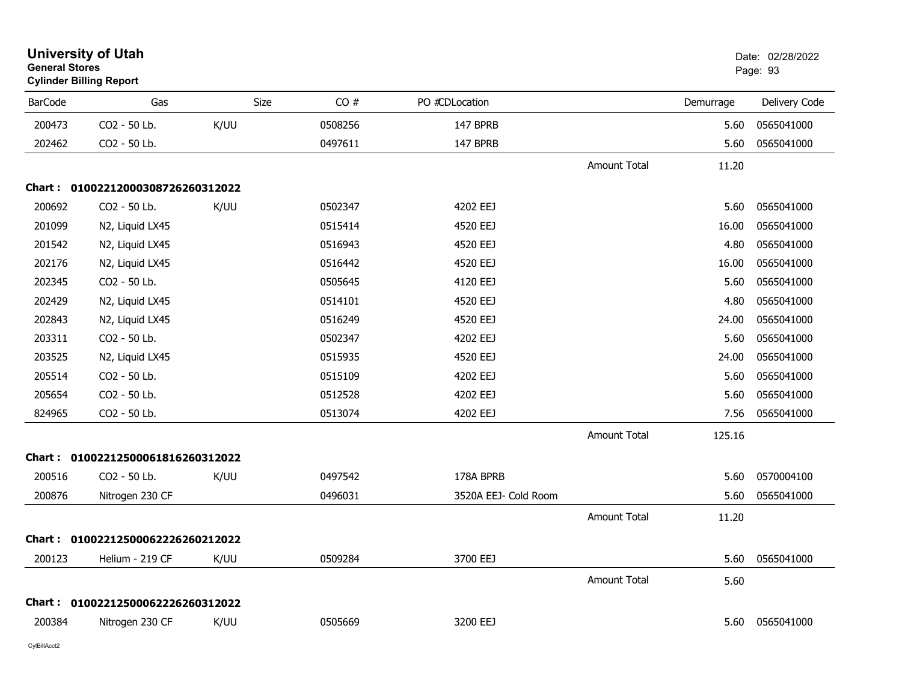| <b>General Stores</b> | <b>University of Utah</b><br><b>Cylinder Billing Report</b> |             |         |                      |                     |           | Date: 02/28/2022<br>Page: 93 |
|-----------------------|-------------------------------------------------------------|-------------|---------|----------------------|---------------------|-----------|------------------------------|
| <b>BarCode</b>        | Gas                                                         | <b>Size</b> | CO#     | PO #CDLocation       |                     | Demurrage | Delivery Code                |
| 200473                | CO2 - 50 Lb.                                                | K/UU        | 0508256 | 147 BPRB             |                     | 5.60      | 0565041000                   |
| 202462                | CO2 - 50 Lb.                                                |             | 0497611 | 147 BPRB             |                     | 5.60      | 0565041000                   |
|                       |                                                             |             |         |                      | <b>Amount Total</b> | 11.20     |                              |
|                       | Chart: 01002212000308726260312022                           |             |         |                      |                     |           |                              |
| 200692                | CO2 - 50 Lb.                                                | K/UU        | 0502347 | 4202 EEJ             |                     | 5.60      | 0565041000                   |
| 201099                | N2, Liquid LX45                                             |             | 0515414 | 4520 EEJ             |                     | 16.00     | 0565041000                   |
| 201542                | N2, Liquid LX45                                             |             | 0516943 | 4520 EEJ             |                     | 4.80      | 0565041000                   |
| 202176                | N2, Liquid LX45                                             |             | 0516442 | 4520 EEJ             |                     | 16.00     | 0565041000                   |
| 202345                | CO2 - 50 Lb.                                                |             | 0505645 | 4120 EEJ             |                     | 5.60      | 0565041000                   |
| 202429                | N2, Liquid LX45                                             |             | 0514101 | 4520 EEJ             |                     | 4.80      | 0565041000                   |
| 202843                | N2, Liquid LX45                                             |             | 0516249 | 4520 EEJ             |                     | 24.00     | 0565041000                   |
| 203311                | CO2 - 50 Lb.                                                |             | 0502347 | 4202 EEJ             |                     | 5.60      | 0565041000                   |
| 203525                | N2, Liquid LX45                                             |             | 0515935 | 4520 EEJ             |                     | 24.00     | 0565041000                   |
| 205514                | CO2 - 50 Lb.                                                |             | 0515109 | 4202 EEJ             |                     | 5.60      | 0565041000                   |
| 205654                | CO2 - 50 Lb.                                                |             | 0512528 | 4202 EEJ             |                     | 5.60      | 0565041000                   |
| 824965                | CO2 - 50 Lb.                                                |             | 0513074 | 4202 EEJ             |                     | 7.56      | 0565041000                   |
|                       |                                                             |             |         |                      | <b>Amount Total</b> | 125.16    |                              |
| <b>Chart :</b>        | 01002212500061816260312022                                  |             |         |                      |                     |           |                              |
| 200516                | CO2 - 50 Lb.                                                | K/UU        | 0497542 | 178A BPRB            |                     | 5.60      | 0570004100                   |
| 200876                | Nitrogen 230 CF                                             |             | 0496031 | 3520A EEJ- Cold Room |                     | 5.60      | 0565041000                   |
|                       |                                                             |             |         |                      | <b>Amount Total</b> | 11.20     |                              |
|                       | Chart: 01002212500062226260212022                           |             |         |                      |                     |           |                              |
| 200123                | Helium - 219 CF                                             | K/UU        | 0509284 | 3700 EEJ             |                     | 5.60      | 0565041000                   |
|                       |                                                             |             |         |                      | <b>Amount Total</b> | 5.60      |                              |
|                       | Chart: 01002212500062226260312022                           |             |         |                      |                     |           |                              |
| 200384                | Nitrogen 230 CF                                             | K/UU        | 0505669 | 3200 EEJ             |                     | 5.60      | 0565041000                   |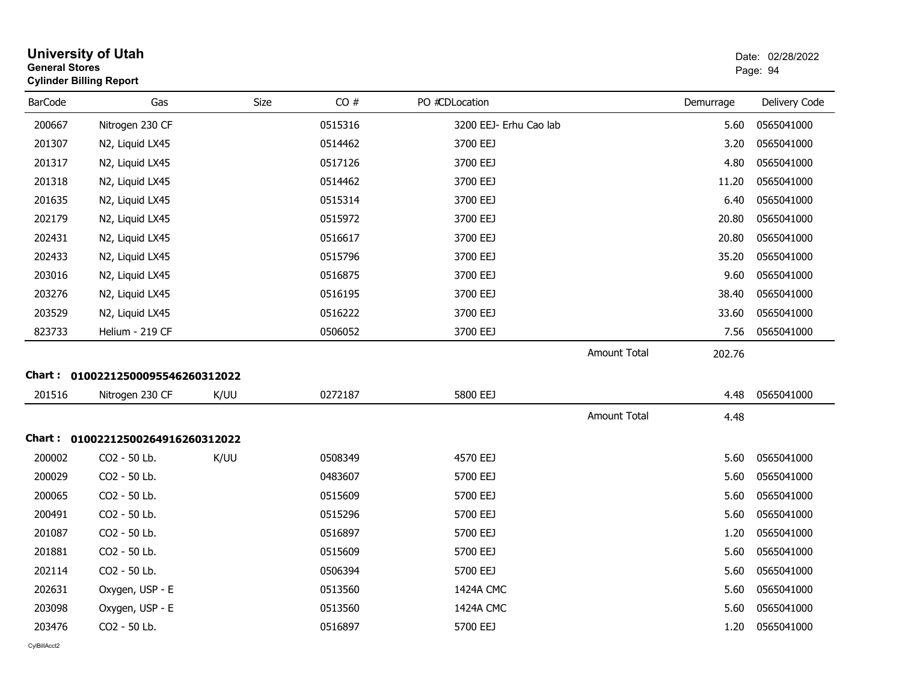| <b>General Stores</b> | <b>University of Utah</b><br><b>Cylinder Billing Report</b> |      |         |                        |                     |           | Date: 02/28/2022<br>Page: 94 |
|-----------------------|-------------------------------------------------------------|------|---------|------------------------|---------------------|-----------|------------------------------|
| <b>BarCode</b>        | Gas                                                         | Size | CO#     | PO #CDLocation         |                     | Demurrage | Delivery Code                |
| 200667                | Nitrogen 230 CF                                             |      | 0515316 | 3200 EEJ- Erhu Cao lab |                     | 5.60      | 0565041000                   |
| 201307                | N2, Liquid LX45                                             |      | 0514462 | 3700 EEJ               |                     | 3.20      | 0565041000                   |
| 201317                | N2, Liquid LX45                                             |      | 0517126 | 3700 EEJ               |                     | 4.80      | 0565041000                   |
| 201318                | N2, Liquid LX45                                             |      | 0514462 | 3700 EEJ               |                     | 11.20     | 0565041000                   |
| 201635                | N2, Liquid LX45                                             |      | 0515314 | 3700 EEJ               |                     | 6.40      | 0565041000                   |
| 202179                | N2, Liquid LX45                                             |      | 0515972 | 3700 EEJ               |                     | 20.80     | 0565041000                   |
| 202431                | N2, Liquid LX45                                             |      | 0516617 | 3700 EEJ               |                     | 20.80     | 0565041000                   |
| 202433                | N2, Liquid LX45                                             |      | 0515796 | 3700 EEJ               |                     | 35.20     | 0565041000                   |
| 203016                | N2, Liquid LX45                                             |      | 0516875 | 3700 EEJ               |                     | 9.60      | 0565041000                   |
| 203276                | N2, Liquid LX45                                             |      | 0516195 | 3700 EEJ               |                     | 38.40     | 0565041000                   |
| 203529                | N2, Liquid LX45                                             |      | 0516222 | 3700 EEJ               |                     | 33.60     | 0565041000                   |
| 823733                | Helium - 219 CF                                             |      | 0506052 | 3700 EEJ               |                     | 7.56      | 0565041000                   |
|                       |                                                             |      |         |                        | <b>Amount Total</b> | 202.76    |                              |
|                       | Chart: 01002212500095546260312022                           |      |         |                        |                     |           |                              |
| 201516                | Nitrogen 230 CF                                             | K/UU | 0272187 | 5800 EEJ               |                     | 4.48      | 0565041000                   |
|                       |                                                             |      |         |                        | <b>Amount Total</b> | 4.48      |                              |
|                       | Chart: 01002212500264916260312022                           |      |         |                        |                     |           |                              |
| 200002                | CO2 - 50 Lb.                                                | K/UU | 0508349 | 4570 EEJ               |                     | 5.60      | 0565041000                   |
| 200029                | CO2 - 50 Lb.                                                |      | 0483607 | 5700 EEJ               |                     | 5.60      | 0565041000                   |
| 200065                | CO2 - 50 Lb.                                                |      | 0515609 | 5700 EEJ               |                     | 5.60      | 0565041000                   |
| 200491                | CO2 - 50 Lb.                                                |      | 0515296 | 5700 EEJ               |                     | 5.60      | 0565041000                   |
| 201087                | CO2 - 50 Lb.                                                |      | 0516897 | 5700 EEJ               |                     | 1.20      | 0565041000                   |
| 201881                | CO2 - 50 Lb.                                                |      | 0515609 | 5700 EEJ               |                     | 5.60      | 0565041000                   |
| 202114                | CO2 - 50 Lb.                                                |      | 0506394 | 5700 EEJ               |                     | 5.60      | 0565041000                   |
| 202631                | Oxygen, USP - E                                             |      | 0513560 | 1424A CMC              |                     | 5.60      | 0565041000                   |
| 203098                | Oxygen, USP - E                                             |      | 0513560 | 1424A CMC              |                     | 5.60      | 0565041000                   |
| 203476                | CO <sub>2</sub> - 50 Lb.                                    |      | 0516897 | 5700 EEJ               |                     | 1.20      | 0565041000                   |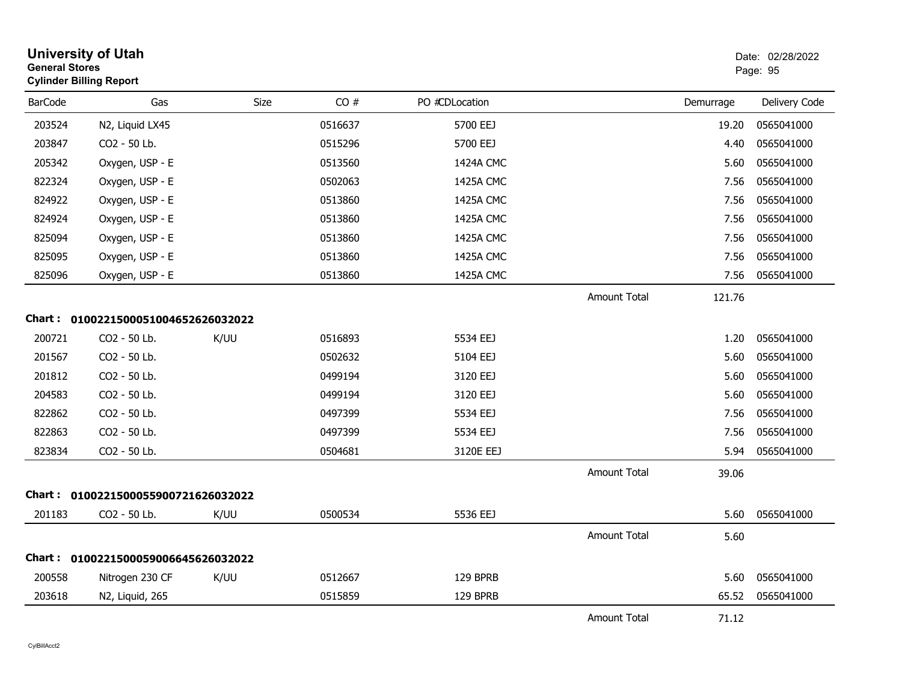| <b>General Stores</b> | <b>University of Utah</b><br><b>Cylinder Billing Report</b> |      |         |                |                     |           | Date: 02/28/2022<br>Page: 95 |
|-----------------------|-------------------------------------------------------------|------|---------|----------------|---------------------|-----------|------------------------------|
| <b>BarCode</b>        | Gas                                                         | Size | CO#     | PO #CDLocation |                     | Demurrage | Delivery Code                |
| 203524                | N2, Liquid LX45                                             |      | 0516637 | 5700 EEJ       |                     | 19.20     | 0565041000                   |
| 203847                | CO2 - 50 Lb.                                                |      | 0515296 | 5700 EEJ       |                     | 4.40      | 0565041000                   |
| 205342                | Oxygen, USP - E                                             |      | 0513560 | 1424A CMC      |                     | 5.60      | 0565041000                   |
| 822324                | Oxygen, USP - E                                             |      | 0502063 | 1425A CMC      |                     | 7.56      | 0565041000                   |
| 824922                | Oxygen, USP - E                                             |      | 0513860 | 1425A CMC      |                     | 7.56      | 0565041000                   |
| 824924                | Oxygen, USP - E                                             |      | 0513860 | 1425A CMC      |                     | 7.56      | 0565041000                   |
| 825094                | Oxygen, USP - E                                             |      | 0513860 | 1425A CMC      |                     | 7.56      | 0565041000                   |
| 825095                | Oxygen, USP - E                                             |      | 0513860 | 1425A CMC      |                     | 7.56      | 0565041000                   |
| 825096                | Oxygen, USP - E                                             |      | 0513860 | 1425A CMC      |                     | 7.56      | 0565041000                   |
|                       |                                                             |      |         |                | <b>Amount Total</b> | 121.76    |                              |
|                       | Chart: 0100221500051004652626032022                         |      |         |                |                     |           |                              |
| 200721                | CO2 - 50 Lb.                                                | K/UU | 0516893 | 5534 EEJ       |                     | 1.20      | 0565041000                   |
| 201567                | CO2 - 50 Lb.                                                |      | 0502632 | 5104 EEJ       |                     | 5.60      | 0565041000                   |
| 201812                | CO2 - 50 Lb.                                                |      | 0499194 | 3120 EEJ       |                     | 5.60      | 0565041000                   |
| 204583                | CO2 - 50 Lb.                                                |      | 0499194 | 3120 EEJ       |                     | 5.60      | 0565041000                   |
| 822862                | CO2 - 50 Lb.                                                |      | 0497399 | 5534 EEJ       |                     | 7.56      | 0565041000                   |
| 822863                | CO2 - 50 Lb.                                                |      | 0497399 | 5534 EEJ       |                     | 7.56      | 0565041000                   |
| 823834                | CO2 - 50 Lb.                                                |      | 0504681 | 3120E EEJ      |                     | 5.94      | 0565041000                   |
|                       |                                                             |      |         |                | <b>Amount Total</b> | 39.06     |                              |
| Chart :               | 0100221500055900721626032022                                |      |         |                |                     |           |                              |
| 201183                | CO2 - 50 Lb.                                                | K/UU | 0500534 | 5536 EEJ       |                     | 5.60      | 0565041000                   |
|                       |                                                             |      |         |                | <b>Amount Total</b> | 5.60      |                              |
| <b>Chart :</b>        | 0100221500059006645626032022                                |      |         |                |                     |           |                              |
| 200558                | Nitrogen 230 CF                                             | K/UU | 0512667 | 129 BPRB       |                     | 5.60      | 0565041000                   |
| 203618                | N2, Liquid, 265                                             |      | 0515859 | 129 BPRB       |                     | 65.52     | 0565041000                   |
|                       |                                                             |      |         |                | <b>Amount Total</b> | 71.12     |                              |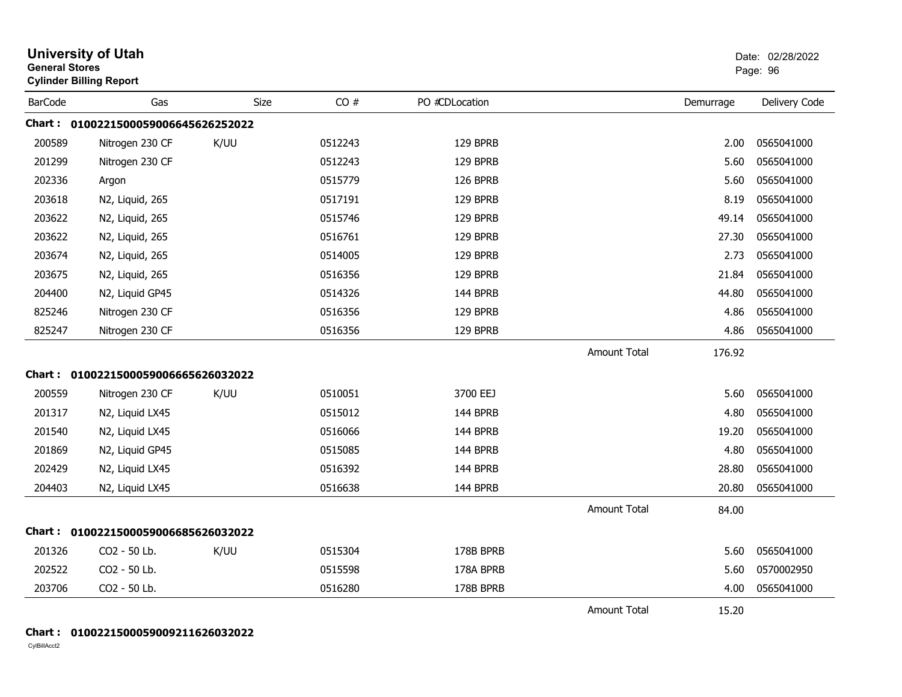| <b>University of Utah</b><br><b>General Stores</b><br><b>Cylinder Billing Report</b> |                                     |      |         |                |                     |           | Date: 02/28/2022<br>Page: 96 |
|--------------------------------------------------------------------------------------|-------------------------------------|------|---------|----------------|---------------------|-----------|------------------------------|
| <b>BarCode</b>                                                                       | Gas                                 | Size | CO#     | PO #CDLocation |                     | Demurrage | Delivery Code                |
|                                                                                      | Chart: 0100221500059006645626252022 |      |         |                |                     |           |                              |
| 200589                                                                               | Nitrogen 230 CF                     | K/UU | 0512243 | 129 BPRB       |                     | 2.00      | 0565041000                   |
| 201299                                                                               | Nitrogen 230 CF                     |      | 0512243 | 129 BPRB       |                     | 5.60      | 0565041000                   |
| 202336                                                                               | Argon                               |      | 0515779 | 126 BPRB       |                     | 5.60      | 0565041000                   |
| 203618                                                                               | N2, Liquid, 265                     |      | 0517191 | 129 BPRB       |                     | 8.19      | 0565041000                   |
| 203622                                                                               | N2, Liquid, 265                     |      | 0515746 | 129 BPRB       |                     | 49.14     | 0565041000                   |
| 203622                                                                               | N2, Liquid, 265                     |      | 0516761 | 129 BPRB       |                     | 27.30     | 0565041000                   |
| 203674                                                                               | N2, Liquid, 265                     |      | 0514005 | 129 BPRB       |                     | 2.73      | 0565041000                   |
| 203675                                                                               | N2, Liquid, 265                     |      | 0516356 | 129 BPRB       |                     | 21.84     | 0565041000                   |
| 204400                                                                               | N2, Liquid GP45                     |      | 0514326 | 144 BPRB       |                     | 44.80     | 0565041000                   |
| 825246                                                                               | Nitrogen 230 CF                     |      | 0516356 | 129 BPRB       |                     | 4.86      | 0565041000                   |
| 825247                                                                               | Nitrogen 230 CF                     |      | 0516356 | 129 BPRB       |                     | 4.86      | 0565041000                   |
|                                                                                      |                                     |      |         |                | <b>Amount Total</b> | 176.92    |                              |
|                                                                                      | Chart: 0100221500059006665626032022 |      |         |                |                     |           |                              |
| 200559                                                                               | Nitrogen 230 CF                     | K/UU | 0510051 | 3700 EEJ       |                     | 5.60      | 0565041000                   |
| 201317                                                                               | N2, Liquid LX45                     |      | 0515012 | 144 BPRB       |                     | 4.80      | 0565041000                   |
| 201540                                                                               | N2, Liquid LX45                     |      | 0516066 | 144 BPRB       |                     | 19.20     | 0565041000                   |
| 201869                                                                               | N2, Liquid GP45                     |      | 0515085 | 144 BPRB       |                     | 4.80      | 0565041000                   |
| 202429                                                                               | N2, Liquid LX45                     |      | 0516392 | 144 BPRB       |                     | 28.80     | 0565041000                   |
| 204403                                                                               | N2, Liquid LX45                     |      | 0516638 | 144 BPRB       |                     | 20.80     | 0565041000                   |
|                                                                                      |                                     |      |         |                | <b>Amount Total</b> | 84.00     |                              |
|                                                                                      | Chart: 0100221500059006685626032022 |      |         |                |                     |           |                              |
| 201326                                                                               | CO2 - 50 Lb.                        | K/UU | 0515304 | 178B BPRB      |                     | 5.60      | 0565041000                   |
| 202522                                                                               | CO2 - 50 Lb.                        |      | 0515598 | 178A BPRB      |                     | 5.60      | 0570002950                   |
| 203706                                                                               | CO2 - 50 Lb.                        |      | 0516280 | 178B BPRB      |                     | 4.00      | 0565041000                   |
|                                                                                      |                                     |      |         |                | Amount Total        | 15.20     |                              |

#### **Chart : 0100221500059009211626032022**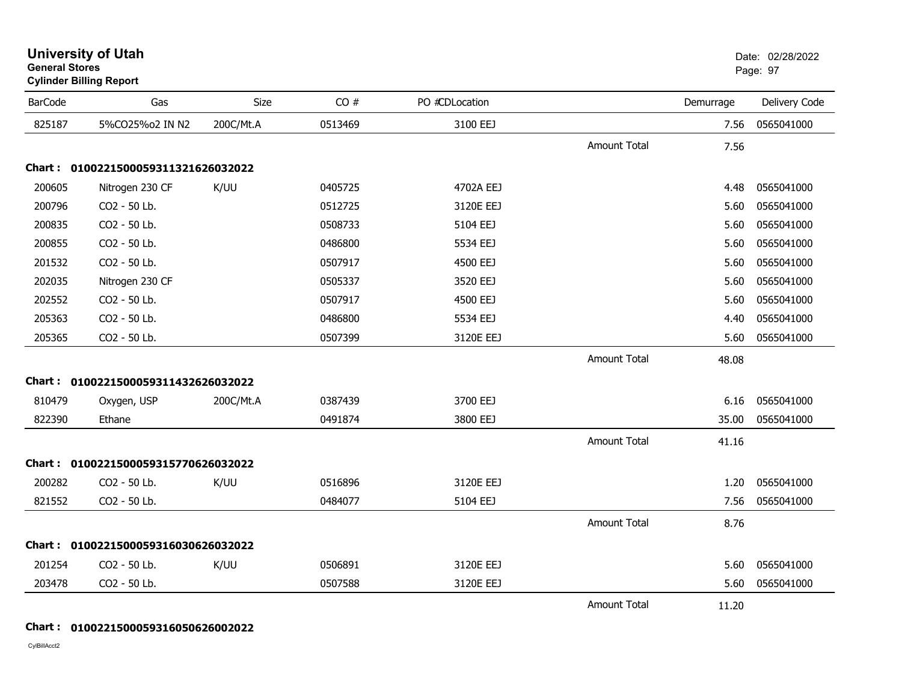|                | <b>Cylinder Billing Report</b>      |           |         |                |                     |           |               |
|----------------|-------------------------------------|-----------|---------|----------------|---------------------|-----------|---------------|
| <b>BarCode</b> | Gas                                 | Size      | CO#     | PO #CDLocation |                     | Demurrage | Delivery Code |
| 825187         | 5%CO25%o2 IN N2                     | 200C/Mt.A | 0513469 | 3100 EEJ       |                     | 7.56      | 0565041000    |
|                |                                     |           |         |                | <b>Amount Total</b> | 7.56      |               |
|                | Chart: 0100221500059311321626032022 |           |         |                |                     |           |               |
| 200605         | Nitrogen 230 CF                     | K/UU      | 0405725 | 4702A EEJ      |                     | 4.48      | 0565041000    |
| 200796         | CO2 - 50 Lb.                        |           | 0512725 | 3120E EEJ      |                     | 5.60      | 0565041000    |
| 200835         | CO2 - 50 Lb.                        |           | 0508733 | 5104 EEJ       |                     | 5.60      | 0565041000    |
| 200855         | CO2 - 50 Lb.                        |           | 0486800 | 5534 EEJ       |                     | 5.60      | 0565041000    |
| 201532         | CO2 - 50 Lb.                        |           | 0507917 | 4500 EEJ       |                     | 5.60      | 0565041000    |
| 202035         | Nitrogen 230 CF                     |           | 0505337 | 3520 EEJ       |                     | 5.60      | 0565041000    |
| 202552         | CO2 - 50 Lb.                        |           | 0507917 | 4500 EEJ       |                     | 5.60      | 0565041000    |
| 205363         | CO2 - 50 Lb.                        |           | 0486800 | 5534 EEJ       |                     | 4.40      | 0565041000    |
| 205365         | CO2 - 50 Lb.                        |           | 0507399 | 3120E EEJ      |                     | 5.60      | 0565041000    |
|                |                                     |           |         |                | <b>Amount Total</b> | 48.08     |               |
|                | Chart: 0100221500059311432626032022 |           |         |                |                     |           |               |
| 810479         | Oxygen, USP                         | 200C/Mt.A | 0387439 | 3700 EEJ       |                     | 6.16      | 0565041000    |
| 822390         | Ethane                              |           | 0491874 | 3800 EEJ       |                     | 35.00     | 0565041000    |
|                |                                     |           |         |                | <b>Amount Total</b> | 41.16     |               |
|                | Chart: 0100221500059315770626032022 |           |         |                |                     |           |               |
| 200282         | CO2 - 50 Lb.                        | K/UU      | 0516896 | 3120E EEJ      |                     | 1.20      | 0565041000    |
| 821552         | CO2 - 50 Lb.                        |           | 0484077 | 5104 EEJ       |                     | 7.56      | 0565041000    |
|                |                                     |           |         |                | Amount Total        | 8.76      |               |
|                | Chart: 0100221500059316030626032022 |           |         |                |                     |           |               |
| 201254         | CO2 - 50 Lb.                        | K/UU      | 0506891 | 3120E EEJ      |                     | 5.60      | 0565041000    |
| 203478         | CO2 - 50 Lb.                        |           | 0507588 | 3120E EEJ      |                     | 5.60      | 0565041000    |
|                |                                     |           |         |                | <b>Amount Total</b> | 11.20     |               |

#### **General Stores**s and the contract of the contract of the contract of the contract of the contract of the contract of the contract of the contract of the contract of the contract of the contract of the contract of the contract of the cont

**Chart : 0100221500059316050626002022**

CylBillAcct2

# **University of Utah** Date: 02/28/2022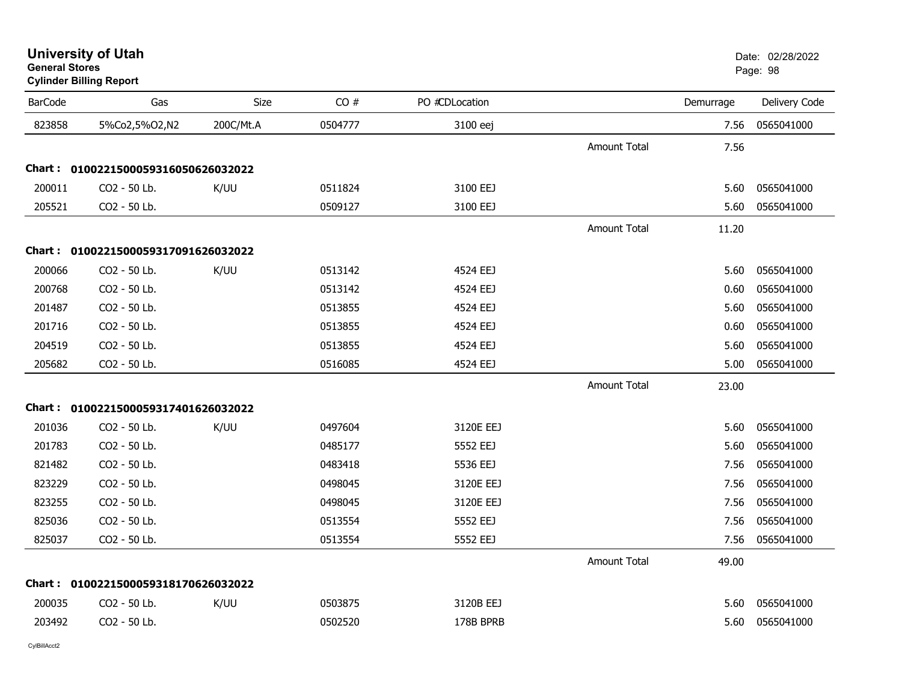| <b>University of Utah</b> |  |
|---------------------------|--|
| General Stores            |  |

# **Cylinder Billing Report**

| <b>BarCode</b> | Gas                                 | <b>Size</b> | CO#     | PO #CDLocation |                     | Demurrage | Delivery Code |
|----------------|-------------------------------------|-------------|---------|----------------|---------------------|-----------|---------------|
| 823858         | 5%Co2,5%O2,N2                       | 200C/Mt.A   | 0504777 | 3100 eej       |                     | 7.56      | 0565041000    |
|                |                                     |             |         |                | <b>Amount Total</b> | 7.56      |               |
|                | Chart: 0100221500059316050626032022 |             |         |                |                     |           |               |
| 200011         | CO2 - 50 Lb.                        | K/UU        | 0511824 | 3100 EEJ       |                     | 5.60      | 0565041000    |
| 205521         | CO2 - 50 Lb.                        |             | 0509127 | 3100 EEJ       |                     | 5.60      | 0565041000    |
|                |                                     |             |         |                | <b>Amount Total</b> | 11.20     |               |
|                | Chart: 0100221500059317091626032022 |             |         |                |                     |           |               |
| 200066         | CO2 - 50 Lb.                        | K/UU        | 0513142 | 4524 EEJ       |                     | 5.60      | 0565041000    |
| 200768         | CO2 - 50 Lb.                        |             | 0513142 | 4524 EEJ       |                     | 0.60      | 0565041000    |
| 201487         | CO2 - 50 Lb.                        |             | 0513855 | 4524 EEJ       |                     | 5.60      | 0565041000    |
| 201716         | CO2 - 50 Lb.                        |             | 0513855 | 4524 EEJ       |                     | 0.60      | 0565041000    |
| 204519         | CO2 - 50 Lb.                        |             | 0513855 | 4524 EEJ       |                     | 5.60      | 0565041000    |
| 205682         | CO2 - 50 Lb.                        |             | 0516085 | 4524 EEJ       |                     | 5.00      | 0565041000    |
|                |                                     |             |         |                | <b>Amount Total</b> | 23.00     |               |
|                | Chart: 0100221500059317401626032022 |             |         |                |                     |           |               |
| 201036         | CO2 - 50 Lb.                        | K/UU        | 0497604 | 3120E EEJ      |                     | 5.60      | 0565041000    |
| 201783         | CO2 - 50 Lb.                        |             | 0485177 | 5552 EEJ       |                     | 5.60      | 0565041000    |
| 821482         | CO2 - 50 Lb.                        |             | 0483418 | 5536 EEJ       |                     | 7.56      | 0565041000    |
| 823229         | CO2 - 50 Lb.                        |             | 0498045 | 3120E EEJ      |                     | 7.56      | 0565041000    |
| 823255         | CO2 - 50 Lb.                        |             | 0498045 | 3120E EEJ      |                     | 7.56      | 0565041000    |
| 825036         | CO2 - 50 Lb.                        |             | 0513554 | 5552 EEJ       |                     | 7.56      | 0565041000    |
| 825037         | CO2 - 50 Lb.                        |             | 0513554 | 5552 EEJ       |                     | 7.56      | 0565041000    |
|                |                                     |             |         |                | <b>Amount Total</b> | 49.00     |               |
|                | Chart: 0100221500059318170626032022 |             |         |                |                     |           |               |
| 200035         | CO2 - 50 Lb.                        | K/UU        | 0503875 | 3120B EEJ      |                     | 5.60      | 0565041000    |
| 203492         | CO2 - 50 Lb.                        |             | 0502520 | 178B BPRB      |                     | 5.60      | 0565041000    |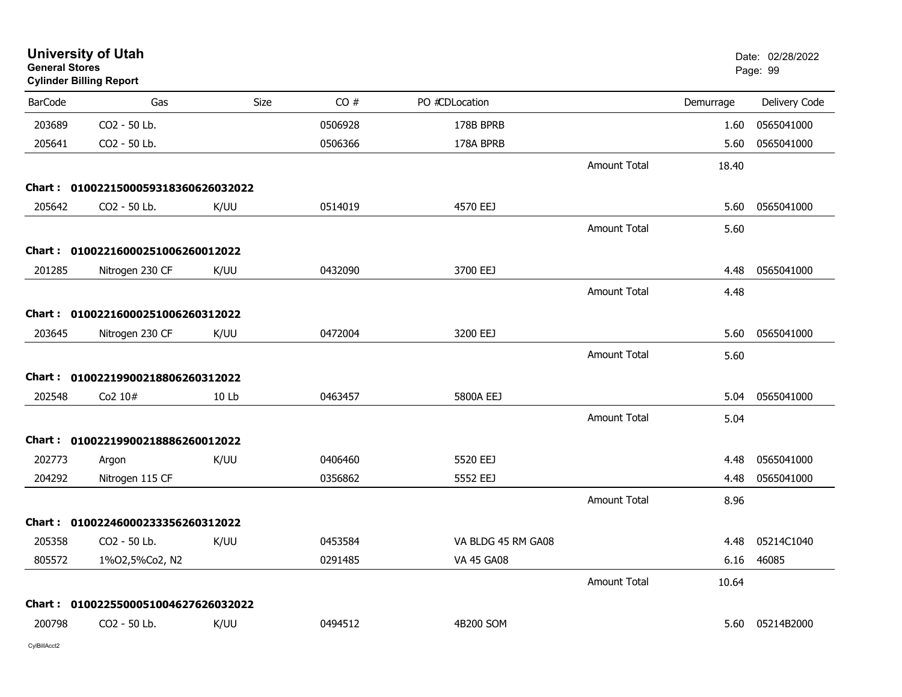| <b>University of Utah</b><br><b>General Stores</b><br><b>Cylinder Billing Report</b> |                                     |       |         |                    |                     |           | Date: 02/28/2022<br>Page: 99 |
|--------------------------------------------------------------------------------------|-------------------------------------|-------|---------|--------------------|---------------------|-----------|------------------------------|
| <b>BarCode</b>                                                                       | Gas                                 | Size  | CO#     | PO #CDLocation     |                     | Demurrage | Delivery Code                |
| 203689                                                                               | CO2 - 50 Lb.                        |       | 0506928 | 178B BPRB          |                     | 1.60      | 0565041000                   |
| 205641                                                                               | CO2 - 50 Lb.                        |       | 0506366 | 178A BPRB          |                     | 5.60      | 0565041000                   |
|                                                                                      |                                     |       |         |                    | <b>Amount Total</b> | 18.40     |                              |
|                                                                                      | Chart: 0100221500059318360626032022 |       |         |                    |                     |           |                              |
| 205642                                                                               | CO2 - 50 Lb.                        | K/UU  | 0514019 | 4570 EEJ           |                     | 5.60      | 0565041000                   |
|                                                                                      |                                     |       |         |                    | <b>Amount Total</b> | 5.60      |                              |
|                                                                                      | Chart: 01002216000251006260012022   |       |         |                    |                     |           |                              |
| 201285                                                                               | Nitrogen 230 CF                     | K/UU  | 0432090 | 3700 EEJ           |                     | 4.48      | 0565041000                   |
|                                                                                      |                                     |       |         |                    | <b>Amount Total</b> | 4.48      |                              |
|                                                                                      | Chart: 01002216000251006260312022   |       |         |                    |                     |           |                              |
| 203645                                                                               | Nitrogen 230 CF                     | K/UU  | 0472004 | 3200 EEJ           |                     | 5.60      | 0565041000                   |
|                                                                                      |                                     |       |         |                    | <b>Amount Total</b> | 5.60      |                              |
|                                                                                      | Chart: 01002219900218806260312022   |       |         |                    |                     |           |                              |
| 202548                                                                               | Co2 10#                             | 10 Lb | 0463457 | 5800A EEJ          |                     | 5.04      | 0565041000                   |
|                                                                                      |                                     |       |         |                    | <b>Amount Total</b> | 5.04      |                              |
|                                                                                      | Chart: 01002219900218886260012022   |       |         |                    |                     |           |                              |
| 202773                                                                               | Argon                               | K/UU  | 0406460 | 5520 EEJ           |                     | 4.48      | 0565041000                   |
| 204292                                                                               | Nitrogen 115 CF                     |       | 0356862 | 5552 EEJ           |                     | 4.48      | 0565041000                   |
|                                                                                      |                                     |       |         |                    | <b>Amount Total</b> | 8.96      |                              |
|                                                                                      | Chart: 01002246000233356260312022   |       |         |                    |                     |           |                              |
| 205358                                                                               | CO2 - 50 Lb.                        | K/UU  | 0453584 | VA BLDG 45 RM GA08 |                     | 4.48      | 05214C1040                   |
| 805572                                                                               | 1%02,5%Co2, N2                      |       | 0291485 | <b>VA 45 GA08</b>  |                     | 6.16      | 46085                        |
|                                                                                      |                                     |       |         |                    | <b>Amount Total</b> | 10.64     |                              |
|                                                                                      | Chart: 0100225500051004627626032022 |       |         |                    |                     |           |                              |
| 200798                                                                               | CO2 - 50 Lb.                        | K/UU  | 0494512 | 4B200 SOM          |                     |           | 5.60 05214B2000              |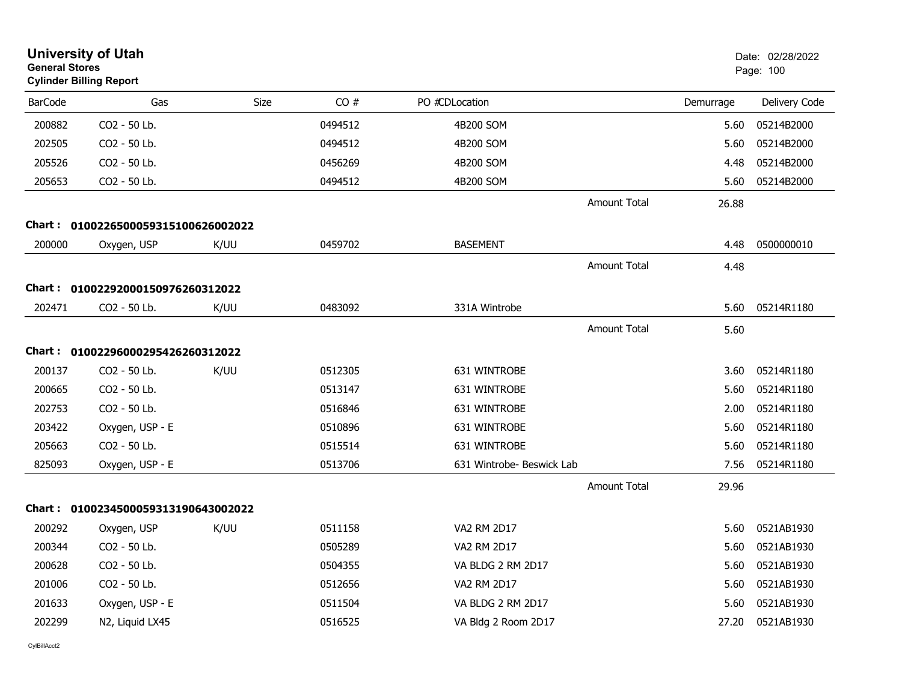| <b>General Stores</b> | <b>University of Utah</b><br><b>Cylinder Billing Report</b> |      |         |                           |                     |           | Date: 02/28/2022<br>Page: 100 |
|-----------------------|-------------------------------------------------------------|------|---------|---------------------------|---------------------|-----------|-------------------------------|
| <b>BarCode</b>        | Gas                                                         | Size | CO#     | PO #CDLocation            |                     | Demurrage | Delivery Code                 |
| 200882                | CO2 - 50 Lb.                                                |      | 0494512 | 4B200 SOM                 |                     | 5.60      | 05214B2000                    |
| 202505                | CO2 - 50 Lb.                                                |      | 0494512 | 4B200 SOM                 |                     | 5.60      | 05214B2000                    |
| 205526                | CO2 - 50 Lb.                                                |      | 0456269 | 4B200 SOM                 |                     | 4.48      | 05214B2000                    |
| 205653                | CO2 - 50 Lb.                                                |      | 0494512 | 4B200 SOM                 |                     | 5.60      | 05214B2000                    |
|                       |                                                             |      |         |                           | Amount Total        | 26.88     |                               |
|                       | Chart: 0100226500059315100626002022                         |      |         |                           |                     |           |                               |
| 200000                | Oxygen, USP                                                 | K/UU | 0459702 | <b>BASEMENT</b>           |                     | 4.48      | 0500000010                    |
|                       |                                                             |      |         |                           | <b>Amount Total</b> | 4.48      |                               |
|                       | Chart: 01002292000150976260312022                           |      |         |                           |                     |           |                               |
| 202471                | CO2 - 50 Lb.                                                | K/UU | 0483092 | 331A Wintrobe             |                     | 5.60      | 05214R1180                    |
|                       |                                                             |      |         |                           | <b>Amount Total</b> | 5.60      |                               |
|                       | Chart: 01002296000295426260312022                           |      |         |                           |                     |           |                               |
| 200137                | CO2 - 50 Lb.                                                | K/UU | 0512305 | 631 WINTROBE              |                     | 3.60      | 05214R1180                    |
| 200665                | CO2 - 50 Lb.                                                |      | 0513147 | 631 WINTROBE              |                     | 5.60      | 05214R1180                    |
| 202753                | CO2 - 50 Lb.                                                |      | 0516846 | 631 WINTROBE              |                     | 2.00      | 05214R1180                    |
| 203422                | Oxygen, USP - E                                             |      | 0510896 | 631 WINTROBE              |                     | 5.60      | 05214R1180                    |
| 205663                | CO2 - 50 Lb.                                                |      | 0515514 | 631 WINTROBE              |                     | 5.60      | 05214R1180                    |
| 825093                | Oxygen, USP - E                                             |      | 0513706 | 631 Wintrobe- Beswick Lab |                     | 7.56      | 05214R1180                    |
|                       |                                                             |      |         |                           | <b>Amount Total</b> | 29.96     |                               |
|                       | Chart: 0100234500059313190643002022                         |      |         |                           |                     |           |                               |
| 200292                | Oxygen, USP                                                 | K/UU | 0511158 | <b>VA2 RM 2D17</b>        |                     | 5.60      | 0521AB1930                    |
| 200344                | CO2 - 50 Lb.                                                |      | 0505289 | VA2 RM 2D17               |                     | 5.60      | 0521AB1930                    |
| 200628                | CO2 - 50 Lb.                                                |      | 0504355 | VA BLDG 2 RM 2D17         |                     | 5.60      | 0521AB1930                    |
| 201006                | CO2 - 50 Lb.                                                |      | 0512656 | VA2 RM 2D17               |                     | 5.60      | 0521AB1930                    |
| 201633                | Oxygen, USP - E                                             |      | 0511504 | VA BLDG 2 RM 2D17         |                     | 5.60      | 0521AB1930                    |
| 202299                | N2, Liquid LX45                                             |      | 0516525 | VA Bldg 2 Room 2D17       |                     | 27.20     | 0521AB1930                    |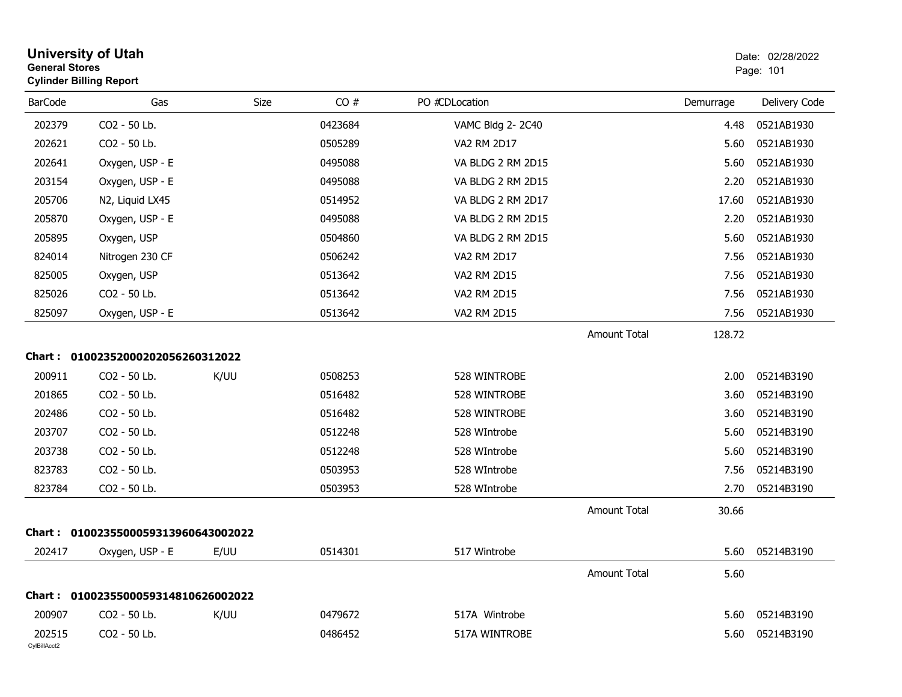| <b>General Stores</b>  | <b>University of Utah</b><br><b>Cylinder Billing Report</b> |      |         |                   |                     |           | Date: 02/28/2022<br>Page: 101 |
|------------------------|-------------------------------------------------------------|------|---------|-------------------|---------------------|-----------|-------------------------------|
| <b>BarCode</b>         | Gas                                                         | Size | CO#     | PO #CDLocation    |                     | Demurrage | Delivery Code                 |
| 202379                 | CO2 - 50 Lb.                                                |      | 0423684 | VAMC Bldg 2-2C40  |                     | 4.48      | 0521AB1930                    |
| 202621                 | CO2 - 50 Lb.                                                |      | 0505289 | VA2 RM 2D17       |                     | 5.60      | 0521AB1930                    |
| 202641                 | Oxygen, USP - E                                             |      | 0495088 | VA BLDG 2 RM 2D15 |                     | 5.60      | 0521AB1930                    |
| 203154                 | Oxygen, USP - E                                             |      | 0495088 | VA BLDG 2 RM 2D15 |                     | 2.20      | 0521AB1930                    |
| 205706                 | N2, Liquid LX45                                             |      | 0514952 | VA BLDG 2 RM 2D17 |                     | 17.60     | 0521AB1930                    |
| 205870                 | Oxygen, USP - E                                             |      | 0495088 | VA BLDG 2 RM 2D15 |                     | 2.20      | 0521AB1930                    |
| 205895                 | Oxygen, USP                                                 |      | 0504860 | VA BLDG 2 RM 2D15 |                     | 5.60      | 0521AB1930                    |
| 824014                 | Nitrogen 230 CF                                             |      | 0506242 | VA2 RM 2D17       |                     | 7.56      | 0521AB1930                    |
| 825005                 | Oxygen, USP                                                 |      | 0513642 | VA2 RM 2D15       |                     | 7.56      | 0521AB1930                    |
| 825026                 | CO2 - 50 Lb.                                                |      | 0513642 | VA2 RM 2D15       |                     | 7.56      | 0521AB1930                    |
| 825097                 | Oxygen, USP - E                                             |      | 0513642 | VA2 RM 2D15       |                     | 7.56      | 0521AB1930                    |
|                        |                                                             |      |         |                   | <b>Amount Total</b> | 128.72    |                               |
|                        | Chart: 01002352000202056260312022                           |      |         |                   |                     |           |                               |
| 200911                 | CO2 - 50 Lb.                                                | K/UU | 0508253 | 528 WINTROBE      |                     | 2.00      | 05214B3190                    |
| 201865                 | CO2 - 50 Lb.                                                |      | 0516482 | 528 WINTROBE      |                     | 3.60      | 05214B3190                    |
| 202486                 | CO2 - 50 Lb.                                                |      | 0516482 | 528 WINTROBE      |                     | 3.60      | 05214B3190                    |
| 203707                 | CO2 - 50 Lb.                                                |      | 0512248 | 528 WIntrobe      |                     | 5.60      | 05214B3190                    |
| 203738                 | CO2 - 50 Lb.                                                |      | 0512248 | 528 WIntrobe      |                     | 5.60      | 05214B3190                    |
| 823783                 | CO2 - 50 Lb.                                                |      | 0503953 | 528 WIntrobe      |                     | 7.56      | 05214B3190                    |
| 823784                 | CO2 - 50 Lb.                                                |      | 0503953 | 528 WIntrobe      |                     | 2.70      | 05214B3190                    |
|                        |                                                             |      |         |                   | <b>Amount Total</b> | 30.66     |                               |
|                        | Chart: 0100235500059313960643002022                         |      |         |                   |                     |           |                               |
| 202417                 | Oxygen, USP - E                                             | E/UU | 0514301 | 517 Wintrobe      |                     | 5.60      | 05214B3190                    |
|                        |                                                             |      |         |                   | <b>Amount Total</b> | 5.60      |                               |
|                        | Chart: 0100235500059314810626002022                         |      |         |                   |                     |           |                               |
| 200907                 | CO2 - 50 Lb.                                                | K/UU | 0479672 | 517A Wintrobe     |                     | 5.60      | 05214B3190                    |
| 202515<br>CylBillAcct2 | CO2 - 50 Lb.                                                |      | 0486452 | 517A WINTROBE     |                     | 5.60      | 05214B3190                    |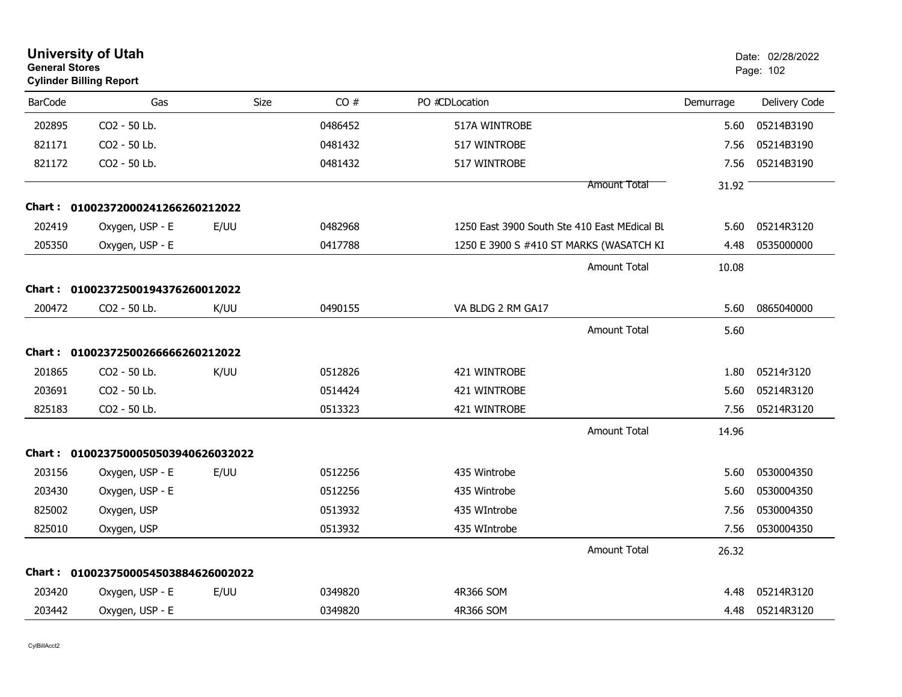| <b>General Stores</b> | <b>University of Utah</b><br><b>Cylinder Billing Report</b> |      |         |                                              |           | Date: 02/28/2022<br>Page: 102 |
|-----------------------|-------------------------------------------------------------|------|---------|----------------------------------------------|-----------|-------------------------------|
| <b>BarCode</b>        | Gas                                                         | Size | CO#     | PO #CDLocation                               | Demurrage | Delivery Code                 |
| 202895                | CO2 - 50 Lb.                                                |      | 0486452 | 517A WINTROBE                                | 5.60      | 05214B3190                    |
| 821171                | CO2 - 50 Lb.                                                |      | 0481432 | 517 WINTROBE                                 | 7.56      | 05214B3190                    |
| 821172                | CO2 - 50 Lb.                                                |      | 0481432 | 517 WINTROBE                                 | 7.56      | 05214B3190                    |
|                       |                                                             |      |         | Amount Total                                 | 31.92     |                               |
|                       | Chart: 01002372000241266260212022                           |      |         |                                              |           |                               |
| 202419                | Oxygen, USP - E                                             | E/UU | 0482968 | 1250 East 3900 South Ste 410 East MEdical BL | 5.60      | 05214R3120                    |
| 205350                | Oxygen, USP - E                                             |      | 0417788 | 1250 E 3900 S #410 ST MARKS (WASATCH KI      | 4.48      | 0535000000                    |
|                       |                                                             |      |         | <b>Amount Total</b>                          | 10.08     |                               |
|                       | Chart: 01002372500194376260012022                           |      |         |                                              |           |                               |
| 200472                | CO2 - 50 Lb.                                                | K/UU | 0490155 | VA BLDG 2 RM GA17                            | 5.60      | 0865040000                    |
|                       |                                                             |      |         | <b>Amount Total</b>                          | 5.60      |                               |
| Chart :               | 01002372500266666260212022                                  |      |         |                                              |           |                               |
| 201865                | CO2 - 50 Lb.                                                | K/UU | 0512826 | 421 WINTROBE                                 | 1.80      | 05214r3120                    |
| 203691                | CO2 - 50 Lb.                                                |      | 0514424 | 421 WINTROBE                                 | 5.60      | 05214R3120                    |
| 825183                | CO2 - 50 Lb.                                                |      | 0513323 | 421 WINTROBE                                 | 7.56      | 05214R3120                    |
|                       |                                                             |      |         | <b>Amount Total</b>                          | 14.96     |                               |
|                       | Chart: 0100237500050503940626032022                         |      |         |                                              |           |                               |
| 203156                | Oxygen, USP - E                                             | E/UU | 0512256 | 435 Wintrobe                                 | 5.60      | 0530004350                    |
| 203430                | Oxygen, USP - E                                             |      | 0512256 | 435 Wintrobe                                 | 5.60      | 0530004350                    |
| 825002                | Oxygen, USP                                                 |      | 0513932 | 435 WIntrobe                                 | 7.56      | 0530004350                    |
| 825010                | Oxygen, USP                                                 |      | 0513932 | 435 WIntrobe                                 | 7.56      | 0530004350                    |
|                       |                                                             |      |         | <b>Amount Total</b>                          | 26.32     |                               |
|                       | Chart: 0100237500054503884626002022                         |      |         |                                              |           |                               |
| 203420                | Oxygen, USP - E                                             | E/UU | 0349820 | 4R366 SOM                                    | 4.48      | 05214R3120                    |
| 203442                | Oxygen, USP - E                                             |      | 0349820 | 4R366 SOM                                    | 4.48      | 05214R3120                    |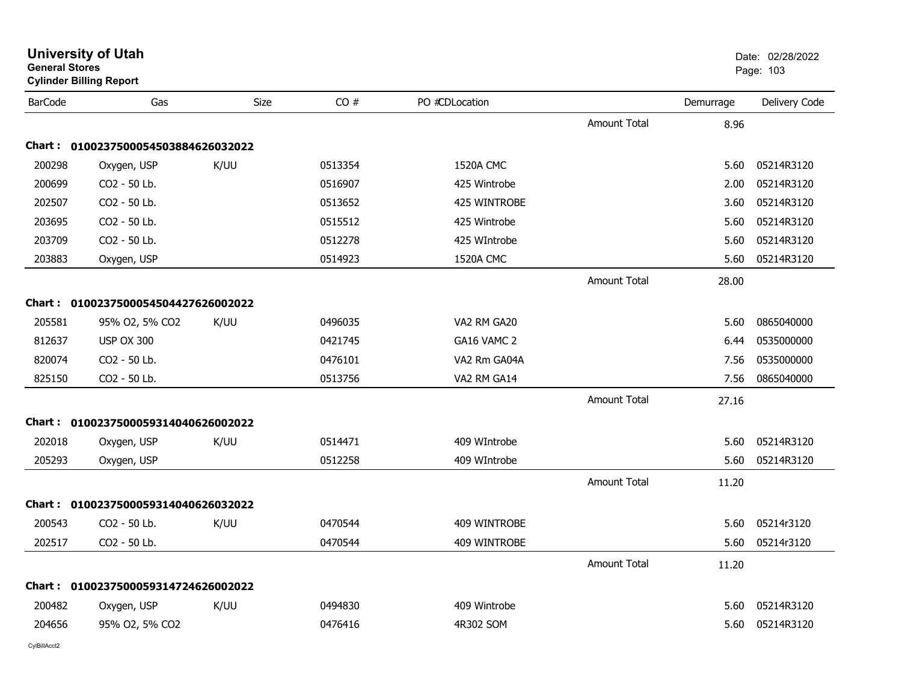| General Stores | <b>Cylinder Billing Report</b>      |      |         |                  |                     |           | Page: 103     |
|----------------|-------------------------------------|------|---------|------------------|---------------------|-----------|---------------|
| <b>BarCode</b> | Gas                                 | Size | CO#     | PO #CDLocation   |                     | Demurrage | Delivery Code |
|                |                                     |      |         |                  | <b>Amount Total</b> | 8.96      |               |
|                | Chart: 0100237500054503884626032022 |      |         |                  |                     |           |               |
| 200298         | Oxygen, USP                         | K/UU | 0513354 | <b>1520A CMC</b> |                     | 5.60      | 05214R3120    |
| 200699         | CO2 - 50 Lb.                        |      | 0516907 | 425 Wintrobe     |                     | 2.00      | 05214R3120    |
| 202507         | CO2 - 50 Lb.                        |      | 0513652 | 425 WINTROBE     |                     | 3.60      | 05214R3120    |
| 203695         | CO2 - 50 Lb.                        |      | 0515512 | 425 Wintrobe     |                     | 5.60      | 05214R3120    |
| 203709         | CO2 - 50 Lb.                        |      | 0512278 | 425 WIntrobe     |                     | 5.60      | 05214R3120    |
| 203883         | Oxygen, USP                         |      | 0514923 | <b>1520A CMC</b> |                     | 5.60      | 05214R3120    |
|                |                                     |      |         |                  | <b>Amount Total</b> | 28.00     |               |
|                | Chart: 0100237500054504427626002022 |      |         |                  |                     |           |               |
| 205581         | 95% O2, 5% CO2                      | K/UU | 0496035 | VA2 RM GA20      |                     | 5.60      | 0865040000    |
| 812637         | <b>USP OX 300</b>                   |      | 0421745 | GA16 VAMC 2      |                     | 6.44      | 0535000000    |
| 820074         | CO2 - 50 Lb.                        |      | 0476101 | VA2 Rm GA04A     |                     | 7.56      | 0535000000    |
| 825150         | CO2 - 50 Lb.                        |      | 0513756 | VA2 RM GA14      |                     | 7.56      | 0865040000    |
|                |                                     |      |         |                  | <b>Amount Total</b> | 27.16     |               |
|                | Chart: 0100237500059314040626002022 |      |         |                  |                     |           |               |
| 202018         | Oxygen, USP                         | K/UU | 0514471 | 409 WIntrobe     |                     | 5.60      | 05214R3120    |
| 205293         | Oxygen, USP                         |      | 0512258 | 409 WIntrobe     |                     | 5.60      | 05214R3120    |
|                |                                     |      |         |                  | <b>Amount Total</b> | 11.20     |               |
|                | Chart: 0100237500059314040626032022 |      |         |                  |                     |           |               |
| 200543         | CO2 - 50 Lb.                        | K/UU | 0470544 | 409 WINTROBE     |                     | 5.60      | 05214r3120    |
| 202517         | CO2 - 50 Lb.                        |      | 0470544 | 409 WINTROBE     |                     | 5.60      | 05214r3120    |
|                |                                     |      |         |                  | <b>Amount Total</b> | 11.20     |               |
| Chart :        | 0100237500059314724626002022        |      |         |                  |                     |           |               |
| 200482         | Oxygen, USP                         | K/UU | 0494830 | 409 Wintrobe     |                     | 5.60      | 05214R3120    |
| 204656         | 95% O2, 5% CO2                      |      | 0476416 | 4R302 SOM        |                     | 5.60      | 05214R3120    |

**University of Utah** Date: 02/28/2022 **General Stores**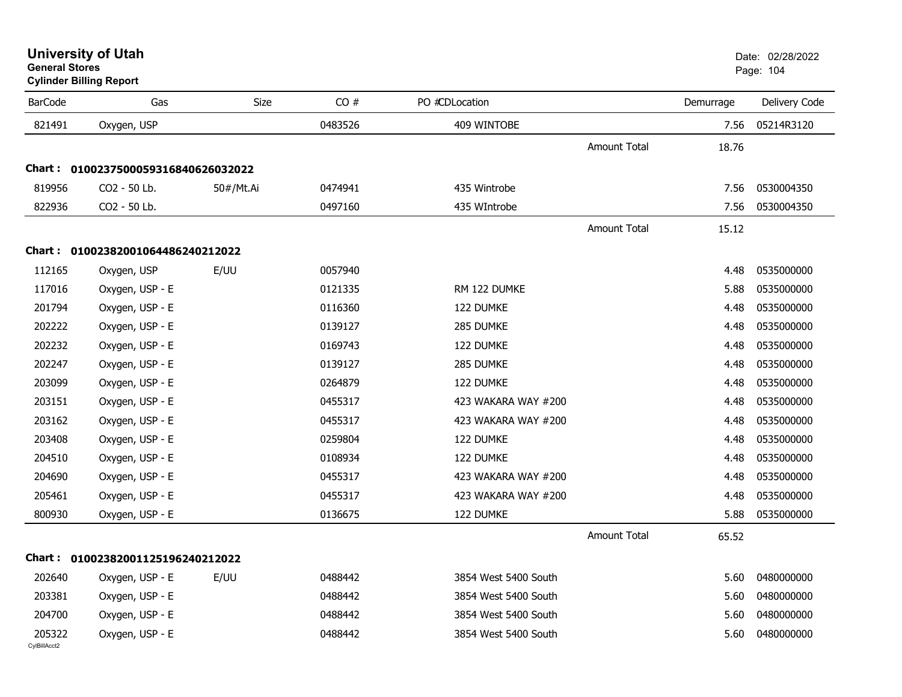| <b>University of Utah</b> |  |
|---------------------------|--|
| <b>General Stores</b>     |  |

**Cylinder Billing Report**

| <b>BarCode</b>         | Gas                                 | Size      | CO#     | PO #CDLocation       |                     | Demurrage | Delivery Code |
|------------------------|-------------------------------------|-----------|---------|----------------------|---------------------|-----------|---------------|
| 821491                 | Oxygen, USP                         |           | 0483526 | 409 WINTOBE          |                     | 7.56      | 05214R3120    |
|                        |                                     |           |         |                      | Amount Total        | 18.76     |               |
|                        | Chart: 0100237500059316840626032022 |           |         |                      |                     |           |               |
| 819956                 | CO2 - 50 Lb.                        | 50#/Mt.Ai | 0474941 | 435 Wintrobe         |                     | 7.56      | 0530004350    |
| 822936                 | CO2 - 50 Lb.                        |           | 0497160 | 435 WIntrobe         |                     | 7.56      | 0530004350    |
|                        |                                     |           |         |                      | <b>Amount Total</b> | 15.12     |               |
|                        | Chart: 01002382001064486240212022   |           |         |                      |                     |           |               |
| 112165                 | Oxygen, USP                         | E/UU      | 0057940 |                      |                     | 4.48      | 0535000000    |
| 117016                 | Oxygen, USP - E                     |           | 0121335 | RM 122 DUMKE         |                     | 5.88      | 0535000000    |
| 201794                 | Oxygen, USP - E                     |           | 0116360 | 122 DUMKE            |                     | 4.48      | 0535000000    |
| 202222                 | Oxygen, USP - E                     |           | 0139127 | 285 DUMKE            |                     | 4.48      | 0535000000    |
| 202232                 | Oxygen, USP - E                     |           | 0169743 | 122 DUMKE            |                     | 4.48      | 0535000000    |
| 202247                 | Oxygen, USP - E                     |           | 0139127 | 285 DUMKE            |                     | 4.48      | 0535000000    |
| 203099                 | Oxygen, USP - E                     |           | 0264879 | 122 DUMKE            |                     | 4.48      | 0535000000    |
| 203151                 | Oxygen, USP - E                     |           | 0455317 | 423 WAKARA WAY #200  |                     | 4.48      | 0535000000    |
| 203162                 | Oxygen, USP - E                     |           | 0455317 | 423 WAKARA WAY #200  |                     | 4.48      | 0535000000    |
| 203408                 | Oxygen, USP - E                     |           | 0259804 | 122 DUMKE            |                     | 4.48      | 0535000000    |
| 204510                 | Oxygen, USP - E                     |           | 0108934 | 122 DUMKE            |                     | 4.48      | 0535000000    |
| 204690                 | Oxygen, USP - E                     |           | 0455317 | 423 WAKARA WAY #200  |                     | 4.48      | 0535000000    |
| 205461                 | Oxygen, USP - E                     |           | 0455317 | 423 WAKARA WAY #200  |                     | 4.48      | 0535000000    |
| 800930                 | Oxygen, USP - E                     |           | 0136675 | 122 DUMKE            |                     | 5.88      | 0535000000    |
|                        |                                     |           |         |                      | <b>Amount Total</b> | 65.52     |               |
|                        | Chart: 01002382001125196240212022   |           |         |                      |                     |           |               |
| 202640                 | Oxygen, USP - E                     | E/UU      | 0488442 | 3854 West 5400 South |                     | 5.60      | 0480000000    |
| 203381                 | Oxygen, USP - E                     |           | 0488442 | 3854 West 5400 South |                     | 5.60      | 0480000000    |
| 204700                 | Oxygen, USP - E                     |           | 0488442 | 3854 West 5400 South |                     | 5.60      | 0480000000    |
| 205322<br>CylBillAcct2 | Oxygen, USP - E                     |           | 0488442 | 3854 West 5400 South |                     | 5.60      | 0480000000    |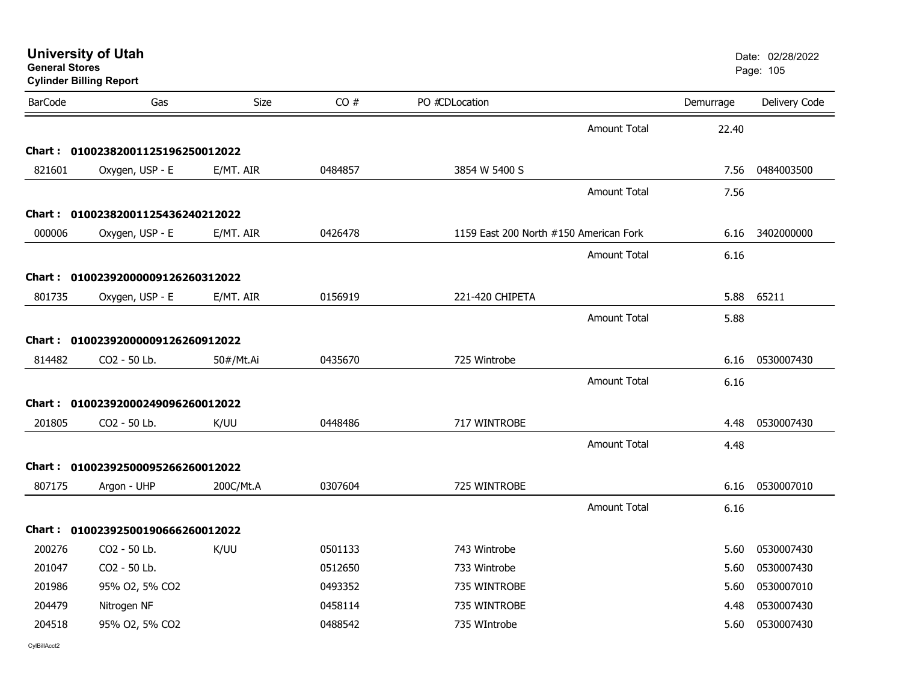| General Stores | <b>Cylinder Billing Report</b>    |           |         |                                        |                     |           | Page: 105     |
|----------------|-----------------------------------|-----------|---------|----------------------------------------|---------------------|-----------|---------------|
| <b>BarCode</b> | Gas                               | Size      | CO#     | PO #CDLocation                         |                     | Demurrage | Delivery Code |
|                |                                   |           |         |                                        | <b>Amount Total</b> | 22.40     |               |
|                | Chart: 01002382001125196250012022 |           |         |                                        |                     |           |               |
| 821601         | Oxygen, USP - E                   | E/MT. AIR | 0484857 | 3854 W 5400 S                          |                     | 7.56      | 0484003500    |
|                |                                   |           |         |                                        | <b>Amount Total</b> | 7.56      |               |
|                | Chart: 01002382001125436240212022 |           |         |                                        |                     |           |               |
| 000006         | Oxygen, USP - E                   | E/MT. AIR | 0426478 | 1159 East 200 North #150 American Fork |                     | 6.16      | 3402000000    |
|                |                                   |           |         |                                        | <b>Amount Total</b> | 6.16      |               |
|                | Chart: 01002392000009126260312022 |           |         |                                        |                     |           |               |
| 801735         | Oxygen, USP - E                   | E/MT. AIR | 0156919 | 221-420 CHIPETA                        |                     | 5.88      | 65211         |
|                |                                   |           |         |                                        | <b>Amount Total</b> | 5.88      |               |
|                | Chart: 01002392000009126260912022 |           |         |                                        |                     |           |               |
| 814482         | CO2 - 50 Lb.                      | 50#/Mt.Ai | 0435670 | 725 Wintrobe                           |                     | 6.16      | 0530007430    |
|                |                                   |           |         |                                        | <b>Amount Total</b> |           |               |
|                |                                   |           |         |                                        |                     | 6.16      |               |
|                | Chart: 01002392000249096260012022 |           |         |                                        |                     |           |               |
| 201805         | CO <sub>2</sub> - 50 Lb.          | K/UU      | 0448486 | 717 WINTROBE                           |                     | 4.48      | 0530007430    |
|                |                                   |           |         |                                        | <b>Amount Total</b> | 4.48      |               |
|                | Chart: 01002392500095266260012022 |           |         |                                        |                     |           |               |
| 807175         | Argon - UHP                       | 200C/Mt.A | 0307604 | 725 WINTROBE                           |                     | 6.16      | 0530007010    |
|                |                                   |           |         |                                        | <b>Amount Total</b> | 6.16      |               |
|                | Chart: 01002392500190666260012022 |           |         |                                        |                     |           |               |
| 200276         | CO2 - 50 Lb.                      | K/UU      | 0501133 | 743 Wintrobe                           |                     | 5.60      | 0530007430    |
| 201047         | CO2 - 50 Lb.                      |           | 0512650 | 733 Wintrobe                           |                     | 5.60      | 0530007430    |
| 201986         | 95% O2, 5% CO2                    |           | 0493352 | 735 WINTROBE                           |                     | 5.60      | 0530007010    |
| 204479         | Nitrogen NF                       |           | 0458114 | 735 WINTROBE                           |                     | 4.48      | 0530007430    |
| 204518         | 95% O2, 5% CO2                    |           | 0488542 | 735 WIntrobe                           |                     | 5.60      | 0530007430    |
|                |                                   |           |         |                                        |                     |           |               |

**University of Utah** Date: 02/28/2022

**General Stores**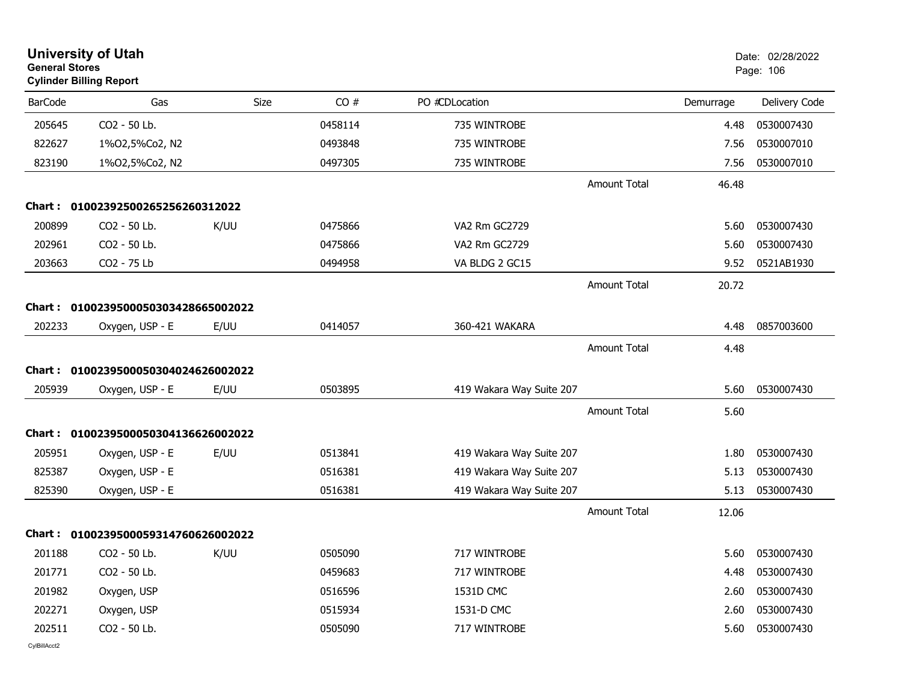| <b>University of Utah</b><br><b>General Stores</b><br><b>Cylinder Billing Report</b> |                              |      |         |                          | Date: 02/28/2022<br>Page: 106 |           |               |
|--------------------------------------------------------------------------------------|------------------------------|------|---------|--------------------------|-------------------------------|-----------|---------------|
| <b>BarCode</b>                                                                       | Gas                          | Size | CO#     | PO #CDLocation           |                               | Demurrage | Delivery Code |
| 205645                                                                               | CO2 - 50 Lb.                 |      | 0458114 | 735 WINTROBE             |                               | 4.48      | 0530007430    |
| 822627                                                                               | 1%02,5%Co2, N2               |      | 0493848 | 735 WINTROBE             |                               | 7.56      | 0530007010    |
| 823190                                                                               | 1%02,5%Co2, N2               |      | 0497305 | 735 WINTROBE             |                               | 7.56      | 0530007010    |
|                                                                                      |                              |      |         |                          | <b>Amount Total</b>           | 46.48     |               |
| Chart :                                                                              | 01002392500265256260312022   |      |         |                          |                               |           |               |
| 200899                                                                               | CO2 - 50 Lb.                 | K/UU | 0475866 | VA2 Rm GC2729            |                               | 5.60      | 0530007430    |
| 202961                                                                               | CO2 - 50 Lb.                 |      | 0475866 | VA2 Rm GC2729            |                               | 5.60      | 0530007430    |
| 203663                                                                               | CO2 - 75 Lb                  |      | 0494958 | VA BLDG 2 GC15           |                               | 9.52      | 0521AB1930    |
|                                                                                      |                              |      |         |                          | <b>Amount Total</b>           | 20.72     |               |
| Chart:                                                                               | 0100239500050303428665002022 |      |         |                          |                               |           |               |
| 202233                                                                               | Oxygen, USP - E              | E/UU | 0414057 | 360-421 WAKARA           |                               | 4.48      | 0857003600    |
|                                                                                      |                              |      |         |                          | <b>Amount Total</b>           | 4.48      |               |
| Chart :                                                                              | 0100239500050304024626002022 |      |         |                          |                               |           |               |
| 205939                                                                               | Oxygen, USP - E              | E/UU | 0503895 | 419 Wakara Way Suite 207 |                               | 5.60      | 0530007430    |
|                                                                                      |                              |      |         |                          | <b>Amount Total</b>           | 5.60      |               |
| Chart:                                                                               | 0100239500050304136626002022 |      |         |                          |                               |           |               |
| 205951                                                                               | Oxygen, USP - E              | E/UU | 0513841 | 419 Wakara Way Suite 207 |                               | 1.80      | 0530007430    |
| 825387                                                                               | Oxygen, USP - E              |      | 0516381 | 419 Wakara Way Suite 207 |                               | 5.13      | 0530007430    |
| 825390                                                                               | Oxygen, USP - E              |      | 0516381 | 419 Wakara Way Suite 207 |                               | 5.13      | 0530007430    |
|                                                                                      |                              |      |         |                          | Amount Total                  | 12.06     |               |
| Chart :                                                                              | 0100239500059314760626002022 |      |         |                          |                               |           |               |
| 201188                                                                               | CO2 - 50 Lb.                 | K/UU | 0505090 | 717 WINTROBE             |                               | 5.60      | 0530007430    |
| 201771                                                                               | CO2 - 50 Lb.                 |      | 0459683 | 717 WINTROBE             |                               | 4.48      | 0530007430    |
| 201982                                                                               | Oxygen, USP                  |      | 0516596 | 1531D CMC                |                               | 2.60      | 0530007430    |
| 202271                                                                               | Oxygen, USP                  |      | 0515934 | 1531-D CMC               |                               | 2.60      | 0530007430    |
| 202511                                                                               | CO2 - 50 Lb.                 |      | 0505090 | 717 WINTROBE             |                               | 5.60      | 0530007430    |
| CvIBillAcct2                                                                         |                              |      |         |                          |                               |           |               |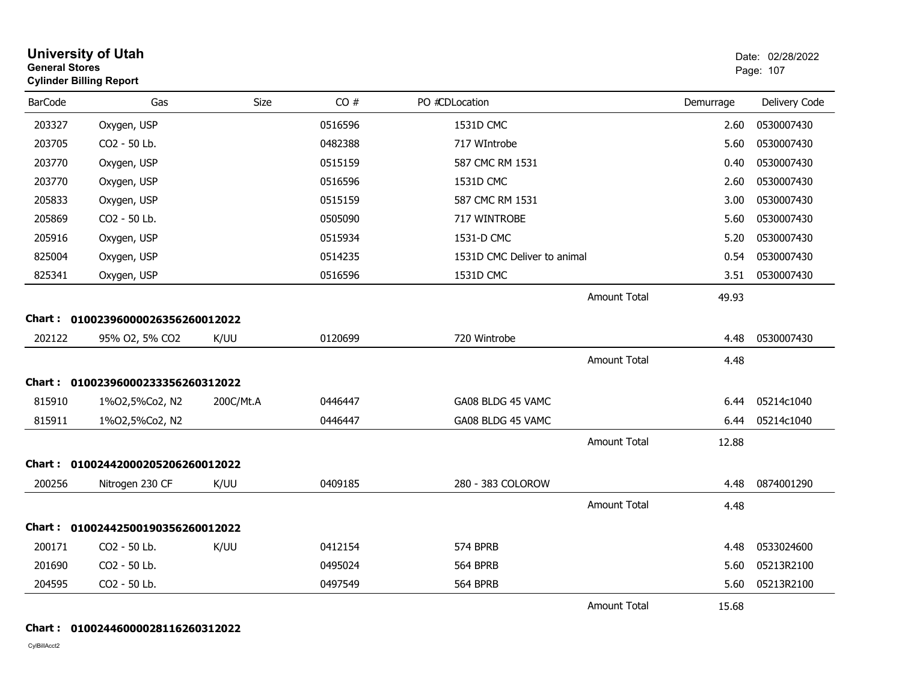| <b>University of Utah</b><br><b>General Stores</b><br><b>Cylinder Billing Report</b> |                                   |           |         |                             |           | Date: 02/28/2022<br>Page: 107 |
|--------------------------------------------------------------------------------------|-----------------------------------|-----------|---------|-----------------------------|-----------|-------------------------------|
| <b>BarCode</b>                                                                       | Gas                               | Size      | CO#     | PO #CDLocation              | Demurrage | Delivery Code                 |
| 203327                                                                               | Oxygen, USP                       |           | 0516596 | 1531D CMC                   | 2.60      | 0530007430                    |
| 203705                                                                               | CO2 - 50 Lb.                      |           | 0482388 | 717 WIntrobe                | 5.60      | 0530007430                    |
| 203770                                                                               | Oxygen, USP                       |           | 0515159 | 587 CMC RM 1531             | 0.40      | 0530007430                    |
| 203770                                                                               | Oxygen, USP                       |           | 0516596 | 1531D CMC                   | 2.60      | 0530007430                    |
| 205833                                                                               | Oxygen, USP                       |           | 0515159 | 587 CMC RM 1531             | 3.00      | 0530007430                    |
| 205869                                                                               | CO2 - 50 Lb.                      |           | 0505090 | 717 WINTROBE                | 5.60      | 0530007430                    |
| 205916                                                                               | Oxygen, USP                       |           | 0515934 | 1531-D CMC                  | 5.20      | 0530007430                    |
| 825004                                                                               | Oxygen, USP                       |           | 0514235 | 1531D CMC Deliver to animal | 0.54      | 0530007430                    |
| 825341                                                                               | Oxygen, USP                       |           | 0516596 | 1531D CMC                   | 3.51      | 0530007430                    |
|                                                                                      |                                   |           |         | <b>Amount Total</b>         | 49.93     |                               |
|                                                                                      | Chart: 01002396000026356260012022 |           |         |                             |           |                               |
| 202122                                                                               | 95% O2, 5% CO2                    | K/UU      | 0120699 | 720 Wintrobe                | 4.48      | 0530007430                    |
|                                                                                      |                                   |           |         | <b>Amount Total</b>         | 4.48      |                               |
| Chart :                                                                              | 01002396000233356260312022        |           |         |                             |           |                               |
| 815910                                                                               | 1%02,5%Co2, N2                    | 200C/Mt.A | 0446447 | GA08 BLDG 45 VAMC           | 6.44      | 05214c1040                    |
| 815911                                                                               | 1%02,5%Co2, N2                    |           | 0446447 | GA08 BLDG 45 VAMC           | 6.44      | 05214c1040                    |
|                                                                                      |                                   |           |         | <b>Amount Total</b>         | 12.88     |                               |
|                                                                                      | Chart: 01002442000205206260012022 |           |         |                             |           |                               |
| 200256                                                                               | Nitrogen 230 CF                   | K/UU      | 0409185 | 280 - 383 COLOROW           | 4.48      | 0874001290                    |
|                                                                                      |                                   |           |         | <b>Amount Total</b>         | 4.48      |                               |
|                                                                                      | Chart: 01002442500190356260012022 |           |         |                             |           |                               |
| 200171                                                                               | CO2 - 50 Lb.                      | K/UU      | 0412154 | 574 BPRB                    | 4.48      | 0533024600                    |
| 201690                                                                               | CO2 - 50 Lb.                      |           | 0495024 | <b>564 BPRB</b>             | 5.60      | 05213R2100                    |
| 204595                                                                               | CO2 - 50 Lb.                      |           | 0497549 | <b>564 BPRB</b>             | 5.60      | 05213R2100                    |
|                                                                                      |                                   |           |         | <b>Amount Total</b>         | 15.68     |                               |

#### **Chart : 01002446000028116260312022**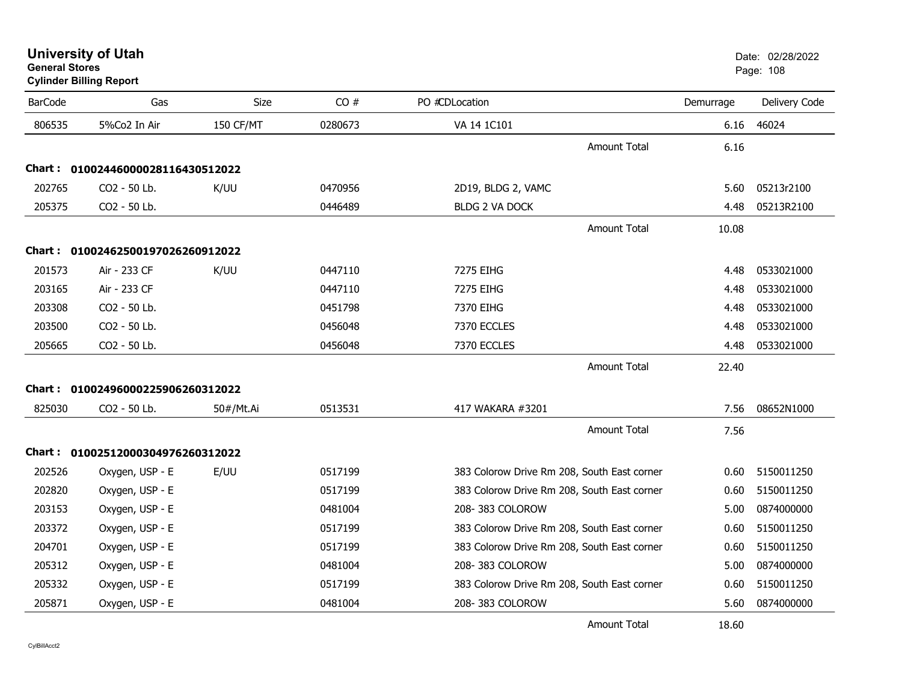| <b>University of Utah</b> |  |
|---------------------------|--|
| <b>General Stores</b>     |  |

# **Cylinder Billing Report**

| <b>BarCode</b> | Gas                               | Size             | CO#     | PO #CDLocation                              | Demurrage | Delivery Code |
|----------------|-----------------------------------|------------------|---------|---------------------------------------------|-----------|---------------|
| 806535         | 5%Co2 In Air                      | <b>150 CF/MT</b> | 0280673 | VA 14 1C101                                 | 6.16      | 46024         |
|                |                                   |                  |         | <b>Amount Total</b>                         | 6.16      |               |
|                | Chart: 01002446000028116430512022 |                  |         |                                             |           |               |
| 202765         | CO2 - 50 Lb.                      | K/UU             | 0470956 | 2D19, BLDG 2, VAMC                          | 5.60      | 05213r2100    |
| 205375         | CO2 - 50 Lb.                      |                  | 0446489 | <b>BLDG 2 VA DOCK</b>                       | 4.48      | 05213R2100    |
|                |                                   |                  |         | <b>Amount Total</b>                         | 10.08     |               |
|                | Chart: 01002462500197026260912022 |                  |         |                                             |           |               |
| 201573         | Air - 233 CF                      | K/UU             | 0447110 | 7275 EIHG                                   | 4.48      | 0533021000    |
| 203165         | Air - 233 CF                      |                  | 0447110 | 7275 EIHG                                   | 4.48      | 0533021000    |
| 203308         | CO2 - 50 Lb.                      |                  | 0451798 | 7370 EIHG                                   | 4.48      | 0533021000    |
| 203500         | CO2 - 50 Lb.                      |                  | 0456048 | 7370 ECCLES                                 | 4.48      | 0533021000    |
| 205665         | CO2 - 50 Lb.                      |                  | 0456048 | 7370 ECCLES                                 | 4.48      | 0533021000    |
|                |                                   |                  |         | Amount Total                                | 22.40     |               |
|                | Chart: 01002496000225906260312022 |                  |         |                                             |           |               |
| 825030         | CO2 - 50 Lb.                      | 50#/Mt.Ai        | 0513531 | 417 WAKARA #3201                            | 7.56      | 08652N1000    |
|                |                                   |                  |         | <b>Amount Total</b>                         | 7.56      |               |
|                | Chart: 01002512000304976260312022 |                  |         |                                             |           |               |
| 202526         | Oxygen, USP - E                   | E/UU             | 0517199 | 383 Colorow Drive Rm 208, South East corner | 0.60      | 5150011250    |
| 202820         | Oxygen, USP - E                   |                  | 0517199 | 383 Colorow Drive Rm 208, South East corner | 0.60      | 5150011250    |
| 203153         | Oxygen, USP - E                   |                  | 0481004 | 208-383 COLOROW                             | 5.00      | 0874000000    |
| 203372         | Oxygen, USP - E                   |                  | 0517199 | 383 Colorow Drive Rm 208, South East corner | 0.60      | 5150011250    |
| 204701         | Oxygen, USP - E                   |                  | 0517199 | 383 Colorow Drive Rm 208, South East corner | 0.60      | 5150011250    |
| 205312         | Oxygen, USP - E                   |                  | 0481004 | 208-383 COLOROW                             | 5.00      | 0874000000    |
| 205332         | Oxygen, USP - E                   |                  | 0517199 | 383 Colorow Drive Rm 208, South East corner | 0.60      | 5150011250    |
| 205871         | Oxygen, USP - E                   |                  | 0481004 | 208-383 COLOROW                             | 5.60      | 0874000000    |
|                |                                   |                  |         | <b>Amount Total</b>                         | 18.60     |               |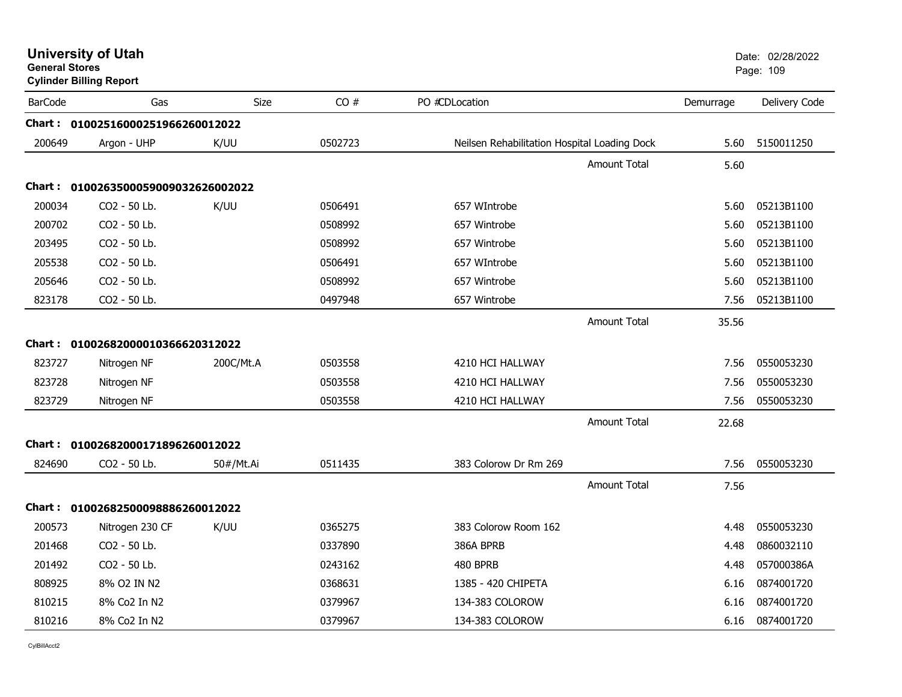| <b>General Stores</b> | <b>Cylinder Billing Report</b>    |             |         |                                              |           | Page: 109     |
|-----------------------|-----------------------------------|-------------|---------|----------------------------------------------|-----------|---------------|
| <b>BarCode</b>        | Gas                               | <b>Size</b> | CO#     | PO #CDLocation                               | Demurrage | Delivery Code |
|                       | Chart: 01002516000251966260012022 |             |         |                                              |           |               |
| 200649                | Argon - UHP                       | K/UU        | 0502723 | Neilsen Rehabilitation Hospital Loading Dock | 5.60      | 5150011250    |
|                       |                                   |             |         | <b>Amount Total</b>                          | 5.60      |               |
| Chart :               | 0100263500059009032626002022      |             |         |                                              |           |               |
| 200034                | CO2 - 50 Lb.                      | K/UU        | 0506491 | 657 WIntrobe                                 | 5.60      | 05213B1100    |
| 200702                | CO2 - 50 Lb.                      |             | 0508992 | 657 Wintrobe                                 | 5.60      | 05213B1100    |
| 203495                | CO2 - 50 Lb.                      |             | 0508992 | 657 Wintrobe                                 | 5.60      | 05213B1100    |
| 205538                | CO2 - 50 Lb.                      |             | 0506491 | 657 WIntrobe                                 | 5.60      | 05213B1100    |
| 205646                | CO2 - 50 Lb.                      |             | 0508992 | 657 Wintrobe                                 | 5.60      | 05213B1100    |
| 823178                | CO2 - 50 Lb.                      |             | 0497948 | 657 Wintrobe                                 | 7.56      | 05213B1100    |
|                       |                                   |             |         | <b>Amount Total</b>                          | 35.56     |               |
|                       | Chart: 01002682000010366620312022 |             |         |                                              |           |               |
| 823727                | Nitrogen NF                       | 200C/Mt.A   | 0503558 | 4210 HCI HALLWAY                             | 7.56      | 0550053230    |
| 823728                | Nitrogen NF                       |             | 0503558 | 4210 HCI HALLWAY                             | 7.56      | 0550053230    |
| 823729                | Nitrogen NF                       |             | 0503558 | 4210 HCI HALLWAY                             | 7.56      | 0550053230    |
|                       |                                   |             |         | <b>Amount Total</b>                          | 22.68     |               |
| Chart :               | 01002682000171896260012022        |             |         |                                              |           |               |
| 824690                | CO2 - 50 Lb.                      | 50#/Mt.Ai   | 0511435 | 383 Colorow Dr Rm 269                        | 7.56      | 0550053230    |
|                       |                                   |             |         | <b>Amount Total</b>                          | 7.56      |               |
|                       | Chart: 01002682500098886260012022 |             |         |                                              |           |               |
| 200573                | Nitrogen 230 CF                   | K/UU        | 0365275 | 383 Colorow Room 162                         | 4.48      | 0550053230    |
| 201468                | CO <sub>2</sub> - 50 Lb.          |             | 0337890 | 386A BPRB                                    | 4.48      | 0860032110    |
| 201492                | CO2 - 50 Lb.                      |             | 0243162 | 480 BPRB                                     | 4.48      | 057000386A    |
| 808925                | 8% O2 IN N2                       |             | 0368631 | 1385 - 420 CHIPETA                           | 6.16      | 0874001720    |
| 810215                | 8% Co2 In N2                      |             | 0379967 | 134-383 COLOROW                              | 6.16      | 0874001720    |
| 810216                | 8% Co2 In N2                      |             | 0379967 | 134-383 COLOROW                              | 6.16      | 0874001720    |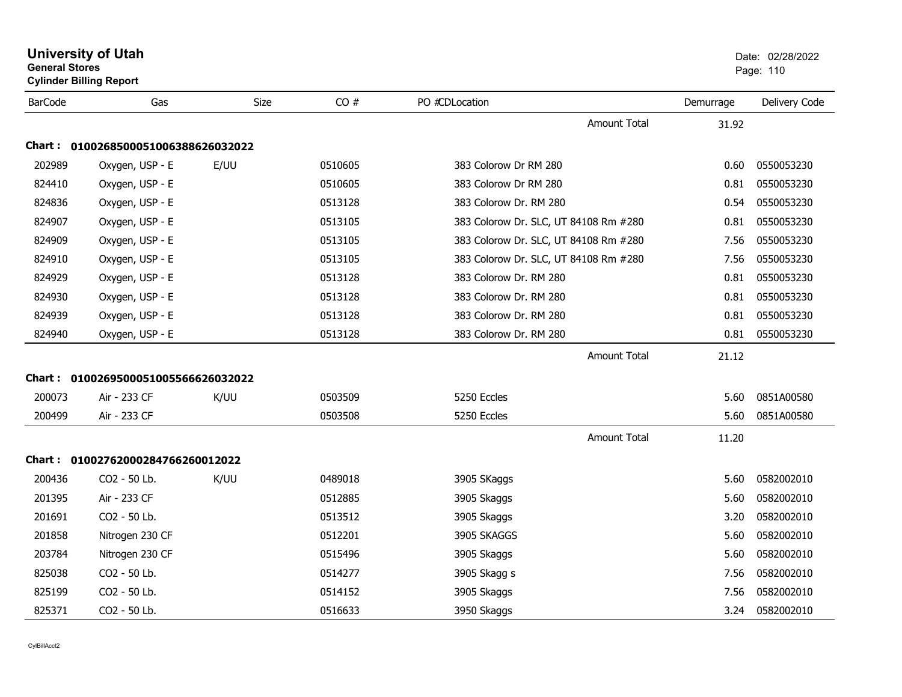|                | <b>General Stores</b><br><b>Cylinder Billing Report</b> |      |         |                                       | Page: 110 |               |  |
|----------------|---------------------------------------------------------|------|---------|---------------------------------------|-----------|---------------|--|
| <b>BarCode</b> | Gas                                                     | Size | CO#     | PO #CDLocation                        | Demurrage | Delivery Code |  |
|                |                                                         |      |         | <b>Amount Total</b>                   | 31.92     |               |  |
|                | Chart: 0100268500051006388626032022                     |      |         |                                       |           |               |  |
| 202989         | Oxygen, USP - E                                         | E/UU | 0510605 | 383 Colorow Dr RM 280                 | 0.60      | 0550053230    |  |
| 824410         | Oxygen, USP - E                                         |      | 0510605 | 383 Colorow Dr RM 280                 | 0.81      | 0550053230    |  |
| 824836         | Oxygen, USP - E                                         |      | 0513128 | 383 Colorow Dr. RM 280                | 0.54      | 0550053230    |  |
| 824907         | Oxygen, USP - E                                         |      | 0513105 | 383 Colorow Dr. SLC, UT 84108 Rm #280 | 0.81      | 0550053230    |  |
| 824909         | Oxygen, USP - E                                         |      | 0513105 | 383 Colorow Dr. SLC, UT 84108 Rm #280 | 7.56      | 0550053230    |  |
| 824910         | Oxygen, USP - E                                         |      | 0513105 | 383 Colorow Dr. SLC, UT 84108 Rm #280 | 7.56      | 0550053230    |  |
| 824929         | Oxygen, USP - E                                         |      | 0513128 | 383 Colorow Dr. RM 280                | 0.81      | 0550053230    |  |
| 824930         | Oxygen, USP - E                                         |      | 0513128 | 383 Colorow Dr. RM 280                | 0.81      | 0550053230    |  |
| 824939         | Oxygen, USP - E                                         |      | 0513128 | 383 Colorow Dr. RM 280                | 0.81      | 0550053230    |  |
| 824940         | Oxygen, USP - E                                         |      | 0513128 | 383 Colorow Dr. RM 280                | 0.81      | 0550053230    |  |
|                |                                                         |      |         | <b>Amount Total</b>                   | 21.12     |               |  |
|                | Chart: 0100269500051005566626032022                     |      |         |                                       |           |               |  |
| 200073         | Air - 233 CF                                            | K/UU | 0503509 | 5250 Eccles                           | 5.60      | 0851A00580    |  |
| 200499         | Air - 233 CF                                            |      | 0503508 | 5250 Eccles                           | 5.60      | 0851A00580    |  |
|                |                                                         |      |         | <b>Amount Total</b>                   | 11.20     |               |  |
|                | Chart: 01002762000284766260012022                       |      |         |                                       |           |               |  |
| 200436         | CO2 - 50 Lb.                                            | K/UU | 0489018 | 3905 SKaggs                           | 5.60      | 0582002010    |  |
| 201395         | Air - 233 CF                                            |      | 0512885 | 3905 Skaggs                           | 5.60      | 0582002010    |  |
| 201691         | CO2 - 50 Lb.                                            |      | 0513512 | 3905 Skaggs                           | 3.20      | 0582002010    |  |
| 201858         | Nitrogen 230 CF                                         |      | 0512201 | 3905 SKAGGS                           | 5.60      | 0582002010    |  |
| 203784         | Nitrogen 230 CF                                         |      | 0515496 | 3905 Skaggs                           | 5.60      | 0582002010    |  |
| 825038         | CO2 - 50 Lb.                                            |      | 0514277 | 3905 Skagg s                          | 7.56      | 0582002010    |  |
| 825199         | CO2 - 50 Lb.                                            |      | 0514152 | 3905 Skaggs                           | 7.56      | 0582002010    |  |
| 825371         | CO2 - 50 Lb.                                            |      | 0516633 | 3950 Skaggs                           | 3.24      | 0582002010    |  |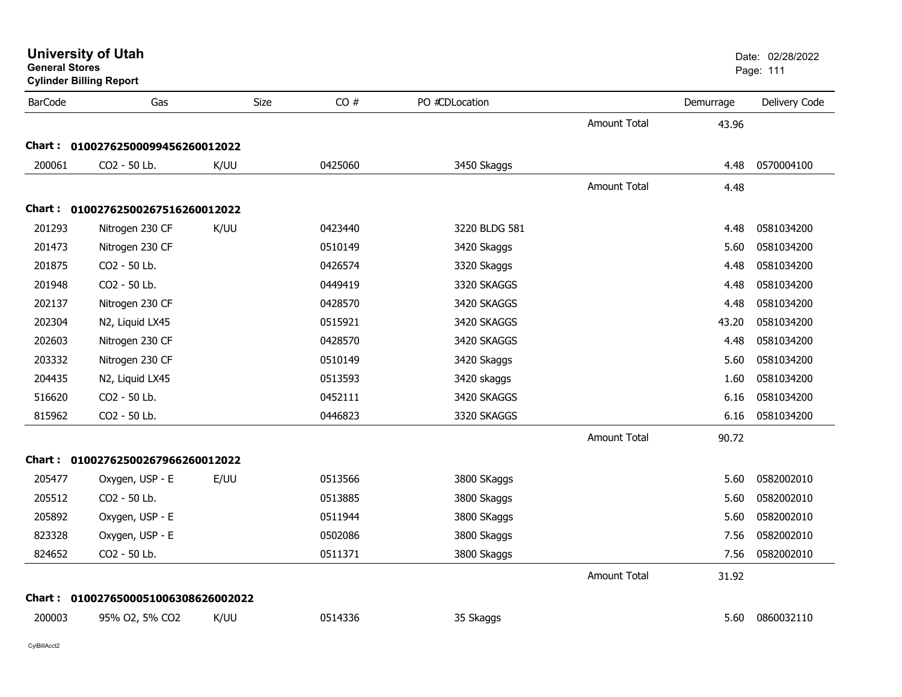| <b>General Stores</b> | <b>Cylinder Billing Report</b>      |      |         |                |                     |           | Page: 111     |
|-----------------------|-------------------------------------|------|---------|----------------|---------------------|-----------|---------------|
| <b>BarCode</b>        | Gas                                 | Size | CO#     | PO #CDLocation |                     | Demurrage | Delivery Code |
|                       |                                     |      |         |                | <b>Amount Total</b> | 43.96     |               |
| <b>Chart :</b>        | 01002762500099456260012022          |      |         |                |                     |           |               |
| 200061                | CO2 - 50 Lb.                        | K/UU | 0425060 | 3450 Skaggs    |                     | 4.48      | 0570004100    |
|                       |                                     |      |         |                | <b>Amount Total</b> | 4.48      |               |
|                       | Chart: 01002762500267516260012022   |      |         |                |                     |           |               |
| 201293                | Nitrogen 230 CF                     | K/UU | 0423440 | 3220 BLDG 581  |                     | 4.48      | 0581034200    |
| 201473                | Nitrogen 230 CF                     |      | 0510149 | 3420 Skaggs    |                     | 5.60      | 0581034200    |
| 201875                | CO2 - 50 Lb.                        |      | 0426574 | 3320 Skaggs    |                     | 4.48      | 0581034200    |
| 201948                | CO <sub>2</sub> - 50 Lb.            |      | 0449419 | 3320 SKAGGS    |                     | 4.48      | 0581034200    |
| 202137                | Nitrogen 230 CF                     |      | 0428570 | 3420 SKAGGS    |                     | 4.48      | 0581034200    |
| 202304                | N2, Liquid LX45                     |      | 0515921 | 3420 SKAGGS    |                     | 43.20     | 0581034200    |
| 202603                | Nitrogen 230 CF                     |      | 0428570 | 3420 SKAGGS    |                     | 4.48      | 0581034200    |
| 203332                | Nitrogen 230 CF                     |      | 0510149 | 3420 Skaggs    |                     | 5.60      | 0581034200    |
| 204435                | N2, Liquid LX45                     |      | 0513593 | 3420 skaggs    |                     | 1.60      | 0581034200    |
| 516620                | CO2 - 50 Lb.                        |      | 0452111 | 3420 SKAGGS    |                     | 6.16      | 0581034200    |
| 815962                | CO2 - 50 Lb.                        |      | 0446823 | 3320 SKAGGS    |                     | 6.16      | 0581034200    |
|                       |                                     |      |         |                | <b>Amount Total</b> | 90.72     |               |
|                       | Chart: 01002762500267966260012022   |      |         |                |                     |           |               |
| 205477                | Oxygen, USP - E                     | E/UU | 0513566 | 3800 SKaggs    |                     | 5.60      | 0582002010    |
| 205512                | CO2 - 50 Lb.                        |      | 0513885 | 3800 Skaggs    |                     | 5.60      | 0582002010    |
| 205892                | Oxygen, USP - E                     |      | 0511944 | 3800 SKaggs    |                     | 5.60      | 0582002010    |
| 823328                | Oxygen, USP - E                     |      | 0502086 | 3800 Skaggs    |                     | 7.56      | 0582002010    |
| 824652                | CO2 - 50 Lb.                        |      | 0511371 | 3800 Skaggs    |                     | 7.56      | 0582002010    |
|                       |                                     |      |         |                | <b>Amount Total</b> | 31.92     |               |
|                       | Chart: 0100276500051006308626002022 |      |         |                |                     |           |               |
| 200003                | 95% O2, 5% CO2                      | K/UU | 0514336 | 35 Skaggs      |                     | 5.60      | 0860032110    |
|                       |                                     |      |         |                |                     |           |               |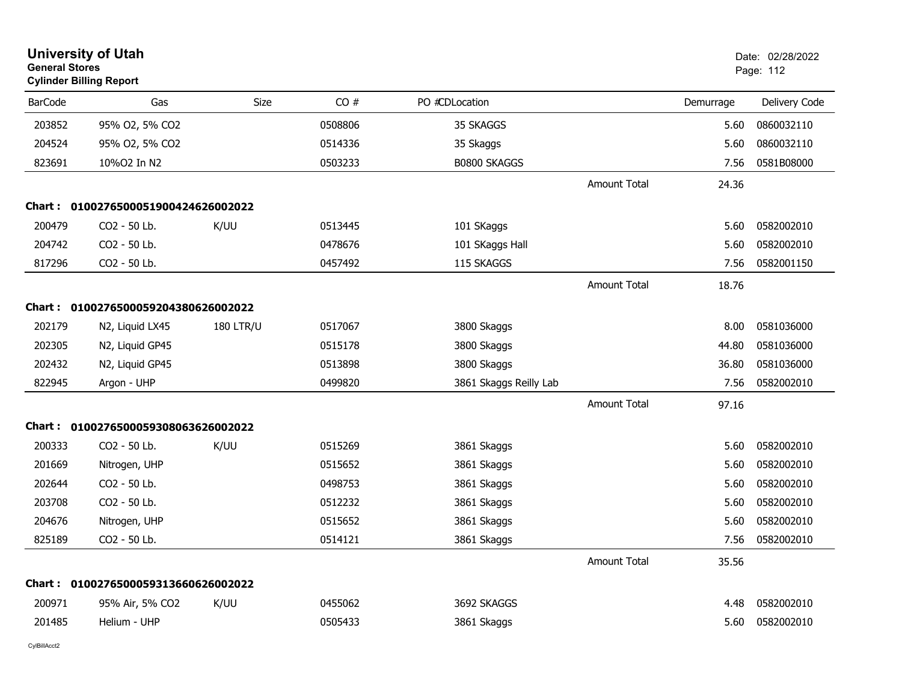| <b>University of Utah</b><br><b>General Stores</b><br><b>Cylinder Billing Report</b> |                                     |                  |         |                        |                     |           | Date: 02/28/2022<br>Page: 112 |
|--------------------------------------------------------------------------------------|-------------------------------------|------------------|---------|------------------------|---------------------|-----------|-------------------------------|
| <b>BarCode</b>                                                                       | Gas                                 | Size             | CO#     | PO #CDLocation         |                     | Demurrage | Delivery Code                 |
| 203852                                                                               | 95% O2, 5% CO2                      |                  | 0508806 | 35 SKAGGS              |                     | 5.60      | 0860032110                    |
| 204524                                                                               | 95% O2, 5% CO2                      |                  | 0514336 | 35 Skaggs              |                     | 5.60      | 0860032110                    |
| 823691                                                                               | 10%O2 In N2                         |                  | 0503233 | B0800 SKAGGS           |                     | 7.56      | 0581B08000                    |
|                                                                                      |                                     |                  |         |                        | <b>Amount Total</b> | 24.36     |                               |
|                                                                                      | Chart: 0100276500051900424626002022 |                  |         |                        |                     |           |                               |
| 200479                                                                               | CO2 - 50 Lb.                        | K/UU             | 0513445 | 101 SKaggs             |                     | 5.60      | 0582002010                    |
| 204742                                                                               | CO2 - 50 Lb.                        |                  | 0478676 | 101 SKaggs Hall        |                     | 5.60      | 0582002010                    |
| 817296                                                                               | CO2 - 50 Lb.                        |                  | 0457492 | 115 SKAGGS             |                     | 7.56      | 0582001150                    |
|                                                                                      |                                     |                  |         |                        | Amount Total        | 18.76     |                               |
|                                                                                      | Chart: 0100276500059204380626002022 |                  |         |                        |                     |           |                               |
| 202179                                                                               | N2, Liquid LX45                     | <b>180 LTR/U</b> | 0517067 | 3800 Skaggs            |                     | 8.00      | 0581036000                    |
| 202305                                                                               | N2, Liquid GP45                     |                  | 0515178 | 3800 Skaggs            |                     | 44.80     | 0581036000                    |
| 202432                                                                               | N2, Liquid GP45                     |                  | 0513898 | 3800 Skaggs            |                     | 36.80     | 0581036000                    |
| 822945                                                                               | Argon - UHP                         |                  | 0499820 | 3861 Skaggs Reilly Lab |                     | 7.56      | 0582002010                    |
|                                                                                      |                                     |                  |         |                        | <b>Amount Total</b> | 97.16     |                               |
| Chart :                                                                              | 0100276500059308063626002022        |                  |         |                        |                     |           |                               |
| 200333                                                                               | CO2 - 50 Lb.                        | K/UU             | 0515269 | 3861 Skaggs            |                     | 5.60      | 0582002010                    |
| 201669                                                                               | Nitrogen, UHP                       |                  | 0515652 | 3861 Skaggs            |                     | 5.60      | 0582002010                    |
| 202644                                                                               | CO2 - 50 Lb.                        |                  | 0498753 | 3861 Skaggs            |                     | 5.60      | 0582002010                    |
| 203708                                                                               | CO2 - 50 Lb.                        |                  | 0512232 | 3861 Skaggs            |                     | 5.60      | 0582002010                    |
| 204676                                                                               | Nitrogen, UHP                       |                  | 0515652 | 3861 Skaggs            |                     | 5.60      | 0582002010                    |
| 825189                                                                               | CO2 - 50 Lb.                        |                  | 0514121 | 3861 Skaggs            |                     | 7.56      | 0582002010                    |
|                                                                                      |                                     |                  |         |                        | <b>Amount Total</b> | 35.56     |                               |
| Chart :                                                                              | 0100276500059313660626002022        |                  |         |                        |                     |           |                               |
| 200971                                                                               | 95% Air, 5% CO2                     | K/UU             | 0455062 | 3692 SKAGGS            |                     | 4.48      | 0582002010                    |
| 201485                                                                               | Helium - UHP                        |                  | 0505433 | 3861 Skaggs            |                     | 5.60      | 0582002010                    |
|                                                                                      |                                     |                  |         |                        |                     |           |                               |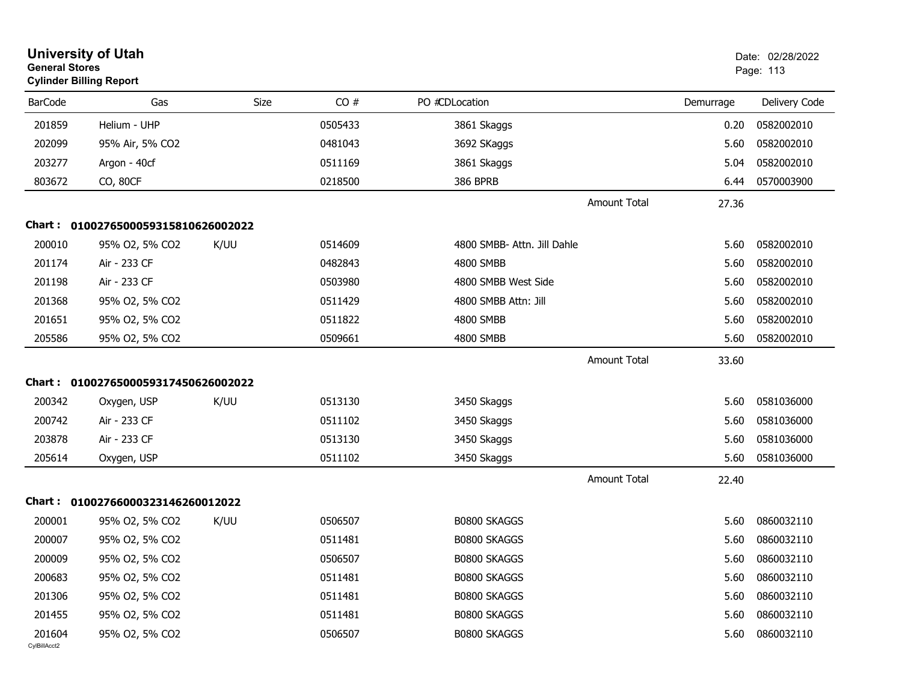| <b>General Stores</b>  | <b>University of Utah</b><br><b>Cylinder Billing Report</b> |      |         |                             |           | Date: 02/28/2022<br>Page: 113 |
|------------------------|-------------------------------------------------------------|------|---------|-----------------------------|-----------|-------------------------------|
| <b>BarCode</b>         | Gas                                                         | Size | CO#     | PO #CDLocation              | Demurrage | Delivery Code                 |
| 201859                 | Helium - UHP                                                |      | 0505433 | 3861 Skaggs                 | 0.20      | 0582002010                    |
| 202099                 | 95% Air, 5% CO2                                             |      | 0481043 | 3692 SKaggs                 | 5.60      | 0582002010                    |
| 203277                 | Argon - 40cf                                                |      | 0511169 | 3861 Skaggs                 | 5.04      | 0582002010                    |
| 803672                 | CO, 80CF                                                    |      | 0218500 | <b>386 BPRB</b>             | 6.44      | 0570003900                    |
|                        |                                                             |      |         | <b>Amount Total</b>         | 27.36     |                               |
| Chart :                | 0100276500059315810626002022                                |      |         |                             |           |                               |
| 200010                 | 95% O2, 5% CO2                                              | K/UU | 0514609 | 4800 SMBB- Attn. Jill Dahle | 5.60      | 0582002010                    |
| 201174                 | Air - 233 CF                                                |      | 0482843 | 4800 SMBB                   | 5.60      | 0582002010                    |
| 201198                 | Air - 233 CF                                                |      | 0503980 | 4800 SMBB West Side         | 5.60      | 0582002010                    |
| 201368                 | 95% O2, 5% CO2                                              |      | 0511429 | 4800 SMBB Attn: Jill        | 5.60      | 0582002010                    |
| 201651                 | 95% O2, 5% CO2                                              |      | 0511822 | 4800 SMBB                   | 5.60      | 0582002010                    |
| 205586                 | 95% O2, 5% CO2                                              |      | 0509661 | 4800 SMBB                   | 5.60      | 0582002010                    |
|                        |                                                             |      |         | <b>Amount Total</b>         | 33.60     |                               |
|                        | Chart: 0100276500059317450626002022                         |      |         |                             |           |                               |
| 200342                 | Oxygen, USP                                                 | K/UU | 0513130 | 3450 Skaggs                 | 5.60      | 0581036000                    |
| 200742                 | Air - 233 CF                                                |      | 0511102 | 3450 Skaggs                 | 5.60      | 0581036000                    |
| 203878                 | Air - 233 CF                                                |      | 0513130 | 3450 Skaggs                 | 5.60      | 0581036000                    |
| 205614                 | Oxygen, USP                                                 |      | 0511102 | 3450 Skaggs                 | 5.60      | 0581036000                    |
|                        |                                                             |      |         | <b>Amount Total</b>         | 22.40     |                               |
|                        | Chart: 01002766000323146260012022                           |      |         |                             |           |                               |
| 200001                 | 95% O2, 5% CO2                                              | K/UU | 0506507 | B0800 SKAGGS                | 5.60      | 0860032110                    |
| 200007                 | 95% O2, 5% CO2                                              |      | 0511481 | <b>B0800 SKAGGS</b>         | 5.60      | 0860032110                    |
| 200009                 | 95% O2, 5% CO2                                              |      | 0506507 | B0800 SKAGGS                | 5.60      | 0860032110                    |
| 200683                 | 95% O2, 5% CO2                                              |      | 0511481 | B0800 SKAGGS                | 5.60      | 0860032110                    |
| 201306                 | 95% O2, 5% CO2                                              |      | 0511481 | B0800 SKAGGS                | 5.60      | 0860032110                    |
| 201455                 | 95% O2, 5% CO2                                              |      | 0511481 | B0800 SKAGGS                | 5.60      | 0860032110                    |
| 201604<br>CylBillAcct2 | 95% O2, 5% CO2                                              |      | 0506507 | B0800 SKAGGS                | 5.60      | 0860032110                    |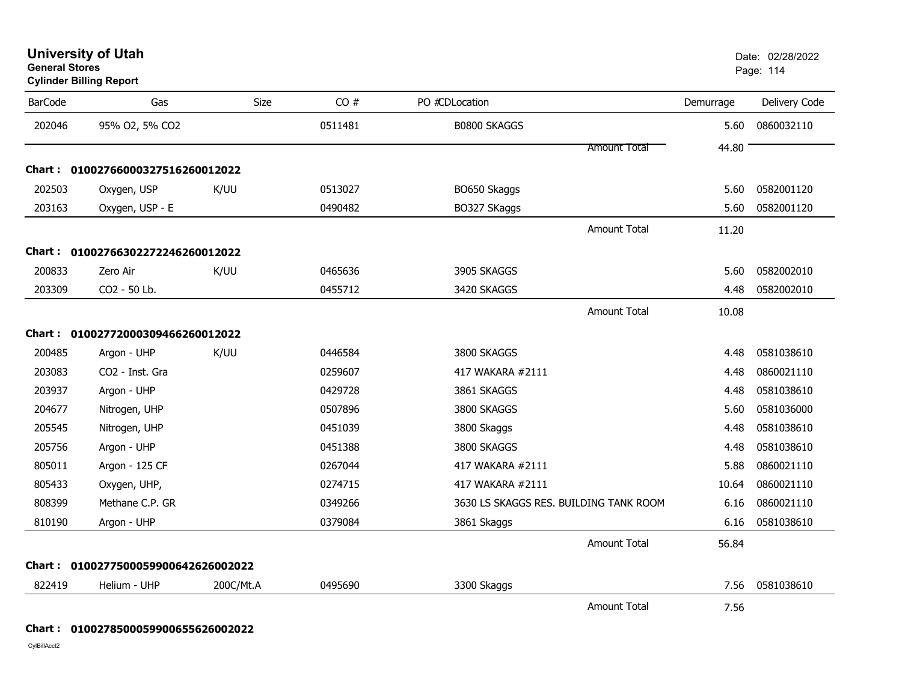| <b>BarCode</b> | Gas                               | Size      | CO#     | PO #CDLocation                         | Demurrage | Delivery Code |
|----------------|-----------------------------------|-----------|---------|----------------------------------------|-----------|---------------|
| 202046         | 95% O2, 5% CO2                    |           | 0511481 | B0800 SKAGGS                           | 5.60      | 0860032110    |
|                |                                   |           |         | <b>Amount Total</b>                    | 44.80     |               |
|                | Chart: 01002766000327516260012022 |           |         |                                        |           |               |
| 202503         | Oxygen, USP                       | K/UU      | 0513027 | BO650 Skaggs                           | 5.60      | 0582001120    |
| 203163         | Oxygen, USP - E                   |           | 0490482 | BO327 SKaggs                           | 5.60      | 0582001120    |
|                |                                   |           |         | <b>Amount Total</b>                    | 11.20     |               |
|                | Chart: 01002766302272246260012022 |           |         |                                        |           |               |
| 200833         | Zero Air                          | K/UU      | 0465636 | 3905 SKAGGS                            | 5.60      | 0582002010    |
| 203309         | CO2 - 50 Lb.                      |           | 0455712 | 3420 SKAGGS                            | 4.48      | 0582002010    |
|                |                                   |           |         | <b>Amount Total</b>                    | 10.08     |               |
|                | Chart: 01002772000309466260012022 |           |         |                                        |           |               |
| 200485         | Argon - UHP                       | K/UU      | 0446584 | 3800 SKAGGS                            | 4.48      | 0581038610    |
| 203083         | CO2 - Inst. Gra                   |           | 0259607 | 417 WAKARA #2111                       | 4.48      | 0860021110    |
| 203937         | Argon - UHP                       |           | 0429728 | 3861 SKAGGS                            | 4.48      | 0581038610    |
| 204677         | Nitrogen, UHP                     |           | 0507896 | 3800 SKAGGS                            | 5.60      | 0581036000    |
| 205545         | Nitrogen, UHP                     |           | 0451039 | 3800 Skaggs                            | 4.48      | 0581038610    |
| 205756         | Argon - UHP                       |           | 0451388 | 3800 SKAGGS                            | 4.48      | 0581038610    |
| 805011         | Argon - 125 CF                    |           | 0267044 | 417 WAKARA #2111                       | 5.88      | 0860021110    |
| 805433         | Oxygen, UHP,                      |           | 0274715 | 417 WAKARA #2111                       | 10.64     | 0860021110    |
| 808399         | Methane C.P. GR                   |           | 0349266 | 3630 LS SKAGGS RES. BUILDING TANK ROOM | 6.16      | 0860021110    |
| 810190         | Argon - UHP                       |           | 0379084 | 3861 Skaggs                            | 6.16      | 0581038610    |
|                |                                   |           |         | <b>Amount Total</b>                    | 56.84     |               |
| Chart :        | 0100277500059900642626002022      |           |         |                                        |           |               |
| 822419         | Helium - UHP                      | 200C/Mt.A | 0495690 | 3300 Skaggs                            | 7.56      | 0581038610    |
|                |                                   |           |         | <b>Amount Total</b>                    | 7.56      |               |

**Cylinder Billing Report**

**Chart : 0100278500059900655626002022**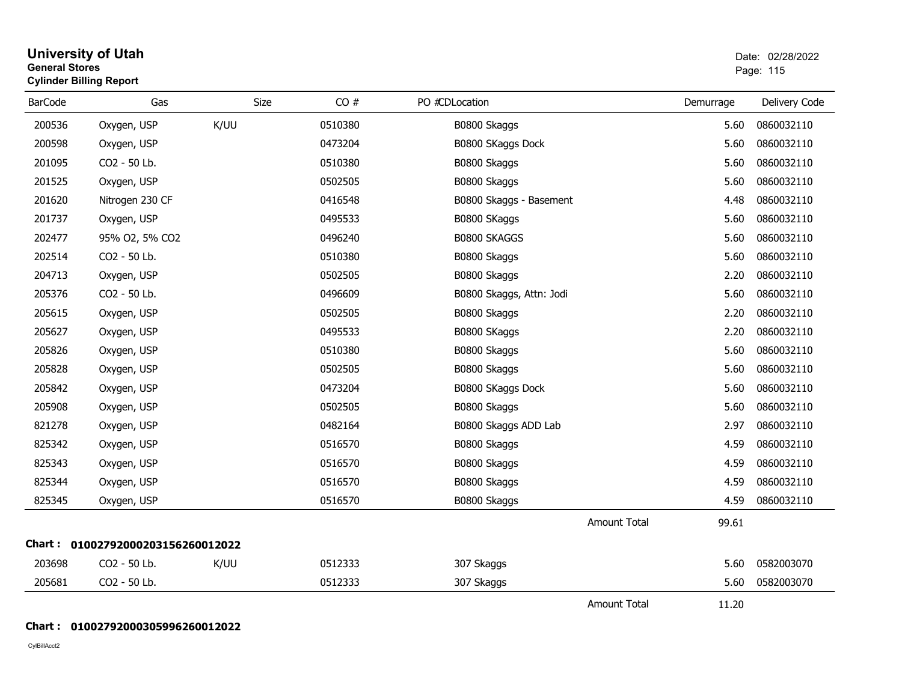| General Stores | <b>Cylinder Billing Report</b>    |             |         |                          |                     |           | Page: 115     |
|----------------|-----------------------------------|-------------|---------|--------------------------|---------------------|-----------|---------------|
| <b>BarCode</b> | Gas                               | <b>Size</b> | CO#     | PO #CDLocation           |                     | Demurrage | Delivery Code |
| 200536         | Oxygen, USP                       | K/UU        | 0510380 | B0800 Skaggs             |                     | 5.60      | 0860032110    |
| 200598         | Oxygen, USP                       |             | 0473204 | B0800 SKaggs Dock        |                     | 5.60      | 0860032110    |
| 201095         | CO2 - 50 Lb.                      |             | 0510380 | B0800 Skaggs             |                     | 5.60      | 0860032110    |
| 201525         | Oxygen, USP                       |             | 0502505 | B0800 Skaggs             |                     | 5.60      | 0860032110    |
| 201620         | Nitrogen 230 CF                   |             | 0416548 | B0800 Skaggs - Basement  |                     | 4.48      | 0860032110    |
| 201737         | Oxygen, USP                       |             | 0495533 | B0800 SKaggs             |                     | 5.60      | 0860032110    |
| 202477         | 95% O2, 5% CO2                    |             | 0496240 | B0800 SKAGGS             |                     | 5.60      | 0860032110    |
| 202514         | CO2 - 50 Lb.                      |             | 0510380 | B0800 Skaggs             |                     | 5.60      | 0860032110    |
| 204713         | Oxygen, USP                       |             | 0502505 | B0800 Skaggs             |                     | 2.20      | 0860032110    |
| 205376         | CO2 - 50 Lb.                      |             | 0496609 | B0800 Skaggs, Attn: Jodi |                     | 5.60      | 0860032110    |
| 205615         | Oxygen, USP                       |             | 0502505 | B0800 Skaggs             |                     | 2.20      | 0860032110    |
| 205627         | Oxygen, USP                       |             | 0495533 | B0800 SKaggs             |                     | 2.20      | 0860032110    |
| 205826         | Oxygen, USP                       |             | 0510380 | B0800 Skaggs             |                     | 5.60      | 0860032110    |
| 205828         | Oxygen, USP                       |             | 0502505 | B0800 Skaggs             |                     | 5.60      | 0860032110    |
| 205842         | Oxygen, USP                       |             | 0473204 | B0800 SKaggs Dock        |                     | 5.60      | 0860032110    |
| 205908         | Oxygen, USP                       |             | 0502505 | B0800 Skaggs             |                     | 5.60      | 0860032110    |
| 821278         | Oxygen, USP                       |             | 0482164 | B0800 Skaggs ADD Lab     |                     | 2.97      | 0860032110    |
| 825342         | Oxygen, USP                       |             | 0516570 | B0800 Skaggs             |                     | 4.59      | 0860032110    |
| 825343         | Oxygen, USP                       |             | 0516570 | B0800 Skaggs             |                     | 4.59      | 0860032110    |
| 825344         | Oxygen, USP                       |             | 0516570 | B0800 Skaggs             |                     | 4.59      | 0860032110    |
| 825345         | Oxygen, USP                       |             | 0516570 | B0800 Skaggs             |                     | 4.59      | 0860032110    |
|                |                                   |             |         |                          | <b>Amount Total</b> | 99.61     |               |
|                | Chart: 01002792000203156260012022 |             |         |                          |                     |           |               |
| 203698         | CO2 - 50 Lb.                      | K/UU        | 0512333 | 307 Skaggs               |                     | 5.60      | 0582003070    |
| 205681         | CO2 - 50 Lb.                      |             | 0512333 | 307 Skaggs               |                     | 5.60      | 0582003070    |
|                |                                   |             |         |                          | <b>Amount Total</b> | 11.20     |               |

20

#### **Chart : 01002792000305996260012022**

CylBillAcct2

# **University of Utah** Date: 02/28/2022 **General Stores**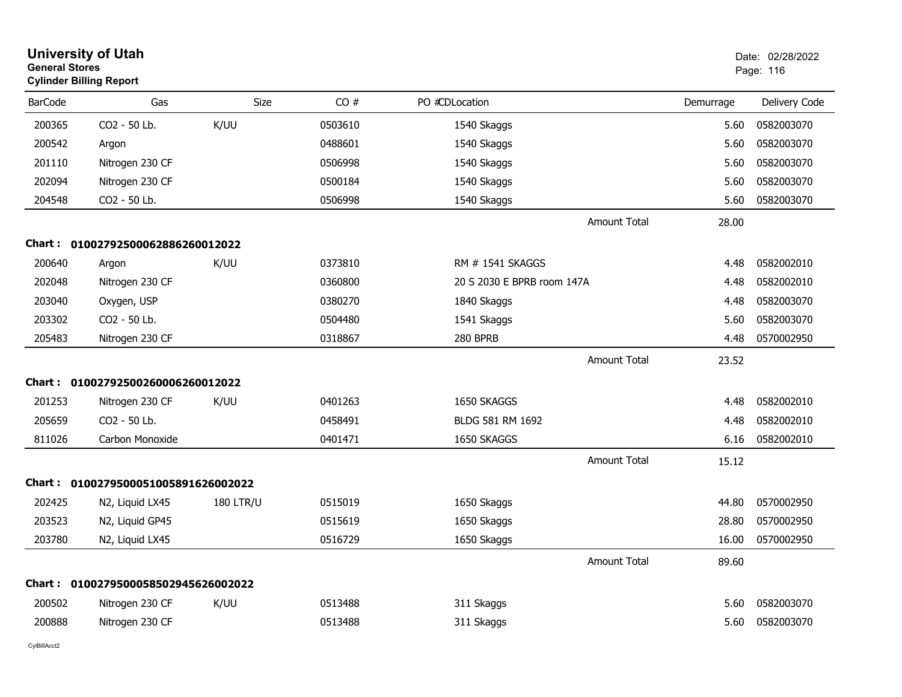|                | <b>University of Utah</b><br><b>General Stores</b><br><b>Cylinder Billing Report</b> |                  |         |                            |           | Date: 02/28/2022<br>Page: 116 |  |
|----------------|--------------------------------------------------------------------------------------|------------------|---------|----------------------------|-----------|-------------------------------|--|
| <b>BarCode</b> | Gas                                                                                  | <b>Size</b>      | CO#     | PO #CDLocation             | Demurrage | Delivery Code                 |  |
| 200365         | CO2 - 50 Lb.                                                                         | K/UU             | 0503610 | 1540 Skaggs                | 5.60      | 0582003070                    |  |
| 200542         | Argon                                                                                |                  | 0488601 | 1540 Skaggs                | 5.60      | 0582003070                    |  |
| 201110         | Nitrogen 230 CF                                                                      |                  | 0506998 | 1540 Skaggs                | 5.60      | 0582003070                    |  |
| 202094         | Nitrogen 230 CF                                                                      |                  | 0500184 | 1540 Skaggs                | 5.60      | 0582003070                    |  |
| 204548         | CO2 - 50 Lb.                                                                         |                  | 0506998 | 1540 Skaggs                | 5.60      | 0582003070                    |  |
|                |                                                                                      |                  |         | <b>Amount Total</b>        | 28.00     |                               |  |
|                | Chart: 01002792500062886260012022                                                    |                  |         |                            |           |                               |  |
| 200640         | Argon                                                                                | K/UU             | 0373810 | RM # 1541 SKAGGS           | 4.48      | 0582002010                    |  |
| 202048         | Nitrogen 230 CF                                                                      |                  | 0360800 | 20 S 2030 E BPRB room 147A | 4.48      | 0582002010                    |  |
| 203040         | Oxygen, USP                                                                          |                  | 0380270 | 1840 Skaggs                | 4.48      | 0582003070                    |  |
| 203302         | CO2 - 50 Lb.                                                                         |                  | 0504480 | 1541 Skaggs                | 5.60      | 0582003070                    |  |
| 205483         | Nitrogen 230 CF                                                                      |                  | 0318867 | 280 BPRB                   | 4.48      | 0570002950                    |  |
|                |                                                                                      |                  |         | <b>Amount Total</b>        | 23.52     |                               |  |
| Chart :        | 01002792500260006260012022                                                           |                  |         |                            |           |                               |  |
| 201253         | Nitrogen 230 CF                                                                      | K/UU             | 0401263 | 1650 SKAGGS                | 4.48      | 0582002010                    |  |
| 205659         | CO2 - 50 Lb.                                                                         |                  | 0458491 | BLDG 581 RM 1692           | 4.48      | 0582002010                    |  |
| 811026         | Carbon Monoxide                                                                      |                  | 0401471 | 1650 SKAGGS                | 6.16      | 0582002010                    |  |
|                |                                                                                      |                  |         | <b>Amount Total</b>        | 15.12     |                               |  |
| Chart :        | 0100279500051005891626002022                                                         |                  |         |                            |           |                               |  |
| 202425         | N2, Liquid LX45                                                                      | <b>180 LTR/U</b> | 0515019 | 1650 Skaggs                | 44.80     | 0570002950                    |  |
| 203523         | N2, Liquid GP45                                                                      |                  | 0515619 | 1650 Skaggs                | 28.80     | 0570002950                    |  |
| 203780         | N2, Liquid LX45                                                                      |                  | 0516729 | 1650 Skaggs                | 16.00     | 0570002950                    |  |
|                |                                                                                      |                  |         | <b>Amount Total</b>        | 89.60     |                               |  |
| Chart :        | 0100279500058502945626002022                                                         |                  |         |                            |           |                               |  |
| 200502         | Nitrogen 230 CF                                                                      | K/UU             | 0513488 | 311 Skaggs                 | 5.60      | 0582003070                    |  |
| 200888         | Nitrogen 230 CF                                                                      |                  | 0513488 | 311 Skaggs                 | 5.60      | 0582003070                    |  |
|                |                                                                                      |                  |         |                            |           |                               |  |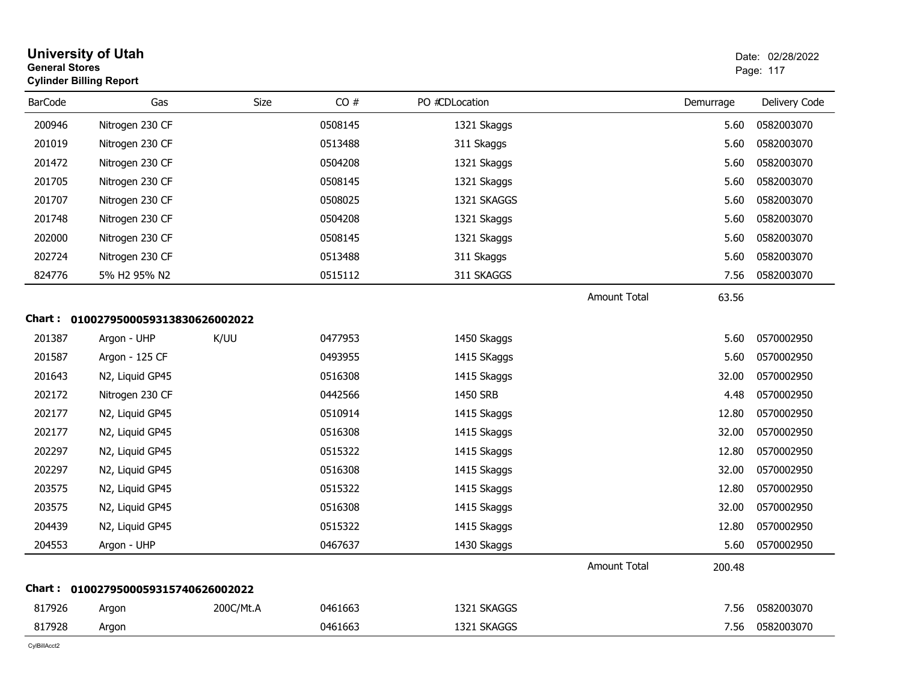|                | <b>University of Utah</b><br><b>General Stores</b><br><b>Cylinder Billing Report</b> |           |         |                | Date: 02/28/2022<br>Page: 117 |           |               |
|----------------|--------------------------------------------------------------------------------------|-----------|---------|----------------|-------------------------------|-----------|---------------|
| <b>BarCode</b> | Gas                                                                                  | Size      | CO#     | PO #CDLocation |                               | Demurrage | Delivery Code |
| 200946         | Nitrogen 230 CF                                                                      |           | 0508145 | 1321 Skaggs    |                               | 5.60      | 0582003070    |
| 201019         | Nitrogen 230 CF                                                                      |           | 0513488 | 311 Skaggs     |                               | 5.60      | 0582003070    |
| 201472         | Nitrogen 230 CF                                                                      |           | 0504208 | 1321 Skaggs    |                               | 5.60      | 0582003070    |
| 201705         | Nitrogen 230 CF                                                                      |           | 0508145 | 1321 Skaggs    |                               | 5.60      | 0582003070    |
| 201707         | Nitrogen 230 CF                                                                      |           | 0508025 | 1321 SKAGGS    |                               | 5.60      | 0582003070    |
| 201748         | Nitrogen 230 CF                                                                      |           | 0504208 | 1321 Skaggs    |                               | 5.60      | 0582003070    |
| 202000         | Nitrogen 230 CF                                                                      |           | 0508145 | 1321 Skaggs    |                               | 5.60      | 0582003070    |
| 202724         | Nitrogen 230 CF                                                                      |           | 0513488 | 311 Skaggs     |                               | 5.60      | 0582003070    |
| 824776         | 5% H2 95% N2                                                                         |           | 0515112 | 311 SKAGGS     |                               | 7.56      | 0582003070    |
|                |                                                                                      |           |         |                | <b>Amount Total</b>           | 63.56     |               |
|                | Chart: 0100279500059313830626002022                                                  |           |         |                |                               |           |               |
| 201387         | Argon - UHP                                                                          | K/UU      | 0477953 | 1450 Skaggs    |                               | 5.60      | 0570002950    |
| 201587         | Argon - 125 CF                                                                       |           | 0493955 | 1415 SKaggs    |                               | 5.60      | 0570002950    |
| 201643         | N2, Liquid GP45                                                                      |           | 0516308 | 1415 Skaggs    |                               | 32.00     | 0570002950    |
| 202172         | Nitrogen 230 CF                                                                      |           | 0442566 | 1450 SRB       |                               | 4.48      | 0570002950    |
| 202177         | N2, Liquid GP45                                                                      |           | 0510914 | 1415 Skaggs    |                               | 12.80     | 0570002950    |
| 202177         | N2, Liquid GP45                                                                      |           | 0516308 | 1415 Skaggs    |                               | 32.00     | 0570002950    |
| 202297         | N2, Liquid GP45                                                                      |           | 0515322 | 1415 Skaggs    |                               | 12.80     | 0570002950    |
| 202297         | N2, Liquid GP45                                                                      |           | 0516308 | 1415 Skaggs    |                               | 32.00     | 0570002950    |
| 203575         | N2, Liquid GP45                                                                      |           | 0515322 | 1415 Skaggs    |                               | 12.80     | 0570002950    |
| 203575         | N2, Liquid GP45                                                                      |           | 0516308 | 1415 Skaggs    |                               | 32.00     | 0570002950    |
| 204439         | N2, Liquid GP45                                                                      |           | 0515322 | 1415 Skaggs    |                               | 12.80     | 0570002950    |
| 204553         | Argon - UHP                                                                          |           | 0467637 | 1430 Skaggs    |                               | 5.60      | 0570002950    |
|                |                                                                                      |           |         |                | <b>Amount Total</b>           | 200.48    |               |
|                | Chart: 0100279500059315740626002022                                                  |           |         |                |                               |           |               |
| 817926         | Argon                                                                                | 200C/Mt.A | 0461663 | 1321 SKAGGS    |                               | 7.56      | 0582003070    |
| 817928         | Argon                                                                                |           | 0461663 | 1321 SKAGGS    |                               | 7.56      | 0582003070    |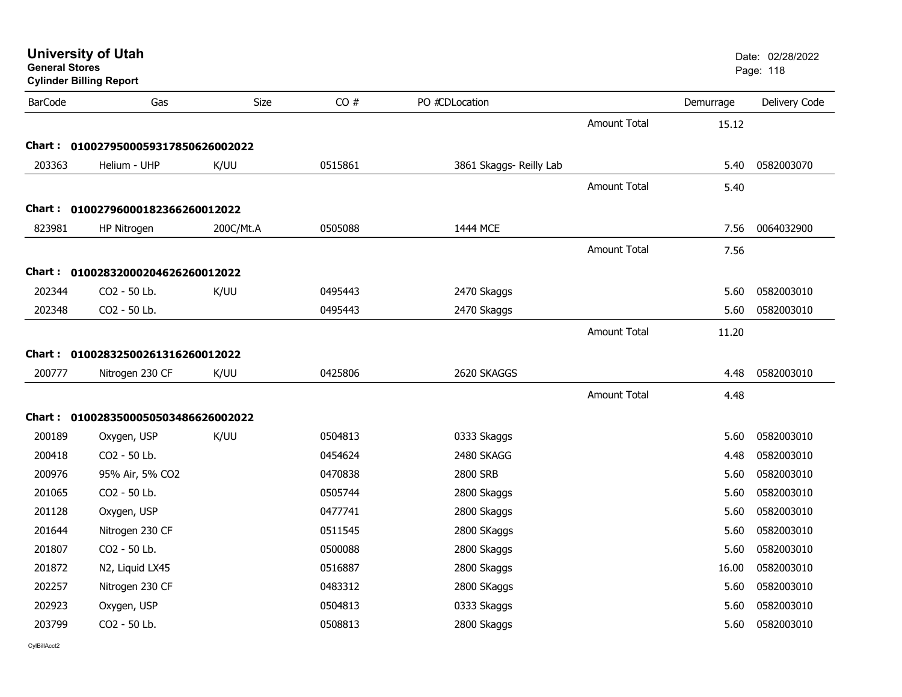| <b>General Stores</b> | <b>University of Utah</b><br><b>Cylinder Billing Report</b> |             | Date: 02/28/2022<br>Page: 118 |                         |                     |           |               |
|-----------------------|-------------------------------------------------------------|-------------|-------------------------------|-------------------------|---------------------|-----------|---------------|
| <b>BarCode</b>        | Gas                                                         | <b>Size</b> | CO#                           | PO #CDLocation          |                     | Demurrage | Delivery Code |
|                       |                                                             |             |                               |                         | <b>Amount Total</b> | 15.12     |               |
|                       | Chart: 0100279500059317850626002022                         |             |                               |                         |                     |           |               |
| 203363                | Helium - UHP                                                | K/UU        | 0515861                       | 3861 Skaggs- Reilly Lab |                     | 5.40      | 0582003070    |
|                       |                                                             |             |                               |                         | <b>Amount Total</b> | 5.40      |               |
|                       | Chart: 01002796000182366260012022                           |             |                               |                         |                     |           |               |
| 823981                | HP Nitrogen                                                 | 200C/Mt.A   | 0505088                       | 1444 MCE                |                     | 7.56      | 0064032900    |
|                       |                                                             |             |                               |                         | <b>Amount Total</b> | 7.56      |               |
|                       | Chart: 01002832000204626260012022                           |             |                               |                         |                     |           |               |
| 202344                | CO2 - 50 Lb.                                                | K/UU        | 0495443                       | 2470 Skaggs             |                     | 5.60      | 0582003010    |
| 202348                | CO2 - 50 Lb.                                                |             | 0495443                       | 2470 Skaggs             |                     | 5.60      | 0582003010    |
|                       |                                                             |             |                               |                         | <b>Amount Total</b> | 11.20     |               |
|                       | Chart: 01002832500261316260012022                           |             |                               |                         |                     |           |               |
| 200777                | Nitrogen 230 CF                                             | K/UU        | 0425806                       | 2620 SKAGGS             |                     | 4.48      | 0582003010    |
|                       |                                                             |             |                               |                         | <b>Amount Total</b> | 4.48      |               |
|                       | Chart: 0100283500050503486626002022                         |             |                               |                         |                     |           |               |
| 200189                | Oxygen, USP                                                 | K/UU        | 0504813                       | 0333 Skaggs             |                     | 5.60      | 0582003010    |
| 200418                | CO2 - 50 Lb.                                                |             | 0454624                       | 2480 SKAGG              |                     | 4.48      | 0582003010    |
| 200976                | 95% Air, 5% CO2                                             |             | 0470838                       | 2800 SRB                |                     | 5.60      | 0582003010    |
| 201065                | CO2 - 50 Lb.                                                |             | 0505744                       | 2800 Skaggs             |                     | 5.60      | 0582003010    |
| 201128                | Oxygen, USP                                                 |             | 0477741                       | 2800 Skaggs             |                     | 5.60      | 0582003010    |
| 201644                | Nitrogen 230 CF                                             |             | 0511545                       | 2800 SKaggs             |                     | 5.60      | 0582003010    |
| 201807                | CO2 - 50 Lb.                                                |             | 0500088                       | 2800 Skaggs             |                     | 5.60      | 0582003010    |
| 201872                | N2, Liquid LX45                                             |             | 0516887                       | 2800 Skaggs             |                     | 16.00     | 0582003010    |
| 202257                | Nitrogen 230 CF                                             |             | 0483312                       | 2800 SKaggs             |                     | 5.60      | 0582003010    |
| 202923                | Oxygen, USP                                                 |             | 0504813                       | 0333 Skaggs             |                     | 5.60      | 0582003010    |
| 203799                | CO2 - 50 Lb.                                                |             | 0508813                       | 2800 Skaggs             |                     | 5.60      | 0582003010    |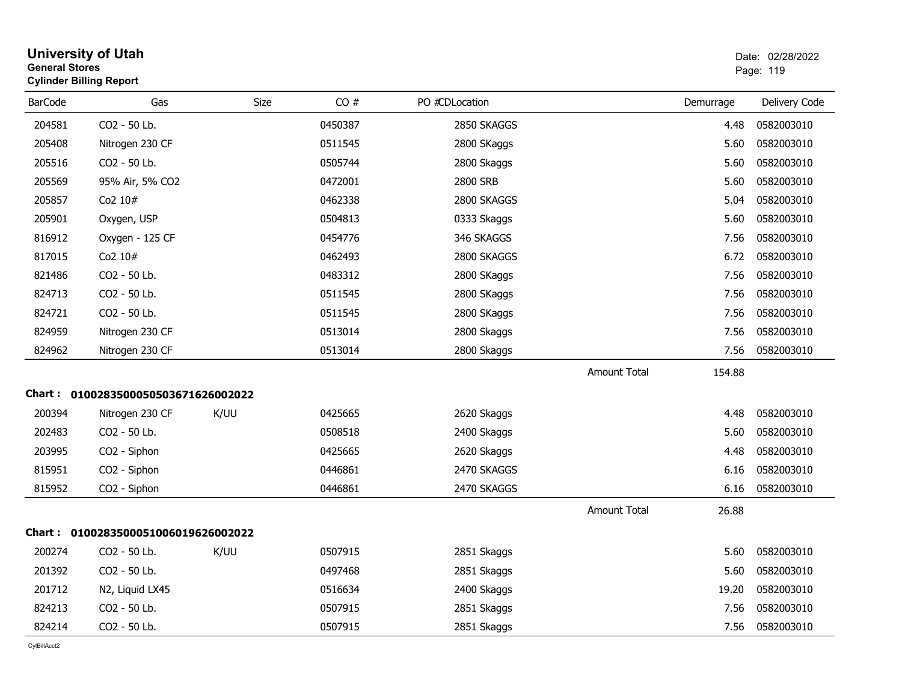| <b>General Stores</b><br><b>Cylinder Billing Report</b> |                                     |      |         |                |                     |           | Page: 119     |
|---------------------------------------------------------|-------------------------------------|------|---------|----------------|---------------------|-----------|---------------|
| <b>BarCode</b>                                          | Gas                                 | Size | CO#     | PO #CDLocation |                     | Demurrage | Delivery Code |
| 204581                                                  | CO2 - 50 Lb.                        |      | 0450387 | 2850 SKAGGS    |                     | 4.48      | 0582003010    |
| 205408                                                  | Nitrogen 230 CF                     |      | 0511545 | 2800 SKaggs    |                     | 5.60      | 0582003010    |
| 205516                                                  | CO2 - 50 Lb.                        |      | 0505744 | 2800 Skaggs    |                     | 5.60      | 0582003010    |
| 205569                                                  | 95% Air, 5% CO2                     |      | 0472001 | 2800 SRB       |                     | 5.60      | 0582003010    |
| 205857                                                  | Co <sub>2</sub> $10#$               |      | 0462338 | 2800 SKAGGS    |                     | 5.04      | 0582003010    |
| 205901                                                  | Oxygen, USP                         |      | 0504813 | 0333 Skaggs    |                     | 5.60      | 0582003010    |
| 816912                                                  | Oxygen - 125 CF                     |      | 0454776 | 346 SKAGGS     |                     | 7.56      | 0582003010    |
| 817015                                                  | Co2 10#                             |      | 0462493 | 2800 SKAGGS    |                     | 6.72      | 0582003010    |
| 821486                                                  | CO2 - 50 Lb.                        |      | 0483312 | 2800 SKaggs    |                     | 7.56      | 0582003010    |
| 824713                                                  | CO2 - 50 Lb.                        |      | 0511545 | 2800 SKaggs    |                     | 7.56      | 0582003010    |
| 824721                                                  | CO2 - 50 Lb.                        |      | 0511545 | 2800 SKaggs    |                     | 7.56      | 0582003010    |
| 824959                                                  | Nitrogen 230 CF                     |      | 0513014 | 2800 Skaggs    |                     | 7.56      | 0582003010    |
| 824962                                                  | Nitrogen 230 CF                     |      | 0513014 | 2800 Skaggs    |                     | 7.56      | 0582003010    |
|                                                         |                                     |      |         |                | <b>Amount Total</b> | 154.88    |               |
|                                                         | Chart: 0100283500050503671626002022 |      |         |                |                     |           |               |
| 200394                                                  | Nitrogen 230 CF                     | K/UU | 0425665 | 2620 Skaggs    |                     | 4.48      | 0582003010    |
| 202483                                                  | CO2 - 50 Lb.                        |      | 0508518 | 2400 Skaggs    |                     | 5.60      | 0582003010    |
| 203995                                                  | CO <sub>2</sub> - Siphon            |      | 0425665 | 2620 Skaggs    |                     | 4.48      | 0582003010    |
| 815951                                                  | CO <sub>2</sub> - Siphon            |      | 0446861 | 2470 SKAGGS    |                     | 6.16      | 0582003010    |
| 815952                                                  | CO2 - Siphon                        |      | 0446861 | 2470 SKAGGS    |                     | 6.16      | 0582003010    |
|                                                         |                                     |      |         |                | <b>Amount Total</b> | 26.88     |               |
|                                                         | Chart: 0100283500051006019626002022 |      |         |                |                     |           |               |
| 200274                                                  | CO2 - 50 Lb.                        | K/UU | 0507915 | 2851 Skaggs    |                     | 5.60      | 0582003010    |
| 201392                                                  | CO2 - 50 Lb.                        |      | 0497468 | 2851 Skaggs    |                     | 5.60      | 0582003010    |
| 201712                                                  | N2, Liquid LX45                     |      | 0516634 | 2400 Skaggs    |                     | 19.20     | 0582003010    |
| 824213                                                  | CO2 - 50 Lb.                        |      | 0507915 | 2851 Skaggs    |                     | 7.56      | 0582003010    |
| 824214                                                  | CO2 - 50 Lb.                        |      | 0507915 | 2851 Skaggs    |                     | 7.56      | 0582003010    |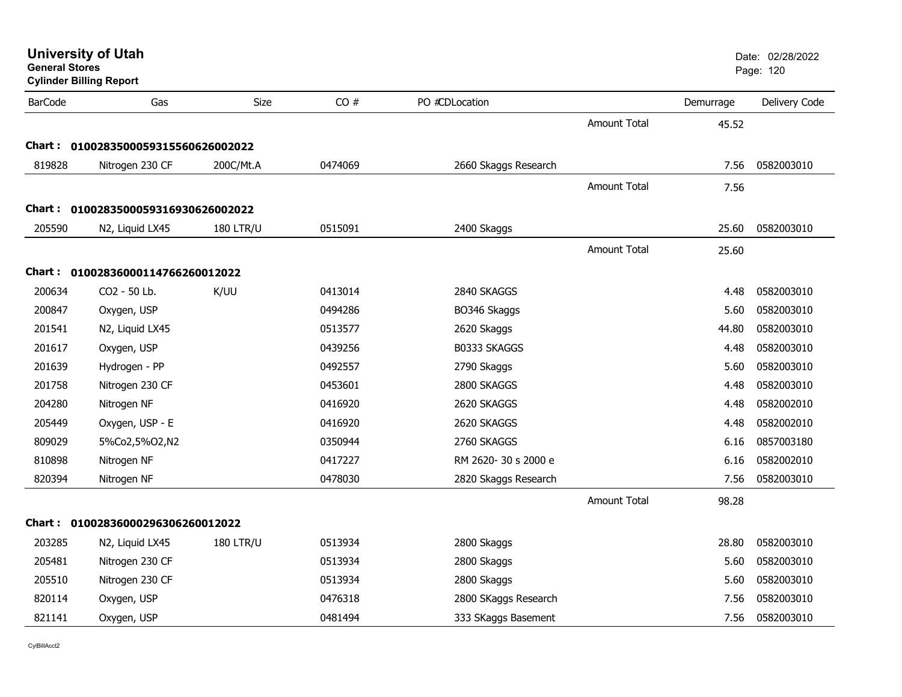| <b>General Stores</b> | <b>University of Utah</b><br><b>Cylinder Billing Report</b> |                  |         |                      |                     |           | Date: 02/28/2022<br>Page: 120 |
|-----------------------|-------------------------------------------------------------|------------------|---------|----------------------|---------------------|-----------|-------------------------------|
| <b>BarCode</b>        | Gas                                                         | <b>Size</b>      | CO#     | PO #CDLocation       |                     | Demurrage | Delivery Code                 |
|                       |                                                             |                  |         |                      | <b>Amount Total</b> | 45.52     |                               |
|                       | Chart: 0100283500059315560626002022                         |                  |         |                      |                     |           |                               |
| 819828                | Nitrogen 230 CF                                             | 200C/Mt.A        | 0474069 | 2660 Skaggs Research |                     | 7.56      | 0582003010                    |
|                       |                                                             |                  |         |                      | Amount Total        | 7.56      |                               |
| <b>Chart :</b>        | 0100283500059316930626002022                                |                  |         |                      |                     |           |                               |
| 205590                | N2, Liquid LX45                                             | <b>180 LTR/U</b> | 0515091 | 2400 Skaggs          |                     | 25.60     | 0582003010                    |
|                       |                                                             |                  |         |                      | <b>Amount Total</b> | 25.60     |                               |
|                       | Chart: 01002836000114766260012022                           |                  |         |                      |                     |           |                               |
| 200634                | CO2 - 50 Lb.                                                | K/UU             | 0413014 | 2840 SKAGGS          |                     | 4.48      | 0582003010                    |
| 200847                | Oxygen, USP                                                 |                  | 0494286 | BO346 Skaggs         |                     | 5.60      | 0582003010                    |
| 201541                | N2, Liquid LX45                                             |                  | 0513577 | 2620 Skaggs          |                     | 44.80     | 0582003010                    |
| 201617                | Oxygen, USP                                                 |                  | 0439256 | B0333 SKAGGS         |                     | 4.48      | 0582003010                    |
| 201639                | Hydrogen - PP                                               |                  | 0492557 | 2790 Skaggs          |                     | 5.60      | 0582003010                    |
| 201758                | Nitrogen 230 CF                                             |                  | 0453601 | 2800 SKAGGS          |                     | 4.48      | 0582003010                    |
| 204280                | Nitrogen NF                                                 |                  | 0416920 | 2620 SKAGGS          |                     | 4.48      | 0582002010                    |
| 205449                | Oxygen, USP - E                                             |                  | 0416920 | 2620 SKAGGS          |                     | 4.48      | 0582002010                    |
| 809029                | 5%Co2,5%O2,N2                                               |                  | 0350944 | 2760 SKAGGS          |                     | 6.16      | 0857003180                    |
| 810898                | Nitrogen NF                                                 |                  | 0417227 | RM 2620-30 s 2000 e  |                     | 6.16      | 0582002010                    |
| 820394                | Nitrogen NF                                                 |                  | 0478030 | 2820 Skaggs Research |                     | 7.56      | 0582003010                    |
|                       |                                                             |                  |         |                      | <b>Amount Total</b> | 98.28     |                               |
|                       | Chart: 01002836000296306260012022                           |                  |         |                      |                     |           |                               |
| 203285                | N2, Liquid LX45                                             | <b>180 LTR/U</b> | 0513934 | 2800 Skaggs          |                     | 28.80     | 0582003010                    |
| 205481                | Nitrogen 230 CF                                             |                  | 0513934 | 2800 Skaggs          |                     | 5.60      | 0582003010                    |
| 205510                | Nitrogen 230 CF                                             |                  | 0513934 | 2800 Skaggs          |                     | 5.60      | 0582003010                    |
| 820114                | Oxygen, USP                                                 |                  | 0476318 | 2800 SKaggs Research |                     | 7.56      | 0582003010                    |
| 821141                | Oxygen, USP                                                 |                  | 0481494 | 333 SKaggs Basement  |                     | 7.56      | 0582003010                    |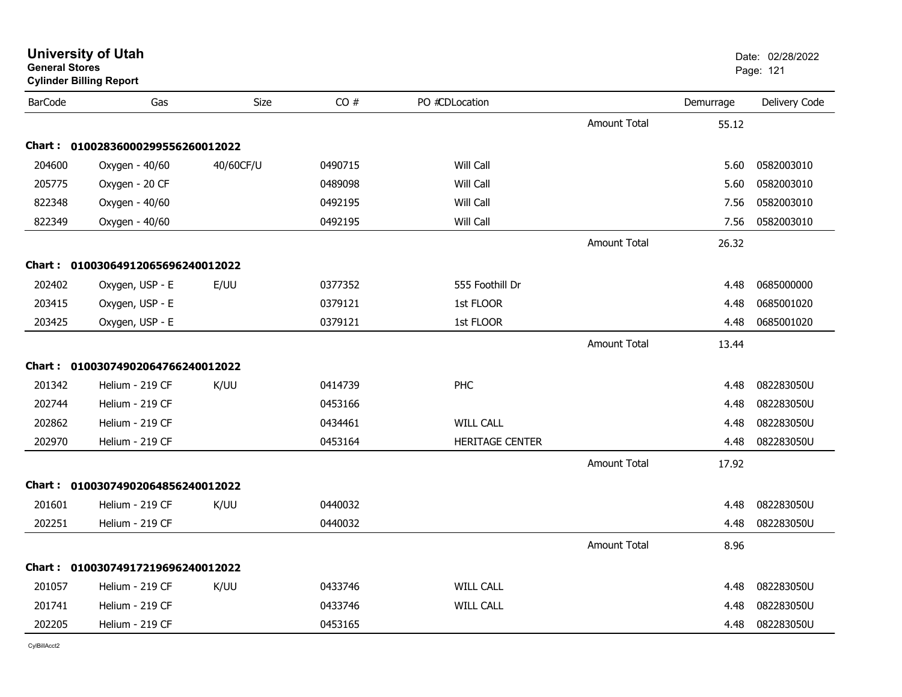| General Stores | <b>Cylinder Billing Report</b>    |           |         |                        |                     |           | Page: 121     |  |
|----------------|-----------------------------------|-----------|---------|------------------------|---------------------|-----------|---------------|--|
| <b>BarCode</b> | Gas                               | Size      | CO#     | PO #CDLocation         |                     | Demurrage | Delivery Code |  |
|                |                                   |           |         |                        | <b>Amount Total</b> | 55.12     |               |  |
|                | Chart: 01002836000299556260012022 |           |         |                        |                     |           |               |  |
| 204600         | Oxygen - 40/60                    | 40/60CF/U | 0490715 | Will Call              |                     | 5.60      | 0582003010    |  |
| 205775         | Oxygen - 20 CF                    |           | 0489098 | Will Call              |                     | 5.60      | 0582003010    |  |
| 822348         | Oxygen - 40/60                    |           | 0492195 | Will Call              |                     | 7.56      | 0582003010    |  |
| 822349         | Oxygen - 40/60                    |           | 0492195 | Will Call              |                     | 7.56      | 0582003010    |  |
|                |                                   |           |         |                        | <b>Amount Total</b> | 26.32     |               |  |
|                | Chart: 01003064912065696240012022 |           |         |                        |                     |           |               |  |
| 202402         | Oxygen, USP - E                   | E/UU      | 0377352 | 555 Foothill Dr        |                     | 4.48      | 0685000000    |  |
| 203415         | Oxygen, USP - E                   |           | 0379121 | 1st FLOOR              |                     | 4.48      | 0685001020    |  |
| 203425         | Oxygen, USP - E                   |           | 0379121 | 1st FLOOR              |                     | 4.48      | 0685001020    |  |
|                |                                   |           |         |                        | <b>Amount Total</b> | 13.44     |               |  |
|                | Chart: 01003074902064766240012022 |           |         |                        |                     |           |               |  |
| 201342         | Helium - 219 CF                   | K/UU      | 0414739 | PHC                    |                     | 4.48      | 082283050U    |  |
| 202744         | Helium - 219 CF                   |           | 0453166 |                        |                     | 4.48      | 082283050U    |  |
| 202862         | Helium - 219 CF                   |           | 0434461 | <b>WILL CALL</b>       |                     | 4.48      | 082283050U    |  |
| 202970         | Helium - 219 CF                   |           | 0453164 | <b>HERITAGE CENTER</b> |                     | 4.48      | 082283050U    |  |
|                |                                   |           |         |                        | <b>Amount Total</b> | 17.92     |               |  |
|                | Chart: 01003074902064856240012022 |           |         |                        |                     |           |               |  |
| 201601         | Helium - 219 CF                   | K/UU      | 0440032 |                        |                     | 4.48      | 082283050U    |  |
| 202251         | Helium - 219 CF                   |           | 0440032 |                        |                     | 4.48      | 082283050U    |  |
|                |                                   |           |         |                        | <b>Amount Total</b> | 8.96      |               |  |
|                | Chart: 01003074917219696240012022 |           |         |                        |                     |           |               |  |
| 201057         | Helium - 219 CF                   | K/UU      | 0433746 | <b>WILL CALL</b>       |                     | 4.48      | 082283050U    |  |
| 201741         | Helium - 219 CF                   |           | 0433746 | <b>WILL CALL</b>       |                     | 4.48      | 082283050U    |  |
| 202205         | Helium - 219 CF                   |           | 0453165 |                        |                     | 4.48      | 082283050U    |  |

**General Stores**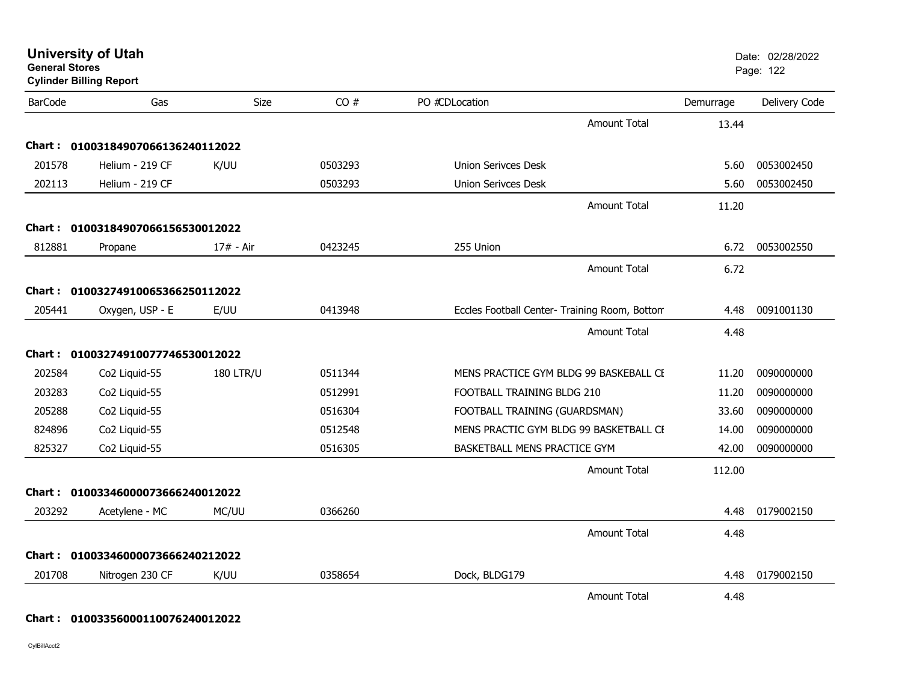| <b>General Stores</b><br><b>Cylinder Billing Report</b> |                                   |                  |         |                                               |           | Page: 122     |
|---------------------------------------------------------|-----------------------------------|------------------|---------|-----------------------------------------------|-----------|---------------|
| <b>BarCode</b>                                          | Gas                               | Size             | CO#     | PO #CDLocation                                | Demurrage | Delivery Code |
|                                                         |                                   |                  |         | <b>Amount Total</b>                           | 13.44     |               |
|                                                         | Chart: 01003184907066136240112022 |                  |         |                                               |           |               |
| 201578                                                  | Helium - 219 CF                   | K/UU             | 0503293 | <b>Union Serivces Desk</b>                    | 5.60      | 0053002450    |
| 202113                                                  | Helium - 219 CF                   |                  | 0503293 | Union Serivces Desk                           | 5.60      | 0053002450    |
|                                                         |                                   |                  |         | <b>Amount Total</b>                           | 11.20     |               |
| Chart :                                                 | 01003184907066156530012022        |                  |         |                                               |           |               |
| 812881                                                  | Propane                           | 17# - Air        | 0423245 | 255 Union                                     | 6.72      | 0053002550    |
|                                                         |                                   |                  |         | <b>Amount Total</b>                           | 6.72      |               |
| Chart :                                                 | 01003274910065366250112022        |                  |         |                                               |           |               |
| 205441                                                  | Oxygen, USP - E                   | E/UU             | 0413948 | Eccles Football Center- Training Room, Bottom | 4.48      | 0091001130    |
|                                                         |                                   |                  |         | <b>Amount Total</b>                           | 4.48      |               |
| Chart : _                                               | 01003274910077746530012022        |                  |         |                                               |           |               |
| 202584                                                  | Co <sub>2</sub> Liquid-55         | <b>180 LTR/U</b> | 0511344 | MENS PRACTICE GYM BLDG 99 BASKEBALL CE        | 11.20     | 0090000000    |
| 203283                                                  | Co2 Liquid-55                     |                  | 0512991 | FOOTBALL TRAINING BLDG 210                    | 11.20     | 0090000000    |
| 205288                                                  | Co2 Liquid-55                     |                  | 0516304 | FOOTBALL TRAINING (GUARDSMAN)                 | 33.60     | 0090000000    |
| 824896                                                  | Co2 Liquid-55                     |                  | 0512548 | MENS PRACTIC GYM BLDG 99 BASKETBALL CE        | 14.00     | 0090000000    |
| 825327                                                  | Co2 Liquid-55                     |                  | 0516305 | BASKETBALL MENS PRACTICE GYM                  | 42.00     | 0090000000    |
|                                                         |                                   |                  |         | <b>Amount Total</b>                           | 112.00    |               |
| Chart : _                                               | 01003346000073666240012022        |                  |         |                                               |           |               |
| 203292                                                  | Acetylene - MC                    | MC/UU            | 0366260 |                                               | 4.48      | 0179002150    |
|                                                         |                                   |                  |         | <b>Amount Total</b>                           | 4.48      |               |
| Chart :                                                 | 01003346000073666240212022        |                  |         |                                               |           |               |
| 201708                                                  | Nitrogen 230 CF                   | K/UU             | 0358654 | Dock, BLDG179                                 | 4.48      | 0179002150    |
|                                                         |                                   |                  |         | <b>Amount Total</b>                           | 4.48      |               |
|                                                         |                                   |                  |         |                                               |           |               |

### **Chart : 01003356000110076240012022**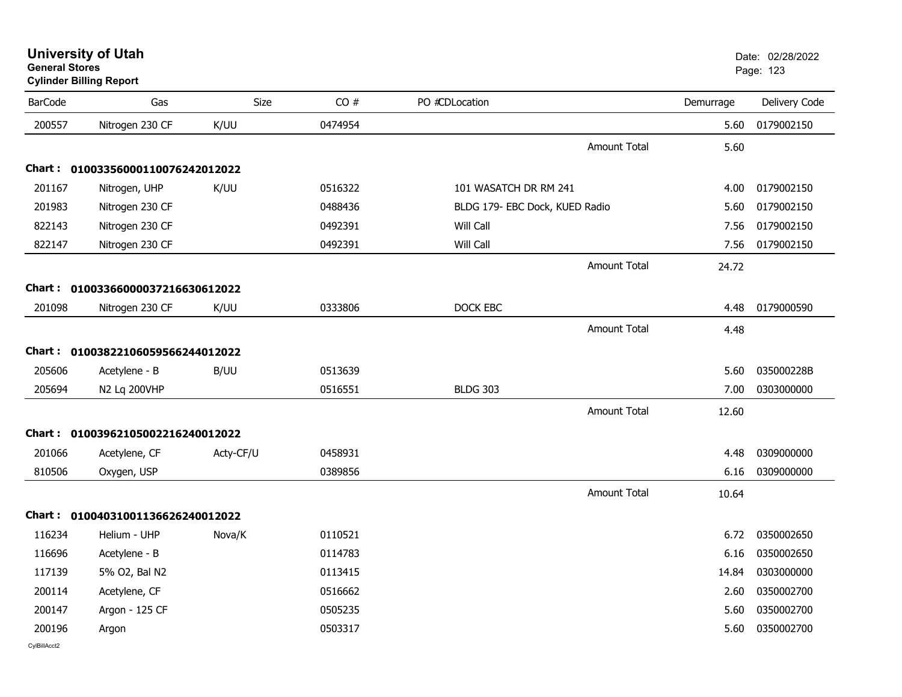| General Stores | <b>Cylinder Billing Report</b>    |           |         |                                |                     |           | Page: 123     |
|----------------|-----------------------------------|-----------|---------|--------------------------------|---------------------|-----------|---------------|
| <b>BarCode</b> | Gas                               | Size      | CO#     | PO #CDLocation                 |                     | Demurrage | Delivery Code |
| 200557         | Nitrogen 230 CF                   | K/UU      | 0474954 |                                |                     | 5.60      | 0179002150    |
|                |                                   |           |         |                                | <b>Amount Total</b> | 5.60      |               |
|                | Chart: 01003356000110076242012022 |           |         |                                |                     |           |               |
| 201167         | Nitrogen, UHP                     | K/UU      | 0516322 | 101 WASATCH DR RM 241          |                     | 4.00      | 0179002150    |
| 201983         | Nitrogen 230 CF                   |           | 0488436 | BLDG 179- EBC Dock, KUED Radio |                     | 5.60      | 0179002150    |
| 822143         | Nitrogen 230 CF                   |           | 0492391 | Will Call                      |                     | 7.56      | 0179002150    |
| 822147         | Nitrogen 230 CF                   |           | 0492391 | Will Call                      |                     | 7.56      | 0179002150    |
|                |                                   |           |         |                                | <b>Amount Total</b> | 24.72     |               |
|                | Chart: 01003366000037216630612022 |           |         |                                |                     |           |               |
| 201098         | Nitrogen 230 CF                   | K/UU      | 0333806 | DOCK EBC                       |                     | 4.48      | 0179000590    |
|                |                                   |           |         |                                | <b>Amount Total</b> | 4.48      |               |
|                | Chart: 01003822106059566244012022 |           |         |                                |                     |           |               |
| 205606         | Acetylene - B                     | B/UU      | 0513639 |                                |                     | 5.60      | 035000228B    |
| 205694         | N2 Lq 200VHP                      |           | 0516551 | <b>BLDG 303</b>                |                     | 7.00      | 0303000000    |
|                |                                   |           |         |                                | <b>Amount Total</b> | 12.60     |               |
|                | Chart: 01003962105002216240012022 |           |         |                                |                     |           |               |
| 201066         | Acetylene, CF                     | Acty-CF/U | 0458931 |                                |                     | 4.48      | 0309000000    |
| 810506         | Oxygen, USP                       |           | 0389856 |                                |                     | 6.16      | 0309000000    |
|                |                                   |           |         |                                | <b>Amount Total</b> | 10.64     |               |
|                | Chart: 01004031001136626240012022 |           |         |                                |                     |           |               |
| 116234         | Helium - UHP                      | Nova/K    | 0110521 |                                |                     | 6.72      | 0350002650    |
| 116696         | Acetylene - B                     |           | 0114783 |                                |                     | 6.16      | 0350002650    |
| 117139         | 5% O2, Bal N2                     |           | 0113415 |                                |                     | 14.84     | 0303000000    |
| 200114         | Acetylene, CF                     |           | 0516662 |                                |                     | 2.60      | 0350002700    |
| 200147         | Argon - 125 CF                    |           | 0505235 |                                |                     | 5.60      | 0350002700    |
| 200196         | Argon                             |           | 0503317 |                                |                     | 5.60      | 0350002700    |
| CylBillAcct2   |                                   |           |         |                                |                     |           |               |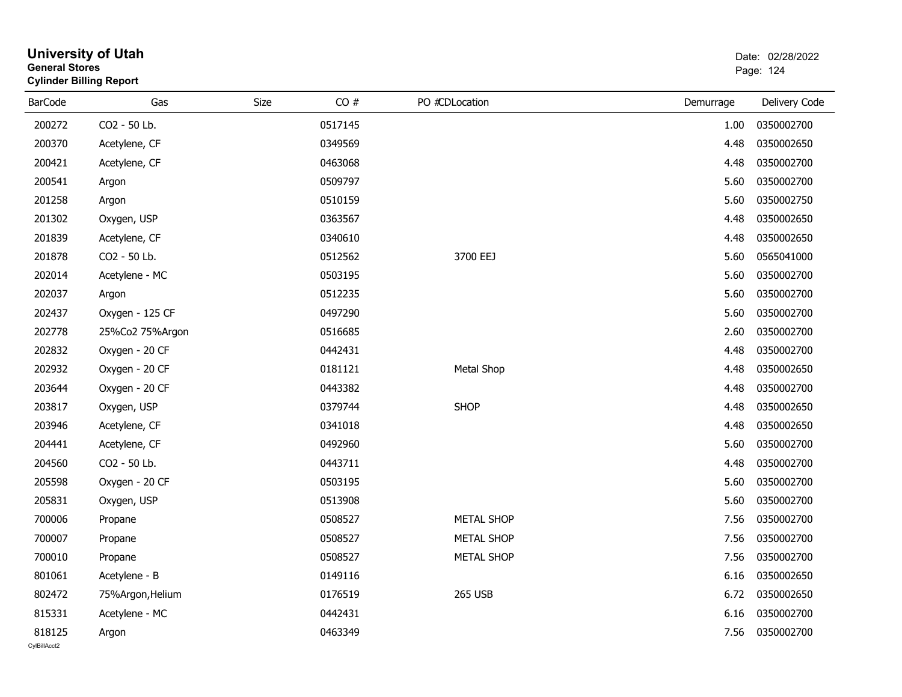| eneral Storesض<br><b>Cylinder Billing Report</b> |                  |      |         |                   |           | Page: 124     |  |  |
|--------------------------------------------------|------------------|------|---------|-------------------|-----------|---------------|--|--|
| <b>BarCode</b>                                   | Gas              | Size | CO#     | PO #CDLocation    | Demurrage | Delivery Code |  |  |
| 200272                                           | CO2 - 50 Lb.     |      | 0517145 |                   | 1.00      | 0350002700    |  |  |
| 200370                                           | Acetylene, CF    |      | 0349569 |                   | 4.48      | 0350002650    |  |  |
| 200421                                           | Acetylene, CF    |      | 0463068 |                   | 4.48      | 0350002700    |  |  |
| 200541                                           | Argon            |      | 0509797 |                   | 5.60      | 0350002700    |  |  |
| 201258                                           | Argon            |      | 0510159 |                   | 5.60      | 0350002750    |  |  |
| 201302                                           | Oxygen, USP      |      | 0363567 |                   | 4.48      | 0350002650    |  |  |
| 201839                                           | Acetylene, CF    |      | 0340610 |                   | 4.48      | 0350002650    |  |  |
| 201878                                           | CO2 - 50 Lb.     |      | 0512562 | 3700 EEJ          | 5.60      | 0565041000    |  |  |
| 202014                                           | Acetylene - MC   |      | 0503195 |                   | 5.60      | 0350002700    |  |  |
| 202037                                           | Argon            |      | 0512235 |                   | 5.60      | 0350002700    |  |  |
| 202437                                           | Oxygen - 125 CF  |      | 0497290 |                   | 5.60      | 0350002700    |  |  |
| 202778                                           | 25%Co2 75%Argon  |      | 0516685 |                   | 2.60      | 0350002700    |  |  |
| 202832                                           | Oxygen - 20 CF   |      | 0442431 |                   | 4.48      | 0350002700    |  |  |
| 202932                                           | Oxygen - 20 CF   |      | 0181121 | Metal Shop        | 4.48      | 0350002650    |  |  |
| 203644                                           | Oxygen - 20 CF   |      | 0443382 |                   | 4.48      | 0350002700    |  |  |
| 203817                                           | Oxygen, USP      |      | 0379744 | <b>SHOP</b>       | 4.48      | 0350002650    |  |  |
| 203946                                           | Acetylene, CF    |      | 0341018 |                   | 4.48      | 0350002650    |  |  |
| 204441                                           | Acetylene, CF    |      | 0492960 |                   | 5.60      | 0350002700    |  |  |
| 204560                                           | CO2 - 50 Lb.     |      | 0443711 |                   | 4.48      | 0350002700    |  |  |
| 205598                                           | Oxygen - 20 CF   |      | 0503195 |                   | 5.60      | 0350002700    |  |  |
| 205831                                           | Oxygen, USP      |      | 0513908 |                   | 5.60      | 0350002700    |  |  |
| 700006                                           | Propane          |      | 0508527 | <b>METAL SHOP</b> | 7.56      | 0350002700    |  |  |
| 700007                                           | Propane          |      | 0508527 | <b>METAL SHOP</b> | 7.56      | 0350002700    |  |  |
| 700010                                           | Propane          |      | 0508527 | <b>METAL SHOP</b> | 7.56      | 0350002700    |  |  |
| 801061                                           | Acetylene - B    |      | 0149116 |                   | 6.16      | 0350002650    |  |  |
| 802472                                           | 75%Argon, Helium |      | 0176519 | <b>265 USB</b>    | 6.72      | 0350002650    |  |  |
| 815331                                           | Acetylene - MC   |      | 0442431 |                   | 6.16      | 0350002700    |  |  |
| 818125                                           | Argon            |      | 0463349 |                   | 7.56      | 0350002700    |  |  |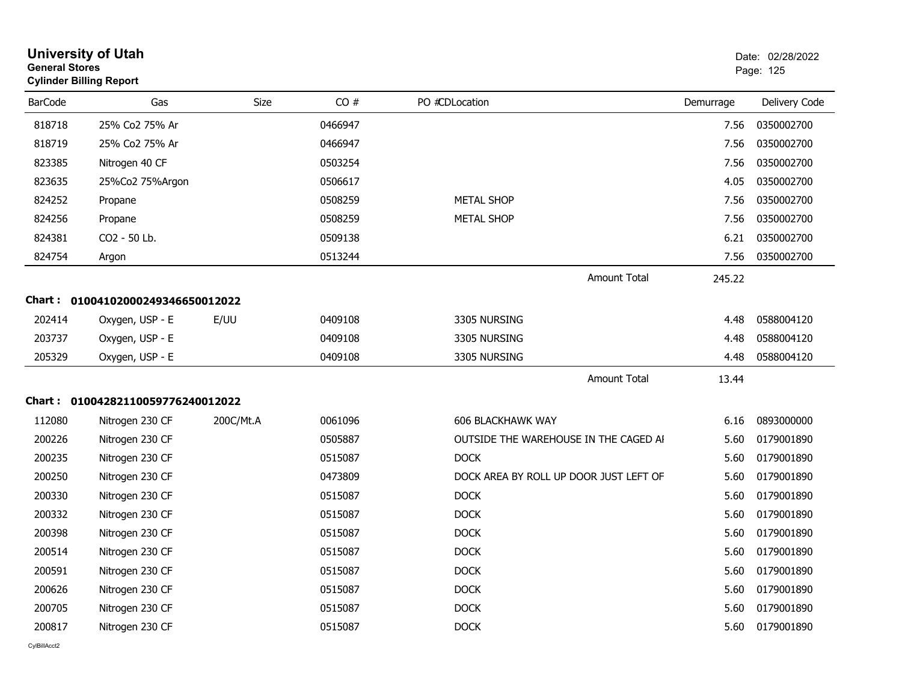| <b>General Stores</b> | <b>University of Utah</b><br><b>Cylinder Billing Report</b> |           |         |                                        |           | Date: 02/28/2022<br>Page: 125 |
|-----------------------|-------------------------------------------------------------|-----------|---------|----------------------------------------|-----------|-------------------------------|
| <b>BarCode</b>        | Gas                                                         | Size      | CO#     | PO #CDLocation                         | Demurrage | Delivery Code                 |
| 818718                | 25% Co2 75% Ar                                              |           | 0466947 |                                        | 7.56      | 0350002700                    |
| 818719                | 25% Co2 75% Ar                                              |           | 0466947 |                                        | 7.56      | 0350002700                    |
| 823385                | Nitrogen 40 CF                                              |           | 0503254 |                                        | 7.56      | 0350002700                    |
| 823635                | 25%Co2 75%Argon                                             |           | 0506617 |                                        | 4.05      | 0350002700                    |
| 824252                | Propane                                                     |           | 0508259 | <b>METAL SHOP</b>                      | 7.56      | 0350002700                    |
| 824256                | Propane                                                     |           | 0508259 | <b>METAL SHOP</b>                      | 7.56      | 0350002700                    |
| 824381                | CO2 - 50 Lb.                                                |           | 0509138 |                                        | 6.21      | 0350002700                    |
| 824754                | Argon                                                       |           | 0513244 |                                        | 7.56      | 0350002700                    |
|                       |                                                             |           |         | <b>Amount Total</b>                    | 245.22    |                               |
| Chart : _             | 01004102000249346650012022                                  |           |         |                                        |           |                               |
| 202414                | Oxygen, USP - E                                             | E/UU      | 0409108 | 3305 NURSING                           | 4.48      | 0588004120                    |
| 203737                | Oxygen, USP - E                                             |           | 0409108 | 3305 NURSING                           | 4.48      | 0588004120                    |
| 205329                | Oxygen, USP - E                                             |           | 0409108 | 3305 NURSING                           | 4.48      | 0588004120                    |
|                       |                                                             |           |         | <b>Amount Total</b>                    | 13.44     |                               |
|                       | Chart: 01004282110059776240012022                           |           |         |                                        |           |                               |
| 112080                | Nitrogen 230 CF                                             | 200C/Mt.A | 0061096 | <b>606 BLACKHAWK WAY</b>               | 6.16      | 0893000000                    |
| 200226                | Nitrogen 230 CF                                             |           | 0505887 | OUTSIDE THE WAREHOUSE IN THE CAGED AI  | 5.60      | 0179001890                    |
| 200235                | Nitrogen 230 CF                                             |           | 0515087 | <b>DOCK</b>                            | 5.60      | 0179001890                    |
| 200250                | Nitrogen 230 CF                                             |           | 0473809 | DOCK AREA BY ROLL UP DOOR JUST LEFT OF | 5.60      | 0179001890                    |
| 200330                | Nitrogen 230 CF                                             |           | 0515087 | <b>DOCK</b>                            | 5.60      | 0179001890                    |
| 200332                | Nitrogen 230 CF                                             |           | 0515087 | <b>DOCK</b>                            | 5.60      | 0179001890                    |
| 200398                | Nitrogen 230 CF                                             |           | 0515087 | <b>DOCK</b>                            | 5.60      | 0179001890                    |
| 200514                | Nitrogen 230 CF                                             |           | 0515087 | <b>DOCK</b>                            | 5.60      | 0179001890                    |
| 200591                | Nitrogen 230 CF                                             |           | 0515087 | <b>DOCK</b>                            | 5.60      | 0179001890                    |
| 200626                | Nitrogen 230 CF                                             |           | 0515087 | <b>DOCK</b>                            | 5.60      | 0179001890                    |
| 200705                | Nitrogen 230 CF                                             |           | 0515087 | <b>DOCK</b>                            | 5.60      | 0179001890                    |
| 200817                | Nitrogen 230 CF                                             |           | 0515087 | <b>DOCK</b>                            | 5.60      | 0179001890                    |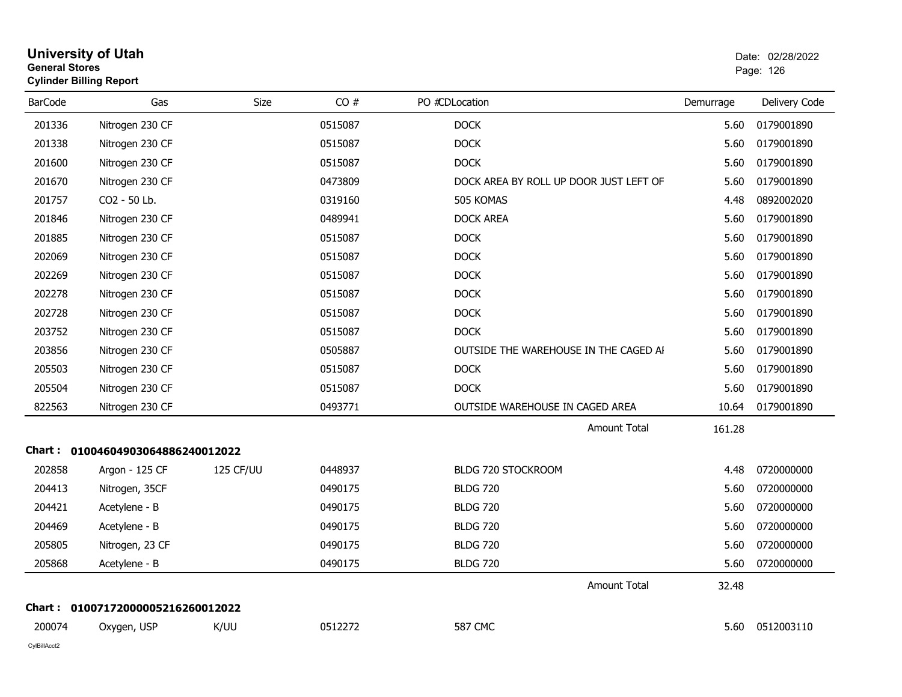| <b>General Stores</b> | University of Utah<br><b>Cylinder Billing Report</b> |           |         |                                        |           | Date: 02/28/2022<br>Page: 126 |
|-----------------------|------------------------------------------------------|-----------|---------|----------------------------------------|-----------|-------------------------------|
| <b>BarCode</b>        | Gas                                                  | Size      | CO#     | PO #CDLocation                         | Demurrage | Delivery Code                 |
| 201336                | Nitrogen 230 CF                                      |           | 0515087 | <b>DOCK</b>                            | 5.60      | 0179001890                    |
| 201338                | Nitrogen 230 CF                                      |           | 0515087 | <b>DOCK</b>                            | 5.60      | 0179001890                    |
| 201600                | Nitrogen 230 CF                                      |           | 0515087 | <b>DOCK</b>                            | 5.60      | 0179001890                    |
| 201670                | Nitrogen 230 CF                                      |           | 0473809 | DOCK AREA BY ROLL UP DOOR JUST LEFT OF | 5.60      | 0179001890                    |
| 201757                | CO2 - 50 Lb.                                         |           | 0319160 | 505 KOMAS                              | 4.48      | 0892002020                    |
| 201846                | Nitrogen 230 CF                                      |           | 0489941 | <b>DOCK AREA</b>                       | 5.60      | 0179001890                    |
| 201885                | Nitrogen 230 CF                                      |           | 0515087 | <b>DOCK</b>                            | 5.60      | 0179001890                    |
| 202069                | Nitrogen 230 CF                                      |           | 0515087 | <b>DOCK</b>                            | 5.60      | 0179001890                    |
| 202269                | Nitrogen 230 CF                                      |           | 0515087 | <b>DOCK</b>                            | 5.60      | 0179001890                    |
| 202278                | Nitrogen 230 CF                                      |           | 0515087 | <b>DOCK</b>                            | 5.60      | 0179001890                    |
| 202728                | Nitrogen 230 CF                                      |           | 0515087 | <b>DOCK</b>                            | 5.60      | 0179001890                    |
| 203752                | Nitrogen 230 CF                                      |           | 0515087 | <b>DOCK</b>                            | 5.60      | 0179001890                    |
| 203856                | Nitrogen 230 CF                                      |           | 0505887 | OUTSIDE THE WAREHOUSE IN THE CAGED AI  | 5.60      | 0179001890                    |
| 205503                | Nitrogen 230 CF                                      |           | 0515087 | <b>DOCK</b>                            | 5.60      | 0179001890                    |
| 205504                | Nitrogen 230 CF                                      |           | 0515087 | <b>DOCK</b>                            | 5.60      | 0179001890                    |
| 822563                | Nitrogen 230 CF                                      |           | 0493771 | OUTSIDE WAREHOUSE IN CAGED AREA        | 10.64     | 0179001890                    |
|                       |                                                      |           |         | <b>Amount Total</b>                    | 161.28    |                               |
|                       | Chart: 01004604903064886240012022                    |           |         |                                        |           |                               |
| 202858                | Argon - 125 CF                                       | 125 CF/UU | 0448937 | BLDG 720 STOCKROOM                     | 4.48      | 0720000000                    |
| 204413                | Nitrogen, 35CF                                       |           | 0490175 | <b>BLDG 720</b>                        | 5.60      | 0720000000                    |
| 204421                | Acetylene - B                                        |           | 0490175 | <b>BLDG 720</b>                        | 5.60      | 0720000000                    |
| 204469                | Acetylene - B                                        |           | 0490175 | <b>BLDG 720</b>                        | 5.60      | 0720000000                    |
| 205805                | Nitrogen, 23 CF                                      |           | 0490175 | <b>BLDG 720</b>                        | 5.60      | 0720000000                    |
| 205868                | Acetylene - B                                        |           | 0490175 | <b>BLDG 720</b>                        | 5.60      | 0720000000                    |
|                       |                                                      |           |         | Amount Total                           | 32.48     |                               |
|                       | Chart: 01007172000005216260012022                    |           |         |                                        |           |                               |
| 200074                | Oxygen, USP                                          | K/UU      | 0512272 | <b>587 CMC</b>                         |           | 5.60 0512003110               |
| CylBillAcct2          |                                                      |           |         |                                        |           |                               |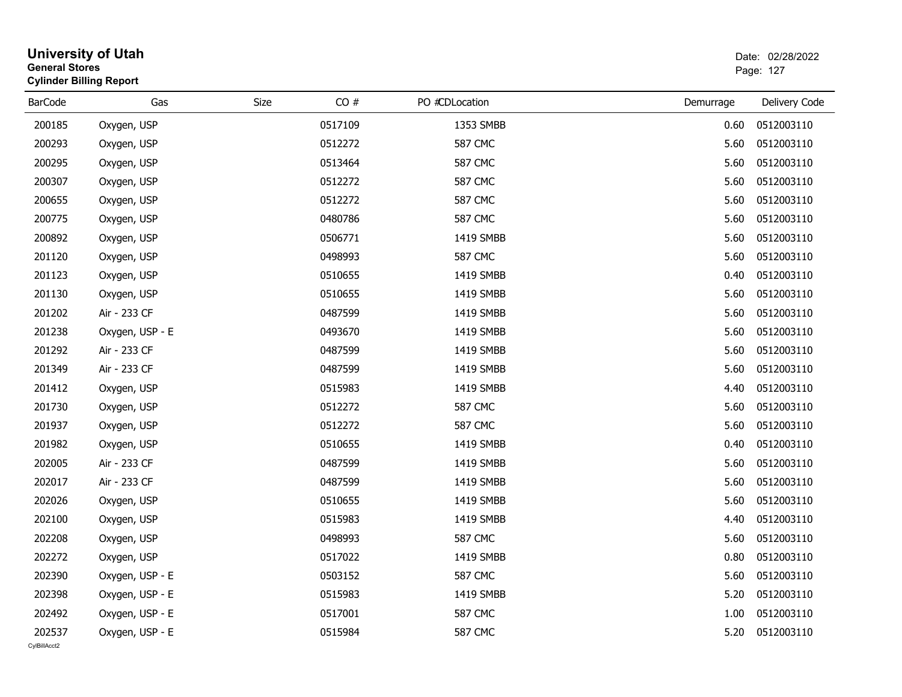|                        | <b>University of Utah</b><br><b>General Stores</b><br><b>Cylinder Billing Report</b> |      |         |                | Date: 02/28/2022<br>Page: 127 |                  |  |
|------------------------|--------------------------------------------------------------------------------------|------|---------|----------------|-------------------------------|------------------|--|
| <b>BarCode</b>         | Gas                                                                                  | Size | CO#     | PO #CDLocation | Demurrage                     | Delivery Code    |  |
| 200185                 | Oxygen, USP                                                                          |      | 0517109 | 1353 SMBB      | 0.60                          | 0512003110       |  |
| 200293                 | Oxygen, USP                                                                          |      | 0512272 | <b>587 CMC</b> | 5.60                          | 0512003110       |  |
| 200295                 | Oxygen, USP                                                                          |      | 0513464 | <b>587 CMC</b> | 5.60                          | 0512003110       |  |
| 200307                 | Oxygen, USP                                                                          |      | 0512272 | <b>587 CMC</b> | 5.60                          | 0512003110       |  |
| 200655                 | Oxygen, USP                                                                          |      | 0512272 | <b>587 CMC</b> | 5.60                          | 0512003110       |  |
| 200775                 | Oxygen, USP                                                                          |      | 0480786 | <b>587 CMC</b> | 5.60                          | 0512003110       |  |
| 200892                 | Oxygen, USP                                                                          |      | 0506771 | 1419 SMBB      | 5.60                          | 0512003110       |  |
| 201120                 | Oxygen, USP                                                                          |      | 0498993 | <b>587 CMC</b> | 5.60                          | 0512003110       |  |
| 201123                 | Oxygen, USP                                                                          |      | 0510655 | 1419 SMBB      | 0.40                          | 0512003110       |  |
| 201130                 | Oxygen, USP                                                                          |      | 0510655 | 1419 SMBB      | 5.60                          | 0512003110       |  |
| 201202                 | Air - 233 CF                                                                         |      | 0487599 | 1419 SMBB      | 5.60                          | 0512003110       |  |
| 201238                 | Oxygen, USP - E                                                                      |      | 0493670 | 1419 SMBB      | 5.60                          | 0512003110       |  |
| 201292                 | Air - 233 CF                                                                         |      | 0487599 | 1419 SMBB      | 5.60                          | 0512003110       |  |
| 201349                 | Air - 233 CF                                                                         |      | 0487599 | 1419 SMBB      | 5.60                          | 0512003110       |  |
| 201412                 | Oxygen, USP                                                                          |      | 0515983 | 1419 SMBB      | 4.40                          | 0512003110       |  |
| 201730                 | Oxygen, USP                                                                          |      | 0512272 | <b>587 CMC</b> | 5.60                          | 0512003110       |  |
| 201937                 | Oxygen, USP                                                                          |      | 0512272 | <b>587 CMC</b> | 5.60                          | 0512003110       |  |
| 201982                 | Oxygen, USP                                                                          |      | 0510655 | 1419 SMBB      | 0.40                          | 0512003110       |  |
| 202005                 | Air - 233 CF                                                                         |      | 0487599 | 1419 SMBB      | 5.60                          | 0512003110       |  |
| 202017                 | Air - 233 CF                                                                         |      | 0487599 | 1419 SMBB      | 5.60                          | 0512003110       |  |
| 202026                 | Oxygen, USP                                                                          |      | 0510655 | 1419 SMBB      | 5.60                          | 0512003110       |  |
| 202100                 | Oxygen, USP                                                                          |      | 0515983 | 1419 SMBB      | 4.40                          | 0512003110       |  |
| 202208                 | Oxygen, USP                                                                          |      | 0498993 | <b>587 CMC</b> | 5.60                          | 0512003110       |  |
| 202272                 | Oxygen, USP                                                                          |      | 0517022 | 1419 SMBB      |                               | 0.80  0512003110 |  |
| 202390                 | Oxygen, USP - E                                                                      |      | 0503152 | 587 CMC        | 5.60                          | 0512003110       |  |
| 202398                 | Oxygen, USP - E                                                                      |      | 0515983 | 1419 SMBB      | 5.20                          | 0512003110       |  |
| 202492                 | Oxygen, USP - E                                                                      |      | 0517001 | <b>587 CMC</b> | 1.00                          | 0512003110       |  |
| 202537<br>CvIBillAcct2 | Oxygen, USP - E                                                                      |      | 0515984 | <b>587 CMC</b> | 5.20                          | 0512003110       |  |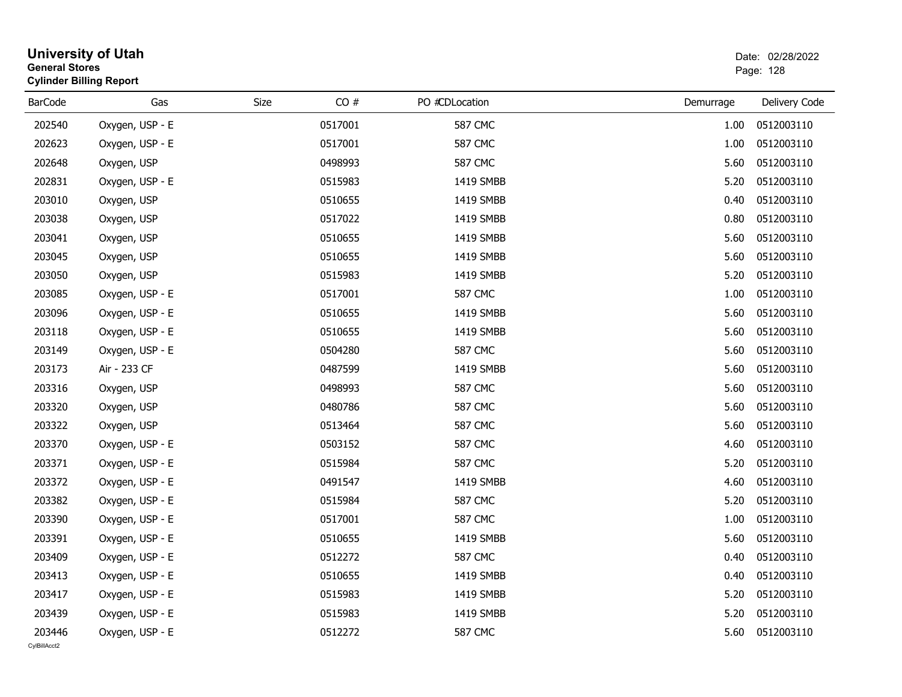|                        | <b>University of Utah</b><br><b>General Stores</b><br><b>Cylinder Billing Report</b> |      |         |                |           | Date: 02/28/2022<br>Page: 128 |  |  |
|------------------------|--------------------------------------------------------------------------------------|------|---------|----------------|-----------|-------------------------------|--|--|
| <b>BarCode</b>         | Gas                                                                                  | Size | CO#     | PO #CDLocation | Demurrage | Delivery Code                 |  |  |
| 202540                 | Oxygen, USP - E                                                                      |      | 0517001 | <b>587 CMC</b> | 1.00      | 0512003110                    |  |  |
| 202623                 | Oxygen, USP - E                                                                      |      | 0517001 | <b>587 CMC</b> | 1.00      | 0512003110                    |  |  |
| 202648                 | Oxygen, USP                                                                          |      | 0498993 | <b>587 CMC</b> | 5.60      | 0512003110                    |  |  |
| 202831                 | Oxygen, USP - E                                                                      |      | 0515983 | 1419 SMBB      | 5.20      | 0512003110                    |  |  |
| 203010                 | Oxygen, USP                                                                          |      | 0510655 | 1419 SMBB      | 0.40      | 0512003110                    |  |  |
| 203038                 | Oxygen, USP                                                                          |      | 0517022 | 1419 SMBB      | 0.80      | 0512003110                    |  |  |
| 203041                 | Oxygen, USP                                                                          |      | 0510655 | 1419 SMBB      | 5.60      | 0512003110                    |  |  |
| 203045                 | Oxygen, USP                                                                          |      | 0510655 | 1419 SMBB      | 5.60      | 0512003110                    |  |  |
| 203050                 | Oxygen, USP                                                                          |      | 0515983 | 1419 SMBB      | 5.20      | 0512003110                    |  |  |
| 203085                 | Oxygen, USP - E                                                                      |      | 0517001 | <b>587 CMC</b> | 1.00      | 0512003110                    |  |  |
| 203096                 | Oxygen, USP - E                                                                      |      | 0510655 | 1419 SMBB      | 5.60      | 0512003110                    |  |  |
| 203118                 | Oxygen, USP - E                                                                      |      | 0510655 | 1419 SMBB      | 5.60      | 0512003110                    |  |  |
| 203149                 | Oxygen, USP - E                                                                      |      | 0504280 | <b>587 CMC</b> | 5.60      | 0512003110                    |  |  |
| 203173                 | Air - 233 CF                                                                         |      | 0487599 | 1419 SMBB      | 5.60      | 0512003110                    |  |  |
| 203316                 | Oxygen, USP                                                                          |      | 0498993 | <b>587 CMC</b> | 5.60      | 0512003110                    |  |  |
| 203320                 | Oxygen, USP                                                                          |      | 0480786 | <b>587 CMC</b> | 5.60      | 0512003110                    |  |  |
| 203322                 | Oxygen, USP                                                                          |      | 0513464 | <b>587 CMC</b> | 5.60      | 0512003110                    |  |  |
| 203370                 | Oxygen, USP - E                                                                      |      | 0503152 | <b>587 CMC</b> | 4.60      | 0512003110                    |  |  |
| 203371                 | Oxygen, USP - E                                                                      |      | 0515984 | <b>587 CMC</b> | 5.20      | 0512003110                    |  |  |
| 203372                 | Oxygen, USP - E                                                                      |      | 0491547 | 1419 SMBB      | 4.60      | 0512003110                    |  |  |
| 203382                 | Oxygen, USP - E                                                                      |      | 0515984 | <b>587 CMC</b> | 5.20      | 0512003110                    |  |  |
| 203390                 | Oxygen, USP - E                                                                      |      | 0517001 | <b>587 CMC</b> | 1.00      | 0512003110                    |  |  |
| 203391                 | Oxygen, USP - E                                                                      |      | 0510655 | 1419 SMBB      | 5.60      | 0512003110                    |  |  |
| 203409                 | Oxygen, USP - E                                                                      |      | 0512272 | <b>587 CMC</b> |           | 0.40  0512003110              |  |  |
| 203413                 | Oxygen, USP - E                                                                      |      | 0510655 | 1419 SMBB      | 0.40      | 0512003110                    |  |  |
| 203417                 | Oxygen, USP - E                                                                      |      | 0515983 | 1419 SMBB      | 5.20      | 0512003110                    |  |  |
| 203439                 | Oxygen, USP - E                                                                      |      | 0515983 | 1419 SMBB      | 5.20      | 0512003110                    |  |  |
| 203446<br>CvIBillAcct2 | Oxygen, USP - E                                                                      |      | 0512272 | <b>587 CMC</b> | 5.60      | 0512003110                    |  |  |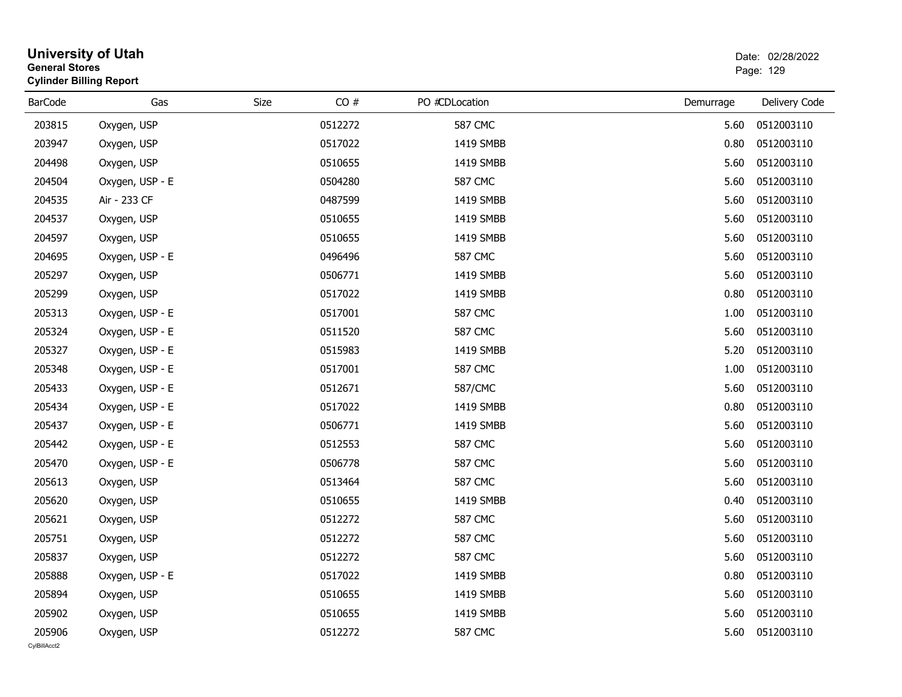|                        | <b>University of Utah</b><br><b>General Stores</b><br><b>Cylinder Billing Report</b> |      |         |                |           | Date: 02/28/2022<br>Page: 129 |  |  |
|------------------------|--------------------------------------------------------------------------------------|------|---------|----------------|-----------|-------------------------------|--|--|
| <b>BarCode</b>         | Gas                                                                                  | Size | CO#     | PO #CDLocation | Demurrage | Delivery Code                 |  |  |
| 203815                 | Oxygen, USP                                                                          |      | 0512272 | <b>587 CMC</b> | 5.60      | 0512003110                    |  |  |
| 203947                 | Oxygen, USP                                                                          |      | 0517022 | 1419 SMBB      | 0.80      | 0512003110                    |  |  |
| 204498                 | Oxygen, USP                                                                          |      | 0510655 | 1419 SMBB      | 5.60      | 0512003110                    |  |  |
| 204504                 | Oxygen, USP - E                                                                      |      | 0504280 | <b>587 CMC</b> | 5.60      | 0512003110                    |  |  |
| 204535                 | Air - 233 CF                                                                         |      | 0487599 | 1419 SMBB      | 5.60      | 0512003110                    |  |  |
| 204537                 | Oxygen, USP                                                                          |      | 0510655 | 1419 SMBB      | 5.60      | 0512003110                    |  |  |
| 204597                 | Oxygen, USP                                                                          |      | 0510655 | 1419 SMBB      | 5.60      | 0512003110                    |  |  |
| 204695                 | Oxygen, USP - E                                                                      |      | 0496496 | <b>587 CMC</b> | 5.60      | 0512003110                    |  |  |
| 205297                 | Oxygen, USP                                                                          |      | 0506771 | 1419 SMBB      | 5.60      | 0512003110                    |  |  |
| 205299                 | Oxygen, USP                                                                          |      | 0517022 | 1419 SMBB      | 0.80      | 0512003110                    |  |  |
| 205313                 | Oxygen, USP - E                                                                      |      | 0517001 | <b>587 CMC</b> | 1.00      | 0512003110                    |  |  |
| 205324                 | Oxygen, USP - E                                                                      |      | 0511520 | <b>587 CMC</b> | 5.60      | 0512003110                    |  |  |
| 205327                 | Oxygen, USP - E                                                                      |      | 0515983 | 1419 SMBB      | 5.20      | 0512003110                    |  |  |
| 205348                 | Oxygen, USP - E                                                                      |      | 0517001 | <b>587 CMC</b> | 1.00      | 0512003110                    |  |  |
| 205433                 | Oxygen, USP - E                                                                      |      | 0512671 | 587/CMC        | 5.60      | 0512003110                    |  |  |
| 205434                 | Oxygen, USP - E                                                                      |      | 0517022 | 1419 SMBB      | 0.80      | 0512003110                    |  |  |
| 205437                 | Oxygen, USP - E                                                                      |      | 0506771 | 1419 SMBB      | 5.60      | 0512003110                    |  |  |
| 205442                 | Oxygen, USP - E                                                                      |      | 0512553 | <b>587 CMC</b> | 5.60      | 0512003110                    |  |  |
| 205470                 | Oxygen, USP - E                                                                      |      | 0506778 | <b>587 CMC</b> | 5.60      | 0512003110                    |  |  |
| 205613                 | Oxygen, USP                                                                          |      | 0513464 | <b>587 CMC</b> | 5.60      | 0512003110                    |  |  |
| 205620                 | Oxygen, USP                                                                          |      | 0510655 | 1419 SMBB      | 0.40      | 0512003110                    |  |  |
| 205621                 | Oxygen, USP                                                                          |      | 0512272 | <b>587 CMC</b> | 5.60      | 0512003110                    |  |  |
| 205751                 | Oxygen, USP                                                                          |      | 0512272 | <b>587 CMC</b> | 5.60      | 0512003110                    |  |  |
| 205837                 | Oxygen, USP                                                                          |      | 0512272 | <b>587 CMC</b> | 5.60      | 0512003110                    |  |  |
| 205888                 | Oxygen, USP - E                                                                      |      | 0517022 | 1419 SMBB      | 0.80      | 0512003110                    |  |  |
| 205894                 | Oxygen, USP                                                                          |      | 0510655 | 1419 SMBB      | 5.60      | 0512003110                    |  |  |
| 205902                 | Oxygen, USP                                                                          |      | 0510655 | 1419 SMBB      | 5.60      | 0512003110                    |  |  |
| 205906<br>CylBillAcct2 | Oxygen, USP                                                                          |      | 0512272 | 587 CMC        | 5.60      | 0512003110                    |  |  |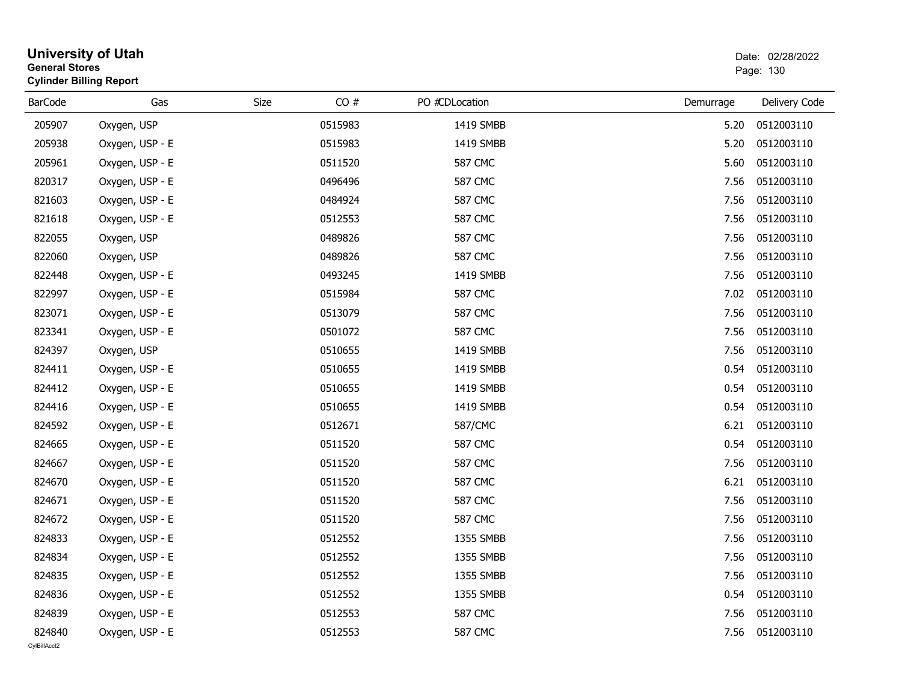| <b>General Stores</b>  | <b>University of Utah</b><br><b>Cylinder Billing Report</b> |      | Date: 02/28/2022<br>Page: 130 |                |           |               |
|------------------------|-------------------------------------------------------------|------|-------------------------------|----------------|-----------|---------------|
| <b>BarCode</b>         | Gas                                                         | Size | CO#                           | PO #CDLocation | Demurrage | Delivery Code |
| 205907                 | Oxygen, USP                                                 |      | 0515983                       | 1419 SMBB      | 5.20      | 0512003110    |
| 205938                 | Oxygen, USP - E                                             |      | 0515983                       | 1419 SMBB      | 5.20      | 0512003110    |
| 205961                 | Oxygen, USP - E                                             |      | 0511520                       | 587 CMC        | 5.60      | 0512003110    |
| 820317                 | Oxygen, USP - E                                             |      | 0496496                       | <b>587 CMC</b> | 7.56      | 0512003110    |
| 821603                 | Oxygen, USP - E                                             |      | 0484924                       | <b>587 CMC</b> | 7.56      | 0512003110    |
| 821618                 | Oxygen, USP - E                                             |      | 0512553                       | <b>587 CMC</b> | 7.56      | 0512003110    |
| 822055                 | Oxygen, USP                                                 |      | 0489826                       | <b>587 CMC</b> | 7.56      | 0512003110    |
| 822060                 | Oxygen, USP                                                 |      | 0489826                       | <b>587 CMC</b> | 7.56      | 0512003110    |
| 822448                 | Oxygen, USP - E                                             |      | 0493245                       | 1419 SMBB      | 7.56      | 0512003110    |
| 822997                 | Oxygen, USP - E                                             |      | 0515984                       | <b>587 CMC</b> | 7.02      | 0512003110    |
| 823071                 | Oxygen, USP - E                                             |      | 0513079                       | <b>587 CMC</b> | 7.56      | 0512003110    |
| 823341                 | Oxygen, USP - E                                             |      | 0501072                       | 587 CMC        | 7.56      | 0512003110    |
| 824397                 | Oxygen, USP                                                 |      | 0510655                       | 1419 SMBB      | 7.56      | 0512003110    |
| 824411                 | Oxygen, USP - E                                             |      | 0510655                       | 1419 SMBB      | 0.54      | 0512003110    |
| 824412                 | Oxygen, USP - E                                             |      | 0510655                       | 1419 SMBB      | 0.54      | 0512003110    |
| 824416                 | Oxygen, USP - E                                             |      | 0510655                       | 1419 SMBB      | 0.54      | 0512003110    |
| 824592                 | Oxygen, USP - E                                             |      | 0512671                       | 587/CMC        | 6.21      | 0512003110    |
| 824665                 | Oxygen, USP - E                                             |      | 0511520                       | <b>587 CMC</b> | 0.54      | 0512003110    |
| 824667                 | Oxygen, USP - E                                             |      | 0511520                       | <b>587 CMC</b> | 7.56      | 0512003110    |
| 824670                 | Oxygen, USP - E                                             |      | 0511520                       | <b>587 CMC</b> | 6.21      | 0512003110    |
| 824671                 | Oxygen, USP - E                                             |      | 0511520                       | <b>587 CMC</b> | 7.56      | 0512003110    |
| 824672                 | Oxygen, USP - E                                             |      | 0511520                       | <b>587 CMC</b> | 7.56      | 0512003110    |
| 824833                 | Oxygen, USP - E                                             |      | 0512552                       | 1355 SMBB      | 7.56      | 0512003110    |
| 824834                 | Oxygen, USP - E                                             |      | 0512552                       | 1355 SMBB      | 7.56      | 0512003110    |
| 824835                 | Oxygen, USP - E                                             |      | 0512552                       | 1355 SMBB      | 7.56      | 0512003110    |
| 824836                 | Oxygen, USP - E                                             |      | 0512552                       | 1355 SMBB      | 0.54      | 0512003110    |
| 824839                 | Oxygen, USP - E                                             |      | 0512553                       | <b>587 CMC</b> | 7.56      | 0512003110    |
| 824840<br>CvIBillAcct2 | Oxygen, USP - E                                             |      | 0512553                       | <b>587 CMC</b> | 7.56      | 0512003110    |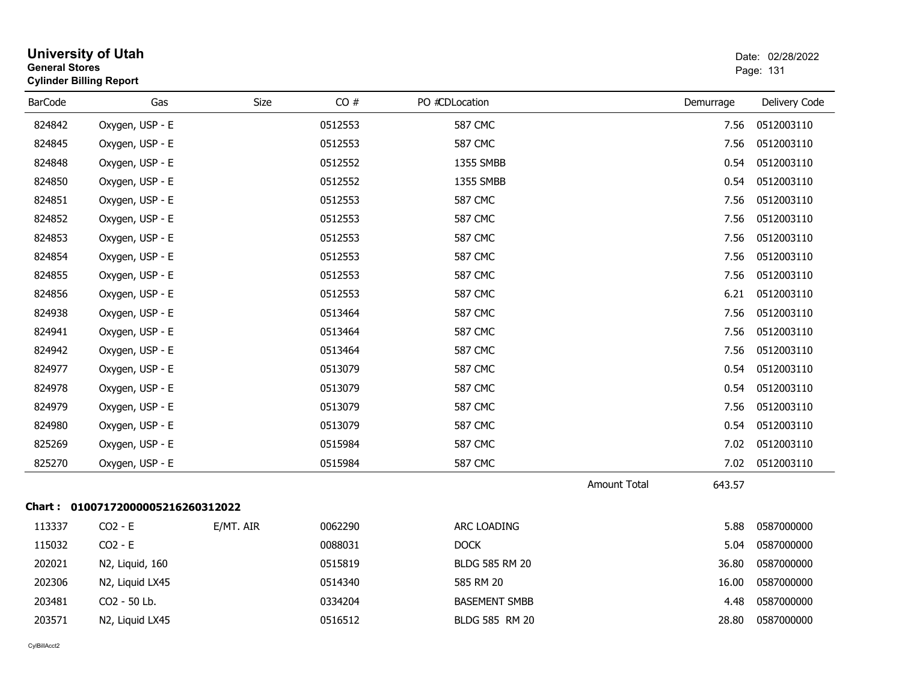| <b>General Stores</b> | <b>University of Utah</b><br><b>Cylinder Billing Report</b> |             |         |                       |              |           | Date: 02/28/2022<br>Page: 131 |
|-----------------------|-------------------------------------------------------------|-------------|---------|-----------------------|--------------|-----------|-------------------------------|
| <b>BarCode</b>        | Gas                                                         | <b>Size</b> | CO#     | PO #CDLocation        |              | Demurrage | Delivery Code                 |
| 824842                | Oxygen, USP - E                                             |             | 0512553 | <b>587 CMC</b>        |              | 7.56      | 0512003110                    |
| 824845                | Oxygen, USP - E                                             |             | 0512553 | <b>587 CMC</b>        |              | 7.56      | 0512003110                    |
| 824848                | Oxygen, USP - E                                             |             | 0512552 | 1355 SMBB             |              | 0.54      | 0512003110                    |
| 824850                | Oxygen, USP - E                                             |             | 0512552 | 1355 SMBB             |              | 0.54      | 0512003110                    |
| 824851                | Oxygen, USP - E                                             |             | 0512553 | <b>587 CMC</b>        |              | 7.56      | 0512003110                    |
| 824852                | Oxygen, USP - E                                             |             | 0512553 | <b>587 CMC</b>        |              | 7.56      | 0512003110                    |
| 824853                | Oxygen, USP - E                                             |             | 0512553 | <b>587 CMC</b>        |              | 7.56      | 0512003110                    |
| 824854                | Oxygen, USP - E                                             |             | 0512553 | <b>587 CMC</b>        |              | 7.56      | 0512003110                    |
| 824855                | Oxygen, USP - E                                             |             | 0512553 | <b>587 CMC</b>        |              | 7.56      | 0512003110                    |
| 824856                | Oxygen, USP - E                                             |             | 0512553 | <b>587 CMC</b>        |              | 6.21      | 0512003110                    |
| 824938                | Oxygen, USP - E                                             |             | 0513464 | <b>587 CMC</b>        |              | 7.56      | 0512003110                    |
| 824941                | Oxygen, USP - E                                             |             | 0513464 | <b>587 CMC</b>        |              | 7.56      | 0512003110                    |
| 824942                | Oxygen, USP - E                                             |             | 0513464 | <b>587 CMC</b>        |              | 7.56      | 0512003110                    |
| 824977                | Oxygen, USP - E                                             |             | 0513079 | <b>587 CMC</b>        |              | 0.54      | 0512003110                    |
| 824978                | Oxygen, USP - E                                             |             | 0513079 | <b>587 CMC</b>        |              | 0.54      | 0512003110                    |
| 824979                | Oxygen, USP - E                                             |             | 0513079 | <b>587 CMC</b>        |              | 7.56      | 0512003110                    |
| 824980                | Oxygen, USP - E                                             |             | 0513079 | <b>587 CMC</b>        |              | 0.54      | 0512003110                    |
| 825269                | Oxygen, USP - E                                             |             | 0515984 | <b>587 CMC</b>        |              | 7.02      | 0512003110                    |
| 825270                | Oxygen, USP - E                                             |             | 0515984 | <b>587 CMC</b>        |              | 7.02      | 0512003110                    |
|                       |                                                             |             |         |                       | Amount Total | 643.57    |                               |
|                       | Chart: 01007172000005216260312022                           |             |         |                       |              |           |                               |
| 113337                | $CO2 - E$                                                   | E/MT. AIR   | 0062290 | ARC LOADING           |              | 5.88      | 0587000000                    |
| 115032                | $CO2 - E$                                                   |             | 0088031 | <b>DOCK</b>           |              | 5.04      | 0587000000                    |
| 202021                | N2, Liquid, 160                                             |             | 0515819 | <b>BLDG 585 RM 20</b> |              | 36.80     | 0587000000                    |
| 202306                | N2, Liquid LX45                                             |             | 0514340 | 585 RM 20             |              | 16.00     | 0587000000                    |
| 203481                | CO2 - 50 Lb.                                                |             | 0334204 | <b>BASEMENT SMBB</b>  |              | 4.48      | 0587000000                    |
| 203571                | N2, Liquid LX45                                             |             | 0516512 | BLDG 585 RM 20        |              | 28.80     | 0587000000                    |
|                       |                                                             |             |         |                       |              |           |                               |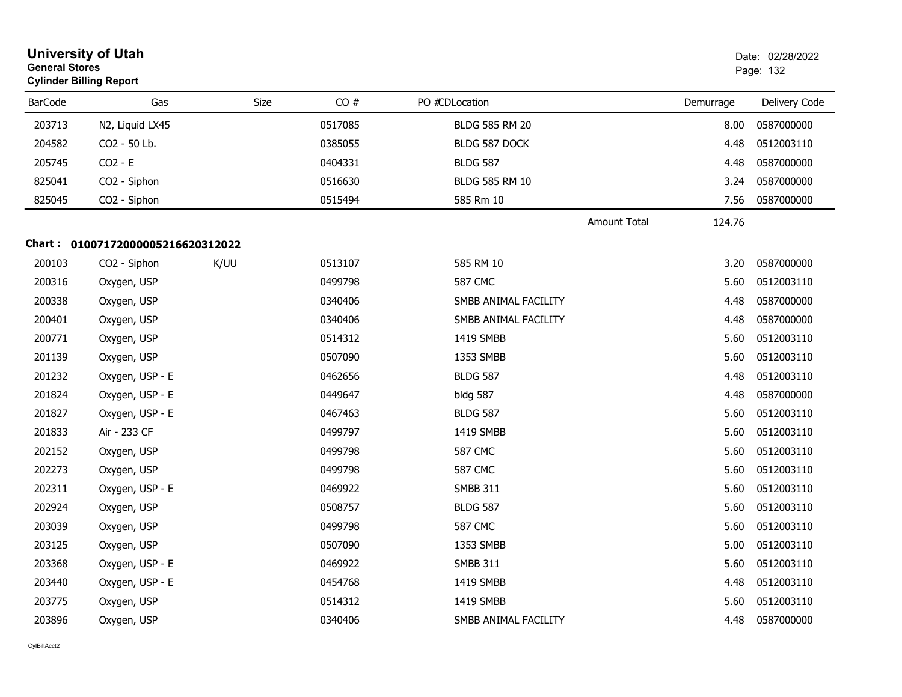|                | <b>University of Utah</b><br><b>General Stores</b><br><b>Cylinder Billing Report</b> |      |         |                       |                     | Date: 02/28/2022<br>Page: 132 |               |
|----------------|--------------------------------------------------------------------------------------|------|---------|-----------------------|---------------------|-------------------------------|---------------|
| <b>BarCode</b> | Gas                                                                                  | Size | CO#     | PO #CDLocation        |                     | Demurrage                     | Delivery Code |
| 203713         | N2, Liquid LX45                                                                      |      | 0517085 | <b>BLDG 585 RM 20</b> |                     | 8.00                          | 0587000000    |
| 204582         | CO2 - 50 Lb.                                                                         |      | 0385055 | BLDG 587 DOCK         |                     | 4.48                          | 0512003110    |
| 205745         | $CO2 - E$                                                                            |      | 0404331 | <b>BLDG 587</b>       |                     | 4.48                          | 0587000000    |
| 825041         | CO2 - Siphon                                                                         |      | 0516630 | BLDG 585 RM 10        |                     | 3.24                          | 0587000000    |
| 825045         | CO2 - Siphon                                                                         |      | 0515494 | 585 Rm 10             |                     | 7.56                          | 0587000000    |
|                |                                                                                      |      |         |                       | <b>Amount Total</b> | 124.76                        |               |
|                | Chart: 01007172000005216620312022                                                    |      |         |                       |                     |                               |               |
| 200103         | CO2 - Siphon                                                                         | K/UU | 0513107 | 585 RM 10             |                     | 3.20                          | 0587000000    |
| 200316         | Oxygen, USP                                                                          |      | 0499798 | <b>587 CMC</b>        |                     | 5.60                          | 0512003110    |
| 200338         | Oxygen, USP                                                                          |      | 0340406 | SMBB ANIMAL FACILITY  |                     | 4.48                          | 0587000000    |
| 200401         | Oxygen, USP                                                                          |      | 0340406 | SMBB ANIMAL FACILITY  |                     | 4.48                          | 0587000000    |
| 200771         | Oxygen, USP                                                                          |      | 0514312 | 1419 SMBB             |                     | 5.60                          | 0512003110    |
| 201139         | Oxygen, USP                                                                          |      | 0507090 | 1353 SMBB             |                     | 5.60                          | 0512003110    |
| 201232         | Oxygen, USP - E                                                                      |      | 0462656 | <b>BLDG 587</b>       |                     | 4.48                          | 0512003110    |
| 201824         | Oxygen, USP - E                                                                      |      | 0449647 | bldg 587              |                     | 4.48                          | 0587000000    |
| 201827         | Oxygen, USP - E                                                                      |      | 0467463 | <b>BLDG 587</b>       |                     | 5.60                          | 0512003110    |
| 201833         | Air - 233 CF                                                                         |      | 0499797 | 1419 SMBB             |                     | 5.60                          | 0512003110    |
| 202152         | Oxygen, USP                                                                          |      | 0499798 | <b>587 CMC</b>        |                     | 5.60                          | 0512003110    |
| 202273         | Oxygen, USP                                                                          |      | 0499798 | 587 CMC               |                     | 5.60                          | 0512003110    |
| 202311         | Oxygen, USP - E                                                                      |      | 0469922 | <b>SMBB 311</b>       |                     | 5.60                          | 0512003110    |
| 202924         | Oxygen, USP                                                                          |      | 0508757 | <b>BLDG 587</b>       |                     | 5.60                          | 0512003110    |
| 203039         | Oxygen, USP                                                                          |      | 0499798 | <b>587 CMC</b>        |                     | 5.60                          | 0512003110    |
| 203125         | Oxygen, USP                                                                          |      | 0507090 | 1353 SMBB             |                     | 5.00                          | 0512003110    |
| 203368         | Oxygen, USP - E                                                                      |      | 0469922 | <b>SMBB 311</b>       |                     | 5.60                          | 0512003110    |
| 203440         | Oxygen, USP - E                                                                      |      | 0454768 | 1419 SMBB             |                     | 4.48                          | 0512003110    |
| 203775         | Oxygen, USP                                                                          |      | 0514312 | 1419 SMBB             |                     | 5.60                          | 0512003110    |
| 203896         | Oxygen, USP                                                                          |      | 0340406 | SMBB ANIMAL FACILITY  |                     | 4.48                          | 0587000000    |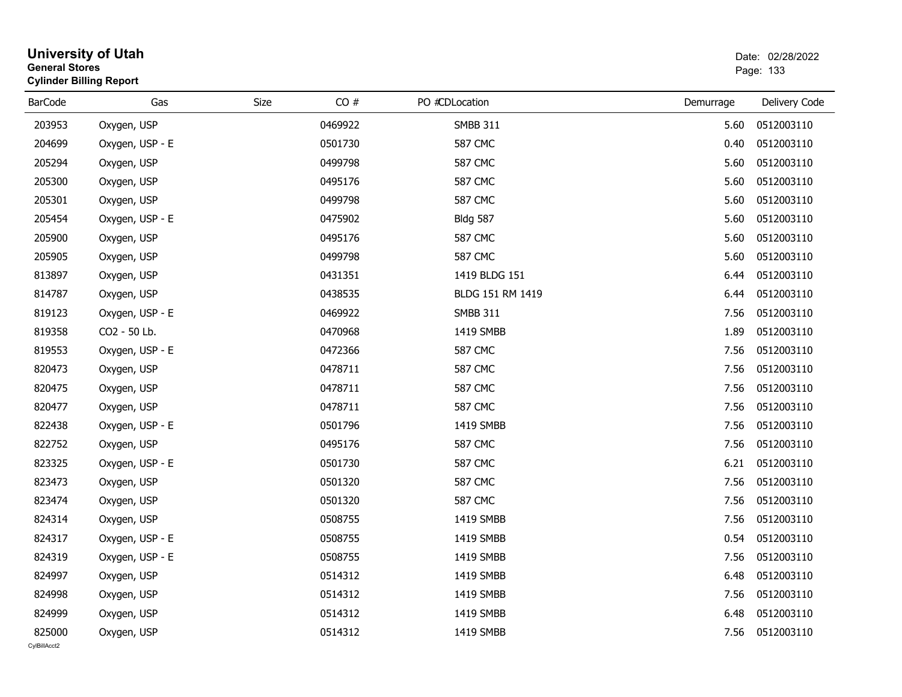|                        | <b>University of Utah</b><br><b>General Stores</b><br><b>Cylinder Billing Report</b> |      |         |                  | Date: 02/28/2022<br>Page: 133 |                 |  |
|------------------------|--------------------------------------------------------------------------------------|------|---------|------------------|-------------------------------|-----------------|--|
| <b>BarCode</b>         | Gas                                                                                  | Size | CO#     | PO #CDLocation   | Demurrage                     | Delivery Code   |  |
| 203953                 | Oxygen, USP                                                                          |      | 0469922 | <b>SMBB 311</b>  | 5.60                          | 0512003110      |  |
| 204699                 | Oxygen, USP - E                                                                      |      | 0501730 | <b>587 CMC</b>   | 0.40                          | 0512003110      |  |
| 205294                 | Oxygen, USP                                                                          |      | 0499798 | <b>587 CMC</b>   | 5.60                          | 0512003110      |  |
| 205300                 | Oxygen, USP                                                                          |      | 0495176 | <b>587 CMC</b>   | 5.60                          | 0512003110      |  |
| 205301                 | Oxygen, USP                                                                          |      | 0499798 | <b>587 CMC</b>   | 5.60                          | 0512003110      |  |
| 205454                 | Oxygen, USP - E                                                                      |      | 0475902 | <b>Bldg 587</b>  | 5.60                          | 0512003110      |  |
| 205900                 | Oxygen, USP                                                                          |      | 0495176 | 587 CMC          | 5.60                          | 0512003110      |  |
| 205905                 | Oxygen, USP                                                                          |      | 0499798 | <b>587 CMC</b>   | 5.60                          | 0512003110      |  |
| 813897                 | Oxygen, USP                                                                          |      | 0431351 | 1419 BLDG 151    | 6.44                          | 0512003110      |  |
| 814787                 | Oxygen, USP                                                                          |      | 0438535 | BLDG 151 RM 1419 | 6.44                          | 0512003110      |  |
| 819123                 | Oxygen, USP - E                                                                      |      | 0469922 | <b>SMBB 311</b>  | 7.56                          | 0512003110      |  |
| 819358                 | CO2 - 50 Lb.                                                                         |      | 0470968 | 1419 SMBB        | 1.89                          | 0512003110      |  |
| 819553                 | Oxygen, USP - E                                                                      |      | 0472366 | <b>587 CMC</b>   | 7.56                          | 0512003110      |  |
| 820473                 | Oxygen, USP                                                                          |      | 0478711 | <b>587 CMC</b>   | 7.56                          | 0512003110      |  |
| 820475                 | Oxygen, USP                                                                          |      | 0478711 | <b>587 CMC</b>   | 7.56                          | 0512003110      |  |
| 820477                 | Oxygen, USP                                                                          |      | 0478711 | <b>587 CMC</b>   | 7.56                          | 0512003110      |  |
| 822438                 | Oxygen, USP - E                                                                      |      | 0501796 | 1419 SMBB        | 7.56                          | 0512003110      |  |
| 822752                 | Oxygen, USP                                                                          |      | 0495176 | <b>587 CMC</b>   | 7.56                          | 0512003110      |  |
| 823325                 | Oxygen, USP - E                                                                      |      | 0501730 | <b>587 CMC</b>   | 6.21                          | 0512003110      |  |
| 823473                 | Oxygen, USP                                                                          |      | 0501320 | <b>587 CMC</b>   | 7.56                          | 0512003110      |  |
| 823474                 | Oxygen, USP                                                                          |      | 0501320 | <b>587 CMC</b>   | 7.56                          | 0512003110      |  |
| 824314                 | Oxygen, USP                                                                          |      | 0508755 | 1419 SMBB        | 7.56                          | 0512003110      |  |
| 824317                 | Oxygen, USP - E                                                                      |      | 0508755 | 1419 SMBB        | 0.54                          | 0512003110      |  |
| 824319                 | Oxygen, USP - E                                                                      |      | 0508755 | 1419 SMBB        |                               | 7.56 0512003110 |  |
| 824997                 | Oxygen, USP                                                                          |      | 0514312 | 1419 SMBB        | 6.48                          | 0512003110      |  |
| 824998                 | Oxygen, USP                                                                          |      | 0514312 | 1419 SMBB        | 7.56                          | 0512003110      |  |
| 824999                 | Oxygen, USP                                                                          |      | 0514312 | 1419 SMBB        | 6.48                          | 0512003110      |  |
| 825000<br>CylBillAcct2 | Oxygen, USP                                                                          |      | 0514312 | 1419 SMBB        |                               | 7.56 0512003110 |  |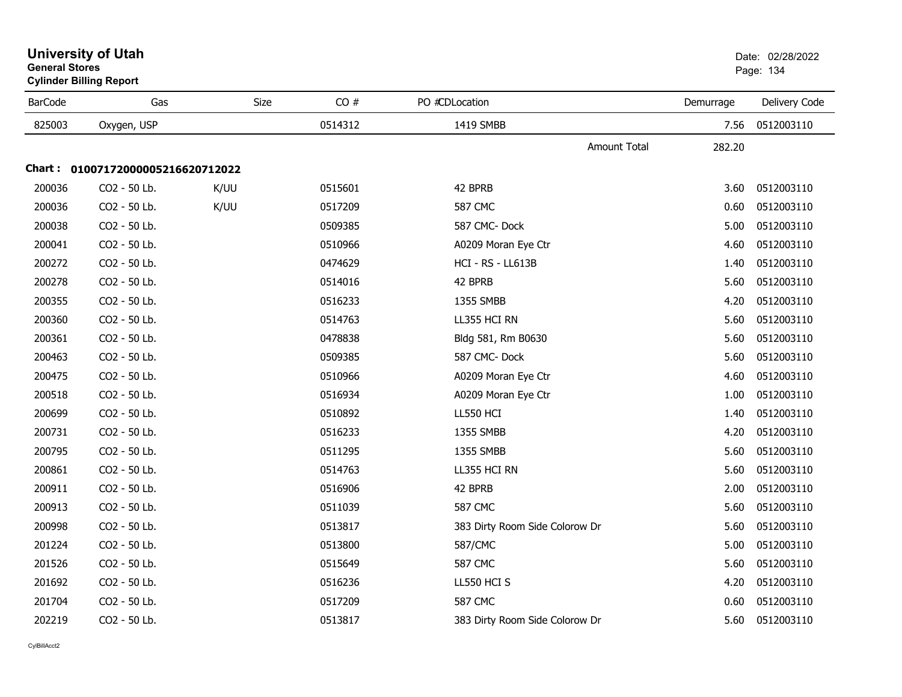| <b>BarCode</b> | Gas                               | Size | CO#     | PO #CDLocation                 | Demurrage | Delivery Code |
|----------------|-----------------------------------|------|---------|--------------------------------|-----------|---------------|
| 825003         | Oxygen, USP                       |      | 0514312 | 1419 SMBB                      | 7.56      | 0512003110    |
|                |                                   |      |         | Amount Total                   | 282.20    |               |
|                | Chart: 01007172000005216620712022 |      |         |                                |           |               |
| 200036         | CO2 - 50 Lb.                      | K/UU | 0515601 | 42 BPRB                        | 3.60      | 0512003110    |
| 200036         | CO2 - 50 Lb.                      | K/UU | 0517209 | <b>587 CMC</b>                 | 0.60      | 0512003110    |
| 200038         | CO2 - 50 Lb.                      |      | 0509385 | 587 CMC-Dock                   | 5.00      | 0512003110    |
| 200041         | CO2 - 50 Lb.                      |      | 0510966 | A0209 Moran Eye Ctr            | 4.60      | 0512003110    |
| 200272         | CO2 - 50 Lb.                      |      | 0474629 | HCI - RS - LL613B              | 1.40      | 0512003110    |
| 200278         | CO2 - 50 Lb.                      |      | 0514016 | 42 BPRB                        | 5.60      | 0512003110    |
| 200355         | CO2 - 50 Lb.                      |      | 0516233 | 1355 SMBB                      | 4.20      | 0512003110    |
| 200360         | CO2 - 50 Lb.                      |      | 0514763 | LL355 HCI RN                   | 5.60      | 0512003110    |
| 200361         | CO2 - 50 Lb.                      |      | 0478838 | Bldg 581, Rm B0630             | 5.60      | 0512003110    |
| 200463         | CO2 - 50 Lb.                      |      | 0509385 | 587 CMC-Dock                   | 5.60      | 0512003110    |
| 200475         | CO2 - 50 Lb.                      |      | 0510966 | A0209 Moran Eye Ctr            | 4.60      | 0512003110    |
| 200518         | CO2 - 50 Lb.                      |      | 0516934 | A0209 Moran Eye Ctr            | 1.00      | 0512003110    |
| 200699         | CO2 - 50 Lb.                      |      | 0510892 | <b>LL550 HCI</b>               | 1.40      | 0512003110    |
| 200731         | CO2 - 50 Lb.                      |      | 0516233 | 1355 SMBB                      | 4.20      | 0512003110    |
| 200795         | CO2 - 50 Lb.                      |      | 0511295 | 1355 SMBB                      | 5.60      | 0512003110    |
| 200861         | CO2 - 50 Lb.                      |      | 0514763 | LL355 HCI RN                   | 5.60      | 0512003110    |
| 200911         | CO2 - 50 Lb.                      |      | 0516906 | 42 BPRB                        | 2.00      | 0512003110    |
| 200913         | CO2 - 50 Lb.                      |      | 0511039 | <b>587 CMC</b>                 | 5.60      | 0512003110    |
| 200998         | CO2 - 50 Lb.                      |      | 0513817 | 383 Dirty Room Side Colorow Dr | 5.60      | 0512003110    |
| 201224         | CO2 - 50 Lb.                      |      | 0513800 | 587/CMC                        | 5.00      | 0512003110    |
| 201526         | CO2 - 50 Lb.                      |      | 0515649 | <b>587 CMC</b>                 | 5.60      | 0512003110    |
| 201692         | CO2 - 50 Lb.                      |      | 0516236 | LL550 HCI S                    | 4.20      | 0512003110    |
| 201704         | CO2 - 50 Lb.                      |      | 0517209 | <b>587 CMC</b>                 | 0.60      | 0512003110    |
| 202219         | CO2 - 50 Lb.                      |      | 0513817 | 383 Dirty Room Side Colorow Dr | 5.60      | 0512003110    |

#### **University of Utah** Date: 02/28/2022 **General Stores**er and the state of the state of the state of the state of the state of the state of the state of the state of the state of the state of the state of the state of the state of the state of the state of the state of the sta **Cylinder Billing Report**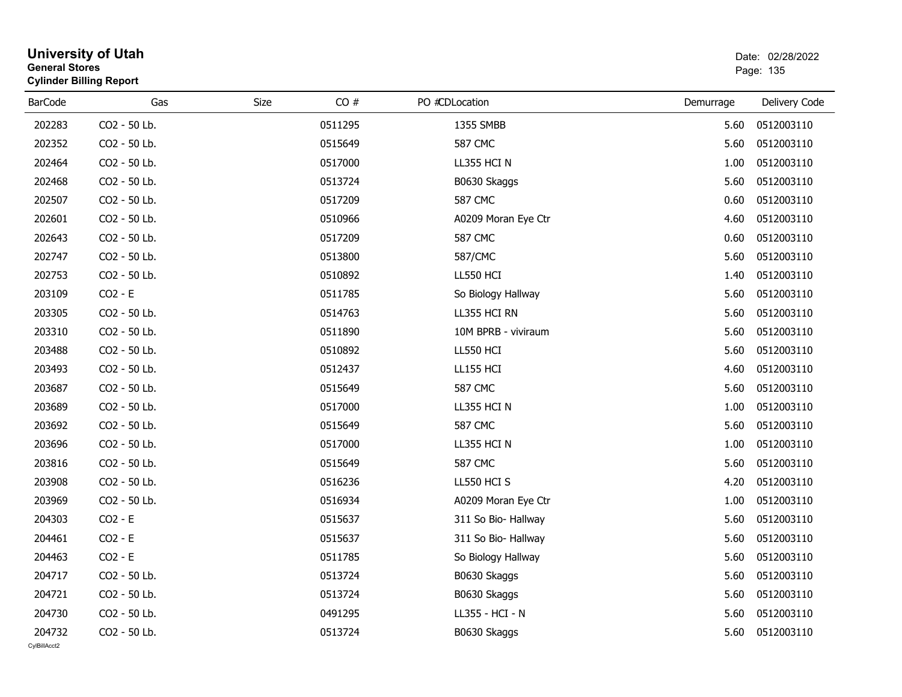| General Stores<br><b>Cylinder Billing Report</b> |              |      |         |                     | Page: 135 |               |  |
|--------------------------------------------------|--------------|------|---------|---------------------|-----------|---------------|--|
| <b>BarCode</b>                                   | Gas          | Size | CO#     | PO #CDLocation      | Demurrage | Delivery Code |  |
| 202283                                           | CO2 - 50 Lb. |      | 0511295 | 1355 SMBB           | 5.60      | 0512003110    |  |
| 202352                                           | CO2 - 50 Lb. |      | 0515649 | <b>587 CMC</b>      | 5.60      | 0512003110    |  |
| 202464                                           | CO2 - 50 Lb. |      | 0517000 | LL355 HCI N         | 1.00      | 0512003110    |  |
| 202468                                           | CO2 - 50 Lb. |      | 0513724 | B0630 Skaggs        | 5.60      | 0512003110    |  |
| 202507                                           | CO2 - 50 Lb. |      | 0517209 | <b>587 CMC</b>      | 0.60      | 0512003110    |  |
| 202601                                           | CO2 - 50 Lb. |      | 0510966 | A0209 Moran Eye Ctr | 4.60      | 0512003110    |  |
| 202643                                           | CO2 - 50 Lb. |      | 0517209 | <b>587 CMC</b>      | 0.60      | 0512003110    |  |
| 202747                                           | CO2 - 50 Lb. |      | 0513800 | 587/CMC             | 5.60      | 0512003110    |  |
| 202753                                           | CO2 - 50 Lb. |      | 0510892 | LL550 HCI           | 1.40      | 0512003110    |  |
| 203109                                           | $CO2 - E$    |      | 0511785 | So Biology Hallway  | 5.60      | 0512003110    |  |
| 203305                                           | CO2 - 50 Lb. |      | 0514763 | LL355 HCI RN        | 5.60      | 0512003110    |  |
| 203310                                           | CO2 - 50 Lb. |      | 0511890 | 10M BPRB - viviraum | 5.60      | 0512003110    |  |
| 203488                                           | CO2 - 50 Lb. |      | 0510892 | LL550 HCI           | 5.60      | 0512003110    |  |
| 203493                                           | CO2 - 50 Lb. |      | 0512437 | <b>LL155 HCI</b>    | 4.60      | 0512003110    |  |
| 203687                                           | CO2 - 50 Lb. |      | 0515649 | <b>587 CMC</b>      | 5.60      | 0512003110    |  |
| 203689                                           | CO2 - 50 Lb. |      | 0517000 | LL355 HCI N         | 1.00      | 0512003110    |  |
| 203692                                           | CO2 - 50 Lb. |      | 0515649 | <b>587 CMC</b>      | 5.60      | 0512003110    |  |
| 203696                                           | CO2 - 50 Lb. |      | 0517000 | LL355 HCI N         | 1.00      | 0512003110    |  |
| 203816                                           | CO2 - 50 Lb. |      | 0515649 | <b>587 CMC</b>      | 5.60      | 0512003110    |  |
| 203908                                           | CO2 - 50 Lb. |      | 0516236 | LL550 HCI S         | 4.20      | 0512003110    |  |
| 203969                                           | CO2 - 50 Lb. |      | 0516934 | A0209 Moran Eye Ctr | 1.00      | 0512003110    |  |
| 204303                                           | $CO2 - E$    |      | 0515637 | 311 So Bio- Hallway | 5.60      | 0512003110    |  |
| 204461                                           | $CO2 - E$    |      | 0515637 | 311 So Bio- Hallway | 5.60      | 0512003110    |  |
| 204463                                           | $CO2 - E$    |      | 0511785 | So Biology Hallway  | 5.60      | 0512003110    |  |
| 204717                                           | CO2 - 50 Lb. |      | 0513724 | B0630 Skaggs        | 5.60      | 0512003110    |  |
| 204721                                           | CO2 - 50 Lb. |      | 0513724 | B0630 Skaggs        | 5.60      | 0512003110    |  |
| 204730                                           | CO2 - 50 Lb. |      | 0491295 | LL355 - HCI - N     | 5.60      | 0512003110    |  |
| 204732                                           | CO2 - 50 Lb. |      | 0513724 | B0630 Skaggs        | 5.60      | 0512003110    |  |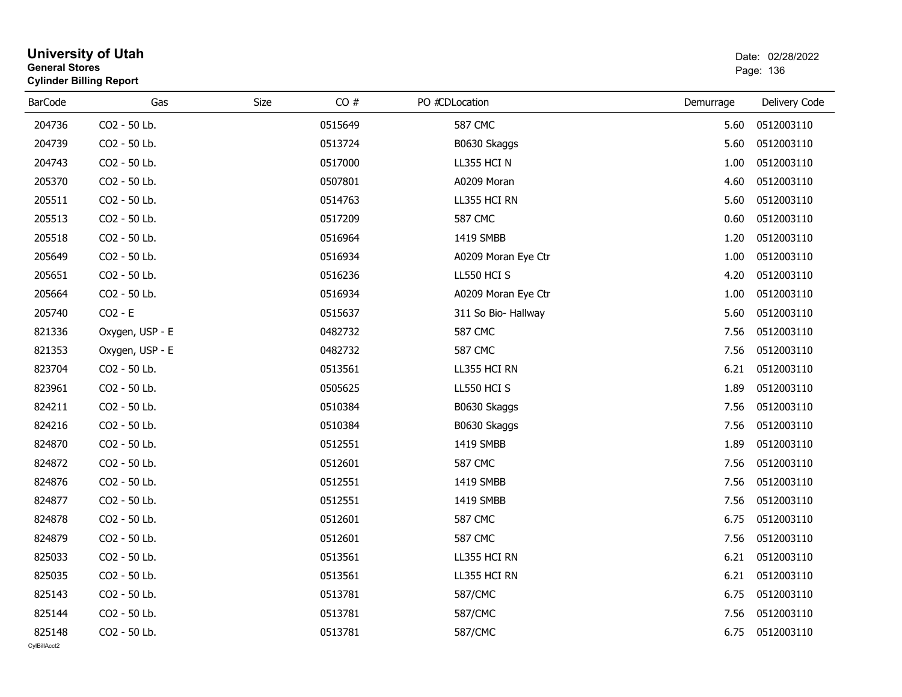| General Stores<br><b>Cylinder Billing Report</b> |                 |      | Page: 136 |                     |           |               |
|--------------------------------------------------|-----------------|------|-----------|---------------------|-----------|---------------|
| <b>BarCode</b>                                   | Gas             | Size | CO#       | PO #CDLocation      | Demurrage | Delivery Code |
| 204736                                           | CO2 - 50 Lb.    |      | 0515649   | <b>587 CMC</b>      | 5.60      | 0512003110    |
| 204739                                           | CO2 - 50 Lb.    |      | 0513724   | B0630 Skaggs        | 5.60      | 0512003110    |
| 204743                                           | CO2 - 50 Lb.    |      | 0517000   | LL355 HCI N         | 1.00      | 0512003110    |
| 205370                                           | CO2 - 50 Lb.    |      | 0507801   | A0209 Moran         | 4.60      | 0512003110    |
| 205511                                           | CO2 - 50 Lb.    |      | 0514763   | LL355 HCI RN        | 5.60      | 0512003110    |
| 205513                                           | CO2 - 50 Lb.    |      | 0517209   | <b>587 CMC</b>      | 0.60      | 0512003110    |
| 205518                                           | CO2 - 50 Lb.    |      | 0516964   | 1419 SMBB           | 1.20      | 0512003110    |
| 205649                                           | CO2 - 50 Lb.    |      | 0516934   | A0209 Moran Eye Ctr | 1.00      | 0512003110    |
| 205651                                           | CO2 - 50 Lb.    |      | 0516236   | LL550 HCI S         | 4.20      | 0512003110    |
| 205664                                           | CO2 - 50 Lb.    |      | 0516934   | A0209 Moran Eye Ctr | 1.00      | 0512003110    |
| 205740                                           | $CO2 - E$       |      | 0515637   | 311 So Bio- Hallway | 5.60      | 0512003110    |
| 821336                                           | Oxygen, USP - E |      | 0482732   | <b>587 CMC</b>      | 7.56      | 0512003110    |
| 821353                                           | Oxygen, USP - E |      | 0482732   | <b>587 CMC</b>      | 7.56      | 0512003110    |
| 823704                                           | CO2 - 50 Lb.    |      | 0513561   | LL355 HCI RN        | 6.21      | 0512003110    |
| 823961                                           | CO2 - 50 Lb.    |      | 0505625   | LL550 HCI S         | 1.89      | 0512003110    |
| 824211                                           | CO2 - 50 Lb.    |      | 0510384   | B0630 Skaggs        | 7.56      | 0512003110    |
| 824216                                           | CO2 - 50 Lb.    |      | 0510384   | B0630 Skaggs        | 7.56      | 0512003110    |
| 824870                                           | CO2 - 50 Lb.    |      | 0512551   | 1419 SMBB           | 1.89      | 0512003110    |
| 824872                                           | CO2 - 50 Lb.    |      | 0512601   | <b>587 CMC</b>      | 7.56      | 0512003110    |
| 824876                                           | CO2 - 50 Lb.    |      | 0512551   | 1419 SMBB           | 7.56      | 0512003110    |
| 824877                                           | CO2 - 50 Lb.    |      | 0512551   | 1419 SMBB           | 7.56      | 0512003110    |
| 824878                                           | CO2 - 50 Lb.    |      | 0512601   | <b>587 CMC</b>      | 6.75      | 0512003110    |
| 824879                                           | CO2 - 50 Lb.    |      | 0512601   | <b>587 CMC</b>      | 7.56      | 0512003110    |
| 825033                                           | CO2 - 50 Lb.    |      | 0513561   | LL355 HCI RN        | 6.21      | 0512003110    |
| 825035                                           | CO2 - 50 Lb.    |      | 0513561   | LL355 HCI RN        | 6.21      | 0512003110    |
| 825143                                           | CO2 - 50 Lb.    |      | 0513781   | 587/CMC             | 6.75      | 0512003110    |
| 825144                                           | CO2 - 50 Lb.    |      | 0513781   | 587/CMC             | 7.56      | 0512003110    |
| 825148                                           | CO2 - 50 Lb.    |      | 0513781   | 587/CMC             | 6.75      | 0512003110    |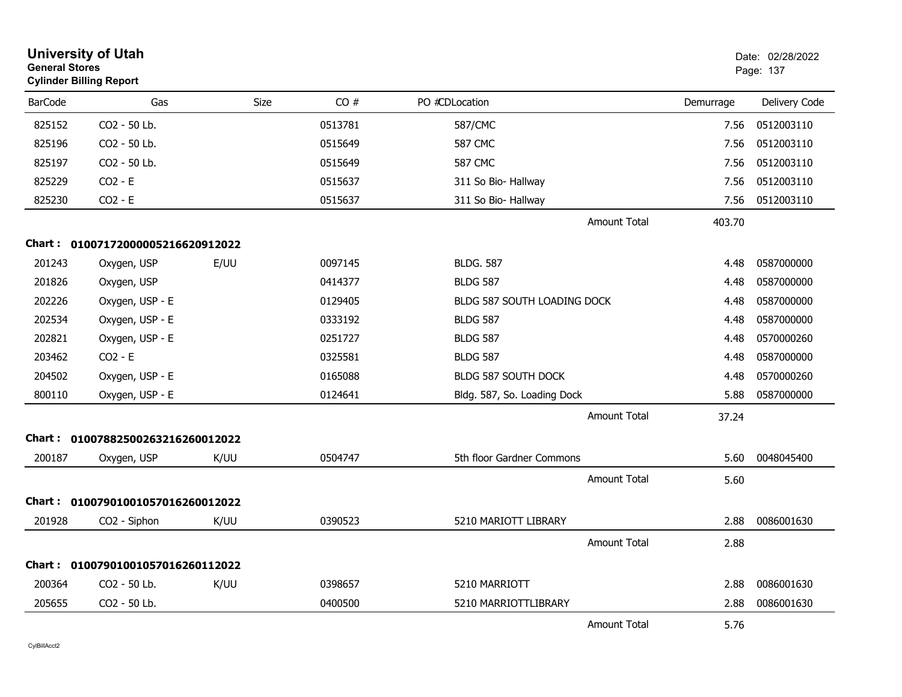| <b>General Stores</b> | <b>University of Utah</b><br><b>Cylinder Billing Report</b> |             |         |                             |                     |           | Date: 02/28/2022<br>Page: 137 |
|-----------------------|-------------------------------------------------------------|-------------|---------|-----------------------------|---------------------|-----------|-------------------------------|
| <b>BarCode</b>        | Gas                                                         | <b>Size</b> | CO#     | PO #CDLocation              |                     | Demurrage | Delivery Code                 |
| 825152                | CO2 - 50 Lb.                                                |             | 0513781 | 587/CMC                     |                     | 7.56      | 0512003110                    |
| 825196                | CO2 - 50 Lb.                                                |             | 0515649 | <b>587 CMC</b>              |                     | 7.56      | 0512003110                    |
| 825197                | CO2 - 50 Lb.                                                |             | 0515649 | <b>587 CMC</b>              |                     | 7.56      | 0512003110                    |
| 825229                | $CO2 - E$                                                   |             | 0515637 | 311 So Bio- Hallway         |                     | 7.56      | 0512003110                    |
| 825230                | $CO2 - E$                                                   |             | 0515637 | 311 So Bio- Hallway         |                     | 7.56      | 0512003110                    |
|                       |                                                             |             |         |                             | <b>Amount Total</b> | 403.70    |                               |
|                       | Chart: 01007172000005216620912022                           |             |         |                             |                     |           |                               |
| 201243                | Oxygen, USP                                                 | E/UU        | 0097145 | <b>BLDG. 587</b>            |                     | 4.48      | 0587000000                    |
| 201826                | Oxygen, USP                                                 |             | 0414377 | <b>BLDG 587</b>             |                     | 4.48      | 0587000000                    |
| 202226                | Oxygen, USP - E                                             |             | 0129405 | BLDG 587 SOUTH LOADING DOCK |                     | 4.48      | 0587000000                    |
| 202534                | Oxygen, USP - E                                             |             | 0333192 | <b>BLDG 587</b>             |                     | 4.48      | 0587000000                    |
| 202821                | Oxygen, USP - E                                             |             | 0251727 | <b>BLDG 587</b>             |                     | 4.48      | 0570000260                    |
| 203462                | $CO2 - E$                                                   |             | 0325581 | <b>BLDG 587</b>             |                     | 4.48      | 0587000000                    |
| 204502                | Oxygen, USP - E                                             |             | 0165088 | <b>BLDG 587 SOUTH DOCK</b>  |                     | 4.48      | 0570000260                    |
| 800110                | Oxygen, USP - E                                             |             | 0124641 | Bldg. 587, So. Loading Dock |                     | 5.88      | 0587000000                    |
|                       |                                                             |             |         |                             | Amount Total        | 37.24     |                               |
| Chart :               | 01007882500263216260012022                                  |             |         |                             |                     |           |                               |
| 200187                | Oxygen, USP                                                 | K/UU        | 0504747 | 5th floor Gardner Commons   |                     | 5.60      | 0048045400                    |
|                       |                                                             |             |         |                             | <b>Amount Total</b> | 5.60      |                               |
| Chart :               | 01007901001057016260012022                                  |             |         |                             |                     |           |                               |
| 201928                | CO2 - Siphon                                                | K/UU        | 0390523 | 5210 MARIOTT LIBRARY        |                     | 2.88      | 0086001630                    |
|                       |                                                             |             |         |                             | <b>Amount Total</b> | 2.88      |                               |
| Chart :               | 01007901001057016260112022                                  |             |         |                             |                     |           |                               |
| 200364                | CO2 - 50 Lb.                                                | K/UU        | 0398657 | 5210 MARRIOTT               |                     | 2.88      | 0086001630                    |
| 205655                | CO2 - 50 Lb.                                                |             | 0400500 | 5210 MARRIOTTLIBRARY        |                     | 2.88      | 0086001630                    |
|                       |                                                             |             |         |                             | <b>Amount Total</b> | 5.76      |                               |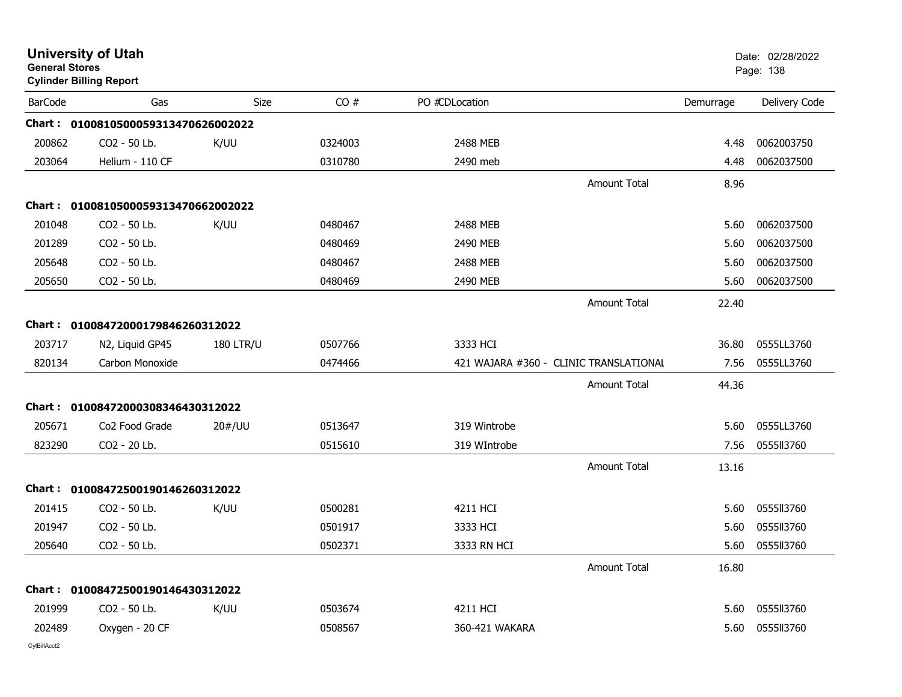| <b>General Stores</b> | <b>University of Utah</b><br><b>Cylinder Billing Report</b> |                  |         |                                        |                     |           | Date: 02/28/2022<br>Page: 138 |
|-----------------------|-------------------------------------------------------------|------------------|---------|----------------------------------------|---------------------|-----------|-------------------------------|
| <b>BarCode</b>        | Gas                                                         | <b>Size</b>      | CO#     | PO #CDLocation                         |                     | Demurrage | Delivery Code                 |
|                       | Chart: 0100810500059313470626002022                         |                  |         |                                        |                     |           |                               |
| 200862                | CO2 - 50 Lb.                                                | K/UU             | 0324003 | 2488 MEB                               |                     | 4.48      | 0062003750                    |
| 203064                | Helium - 110 CF                                             |                  | 0310780 | 2490 meb                               |                     | 4.48      | 0062037500                    |
|                       |                                                             |                  |         |                                        | <b>Amount Total</b> | 8.96      |                               |
|                       | Chart: 0100810500059313470662002022                         |                  |         |                                        |                     |           |                               |
| 201048                | CO2 - 50 Lb.                                                | K/UU             | 0480467 | 2488 MEB                               |                     | 5.60      | 0062037500                    |
| 201289                | CO2 - 50 Lb.                                                |                  | 0480469 | 2490 MEB                               |                     | 5.60      | 0062037500                    |
| 205648                | CO2 - 50 Lb.                                                |                  | 0480467 | 2488 MEB                               |                     | 5.60      | 0062037500                    |
| 205650                | CO2 - 50 Lb.                                                |                  | 0480469 | 2490 MEB                               |                     | 5.60      | 0062037500                    |
|                       |                                                             |                  |         |                                        | Amount Total        | 22.40     |                               |
|                       | Chart: 01008472000179846260312022                           |                  |         |                                        |                     |           |                               |
| 203717                | N2, Liquid GP45                                             | <b>180 LTR/U</b> | 0507766 | 3333 HCI                               |                     | 36.80     | 0555LL3760                    |
| 820134                | Carbon Monoxide                                             |                  | 0474466 | 421 WAJARA #360 - CLINIC TRANSLATIONAL |                     | 7.56      | 0555LL3760                    |
|                       |                                                             |                  |         |                                        | <b>Amount Total</b> | 44.36     |                               |
|                       | Chart: 01008472000308346430312022                           |                  |         |                                        |                     |           |                               |
| 205671                | Co <sub>2</sub> Food Grade                                  | 20#/UU           | 0513647 | 319 Wintrobe                           |                     | 5.60      | 0555LL3760                    |
| 823290                | CO2 - 20 Lb.                                                |                  | 0515610 | 319 WIntrobe                           |                     | 7.56      | 0555ll3760                    |
|                       |                                                             |                  |         |                                        | <b>Amount Total</b> | 13.16     |                               |
|                       | Chart: 01008472500190146260312022                           |                  |         |                                        |                     |           |                               |
| 201415                | CO2 - 50 Lb.                                                | K/UU             | 0500281 | 4211 HCI                               |                     | 5.60      | 0555113760                    |
| 201947                | CO2 - 50 Lb.                                                |                  | 0501917 | 3333 HCI                               |                     | 5.60      | 0555113760                    |
| 205640                | CO2 - 50 Lb.                                                |                  | 0502371 | 3333 RN HCI                            |                     | 5.60      | 055513760                     |
|                       |                                                             |                  |         |                                        | <b>Amount Total</b> | 16.80     |                               |
|                       | Chart: 01008472500190146430312022                           |                  |         |                                        |                     |           |                               |
| 201999                | CO2 - 50 Lb.                                                | K/UU             | 0503674 | 4211 HCI                               |                     | 5.60      | 0555II3760                    |
| 202489                | Oxygen - 20 CF                                              |                  | 0508567 | 360-421 WAKARA                         |                     | 5.60      | 0555ll3760                    |
|                       |                                                             |                  |         |                                        |                     |           |                               |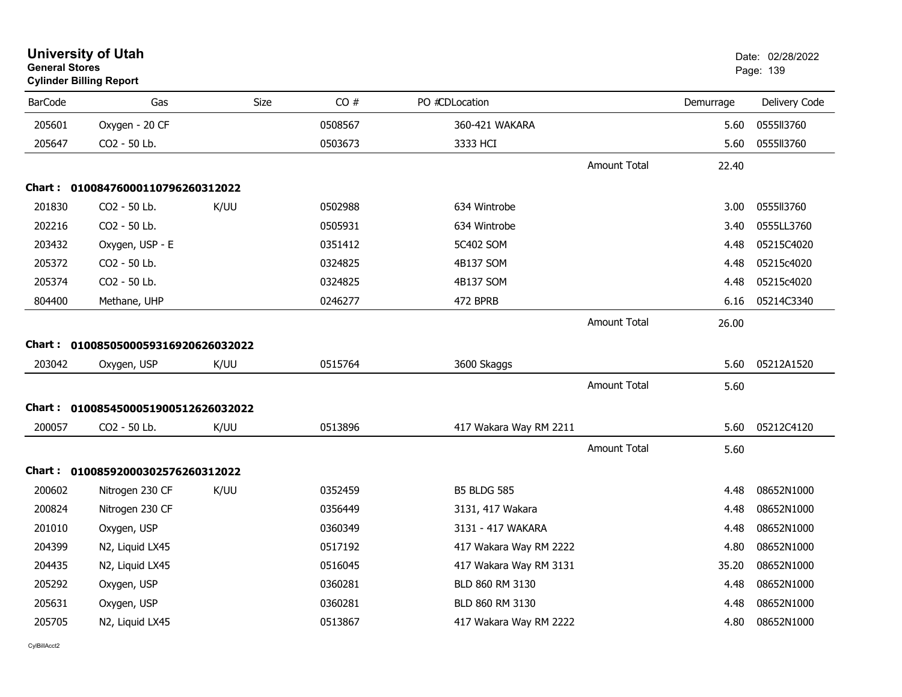| <b>General Stores</b> | <b>Cylinder Billing Report</b>      |             |         |                        |                     |           | Page: 139     |
|-----------------------|-------------------------------------|-------------|---------|------------------------|---------------------|-----------|---------------|
| <b>BarCode</b>        | Gas                                 | <b>Size</b> | CO#     | PO #CDLocation         |                     | Demurrage | Delivery Code |
| 205601                | Oxygen - 20 CF                      |             | 0508567 | 360-421 WAKARA         |                     | 5.60      | 0555113760    |
| 205647                | CO2 - 50 Lb.                        |             | 0503673 | 3333 HCI               |                     | 5.60      | 0555113760    |
|                       |                                     |             |         |                        | <b>Amount Total</b> | 22.40     |               |
|                       | Chart: 01008476000110796260312022   |             |         |                        |                     |           |               |
| 201830                | CO2 - 50 Lb.                        | K/UU        | 0502988 | 634 Wintrobe           |                     | 3.00      | 0555113760    |
| 202216                | CO2 - 50 Lb.                        |             | 0505931 | 634 Wintrobe           |                     | 3.40      | 0555LL3760    |
| 203432                | Oxygen, USP - E                     |             | 0351412 | 5C402 SOM              |                     | 4.48      | 05215C4020    |
| 205372                | CO2 - 50 Lb.                        |             | 0324825 | 4B137 SOM              |                     | 4.48      | 05215c4020    |
| 205374                | CO2 - 50 Lb.                        |             | 0324825 | 4B137 SOM              |                     | 4.48      | 05215c4020    |
| 804400                | Methane, UHP                        |             | 0246277 | 472 BPRB               |                     | 6.16      | 05214C3340    |
|                       |                                     |             |         |                        | <b>Amount Total</b> | 26.00     |               |
|                       | Chart: 0100850500059316920626032022 |             |         |                        |                     |           |               |
| 203042                | Oxygen, USP                         | K/UU        | 0515764 | 3600 Skaggs            |                     | 5.60      | 05212A1520    |
|                       |                                     |             |         |                        | <b>Amount Total</b> | 5.60      |               |
|                       | Chart: 0100854500051900512626032022 |             |         |                        |                     |           |               |
| 200057                | CO2 - 50 Lb.                        | K/UU        | 0513896 | 417 Wakara Way RM 2211 |                     | 5.60      | 05212C4120    |
|                       |                                     |             |         |                        | <b>Amount Total</b> | 5.60      |               |
|                       | Chart: 01008592000302576260312022   |             |         |                        |                     |           |               |
| 200602                | Nitrogen 230 CF                     | K/UU        | 0352459 | <b>B5 BLDG 585</b>     |                     | 4.48      | 08652N1000    |
| 200824                | Nitrogen 230 CF                     |             | 0356449 | 3131, 417 Wakara       |                     | 4.48      | 08652N1000    |
| 201010                | Oxygen, USP                         |             | 0360349 | 3131 - 417 WAKARA      |                     | 4.48      | 08652N1000    |
| 204399                | N2, Liquid LX45                     |             | 0517192 | 417 Wakara Way RM 2222 |                     | 4.80      | 08652N1000    |
| 204435                | N2, Liquid LX45                     |             | 0516045 | 417 Wakara Way RM 3131 |                     | 35.20     | 08652N1000    |
| 205292                | Oxygen, USP                         |             | 0360281 | BLD 860 RM 3130        |                     | 4.48      | 08652N1000    |
| 205631                | Oxygen, USP                         |             | 0360281 | BLD 860 RM 3130        |                     | 4.48      | 08652N1000    |
| 205705                | N2, Liquid LX45                     |             | 0513867 | 417 Wakara Way RM 2222 |                     | 4.80      | 08652N1000    |
|                       |                                     |             |         |                        |                     |           |               |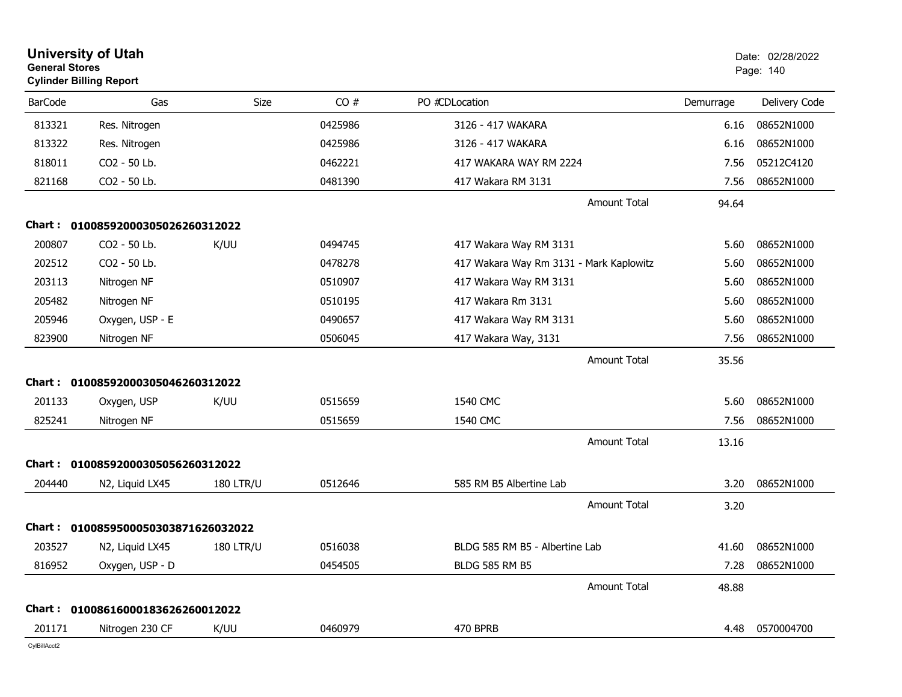| <b>General Stores</b> | <b>University of Utah</b><br><b>Cylinder Billing Report</b> |                  |         |                                         |           | Date: 02/28/2022<br>Page: 140 |
|-----------------------|-------------------------------------------------------------|------------------|---------|-----------------------------------------|-----------|-------------------------------|
| <b>BarCode</b>        | Gas                                                         | Size             | CO#     | PO #CDLocation                          | Demurrage | Delivery Code                 |
| 813321                | Res. Nitrogen                                               |                  | 0425986 | 3126 - 417 WAKARA                       | 6.16      | 08652N1000                    |
| 813322                | Res. Nitrogen                                               |                  | 0425986 | 3126 - 417 WAKARA                       | 6.16      | 08652N1000                    |
| 818011                | CO2 - 50 Lb.                                                |                  | 0462221 | 417 WAKARA WAY RM 2224                  | 7.56      | 05212C4120                    |
| 821168                | CO2 - 50 Lb.                                                |                  | 0481390 | 417 Wakara RM 3131                      | 7.56      | 08652N1000                    |
|                       |                                                             |                  |         | <b>Amount Total</b>                     | 94.64     |                               |
| Chart :               | 01008592000305026260312022                                  |                  |         |                                         |           |                               |
| 200807                | CO2 - 50 Lb.                                                | K/UU             | 0494745 | 417 Wakara Way RM 3131                  | 5.60      | 08652N1000                    |
| 202512                | CO2 - 50 Lb.                                                |                  | 0478278 | 417 Wakara Way Rm 3131 - Mark Kaplowitz | 5.60      | 08652N1000                    |
| 203113                | Nitrogen NF                                                 |                  | 0510907 | 417 Wakara Way RM 3131                  | 5.60      | 08652N1000                    |
| 205482                | Nitrogen NF                                                 |                  | 0510195 | 417 Wakara Rm 3131                      | 5.60      | 08652N1000                    |
| 205946                | Oxygen, USP - E                                             |                  | 0490657 | 417 Wakara Way RM 3131                  | 5.60      | 08652N1000                    |
| 823900                | Nitrogen NF                                                 |                  | 0506045 | 417 Wakara Way, 3131                    | 7.56      | 08652N1000                    |
|                       |                                                             |                  |         | <b>Amount Total</b>                     | 35.56     |                               |
|                       | Chart: 01008592000305046260312022                           |                  |         |                                         |           |                               |
| 201133                | Oxygen, USP                                                 | K/UU             | 0515659 | 1540 CMC                                | 5.60      | 08652N1000                    |
| 825241                | Nitrogen NF                                                 |                  | 0515659 | 1540 CMC                                | 7.56      | 08652N1000                    |
|                       |                                                             |                  |         | Amount Total                            | 13.16     |                               |
| Chart :               | 01008592000305056260312022                                  |                  |         |                                         |           |                               |
| 204440                | N2, Liquid LX45                                             | <b>180 LTR/U</b> | 0512646 | 585 RM B5 Albertine Lab                 | 3.20      | 08652N1000                    |
|                       |                                                             |                  |         | Amount Total                            | 3.20      |                               |
| Chart :               | 0100859500050303871626032022                                |                  |         |                                         |           |                               |
| 203527                | N2, Liquid LX45                                             | <b>180 LTR/U</b> | 0516038 | BLDG 585 RM B5 - Albertine Lab          | 41.60     | 08652N1000                    |
| 816952                | Oxygen, USP - D                                             |                  | 0454505 | <b>BLDG 585 RM B5</b>                   | 7.28      | 08652N1000                    |
|                       |                                                             |                  |         | Amount Total                            | 48.88     |                               |
|                       | Chart: 01008616000183626260012022                           |                  |         |                                         |           |                               |
| 201171                | Nitrogen 230 CF                                             | K/UU             | 0460979 | 470 BPRB                                | 4.48      | 0570004700                    |
|                       |                                                             |                  |         |                                         |           |                               |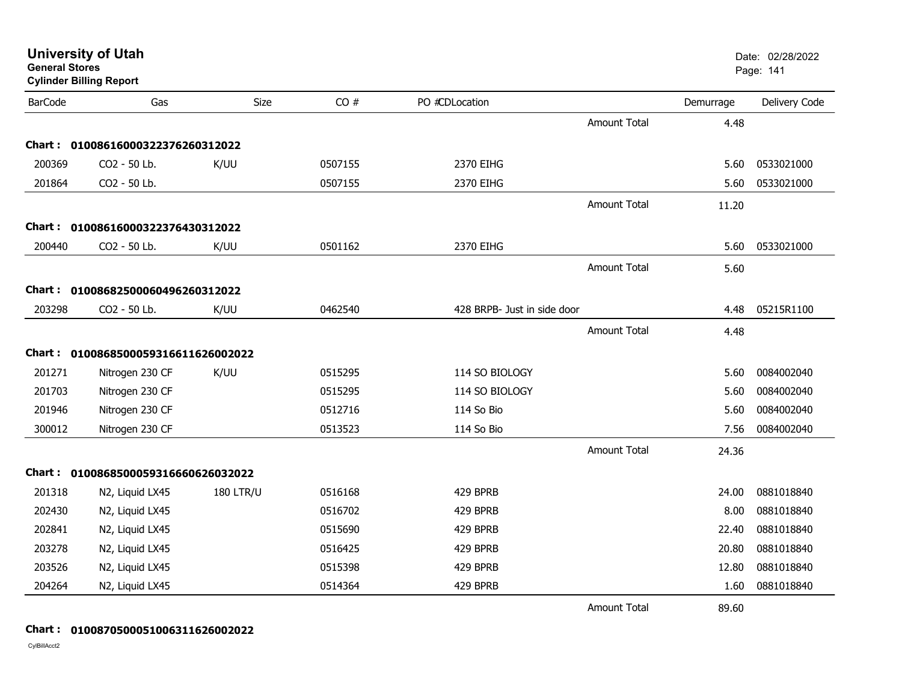| <b>General Stores</b> | <b>Cylinder Billing Report</b>      |                  |         |                             |                     |           | Page: 141     |
|-----------------------|-------------------------------------|------------------|---------|-----------------------------|---------------------|-----------|---------------|
| <b>BarCode</b>        | Gas                                 | Size             | CO#     | PO #CDLocation              |                     | Demurrage | Delivery Code |
|                       |                                     |                  |         |                             | Amount Total        | 4.48      |               |
|                       | Chart: 01008616000322376260312022   |                  |         |                             |                     |           |               |
| 200369                | CO2 - 50 Lb.                        | K/UU             | 0507155 | 2370 EIHG                   |                     | 5.60      | 0533021000    |
| 201864                | CO2 - 50 Lb.                        |                  | 0507155 | 2370 EIHG                   |                     | 5.60      | 0533021000    |
|                       |                                     |                  |         |                             | <b>Amount Total</b> | 11.20     |               |
|                       | Chart: 01008616000322376430312022   |                  |         |                             |                     |           |               |
| 200440                | CO2 - 50 Lb.                        | K/UU             | 0501162 | 2370 EIHG                   |                     | 5.60      | 0533021000    |
|                       |                                     |                  |         |                             | <b>Amount Total</b> | 5.60      |               |
|                       | Chart: 01008682500060496260312022   |                  |         |                             |                     |           |               |
| 203298                | CO2 - 50 Lb.                        | K/UU             | 0462540 | 428 BRPB- Just in side door |                     | 4.48      | 05215R1100    |
|                       |                                     |                  |         |                             | <b>Amount Total</b> | 4.48      |               |
|                       | Chart: 0100868500059316611626002022 |                  |         |                             |                     |           |               |
| 201271                | Nitrogen 230 CF                     | K/UU             | 0515295 | 114 SO BIOLOGY              |                     | 5.60      | 0084002040    |
| 201703                | Nitrogen 230 CF                     |                  | 0515295 | 114 SO BIOLOGY              |                     | 5.60      | 0084002040    |
| 201946                | Nitrogen 230 CF                     |                  | 0512716 | 114 So Bio                  |                     | 5.60      | 0084002040    |
| 300012                | Nitrogen 230 CF                     |                  | 0513523 | 114 So Bio                  |                     | 7.56      | 0084002040    |
|                       |                                     |                  |         |                             | <b>Amount Total</b> | 24.36     |               |
|                       | Chart: 0100868500059316660626032022 |                  |         |                             |                     |           |               |
| 201318                | N2, Liquid LX45                     | <b>180 LTR/U</b> | 0516168 | 429 BPRB                    |                     | 24.00     | 0881018840    |
| 202430                | N2, Liquid LX45                     |                  | 0516702 | 429 BPRB                    |                     | 8.00      | 0881018840    |
| 202841                | N2, Liquid LX45                     |                  | 0515690 | 429 BPRB                    |                     | 22.40     | 0881018840    |
| 203278                | N2, Liquid LX45                     |                  | 0516425 | 429 BPRB                    |                     | 20.80     | 0881018840    |
| 203526                | N2, Liquid LX45                     |                  | 0515398 | 429 BPRB                    |                     | 12.80     | 0881018840    |
| 204264                | N2, Liquid LX45                     |                  | 0514364 | 429 BPRB                    |                     | 1.60      | 0881018840    |
|                       |                                     |                  |         |                             | <b>Amount Total</b> | 89.60     |               |

#### **Chart : 0100870500051006311626002022**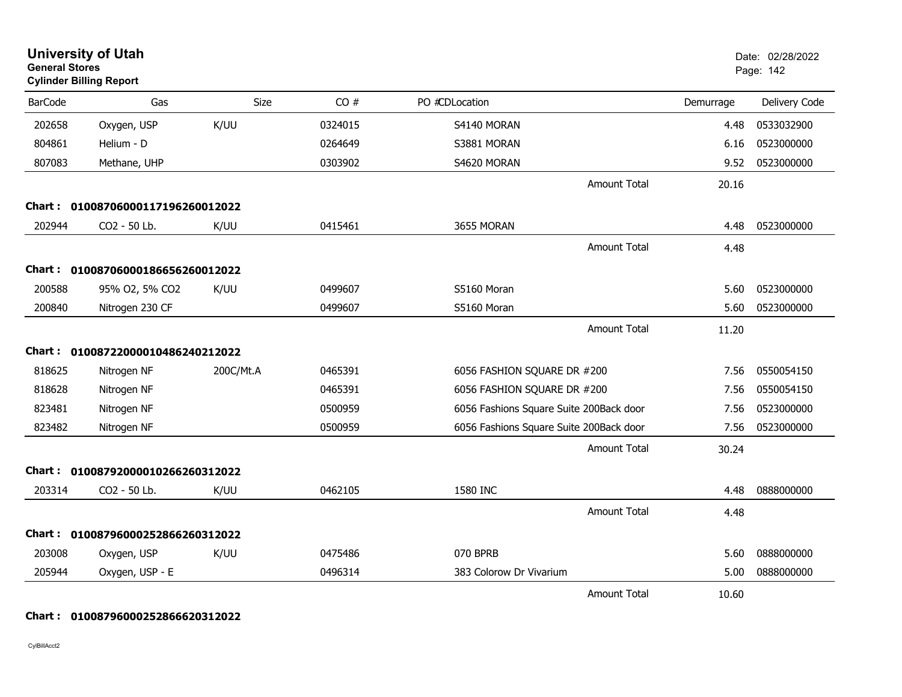| <b>General Stores</b> | <b>University of Utah</b><br><b>Cylinder Billing Report</b> |           |         |                                         |           | Date: 02/28/2022<br>Page: 142 |
|-----------------------|-------------------------------------------------------------|-----------|---------|-----------------------------------------|-----------|-------------------------------|
| <b>BarCode</b>        | Gas                                                         | Size      | CO#     | PO #CDLocation                          | Demurrage | Delivery Code                 |
| 202658                | Oxygen, USP                                                 | K/UU      | 0324015 | S4140 MORAN                             | 4.48      | 0533032900                    |
| 804861                | Helium - D                                                  |           | 0264649 | S3881 MORAN                             | 6.16      | 0523000000                    |
| 807083                | Methane, UHP                                                |           | 0303902 | S4620 MORAN                             | 9.52      | 0523000000                    |
|                       |                                                             |           |         | <b>Amount Total</b>                     | 20.16     |                               |
|                       | Chart: 01008706000117196260012022                           |           |         |                                         |           |                               |
| 202944                | CO2 - 50 Lb.                                                | K/UU      | 0415461 | 3655 MORAN                              | 4.48      | 0523000000                    |
|                       |                                                             |           |         | <b>Amount Total</b>                     | 4.48      |                               |
| Chart :               | 01008706000186656260012022                                  |           |         |                                         |           |                               |
| 200588                | 95% O2, 5% CO2                                              | K/UU      | 0499607 | S5160 Moran                             | 5.60      | 0523000000                    |
| 200840                | Nitrogen 230 CF                                             |           | 0499607 | S5160 Moran                             | 5.60      | 0523000000                    |
|                       |                                                             |           |         | <b>Amount Total</b>                     | 11.20     |                               |
|                       | Chart: 01008722000010486240212022                           |           |         |                                         |           |                               |
| 818625                | Nitrogen NF                                                 | 200C/Mt.A | 0465391 | 6056 FASHION SQUARE DR #200             | 7.56      | 0550054150                    |
| 818628                | Nitrogen NF                                                 |           | 0465391 | 6056 FASHION SQUARE DR #200             | 7.56      | 0550054150                    |
| 823481                | Nitrogen NF                                                 |           | 0500959 | 6056 Fashions Square Suite 200Back door | 7.56      | 0523000000                    |
| 823482                | Nitrogen NF                                                 |           | 0500959 | 6056 Fashions Square Suite 200Back door | 7.56      | 0523000000                    |
|                       |                                                             |           |         | <b>Amount Total</b>                     | 30.24     |                               |
| Chart :               | 01008792000010266260312022                                  |           |         |                                         |           |                               |
| 203314                | CO2 - 50 Lb.                                                | K/UU      | 0462105 | 1580 INC                                | 4.48      | 0888000000                    |
|                       |                                                             |           |         | Amount Total                            | 4.48      |                               |
| Chart :               | 01008796000252866260312022                                  |           |         |                                         |           |                               |
| 203008                | Oxygen, USP                                                 | K/UU      | 0475486 | 070 BPRB                                | 5.60      | 0888000000                    |
| 205944                | Oxygen, USP - E                                             |           | 0496314 | 383 Colorow Dr Vivarium                 | 5.00      | 0888000000                    |
|                       |                                                             |           |         | <b>Amount Total</b>                     | 10.60     |                               |

### **Chart : 01008796000252866620312022**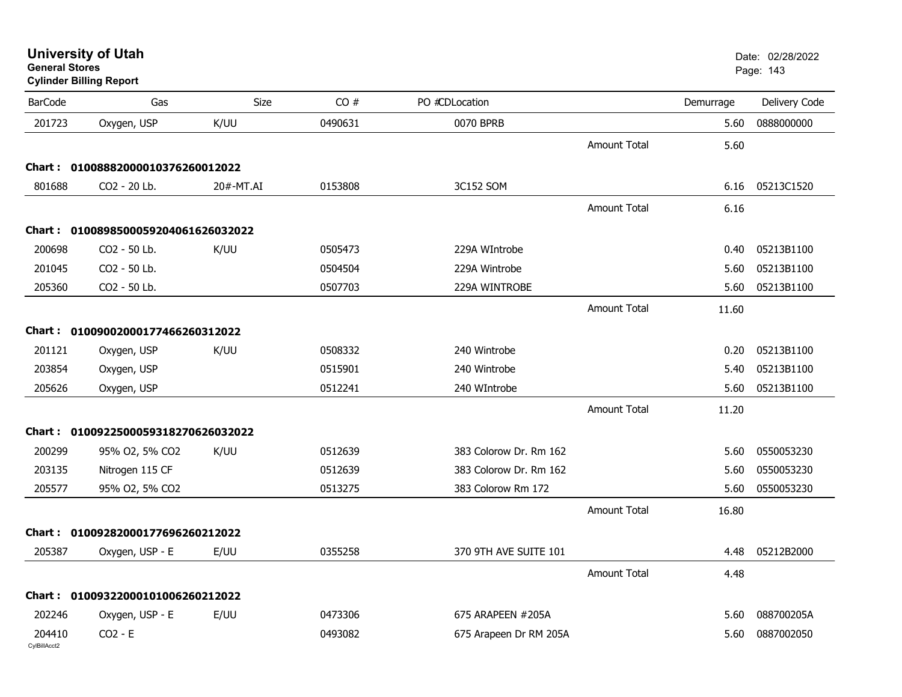| <b>University of Utah</b> |  |
|---------------------------|--|
| <b>General Stores</b>     |  |

## **Cylinder Billing Report**

| <b>BarCode</b>         | Gas                                 | Size      | CO#     | PO #CDLocation         |                     | Demurrage | Delivery Code |
|------------------------|-------------------------------------|-----------|---------|------------------------|---------------------|-----------|---------------|
| 201723                 | Oxygen, USP                         | K/UU      | 0490631 | 0070 BPRB              |                     | 5.60      | 0888000000    |
|                        |                                     |           |         |                        | <b>Amount Total</b> | 5.60      |               |
|                        | Chart: 01008882000010376260012022   |           |         |                        |                     |           |               |
| 801688                 | CO2 - 20 Lb.                        | 20#-MT.AI | 0153808 | 3C152 SOM              |                     | 6.16      | 05213C1520    |
|                        |                                     |           |         |                        | <b>Amount Total</b> | 6.16      |               |
|                        | Chart: 0100898500059204061626032022 |           |         |                        |                     |           |               |
| 200698                 | CO2 - 50 Lb.                        | K/UU      | 0505473 | 229A WIntrobe          |                     | 0.40      | 05213B1100    |
| 201045                 | CO2 - 50 Lb.                        |           | 0504504 | 229A Wintrobe          |                     | 5.60      | 05213B1100    |
| 205360                 | CO2 - 50 Lb.                        |           | 0507703 | 229A WINTROBE          |                     | 5.60      | 05213B1100    |
|                        |                                     |           |         |                        | <b>Amount Total</b> | 11.60     |               |
|                        | Chart: 01009002000177466260312022   |           |         |                        |                     |           |               |
| 201121                 | Oxygen, USP                         | K/UU      | 0508332 | 240 Wintrobe           |                     | 0.20      | 05213B1100    |
| 203854                 | Oxygen, USP                         |           | 0515901 | 240 Wintrobe           |                     | 5.40      | 05213B1100    |
| 205626                 | Oxygen, USP                         |           | 0512241 | 240 WIntrobe           |                     | 5.60      | 05213B1100    |
|                        |                                     |           |         |                        | <b>Amount Total</b> | 11.20     |               |
|                        | Chart: 0100922500059318270626032022 |           |         |                        |                     |           |               |
| 200299                 | 95% O2, 5% CO2                      | K/UU      | 0512639 | 383 Colorow Dr. Rm 162 |                     | 5.60      | 0550053230    |
| 203135                 | Nitrogen 115 CF                     |           | 0512639 | 383 Colorow Dr. Rm 162 |                     | 5.60      | 0550053230    |
| 205577                 | 95% O2, 5% CO2                      |           | 0513275 | 383 Colorow Rm 172     |                     | 5.60      | 0550053230    |
|                        |                                     |           |         |                        | <b>Amount Total</b> | 16.80     |               |
|                        | Chart: 01009282000177696260212022   |           |         |                        |                     |           |               |
| 205387                 | Oxygen, USP - E                     | E/UU      | 0355258 | 370 9TH AVE SUITE 101  |                     | 4.48      | 05212B2000    |
|                        |                                     |           |         |                        | <b>Amount Total</b> | 4.48      |               |
|                        | Chart: 01009322000101006260212022   |           |         |                        |                     |           |               |
| 202246                 | Oxygen, USP - E                     | E/UU      | 0473306 | 675 ARAPEEN #205A      |                     | 5.60      | 088700205A    |
| 204410<br>CvIBillAcct2 | $CO2 - E$                           |           | 0493082 | 675 Arapeen Dr RM 205A |                     | 5.60      | 0887002050    |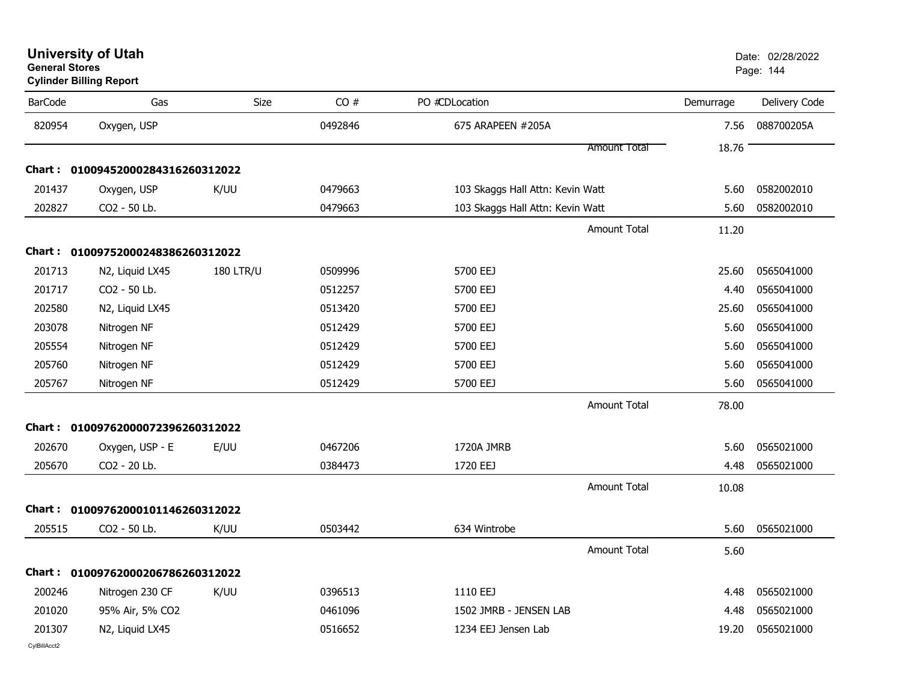**Cylinder Billing Report**

| <b>BarCode</b> | Gas                                      | Size             | CO#     | PO #CDLocation                   | Demurrage | Delivery Code |
|----------------|------------------------------------------|------------------|---------|----------------------------------|-----------|---------------|
| 820954         | Oxygen, USP                              |                  | 0492846 | 675 ARAPEEN #205A                | 7.56      | 088700205A    |
|                |                                          |                  |         | <b>Amount Total</b>              | 18.76     |               |
|                | Chart: 01009452000284316260312022        |                  |         |                                  |           |               |
| 201437         | Oxygen, USP                              | K/UU             | 0479663 | 103 Skaggs Hall Attn: Kevin Watt | 5.60      | 0582002010    |
| 202827         | CO2 - 50 Lb.                             |                  | 0479663 | 103 Skaggs Hall Attn: Kevin Watt | 5.60      | 0582002010    |
|                |                                          |                  |         | Amount Total                     | 11.20     |               |
|                | Chart: 01009752000248386260312022        |                  |         |                                  |           |               |
| 201713         | N <sub>2</sub> , Liquid LX <sub>45</sub> | <b>180 LTR/U</b> | 0509996 | 5700 EEJ                         | 25.60     | 0565041000    |
| 201717         | CO2 - 50 Lb.                             |                  | 0512257 | 5700 EEJ                         | 4.40      | 0565041000    |
| 202580         | N2, Liquid LX45                          |                  | 0513420 | 5700 EEJ                         | 25.60     | 0565041000    |
| 203078         | Nitrogen NF                              |                  | 0512429 | 5700 EEJ                         | 5.60      | 0565041000    |
| 205554         | Nitrogen NF                              |                  | 0512429 | 5700 EEJ                         | 5.60      | 0565041000    |
| 205760         | Nitrogen NF                              |                  | 0512429 | 5700 EEJ                         | 5.60      | 0565041000    |
| 205767         | Nitrogen NF                              |                  | 0512429 | 5700 EEJ                         | 5.60      | 0565041000    |
|                |                                          |                  |         | <b>Amount Total</b>              | 78.00     |               |
| Chart :        | 01009762000072396260312022               |                  |         |                                  |           |               |
| 202670         | Oxygen, USP - E                          | E/UU             | 0467206 | 1720A JMRB                       | 5.60      | 0565021000    |
| 205670         | CO2 - 20 Lb.                             |                  | 0384473 | 1720 EEJ                         | 4.48      | 0565021000    |
|                |                                          |                  |         | <b>Amount Total</b>              | 10.08     |               |
|                | Chart: 01009762000101146260312022        |                  |         |                                  |           |               |
| 205515         | CO2 - 50 Lb.                             | K/UU             | 0503442 | 634 Wintrobe                     | 5.60      | 0565021000    |
|                |                                          |                  |         | <b>Amount Total</b>              | 5.60      |               |
|                | Chart: 01009762000206786260312022        |                  |         |                                  |           |               |
| 200246         | Nitrogen 230 CF                          | K/UU             | 0396513 | 1110 EEJ                         | 4.48      | 0565021000    |
| 201020         | 95% Air, 5% CO2                          |                  | 0461096 | 1502 JMRB - JENSEN LAB           | 4.48      | 0565021000    |
| 201307         | N2, Liquid LX45                          |                  | 0516652 | 1234 EEJ Jensen Lab              | 19.20     | 0565021000    |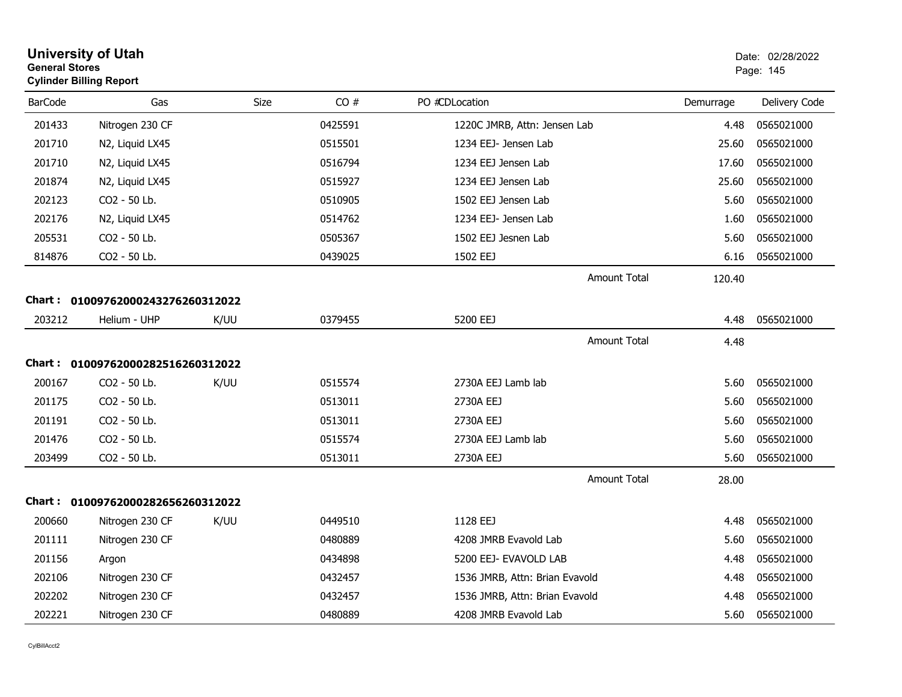| <b>General Stores</b> | <b>University of Utah</b><br><b>Cylinder Billing Report</b> |      | Date: 02/28/2022<br>Page: 145 |                                |           |               |
|-----------------------|-------------------------------------------------------------|------|-------------------------------|--------------------------------|-----------|---------------|
| <b>BarCode</b>        | Gas                                                         | Size | CO#                           | PO #CDLocation                 | Demurrage | Delivery Code |
| 201433                | Nitrogen 230 CF                                             |      | 0425591                       | 1220C JMRB, Attn: Jensen Lab   | 4.48      | 0565021000    |
| 201710                | N2, Liquid LX45                                             |      | 0515501                       | 1234 EEJ- Jensen Lab           | 25.60     | 0565021000    |
| 201710                | N2, Liquid LX45                                             |      | 0516794                       | 1234 EEJ Jensen Lab            | 17.60     | 0565021000    |
| 201874                | N2, Liquid LX45                                             |      | 0515927                       | 1234 EEJ Jensen Lab            | 25.60     | 0565021000    |
| 202123                | CO2 - 50 Lb.                                                |      | 0510905                       | 1502 EEJ Jensen Lab            | 5.60      | 0565021000    |
| 202176                | N2, Liquid LX45                                             |      | 0514762                       | 1234 EEJ- Jensen Lab           | 1.60      | 0565021000    |
| 205531                | CO <sub>2</sub> - 50 Lb.                                    |      | 0505367                       | 1502 EEJ Jesnen Lab            | 5.60      | 0565021000    |
| 814876                | CO2 - 50 Lb.                                                |      | 0439025                       | 1502 EEJ                       | 6.16      | 0565021000    |
|                       |                                                             |      |                               | <b>Amount Total</b>            | 120.40    |               |
| <b>Chart :</b>        | 01009762000243276260312022                                  |      |                               |                                |           |               |
| 203212                | Helium - UHP                                                | K/UU | 0379455                       | 5200 EEJ                       | 4.48      | 0565021000    |
|                       |                                                             |      |                               | <b>Amount Total</b>            | 4.48      |               |
|                       | Chart: 01009762000282516260312022                           |      |                               |                                |           |               |
| 200167                | CO2 - 50 Lb.                                                | K/UU | 0515574                       | 2730A EEJ Lamb lab             | 5.60      | 0565021000    |
| 201175                | CO2 - 50 Lb.                                                |      | 0513011                       | 2730A EEJ                      | 5.60      | 0565021000    |
| 201191                | CO2 - 50 Lb.                                                |      | 0513011                       | 2730A EEJ                      | 5.60      | 0565021000    |
| 201476                | CO <sub>2</sub> - 50 Lb.                                    |      | 0515574                       | 2730A EEJ Lamb lab             | 5.60      | 0565021000    |
| 203499                | CO2 - 50 Lb.                                                |      | 0513011                       | 2730A EEJ                      | 5.60      | 0565021000    |
|                       |                                                             |      |                               | <b>Amount Total</b>            | 28.00     |               |
| <b>Chart :</b>        | 01009762000282656260312022                                  |      |                               |                                |           |               |
| 200660                | Nitrogen 230 CF                                             | K/UU | 0449510                       | 1128 EEJ                       | 4.48      | 0565021000    |
| 201111                | Nitrogen 230 CF                                             |      | 0480889                       | 4208 JMRB Evavold Lab          | 5.60      | 0565021000    |
| 201156                | Argon                                                       |      | 0434898                       | 5200 EEJ- EVAVOLD LAB          | 4.48      | 0565021000    |
| 202106                | Nitrogen 230 CF                                             |      | 0432457                       | 1536 JMRB, Attn: Brian Evavold | 4.48      | 0565021000    |
| 202202                | Nitrogen 230 CF                                             |      | 0432457                       | 1536 JMRB, Attn: Brian Evavold | 4.48      | 0565021000    |
| 202221                | Nitrogen 230 CF                                             |      | 0480889                       | 4208 JMRB Evavold Lab          | 5.60      | 0565021000    |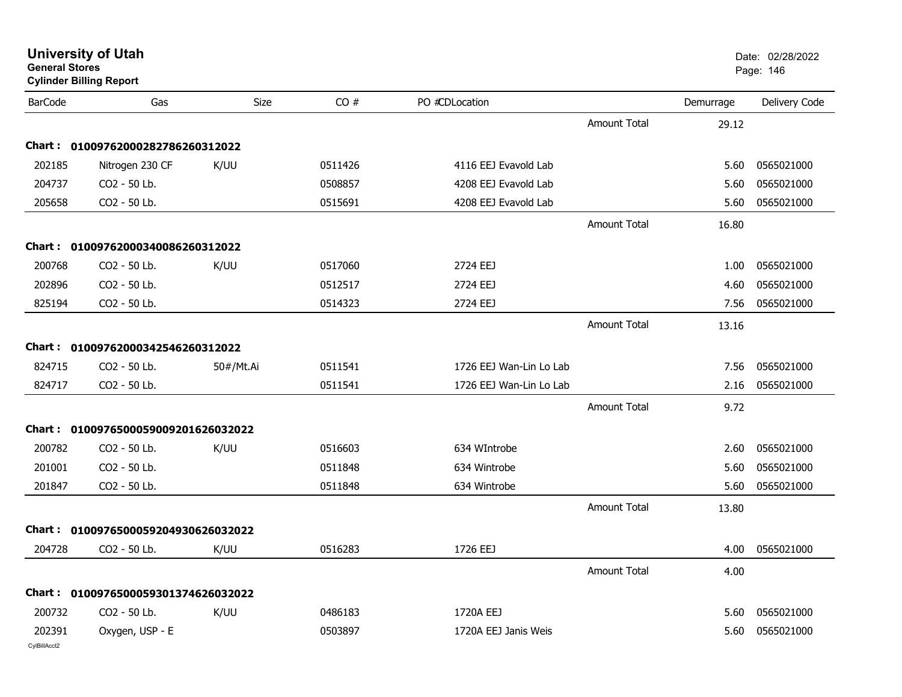|                | <b>University of Utah</b><br><b>General Stores</b><br><b>Cylinder Billing Report</b> |           |         |                         |                     |           | Date: 02/28/2022<br>Page: 146 |
|----------------|--------------------------------------------------------------------------------------|-----------|---------|-------------------------|---------------------|-----------|-------------------------------|
| <b>BarCode</b> | Gas                                                                                  | Size      | CO#     | PO #CDLocation          |                     | Demurrage | Delivery Code                 |
|                |                                                                                      |           |         |                         | <b>Amount Total</b> | 29.12     |                               |
| Chart :        | 01009762000282786260312022                                                           |           |         |                         |                     |           |                               |
| 202185         | Nitrogen 230 CF                                                                      | K/UU      | 0511426 | 4116 EEJ Evavold Lab    |                     | 5.60      | 0565021000                    |
| 204737         | CO2 - 50 Lb.                                                                         |           | 0508857 | 4208 EEJ Evavold Lab    |                     | 5.60      | 0565021000                    |
| 205658         | CO2 - 50 Lb.                                                                         |           | 0515691 | 4208 EEJ Evavold Lab    |                     | 5.60      | 0565021000                    |
|                |                                                                                      |           |         |                         | <b>Amount Total</b> | 16.80     |                               |
|                | Chart: 01009762000340086260312022                                                    |           |         |                         |                     |           |                               |
| 200768         | CO2 - 50 Lb.                                                                         | K/UU      | 0517060 | 2724 EEJ                |                     | 1.00      | 0565021000                    |
| 202896         | CO2 - 50 Lb.                                                                         |           | 0512517 | 2724 EEJ                |                     | 4.60      | 0565021000                    |
| 825194         | CO2 - 50 Lb.                                                                         |           | 0514323 | 2724 EEJ                |                     | 7.56      | 0565021000                    |
|                |                                                                                      |           |         |                         | Amount Total        | 13.16     |                               |
| Chart :        | 01009762000342546260312022                                                           |           |         |                         |                     |           |                               |
| 824715         | CO2 - 50 Lb.                                                                         | 50#/Mt.Ai | 0511541 | 1726 EEJ Wan-Lin Lo Lab |                     | 7.56      | 0565021000                    |
| 824717         | CO2 - 50 Lb.                                                                         |           | 0511541 | 1726 EEJ Wan-Lin Lo Lab |                     | 2.16      | 0565021000                    |
|                |                                                                                      |           |         |                         | Amount Total        | 9.72      |                               |
| Chart :        | 0100976500059009201626032022                                                         |           |         |                         |                     |           |                               |
| 200782         | CO2 - 50 Lb.                                                                         | K/UU      | 0516603 | 634 WIntrobe            |                     | 2.60      | 0565021000                    |
| 201001         | CO2 - 50 Lb.                                                                         |           | 0511848 | 634 Wintrobe            |                     | 5.60      | 0565021000                    |
| 201847         | CO2 - 50 Lb.                                                                         |           | 0511848 | 634 Wintrobe            |                     | 5.60      | 0565021000                    |
|                |                                                                                      |           |         |                         | <b>Amount Total</b> | 13.80     |                               |
| Chart :        | 0100976500059204930626032022                                                         |           |         |                         |                     |           |                               |
| 204728         | CO2 - 50 Lb.                                                                         | K/UU      | 0516283 | 1726 EEJ                |                     | 4.00      | 0565021000                    |
|                |                                                                                      |           |         |                         | Amount Total        | 4.00      |                               |
|                | Chart: 0100976500059301374626032022                                                  |           |         |                         |                     |           |                               |
| 200732         | CO2 - 50 Lb.                                                                         | K/UU      | 0486183 | 1720A EEJ               |                     | 5.60      | 0565021000                    |
| 202391         | Oxygen, USP - E                                                                      |           | 0503897 | 1720A EEJ Janis Weis    |                     | 5.60      | 0565021000                    |
| CylBillAcct2   |                                                                                      |           |         |                         |                     |           |                               |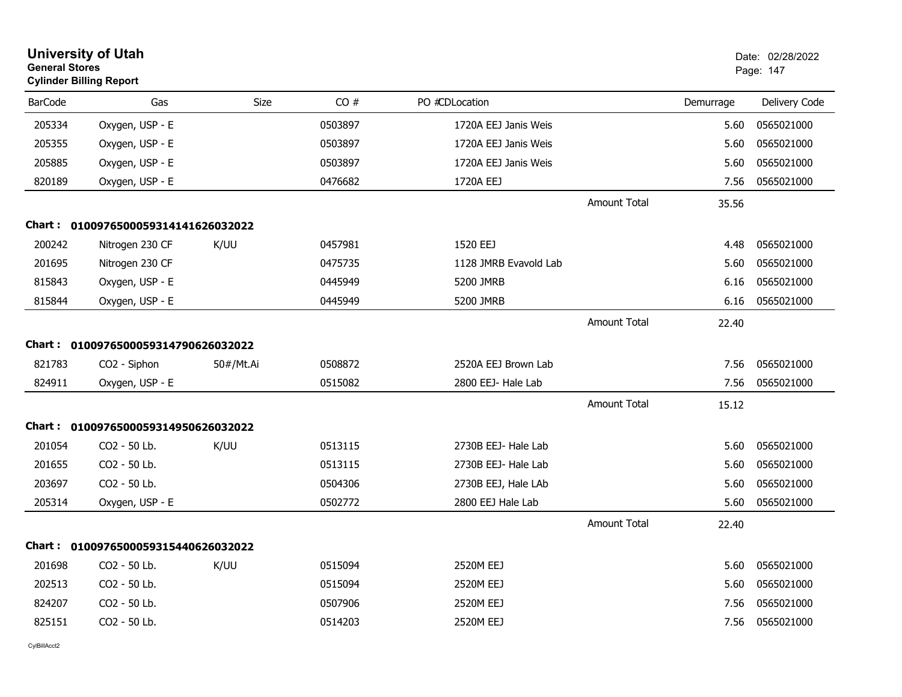|                | <b>University of Utah</b><br><b>General Stores</b><br><b>Cylinder Billing Report</b> |           |         |                       |                     |           | Date: 02/28/2022<br>Page: 147 |  |
|----------------|--------------------------------------------------------------------------------------|-----------|---------|-----------------------|---------------------|-----------|-------------------------------|--|
| <b>BarCode</b> | Gas                                                                                  | Size      | CO#     | PO #CDLocation        |                     | Demurrage | Delivery Code                 |  |
| 205334         | Oxygen, USP - E                                                                      |           | 0503897 | 1720A EEJ Janis Weis  |                     | 5.60      | 0565021000                    |  |
| 205355         | Oxygen, USP - E                                                                      |           | 0503897 | 1720A EEJ Janis Weis  |                     | 5.60      | 0565021000                    |  |
| 205885         | Oxygen, USP - E                                                                      |           | 0503897 | 1720A EEJ Janis Weis  |                     | 5.60      | 0565021000                    |  |
| 820189         | Oxygen, USP - E                                                                      |           | 0476682 | 1720A EEJ             |                     | 7.56      | 0565021000                    |  |
|                |                                                                                      |           |         |                       | <b>Amount Total</b> | 35.56     |                               |  |
|                | Chart: 0100976500059314141626032022                                                  |           |         |                       |                     |           |                               |  |
| 200242         | Nitrogen 230 CF                                                                      | K/UU      | 0457981 | 1520 EEJ              |                     | 4.48      | 0565021000                    |  |
| 201695         | Nitrogen 230 CF                                                                      |           | 0475735 | 1128 JMRB Evavold Lab |                     | 5.60      | 0565021000                    |  |
| 815843         | Oxygen, USP - E                                                                      |           | 0445949 | 5200 JMRB             |                     | 6.16      | 0565021000                    |  |
| 815844         | Oxygen, USP - E                                                                      |           | 0445949 | 5200 JMRB             |                     | 6.16      | 0565021000                    |  |
|                |                                                                                      |           |         |                       | <b>Amount Total</b> | 22.40     |                               |  |
| Chart :        | 0100976500059314790626032022                                                         |           |         |                       |                     |           |                               |  |
| 821783         | CO2 - Siphon                                                                         | 50#/Mt.Ai | 0508872 | 2520A EEJ Brown Lab   |                     | 7.56      | 0565021000                    |  |
| 824911         | Oxygen, USP - E                                                                      |           | 0515082 | 2800 EEJ- Hale Lab    |                     | 7.56      | 0565021000                    |  |
|                |                                                                                      |           |         |                       | <b>Amount Total</b> | 15.12     |                               |  |
| Chart :        | 0100976500059314950626032022                                                         |           |         |                       |                     |           |                               |  |
| 201054         | CO2 - 50 Lb.                                                                         | K/UU      | 0513115 | 2730B EEJ- Hale Lab   |                     | 5.60      | 0565021000                    |  |
| 201655         | CO2 - 50 Lb.                                                                         |           | 0513115 | 2730B EEJ- Hale Lab   |                     | 5.60      | 0565021000                    |  |
| 203697         | CO <sub>2</sub> - 50 Lb.                                                             |           | 0504306 | 2730B EEJ, Hale LAb   |                     | 5.60      | 0565021000                    |  |
| 205314         | Oxygen, USP - E                                                                      |           | 0502772 | 2800 EEJ Hale Lab     |                     | 5.60      | 0565021000                    |  |
|                |                                                                                      |           |         |                       | <b>Amount Total</b> | 22.40     |                               |  |
| <b>Chart :</b> | 0100976500059315440626032022                                                         |           |         |                       |                     |           |                               |  |
| 201698         | CO2 - 50 Lb.                                                                         | K/UU      | 0515094 | 2520M EEJ             |                     | 5.60      | 0565021000                    |  |
| 202513         | CO2 - 50 Lb.                                                                         |           | 0515094 | 2520M EEJ             |                     | 5.60      | 0565021000                    |  |
| 824207         | CO2 - 50 Lb.                                                                         |           | 0507906 | 2520M EEJ             |                     | 7.56      | 0565021000                    |  |
| 825151         | CO2 - 50 Lb.                                                                         |           | 0514203 | 2520M EEJ             |                     | 7.56      | 0565021000                    |  |
|                |                                                                                      |           |         |                       |                     |           |                               |  |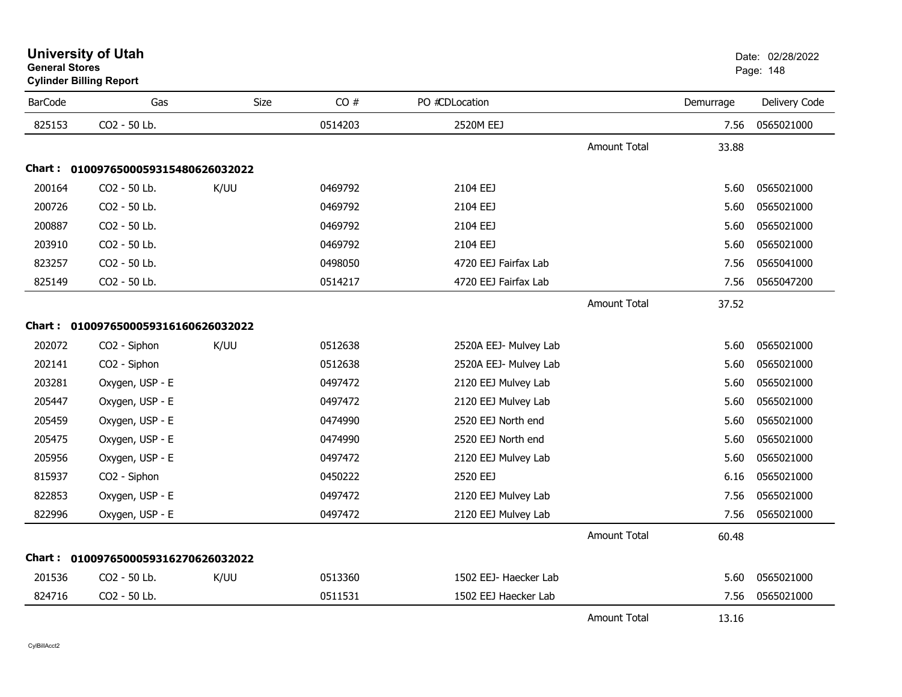| <b>BarCode</b> | Gas                                 | <b>Size</b> | CO#     | PO #CDLocation        |                     | Demurrage | Delivery Code |
|----------------|-------------------------------------|-------------|---------|-----------------------|---------------------|-----------|---------------|
| 825153         | CO2 - 50 Lb.                        |             | 0514203 | 2520M EEJ             |                     | 7.56      | 0565021000    |
|                |                                     |             |         |                       | <b>Amount Total</b> | 33.88     |               |
|                | Chart: 0100976500059315480626032022 |             |         |                       |                     |           |               |
| 200164         | CO2 - 50 Lb.                        | K/UU        | 0469792 | 2104 EEJ              |                     | 5.60      | 0565021000    |
| 200726         | CO2 - 50 Lb.                        |             | 0469792 | 2104 EEJ              |                     | 5.60      | 0565021000    |
| 200887         | CO2 - 50 Lb.                        |             | 0469792 | 2104 EEJ              |                     | 5.60      | 0565021000    |
| 203910         | CO2 - 50 Lb.                        |             | 0469792 | 2104 EEJ              |                     | 5.60      | 0565021000    |
| 823257         | CO2 - 50 Lb.                        |             | 0498050 | 4720 EEJ Fairfax Lab  |                     | 7.56      | 0565041000    |
| 825149         | CO2 - 50 Lb.                        |             | 0514217 | 4720 EEJ Fairfax Lab  |                     | 7.56      | 0565047200    |
|                |                                     |             |         |                       | <b>Amount Total</b> | 37.52     |               |
|                | Chart: 0100976500059316160626032022 |             |         |                       |                     |           |               |
| 202072         | CO2 - Siphon                        | K/UU        | 0512638 | 2520A EEJ- Mulvey Lab |                     | 5.60      | 0565021000    |
| 202141         | CO2 - Siphon                        |             | 0512638 | 2520A EEJ- Mulvey Lab |                     | 5.60      | 0565021000    |
| 203281         | Oxygen, USP - E                     |             | 0497472 | 2120 EEJ Mulvey Lab   |                     | 5.60      | 0565021000    |
| 205447         | Oxygen, USP - E                     |             | 0497472 | 2120 EEJ Mulvey Lab   |                     | 5.60      | 0565021000    |
| 205459         | Oxygen, USP - E                     |             | 0474990 | 2520 EEJ North end    |                     | 5.60      | 0565021000    |
| 205475         | Oxygen, USP - E                     |             | 0474990 | 2520 EEJ North end    |                     | 5.60      | 0565021000    |
| 205956         | Oxygen, USP - E                     |             | 0497472 | 2120 EEJ Mulvey Lab   |                     | 5.60      | 0565021000    |
| 815937         | CO2 - Siphon                        |             | 0450222 | 2520 EEJ              |                     | 6.16      | 0565021000    |
| 822853         | Oxygen, USP - E                     |             | 0497472 | 2120 EEJ Mulvey Lab   |                     | 7.56      | 0565021000    |
| 822996         | Oxygen, USP - E                     |             | 0497472 | 2120 EEJ Mulvey Lab   |                     | 7.56      | 0565021000    |
|                |                                     |             |         |                       | Amount Total        | 60.48     |               |
|                | Chart: 0100976500059316270626032022 |             |         |                       |                     |           |               |
| 201536         | CO2 - 50 Lb.                        | K/UU        | 0513360 | 1502 EEJ- Haecker Lab |                     | 5.60      | 0565021000    |
| 824716         | CO2 - 50 Lb.                        |             | 0511531 | 1502 EEJ Haecker Lab  |                     | 7.56      | 0565021000    |
|                |                                     |             |         |                       | <b>Amount Total</b> | 13.16     |               |

#### **University of Utah** Date: 02/28/2022 **General Stores**end and the state of the state of the state of the state of the state of the state of the state of the state of the state of the state of the state of the state of the state of the state of the state of the state of the st **Cylinder Billing Report**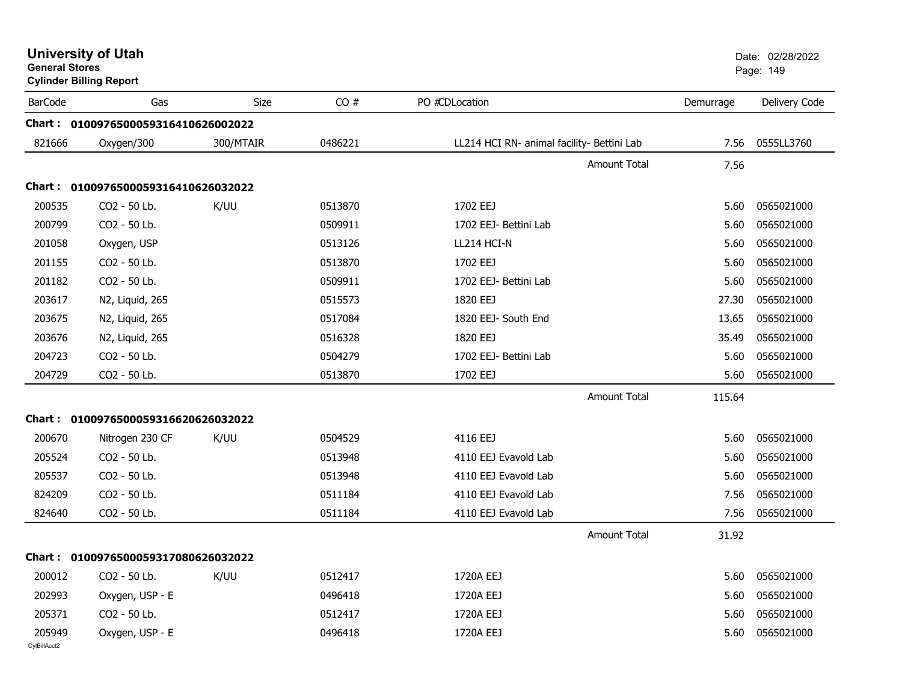| <b>General Stores</b>  | <b>University of Utah</b><br><b>Cylinder Billing Report</b> |             |         |                                            |           | Date: 02/28/2022<br>Page: 149 |
|------------------------|-------------------------------------------------------------|-------------|---------|--------------------------------------------|-----------|-------------------------------|
| <b>BarCode</b>         | Gas                                                         | <b>Size</b> | CO#     | PO #CDLocation                             | Demurrage | Delivery Code                 |
|                        | Chart: 0100976500059316410626002022                         |             |         |                                            |           |                               |
| 821666                 | Oxygen/300                                                  | 300/MTAIR   | 0486221 | LL214 HCI RN- animal facility- Bettini Lab | 7.56      | 0555LL3760                    |
|                        |                                                             |             |         | <b>Amount Total</b>                        | 7.56      |                               |
| <b>Chart :</b>         | 0100976500059316410626032022                                |             |         |                                            |           |                               |
| 200535                 | CO2 - 50 Lb.                                                | K/UU        | 0513870 | 1702 EEJ                                   | 5.60      | 0565021000                    |
| 200799                 | CO2 - 50 Lb.                                                |             | 0509911 | 1702 EEJ- Bettini Lab                      | 5.60      | 0565021000                    |
| 201058                 | Oxygen, USP                                                 |             | 0513126 | LL214 HCI-N                                | 5.60      | 0565021000                    |
| 201155                 | CO2 - 50 Lb.                                                |             | 0513870 | 1702 EEJ                                   | 5.60      | 0565021000                    |
| 201182                 | CO2 - 50 Lb.                                                |             | 0509911 | 1702 EEJ- Bettini Lab                      | 5.60      | 0565021000                    |
| 203617                 | N2, Liquid, 265                                             |             | 0515573 | 1820 EEJ                                   | 27.30     | 0565021000                    |
| 203675                 | N2, Liquid, 265                                             |             | 0517084 | 1820 EEJ- South End                        | 13.65     | 0565021000                    |
| 203676                 | N2, Liquid, 265                                             |             | 0516328 | 1820 EEJ                                   | 35.49     | 0565021000                    |
| 204723                 | CO2 - 50 Lb.                                                |             | 0504279 | 1702 EEJ- Bettini Lab                      | 5.60      | 0565021000                    |
| 204729                 | CO2 - 50 Lb.                                                |             | 0513870 | 1702 EEJ                                   | 5.60      | 0565021000                    |
|                        |                                                             |             |         | <b>Amount Total</b>                        | 115.64    |                               |
| Chart :                | 0100976500059316620626032022                                |             |         |                                            |           |                               |
| 200670                 | Nitrogen 230 CF                                             | K/UU        | 0504529 | 4116 EEJ                                   | 5.60      | 0565021000                    |
| 205524                 | CO2 - 50 Lb.                                                |             | 0513948 | 4110 EEJ Evavold Lab                       | 5.60      | 0565021000                    |
| 205537                 | CO2 - 50 Lb.                                                |             | 0513948 | 4110 EEJ Evavold Lab                       | 5.60      | 0565021000                    |
| 824209                 | CO2 - 50 Lb.                                                |             | 0511184 | 4110 EEJ Evavold Lab                       | 7.56      | 0565021000                    |
| 824640                 | CO2 - 50 Lb.                                                |             | 0511184 | 4110 EEJ Evavold Lab                       | 7.56      | 0565021000                    |
|                        |                                                             |             |         | <b>Amount Total</b>                        | 31.92     |                               |
|                        | Chart: 0100976500059317080626032022                         |             |         |                                            |           |                               |
| 200012                 | CO2 - 50 Lb.                                                | K/UU        | 0512417 | 1720A EEJ                                  | 5.60      | 0565021000                    |
| 202993                 | Oxygen, USP - E                                             |             | 0496418 | 1720A EEJ                                  | 5.60      | 0565021000                    |
| 205371                 | CO2 - 50 Lb.                                                |             | 0512417 | 1720A EEJ                                  | 5.60      | 0565021000                    |
| 205949<br>CylBillAcct2 | Oxygen, USP - E                                             |             | 0496418 | 1720A EEJ                                  | 5.60      | 0565021000                    |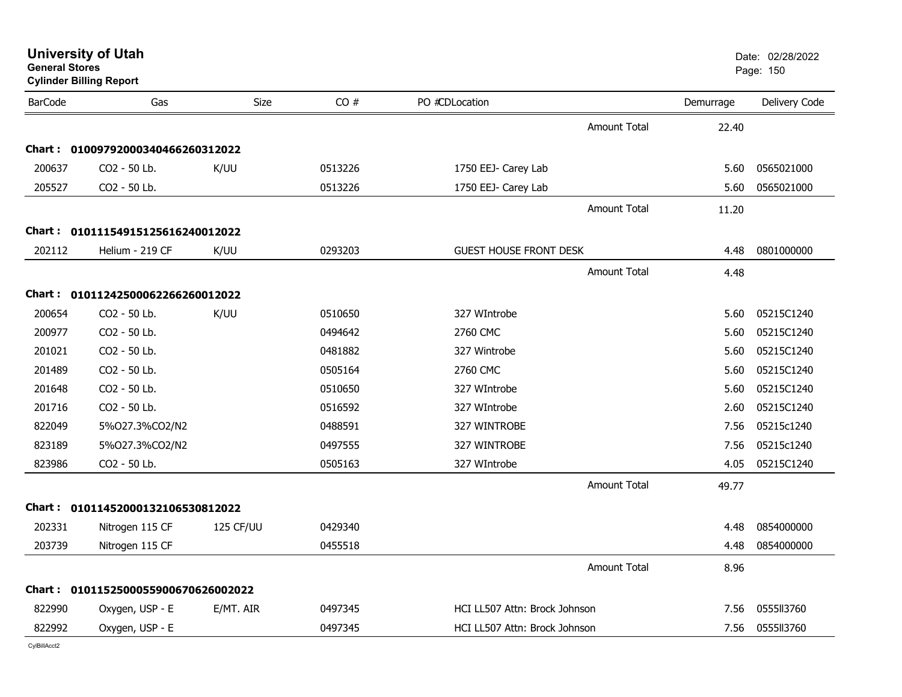| <b>General Stores</b> | <b>University of Utah</b><br><b>Cylinder Billing Report</b> |                  |         |                               |                     |           | Date: 02/28/2022<br>Page: 150 |
|-----------------------|-------------------------------------------------------------|------------------|---------|-------------------------------|---------------------|-----------|-------------------------------|
| <b>BarCode</b>        | Gas                                                         | Size             | CO#     | PO #CDLocation                |                     | Demurrage | Delivery Code                 |
|                       |                                                             |                  |         |                               | <b>Amount Total</b> | 22.40     |                               |
|                       | Chart: 01009792000340466260312022                           |                  |         |                               |                     |           |                               |
| 200637                | CO2 - 50 Lb.                                                | K/UU             | 0513226 | 1750 EEJ- Carey Lab           |                     | 5.60      | 0565021000                    |
| 205527                | CO2 - 50 Lb.                                                |                  | 0513226 | 1750 EEJ- Carey Lab           |                     | 5.60      | 0565021000                    |
|                       |                                                             |                  |         |                               | Amount Total        | 11.20     |                               |
|                       | Chart: 01011154915125616240012022                           |                  |         |                               |                     |           |                               |
| 202112                | Helium - 219 CF                                             | K/UU             | 0293203 | <b>GUEST HOUSE FRONT DESK</b> |                     | 4.48      | 0801000000                    |
|                       |                                                             |                  |         |                               | <b>Amount Total</b> | 4.48      |                               |
|                       | Chart: 01011242500062266260012022                           |                  |         |                               |                     |           |                               |
| 200654                | CO2 - 50 Lb.                                                | K/UU             | 0510650 | 327 WIntrobe                  |                     | 5.60      | 05215C1240                    |
| 200977                | CO2 - 50 Lb.                                                |                  | 0494642 | 2760 CMC                      |                     | 5.60      | 05215C1240                    |
| 201021                | CO2 - 50 Lb.                                                |                  | 0481882 | 327 Wintrobe                  |                     | 5.60      | 05215C1240                    |
| 201489                | CO2 - 50 Lb.                                                |                  | 0505164 | 2760 CMC                      |                     | 5.60      | 05215C1240                    |
| 201648                | CO2 - 50 Lb.                                                |                  | 0510650 | 327 WIntrobe                  |                     | 5.60      | 05215C1240                    |
| 201716                | CO2 - 50 Lb.                                                |                  | 0516592 | 327 WIntrobe                  |                     | 2.60      | 05215C1240                    |
| 822049                | 5%027.3%CO2/N2                                              |                  | 0488591 | 327 WINTROBE                  |                     | 7.56      | 05215c1240                    |
| 823189                | 5%027.3%CO2/N2                                              |                  | 0497555 | 327 WINTROBE                  |                     | 7.56      | 05215c1240                    |
| 823986                | CO2 - 50 Lb.                                                |                  | 0505163 | 327 WIntrobe                  |                     | 4.05      | 05215C1240                    |
|                       |                                                             |                  |         |                               | <b>Amount Total</b> | 49.77     |                               |
|                       | Chart: 01011452000132106530812022                           |                  |         |                               |                     |           |                               |
| 202331                | Nitrogen 115 CF                                             | <b>125 CF/UU</b> | 0429340 |                               |                     | 4.48      | 0854000000                    |
| 203739                | Nitrogen 115 CF                                             |                  | 0455518 |                               |                     | 4.48      | 0854000000                    |
|                       |                                                             |                  |         |                               | <b>Amount Total</b> | 8.96      |                               |
|                       | Chart: 0101152500055900670626002022                         |                  |         |                               |                     |           |                               |
| 822990                | Oxygen, USP - E                                             | E/MT. AIR        | 0497345 | HCI LL507 Attn: Brock Johnson |                     | 7.56      | 0555II3760                    |
| 822992                | Oxygen, USP - E                                             |                  | 0497345 | HCI LL507 Attn: Brock Johnson |                     | 7.56      | 0555ll3760                    |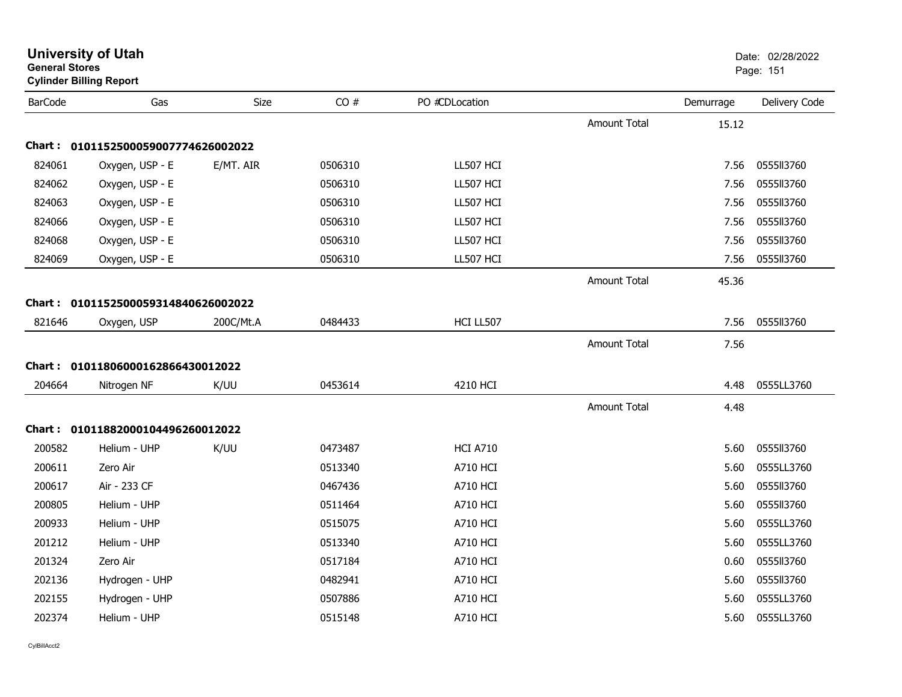| General Stores | <b>Cylinder Billing Report</b>      |             |         |                 |                     |           | Page: 151     |
|----------------|-------------------------------------|-------------|---------|-----------------|---------------------|-----------|---------------|
| <b>BarCode</b> | Gas                                 | <b>Size</b> | CO#     | PO #CDLocation  |                     | Demurrage | Delivery Code |
|                |                                     |             |         |                 | <b>Amount Total</b> | 15.12     |               |
|                | Chart: 0101152500059007774626002022 |             |         |                 |                     |           |               |
| 824061         | Oxygen, USP - E                     | E/MT. AIR   | 0506310 | LL507 HCI       |                     | 7.56      | 0555113760    |
| 824062         | Oxygen, USP - E                     |             | 0506310 | LL507 HCI       |                     | 7.56      | 0555113760    |
| 824063         | Oxygen, USP - E                     |             | 0506310 | LL507 HCI       |                     | 7.56      | 0555113760    |
| 824066         | Oxygen, USP - E                     |             | 0506310 | LL507 HCI       |                     | 7.56      | 0555113760    |
| 824068         | Oxygen, USP - E                     |             | 0506310 | LL507 HCI       |                     | 7.56      | 0555113760    |
| 824069         | Oxygen, USP - E                     |             | 0506310 | LL507 HCI       |                     | 7.56      | 0555113760    |
|                |                                     |             |         |                 | <b>Amount Total</b> | 45.36     |               |
|                | Chart: 0101152500059314840626002022 |             |         |                 |                     |           |               |
| 821646         | Oxygen, USP                         | 200C/Mt.A   | 0484433 | HCI LL507       |                     | 7.56      | 0555113760    |
|                |                                     |             |         |                 | <b>Amount Total</b> | 7.56      |               |
|                | Chart: 01011806000162866430012022   |             |         |                 |                     |           |               |
| 204664         | Nitrogen NF                         | K/UU        | 0453614 | 4210 HCI        |                     | 4.48      | 0555LL3760    |
|                |                                     |             |         |                 | <b>Amount Total</b> | 4.48      |               |
|                | Chart: 01011882000104496260012022   |             |         |                 |                     |           |               |
| 200582         | Helium - UHP                        | K/UU        | 0473487 | <b>HCI A710</b> |                     | 5.60      | 0555113760    |
| 200611         | Zero Air                            |             | 0513340 | <b>A710 HCI</b> |                     | 5.60      | 0555LL3760    |
| 200617         | Air - 233 CF                        |             | 0467436 | <b>A710 HCI</b> |                     | 5.60      | 0555113760    |
| 200805         | Helium - UHP                        |             | 0511464 | <b>A710 HCI</b> |                     | 5.60      | 0555113760    |
| 200933         | Helium - UHP                        |             | 0515075 | A710 HCI        |                     | 5.60      | 0555LL3760    |
| 201212         | Helium - UHP                        |             | 0513340 | <b>A710 HCI</b> |                     | 5.60      | 0555LL3760    |
| 201324         | Zero Air                            |             | 0517184 | A710 HCI        |                     | 0.60      | 0555113760    |
| 202136         | Hydrogen - UHP                      |             | 0482941 | <b>A710 HCI</b> |                     | 5.60      | 0555113760    |
| 202155         | Hydrogen - UHP                      |             | 0507886 | A710 HCI        |                     | 5.60      | 0555LL3760    |
| 202374         | Helium - UHP                        |             | 0515148 | <b>A710 HCI</b> |                     | 5.60      | 0555LL3760    |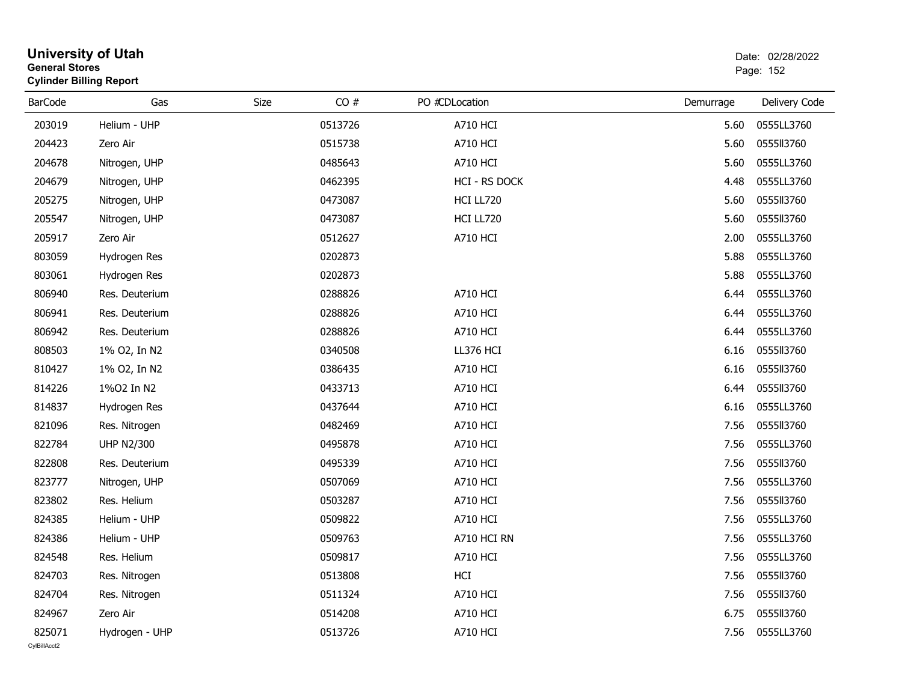| <b>General Stores</b>  | <b>University of Utah</b><br><b>Cylinder Billing Report</b> |      |         |                 |           |               |
|------------------------|-------------------------------------------------------------|------|---------|-----------------|-----------|---------------|
| <b>BarCode</b>         | Gas                                                         | Size | CO#     | PO #CDLocation  | Demurrage | Delivery Code |
| 203019                 | Helium - UHP                                                |      | 0513726 | <b>A710 HCI</b> | 5.60      | 0555LL3760    |
| 204423                 | Zero Air                                                    |      | 0515738 | <b>A710 HCI</b> | 5.60      | 0555II3760    |
| 204678                 | Nitrogen, UHP                                               |      | 0485643 | A710 HCI        | 5.60      | 0555LL3760    |
| 204679                 | Nitrogen, UHP                                               |      | 0462395 | HCI - RS DOCK   | 4.48      | 0555LL3760    |
| 205275                 | Nitrogen, UHP                                               |      | 0473087 | HCI LL720       | 5.60      | 0555113760    |
| 205547                 | Nitrogen, UHP                                               |      | 0473087 | HCI LL720       | 5.60      | 0555113760    |
| 205917                 | Zero Air                                                    |      | 0512627 | A710 HCI        | 2.00      | 0555LL3760    |
| 803059                 | Hydrogen Res                                                |      | 0202873 |                 | 5.88      | 0555LL3760    |
| 803061                 | Hydrogen Res                                                |      | 0202873 |                 | 5.88      | 0555LL3760    |
| 806940                 | Res. Deuterium                                              |      | 0288826 | <b>A710 HCI</b> | 6.44      | 0555LL3760    |
| 806941                 | Res. Deuterium                                              |      | 0288826 | <b>A710 HCI</b> | 6.44      | 0555LL3760    |
| 806942                 | Res. Deuterium                                              |      | 0288826 | A710 HCI        | 6.44      | 0555LL3760    |
| 808503                 | 1% O2, In N2                                                |      | 0340508 | LL376 HCI       | 6.16      | 0555113760    |
| 810427                 | 1% O2, In N2                                                |      | 0386435 | <b>A710 HCI</b> | 6.16      | 0555113760    |
| 814226                 | 1%02 In N2                                                  |      | 0433713 | <b>A710 HCI</b> | 6.44      | 0555113760    |
| 814837                 | Hydrogen Res                                                |      | 0437644 | A710 HCI        | 6.16      | 0555LL3760    |
| 821096                 | Res. Nitrogen                                               |      | 0482469 | <b>A710 HCI</b> | 7.56      | 0555113760    |
| 822784                 | <b>UHP N2/300</b>                                           |      | 0495878 | <b>A710 HCI</b> | 7.56      | 0555LL3760    |
| 822808                 | Res. Deuterium                                              |      | 0495339 | <b>A710 HCI</b> | 7.56      | 0555113760    |
| 823777                 | Nitrogen, UHP                                               |      | 0507069 | <b>A710 HCI</b> | 7.56      | 0555LL3760    |
| 823802                 | Res. Helium                                                 |      | 0503287 | <b>A710 HCI</b> | 7.56      | 0555113760    |
| 824385                 | Helium - UHP                                                |      | 0509822 | <b>A710 HCI</b> | 7.56      | 0555LL3760    |
| 824386                 | Helium - UHP                                                |      | 0509763 | A710 HCI RN     | 7.56      | 0555LL3760    |
| 824548                 | Res. Helium                                                 |      | 0509817 | A710 HCI        | 7.56      | 0555LL3760    |
| 824703                 | Res. Nitrogen                                               |      | 0513808 | HCI             | 7.56      | 0555113760    |
| 824704                 | Res. Nitrogen                                               |      | 0511324 | <b>A710 HCI</b> | 7.56      | 0555113760    |
| 824967                 | Zero Air                                                    |      | 0514208 | <b>A710 HCI</b> | 6.75      | 0555113760    |
| 825071<br>CvIBillAcct2 | Hydrogen - UHP                                              |      | 0513726 | <b>A710 HCI</b> | 7.56      | 0555LL3760    |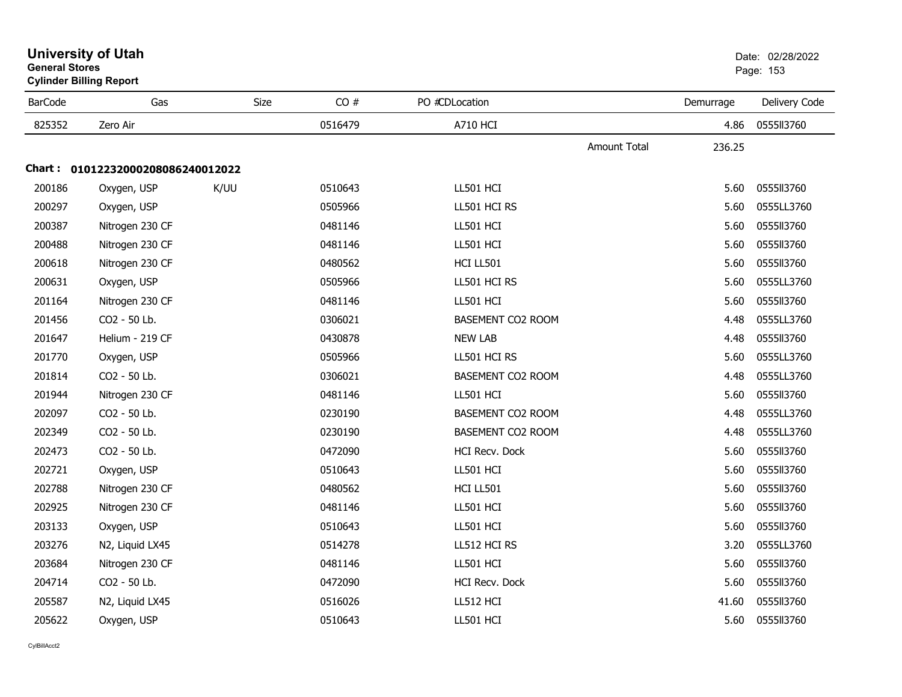| <b>BarCode</b> | Gas                               | Size | CO#     | PO #CDLocation    |                     | Demurrage | Delivery Code |
|----------------|-----------------------------------|------|---------|-------------------|---------------------|-----------|---------------|
| 825352         | Zero Air                          |      | 0516479 | <b>A710 HCI</b>   |                     | 4.86      | 0555113760    |
|                |                                   |      |         |                   | <b>Amount Total</b> | 236.25    |               |
|                | Chart: 01012232000208086240012022 |      |         |                   |                     |           |               |
| 200186         | Oxygen, USP                       | K/UU | 0510643 | LL501 HCI         |                     | 5.60      | 0555113760    |
| 200297         | Oxygen, USP                       |      | 0505966 | LL501 HCI RS      |                     | 5.60      | 0555LL3760    |
| 200387         | Nitrogen 230 CF                   |      | 0481146 | LL501 HCI         |                     | 5.60      | 0555113760    |
| 200488         | Nitrogen 230 CF                   |      | 0481146 | LL501 HCI         |                     | 5.60      | 0555113760    |
| 200618         | Nitrogen 230 CF                   |      | 0480562 | HCI LL501         |                     | 5.60      | 0555113760    |
| 200631         | Oxygen, USP                       |      | 0505966 | LL501 HCI RS      |                     | 5.60      | 0555LL3760    |
| 201164         | Nitrogen 230 CF                   |      | 0481146 | LL501 HCI         |                     | 5.60      | 0555113760    |
| 201456         | CO2 - 50 Lb.                      |      | 0306021 | BASEMENT CO2 ROOM |                     | 4.48      | 0555LL3760    |
| 201647         | Helium - 219 CF                   |      | 0430878 | <b>NEW LAB</b>    |                     | 4.48      | 0555113760    |
| 201770         | Oxygen, USP                       |      | 0505966 | LL501 HCI RS      |                     | 5.60      | 0555LL3760    |
| 201814         | CO2 - 50 Lb.                      |      | 0306021 | BASEMENT CO2 ROOM |                     | 4.48      | 0555LL3760    |
| 201944         | Nitrogen 230 CF                   |      | 0481146 | LL501 HCI         |                     | 5.60      | 0555113760    |
| 202097         | CO2 - 50 Lb.                      |      | 0230190 | BASEMENT CO2 ROOM |                     | 4.48      | 0555LL3760    |
| 202349         | CO2 - 50 Lb.                      |      | 0230190 | BASEMENT CO2 ROOM |                     | 4.48      | 0555LL3760    |
| 202473         | CO2 - 50 Lb.                      |      | 0472090 | HCI Recv. Dock    |                     | 5.60      | 0555113760    |
| 202721         | Oxygen, USP                       |      | 0510643 | LL501 HCI         |                     | 5.60      | 0555113760    |
| 202788         | Nitrogen 230 CF                   |      | 0480562 | HCI LL501         |                     | 5.60      | 0555113760    |
| 202925         | Nitrogen 230 CF                   |      | 0481146 | LL501 HCI         |                     | 5.60      | 0555113760    |
| 203133         | Oxygen, USP                       |      | 0510643 | LL501 HCI         |                     | 5.60      | 0555113760    |
| 203276         | N2, Liquid LX45                   |      | 0514278 | LL512 HCI RS      |                     | 3.20      | 0555LL3760    |
| 203684         | Nitrogen 230 CF                   |      | 0481146 | LL501 HCI         |                     | 5.60      | 0555113760    |
| 204714         | CO2 - 50 Lb.                      |      | 0472090 | HCI Recv. Dock    |                     | 5.60      | 0555113760    |
| 205587         | N2, Liquid LX45                   |      | 0516026 | LL512 HCI         |                     | 41.60     | 0555113760    |
| 205622         | Oxygen, USP                       |      | 0510643 | LL501 HCI         |                     | 5.60      | 0555113760    |

#### **University of Utah** Date: 02/28/2022 **General Stores**s and the contract of the contract of the contract of the contract of the contract of the contract of the contract of the contract of the contract of the contract of the contract of the contract of the contract of the cont **Cylinder Billing Report**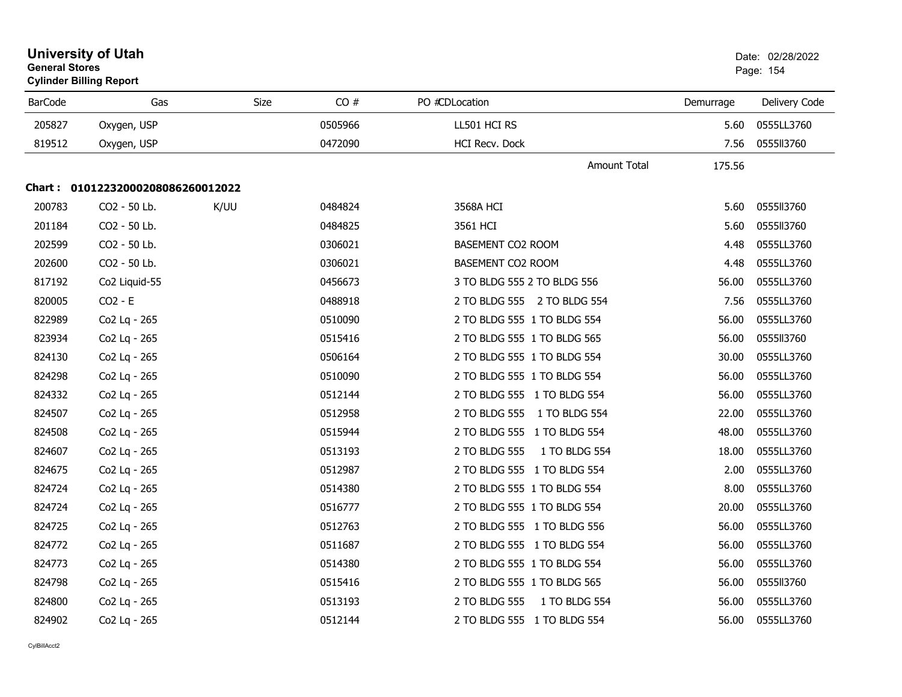|                | <b>University of Utah</b><br><b>General Stores</b><br><b>Cylinder Billing Report</b> |      |         |                                | Date: 02/28/2022<br>Page: 154 |               |
|----------------|--------------------------------------------------------------------------------------|------|---------|--------------------------------|-------------------------------|---------------|
| <b>BarCode</b> | Gas                                                                                  | Size | CO#     | PO #CDLocation                 | Demurrage                     | Delivery Code |
| 205827         | Oxygen, USP                                                                          |      | 0505966 | LL501 HCI RS                   | 5.60                          | 0555LL3760    |
| 819512         | Oxygen, USP                                                                          |      | 0472090 | HCI Recv. Dock                 | 7.56                          | 0555113760    |
|                |                                                                                      |      |         | Amount Total                   | 175.56                        |               |
|                | Chart: 01012232000208086260012022                                                    |      |         |                                |                               |               |
| 200783         | CO2 - 50 Lb.                                                                         | K/UU | 0484824 | 3568A HCI                      | 5.60                          | 0555113760    |
| 201184         | CO2 - 50 Lb.                                                                         |      | 0484825 | 3561 HCI                       | 5.60                          | 0555113760    |
| 202599         | CO2 - 50 Lb.                                                                         |      | 0306021 | <b>BASEMENT CO2 ROOM</b>       | 4.48                          | 0555LL3760    |
| 202600         | CO2 - 50 Lb.                                                                         |      | 0306021 | BASEMENT CO2 ROOM              | 4.48                          | 0555LL3760    |
| 817192         | Co2 Liquid-55                                                                        |      | 0456673 | 3 TO BLDG 555 2 TO BLDG 556    | 56.00                         | 0555LL3760    |
| 820005         | CO2 - E                                                                              |      | 0488918 | 2 TO BLDG 555 2 TO BLDG 554    | 7.56                          | 0555LL3760    |
| 822989         | Co2 Lq - 265                                                                         |      | 0510090 | 2 TO BLDG 555 1 TO BLDG 554    | 56.00                         | 0555LL3760    |
| 823934         | Co2 Lq - 265                                                                         |      | 0515416 | 2 TO BLDG 555 1 TO BLDG 565    | 56.00                         | 0555113760    |
| 824130         | Co2 Lq - 265                                                                         |      | 0506164 | 2 TO BLDG 555 1 TO BLDG 554    | 30.00                         | 0555LL3760    |
| 824298         | Co2 Lq - 265                                                                         |      | 0510090 | 2 TO BLDG 555 1 TO BLDG 554    | 56.00                         | 0555LL3760    |
| 824332         | Co2 Lq - 265                                                                         |      | 0512144 | 2 TO BLDG 555 1 TO BLDG 554    | 56.00                         | 0555LL3760    |
| 824507         | Co2 Lq - 265                                                                         |      | 0512958 | 2 TO BLDG 555 1 TO BLDG 554    | 22.00                         | 0555LL3760    |
| 824508         | Co2 Lq - 265                                                                         |      | 0515944 | 2 TO BLDG 555 1 TO BLDG 554    | 48.00                         | 0555LL3760    |
| 824607         | Co2 Lq - 265                                                                         |      | 0513193 | 1 TO BLDG 554<br>2 TO BLDG 555 | 18.00                         | 0555LL3760    |
| 824675         | Co2 Lq - 265                                                                         |      | 0512987 | 2 TO BLDG 555 1 TO BLDG 554    | 2.00                          | 0555LL3760    |
| 824724         | Co2 Lq - 265                                                                         |      | 0514380 | 2 TO BLDG 555 1 TO BLDG 554    | 8.00                          | 0555LL3760    |
| 824724         | Co2 Lq - 265                                                                         |      | 0516777 | 2 TO BLDG 555 1 TO BLDG 554    | 20.00                         | 0555LL3760    |
| 824725         | Co <sub>2</sub> Lg - 265                                                             |      | 0512763 | 2 TO BLDG 555 1 TO BLDG 556    | 56.00                         | 0555LL3760    |
| 824772         | Co2 Lq - 265                                                                         |      | 0511687 | 2 TO BLDG 555 1 TO BLDG 554    | 56.00                         | 0555LL3760    |
| 824773         | Co2 Lq - 265                                                                         |      | 0514380 | 2 TO BLDG 555 1 TO BLDG 554    | 56.00                         | 0555LL3760    |
| 824798         | Co2 Lq - 265                                                                         |      | 0515416 | 2 TO BLDG 555 1 TO BLDG 565    | 56.00                         | 0555113760    |
| 824800         | Co2 Lq - 265                                                                         |      | 0513193 | 2 TO BLDG 555<br>1 TO BLDG 554 | 56.00                         | 0555LL3760    |
| 824902         | Co2 Lq - 265                                                                         |      | 0512144 | 2 TO BLDG 555 1 TO BLDG 554    | 56.00                         | 0555LL3760    |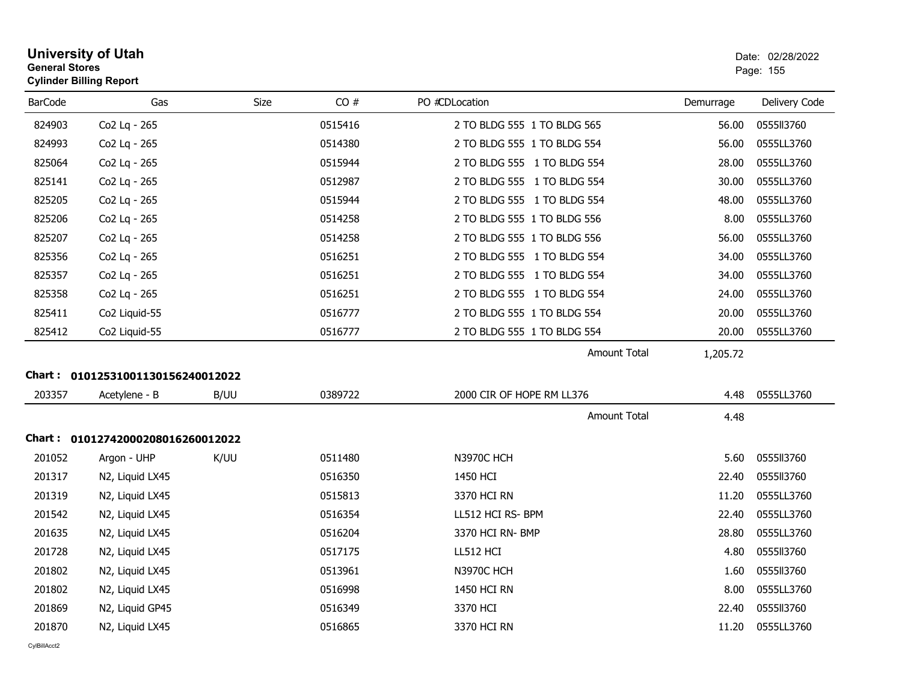| <b>General Stores</b> | <b>University of Utah</b><br><b>Cylinder Billing Report</b> |      |         |                             |           | Date: 02/28/2022<br>Page: 155 |
|-----------------------|-------------------------------------------------------------|------|---------|-----------------------------|-----------|-------------------------------|
| <b>BarCode</b>        | Gas                                                         | Size | CO#     | PO #CDLocation              | Demurrage | Delivery Code                 |
| 824903                | Co2 Lq - 265                                                |      | 0515416 | 2 TO BLDG 555 1 TO BLDG 565 | 56.00     | 0555113760                    |
| 824993                | Co2 Lq - 265                                                |      | 0514380 | 2 TO BLDG 555 1 TO BLDG 554 | 56.00     | 0555LL3760                    |
| 825064                | Co2 Lq - 265                                                |      | 0515944 | 2 TO BLDG 555 1 TO BLDG 554 | 28.00     | 0555LL3760                    |
| 825141                | Co2 Lq - 265                                                |      | 0512987 | 2 TO BLDG 555 1 TO BLDG 554 | 30.00     | 0555LL3760                    |
| 825205                | Co2 Lq - 265                                                |      | 0515944 | 2 TO BLDG 555 1 TO BLDG 554 | 48.00     | 0555LL3760                    |
| 825206                | Co2 Lq - 265                                                |      | 0514258 | 2 TO BLDG 555 1 TO BLDG 556 | 8.00      | 0555LL3760                    |
| 825207                | Co2 Lq - 265                                                |      | 0514258 | 2 TO BLDG 555 1 TO BLDG 556 | 56.00     | 0555LL3760                    |
| 825356                | Co2 Lq - 265                                                |      | 0516251 | 2 TO BLDG 555 1 TO BLDG 554 | 34.00     | 0555LL3760                    |
| 825357                | Co2 Lq - 265                                                |      | 0516251 | 2 TO BLDG 555 1 TO BLDG 554 | 34.00     | 0555LL3760                    |
| 825358                | Co2 Lq - 265                                                |      | 0516251 | 2 TO BLDG 555 1 TO BLDG 554 | 24.00     | 0555LL3760                    |
| 825411                | Co2 Liquid-55                                               |      | 0516777 | 2 TO BLDG 555 1 TO BLDG 554 | 20.00     | 0555LL3760                    |
| 825412                | Co2 Liquid-55                                               |      | 0516777 | 2 TO BLDG 555 1 TO BLDG 554 | 20.00     | 0555LL3760                    |
|                       |                                                             |      |         | <b>Amount Total</b>         | 1,205.72  |                               |
|                       | Chart: 01012531001130156240012022                           |      |         |                             |           |                               |
| 203357                | Acetylene - B                                               | B/UU | 0389722 | 2000 CIR OF HOPE RM LL376   | 4.48      | 0555LL3760                    |
|                       |                                                             |      |         | Amount Total                | 4.48      |                               |
|                       | Chart: 01012742000208016260012022                           |      |         |                             |           |                               |
| 201052                | Argon - UHP                                                 | K/UU | 0511480 | <b>N3970C HCH</b>           | 5.60      | 0555113760                    |
| 201317                | N2, Liquid LX45                                             |      | 0516350 | 1450 HCI                    | 22.40     | 0555113760                    |
| 201319                | N2, Liquid LX45                                             |      | 0515813 | 3370 HCI RN                 | 11.20     | 0555LL3760                    |
| 201542                | N2, Liquid LX45                                             |      | 0516354 | LL512 HCI RS- BPM           | 22.40     | 0555LL3760                    |
| 201635                | N2, Liquid LX45                                             |      | 0516204 | 3370 HCI RN- BMP            | 28.80     | 0555LL3760                    |
| 201728                | N2, Liquid LX45                                             |      | 0517175 | LL512 HCI                   | 4.80      | 0555113760                    |
| 201802                | N2, Liquid LX45                                             |      | 0513961 | <b>N3970C HCH</b>           | 1.60      | 0555113760                    |
| 201802                | N2, Liquid LX45                                             |      | 0516998 | 1450 HCI RN                 | 8.00      | 0555LL3760                    |
| 201869                | N2, Liquid GP45                                             |      | 0516349 | 3370 HCI                    | 22.40     | 0555113760                    |
| 201870                | N2, Liquid LX45                                             |      | 0516865 | 3370 HCI RN                 | 11.20     | 0555LL3760                    |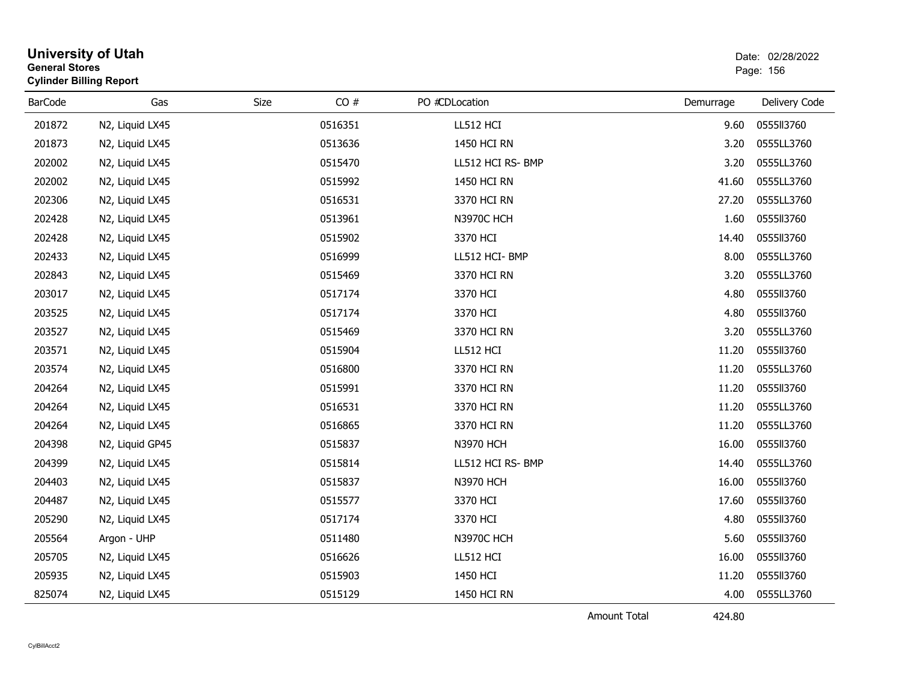| CO#<br><b>BarCode</b><br>Gas<br>Size<br>PO #CDLocation<br>Delivery Code<br>Demurrage<br>201872<br>0516351<br>0555113760<br>N2, Liquid LX45<br>LL512 HCI<br>9.60<br>201873<br>0513636<br>0555LL3760<br>1450 HCI RN<br>3.20<br>N2, Liquid LX45<br>0555LL3760<br>202002<br>N2, Liquid LX45<br>0515470<br>LL512 HCI RS- BMP<br>3.20<br>202002<br>0515992<br>0555LL3760<br>N2, Liquid LX45<br>1450 HCI RN<br>41.60<br>202306<br>0516531<br>0555LL3760<br>N2, Liquid LX45<br>3370 HCI RN<br>27.20<br>0555113760<br>202428<br>0513961<br><b>N3970C HCH</b><br>1.60<br>N2, Liquid LX45<br>0555113760<br>202428<br>N2, Liquid LX45<br>0515902<br>3370 HCI<br>14.40<br>0516999<br>0555LL3760<br>202433<br>N2, Liquid LX45<br>LL512 HCI-BMP<br>8.00<br>202843<br>0515469<br>3.20<br>0555LL3760<br>N2, Liquid LX45<br>3370 HCI RN<br>203017<br>0517174<br>0555113760<br>3370 HCI<br>4.80<br>N2, Liquid LX45<br>203525<br>0517174<br>3370 HCI<br>0555113760<br>N2, Liquid LX45<br>4.80<br>203527<br>0555LL3760<br>N2, Liquid LX45<br>0515469<br>3370 HCI RN<br>3.20<br>203571<br>0555113760<br>0515904<br>LL512 HCI<br>11.20<br>N2, Liquid LX45<br>203574<br>0516800<br>3370 HCI RN<br>0555LL3760<br>N2, Liquid LX45<br>11.20<br>0555113760<br>204264<br>0515991<br>3370 HCI RN<br>11.20<br>N2, Liquid LX45<br>0555LL3760<br>204264<br>N2, Liquid LX45<br>0516531<br>3370 HCI RN<br>11.20<br>204264<br>0555LL3760<br>N2, Liquid LX45<br>0516865<br>3370 HCI RN<br>11.20<br>204398<br>0515837<br><b>N3970 HCH</b><br>16.00<br>0555113760<br>N2, Liquid GP45<br>204399<br>0515814<br>LL512 HCI RS- BMP<br>0555LL3760<br>N2, Liquid LX45<br>14.40<br>204403<br><b>N3970 HCH</b><br>16.00<br>0555113760<br>N2, Liquid LX45<br>0515837<br>0555113760<br>204487<br>N2, Liquid LX45<br>0515577<br>3370 HCI<br>17.60<br>0555113760<br>205290<br>N2, Liquid LX45<br>0517174<br>3370 HCI<br>4.80<br>205564<br>0555113760<br>Argon - UHP<br>0511480<br><b>N3970C HCH</b><br>5.60<br>205705<br>0516626<br>LL512 HCI<br>16.00<br>0555113760<br>N2, Liquid LX45<br>0555113760<br>205935<br>0515903<br>1450 HCI<br>11.20<br>N2, Liquid LX45<br>825074<br>0555LL3760<br>N2, Liquid LX45<br>0515129<br>1450 HCI RN<br>4.00 | <b>General Stores</b> | <b>University of Utah</b><br><b>Cylinder Billing Report</b> |  |  |  |  | Date: 02/28/2022<br>Page: 156 |
|----------------------------------------------------------------------------------------------------------------------------------------------------------------------------------------------------------------------------------------------------------------------------------------------------------------------------------------------------------------------------------------------------------------------------------------------------------------------------------------------------------------------------------------------------------------------------------------------------------------------------------------------------------------------------------------------------------------------------------------------------------------------------------------------------------------------------------------------------------------------------------------------------------------------------------------------------------------------------------------------------------------------------------------------------------------------------------------------------------------------------------------------------------------------------------------------------------------------------------------------------------------------------------------------------------------------------------------------------------------------------------------------------------------------------------------------------------------------------------------------------------------------------------------------------------------------------------------------------------------------------------------------------------------------------------------------------------------------------------------------------------------------------------------------------------------------------------------------------------------------------------------------------------------------------------------------------------------------------------------------------------------------------------------------------------------------------------------------------------------------------------------------------------------------------------------------|-----------------------|-------------------------------------------------------------|--|--|--|--|-------------------------------|
|                                                                                                                                                                                                                                                                                                                                                                                                                                                                                                                                                                                                                                                                                                                                                                                                                                                                                                                                                                                                                                                                                                                                                                                                                                                                                                                                                                                                                                                                                                                                                                                                                                                                                                                                                                                                                                                                                                                                                                                                                                                                                                                                                                                              |                       |                                                             |  |  |  |  |                               |
|                                                                                                                                                                                                                                                                                                                                                                                                                                                                                                                                                                                                                                                                                                                                                                                                                                                                                                                                                                                                                                                                                                                                                                                                                                                                                                                                                                                                                                                                                                                                                                                                                                                                                                                                                                                                                                                                                                                                                                                                                                                                                                                                                                                              |                       |                                                             |  |  |  |  |                               |
|                                                                                                                                                                                                                                                                                                                                                                                                                                                                                                                                                                                                                                                                                                                                                                                                                                                                                                                                                                                                                                                                                                                                                                                                                                                                                                                                                                                                                                                                                                                                                                                                                                                                                                                                                                                                                                                                                                                                                                                                                                                                                                                                                                                              |                       |                                                             |  |  |  |  |                               |
|                                                                                                                                                                                                                                                                                                                                                                                                                                                                                                                                                                                                                                                                                                                                                                                                                                                                                                                                                                                                                                                                                                                                                                                                                                                                                                                                                                                                                                                                                                                                                                                                                                                                                                                                                                                                                                                                                                                                                                                                                                                                                                                                                                                              |                       |                                                             |  |  |  |  |                               |
|                                                                                                                                                                                                                                                                                                                                                                                                                                                                                                                                                                                                                                                                                                                                                                                                                                                                                                                                                                                                                                                                                                                                                                                                                                                                                                                                                                                                                                                                                                                                                                                                                                                                                                                                                                                                                                                                                                                                                                                                                                                                                                                                                                                              |                       |                                                             |  |  |  |  |                               |
|                                                                                                                                                                                                                                                                                                                                                                                                                                                                                                                                                                                                                                                                                                                                                                                                                                                                                                                                                                                                                                                                                                                                                                                                                                                                                                                                                                                                                                                                                                                                                                                                                                                                                                                                                                                                                                                                                                                                                                                                                                                                                                                                                                                              |                       |                                                             |  |  |  |  |                               |
|                                                                                                                                                                                                                                                                                                                                                                                                                                                                                                                                                                                                                                                                                                                                                                                                                                                                                                                                                                                                                                                                                                                                                                                                                                                                                                                                                                                                                                                                                                                                                                                                                                                                                                                                                                                                                                                                                                                                                                                                                                                                                                                                                                                              |                       |                                                             |  |  |  |  |                               |
|                                                                                                                                                                                                                                                                                                                                                                                                                                                                                                                                                                                                                                                                                                                                                                                                                                                                                                                                                                                                                                                                                                                                                                                                                                                                                                                                                                                                                                                                                                                                                                                                                                                                                                                                                                                                                                                                                                                                                                                                                                                                                                                                                                                              |                       |                                                             |  |  |  |  |                               |
|                                                                                                                                                                                                                                                                                                                                                                                                                                                                                                                                                                                                                                                                                                                                                                                                                                                                                                                                                                                                                                                                                                                                                                                                                                                                                                                                                                                                                                                                                                                                                                                                                                                                                                                                                                                                                                                                                                                                                                                                                                                                                                                                                                                              |                       |                                                             |  |  |  |  |                               |
|                                                                                                                                                                                                                                                                                                                                                                                                                                                                                                                                                                                                                                                                                                                                                                                                                                                                                                                                                                                                                                                                                                                                                                                                                                                                                                                                                                                                                                                                                                                                                                                                                                                                                                                                                                                                                                                                                                                                                                                                                                                                                                                                                                                              |                       |                                                             |  |  |  |  |                               |
|                                                                                                                                                                                                                                                                                                                                                                                                                                                                                                                                                                                                                                                                                                                                                                                                                                                                                                                                                                                                                                                                                                                                                                                                                                                                                                                                                                                                                                                                                                                                                                                                                                                                                                                                                                                                                                                                                                                                                                                                                                                                                                                                                                                              |                       |                                                             |  |  |  |  |                               |
|                                                                                                                                                                                                                                                                                                                                                                                                                                                                                                                                                                                                                                                                                                                                                                                                                                                                                                                                                                                                                                                                                                                                                                                                                                                                                                                                                                                                                                                                                                                                                                                                                                                                                                                                                                                                                                                                                                                                                                                                                                                                                                                                                                                              |                       |                                                             |  |  |  |  |                               |
|                                                                                                                                                                                                                                                                                                                                                                                                                                                                                                                                                                                                                                                                                                                                                                                                                                                                                                                                                                                                                                                                                                                                                                                                                                                                                                                                                                                                                                                                                                                                                                                                                                                                                                                                                                                                                                                                                                                                                                                                                                                                                                                                                                                              |                       |                                                             |  |  |  |  |                               |
|                                                                                                                                                                                                                                                                                                                                                                                                                                                                                                                                                                                                                                                                                                                                                                                                                                                                                                                                                                                                                                                                                                                                                                                                                                                                                                                                                                                                                                                                                                                                                                                                                                                                                                                                                                                                                                                                                                                                                                                                                                                                                                                                                                                              |                       |                                                             |  |  |  |  |                               |
|                                                                                                                                                                                                                                                                                                                                                                                                                                                                                                                                                                                                                                                                                                                                                                                                                                                                                                                                                                                                                                                                                                                                                                                                                                                                                                                                                                                                                                                                                                                                                                                                                                                                                                                                                                                                                                                                                                                                                                                                                                                                                                                                                                                              |                       |                                                             |  |  |  |  |                               |
|                                                                                                                                                                                                                                                                                                                                                                                                                                                                                                                                                                                                                                                                                                                                                                                                                                                                                                                                                                                                                                                                                                                                                                                                                                                                                                                                                                                                                                                                                                                                                                                                                                                                                                                                                                                                                                                                                                                                                                                                                                                                                                                                                                                              |                       |                                                             |  |  |  |  |                               |
|                                                                                                                                                                                                                                                                                                                                                                                                                                                                                                                                                                                                                                                                                                                                                                                                                                                                                                                                                                                                                                                                                                                                                                                                                                                                                                                                                                                                                                                                                                                                                                                                                                                                                                                                                                                                                                                                                                                                                                                                                                                                                                                                                                                              |                       |                                                             |  |  |  |  |                               |
|                                                                                                                                                                                                                                                                                                                                                                                                                                                                                                                                                                                                                                                                                                                                                                                                                                                                                                                                                                                                                                                                                                                                                                                                                                                                                                                                                                                                                                                                                                                                                                                                                                                                                                                                                                                                                                                                                                                                                                                                                                                                                                                                                                                              |                       |                                                             |  |  |  |  |                               |
|                                                                                                                                                                                                                                                                                                                                                                                                                                                                                                                                                                                                                                                                                                                                                                                                                                                                                                                                                                                                                                                                                                                                                                                                                                                                                                                                                                                                                                                                                                                                                                                                                                                                                                                                                                                                                                                                                                                                                                                                                                                                                                                                                                                              |                       |                                                             |  |  |  |  |                               |
|                                                                                                                                                                                                                                                                                                                                                                                                                                                                                                                                                                                                                                                                                                                                                                                                                                                                                                                                                                                                                                                                                                                                                                                                                                                                                                                                                                                                                                                                                                                                                                                                                                                                                                                                                                                                                                                                                                                                                                                                                                                                                                                                                                                              |                       |                                                             |  |  |  |  |                               |
|                                                                                                                                                                                                                                                                                                                                                                                                                                                                                                                                                                                                                                                                                                                                                                                                                                                                                                                                                                                                                                                                                                                                                                                                                                                                                                                                                                                                                                                                                                                                                                                                                                                                                                                                                                                                                                                                                                                                                                                                                                                                                                                                                                                              |                       |                                                             |  |  |  |  |                               |
|                                                                                                                                                                                                                                                                                                                                                                                                                                                                                                                                                                                                                                                                                                                                                                                                                                                                                                                                                                                                                                                                                                                                                                                                                                                                                                                                                                                                                                                                                                                                                                                                                                                                                                                                                                                                                                                                                                                                                                                                                                                                                                                                                                                              |                       |                                                             |  |  |  |  |                               |
|                                                                                                                                                                                                                                                                                                                                                                                                                                                                                                                                                                                                                                                                                                                                                                                                                                                                                                                                                                                                                                                                                                                                                                                                                                                                                                                                                                                                                                                                                                                                                                                                                                                                                                                                                                                                                                                                                                                                                                                                                                                                                                                                                                                              |                       |                                                             |  |  |  |  |                               |
|                                                                                                                                                                                                                                                                                                                                                                                                                                                                                                                                                                                                                                                                                                                                                                                                                                                                                                                                                                                                                                                                                                                                                                                                                                                                                                                                                                                                                                                                                                                                                                                                                                                                                                                                                                                                                                                                                                                                                                                                                                                                                                                                                                                              |                       |                                                             |  |  |  |  |                               |
|                                                                                                                                                                                                                                                                                                                                                                                                                                                                                                                                                                                                                                                                                                                                                                                                                                                                                                                                                                                                                                                                                                                                                                                                                                                                                                                                                                                                                                                                                                                                                                                                                                                                                                                                                                                                                                                                                                                                                                                                                                                                                                                                                                                              |                       |                                                             |  |  |  |  |                               |
|                                                                                                                                                                                                                                                                                                                                                                                                                                                                                                                                                                                                                                                                                                                                                                                                                                                                                                                                                                                                                                                                                                                                                                                                                                                                                                                                                                                                                                                                                                                                                                                                                                                                                                                                                                                                                                                                                                                                                                                                                                                                                                                                                                                              |                       |                                                             |  |  |  |  |                               |
|                                                                                                                                                                                                                                                                                                                                                                                                                                                                                                                                                                                                                                                                                                                                                                                                                                                                                                                                                                                                                                                                                                                                                                                                                                                                                                                                                                                                                                                                                                                                                                                                                                                                                                                                                                                                                                                                                                                                                                                                                                                                                                                                                                                              |                       |                                                             |  |  |  |  |                               |

Amount Total

424.80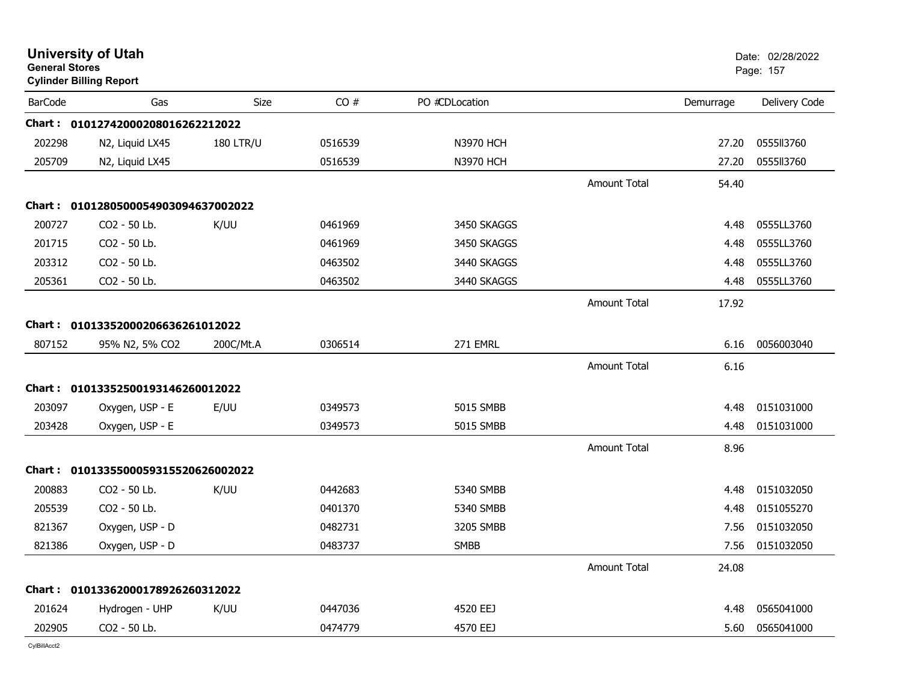| CO#<br><b>BarCode</b><br>Size<br>PO #CDLocation<br>Delivery Code<br>Gas<br>Demurrage<br>Chart: 01012742000208016262212022<br>202298<br><b>N3970 HCH</b><br>0555II3760<br>N2, Liquid LX45<br><b>180 LTR/U</b><br>0516539<br>27.20<br>205709<br>0555113760<br>N2, Liquid LX45<br>0516539<br><b>N3970 HCH</b><br>27.20<br><b>Amount Total</b><br>54.40<br>Chart: 0101280500054903094637002022<br>200727<br>CO2 - 50 Lb.<br>K/UU<br>0461969<br>3450 SKAGGS<br>0555LL3760<br>4.48<br>CO2 - 50 Lb.<br>0555LL3760<br>201715<br>0461969<br>3450 SKAGGS<br>4.48<br>203312<br>CO2 - 50 Lb.<br>0555LL3760<br>0463502<br>3440 SKAGGS<br>4.48<br>205361<br>CO2 - 50 Lb.<br>0463502<br>3440 SKAGGS<br>0555LL3760<br>4.48<br><b>Amount Total</b><br>17.92<br>Chart: 01013352000206636261012022<br>807152<br>271 EMRL<br>0056003040<br>95% N2, 5% CO2<br>200C/Mt.A<br>0306514<br>6.16<br><b>Amount Total</b><br>6.16<br>Chart: 01013352500193146260012022<br>203097<br>Oxygen, USP - E<br>E/UU<br>0349573<br><b>5015 SMBB</b><br>0151031000<br>4.48<br>5015 SMBB<br>0151031000<br>203428<br>Oxygen, USP - E<br>0349573<br>4.48<br>Amount Total<br>8.96<br>Chart: 0101335500059315520626002022<br>200883<br>CO2 - 50 Lb.<br>K/UU<br>0442683<br>5340 SMBB<br>0151032050<br>4.48<br>205539<br>CO2 - 50 Lb.<br>0401370<br>5340 SMBB<br>0151055270<br>4.48<br>821367<br>Oxygen, USP - D<br>0151032050<br>0482731<br>3205 SMBB<br>7.56<br>0151032050<br>821386<br>Oxygen, USP - D<br>0483737<br><b>SMBB</b><br>7.56<br><b>Amount Total</b><br>24.08<br>Chart: 01013362000178926260312022<br>201624<br>4520 EEJ<br>0565041000<br>K/UU<br>0447036<br>Hydrogen - UHP<br>4.48<br>202905<br>CO2 - 50 Lb.<br>4570 EEJ<br>0565041000<br>0474779<br>5.60 | <b>General Stores</b> | <b>University of Utah</b><br><b>Cylinder Billing Report</b> |  |  | Date: 02/28/2022<br>Page: 157 |
|----------------------------------------------------------------------------------------------------------------------------------------------------------------------------------------------------------------------------------------------------------------------------------------------------------------------------------------------------------------------------------------------------------------------------------------------------------------------------------------------------------------------------------------------------------------------------------------------------------------------------------------------------------------------------------------------------------------------------------------------------------------------------------------------------------------------------------------------------------------------------------------------------------------------------------------------------------------------------------------------------------------------------------------------------------------------------------------------------------------------------------------------------------------------------------------------------------------------------------------------------------------------------------------------------------------------------------------------------------------------------------------------------------------------------------------------------------------------------------------------------------------------------------------------------------------------------------------------------------------------------------------------------------------------------------------------------------------------------|-----------------------|-------------------------------------------------------------|--|--|-------------------------------|
|                                                                                                                                                                                                                                                                                                                                                                                                                                                                                                                                                                                                                                                                                                                                                                                                                                                                                                                                                                                                                                                                                                                                                                                                                                                                                                                                                                                                                                                                                                                                                                                                                                                                                                                            |                       |                                                             |  |  |                               |
|                                                                                                                                                                                                                                                                                                                                                                                                                                                                                                                                                                                                                                                                                                                                                                                                                                                                                                                                                                                                                                                                                                                                                                                                                                                                                                                                                                                                                                                                                                                                                                                                                                                                                                                            |                       |                                                             |  |  |                               |
|                                                                                                                                                                                                                                                                                                                                                                                                                                                                                                                                                                                                                                                                                                                                                                                                                                                                                                                                                                                                                                                                                                                                                                                                                                                                                                                                                                                                                                                                                                                                                                                                                                                                                                                            |                       |                                                             |  |  |                               |
|                                                                                                                                                                                                                                                                                                                                                                                                                                                                                                                                                                                                                                                                                                                                                                                                                                                                                                                                                                                                                                                                                                                                                                                                                                                                                                                                                                                                                                                                                                                                                                                                                                                                                                                            |                       |                                                             |  |  |                               |
|                                                                                                                                                                                                                                                                                                                                                                                                                                                                                                                                                                                                                                                                                                                                                                                                                                                                                                                                                                                                                                                                                                                                                                                                                                                                                                                                                                                                                                                                                                                                                                                                                                                                                                                            |                       |                                                             |  |  |                               |
|                                                                                                                                                                                                                                                                                                                                                                                                                                                                                                                                                                                                                                                                                                                                                                                                                                                                                                                                                                                                                                                                                                                                                                                                                                                                                                                                                                                                                                                                                                                                                                                                                                                                                                                            |                       |                                                             |  |  |                               |
|                                                                                                                                                                                                                                                                                                                                                                                                                                                                                                                                                                                                                                                                                                                                                                                                                                                                                                                                                                                                                                                                                                                                                                                                                                                                                                                                                                                                                                                                                                                                                                                                                                                                                                                            |                       |                                                             |  |  |                               |
|                                                                                                                                                                                                                                                                                                                                                                                                                                                                                                                                                                                                                                                                                                                                                                                                                                                                                                                                                                                                                                                                                                                                                                                                                                                                                                                                                                                                                                                                                                                                                                                                                                                                                                                            |                       |                                                             |  |  |                               |
|                                                                                                                                                                                                                                                                                                                                                                                                                                                                                                                                                                                                                                                                                                                                                                                                                                                                                                                                                                                                                                                                                                                                                                                                                                                                                                                                                                                                                                                                                                                                                                                                                                                                                                                            |                       |                                                             |  |  |                               |
|                                                                                                                                                                                                                                                                                                                                                                                                                                                                                                                                                                                                                                                                                                                                                                                                                                                                                                                                                                                                                                                                                                                                                                                                                                                                                                                                                                                                                                                                                                                                                                                                                                                                                                                            |                       |                                                             |  |  |                               |
|                                                                                                                                                                                                                                                                                                                                                                                                                                                                                                                                                                                                                                                                                                                                                                                                                                                                                                                                                                                                                                                                                                                                                                                                                                                                                                                                                                                                                                                                                                                                                                                                                                                                                                                            |                       |                                                             |  |  |                               |
|                                                                                                                                                                                                                                                                                                                                                                                                                                                                                                                                                                                                                                                                                                                                                                                                                                                                                                                                                                                                                                                                                                                                                                                                                                                                                                                                                                                                                                                                                                                                                                                                                                                                                                                            |                       |                                                             |  |  |                               |
|                                                                                                                                                                                                                                                                                                                                                                                                                                                                                                                                                                                                                                                                                                                                                                                                                                                                                                                                                                                                                                                                                                                                                                                                                                                                                                                                                                                                                                                                                                                                                                                                                                                                                                                            |                       |                                                             |  |  |                               |
|                                                                                                                                                                                                                                                                                                                                                                                                                                                                                                                                                                                                                                                                                                                                                                                                                                                                                                                                                                                                                                                                                                                                                                                                                                                                                                                                                                                                                                                                                                                                                                                                                                                                                                                            |                       |                                                             |  |  |                               |
|                                                                                                                                                                                                                                                                                                                                                                                                                                                                                                                                                                                                                                                                                                                                                                                                                                                                                                                                                                                                                                                                                                                                                                                                                                                                                                                                                                                                                                                                                                                                                                                                                                                                                                                            |                       |                                                             |  |  |                               |
|                                                                                                                                                                                                                                                                                                                                                                                                                                                                                                                                                                                                                                                                                                                                                                                                                                                                                                                                                                                                                                                                                                                                                                                                                                                                                                                                                                                                                                                                                                                                                                                                                                                                                                                            |                       |                                                             |  |  |                               |
|                                                                                                                                                                                                                                                                                                                                                                                                                                                                                                                                                                                                                                                                                                                                                                                                                                                                                                                                                                                                                                                                                                                                                                                                                                                                                                                                                                                                                                                                                                                                                                                                                                                                                                                            |                       |                                                             |  |  |                               |
|                                                                                                                                                                                                                                                                                                                                                                                                                                                                                                                                                                                                                                                                                                                                                                                                                                                                                                                                                                                                                                                                                                                                                                                                                                                                                                                                                                                                                                                                                                                                                                                                                                                                                                                            |                       |                                                             |  |  |                               |
|                                                                                                                                                                                                                                                                                                                                                                                                                                                                                                                                                                                                                                                                                                                                                                                                                                                                                                                                                                                                                                                                                                                                                                                                                                                                                                                                                                                                                                                                                                                                                                                                                                                                                                                            |                       |                                                             |  |  |                               |
|                                                                                                                                                                                                                                                                                                                                                                                                                                                                                                                                                                                                                                                                                                                                                                                                                                                                                                                                                                                                                                                                                                                                                                                                                                                                                                                                                                                                                                                                                                                                                                                                                                                                                                                            |                       |                                                             |  |  |                               |
|                                                                                                                                                                                                                                                                                                                                                                                                                                                                                                                                                                                                                                                                                                                                                                                                                                                                                                                                                                                                                                                                                                                                                                                                                                                                                                                                                                                                                                                                                                                                                                                                                                                                                                                            |                       |                                                             |  |  |                               |
|                                                                                                                                                                                                                                                                                                                                                                                                                                                                                                                                                                                                                                                                                                                                                                                                                                                                                                                                                                                                                                                                                                                                                                                                                                                                                                                                                                                                                                                                                                                                                                                                                                                                                                                            |                       |                                                             |  |  |                               |
|                                                                                                                                                                                                                                                                                                                                                                                                                                                                                                                                                                                                                                                                                                                                                                                                                                                                                                                                                                                                                                                                                                                                                                                                                                                                                                                                                                                                                                                                                                                                                                                                                                                                                                                            |                       |                                                             |  |  |                               |
|                                                                                                                                                                                                                                                                                                                                                                                                                                                                                                                                                                                                                                                                                                                                                                                                                                                                                                                                                                                                                                                                                                                                                                                                                                                                                                                                                                                                                                                                                                                                                                                                                                                                                                                            |                       |                                                             |  |  |                               |
|                                                                                                                                                                                                                                                                                                                                                                                                                                                                                                                                                                                                                                                                                                                                                                                                                                                                                                                                                                                                                                                                                                                                                                                                                                                                                                                                                                                                                                                                                                                                                                                                                                                                                                                            |                       |                                                             |  |  |                               |
|                                                                                                                                                                                                                                                                                                                                                                                                                                                                                                                                                                                                                                                                                                                                                                                                                                                                                                                                                                                                                                                                                                                                                                                                                                                                                                                                                                                                                                                                                                                                                                                                                                                                                                                            |                       |                                                             |  |  |                               |
|                                                                                                                                                                                                                                                                                                                                                                                                                                                                                                                                                                                                                                                                                                                                                                                                                                                                                                                                                                                                                                                                                                                                                                                                                                                                                                                                                                                                                                                                                                                                                                                                                                                                                                                            |                       |                                                             |  |  |                               |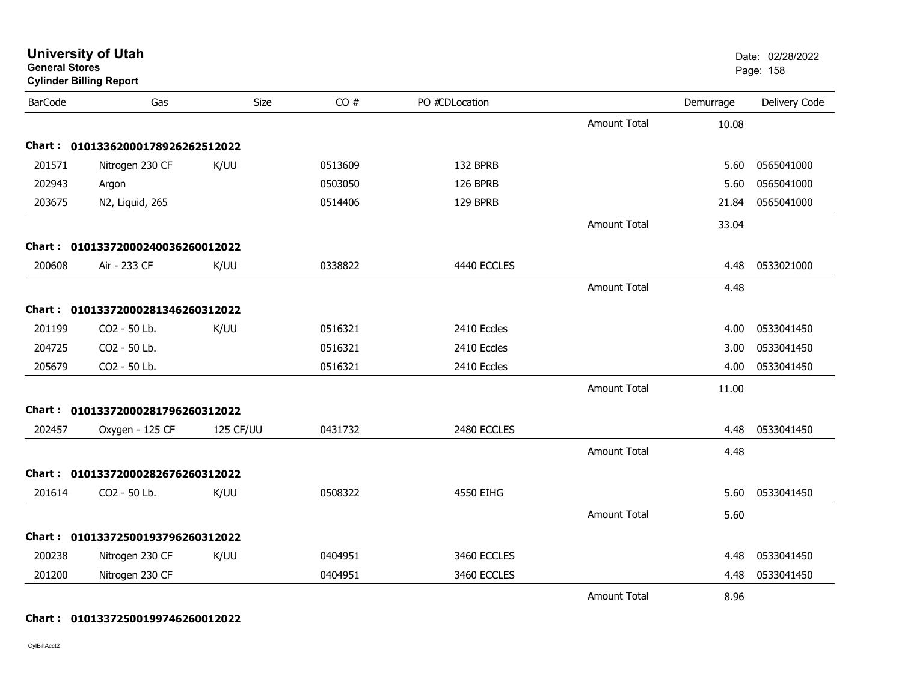| General Stores | <b>Cylinder Billing Report</b>    |           |         |                |                     |           | Page: 158     |
|----------------|-----------------------------------|-----------|---------|----------------|---------------------|-----------|---------------|
| <b>BarCode</b> | Gas                               | Size      | CO#     | PO #CDLocation |                     | Demurrage | Delivery Code |
|                |                                   |           |         |                | <b>Amount Total</b> | 10.08     |               |
|                | Chart: 01013362000178926262512022 |           |         |                |                     |           |               |
| 201571         | Nitrogen 230 CF                   | K/UU      | 0513609 | 132 BPRB       |                     | 5.60      | 0565041000    |
| 202943         | Argon                             |           | 0503050 | 126 BPRB       |                     | 5.60      | 0565041000    |
| 203675         | N2, Liquid, 265                   |           | 0514406 | 129 BPRB       |                     | 21.84     | 0565041000    |
|                |                                   |           |         |                | <b>Amount Total</b> | 33.04     |               |
|                | Chart: 01013372000240036260012022 |           |         |                |                     |           |               |
| 200608         | Air - 233 CF                      | K/UU      | 0338822 | 4440 ECCLES    |                     | 4.48      | 0533021000    |
|                |                                   |           |         |                | <b>Amount Total</b> | 4.48      |               |
|                | Chart: 01013372000281346260312022 |           |         |                |                     |           |               |
| 201199         | CO2 - 50 Lb.                      | K/UU      | 0516321 | 2410 Eccles    |                     | 4.00      | 0533041450    |
| 204725         | CO2 - 50 Lb.                      |           | 0516321 | 2410 Eccles    |                     | 3.00      | 0533041450    |
| 205679         | CO2 - 50 Lb.                      |           | 0516321 | 2410 Eccles    |                     | 4.00      | 0533041450    |
|                |                                   |           |         |                | <b>Amount Total</b> | 11.00     |               |
|                | Chart: 01013372000281796260312022 |           |         |                |                     |           |               |
| 202457         | Oxygen - 125 CF                   | 125 CF/UU | 0431732 | 2480 ECCLES    |                     | 4.48      | 0533041450    |
|                |                                   |           |         |                | <b>Amount Total</b> | 4.48      |               |
|                | Chart: 01013372000282676260312022 |           |         |                |                     |           |               |
| 201614         | CO2 - 50 Lb.                      | K/UU      | 0508322 | 4550 EIHG      |                     | 5.60      | 0533041450    |
|                |                                   |           |         |                | Amount Total        | 5.60      |               |
|                | Chart: 01013372500193796260312022 |           |         |                |                     |           |               |
| 200238         | Nitrogen 230 CF                   | K/UU      | 0404951 | 3460 ECCLES    |                     | 4.48      | 0533041450    |
| 201200         | Nitrogen 230 CF                   |           | 0404951 | 3460 ECCLES    |                     | 4.48      | 0533041450    |
|                |                                   |           |         |                | <b>Amount Total</b> | 8.96      |               |

**University of Utah** Date: 02/28/2022

#### **Chart : 01013372500199746260012022**

CylBillAcct2

**General Stores**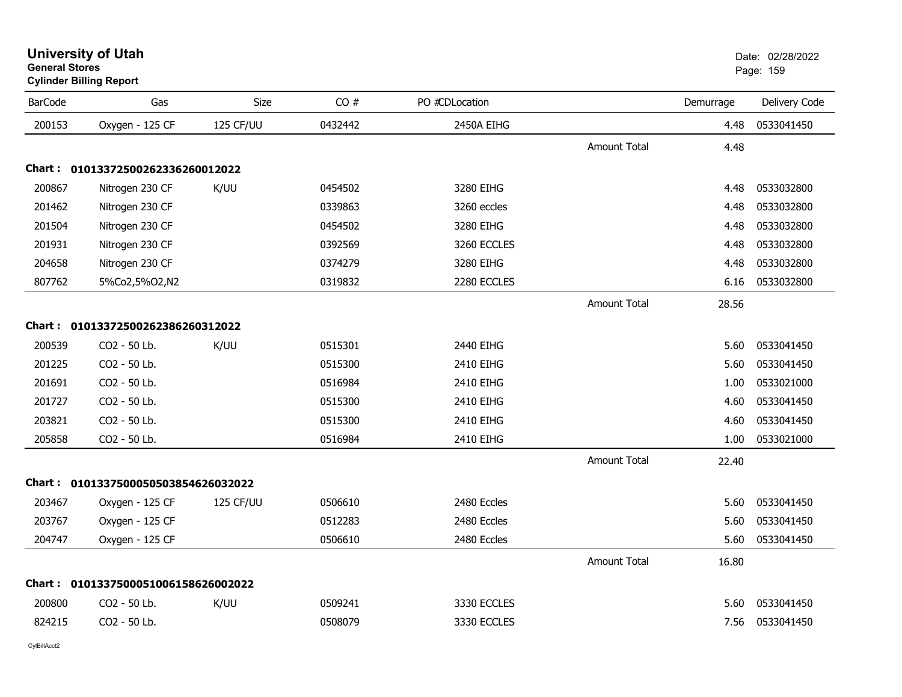|                | <b>Cyllings Dilling Report</b>      |           |         |                |                     |           |               |
|----------------|-------------------------------------|-----------|---------|----------------|---------------------|-----------|---------------|
| <b>BarCode</b> | Gas                                 | Size      | CO#     | PO #CDLocation |                     | Demurrage | Delivery Code |
| 200153         | Oxygen - 125 CF                     | 125 CF/UU | 0432442 | 2450A EIHG     |                     | 4.48      | 0533041450    |
|                |                                     |           |         |                | <b>Amount Total</b> | 4.48      |               |
|                | Chart: 01013372500262336260012022   |           |         |                |                     |           |               |
| 200867         | Nitrogen 230 CF                     | K/UU      | 0454502 | 3280 EIHG      |                     | 4.48      | 0533032800    |
| 201462         | Nitrogen 230 CF                     |           | 0339863 | 3260 eccles    |                     | 4.48      | 0533032800    |
| 201504         | Nitrogen 230 CF                     |           | 0454502 | 3280 EIHG      |                     | 4.48      | 0533032800    |
| 201931         | Nitrogen 230 CF                     |           | 0392569 | 3260 ECCLES    |                     | 4.48      | 0533032800    |
| 204658         | Nitrogen 230 CF                     |           | 0374279 | 3280 EIHG      |                     | 4.48      | 0533032800    |
| 807762         | 5%Co2,5%O2,N2                       |           | 0319832 | 2280 ECCLES    |                     | 6.16      | 0533032800    |
|                |                                     |           |         |                | <b>Amount Total</b> | 28.56     |               |
|                | Chart: 01013372500262386260312022   |           |         |                |                     |           |               |
| 200539         | CO2 - 50 Lb.                        | K/UU      | 0515301 | 2440 EIHG      |                     | 5.60      | 0533041450    |
| 201225         | CO2 - 50 Lb.                        |           | 0515300 | 2410 EIHG      |                     | 5.60      | 0533041450    |
| 201691         | CO2 - 50 Lb.                        |           | 0516984 | 2410 EIHG      |                     | 1.00      | 0533021000    |
| 201727         | CO2 - 50 Lb.                        |           | 0515300 | 2410 EIHG      |                     | 4.60      | 0533041450    |
| 203821         | CO2 - 50 Lb.                        |           | 0515300 | 2410 EIHG      |                     | 4.60      | 0533041450    |
| 205858         | CO2 - 50 Lb.                        |           | 0516984 | 2410 EIHG      |                     | 1.00      | 0533021000    |
|                |                                     |           |         |                | Amount Total        | 22.40     |               |
|                | Chart: 0101337500050503854626032022 |           |         |                |                     |           |               |
| 203467         | Oxygen - 125 CF                     | 125 CF/UU | 0506610 | 2480 Eccles    |                     | 5.60      | 0533041450    |
| 203767         | Oxygen - 125 CF                     |           | 0512283 | 2480 Eccles    |                     | 5.60      | 0533041450    |
| 204747         | Oxygen - 125 CF                     |           | 0506610 | 2480 Eccles    |                     | 5.60      | 0533041450    |
|                |                                     |           |         |                | <b>Amount Total</b> | 16.80     |               |
|                | Chart: 0101337500051006158626002022 |           |         |                |                     |           |               |
| 200800         | CO2 - 50 Lb.                        | K/UU      | 0509241 | 3330 ECCLES    |                     | 5.60      | 0533041450    |
| 824215         | CO2 - 50 Lb.                        |           | 0508079 | 3330 ECCLES    |                     | 7.56      | 0533041450    |
|                |                                     |           |         |                |                     |           |               |

#### **University of Utah**  Date: 02/28/2022 **General Stores**er and the state of the state of the state of the state of the state of the state of the state of the state of the state of the state of the state of the state of the state of the state of the state of the state of the sta

**Cylinder Billing Report**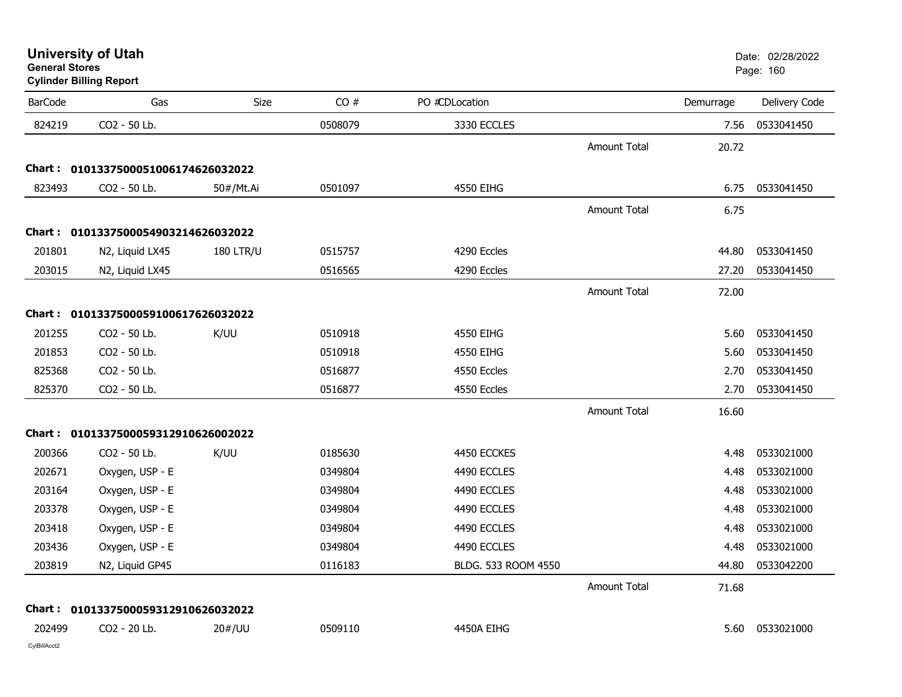| <b>University of Utah</b> |  |  |  |
|---------------------------|--|--|--|
|---------------------------|--|--|--|

| <b>BarCode</b> | Gas                                 | Size             | CO#     | PO #CDLocation      |                     | Demurrage | Delivery Code |
|----------------|-------------------------------------|------------------|---------|---------------------|---------------------|-----------|---------------|
| 824219         | CO2 - 50 Lb.                        |                  | 0508079 | 3330 ECCLES         |                     | 7.56      | 0533041450    |
|                |                                     |                  |         |                     | <b>Amount Total</b> | 20.72     |               |
|                | Chart: 0101337500051006174626032022 |                  |         |                     |                     |           |               |
| 823493         | CO2 - 50 Lb.                        | 50#/Mt.Ai        | 0501097 | 4550 EIHG           |                     | 6.75      | 0533041450    |
|                |                                     |                  |         |                     | <b>Amount Total</b> | 6.75      |               |
|                | Chart: 0101337500054903214626032022 |                  |         |                     |                     |           |               |
| 201801         | N2, Liquid LX45                     | <b>180 LTR/U</b> | 0515757 | 4290 Eccles         |                     | 44.80     | 0533041450    |
| 203015         | N2, Liquid LX45                     |                  | 0516565 | 4290 Eccles         |                     | 27.20     | 0533041450    |
|                |                                     |                  |         |                     | <b>Amount Total</b> | 72.00     |               |
|                | Chart: 0101337500059100617626032022 |                  |         |                     |                     |           |               |
| 201255         | CO2 - 50 Lb.                        | K/UU             | 0510918 | 4550 EIHG           |                     | 5.60      | 0533041450    |
| 201853         | CO2 - 50 Lb.                        |                  | 0510918 | 4550 EIHG           |                     | 5.60      | 0533041450    |
| 825368         | CO2 - 50 Lb.                        |                  | 0516877 | 4550 Eccles         |                     | 2.70      | 0533041450    |
| 825370         | CO2 - 50 Lb.                        |                  | 0516877 | 4550 Eccles         |                     | 2.70      | 0533041450    |
|                |                                     |                  |         |                     | <b>Amount Total</b> | 16.60     |               |
|                | Chart: 0101337500059312910626002022 |                  |         |                     |                     |           |               |
| 200366         | CO2 - 50 Lb.                        | K/UU             | 0185630 | 4450 ECCKES         |                     | 4.48      | 0533021000    |
| 202671         | Oxygen, USP - E                     |                  | 0349804 | 4490 ECCLES         |                     | 4.48      | 0533021000    |
| 203164         | Oxygen, USP - E                     |                  | 0349804 | 4490 ECCLES         |                     | 4.48      | 0533021000    |
| 203378         | Oxygen, USP - E                     |                  | 0349804 | 4490 ECCLES         |                     | 4.48      | 0533021000    |
| 203418         | Oxygen, USP - E                     |                  | 0349804 | 4490 ECCLES         |                     | 4.48      | 0533021000    |
| 203436         | Oxygen, USP - E                     |                  | 0349804 | 4490 ECCLES         |                     | 4.48      | 0533021000    |
| 203819         | N2, Liquid GP45                     |                  | 0116183 | BLDG. 533 ROOM 4550 |                     | 44.80     | 0533042200    |
|                |                                     |                  |         |                     | Amount Total        | 71.68     |               |
|                | Chart: 0101337500059312910626032022 |                  |         |                     |                     |           |               |
| 202499         | CO2 - 20 Lb.                        | 20#/UU           | 0509110 | 4450A EIHG          |                     | 5.60      | 0533021000    |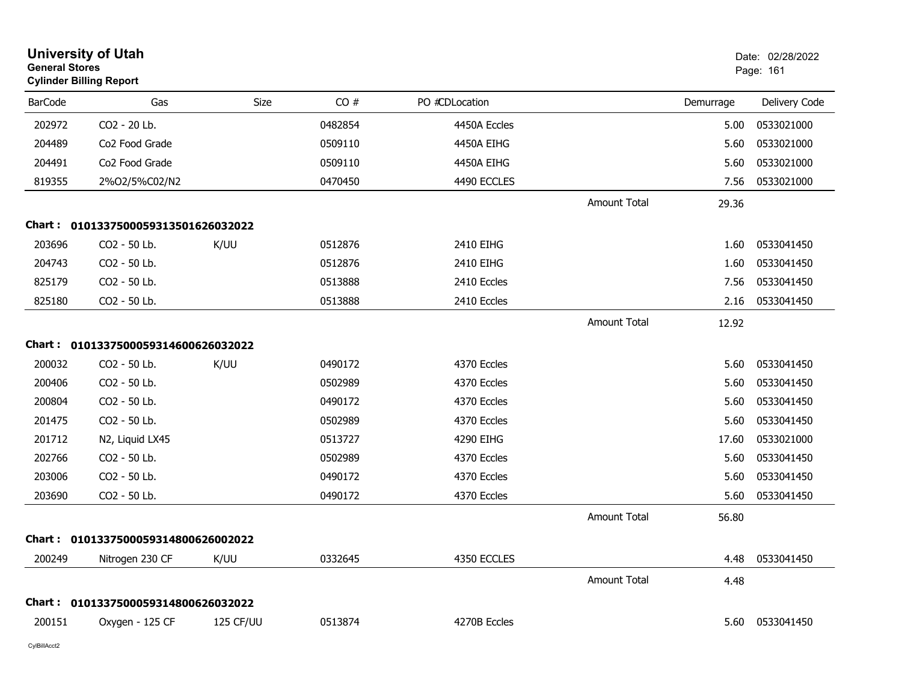| <b>General Stores</b> | <b>University of Utah</b><br><b>Cylinder Billing Report</b> |           |         |                |                     |           | Date: 02/28/2022<br>Page: 161 |
|-----------------------|-------------------------------------------------------------|-----------|---------|----------------|---------------------|-----------|-------------------------------|
| <b>BarCode</b>        | Gas                                                         | Size      | CO#     | PO #CDLocation |                     | Demurrage | Delivery Code                 |
| 202972                | CO2 - 20 Lb.                                                |           | 0482854 | 4450A Eccles   |                     | 5.00      | 0533021000                    |
| 204489                | Co <sub>2</sub> Food Grade                                  |           | 0509110 | 4450A EIHG     |                     | 5.60      | 0533021000                    |
| 204491                | Co <sub>2</sub> Food Grade                                  |           | 0509110 | 4450A EIHG     |                     | 5.60      | 0533021000                    |
| 819355                | 2%O2/5%C02/N2                                               |           | 0470450 | 4490 ECCLES    |                     | 7.56      | 0533021000                    |
|                       |                                                             |           |         |                | <b>Amount Total</b> | 29.36     |                               |
|                       | Chart: 0101337500059313501626032022                         |           |         |                |                     |           |                               |
| 203696                | CO2 - 50 Lb.                                                | K/UU      | 0512876 | 2410 EIHG      |                     | 1.60      | 0533041450                    |
| 204743                | CO2 - 50 Lb.                                                |           | 0512876 | 2410 EIHG      |                     | 1.60      | 0533041450                    |
| 825179                | CO2 - 50 Lb.                                                |           | 0513888 | 2410 Eccles    |                     | 7.56      | 0533041450                    |
| 825180                | CO <sub>2</sub> - 50 Lb.                                    |           | 0513888 | 2410 Eccles    |                     | 2.16      | 0533041450                    |
|                       |                                                             |           |         |                | <b>Amount Total</b> | 12.92     |                               |
| Chart :               | 0101337500059314600626032022                                |           |         |                |                     |           |                               |
| 200032                | CO2 - 50 Lb.                                                | K/UU      | 0490172 | 4370 Eccles    |                     | 5.60      | 0533041450                    |
| 200406                | CO2 - 50 Lb.                                                |           | 0502989 | 4370 Eccles    |                     | 5.60      | 0533041450                    |
| 200804                | CO2 - 50 Lb.                                                |           | 0490172 | 4370 Eccles    |                     | 5.60      | 0533041450                    |
| 201475                | CO2 - 50 Lb.                                                |           | 0502989 | 4370 Eccles    |                     | 5.60      | 0533041450                    |
| 201712                | N2, Liquid LX45                                             |           | 0513727 | 4290 EIHG      |                     | 17.60     | 0533021000                    |
| 202766                | CO2 - 50 Lb.                                                |           | 0502989 | 4370 Eccles    |                     | 5.60      | 0533041450                    |
| 203006                | CO2 - 50 Lb.                                                |           | 0490172 | 4370 Eccles    |                     | 5.60      | 0533041450                    |
| 203690                | CO2 - 50 Lb.                                                |           | 0490172 | 4370 Eccles    |                     | 5.60      | 0533041450                    |
|                       |                                                             |           |         |                | <b>Amount Total</b> | 56.80     |                               |
|                       | Chart: 0101337500059314800626002022                         |           |         |                |                     |           |                               |
| 200249                | Nitrogen 230 CF                                             | K/UU      | 0332645 | 4350 ECCLES    |                     | 4.48      | 0533041450                    |
|                       |                                                             |           |         |                | <b>Amount Total</b> | 4.48      |                               |
|                       | Chart: 0101337500059314800626032022                         |           |         |                |                     |           |                               |
| 200151                | Oxygen - 125 CF                                             | 125 CF/UU | 0513874 | 4270B Eccles   |                     | 5.60      | 0533041450                    |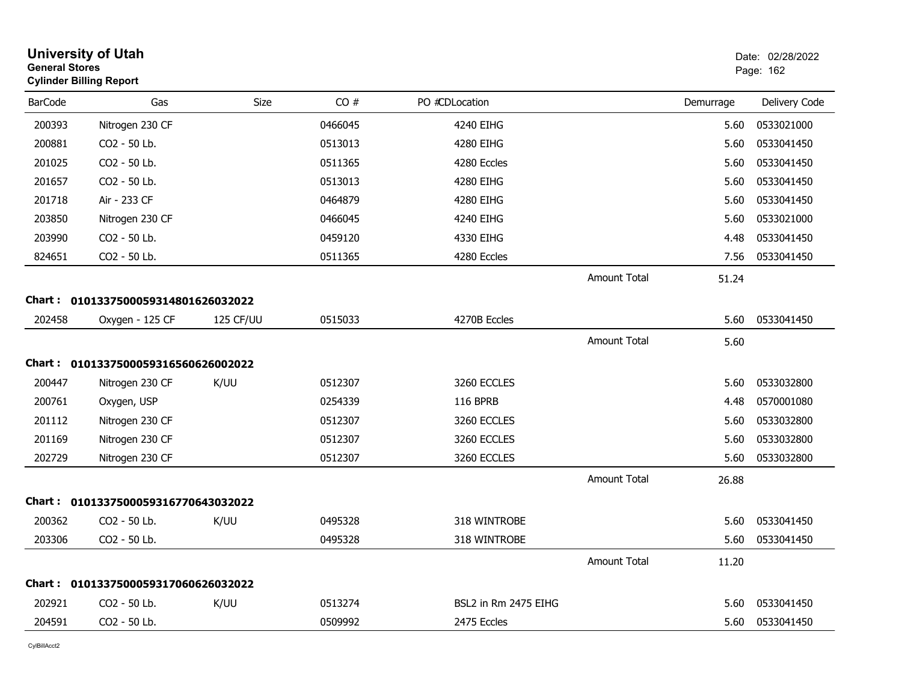| <b>General Stores</b> | <b>University of Utah</b><br><b>Cylinder Billing Report</b> |             |         |                      |                     |           | Date: 02/28/2022<br>Page: 162 |
|-----------------------|-------------------------------------------------------------|-------------|---------|----------------------|---------------------|-----------|-------------------------------|
| <b>BarCode</b>        | Gas                                                         | <b>Size</b> | CO#     | PO #CDLocation       |                     | Demurrage | Delivery Code                 |
| 200393                | Nitrogen 230 CF                                             |             | 0466045 | 4240 EIHG            |                     | 5.60      | 0533021000                    |
| 200881                | CO2 - 50 Lb.                                                |             | 0513013 | 4280 EIHG            |                     | 5.60      | 0533041450                    |
| 201025                | CO2 - 50 Lb.                                                |             | 0511365 | 4280 Eccles          |                     | 5.60      | 0533041450                    |
| 201657                | CO2 - 50 Lb.                                                |             | 0513013 | 4280 EIHG            |                     | 5.60      | 0533041450                    |
| 201718                | Air - 233 CF                                                |             | 0464879 | 4280 EIHG            |                     | 5.60      | 0533041450                    |
| 203850                | Nitrogen 230 CF                                             |             | 0466045 | 4240 EIHG            |                     | 5.60      | 0533021000                    |
| 203990                | CO2 - 50 Lb.                                                |             | 0459120 | 4330 EIHG            |                     | 4.48      | 0533041450                    |
| 824651                | CO2 - 50 Lb.                                                |             | 0511365 | 4280 Eccles          |                     | 7.56      | 0533041450                    |
|                       |                                                             |             |         |                      | <b>Amount Total</b> | 51.24     |                               |
|                       | Chart: 0101337500059314801626032022                         |             |         |                      |                     |           |                               |
| 202458                | Oxygen - 125 CF                                             | 125 CF/UU   | 0515033 | 4270B Eccles         |                     | 5.60      | 0533041450                    |
|                       |                                                             |             |         |                      | Amount Total        | 5.60      |                               |
|                       | Chart: 0101337500059316560626002022                         |             |         |                      |                     |           |                               |
| 200447                | Nitrogen 230 CF                                             | K/UU        | 0512307 | 3260 ECCLES          |                     | 5.60      | 0533032800                    |
| 200761                | Oxygen, USP                                                 |             | 0254339 | <b>116 BPRB</b>      |                     | 4.48      | 0570001080                    |
| 201112                | Nitrogen 230 CF                                             |             | 0512307 | 3260 ECCLES          |                     | 5.60      | 0533032800                    |
| 201169                | Nitrogen 230 CF                                             |             | 0512307 | 3260 ECCLES          |                     | 5.60      | 0533032800                    |
| 202729                | Nitrogen 230 CF                                             |             | 0512307 | 3260 ECCLES          |                     | 5.60      | 0533032800                    |
|                       |                                                             |             |         |                      | <b>Amount Total</b> | 26.88     |                               |
|                       | Chart: 0101337500059316770643032022                         |             |         |                      |                     |           |                               |
| 200362                | CO2 - 50 Lb.                                                | K/UU        | 0495328 | 318 WINTROBE         |                     | 5.60      | 0533041450                    |
| 203306                | CO2 - 50 Lb.                                                |             | 0495328 | 318 WINTROBE         |                     | 5.60      | 0533041450                    |
|                       |                                                             |             |         |                      | <b>Amount Total</b> | 11.20     |                               |
|                       | Chart: 0101337500059317060626032022                         |             |         |                      |                     |           |                               |
| 202921                | CO2 - 50 Lb.                                                | K/UU        | 0513274 | BSL2 in Rm 2475 EIHG |                     | 5.60      | 0533041450                    |
| 204591                | CO2 - 50 Lb.                                                |             | 0509992 | 2475 Eccles          |                     | 5.60      | 0533041450                    |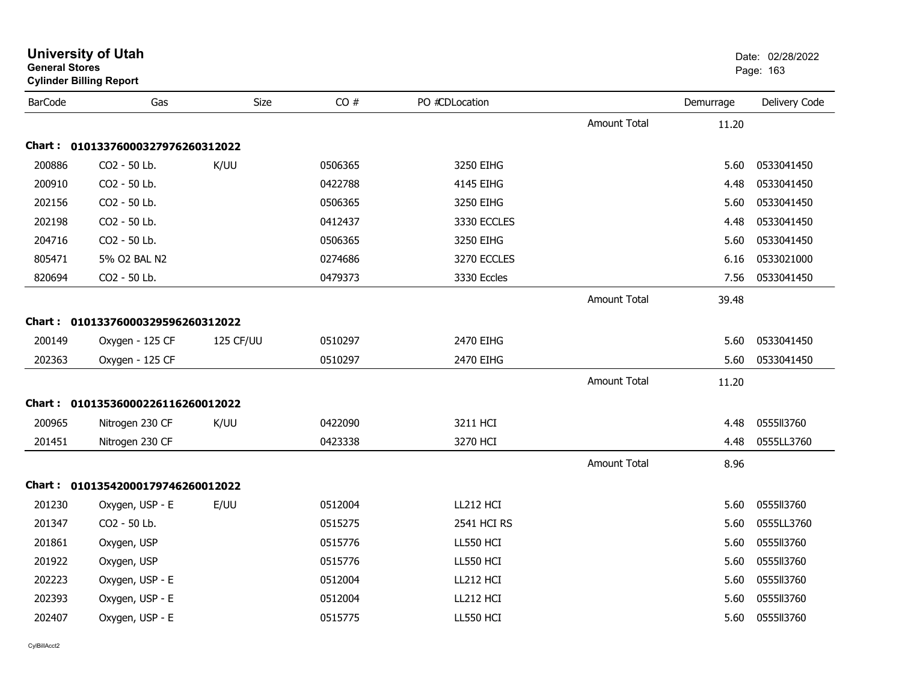| <b>General Stores</b> | <b>University of Utah</b><br><b>Cylinder Billing Report</b> |           |         |                  |                     |           | Date: 02/28/2022<br>Page: 163 |
|-----------------------|-------------------------------------------------------------|-----------|---------|------------------|---------------------|-----------|-------------------------------|
| <b>BarCode</b>        | Gas                                                         | Size      | CO#     | PO #CDLocation   |                     | Demurrage | Delivery Code                 |
|                       |                                                             |           |         |                  | <b>Amount Total</b> | 11.20     |                               |
|                       | Chart: 01013376000327976260312022                           |           |         |                  |                     |           |                               |
| 200886                | CO2 - 50 Lb.                                                | K/UU      | 0506365 | 3250 EIHG        |                     | 5.60      | 0533041450                    |
| 200910                | CO2 - 50 Lb.                                                |           | 0422788 | <b>4145 EIHG</b> |                     | 4.48      | 0533041450                    |
| 202156                | CO2 - 50 Lb.                                                |           | 0506365 | 3250 EIHG        |                     | 5.60      | 0533041450                    |
| 202198                | CO2 - 50 Lb.                                                |           | 0412437 | 3330 ECCLES      |                     | 4.48      | 0533041450                    |
| 204716                | CO2 - 50 Lb.                                                |           | 0506365 | 3250 EIHG        |                     | 5.60      | 0533041450                    |
| 805471                | 5% O2 BAL N2                                                |           | 0274686 | 3270 ECCLES      |                     | 6.16      | 0533021000                    |
| 820694                | CO2 - 50 Lb.                                                |           | 0479373 | 3330 Eccles      |                     | 7.56      | 0533041450                    |
|                       |                                                             |           |         |                  | <b>Amount Total</b> | 39.48     |                               |
|                       | Chart: 01013376000329596260312022                           |           |         |                  |                     |           |                               |
| 200149                | Oxygen - 125 CF                                             | 125 CF/UU | 0510297 | 2470 EIHG        |                     | 5.60      | 0533041450                    |
| 202363                | Oxygen - 125 CF                                             |           | 0510297 | 2470 EIHG        |                     | 5.60      | 0533041450                    |
|                       |                                                             |           |         |                  | <b>Amount Total</b> | 11.20     |                               |
|                       | Chart: 01013536000226116260012022                           |           |         |                  |                     |           |                               |
| 200965                | Nitrogen 230 CF                                             | K/UU      | 0422090 | 3211 HCI         |                     | 4.48      | 0555113760                    |
| 201451                | Nitrogen 230 CF                                             |           | 0423338 | 3270 HCI         |                     | 4.48      | 0555LL3760                    |
|                       |                                                             |           |         |                  | <b>Amount Total</b> | 8.96      |                               |
|                       | Chart: 01013542000179746260012022                           |           |         |                  |                     |           |                               |
| 201230                | Oxygen, USP - E                                             | E/UU      | 0512004 | LL212 HCI        |                     | 5.60      | 0555113760                    |
| 201347                | CO2 - 50 Lb.                                                |           | 0515275 | 2541 HCI RS      |                     | 5.60      | 0555LL3760                    |
| 201861                | Oxygen, USP                                                 |           | 0515776 | LL550 HCI        |                     | 5.60      | 055513760                     |
| 201922                | Oxygen, USP                                                 |           | 0515776 | LL550 HCI        |                     | 5.60      | 0555113760                    |
| 202223                | Oxygen, USP - E                                             |           | 0512004 | LL212 HCI        |                     | 5.60      | 0555113760                    |
| 202393                | Oxygen, USP - E                                             |           | 0512004 | LL212 HCI        |                     | 5.60      | 0555113760                    |
| 202407                | Oxygen, USP - E                                             |           | 0515775 | LL550 HCI        |                     | 5.60      | 0555113760                    |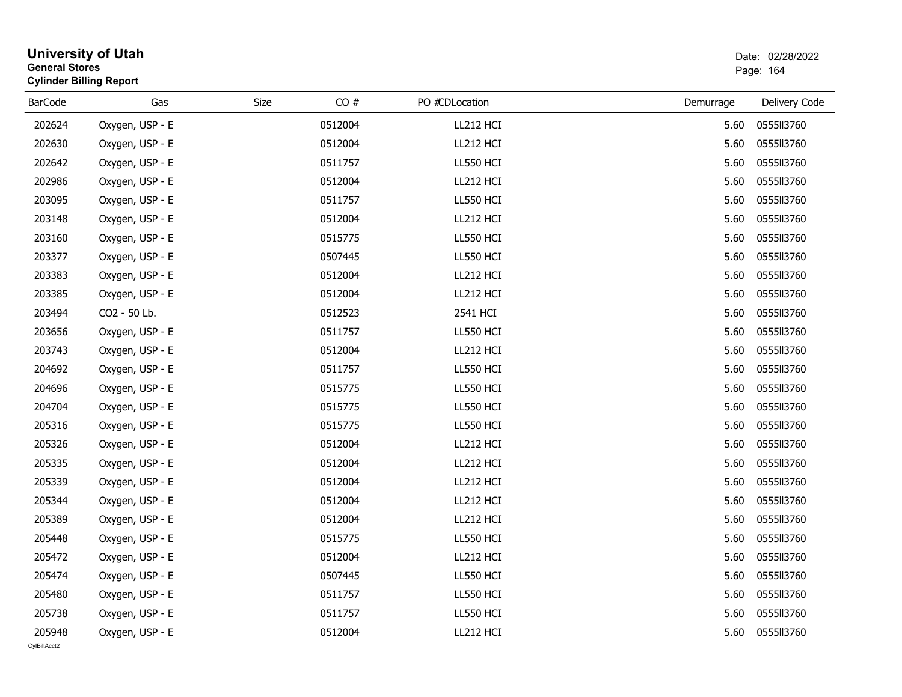| <b>General Stores</b> | <b>Cylinder Billing Report</b> |         |     |                  |           | Dalu, UZIZUIZUZZ<br>Page: 164 |
|-----------------------|--------------------------------|---------|-----|------------------|-----------|-------------------------------|
| <b>BarCode</b>        | Gas                            | Size    | CO# | PO #CDLocation   | Demurrage | Delivery Code                 |
| 202624                | Oxygen, USP - E                | 0512004 |     | LL212 HCI        | 5.60      | 0555113760                    |
| 202630                | Oxygen, USP - E                | 0512004 |     | LL212 HCI        | 5.60      | 0555113760                    |
| 202642                | Oxygen, USP - E                | 0511757 |     | LL550 HCI        | 5.60      | 0555113760                    |
| 202986                | Oxygen, USP - E                | 0512004 |     | LL212 HCI        | 5.60      | 0555113760                    |
| 203095                | Oxygen, USP - E                | 0511757 |     | LL550 HCI        | 5.60      | 0555113760                    |
| 203148                | Oxygen, USP - E                | 0512004 |     | LL212 HCI        | 5.60      | 0555113760                    |
| 203160                | Oxygen, USP - E                | 0515775 |     | LL550 HCI        | 5.60      | 0555113760                    |
| 203377                | Oxygen, USP - E                | 0507445 |     | <b>LL550 HCI</b> | 5.60      | 0555113760                    |
| 203383                | Oxygen, USP - E                | 0512004 |     | LL212 HCI        | 5.60      | 0555113760                    |
| 203385                | Oxygen, USP - E                | 0512004 |     | LL212 HCI        | 5.60      | 0555113760                    |
| 203494                | CO2 - 50 Lb.                   | 0512523 |     | 2541 HCI         | 5.60      | 0555113760                    |
| 203656                | Oxygen, USP - E                | 0511757 |     | LL550 HCI        | 5.60      | 0555113760                    |
| 203743                | Oxygen, USP - E                | 0512004 |     | LL212 HCI        | 5.60      | 0555113760                    |
| 204692                | Oxygen, USP - E                | 0511757 |     | LL550 HCI        | 5.60      | 0555113760                    |
| 204696                | Oxygen, USP - E                | 0515775 |     | <b>LL550 HCI</b> | 5.60      | 0555113760                    |
| 204704                | Oxygen, USP - E                | 0515775 |     | <b>LL550 HCI</b> | 5.60      | 0555113760                    |
| 205316                | Oxygen, USP - E                | 0515775 |     | <b>LL550 HCI</b> | 5.60      | 0555113760                    |
| 205326                | Oxygen, USP - E                | 0512004 |     | LL212 HCI        | 5.60      | 0555113760                    |
| 205335                | Oxygen, USP - E                | 0512004 |     | LL212 HCI        | 5.60      | 0555113760                    |
| 205339                | Oxygen, USP - E                | 0512004 |     | LL212 HCI        | 5.60      | 0555113760                    |
| 205344                | Oxygen, USP - E                | 0512004 |     | LL212 HCI        | 5.60      | 0555113760                    |
| 205389                | Oxygen, USP - E                | 0512004 |     | LL212 HCI        | 5.60      | 0555113760                    |
| 205448                | Oxygen, USP - E                | 0515775 |     | LL550 HCI        | 5.60      | 0555113760                    |
| 205472                | Oxygen, USP - E                | 0512004 |     | LL212 HCI        | 5.60      | 0555113760                    |
| 205474                | Oxygen, USP - E                | 0507445 |     | LL550 HCI        | 5.60      | 0555113760                    |
| 205480                | Oxygen, USP - E                | 0511757 |     | LL550 HCI        | 5.60      | 0555113760                    |
| 205738                | Oxygen, USP - E                | 0511757 |     | LL550 HCI        | 5.60      | 0555113760                    |
| 205948                | Oxygen, USP - E                | 0512004 |     | LL212 HCI        | 5.60      | 0555113760                    |
| CylBillAcct2          |                                |         |     |                  |           |                               |

# **University of Utah and Structure of Utah and Structure of Date: 02/28/2022**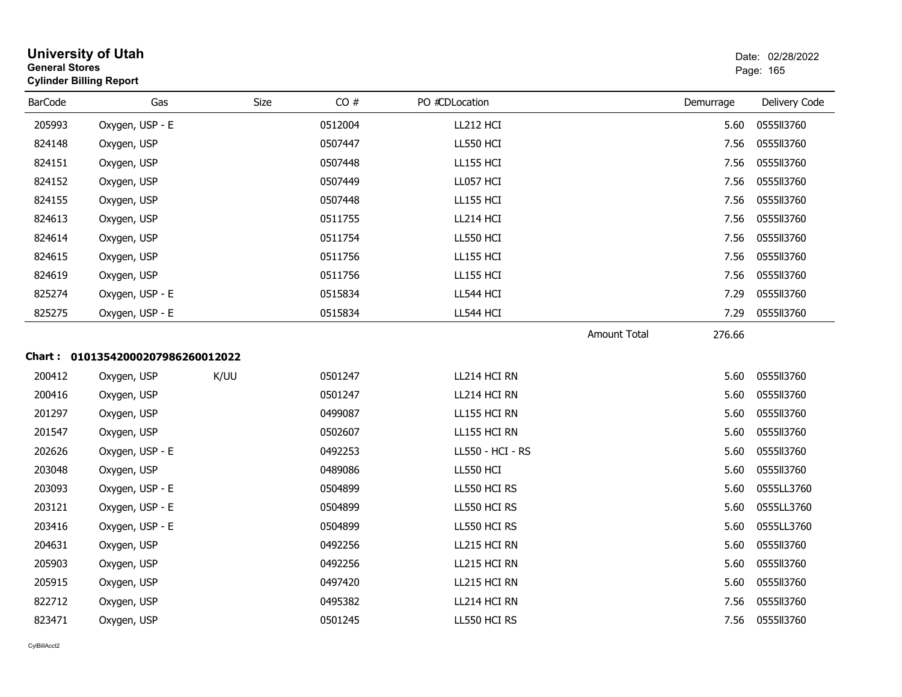| <b>General Stores</b> | <b>University of Utah</b><br><b>Cylinder Billing Report</b> |      |         |                  |                     |           | Date: 02/28/2022<br>Page: 165 |
|-----------------------|-------------------------------------------------------------|------|---------|------------------|---------------------|-----------|-------------------------------|
| <b>BarCode</b>        | Gas                                                         | Size | CO#     | PO #CDLocation   |                     | Demurrage | Delivery Code                 |
| 205993                | Oxygen, USP - E                                             |      | 0512004 | LL212 HCI        |                     | 5.60      | 0555113760                    |
| 824148                | Oxygen, USP                                                 |      | 0507447 | <b>LL550 HCI</b> |                     | 7.56      | 0555113760                    |
| 824151                | Oxygen, USP                                                 |      | 0507448 | <b>LL155 HCI</b> |                     | 7.56      | 0555113760                    |
| 824152                | Oxygen, USP                                                 |      | 0507449 | LL057 HCI        |                     | 7.56      | 055513760                     |
| 824155                | Oxygen, USP                                                 |      | 0507448 | <b>LL155 HCI</b> |                     | 7.56      | 0555113760                    |
| 824613                | Oxygen, USP                                                 |      | 0511755 | LL214 HCI        |                     | 7.56      | 0555113760                    |
| 824614                | Oxygen, USP                                                 |      | 0511754 | <b>LL550 HCI</b> |                     | 7.56      | 0555113760                    |
| 824615                | Oxygen, USP                                                 |      | 0511756 | <b>LL155 HCI</b> |                     | 7.56      | 0555113760                    |
| 824619                | Oxygen, USP                                                 |      | 0511756 | <b>LL155 HCI</b> |                     | 7.56      | 0555113760                    |
| 825274                | Oxygen, USP - E                                             |      | 0515834 | LL544 HCI        |                     | 7.29      | 0555113760                    |
| 825275                | Oxygen, USP - E                                             |      | 0515834 | LL544 HCI        |                     | 7.29      | 0555113760                    |
|                       |                                                             |      |         |                  | <b>Amount Total</b> | 276.66    |                               |
|                       | Chart: 01013542000207986260012022                           |      |         |                  |                     |           |                               |
| 200412                | Oxygen, USP                                                 | K/UU | 0501247 | LL214 HCI RN     |                     | 5.60      | 0555113760                    |
| 200416                | Oxygen, USP                                                 |      | 0501247 | LL214 HCI RN     |                     | 5.60      | 0555113760                    |
| 201297                | Oxygen, USP                                                 |      | 0499087 | LL155 HCI RN     |                     | 5.60      | 055513760                     |
| 201547                | Oxygen, USP                                                 |      | 0502607 | LL155 HCI RN     |                     | 5.60      | 0555113760                    |
| 202626                | Oxygen, USP - E                                             |      | 0492253 | LL550 - HCI - RS |                     | 5.60      | 0555113760                    |
| 203048                | Oxygen, USP                                                 |      | 0489086 | <b>LL550 HCI</b> |                     | 5.60      | 0555113760                    |
| 203093                | Oxygen, USP - E                                             |      | 0504899 | LL550 HCI RS     |                     | 5.60      | 0555LL3760                    |
| 203121                | Oxygen, USP - E                                             |      | 0504899 | LL550 HCI RS     |                     | 5.60      | 0555LL3760                    |
| 203416                | Oxygen, USP - E                                             |      | 0504899 | LL550 HCI RS     |                     | 5.60      | 0555LL3760                    |
| 204631                | Oxygen, USP                                                 |      | 0492256 | LL215 HCI RN     |                     | 5.60      | 0555113760                    |
| 205903                | Oxygen, USP                                                 |      | 0492256 | LL215 HCI RN     |                     | 5.60      | 0555113760                    |
| 205915                | Oxygen, USP                                                 |      | 0497420 | LL215 HCI RN     |                     | 5.60      | 0555113760                    |
| 822712                | Oxygen, USP                                                 |      | 0495382 | LL214 HCI RN     |                     | 7.56      | 0555113760                    |
| 823471                | Oxygen, USP                                                 |      | 0501245 | LL550 HCI RS     |                     | 7.56      | 0555113760                    |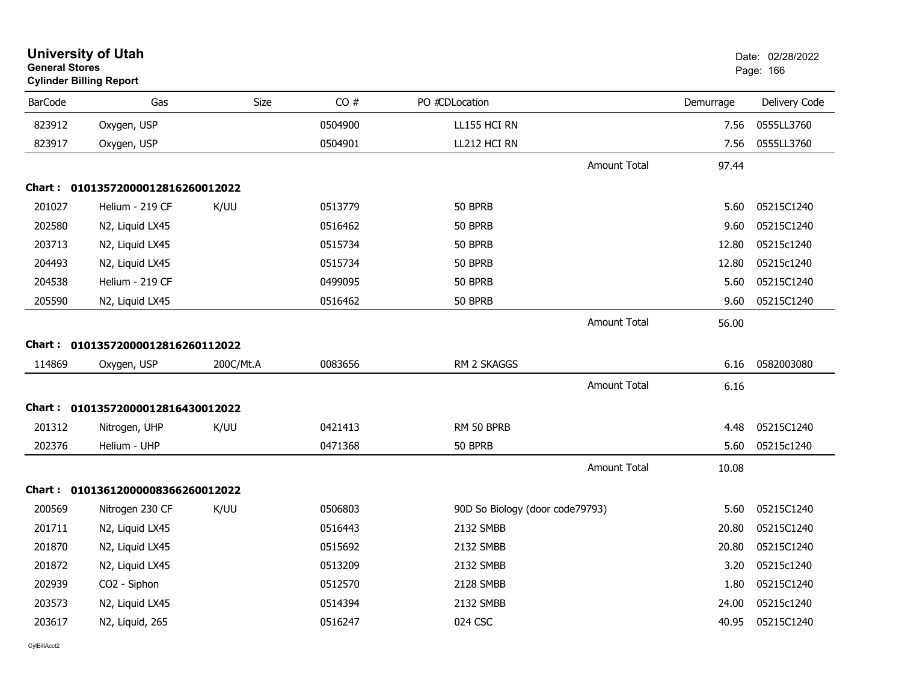| <b>General Stores</b> | <b>University of Utah</b><br><b>Cylinder Billing Report</b> |           |         |                                 |                     |           | Date: 02/28/2022<br>Page: 166 |
|-----------------------|-------------------------------------------------------------|-----------|---------|---------------------------------|---------------------|-----------|-------------------------------|
| <b>BarCode</b>        | Gas                                                         | Size      | CO#     | PO #CDLocation                  |                     | Demurrage | Delivery Code                 |
| 823912                | Oxygen, USP                                                 |           | 0504900 | LL155 HCI RN                    |                     | 7.56      | 0555LL3760                    |
| 823917                | Oxygen, USP                                                 |           | 0504901 | LL212 HCI RN                    |                     | 7.56      | 0555LL3760                    |
|                       |                                                             |           |         |                                 | <b>Amount Total</b> | 97.44     |                               |
|                       | Chart: 01013572000012816260012022                           |           |         |                                 |                     |           |                               |
| 201027                | Helium - 219 CF                                             | K/UU      | 0513779 | 50 BPRB                         |                     | 5.60      | 05215C1240                    |
| 202580                | N2, Liquid LX45                                             |           | 0516462 | 50 BPRB                         |                     | 9.60      | 05215C1240                    |
| 203713                | N2, Liquid LX45                                             |           | 0515734 | 50 BPRB                         |                     | 12.80     | 05215c1240                    |
| 204493                | N2, Liquid LX45                                             |           | 0515734 | 50 BPRB                         |                     | 12.80     | 05215c1240                    |
| 204538                | Helium - 219 CF                                             |           | 0499095 | 50 BPRB                         |                     | 5.60      | 05215C1240                    |
| 205590                | N2, Liquid LX45                                             |           | 0516462 | 50 BPRB                         |                     | 9.60      | 05215C1240                    |
|                       |                                                             |           |         |                                 | <b>Amount Total</b> | 56.00     |                               |
|                       | Chart: 01013572000012816260112022                           |           |         |                                 |                     |           |                               |
| 114869                | Oxygen, USP                                                 | 200C/Mt.A | 0083656 | RM 2 SKAGGS                     |                     | 6.16      | 0582003080                    |
|                       |                                                             |           |         |                                 | Amount Total        | 6.16      |                               |
|                       | Chart: 01013572000012816430012022                           |           |         |                                 |                     |           |                               |
| 201312                | Nitrogen, UHP                                               | K/UU      | 0421413 | RM 50 BPRB                      |                     | 4.48      | 05215C1240                    |
| 202376                | Helium - UHP                                                |           | 0471368 | 50 BPRB                         |                     | 5.60      | 05215c1240                    |
|                       |                                                             |           |         |                                 | <b>Amount Total</b> | 10.08     |                               |
|                       | Chart: 01013612000008366260012022                           |           |         |                                 |                     |           |                               |
| 200569                | Nitrogen 230 CF                                             | K/UU      | 0506803 | 90D So Biology (door code79793) |                     | 5.60      | 05215C1240                    |
| 201711                | N2, Liquid LX45                                             |           | 0516443 | 2132 SMBB                       |                     | 20.80     | 05215C1240                    |
| 201870                | N2, Liquid LX45                                             |           | 0515692 | 2132 SMBB                       |                     | 20.80     | 05215C1240                    |
| 201872                | N2, Liquid LX45                                             |           | 0513209 | 2132 SMBB                       |                     | 3.20      | 05215c1240                    |
| 202939                | CO2 - Siphon                                                |           | 0512570 | 2128 SMBB                       |                     | 1.80      | 05215C1240                    |
| 203573                | N2, Liquid LX45                                             |           | 0514394 | 2132 SMBB                       |                     | 24.00     | 05215c1240                    |
| 203617                | N2, Liquid, 265                                             |           | 0516247 | 024 CSC                         |                     | 40.95     | 05215C1240                    |
|                       |                                                             |           |         |                                 |                     |           |                               |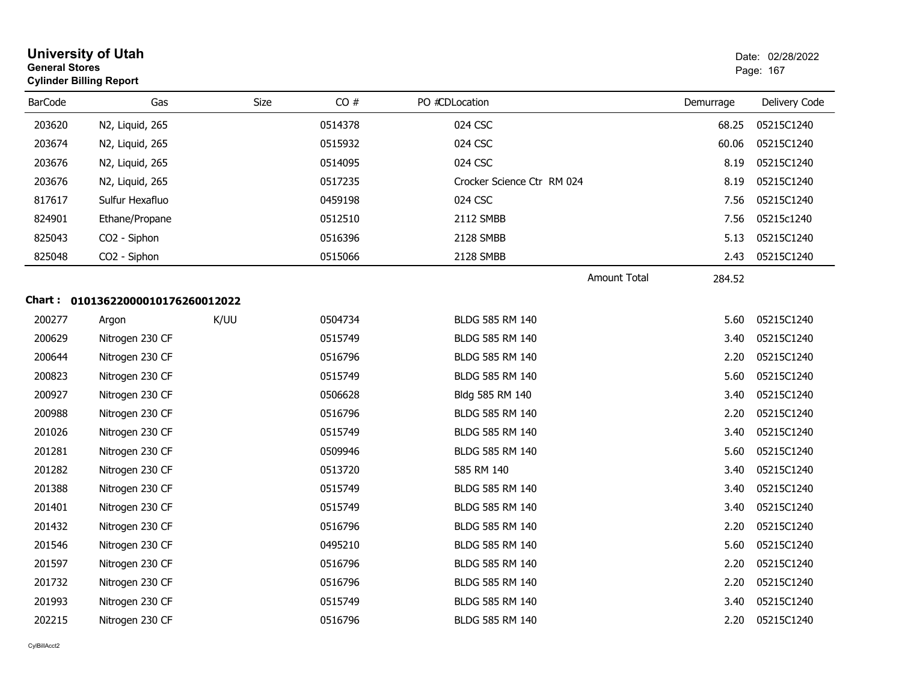| <b>General Stores</b> | <b>University of Utah</b><br><b>Cylinder Billing Report</b> |      |         |                            |           | Date: 02/28/2022<br>Page: 167 |
|-----------------------|-------------------------------------------------------------|------|---------|----------------------------|-----------|-------------------------------|
| <b>BarCode</b>        | Gas                                                         | Size | CO#     | PO #CDLocation             | Demurrage | Delivery Code                 |
| 203620                | N2, Liquid, 265                                             |      | 0514378 | 024 CSC                    | 68.25     | 05215C1240                    |
| 203674                | N2, Liquid, 265                                             |      | 0515932 | 024 CSC                    | 60.06     | 05215C1240                    |
| 203676                | N2, Liquid, 265                                             |      | 0514095 | 024 CSC                    | 8.19      | 05215C1240                    |
| 203676                | N2, Liquid, 265                                             |      | 0517235 | Crocker Science Ctr RM 024 | 8.19      | 05215C1240                    |
| 817617                | Sulfur Hexafluo                                             |      | 0459198 | 024 CSC                    | 7.56      | 05215C1240                    |
| 824901                | Ethane/Propane                                              |      | 0512510 | 2112 SMBB                  | 7.56      | 05215c1240                    |
| 825043                | CO2 - Siphon                                                |      | 0516396 | 2128 SMBB                  | 5.13      | 05215C1240                    |
| 825048                | CO2 - Siphon                                                |      | 0515066 | 2128 SMBB                  | 2.43      | 05215C1240                    |
|                       |                                                             |      |         | <b>Amount Total</b>        | 284.52    |                               |
|                       | Chart: 01013622000010176260012022                           |      |         |                            |           |                               |
| 200277                | Argon                                                       | K/UU | 0504734 | <b>BLDG 585 RM 140</b>     | 5.60      | 05215C1240                    |
| 200629                | Nitrogen 230 CF                                             |      | 0515749 | BLDG 585 RM 140            | 3.40      | 05215C1240                    |
| 200644                | Nitrogen 230 CF                                             |      | 0516796 | BLDG 585 RM 140            | 2.20      | 05215C1240                    |
| 200823                | Nitrogen 230 CF                                             |      | 0515749 | BLDG 585 RM 140            | 5.60      | 05215C1240                    |
| 200927                | Nitrogen 230 CF                                             |      | 0506628 | Bldg 585 RM 140            | 3.40      | 05215C1240                    |
| 200988                | Nitrogen 230 CF                                             |      | 0516796 | BLDG 585 RM 140            | 2.20      | 05215C1240                    |
| 201026                | Nitrogen 230 CF                                             |      | 0515749 | BLDG 585 RM 140            | 3.40      | 05215C1240                    |
| 201281                | Nitrogen 230 CF                                             |      | 0509946 | BLDG 585 RM 140            | 5.60      | 05215C1240                    |
| 201282                | Nitrogen 230 CF                                             |      | 0513720 | 585 RM 140                 | 3.40      | 05215C1240                    |
| 201388                | Nitrogen 230 CF                                             |      | 0515749 | BLDG 585 RM 140            | 3.40      | 05215C1240                    |
| 201401                | Nitrogen 230 CF                                             |      | 0515749 | BLDG 585 RM 140            | 3.40      | 05215C1240                    |
| 201432                | Nitrogen 230 CF                                             |      | 0516796 | BLDG 585 RM 140            | 2.20      | 05215C1240                    |
| 201546                | Nitrogen 230 CF                                             |      | 0495210 | BLDG 585 RM 140            | 5.60      | 05215C1240                    |
| 201597                | Nitrogen 230 CF                                             |      | 0516796 | BLDG 585 RM 140            | 2.20      | 05215C1240                    |
| 201732                | Nitrogen 230 CF                                             |      | 0516796 | BLDG 585 RM 140            | 2.20      | 05215C1240                    |
| 201993                | Nitrogen 230 CF                                             |      | 0515749 | BLDG 585 RM 140            | 3.40      | 05215C1240                    |
| 202215                | Nitrogen 230 CF                                             |      | 0516796 | BLDG 585 RM 140            | 2.20      | 05215C1240                    |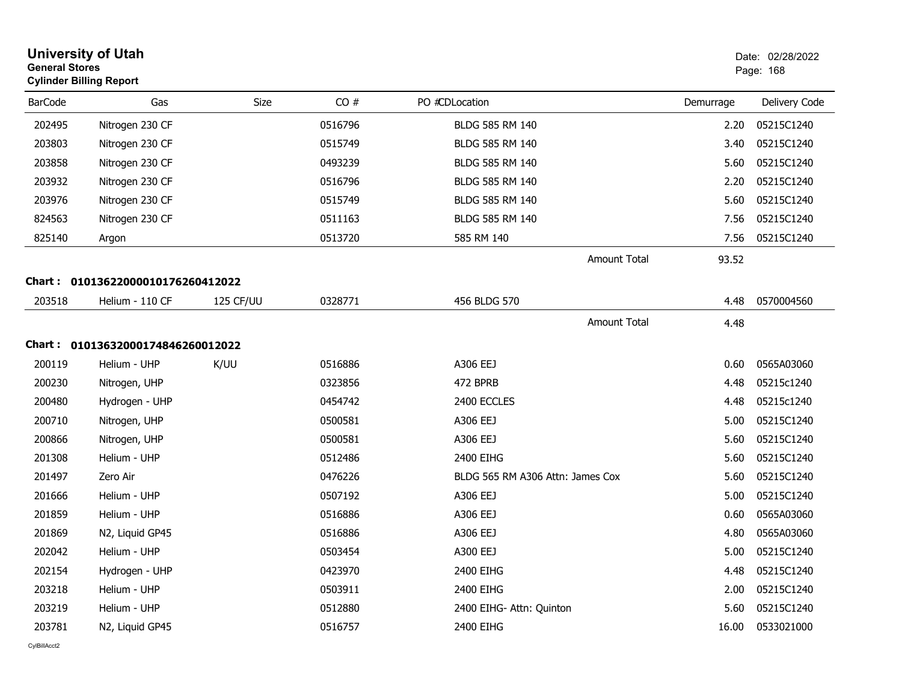| <b>University of Utah</b><br><b>General Stores</b><br><b>Cylinder Billing Report</b> |                                   |           |         |                                  |           | Date: 02/28/2022<br>Page: 168 |  |
|--------------------------------------------------------------------------------------|-----------------------------------|-----------|---------|----------------------------------|-----------|-------------------------------|--|
| <b>BarCode</b>                                                                       | Gas                               | Size      | CO#     | PO #CDLocation                   | Demurrage | Delivery Code                 |  |
| 202495                                                                               | Nitrogen 230 CF                   |           | 0516796 | BLDG 585 RM 140                  | 2.20      | 05215C1240                    |  |
| 203803                                                                               | Nitrogen 230 CF                   |           | 0515749 | BLDG 585 RM 140                  | 3.40      | 05215C1240                    |  |
| 203858                                                                               | Nitrogen 230 CF                   |           | 0493239 | BLDG 585 RM 140                  | 5.60      | 05215C1240                    |  |
| 203932                                                                               | Nitrogen 230 CF                   |           | 0516796 | BLDG 585 RM 140                  | 2.20      | 05215C1240                    |  |
| 203976                                                                               | Nitrogen 230 CF                   |           | 0515749 | BLDG 585 RM 140                  | 5.60      | 05215C1240                    |  |
| 824563                                                                               | Nitrogen 230 CF                   |           | 0511163 | BLDG 585 RM 140                  | 7.56      | 05215C1240                    |  |
| 825140                                                                               | Argon                             |           | 0513720 | 585 RM 140                       | 7.56      | 05215C1240                    |  |
|                                                                                      |                                   |           |         | <b>Amount Total</b>              | 93.52     |                               |  |
| Chart :                                                                              | 01013622000010176260412022        |           |         |                                  |           |                               |  |
| 203518                                                                               | Helium - 110 CF                   | 125 CF/UU | 0328771 | 456 BLDG 570                     | 4.48      | 0570004560                    |  |
|                                                                                      |                                   |           |         | <b>Amount Total</b>              | 4.48      |                               |  |
|                                                                                      | Chart: 01013632000174846260012022 |           |         |                                  |           |                               |  |
| 200119                                                                               | Helium - UHP                      | K/UU      | 0516886 | A306 EEJ                         | 0.60      | 0565A03060                    |  |
| 200230                                                                               | Nitrogen, UHP                     |           | 0323856 | 472 BPRB                         | 4.48      | 05215c1240                    |  |
| 200480                                                                               | Hydrogen - UHP                    |           | 0454742 | 2400 ECCLES                      | 4.48      | 05215c1240                    |  |
| 200710                                                                               | Nitrogen, UHP                     |           | 0500581 | A306 EEJ                         | 5.00      | 05215C1240                    |  |
| 200866                                                                               | Nitrogen, UHP                     |           | 0500581 | A306 EEJ                         | 5.60      | 05215C1240                    |  |
| 201308                                                                               | Helium - UHP                      |           | 0512486 | 2400 EIHG                        | 5.60      | 05215C1240                    |  |
| 201497                                                                               | Zero Air                          |           | 0476226 | BLDG 565 RM A306 Attn: James Cox | 5.60      | 05215C1240                    |  |
| 201666                                                                               | Helium - UHP                      |           | 0507192 | A306 EEJ                         | 5.00      | 05215C1240                    |  |
| 201859                                                                               | Helium - UHP                      |           | 0516886 | A306 EEJ                         | 0.60      | 0565A03060                    |  |
| 201869                                                                               | N2, Liquid GP45                   |           | 0516886 | A306 EEJ                         | 4.80      | 0565A03060                    |  |
| 202042                                                                               | Helium - UHP                      |           | 0503454 | A300 EEJ                         | 5.00      | 05215C1240                    |  |
| 202154                                                                               | Hydrogen - UHP                    |           | 0423970 | 2400 EIHG                        | 4.48      | 05215C1240                    |  |
| 203218                                                                               | Helium - UHP                      |           | 0503911 | 2400 EIHG                        | 2.00      | 05215C1240                    |  |
| 203219                                                                               | Helium - UHP                      |           | 0512880 | 2400 EIHG- Attn: Quinton         | 5.60      | 05215C1240                    |  |
| 203781                                                                               | N2, Liquid GP45                   |           | 0516757 | 2400 EIHG                        | 16.00     | 0533021000                    |  |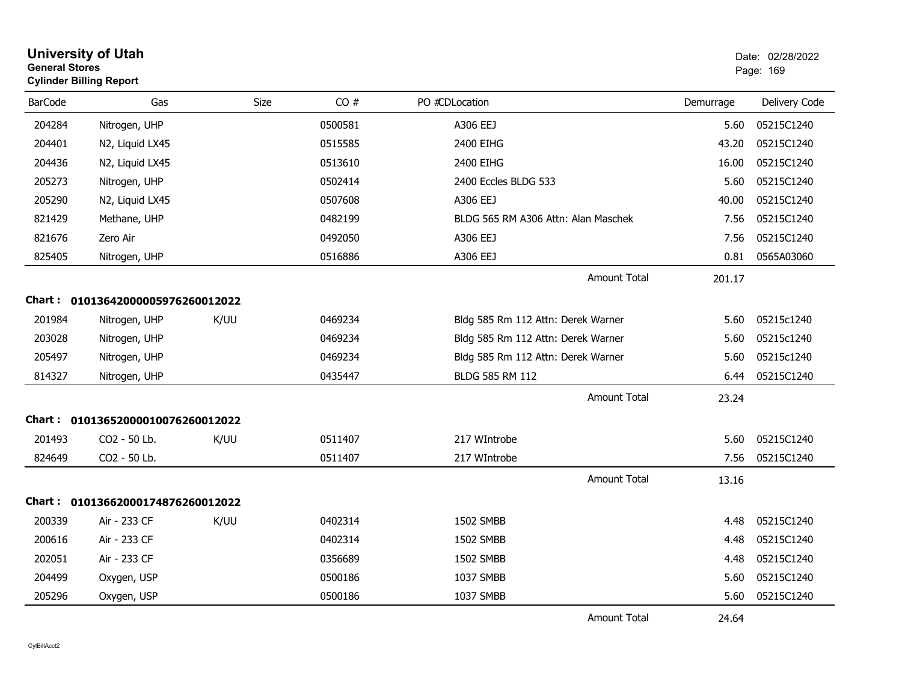|                | <b>University of Utah</b><br><b>General Stores</b><br><b>Cylinder Billing Report</b> |             |         |                                     |           | Date: 02/28/2022<br>Page: 169 |  |  |
|----------------|--------------------------------------------------------------------------------------|-------------|---------|-------------------------------------|-----------|-------------------------------|--|--|
| <b>BarCode</b> | Gas                                                                                  | <b>Size</b> | CO#     | PO #CDLocation                      | Demurrage | Delivery Code                 |  |  |
| 204284         | Nitrogen, UHP                                                                        |             | 0500581 | A306 EEJ                            | 5.60      | 05215C1240                    |  |  |
| 204401         | N2, Liquid LX45                                                                      |             | 0515585 | 2400 EIHG                           | 43.20     | 05215C1240                    |  |  |
| 204436         | N2, Liquid LX45                                                                      |             | 0513610 | 2400 EIHG                           | 16.00     | 05215C1240                    |  |  |
| 205273         | Nitrogen, UHP                                                                        |             | 0502414 | 2400 Eccles BLDG 533                | 5.60      | 05215C1240                    |  |  |
| 205290         | N2, Liquid LX45                                                                      |             | 0507608 | A306 EEJ                            | 40.00     | 05215C1240                    |  |  |
| 821429         | Methane, UHP                                                                         |             | 0482199 | BLDG 565 RM A306 Attn: Alan Maschek | 7.56      | 05215C1240                    |  |  |
| 821676         | Zero Air                                                                             |             | 0492050 | A306 EEJ                            | 7.56      | 05215C1240                    |  |  |
| 825405         | Nitrogen, UHP                                                                        |             | 0516886 | A306 EEJ                            | 0.81      | 0565A03060                    |  |  |
|                |                                                                                      |             |         | <b>Amount Total</b>                 | 201.17    |                               |  |  |
|                | Chart: 01013642000005976260012022                                                    |             |         |                                     |           |                               |  |  |
| 201984         | Nitrogen, UHP                                                                        | K/UU        | 0469234 | Bldg 585 Rm 112 Attn: Derek Warner  | 5.60      | 05215c1240                    |  |  |
| 203028         | Nitrogen, UHP                                                                        |             | 0469234 | Bldg 585 Rm 112 Attn: Derek Warner  | 5.60      | 05215c1240                    |  |  |
| 205497         | Nitrogen, UHP                                                                        |             | 0469234 | Bldg 585 Rm 112 Attn: Derek Warner  | 5.60      | 05215c1240                    |  |  |
| 814327         | Nitrogen, UHP                                                                        |             | 0435447 | BLDG 585 RM 112                     | 6.44      | 05215C1240                    |  |  |
|                |                                                                                      |             |         | Amount Total                        | 23.24     |                               |  |  |
|                | Chart: 01013652000010076260012022                                                    |             |         |                                     |           |                               |  |  |
| 201493         | CO2 - 50 Lb.                                                                         | K/UU        | 0511407 | 217 WIntrobe                        | 5.60      | 05215C1240                    |  |  |
| 824649         | CO2 - 50 Lb.                                                                         |             | 0511407 | 217 WIntrobe                        | 7.56      | 05215C1240                    |  |  |
|                |                                                                                      |             |         | <b>Amount Total</b>                 | 13.16     |                               |  |  |
|                | Chart: 01013662000174876260012022                                                    |             |         |                                     |           |                               |  |  |
| 200339         | Air - 233 CF                                                                         | K/UU        | 0402314 | 1502 SMBB                           | 4.48      | 05215C1240                    |  |  |
| 200616         | Air - 233 CF                                                                         |             | 0402314 | 1502 SMBB                           | 4.48      | 05215C1240                    |  |  |
| 202051         | Air - 233 CF                                                                         |             | 0356689 | 1502 SMBB                           | 4.48      | 05215C1240                    |  |  |
| 204499         | Oxygen, USP                                                                          |             | 0500186 | 1037 SMBB                           | 5.60      | 05215C1240                    |  |  |
| 205296         | Oxygen, USP                                                                          |             | 0500186 | 1037 SMBB                           | 5.60      | 05215C1240                    |  |  |
|                |                                                                                      |             |         | <b>Amount Total</b>                 | 24.64     |                               |  |  |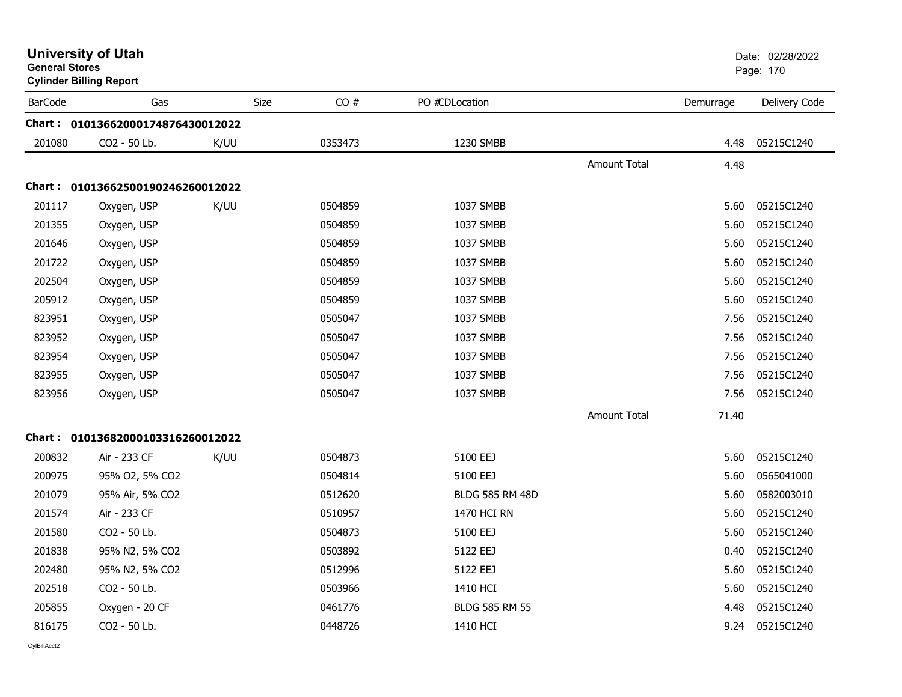| <b>General Stores</b> | <b>University of Utah</b><br><b>Cylinder Billing Report</b> |      |             |                        |                     |           | Date: 02/28/2022<br>Page: 170 |
|-----------------------|-------------------------------------------------------------|------|-------------|------------------------|---------------------|-----------|-------------------------------|
| <b>BarCode</b>        | Gas                                                         |      | CO#<br>Size | PO #CDLocation         |                     | Demurrage | Delivery Code                 |
|                       | Chart: 01013662000174876430012022                           |      |             |                        |                     |           |                               |
| 201080                | CO2 - 50 Lb.                                                | K/UU | 0353473     | 1230 SMBB              |                     | 4.48      | 05215C1240                    |
|                       |                                                             |      |             |                        | <b>Amount Total</b> | 4.48      |                               |
|                       | Chart: 01013662500190246260012022                           |      |             |                        |                     |           |                               |
| 201117                | Oxygen, USP                                                 | K/UU | 0504859     | 1037 SMBB              |                     | 5.60      | 05215C1240                    |
| 201355                | Oxygen, USP                                                 |      | 0504859     | 1037 SMBB              |                     | 5.60      | 05215C1240                    |
| 201646                | Oxygen, USP                                                 |      | 0504859     | 1037 SMBB              |                     | 5.60      | 05215C1240                    |
| 201722                | Oxygen, USP                                                 |      | 0504859     | 1037 SMBB              |                     | 5.60      | 05215C1240                    |
| 202504                | Oxygen, USP                                                 |      | 0504859     | 1037 SMBB              |                     | 5.60      | 05215C1240                    |
| 205912                | Oxygen, USP                                                 |      | 0504859     | 1037 SMBB              |                     | 5.60      | 05215C1240                    |
| 823951                | Oxygen, USP                                                 |      | 0505047     | 1037 SMBB              |                     | 7.56      | 05215C1240                    |
| 823952                | Oxygen, USP                                                 |      | 0505047     | 1037 SMBB              |                     | 7.56      | 05215C1240                    |
| 823954                | Oxygen, USP                                                 |      | 0505047     | 1037 SMBB              |                     | 7.56      | 05215C1240                    |
| 823955                | Oxygen, USP                                                 |      | 0505047     | 1037 SMBB              |                     | 7.56      | 05215C1240                    |
| 823956                | Oxygen, USP                                                 |      | 0505047     | 1037 SMBB              |                     | 7.56      | 05215C1240                    |
|                       |                                                             |      |             |                        | <b>Amount Total</b> | 71.40     |                               |
|                       | Chart: 01013682000103316260012022                           |      |             |                        |                     |           |                               |
| 200832                | Air - 233 CF                                                | K/UU | 0504873     | 5100 EEJ               |                     | 5.60      | 05215C1240                    |
| 200975                | 95% O2, 5% CO2                                              |      | 0504814     | 5100 EEJ               |                     | 5.60      | 0565041000                    |
| 201079                | 95% Air, 5% CO2                                             |      | 0512620     | <b>BLDG 585 RM 48D</b> |                     | 5.60      | 0582003010                    |
| 201574                | Air - 233 CF                                                |      | 0510957     | 1470 HCI RN            |                     | 5.60      | 05215C1240                    |
| 201580                | CO2 - 50 Lb.                                                |      | 0504873     | 5100 EEJ               |                     | 5.60      | 05215C1240                    |
| 201838                | 95% N2, 5% CO2                                              |      | 0503892     | 5122 EEJ               |                     | 0.40      | 05215C1240                    |
| 202480                | 95% N2, 5% CO2                                              |      | 0512996     | 5122 EEJ               |                     | 5.60      | 05215C1240                    |
| 202518                | CO2 - 50 Lb.                                                |      | 0503966     | 1410 HCI               |                     | 5.60      | 05215C1240                    |
| 205855                | Oxygen - 20 CF                                              |      | 0461776     | BLDG 585 RM 55         |                     | 4.48      | 05215C1240                    |
| 816175                | CO <sub>2</sub> - 50 Lb.                                    |      | 0448726     | 1410 HCI               |                     | 9.24      | 05215C1240                    |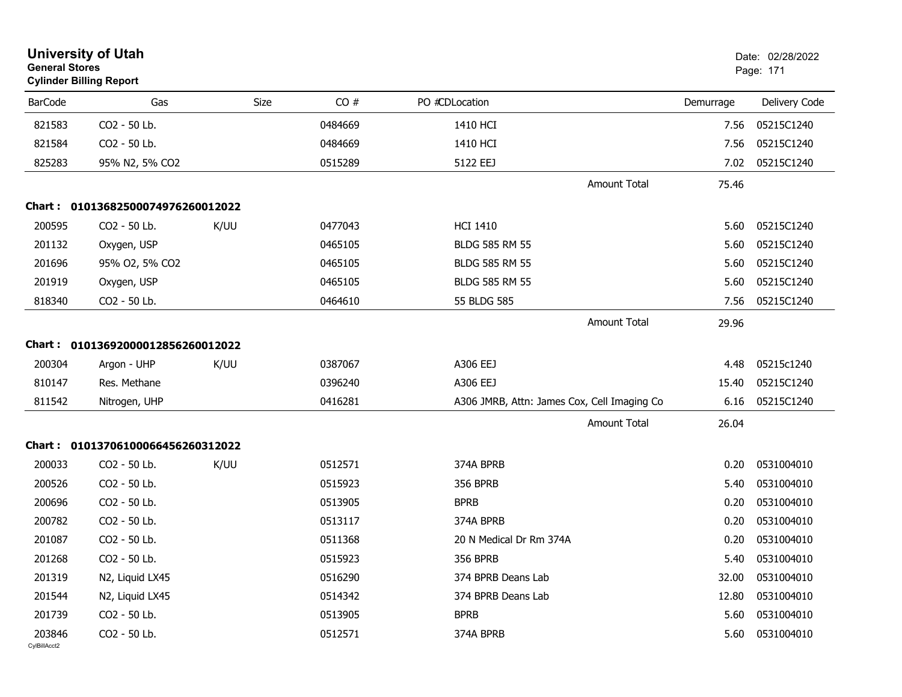|                        | <b>University of Utah</b><br><b>General Stores</b><br><b>Cylinder Billing Report</b> |      |             |                         |                                             |           |               |
|------------------------|--------------------------------------------------------------------------------------|------|-------------|-------------------------|---------------------------------------------|-----------|---------------|
| <b>BarCode</b>         | Gas                                                                                  |      | CO#<br>Size | PO #CDLocation          |                                             | Demurrage | Delivery Code |
| 821583                 | CO2 - 50 Lb.                                                                         |      | 0484669     | 1410 HCI                |                                             | 7.56      | 05215C1240    |
| 821584                 | CO2 - 50 Lb.                                                                         |      | 0484669     | 1410 HCI                |                                             | 7.56      | 05215C1240    |
| 825283                 | 95% N2, 5% CO2                                                                       |      | 0515289     | 5122 EEJ                |                                             | 7.02      | 05215C1240    |
|                        |                                                                                      |      |             |                         | <b>Amount Total</b>                         | 75.46     |               |
|                        | Chart: 01013682500074976260012022                                                    |      |             |                         |                                             |           |               |
| 200595                 | CO2 - 50 Lb.                                                                         | K/UU | 0477043     | <b>HCI 1410</b>         |                                             | 5.60      | 05215C1240    |
| 201132                 | Oxygen, USP                                                                          |      | 0465105     | <b>BLDG 585 RM 55</b>   |                                             | 5.60      | 05215C1240    |
| 201696                 | 95% O2, 5% CO2                                                                       |      | 0465105     | <b>BLDG 585 RM 55</b>   |                                             | 5.60      | 05215C1240    |
| 201919                 | Oxygen, USP                                                                          |      | 0465105     | <b>BLDG 585 RM 55</b>   |                                             | 5.60      | 05215C1240    |
| 818340                 | CO2 - 50 Lb.                                                                         |      | 0464610     | 55 BLDG 585             |                                             | 7.56      | 05215C1240    |
|                        |                                                                                      |      |             |                         | <b>Amount Total</b>                         | 29.96     |               |
|                        | Chart: 01013692000012856260012022                                                    |      |             |                         |                                             |           |               |
| 200304                 | Argon - UHP                                                                          | K/UU | 0387067     | A306 EEJ                |                                             | 4.48      | 05215c1240    |
| 810147                 | Res. Methane                                                                         |      | 0396240     | A306 EEJ                |                                             | 15.40     | 05215C1240    |
| 811542                 | Nitrogen, UHP                                                                        |      | 0416281     |                         | A306 JMRB, Attn: James Cox, Cell Imaging Co | 6.16      | 05215C1240    |
|                        |                                                                                      |      |             |                         | <b>Amount Total</b>                         | 26.04     |               |
|                        | Chart: 01013706100066456260312022                                                    |      |             |                         |                                             |           |               |
| 200033                 | CO2 - 50 Lb.                                                                         | K/UU | 0512571     | 374A BPRB               |                                             | 0.20      | 0531004010    |
| 200526                 | CO2 - 50 Lb.                                                                         |      | 0515923     | <b>356 BPRB</b>         |                                             | 5.40      | 0531004010    |
| 200696                 | CO2 - 50 Lb.                                                                         |      | 0513905     | <b>BPRB</b>             |                                             | 0.20      | 0531004010    |
| 200782                 | CO2 - 50 Lb.                                                                         |      | 0513117     | 374A BPRB               |                                             | 0.20      | 0531004010    |
| 201087                 | CO2 - 50 Lb.                                                                         |      | 0511368     | 20 N Medical Dr Rm 374A |                                             | 0.20      | 0531004010    |
| 201268                 | CO2 - 50 Lb.                                                                         |      | 0515923     | 356 BPRB                |                                             | 5.40      | 0531004010    |
| 201319                 | N2, Liquid LX45                                                                      |      | 0516290     | 374 BPRB Deans Lab      |                                             | 32.00     | 0531004010    |
| 201544                 | N2, Liquid LX45                                                                      |      | 0514342     | 374 BPRB Deans Lab      |                                             | 12.80     | 0531004010    |
| 201739                 | CO2 - 50 Lb.                                                                         |      | 0513905     | <b>BPRB</b>             |                                             | 5.60      | 0531004010    |
| 203846<br>CylBillAcct2 | CO2 - 50 Lb.                                                                         |      | 0512571     | 374A BPRB               |                                             | 5.60      | 0531004010    |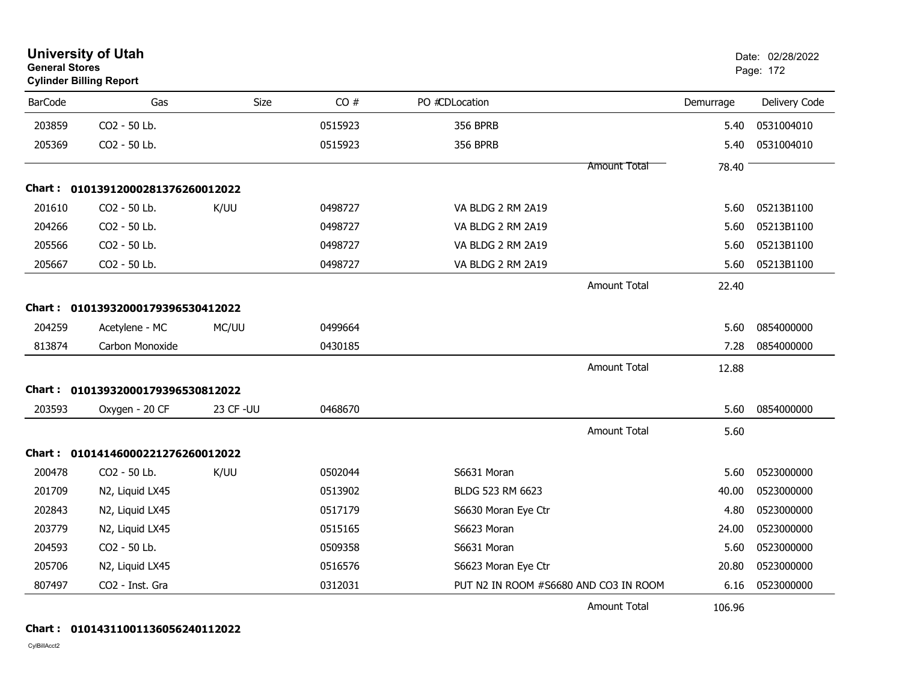| <b>General Stores</b> | <b>University of Utah</b><br><b>Cylinder Billing Report</b> |          |         |                                       |                     |           | Date: 02/28/2022<br>Page: 172 |
|-----------------------|-------------------------------------------------------------|----------|---------|---------------------------------------|---------------------|-----------|-------------------------------|
| <b>BarCode</b>        | Gas                                                         | Size     | CO#     | PO #CDLocation                        |                     | Demurrage | Delivery Code                 |
| 203859                | CO2 - 50 Lb.                                                |          | 0515923 | <b>356 BPRB</b>                       |                     | 5.40      | 0531004010                    |
| 205369                | CO2 - 50 Lb.                                                |          | 0515923 | <b>356 BPRB</b>                       |                     | 5.40      | 0531004010                    |
|                       |                                                             |          |         |                                       | Amount Total        | 78.40     |                               |
|                       | Chart: 01013912000281376260012022                           |          |         |                                       |                     |           |                               |
| 201610                | CO2 - 50 Lb.                                                | K/UU     | 0498727 | VA BLDG 2 RM 2A19                     |                     | 5.60      | 05213B1100                    |
| 204266                | CO2 - 50 Lb.                                                |          | 0498727 | VA BLDG 2 RM 2A19                     |                     | 5.60      | 05213B1100                    |
| 205566                | CO2 - 50 Lb.                                                |          | 0498727 | VA BLDG 2 RM 2A19                     |                     | 5.60      | 05213B1100                    |
| 205667                | CO2 - 50 Lb.                                                |          | 0498727 | VA BLDG 2 RM 2A19                     |                     | 5.60      | 05213B1100                    |
|                       |                                                             |          |         |                                       | <b>Amount Total</b> | 22.40     |                               |
|                       | Chart: 01013932000179396530412022                           |          |         |                                       |                     |           |                               |
| 204259                | Acetylene - MC                                              | MC/UU    | 0499664 |                                       |                     | 5.60      | 0854000000                    |
| 813874                | Carbon Monoxide                                             |          | 0430185 |                                       |                     | 7.28      | 0854000000                    |
|                       |                                                             |          |         |                                       | <b>Amount Total</b> | 12.88     |                               |
|                       | Chart: 01013932000179396530812022                           |          |         |                                       |                     |           |                               |
| 203593                | Oxygen - 20 CF                                              | 23 CF-UU | 0468670 |                                       |                     | 5.60      | 0854000000                    |
|                       |                                                             |          |         |                                       | <b>Amount Total</b> | 5.60      |                               |
|                       | Chart: 01014146000221276260012022                           |          |         |                                       |                     |           |                               |
| 200478                | CO2 - 50 Lb.                                                | K/UU     | 0502044 | S6631 Moran                           |                     | 5.60      | 0523000000                    |
| 201709                | N2, Liquid LX45                                             |          | 0513902 | BLDG 523 RM 6623                      |                     | 40.00     | 0523000000                    |
| 202843                | N2, Liquid LX45                                             |          | 0517179 | S6630 Moran Eye Ctr                   |                     | 4.80      | 0523000000                    |
| 203779                | N2, Liquid LX45                                             |          | 0515165 | S6623 Moran                           |                     | 24.00     | 0523000000                    |
| 204593                | CO2 - 50 Lb.                                                |          | 0509358 | S6631 Moran                           |                     | 5.60      | 0523000000                    |
| 205706                | N2, Liquid LX45                                             |          | 0516576 | S6623 Moran Eye Ctr                   |                     | 20.80     | 0523000000                    |
| 807497                | CO2 - Inst. Gra                                             |          | 0312031 | PUT N2 IN ROOM #S6680 AND CO3 IN ROOM |                     | 6.16      | 0523000000                    |
|                       |                                                             |          |         |                                       | Amount Total        | 106.96    |                               |

#### **Chart : 01014311001136056240112022**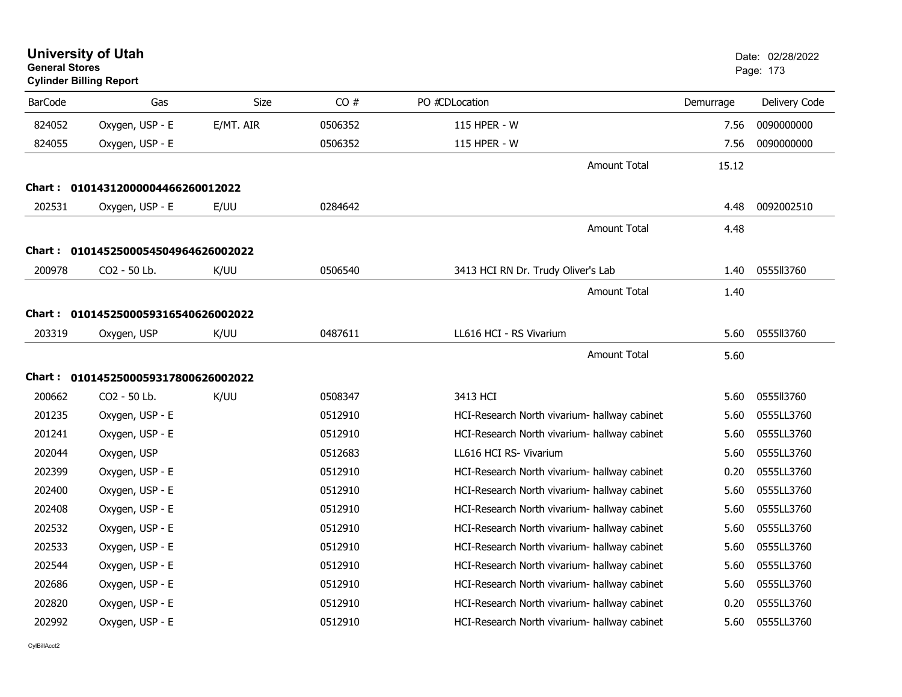| <b>General Stores</b> | <b>University of Utah</b><br><b>Cylinder Billing Report</b> |             |         |                                              |           | Date: 02/28/2022<br>Page: 173 |
|-----------------------|-------------------------------------------------------------|-------------|---------|----------------------------------------------|-----------|-------------------------------|
| <b>BarCode</b>        | Gas                                                         | <b>Size</b> | CO#     | PO #CDLocation                               | Demurrage | Delivery Code                 |
| 824052                | Oxygen, USP - E                                             | E/MT. AIR   | 0506352 | 115 HPER - W                                 | 7.56      | 0090000000                    |
| 824055                | Oxygen, USP - E                                             |             | 0506352 | 115 HPER - W                                 | 7.56      | 0090000000                    |
|                       |                                                             |             |         | <b>Amount Total</b>                          | 15.12     |                               |
|                       | Chart: 01014312000004466260012022                           |             |         |                                              |           |                               |
| 202531                | Oxygen, USP - E                                             | E/UU        | 0284642 |                                              | 4.48      | 0092002510                    |
|                       |                                                             |             |         | <b>Amount Total</b>                          | 4.48      |                               |
| Chart :               | 0101452500054504964626002022                                |             |         |                                              |           |                               |
| 200978                | CO2 - 50 Lb.                                                | K/UU        | 0506540 | 3413 HCI RN Dr. Trudy Oliver's Lab           | 1.40      | 0555ll3760                    |
|                       |                                                             |             |         | <b>Amount Total</b>                          | 1.40      |                               |
|                       | Chart: 0101452500059316540626002022                         |             |         |                                              |           |                               |
| 203319                | Oxygen, USP                                                 | K/UU        | 0487611 | LL616 HCI - RS Vivarium                      | 5.60      | 0555II3760                    |
|                       |                                                             |             |         | <b>Amount Total</b>                          | 5.60      |                               |
|                       | Chart: 0101452500059317800626002022                         |             |         |                                              |           |                               |
| 200662                | CO2 - 50 Lb.                                                | K/UU        | 0508347 | 3413 HCI                                     | 5.60      | 0555II3760                    |
| 201235                | Oxygen, USP - E                                             |             | 0512910 | HCI-Research North vivarium- hallway cabinet | 5.60      | 0555LL3760                    |
| 201241                | Oxygen, USP - E                                             |             | 0512910 | HCI-Research North vivarium- hallway cabinet | 5.60      | 0555LL3760                    |
| 202044                | Oxygen, USP                                                 |             | 0512683 | LL616 HCI RS- Vivarium                       | 5.60      | 0555LL3760                    |
| 202399                | Oxygen, USP - E                                             |             | 0512910 | HCI-Research North vivarium- hallway cabinet | 0.20      | 0555LL3760                    |
| 202400                | Oxygen, USP - E                                             |             | 0512910 | HCI-Research North vivarium- hallway cabinet | 5.60      | 0555LL3760                    |
| 202408                | Oxygen, USP - E                                             |             | 0512910 | HCI-Research North vivarium- hallway cabinet | 5.60      | 0555LL3760                    |
| 202532                | Oxygen, USP - E                                             |             | 0512910 | HCI-Research North vivarium- hallway cabinet | 5.60      | 0555LL3760                    |
| 202533                | Oxygen, USP - E                                             |             | 0512910 | HCI-Research North vivarium- hallway cabinet | 5.60      | 0555LL3760                    |
| 202544                | Oxygen, USP - E                                             |             | 0512910 | HCI-Research North vivarium- hallway cabinet | 5.60      | 0555LL3760                    |
| 202686                | Oxygen, USP - E                                             |             | 0512910 | HCI-Research North vivarium- hallway cabinet | 5.60      | 0555LL3760                    |
| 202820                | Oxygen, USP - E                                             |             | 0512910 | HCI-Research North vivarium- hallway cabinet | 0.20      | 0555LL3760                    |
| 202992                | Oxygen, USP - E                                             |             | 0512910 | HCI-Research North vivarium- hallway cabinet | 5.60      | 0555LL3760                    |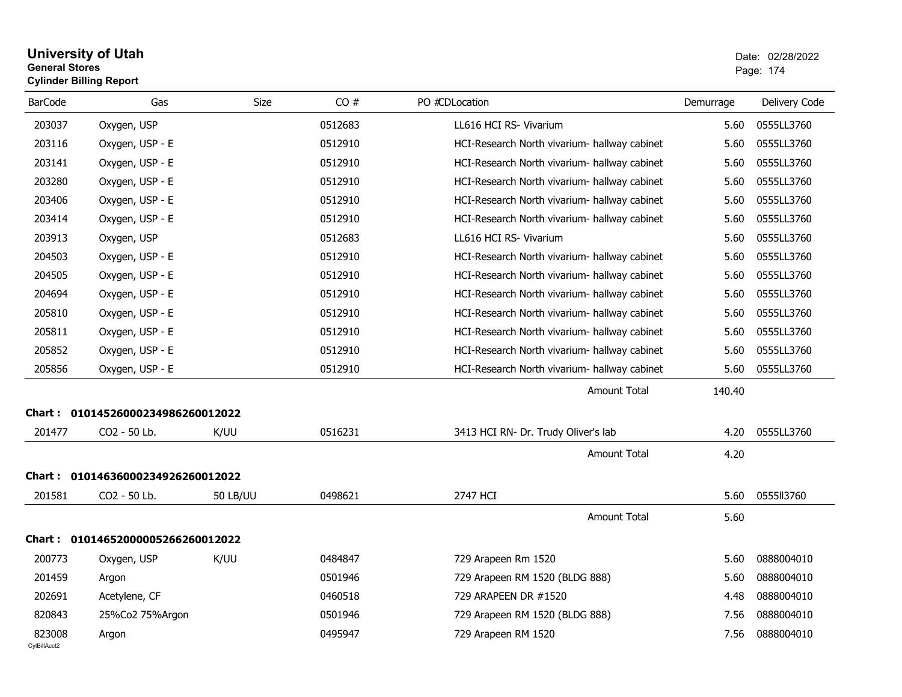#### **University of Utah** Date: 02/28/2022 **General Stores**er i 174 begin hadde i 174 begin hadde i 174 begin hadde i 180 begin hadde i 180 begin hadde i 174 begin hadde **Cylinder Billing Report**

| <b>BarCode</b>         | Gas                               | <b>Size</b>     | CO#     | PO #CDLocation                               | Demurrage | Delivery Code |
|------------------------|-----------------------------------|-----------------|---------|----------------------------------------------|-----------|---------------|
| 203037                 | Oxygen, USP                       |                 | 0512683 | LL616 HCI RS- Vivarium                       | 5.60      | 0555LL3760    |
| 203116                 | Oxygen, USP - E                   |                 | 0512910 | HCI-Research North vivarium- hallway cabinet | 5.60      | 0555LL3760    |
| 203141                 | Oxygen, USP - E                   |                 | 0512910 | HCI-Research North vivarium- hallway cabinet | 5.60      | 0555LL3760    |
| 203280                 | Oxygen, USP - E                   |                 | 0512910 | HCI-Research North vivarium- hallway cabinet | 5.60      | 0555LL3760    |
| 203406                 | Oxygen, USP - E                   |                 | 0512910 | HCI-Research North vivarium- hallway cabinet | 5.60      | 0555LL3760    |
| 203414                 | Oxygen, USP - E                   |                 | 0512910 | HCI-Research North vivarium- hallway cabinet | 5.60      | 0555LL3760    |
| 203913                 | Oxygen, USP                       |                 | 0512683 | LL616 HCI RS- Vivarium                       | 5.60      | 0555LL3760    |
| 204503                 | Oxygen, USP - E                   |                 | 0512910 | HCI-Research North vivarium- hallway cabinet | 5.60      | 0555LL3760    |
| 204505                 | Oxygen, USP - E                   |                 | 0512910 | HCI-Research North vivarium- hallway cabinet | 5.60      | 0555LL3760    |
| 204694                 | Oxygen, USP - E                   |                 | 0512910 | HCI-Research North vivarium- hallway cabinet | 5.60      | 0555LL3760    |
| 205810                 | Oxygen, USP - E                   |                 | 0512910 | HCI-Research North vivarium- hallway cabinet | 5.60      | 0555LL3760    |
| 205811                 | Oxygen, USP - E                   |                 | 0512910 | HCI-Research North vivarium- hallway cabinet | 5.60      | 0555LL3760    |
| 205852                 | Oxygen, USP - E                   |                 | 0512910 | HCI-Research North vivarium- hallway cabinet | 5.60      | 0555LL3760    |
| 205856                 | Oxygen, USP - E                   |                 | 0512910 | HCI-Research North vivarium- hallway cabinet | 5.60      | 0555LL3760    |
|                        |                                   |                 |         | Amount Total                                 | 140.40    |               |
|                        | Chart: 01014526000234986260012022 |                 |         |                                              |           |               |
| 201477                 | CO2 - 50 Lb.                      | K/UU            | 0516231 | 3413 HCI RN- Dr. Trudy Oliver's lab          | 4.20      | 0555LL3760    |
|                        |                                   |                 |         | <b>Amount Total</b>                          | 4.20      |               |
|                        | Chart: 01014636000234926260012022 |                 |         |                                              |           |               |
| 201581                 | CO2 - 50 Lb.                      | <b>50 LB/UU</b> | 0498621 | 2747 HCI                                     | 5.60      | 0555113760    |
|                        |                                   |                 |         | Amount Total                                 | 5.60      |               |
|                        | Chart: 01014652000005266260012022 |                 |         |                                              |           |               |
| 200773                 | Oxygen, USP                       | K/UU            | 0484847 | 729 Arapeen Rm 1520                          | 5.60      | 0888004010    |
| 201459                 | Argon                             |                 | 0501946 | 729 Arapeen RM 1520 (BLDG 888)               | 5.60      | 0888004010    |
| 202691                 | Acetylene, CF                     |                 | 0460518 | 729 ARAPEEN DR #1520                         | 4.48      | 0888004010    |
| 820843                 | 25%Co2 75%Argon                   |                 | 0501946 | 729 Arapeen RM 1520 (BLDG 888)               | 7.56      | 0888004010    |
| 823008<br>CvIBillAcct2 | Argon                             |                 | 0495947 | 729 Arapeen RM 1520                          | 7.56      | 0888004010    |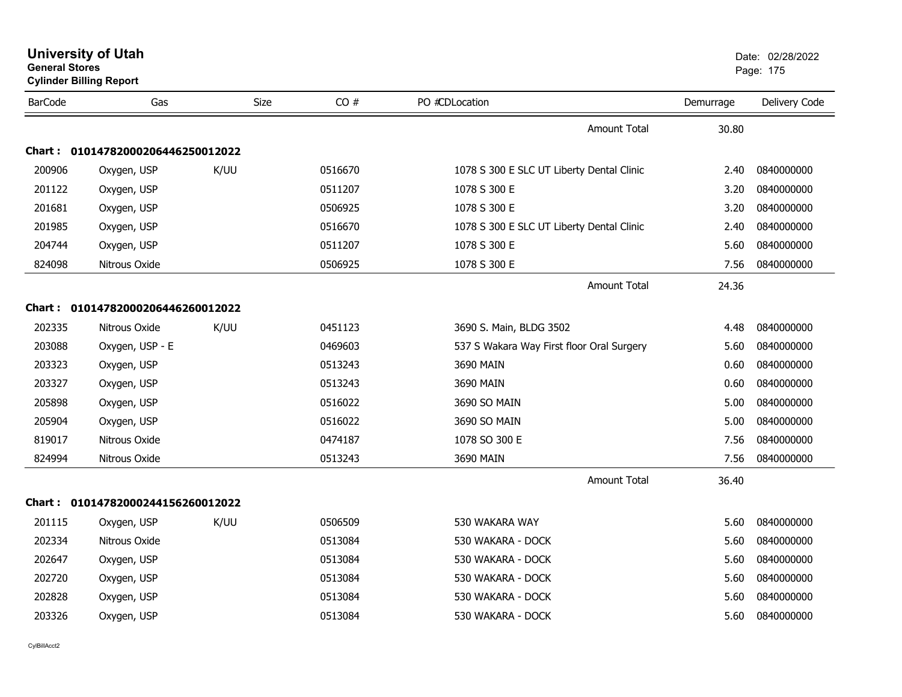|                | <b>General Stores</b><br><b>Cylinder Billing Report</b> |             |         |                                           |           | Page: 175     |  |  |
|----------------|---------------------------------------------------------|-------------|---------|-------------------------------------------|-----------|---------------|--|--|
| <b>BarCode</b> | Gas                                                     | <b>Size</b> | CO#     | PO #CDLocation                            | Demurrage | Delivery Code |  |  |
|                |                                                         |             |         | <b>Amount Total</b>                       | 30.80     |               |  |  |
|                | Chart: 01014782000206446250012022                       |             |         |                                           |           |               |  |  |
| 200906         | Oxygen, USP                                             | K/UU        | 0516670 | 1078 S 300 E SLC UT Liberty Dental Clinic | 2.40      | 0840000000    |  |  |
| 201122         | Oxygen, USP                                             |             | 0511207 | 1078 S 300 E                              | 3.20      | 0840000000    |  |  |
| 201681         | Oxygen, USP                                             |             | 0506925 | 1078 S 300 E                              | 3.20      | 0840000000    |  |  |
| 201985         | Oxygen, USP                                             |             | 0516670 | 1078 S 300 E SLC UT Liberty Dental Clinic | 2.40      | 0840000000    |  |  |
| 204744         | Oxygen, USP                                             |             | 0511207 | 1078 S 300 E                              | 5.60      | 0840000000    |  |  |
| 824098         | Nitrous Oxide                                           |             | 0506925 | 1078 S 300 E                              | 7.56      | 0840000000    |  |  |
|                |                                                         |             |         | Amount Total                              | 24.36     |               |  |  |
| Chart : _      | 01014782000206446260012022                              |             |         |                                           |           |               |  |  |
| 202335         | Nitrous Oxide                                           | K/UU        | 0451123 | 3690 S. Main, BLDG 3502                   | 4.48      | 0840000000    |  |  |
| 203088         | Oxygen, USP - E                                         |             | 0469603 | 537 S Wakara Way First floor Oral Surgery | 5.60      | 0840000000    |  |  |
| 203323         | Oxygen, USP                                             |             | 0513243 | 3690 MAIN                                 | 0.60      | 0840000000    |  |  |
| 203327         | Oxygen, USP                                             |             | 0513243 | 3690 MAIN                                 | 0.60      | 0840000000    |  |  |
| 205898         | Oxygen, USP                                             |             | 0516022 | 3690 SO MAIN                              | 5.00      | 0840000000    |  |  |
| 205904         | Oxygen, USP                                             |             | 0516022 | 3690 SO MAIN                              | 5.00      | 0840000000    |  |  |
| 819017         | Nitrous Oxide                                           |             | 0474187 | 1078 SO 300 E                             | 7.56      | 0840000000    |  |  |
| 824994         | Nitrous Oxide                                           |             | 0513243 | 3690 MAIN                                 | 7.56      | 0840000000    |  |  |
|                |                                                         |             |         | <b>Amount Total</b>                       | 36.40     |               |  |  |
|                | Chart: 01014782000244156260012022                       |             |         |                                           |           |               |  |  |
| 201115         | Oxygen, USP                                             | K/UU        | 0506509 | 530 WAKARA WAY                            | 5.60      | 0840000000    |  |  |
| 202334         | Nitrous Oxide                                           |             | 0513084 | 530 WAKARA - DOCK                         | 5.60      | 0840000000    |  |  |
| 202647         | Oxygen, USP                                             |             | 0513084 | 530 WAKARA - DOCK                         | 5.60      | 0840000000    |  |  |
| 202720         | Oxygen, USP                                             |             | 0513084 | 530 WAKARA - DOCK                         | 5.60      | 0840000000    |  |  |
| 202828         | Oxygen, USP                                             |             | 0513084 | 530 WAKARA - DOCK                         | 5.60      | 0840000000    |  |  |
| 203326         | Oxygen, USP                                             |             | 0513084 | 530 WAKARA - DOCK                         | 5.60      | 0840000000    |  |  |
|                |                                                         |             |         |                                           |           |               |  |  |

**University of Utah** Date: 02/28/2022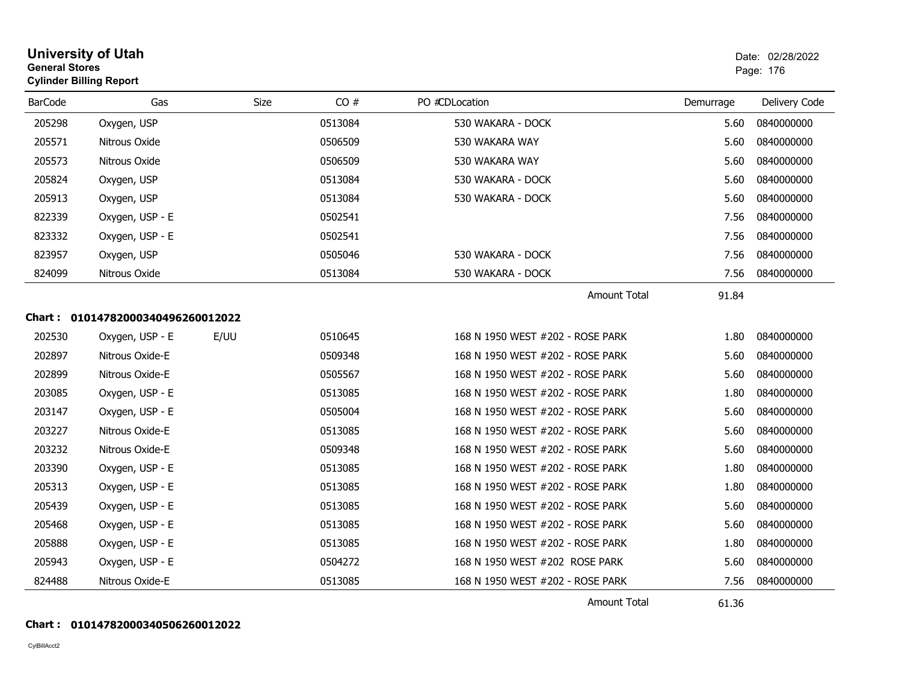| General Stores | <b>Cylinder Billing Report</b>    |      |         |                                  |           | Page: 176     |
|----------------|-----------------------------------|------|---------|----------------------------------|-----------|---------------|
| <b>BarCode</b> | Gas                               | Size | CO#     | PO #CDLocation                   | Demurrage | Delivery Code |
| 205298         | Oxygen, USP                       |      | 0513084 | 530 WAKARA - DOCK                | 5.60      | 0840000000    |
| 205571         | Nitrous Oxide                     |      | 0506509 | 530 WAKARA WAY                   | 5.60      | 0840000000    |
| 205573         | Nitrous Oxide                     |      | 0506509 | 530 WAKARA WAY                   | 5.60      | 0840000000    |
| 205824         | Oxygen, USP                       |      | 0513084 | 530 WAKARA - DOCK                | 5.60      | 0840000000    |
| 205913         | Oxygen, USP                       |      | 0513084 | 530 WAKARA - DOCK                | 5.60      | 0840000000    |
| 822339         | Oxygen, USP - E                   |      | 0502541 |                                  | 7.56      | 0840000000    |
| 823332         | Oxygen, USP - E                   |      | 0502541 |                                  | 7.56      | 0840000000    |
| 823957         | Oxygen, USP                       |      | 0505046 | 530 WAKARA - DOCK                | 7.56      | 0840000000    |
| 824099         | Nitrous Oxide                     |      | 0513084 | 530 WAKARA - DOCK                | 7.56      | 0840000000    |
|                |                                   |      |         | <b>Amount Total</b>              | 91.84     |               |
|                | Chart: 01014782000340496260012022 |      |         |                                  |           |               |
| 202530         | Oxygen, USP - E                   | E/UU | 0510645 | 168 N 1950 WEST #202 - ROSE PARK | 1.80      | 0840000000    |
| 202897         | Nitrous Oxide-E                   |      | 0509348 | 168 N 1950 WEST #202 - ROSE PARK | 5.60      | 0840000000    |
| 202899         | Nitrous Oxide-E                   |      | 0505567 | 168 N 1950 WEST #202 - ROSE PARK | 5.60      | 0840000000    |
| 203085         | Oxygen, USP - E                   |      | 0513085 | 168 N 1950 WEST #202 - ROSE PARK | 1.80      | 0840000000    |
| 203147         | Oxygen, USP - E                   |      | 0505004 | 168 N 1950 WEST #202 - ROSE PARK | 5.60      | 0840000000    |
| 203227         | Nitrous Oxide-E                   |      | 0513085 | 168 N 1950 WEST #202 - ROSE PARK | 5.60      | 0840000000    |
| 203232         | Nitrous Oxide-E                   |      | 0509348 | 168 N 1950 WEST #202 - ROSE PARK | 5.60      | 0840000000    |
| 203390         | Oxygen, USP - E                   |      | 0513085 | 168 N 1950 WEST #202 - ROSE PARK | 1.80      | 0840000000    |
| 205313         | Oxygen, USP - E                   |      | 0513085 | 168 N 1950 WEST #202 - ROSE PARK | 1.80      | 0840000000    |
| 205439         | Oxygen, USP - E                   |      | 0513085 | 168 N 1950 WEST #202 - ROSE PARK | 5.60      | 0840000000    |
| 205468         | Oxygen, USP - E                   |      | 0513085 | 168 N 1950 WEST #202 - ROSE PARK | 5.60      | 0840000000    |
| 205888         | Oxygen, USP - E                   |      | 0513085 | 168 N 1950 WEST #202 - ROSE PARK | 1.80      | 0840000000    |
| 205943         | Oxygen, USP - E                   |      | 0504272 | 168 N 1950 WEST #202 ROSE PARK   | 5.60      | 0840000000    |
| 824488         | Nitrous Oxide-E                   |      | 0513085 | 168 N 1950 WEST #202 - ROSE PARK | 7.56      | 0840000000    |

## Amount Total

61.36

## **Chart : 01014782000340506260012022**

CylBillAcct2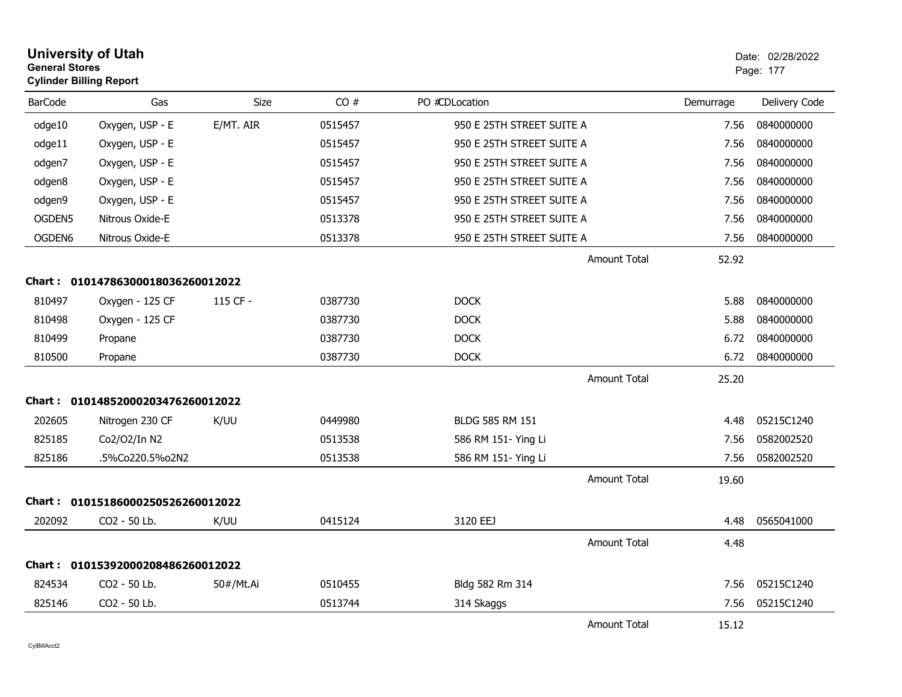| <b>General Stores</b> | <b>University of Utah</b><br><b>Cylinder Billing Report</b> |           |         |                           |                           |           | Date: 02/28/2022<br>Page: 177 |
|-----------------------|-------------------------------------------------------------|-----------|---------|---------------------------|---------------------------|-----------|-------------------------------|
| <b>BarCode</b>        | Gas                                                         | Size      | CO#     | PO #CDLocation            |                           | Demurrage | Delivery Code                 |
| odge10                | Oxygen, USP - E                                             | E/MT. AIR | 0515457 | 950 E 25TH STREET SUITE A |                           | 7.56      | 0840000000                    |
| odge11                | Oxygen, USP - E                                             |           | 0515457 | 950 E 25TH STREET SUITE A |                           | 7.56      | 0840000000                    |
| odgen7                | Oxygen, USP - E                                             |           | 0515457 | 950 E 25TH STREET SUITE A |                           | 7.56      | 0840000000                    |
| odgen8                | Oxygen, USP - E                                             |           | 0515457 | 950 E 25TH STREET SUITE A |                           | 7.56      | 0840000000                    |
| odgen9                | Oxygen, USP - E                                             |           | 0515457 | 950 E 25TH STREET SUITE A |                           | 7.56      | 0840000000                    |
| OGDEN5                | Nitrous Oxide-E                                             |           | 0513378 | 950 E 25TH STREET SUITE A |                           | 7.56      | 0840000000                    |
| OGDEN6                | Nitrous Oxide-E                                             |           | 0513378 |                           | 950 E 25TH STREET SUITE A |           | 0840000000                    |
|                       |                                                             |           |         |                           | Amount Total              | 52.92     |                               |
|                       | Chart: 01014786300018036260012022                           |           |         |                           |                           |           |                               |
| 810497                | Oxygen - 125 CF                                             | 115 CF -  | 0387730 | <b>DOCK</b>               |                           | 5.88      | 0840000000                    |
| 810498                | Oxygen - 125 CF                                             |           | 0387730 | <b>DOCK</b>               |                           | 5.88      | 0840000000                    |
| 810499                | Propane                                                     |           | 0387730 | <b>DOCK</b>               |                           | 6.72      | 0840000000                    |
| 810500                | Propane                                                     |           | 0387730 | <b>DOCK</b>               |                           | 6.72      | 0840000000                    |
|                       |                                                             |           |         |                           | Amount Total              | 25.20     |                               |
|                       | Chart: 01014852000203476260012022                           |           |         |                           |                           |           |                               |
| 202605                | Nitrogen 230 CF                                             | K/UU      | 0449980 | BLDG 585 RM 151           |                           | 4.48      | 05215C1240                    |
| 825185                | Co2/O2/In N2                                                |           | 0513538 | 586 RM 151- Ying Li       |                           | 7.56      | 0582002520                    |
| 825186                | .5%Co220.5%o2N2                                             |           | 0513538 | 586 RM 151- Ying Li       |                           | 7.56      | 0582002520                    |
|                       |                                                             |           |         |                           | <b>Amount Total</b>       | 19.60     |                               |
| Chart :               | 01015186000250526260012022                                  |           |         |                           |                           |           |                               |
| 202092                | CO <sub>2</sub> - 50 Lb.                                    | K/UU      | 0415124 | 3120 EEJ                  |                           | 4.48      | 0565041000                    |
|                       |                                                             |           |         |                           | Amount Total              | 4.48      |                               |
| Chart :               | 01015392000208486260012022                                  |           |         |                           |                           |           |                               |
| 824534                | CO2 - 50 Lb.                                                | 50#/Mt.Ai | 0510455 | Bldg 582 Rm 314           |                           | 7.56      | 05215C1240                    |
| 825146                | CO2 - 50 Lb.                                                |           | 0513744 | 314 Skaggs                |                           | 7.56      | 05215C1240                    |
|                       |                                                             |           |         |                           | <b>Amount Total</b>       | 15.12     |                               |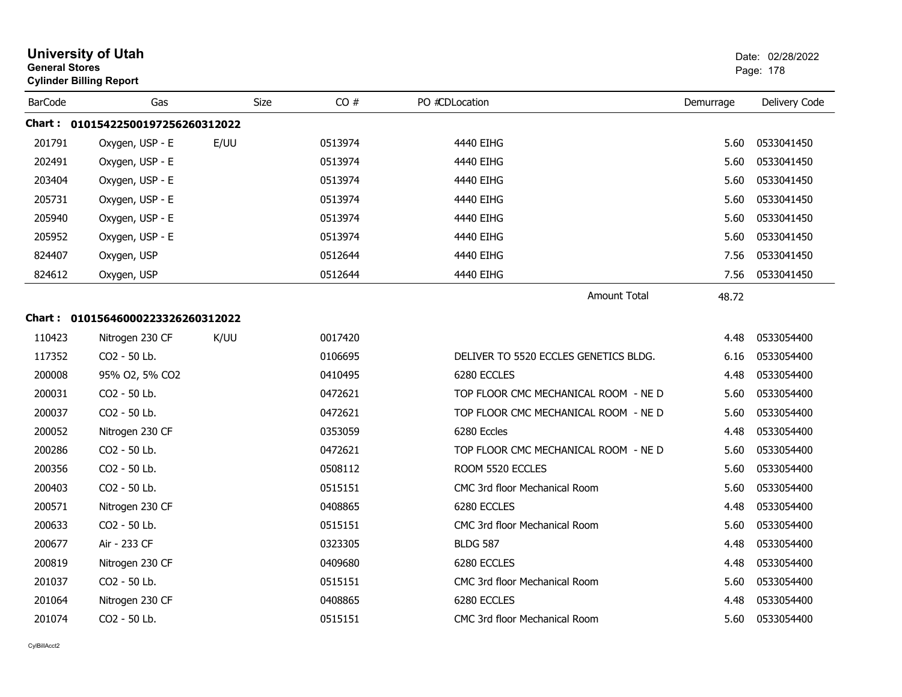|                | <b>University of Utah</b><br><b>General Stores</b><br><b>Cylinder Billing Report</b> |      |      |         |                                       | Date: 02/28/2022<br>Page: 178 |               |  |
|----------------|--------------------------------------------------------------------------------------|------|------|---------|---------------------------------------|-------------------------------|---------------|--|
| <b>BarCode</b> | Gas                                                                                  |      | Size | CO#     | PO #CDLocation                        | Demurrage                     | Delivery Code |  |
|                | Chart: 01015422500197256260312022                                                    |      |      |         |                                       |                               |               |  |
| 201791         | Oxygen, USP - E                                                                      | E/UU |      | 0513974 | 4440 EIHG                             | 5.60                          | 0533041450    |  |
| 202491         | Oxygen, USP - E                                                                      |      |      | 0513974 | 4440 EIHG                             | 5.60                          | 0533041450    |  |
| 203404         | Oxygen, USP - E                                                                      |      |      | 0513974 | 4440 EIHG                             | 5.60                          | 0533041450    |  |
| 205731         | Oxygen, USP - E                                                                      |      |      | 0513974 | 4440 EIHG                             | 5.60                          | 0533041450    |  |
| 205940         | Oxygen, USP - E                                                                      |      |      | 0513974 | 4440 EIHG                             | 5.60                          | 0533041450    |  |
| 205952         | Oxygen, USP - E                                                                      |      |      | 0513974 | 4440 EIHG                             | 5.60                          | 0533041450    |  |
| 824407         | Oxygen, USP                                                                          |      |      | 0512644 | 4440 EIHG                             | 7.56                          | 0533041450    |  |
| 824612         | Oxygen, USP                                                                          |      |      | 0512644 | 4440 EIHG                             | 7.56                          | 0533041450    |  |
|                |                                                                                      |      |      |         | Amount Total                          | 48.72                         |               |  |
|                | Chart: 01015646000223326260312022                                                    |      |      |         |                                       |                               |               |  |
| 110423         | Nitrogen 230 CF                                                                      | K/UU |      | 0017420 |                                       | 4.48                          | 0533054400    |  |
| 117352         | CO <sub>2</sub> - 50 Lb.                                                             |      |      | 0106695 | DELIVER TO 5520 ECCLES GENETICS BLDG. | 6.16                          | 0533054400    |  |
| 200008         | 95% O2, 5% CO2                                                                       |      |      | 0410495 | 6280 ECCLES                           | 4.48                          | 0533054400    |  |
| 200031         | CO2 - 50 Lb.                                                                         |      |      | 0472621 | TOP FLOOR CMC MECHANICAL ROOM - NE D  | 5.60                          | 0533054400    |  |
| 200037         | CO2 - 50 Lb.                                                                         |      |      | 0472621 | TOP FLOOR CMC MECHANICAL ROOM - NE D  | 5.60                          | 0533054400    |  |
| 200052         | Nitrogen 230 CF                                                                      |      |      | 0353059 | 6280 Eccles                           | 4.48                          | 0533054400    |  |
| 200286         | CO <sub>2</sub> - 50 Lb.                                                             |      |      | 0472621 | TOP FLOOR CMC MECHANICAL ROOM - NE D  | 5.60                          | 0533054400    |  |
| 200356         | CO <sub>2</sub> - 50 Lb.                                                             |      |      | 0508112 | ROOM 5520 ECCLES                      | 5.60                          | 0533054400    |  |
| 200403         | CO2 - 50 Lb.                                                                         |      |      | 0515151 | CMC 3rd floor Mechanical Room         | 5.60                          | 0533054400    |  |
| 200571         | Nitrogen 230 CF                                                                      |      |      | 0408865 | 6280 ECCLES                           | 4.48                          | 0533054400    |  |
| 200633         | CO2 - 50 Lb.                                                                         |      |      | 0515151 | CMC 3rd floor Mechanical Room         | 5.60                          | 0533054400    |  |
| 200677         | Air - 233 CF                                                                         |      |      | 0323305 | <b>BLDG 587</b>                       | 4.48                          | 0533054400    |  |
| 200819         | Nitrogen 230 CF                                                                      |      |      | 0409680 | 6280 ECCLES                           | 4.48                          | 0533054400    |  |
| 201037         | CO2 - 50 Lb.                                                                         |      |      | 0515151 | CMC 3rd floor Mechanical Room         | 5.60                          | 0533054400    |  |
| 201064         | Nitrogen 230 CF                                                                      |      |      | 0408865 | 6280 ECCLES                           | 4.48                          | 0533054400    |  |
| 201074         | CO <sub>2</sub> - 50 Lb.                                                             |      |      | 0515151 | CMC 3rd floor Mechanical Room         | 5.60                          | 0533054400    |  |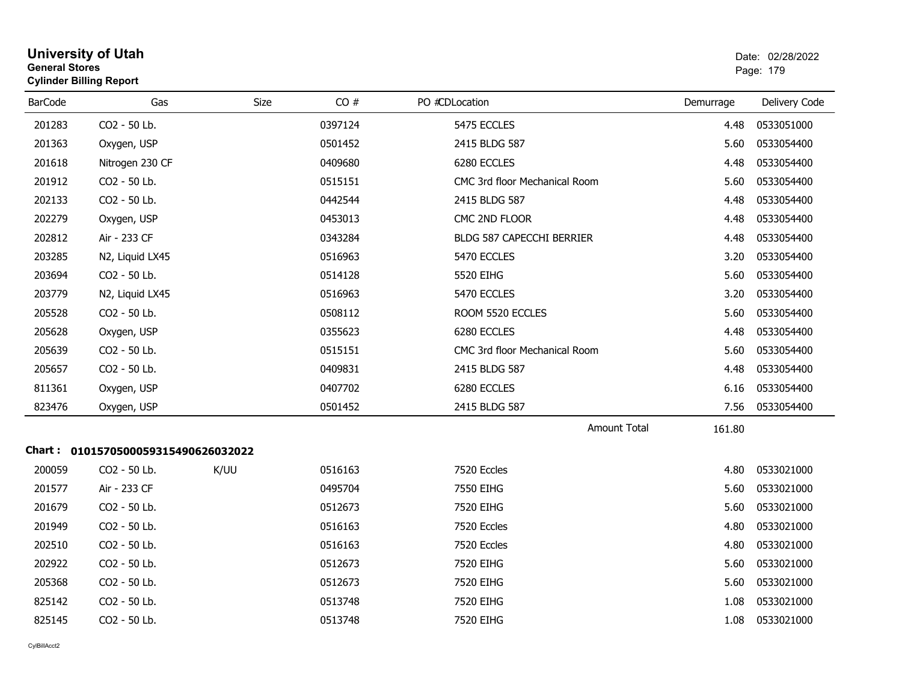| <b>General Stores</b> | <b>Cylinder Billing Report</b>      |      |         |                                  | Page: 179 |               |  |
|-----------------------|-------------------------------------|------|---------|----------------------------------|-----------|---------------|--|
| <b>BarCode</b>        | Gas                                 | Size | CO#     | PO #CDLocation                   | Demurrage | Delivery Code |  |
| 201283                | CO2 - 50 Lb.                        |      | 0397124 | 5475 ECCLES                      | 4.48      | 0533051000    |  |
| 201363                | Oxygen, USP                         |      | 0501452 | 2415 BLDG 587                    | 5.60      | 0533054400    |  |
| 201618                | Nitrogen 230 CF                     |      | 0409680 | 6280 ECCLES                      | 4.48      | 0533054400    |  |
| 201912                | CO2 - 50 Lb.                        |      | 0515151 | CMC 3rd floor Mechanical Room    | 5.60      | 0533054400    |  |
| 202133                | CO2 - 50 Lb.                        |      | 0442544 | 2415 BLDG 587                    | 4.48      | 0533054400    |  |
| 202279                | Oxygen, USP                         |      | 0453013 | CMC 2ND FLOOR                    | 4.48      | 0533054400    |  |
| 202812                | Air - 233 CF                        |      | 0343284 | <b>BLDG 587 CAPECCHI BERRIER</b> | 4.48      | 0533054400    |  |
| 203285                | N2, Liquid LX45                     |      | 0516963 | 5470 ECCLES                      | 3.20      | 0533054400    |  |
| 203694                | CO2 - 50 Lb.                        |      | 0514128 | 5520 EIHG                        | 5.60      | 0533054400    |  |
| 203779                | N2, Liquid LX45                     |      | 0516963 | 5470 ECCLES                      | 3.20      | 0533054400    |  |
| 205528                | CO2 - 50 Lb.                        |      | 0508112 | ROOM 5520 ECCLES                 | 5.60      | 0533054400    |  |
| 205628                | Oxygen, USP                         |      | 0355623 | 6280 ECCLES                      | 4.48      | 0533054400    |  |
| 205639                | CO2 - 50 Lb.                        |      | 0515151 | CMC 3rd floor Mechanical Room    | 5.60      | 0533054400    |  |
| 205657                | CO2 - 50 Lb.                        |      | 0409831 | 2415 BLDG 587                    | 4.48      | 0533054400    |  |
| 811361                | Oxygen, USP                         |      | 0407702 | 6280 ECCLES                      | 6.16      | 0533054400    |  |
| 823476                | Oxygen, USP                         |      | 0501452 | 2415 BLDG 587                    | 7.56      | 0533054400    |  |
|                       |                                     |      |         | <b>Amount Total</b>              | 161.80    |               |  |
|                       | Chart: 0101570500059315490626032022 |      |         |                                  |           |               |  |
| 200059                | CO2 - 50 Lb.                        | K/UU | 0516163 | 7520 Eccles                      | 4.80      | 0533021000    |  |
| 201577                | Air - 233 CF                        |      | 0495704 | 7550 EIHG                        | 5.60      | 0533021000    |  |
| 201679                | CO2 - 50 Lb.                        |      | 0512673 | 7520 EIHG                        | 5.60      | 0533021000    |  |
| 201949                | CO2 - 50 Lb.                        |      | 0516163 | 7520 Eccles                      | 4.80      | 0533021000    |  |
| 202510                | CO2 - 50 Lb.                        |      | 0516163 | 7520 Eccles                      | 4.80      | 0533021000    |  |
| 202922                | CO2 - 50 Lb.                        |      | 0512673 | 7520 EIHG                        | 5.60      | 0533021000    |  |
| 205368                | CO2 - 50 Lb.                        |      | 0512673 | 7520 EIHG                        | 5.60      | 0533021000    |  |
| 825142                | CO2 - 50 Lb.                        |      | 0513748 | 7520 EIHG                        | 1.08      | 0533021000    |  |
| 825145                | CO2 - 50 Lb.                        |      | 0513748 | 7520 EIHG                        | 1.08      | 0533021000    |  |
|                       |                                     |      |         |                                  |           |               |  |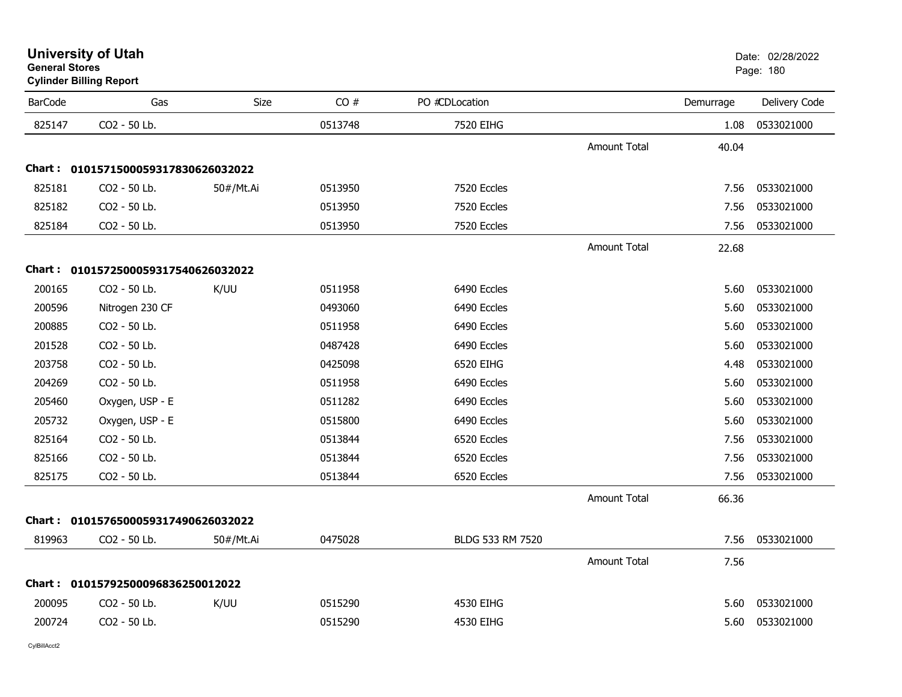| General Stores<br><b>Cylinder Billing Report</b> |                                     |           |         |                  | Page: 180           |           |               |
|--------------------------------------------------|-------------------------------------|-----------|---------|------------------|---------------------|-----------|---------------|
| <b>BarCode</b>                                   | Gas                                 | Size      | CO#     | PO #CDLocation   |                     | Demurrage | Delivery Code |
| 825147                                           | CO2 - 50 Lb.                        |           | 0513748 | 7520 EIHG        |                     | 1.08      | 0533021000    |
|                                                  |                                     |           |         |                  | <b>Amount Total</b> | 40.04     |               |
|                                                  | Chart: 0101571500059317830626032022 |           |         |                  |                     |           |               |
| 825181                                           | CO2 - 50 Lb.                        | 50#/Mt.Ai | 0513950 | 7520 Eccles      |                     | 7.56      | 0533021000    |
| 825182                                           | CO2 - 50 Lb.                        |           | 0513950 | 7520 Eccles      |                     | 7.56      | 0533021000    |
| 825184                                           | CO2 - 50 Lb.                        |           | 0513950 | 7520 Eccles      |                     | 7.56      | 0533021000    |
|                                                  |                                     |           |         |                  | Amount Total        | 22.68     |               |
|                                                  | Chart: 0101572500059317540626032022 |           |         |                  |                     |           |               |
| 200165                                           | CO2 - 50 Lb.                        | K/UU      | 0511958 | 6490 Eccles      |                     | 5.60      | 0533021000    |
| 200596                                           | Nitrogen 230 CF                     |           | 0493060 | 6490 Eccles      |                     | 5.60      | 0533021000    |
| 200885                                           | CO2 - 50 Lb.                        |           | 0511958 | 6490 Eccles      |                     | 5.60      | 0533021000    |
| 201528                                           | CO2 - 50 Lb.                        |           | 0487428 | 6490 Eccles      |                     | 5.60      | 0533021000    |
| 203758                                           | CO2 - 50 Lb.                        |           | 0425098 | 6520 EIHG        |                     | 4.48      | 0533021000    |
| 204269                                           | CO2 - 50 Lb.                        |           | 0511958 | 6490 Eccles      |                     | 5.60      | 0533021000    |
| 205460                                           | Oxygen, USP - E                     |           | 0511282 | 6490 Eccles      |                     | 5.60      | 0533021000    |
| 205732                                           | Oxygen, USP - E                     |           | 0515800 | 6490 Eccles      |                     | 5.60      | 0533021000    |
| 825164                                           | CO2 - 50 Lb.                        |           | 0513844 | 6520 Eccles      |                     | 7.56      | 0533021000    |
| 825166                                           | CO2 - 50 Lb.                        |           | 0513844 | 6520 Eccles      |                     | 7.56      | 0533021000    |
| 825175                                           | CO2 - 50 Lb.                        |           | 0513844 | 6520 Eccles      |                     | 7.56      | 0533021000    |
|                                                  |                                     |           |         |                  | <b>Amount Total</b> | 66.36     |               |
|                                                  | Chart: 0101576500059317490626032022 |           |         |                  |                     |           |               |
| 819963                                           | CO2 - 50 Lb.                        | 50#/Mt.Ai | 0475028 | BLDG 533 RM 7520 |                     | 7.56      | 0533021000    |
|                                                  |                                     |           |         |                  | <b>Amount Total</b> | 7.56      |               |
|                                                  | Chart: 01015792500096836250012022   |           |         |                  |                     |           |               |
| 200095                                           | CO2 - 50 Lb.                        | K/UU      | 0515290 | 4530 EIHG        |                     | 5.60      | 0533021000    |
| 200724                                           | CO2 - 50 Lb.                        |           | 0515290 | 4530 EIHG        |                     | 5.60      | 0533021000    |
|                                                  |                                     |           |         |                  |                     |           |               |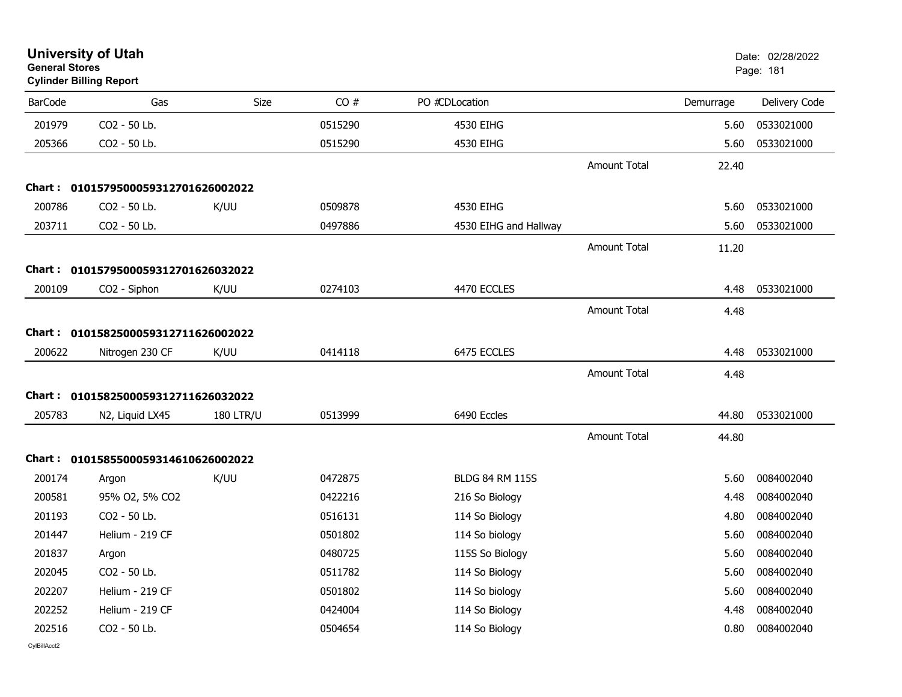|                | <b>University of Utah</b><br><b>General Stores</b><br><b>Cylinder Billing Report</b> |                  |         |                        |                     |           | Date: 02/28/2022<br>Page: 181 |
|----------------|--------------------------------------------------------------------------------------|------------------|---------|------------------------|---------------------|-----------|-------------------------------|
| <b>BarCode</b> | Gas                                                                                  | Size             | CO#     | PO #CDLocation         |                     | Demurrage | Delivery Code                 |
| 201979         | CO2 - 50 Lb.                                                                         |                  | 0515290 | 4530 EIHG              |                     | 5.60      | 0533021000                    |
| 205366         | CO2 - 50 Lb.                                                                         |                  | 0515290 | 4530 EIHG              |                     | 5.60      | 0533021000                    |
|                |                                                                                      |                  |         |                        | Amount Total        | 22.40     |                               |
|                | Chart: 0101579500059312701626002022                                                  |                  |         |                        |                     |           |                               |
| 200786         | CO2 - 50 Lb.                                                                         | K/UU             | 0509878 | 4530 EIHG              |                     | 5.60      | 0533021000                    |
| 203711         | CO2 - 50 Lb.                                                                         |                  | 0497886 | 4530 EIHG and Hallway  |                     | 5.60      | 0533021000                    |
|                |                                                                                      |                  |         |                        | <b>Amount Total</b> | 11.20     |                               |
|                | Chart: 0101579500059312701626032022                                                  |                  |         |                        |                     |           |                               |
| 200109         | CO2 - Siphon                                                                         | K/UU             | 0274103 | 4470 ECCLES            |                     | 4.48      | 0533021000                    |
|                |                                                                                      |                  |         |                        | <b>Amount Total</b> | 4.48      |                               |
|                | Chart: 0101582500059312711626002022                                                  |                  |         |                        |                     |           |                               |
| 200622         | Nitrogen 230 CF                                                                      | K/UU             | 0414118 | 6475 ECCLES            |                     | 4.48      | 0533021000                    |
|                |                                                                                      |                  |         |                        | <b>Amount Total</b> | 4.48      |                               |
|                | Chart: 0101582500059312711626032022                                                  |                  |         |                        |                     |           |                               |
| 205783         | N <sub>2</sub> , Liquid LX <sub>45</sub>                                             | <b>180 LTR/U</b> | 0513999 | 6490 Eccles            |                     | 44.80     | 0533021000                    |
|                |                                                                                      |                  |         |                        | <b>Amount Total</b> | 44.80     |                               |
|                | Chart: 0101585500059314610626002022                                                  |                  |         |                        |                     |           |                               |
| 200174         | Argon                                                                                | K/UU             | 0472875 | <b>BLDG 84 RM 115S</b> |                     | 5.60      | 0084002040                    |
| 200581         | 95% O2, 5% CO2                                                                       |                  | 0422216 | 216 So Biology         |                     | 4.48      | 0084002040                    |
| 201193         | CO2 - 50 Lb.                                                                         |                  | 0516131 | 114 So Biology         |                     | 4.80      | 0084002040                    |
| 201447         | Helium - 219 CF                                                                      |                  | 0501802 | 114 So biology         |                     | 5.60      | 0084002040                    |
| 201837         | Argon                                                                                |                  | 0480725 | 115S So Biology        |                     | 5.60      | 0084002040                    |
| 202045         | CO2 - 50 Lb.                                                                         |                  | 0511782 | 114 So Biology         |                     | 5.60      | 0084002040                    |
| 202207         | Helium - 219 CF                                                                      |                  | 0501802 | 114 So biology         |                     | 5.60      | 0084002040                    |
| 202252         | Helium - 219 CF                                                                      |                  | 0424004 | 114 So Biology         |                     | 4.48      | 0084002040                    |
| 202516         | CO2 - 50 Lb.                                                                         |                  | 0504654 | 114 So Biology         |                     | 0.80      | 0084002040                    |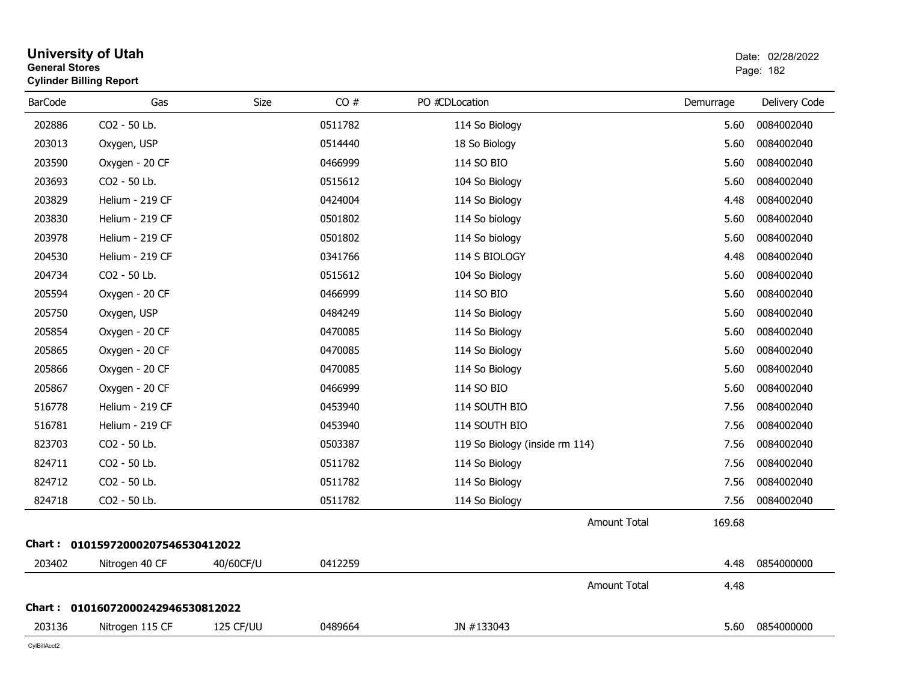|                | <b>General Stores</b><br><b>Cylinder Billing Report</b> |           |         |                                |           |               |  |  |
|----------------|---------------------------------------------------------|-----------|---------|--------------------------------|-----------|---------------|--|--|
| <b>BarCode</b> | Gas                                                     | Size      | CO#     | PO #CDLocation                 | Demurrage | Delivery Code |  |  |
| 202886         | CO2 - 50 Lb.                                            |           | 0511782 | 114 So Biology                 | 5.60      | 0084002040    |  |  |
| 203013         | Oxygen, USP                                             |           | 0514440 | 18 So Biology                  | 5.60      | 0084002040    |  |  |
| 203590         | Oxygen - 20 CF                                          |           | 0466999 | 114 SO BIO                     | 5.60      | 0084002040    |  |  |
| 203693         | CO2 - 50 Lb.                                            |           | 0515612 | 104 So Biology                 | 5.60      | 0084002040    |  |  |
| 203829         | Helium - 219 CF                                         |           | 0424004 | 114 So Biology                 | 4.48      | 0084002040    |  |  |
| 203830         | Helium - 219 CF                                         |           | 0501802 | 114 So biology                 | 5.60      | 0084002040    |  |  |
| 203978         | Helium - 219 CF                                         |           | 0501802 | 114 So biology                 | 5.60      | 0084002040    |  |  |
| 204530         | Helium - 219 CF                                         |           | 0341766 | 114 S BIOLOGY                  | 4.48      | 0084002040    |  |  |
| 204734         | CO2 - 50 Lb.                                            |           | 0515612 | 104 So Biology                 | 5.60      | 0084002040    |  |  |
| 205594         | Oxygen - 20 CF                                          |           | 0466999 | 114 SO BIO                     | 5.60      | 0084002040    |  |  |
| 205750         | Oxygen, USP                                             |           | 0484249 | 114 So Biology                 | 5.60      | 0084002040    |  |  |
| 205854         | Oxygen - 20 CF                                          |           | 0470085 | 114 So Biology                 | 5.60      | 0084002040    |  |  |
| 205865         | Oxygen - 20 CF                                          |           | 0470085 | 114 So Biology                 | 5.60      | 0084002040    |  |  |
| 205866         | Oxygen - 20 CF                                          |           | 0470085 | 114 So Biology                 | 5.60      | 0084002040    |  |  |
| 205867         | Oxygen - 20 CF                                          |           | 0466999 | 114 SO BIO                     | 5.60      | 0084002040    |  |  |
| 516778         | Helium - 219 CF                                         |           | 0453940 | 114 SOUTH BIO                  | 7.56      | 0084002040    |  |  |
| 516781         | Helium - 219 CF                                         |           | 0453940 | 114 SOUTH BIO                  | 7.56      | 0084002040    |  |  |
| 823703         | CO2 - 50 Lb.                                            |           | 0503387 | 119 So Biology (inside rm 114) | 7.56      | 0084002040    |  |  |
| 824711         | CO2 - 50 Lb.                                            |           | 0511782 | 114 So Biology                 | 7.56      | 0084002040    |  |  |
| 824712         | CO2 - 50 Lb.                                            |           | 0511782 | 114 So Biology                 | 7.56      | 0084002040    |  |  |
| 824718         | CO <sub>2</sub> - 50 Lb.                                |           | 0511782 | 114 So Biology                 | 7.56      | 0084002040    |  |  |
|                |                                                         |           |         | <b>Amount Total</b>            | 169.68    |               |  |  |
|                | Chart: 01015972000207546530412022                       |           |         |                                |           |               |  |  |
| 203402         | Nitrogen 40 CF                                          | 40/60CF/U | 0412259 |                                | 4.48      | 0854000000    |  |  |
|                |                                                         |           |         | <b>Amount Total</b>            | 4.48      |               |  |  |
|                | Chart: 01016072000242946530812022                       |           |         |                                |           |               |  |  |
| 203136         | Nitrogen 115 CF                                         | 125 CF/UU | 0489664 | JN #133043                     | 5.60      | 0854000000    |  |  |
|                |                                                         |           |         |                                |           |               |  |  |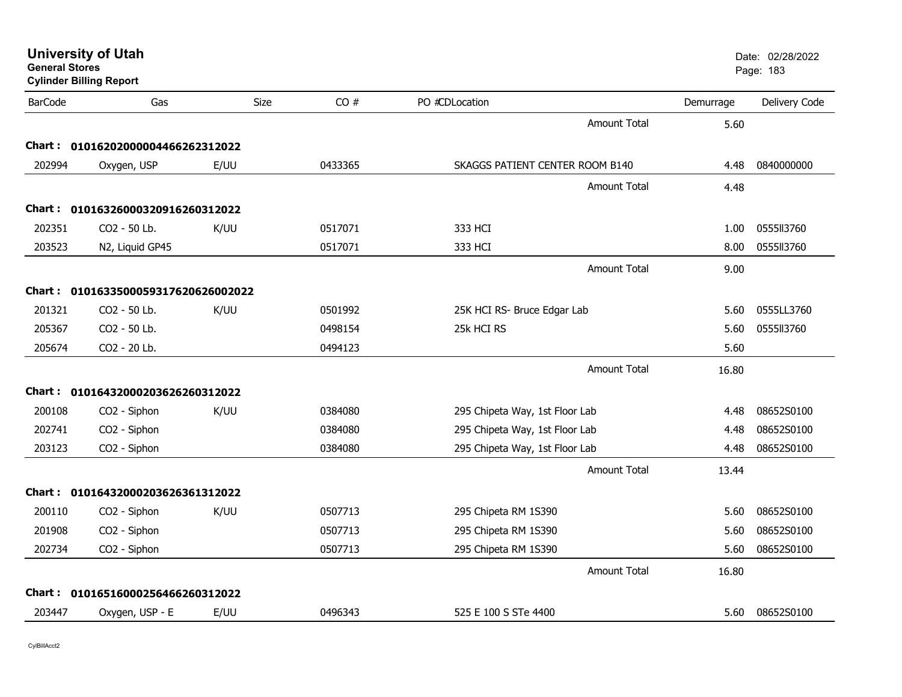| <b>General Stores</b> | <b>University of Utah</b><br><b>Cylinder Billing Report</b> |             |         |                                 |           | Date: 02/28/2022<br>Page: 183 |
|-----------------------|-------------------------------------------------------------|-------------|---------|---------------------------------|-----------|-------------------------------|
| <b>BarCode</b>        | Gas                                                         | <b>Size</b> | CO#     | PO #CDLocation                  | Demurrage | Delivery Code                 |
|                       |                                                             |             |         | <b>Amount Total</b>             | 5.60      |                               |
|                       | Chart: 01016202000004466262312022                           |             |         |                                 |           |                               |
| 202994                | Oxygen, USP                                                 | E/UU        | 0433365 | SKAGGS PATIENT CENTER ROOM B140 | 4.48      | 0840000000                    |
|                       |                                                             |             |         | <b>Amount Total</b>             | 4.48      |                               |
|                       | Chart: 01016326000320916260312022                           |             |         |                                 |           |                               |
| 202351                | CO2 - 50 Lb.                                                | K/UU        | 0517071 | 333 HCI                         | 1.00      | 0555113760                    |
| 203523                | N2, Liquid GP45                                             |             | 0517071 | 333 HCI                         | 8.00      | 0555113760                    |
|                       |                                                             |             |         | <b>Amount Total</b>             | 9.00      |                               |
|                       | Chart: 0101633500059317620626002022                         |             |         |                                 |           |                               |
| 201321                | CO <sub>2</sub> - 50 Lb.                                    | K/UU        | 0501992 | 25K HCI RS- Bruce Edgar Lab     | 5.60      | 0555LL3760                    |
| 205367                | CO2 - 50 Lb.                                                |             | 0498154 | 25k HCI RS                      | 5.60      | 0555113760                    |
| 205674                | CO2 - 20 Lb.                                                |             | 0494123 |                                 | 5.60      |                               |
|                       |                                                             |             |         | Amount Total                    | 16.80     |                               |
|                       | Chart: 01016432000203626260312022                           |             |         |                                 |           |                               |
| 200108                | CO2 - Siphon                                                | K/UU        | 0384080 | 295 Chipeta Way, 1st Floor Lab  | 4.48      | 08652S0100                    |
| 202741                | CO2 - Siphon                                                |             | 0384080 | 295 Chipeta Way, 1st Floor Lab  | 4.48      | 08652S0100                    |
| 203123                | CO2 - Siphon                                                |             | 0384080 | 295 Chipeta Way, 1st Floor Lab  | 4.48      | 08652S0100                    |
|                       |                                                             |             |         | Amount Total                    | 13.44     |                               |
|                       | Chart: 01016432000203626361312022                           |             |         |                                 |           |                               |
| 200110                | CO2 - Siphon                                                | K/UU        | 0507713 | 295 Chipeta RM 1S390            | 5.60      | 08652S0100                    |
| 201908                | CO2 - Siphon                                                |             | 0507713 | 295 Chipeta RM 1S390            | 5.60      | 08652S0100                    |
| 202734                | CO2 - Siphon                                                |             | 0507713 | 295 Chipeta RM 1S390            | 5.60      | 08652S0100                    |
|                       |                                                             |             |         | <b>Amount Total</b>             | 16.80     |                               |
|                       | Chart: 01016516000256466260312022                           |             |         |                                 |           |                               |
| 203447                | Oxygen, USP - E                                             | E/UU        | 0496343 | 525 E 100 S STe 4400            | 5.60      | 08652S0100                    |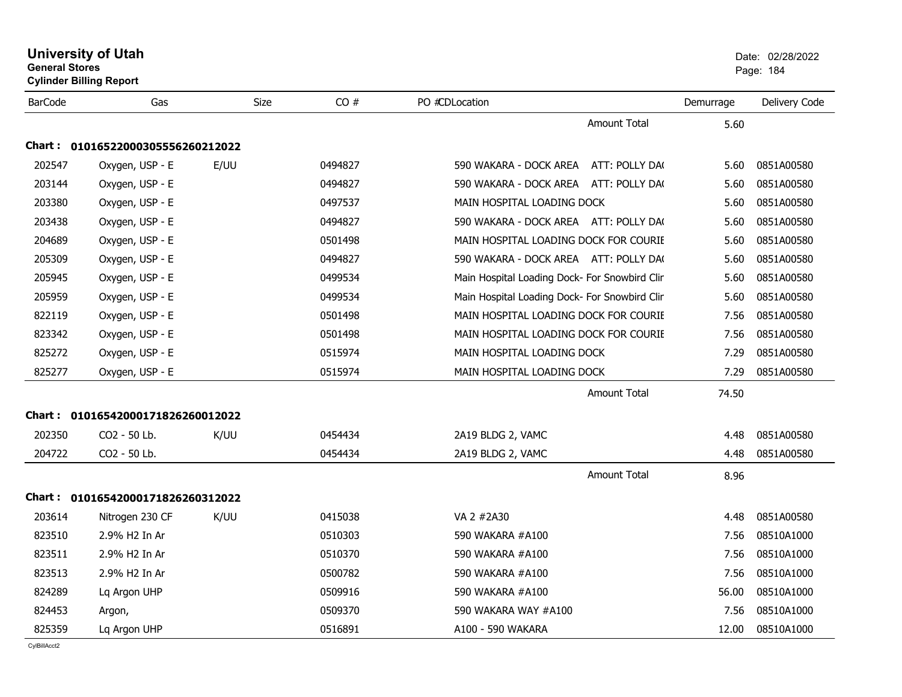| <b>General Stores</b> | <b>Cylinder Billing Report</b>    |      |         |                                               |           | Page: 184     |
|-----------------------|-----------------------------------|------|---------|-----------------------------------------------|-----------|---------------|
| <b>BarCode</b>        | Gas                               | Size | CO#     | PO #CDLocation                                | Demurrage | Delivery Code |
|                       |                                   |      |         | <b>Amount Total</b>                           | 5.60      |               |
| Chart :               | 01016522000305556260212022        |      |         |                                               |           |               |
| 202547                | Oxygen, USP - E                   | E/UU | 0494827 | 590 WAKARA - DOCK AREA ATT: POLLY DA(         | 5.60      | 0851A00580    |
| 203144                | Oxygen, USP - E                   |      | 0494827 | 590 WAKARA - DOCK AREA ATT: POLLY DA(         | 5.60      | 0851A00580    |
| 203380                | Oxygen, USP - E                   |      | 0497537 | MAIN HOSPITAL LOADING DOCK                    | 5.60      | 0851A00580    |
| 203438                | Oxygen, USP - E                   |      | 0494827 | 590 WAKARA - DOCK AREA ATT: POLLY DA(         | 5.60      | 0851A00580    |
| 204689                | Oxygen, USP - E                   |      | 0501498 | MAIN HOSPITAL LOADING DOCK FOR COURIE         | 5.60      | 0851A00580    |
| 205309                | Oxygen, USP - E                   |      | 0494827 | 590 WAKARA - DOCK AREA ATT: POLLY DA(         | 5.60      | 0851A00580    |
| 205945                | Oxygen, USP - E                   |      | 0499534 | Main Hospital Loading Dock- For Snowbird Clin | 5.60      | 0851A00580    |
| 205959                | Oxygen, USP - E                   |      | 0499534 | Main Hospital Loading Dock- For Snowbird Clin | 5.60      | 0851A00580    |
| 822119                | Oxygen, USP - E                   |      | 0501498 | MAIN HOSPITAL LOADING DOCK FOR COURIE         | 7.56      | 0851A00580    |
| 823342                | Oxygen, USP - E                   |      | 0501498 | MAIN HOSPITAL LOADING DOCK FOR COURIE         | 7.56      | 0851A00580    |
| 825272                | Oxygen, USP - E                   |      | 0515974 | MAIN HOSPITAL LOADING DOCK                    | 7.29      | 0851A00580    |
| 825277                | Oxygen, USP - E                   |      | 0515974 | MAIN HOSPITAL LOADING DOCK                    | 7.29      | 0851A00580    |
|                       |                                   |      |         | <b>Amount Total</b>                           | 74.50     |               |
| Chart :               | 01016542000171826260012022        |      |         |                                               |           |               |
| 202350                | CO2 - 50 Lb.                      | K/UU | 0454434 | 2A19 BLDG 2, VAMC                             | 4.48      | 0851A00580    |
| 204722                | CO2 - 50 Lb.                      |      | 0454434 | 2A19 BLDG 2, VAMC                             | 4.48      | 0851A00580    |
|                       |                                   |      |         | <b>Amount Total</b>                           | 8.96      |               |
|                       | Chart: 01016542000171826260312022 |      |         |                                               |           |               |
| 203614                | Nitrogen 230 CF                   | K/UU | 0415038 | VA 2 #2A30                                    | 4.48      | 0851A00580    |
| 823510                | 2.9% H <sub>2</sub> In Ar         |      | 0510303 | 590 WAKARA #A100                              | 7.56      | 08510A1000    |
| 823511                | 2.9% H2 In Ar                     |      | 0510370 | 590 WAKARA #A100                              | 7.56      | 08510A1000    |
| 823513                | 2.9% H2 In Ar                     |      | 0500782 | 590 WAKARA #A100                              | 7.56      | 08510A1000    |
| 824289                | Lq Argon UHP                      |      | 0509916 | 590 WAKARA #A100                              | 56.00     | 08510A1000    |
| 824453                | Argon,                            |      | 0509370 | 590 WAKARA WAY #A100                          | 7.56      | 08510A1000    |
| 825359                | Lg Argon UHP                      |      | 0516891 | A100 - 590 WAKARA                             | 12.00     | 08510A1000    |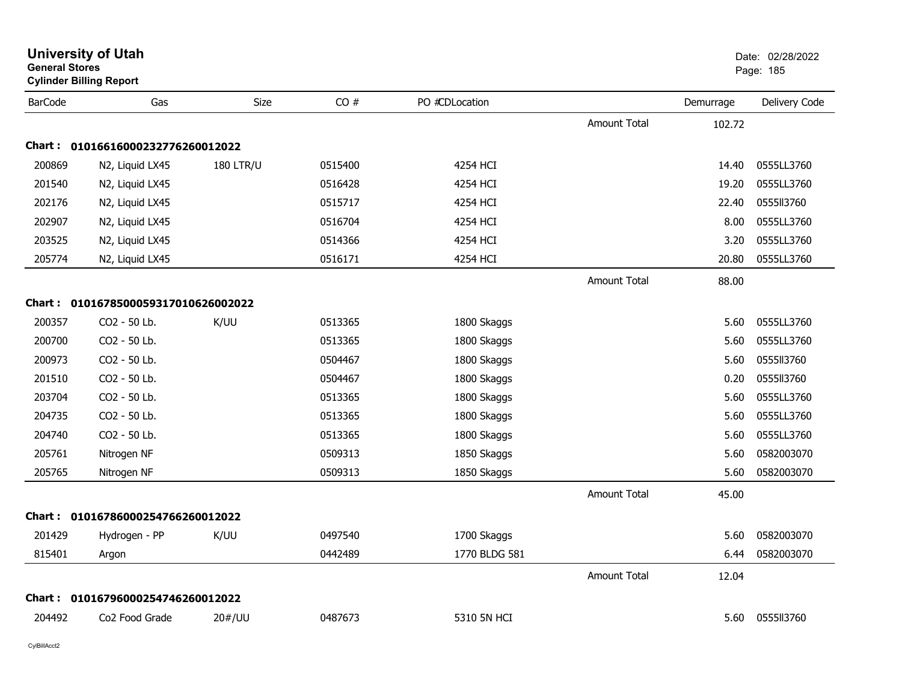| <b>General Stores</b> | <b>Cylinder Billing Report</b>      |                  |         |                |                     |           | Page: 185     |
|-----------------------|-------------------------------------|------------------|---------|----------------|---------------------|-----------|---------------|
| <b>BarCode</b>        | Gas                                 | Size             | CO#     | PO #CDLocation |                     | Demurrage | Delivery Code |
|                       |                                     |                  |         |                | <b>Amount Total</b> | 102.72    |               |
|                       | Chart: 01016616000232776260012022   |                  |         |                |                     |           |               |
| 200869                | N2, Liquid LX45                     | <b>180 LTR/U</b> | 0515400 | 4254 HCI       |                     | 14.40     | 0555LL3760    |
| 201540                | N2, Liquid LX45                     |                  | 0516428 | 4254 HCI       |                     | 19.20     | 0555LL3760    |
| 202176                | N2, Liquid LX45                     |                  | 0515717 | 4254 HCI       |                     | 22.40     | 0555113760    |
| 202907                | N2, Liquid LX45                     |                  | 0516704 | 4254 HCI       |                     | 8.00      | 0555LL3760    |
| 203525                | N2, Liquid LX45                     |                  | 0514366 | 4254 HCI       |                     | 3.20      | 0555LL3760    |
| 205774                | N2, Liquid LX45                     |                  | 0516171 | 4254 HCI       |                     | 20.80     | 0555LL3760    |
|                       |                                     |                  |         |                | <b>Amount Total</b> | 88.00     |               |
|                       | Chart: 0101678500059317010626002022 |                  |         |                |                     |           |               |
| 200357                | CO2 - 50 Lb.                        | K/UU             | 0513365 | 1800 Skaggs    |                     | 5.60      | 0555LL3760    |
| 200700                | CO2 - 50 Lb.                        |                  | 0513365 | 1800 Skaggs    |                     | 5.60      | 0555LL3760    |
| 200973                | CO2 - 50 Lb.                        |                  | 0504467 | 1800 Skaggs    |                     | 5.60      | 0555113760    |
| 201510                | CO2 - 50 Lb.                        |                  | 0504467 | 1800 Skaggs    |                     | 0.20      | 0555ll3760    |
| 203704                | CO2 - 50 Lb.                        |                  | 0513365 | 1800 Skaggs    |                     | 5.60      | 0555LL3760    |
| 204735                | CO2 - 50 Lb.                        |                  | 0513365 | 1800 Skaggs    |                     | 5.60      | 0555LL3760    |
| 204740                | CO2 - 50 Lb.                        |                  | 0513365 | 1800 Skaggs    |                     | 5.60      | 0555LL3760    |
| 205761                | Nitrogen NF                         |                  | 0509313 | 1850 Skaggs    |                     | 5.60      | 0582003070    |
| 205765                | Nitrogen NF                         |                  | 0509313 | 1850 Skaggs    |                     | 5.60      | 0582003070    |
|                       |                                     |                  |         |                | <b>Amount Total</b> | 45.00     |               |
|                       | Chart: 01016786000254766260012022   |                  |         |                |                     |           |               |
| 201429                | Hydrogen - PP                       | K/UU             | 0497540 | 1700 Skaggs    |                     | 5.60      | 0582003070    |
| 815401                | Argon                               |                  | 0442489 | 1770 BLDG 581  |                     | 6.44      | 0582003070    |
|                       |                                     |                  |         |                | <b>Amount Total</b> | 12.04     |               |
|                       | Chart: 01016796000254746260012022   |                  |         |                |                     |           |               |
| 204492                | Co <sub>2</sub> Food Grade          | 20#/UU           | 0487673 | 5310 5N HCI    |                     | 5.60      | 0555113760    |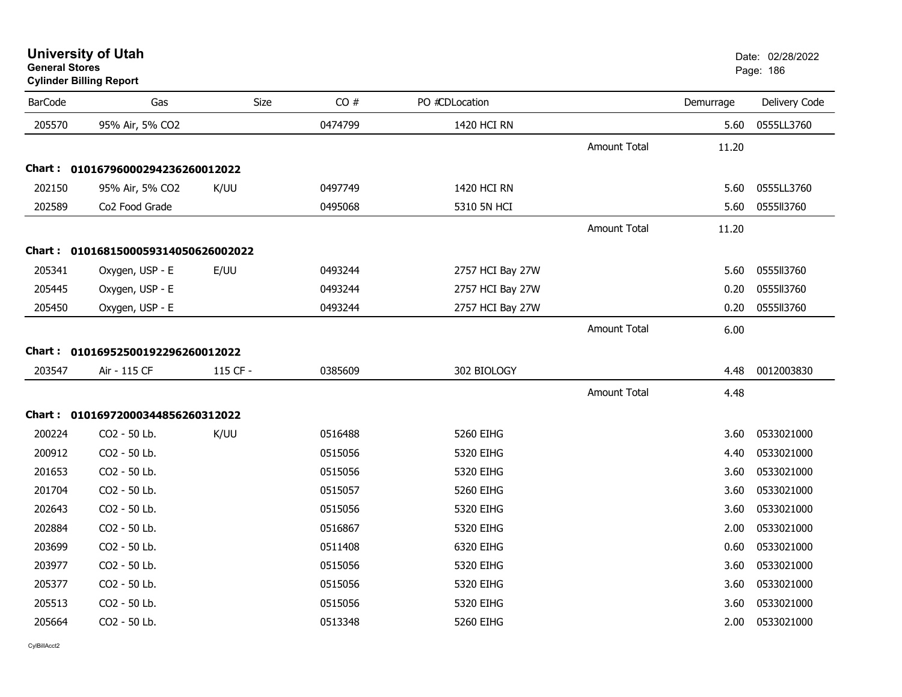**University of Utah** Date: 02/28/2022 **General Stores**

### **Cylinder Billing Report**

| <b>BarCode</b> | Gas                                 | <b>Size</b> | CO#     | PO #CDLocation   |                     | Demurrage | Delivery Code |
|----------------|-------------------------------------|-------------|---------|------------------|---------------------|-----------|---------------|
| 205570         | 95% Air, 5% CO2                     |             | 0474799 | 1420 HCI RN      |                     | 5.60      | 0555LL3760    |
|                |                                     |             |         |                  | <b>Amount Total</b> | 11.20     |               |
|                | Chart: 01016796000294236260012022   |             |         |                  |                     |           |               |
| 202150         | 95% Air, 5% CO2                     | K/UU        | 0497749 | 1420 HCI RN      |                     | 5.60      | 0555LL3760    |
| 202589         | Co2 Food Grade                      |             | 0495068 | 5310 5N HCI      |                     | 5.60      | 0555113760    |
|                |                                     |             |         |                  | <b>Amount Total</b> | 11.20     |               |
|                | Chart: 0101681500059314050626002022 |             |         |                  |                     |           |               |
| 205341         | Oxygen, USP - E                     | E/UU        | 0493244 | 2757 HCI Bay 27W |                     | 5.60      | 0555113760    |
| 205445         | Oxygen, USP - E                     |             | 0493244 | 2757 HCI Bay 27W |                     | 0.20      | 0555113760    |
| 205450         | Oxygen, USP - E                     |             | 0493244 | 2757 HCI Bay 27W |                     | 0.20      | 0555113760    |
|                |                                     |             |         |                  | <b>Amount Total</b> | 6.00      |               |
|                | Chart: 01016952500192296260012022   |             |         |                  |                     |           |               |
| 203547         | Air - 115 CF                        | 115 CF -    | 0385609 | 302 BIOLOGY      |                     | 4.48      | 0012003830    |
|                |                                     |             |         |                  | <b>Amount Total</b> | 4.48      |               |
|                | Chart: 01016972000344856260312022   |             |         |                  |                     |           |               |
| 200224         | CO2 - 50 Lb.                        | K/UU        | 0516488 | 5260 EIHG        |                     | 3.60      | 0533021000    |
| 200912         | CO2 - 50 Lb.                        |             | 0515056 | 5320 EIHG        |                     | 4.40      | 0533021000    |
| 201653         | CO2 - 50 Lb.                        |             | 0515056 | 5320 EIHG        |                     | 3.60      | 0533021000    |
| 201704         | CO2 - 50 Lb.                        |             | 0515057 | 5260 EIHG        |                     | 3.60      | 0533021000    |
| 202643         | CO2 - 50 Lb.                        |             | 0515056 | 5320 EIHG        |                     | 3.60      | 0533021000    |
| 202884         | CO2 - 50 Lb.                        |             | 0516867 | 5320 EIHG        |                     | 2.00      | 0533021000    |
| 203699         | CO2 - 50 Lb.                        |             | 0511408 | 6320 EIHG        |                     | 0.60      | 0533021000    |
| 203977         | CO2 - 50 Lb.                        |             | 0515056 | 5320 EIHG        |                     | 3.60      | 0533021000    |
| 205377         | CO2 - 50 Lb.                        |             | 0515056 | 5320 EIHG        |                     | 3.60      | 0533021000    |
| 205513         | CO2 - 50 Lb.                        |             | 0515056 | 5320 EIHG        |                     | 3.60      | 0533021000    |
| 205664         | CO2 - 50 Lb.                        |             | 0513348 | 5260 EIHG        |                     | 2.00      | 0533021000    |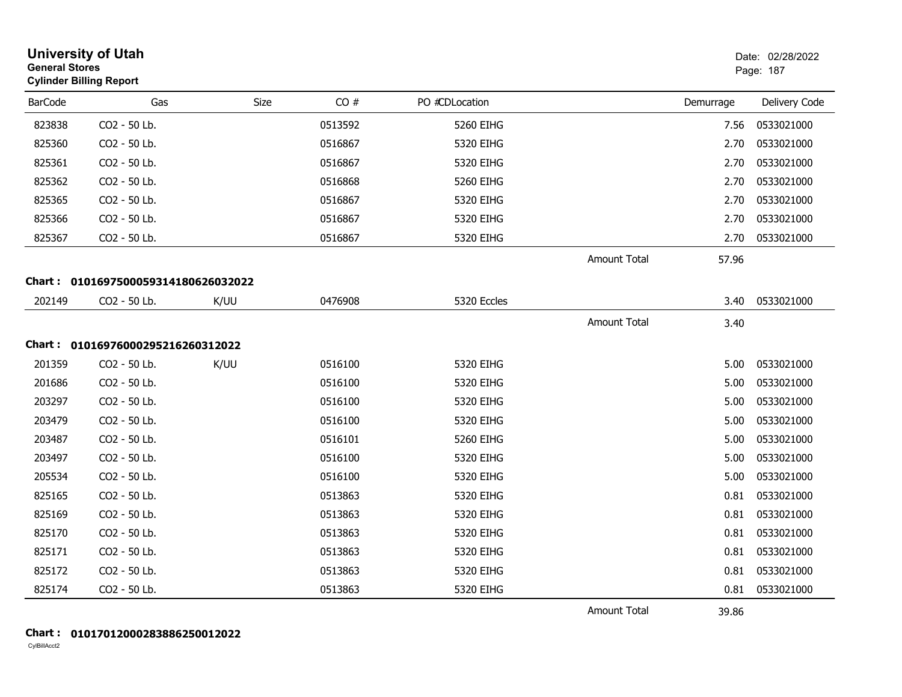|                | <b>University of Utah</b><br><b>General Stores</b><br><b>Cylinder Billing Report</b> |      |         |                |                     | Date: 02/28/2022<br>Page: 187 |               |
|----------------|--------------------------------------------------------------------------------------|------|---------|----------------|---------------------|-------------------------------|---------------|
| <b>BarCode</b> | Gas                                                                                  | Size | CO#     | PO #CDLocation |                     | Demurrage                     | Delivery Code |
| 823838         | CO2 - 50 Lb.                                                                         |      | 0513592 | 5260 EIHG      |                     | 7.56                          | 0533021000    |
| 825360         | CO2 - 50 Lb.                                                                         |      | 0516867 | 5320 EIHG      |                     | 2.70                          | 0533021000    |
| 825361         | CO2 - 50 Lb.                                                                         |      | 0516867 | 5320 EIHG      |                     | 2.70                          | 0533021000    |
| 825362         | CO2 - 50 Lb.                                                                         |      | 0516868 | 5260 EIHG      |                     | 2.70                          | 0533021000    |
| 825365         | CO2 - 50 Lb.                                                                         |      | 0516867 | 5320 EIHG      |                     | 2.70                          | 0533021000    |
| 825366         | CO2 - 50 Lb.                                                                         |      | 0516867 | 5320 EIHG      |                     | 2.70                          | 0533021000    |
| 825367         | CO2 - 50 Lb.                                                                         |      | 0516867 | 5320 EIHG      |                     | 2.70                          | 0533021000    |
|                |                                                                                      |      |         |                | <b>Amount Total</b> | 57.96                         |               |
|                | Chart: 0101697500059314180626032022                                                  |      |         |                |                     |                               |               |
| 202149         | CO2 - 50 Lb.                                                                         | K/UU | 0476908 | 5320 Eccles    |                     | 3.40                          | 0533021000    |
|                |                                                                                      |      |         |                | <b>Amount Total</b> | 3.40                          |               |
|                | Chart: 01016976000295216260312022                                                    |      |         |                |                     |                               |               |
| 201359         | CO2 - 50 Lb.                                                                         | K/UU | 0516100 | 5320 EIHG      |                     | 5.00                          | 0533021000    |
| 201686         | CO2 - 50 Lb.                                                                         |      | 0516100 | 5320 EIHG      |                     | 5.00                          | 0533021000    |
| 203297         | CO2 - 50 Lb.                                                                         |      | 0516100 | 5320 EIHG      |                     | 5.00                          | 0533021000    |
| 203479         | CO2 - 50 Lb.                                                                         |      | 0516100 | 5320 EIHG      |                     | 5.00                          | 0533021000    |
| 203487         | CO2 - 50 Lb.                                                                         |      | 0516101 | 5260 EIHG      |                     | 5.00                          | 0533021000    |
| 203497         | CO2 - 50 Lb.                                                                         |      | 0516100 | 5320 EIHG      |                     | 5.00                          | 0533021000    |
| 205534         | CO2 - 50 Lb.                                                                         |      | 0516100 | 5320 EIHG      |                     | 5.00                          | 0533021000    |
| 825165         | CO2 - 50 Lb.                                                                         |      | 0513863 | 5320 EIHG      |                     | 0.81                          | 0533021000    |
| 825169         | CO2 - 50 Lb.                                                                         |      | 0513863 | 5320 EIHG      |                     | 0.81                          | 0533021000    |
| 825170         | CO2 - 50 Lb.                                                                         |      | 0513863 | 5320 EIHG      |                     | 0.81                          | 0533021000    |
| 825171         | CO2 - 50 Lb.                                                                         |      | 0513863 | 5320 EIHG      |                     | 0.81                          | 0533021000    |
| 825172         | CO2 - 50 Lb.                                                                         |      | 0513863 | 5320 EIHG      |                     | 0.81                          | 0533021000    |
| 825174         | CO2 - 50 Lb.                                                                         |      | 0513863 | 5320 EIHG      |                     | 0.81                          | 0533021000    |
|                |                                                                                      |      |         |                | <b>Amount Total</b> | 39.86                         |               |

#### **Chart : 01017012000283886250012022**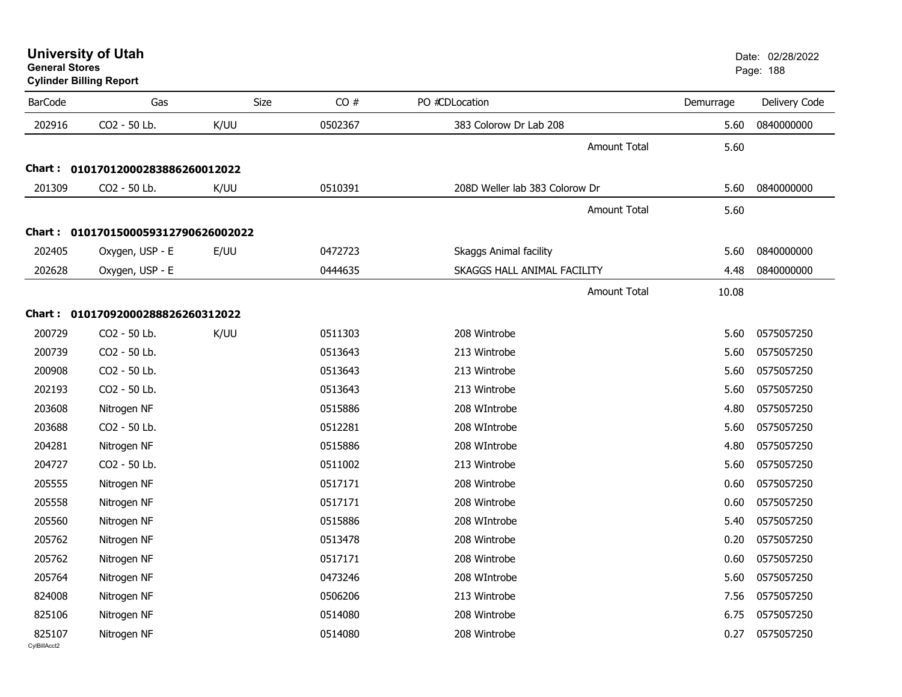**General StoresCylinder Billing Report**

| <b>BarCode</b> | Gas                          | Size | CO#     | PO #CDLocation                 | Demurrage | Delivery Code |
|----------------|------------------------------|------|---------|--------------------------------|-----------|---------------|
| 202916         | CO2 - 50 Lb.                 | K/UU | 0502367 | 383 Colorow Dr Lab 208         | 5.60      | 0840000000    |
|                |                              |      |         | <b>Amount Total</b>            | 5.60      |               |
| Chart :        | 01017012000283886260012022   |      |         |                                |           |               |
| 201309         | CO2 - 50 Lb.                 | K/UU | 0510391 | 208D Weller lab 383 Colorow Dr | 5.60      | 0840000000    |
|                |                              |      |         | <b>Amount Total</b>            | 5.60      |               |
| Chart :        | 0101701500059312790626002022 |      |         |                                |           |               |
| 202405         | Oxygen, USP - E              | E/UU | 0472723 | <b>Skaggs Animal facility</b>  | 5.60      | 0840000000    |
| 202628         | Oxygen, USP - E              |      | 0444635 | SKAGGS HALL ANIMAL FACILITY    | 4.48      | 0840000000    |
|                |                              |      |         | <b>Amount Total</b>            | 10.08     |               |
|                |                              |      |         |                                |           |               |
| Chart :        | 01017092000288826260312022   |      |         |                                |           |               |
| 200729         | CO2 - 50 Lb.                 | K/UU | 0511303 | 208 Wintrobe                   | 5.60      | 0575057250    |
| 200739         | CO2 - 50 Lb.                 |      | 0513643 | 213 Wintrobe                   | 5.60      | 0575057250    |
| 200908         | CO2 - 50 Lb.                 |      | 0513643 | 213 Wintrobe                   | 5.60      | 0575057250    |
| 202193         | CO2 - 50 Lb.                 |      | 0513643 | 213 Wintrobe                   | 5.60      | 0575057250    |
| 203608         | Nitrogen NF                  |      | 0515886 | 208 WIntrobe                   | 4.80      | 0575057250    |
| 203688         | CO2 - 50 Lb.                 |      | 0512281 | 208 WIntrobe                   | 5.60      | 0575057250    |
| 204281         | Nitrogen NF                  |      | 0515886 | 208 WIntrobe                   | 4.80      | 0575057250    |
| 204727         | CO2 - 50 Lb.                 |      | 0511002 | 213 Wintrobe                   | 5.60      | 0575057250    |
| 205555         | Nitrogen NF                  |      | 0517171 | 208 Wintrobe                   | 0.60      | 0575057250    |
| 205558         | Nitrogen NF                  |      | 0517171 | 208 Wintrobe                   | 0.60      | 0575057250    |
| 205560         | Nitrogen NF                  |      | 0515886 | 208 WIntrobe                   | 5.40      | 0575057250    |
| 205762         | Nitrogen NF                  |      | 0513478 | 208 Wintrobe                   | 0.20      | 0575057250    |
| 205762         | Nitrogen NF                  |      | 0517171 | 208 Wintrobe                   | 0.60      | 0575057250    |
| 205764         | Nitrogen NF                  |      | 0473246 | 208 WIntrobe                   | 5.60      | 0575057250    |
| 824008         | Nitrogen NF                  |      | 0506206 | 213 Wintrobe                   | 7.56      | 0575057250    |
| 825106         | Nitrogen NF                  |      | 0514080 | 208 Wintrobe                   | 6.75      | 0575057250    |
| 825107         | Nitrogen NF                  |      | 0514080 | 208 Wintrobe                   | 0.27      | 0575057250    |
| CvIBillAcct2   |                              |      |         |                                |           |               |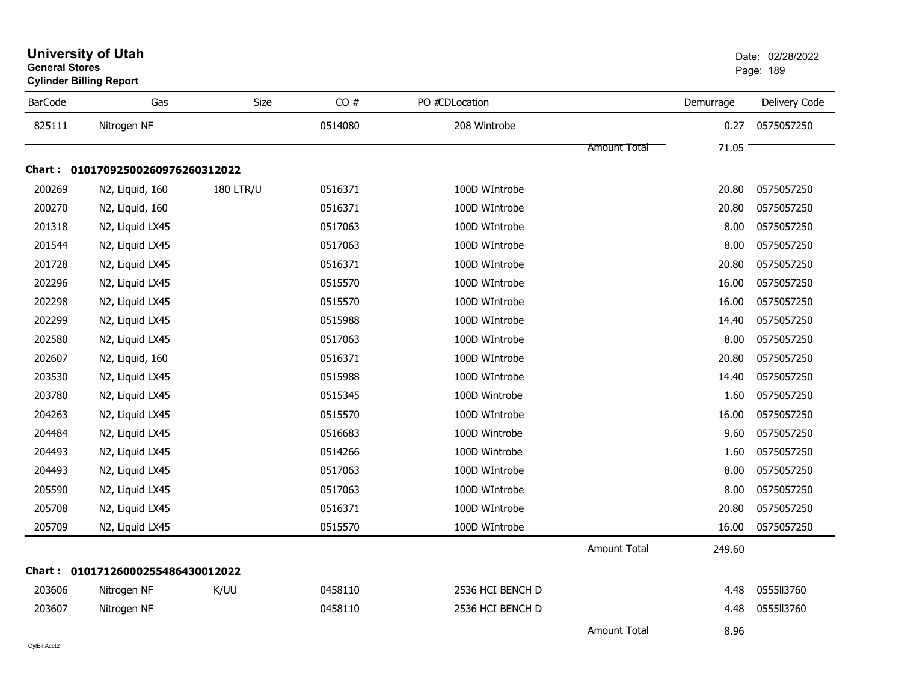| <b>BarCode</b> | Gas                               | Size             | CO#     | PO #CDLocation   |                     | Demurrage | Delivery Code |
|----------------|-----------------------------------|------------------|---------|------------------|---------------------|-----------|---------------|
| 825111         | Nitrogen NF                       |                  | 0514080 | 208 Wintrobe     |                     | 0.27      | 0575057250    |
|                |                                   |                  |         |                  | <b>Amount Total</b> | 71.05     |               |
|                | Chart: 01017092500260976260312022 |                  |         |                  |                     |           |               |
| 200269         | N2, Liquid, 160                   | <b>180 LTR/U</b> | 0516371 | 100D WIntrobe    |                     | 20.80     | 0575057250    |
| 200270         | N2, Liquid, 160                   |                  | 0516371 | 100D WIntrobe    |                     | 20.80     | 0575057250    |
| 201318         | N2, Liquid LX45                   |                  | 0517063 | 100D WIntrobe    |                     | 8.00      | 0575057250    |
| 201544         | N2, Liquid LX45                   |                  | 0517063 | 100D WIntrobe    |                     | 8.00      | 0575057250    |
| 201728         | N2, Liquid LX45                   |                  | 0516371 | 100D WIntrobe    |                     | 20.80     | 0575057250    |
| 202296         | N2, Liquid LX45                   |                  | 0515570 | 100D WIntrobe    |                     | 16.00     | 0575057250    |
| 202298         | N2, Liquid LX45                   |                  | 0515570 | 100D WIntrobe    |                     | 16.00     | 0575057250    |
| 202299         | N2, Liquid LX45                   |                  | 0515988 | 100D WIntrobe    |                     | 14.40     | 0575057250    |
| 202580         | N2, Liquid LX45                   |                  | 0517063 | 100D WIntrobe    |                     | 8.00      | 0575057250    |
| 202607         | N2, Liquid, 160                   |                  | 0516371 | 100D WIntrobe    |                     | 20.80     | 0575057250    |
| 203530         | N2, Liquid LX45                   |                  | 0515988 | 100D WIntrobe    |                     | 14.40     | 0575057250    |
| 203780         | N2, Liquid LX45                   |                  | 0515345 | 100D Wintrobe    |                     | 1.60      | 0575057250    |
| 204263         | N2, Liquid LX45                   |                  | 0515570 | 100D WIntrobe    |                     | 16.00     | 0575057250    |
| 204484         | N2, Liquid LX45                   |                  | 0516683 | 100D Wintrobe    |                     | 9.60      | 0575057250    |
| 204493         | N2, Liquid LX45                   |                  | 0514266 | 100D Wintrobe    |                     | 1.60      | 0575057250    |
| 204493         | N2, Liquid LX45                   |                  | 0517063 | 100D WIntrobe    |                     | 8.00      | 0575057250    |
| 205590         | N2, Liquid LX45                   |                  | 0517063 | 100D WIntrobe    |                     | 8.00      | 0575057250    |
| 205708         | N2, Liquid LX45                   |                  | 0516371 | 100D WIntrobe    |                     | 20.80     | 0575057250    |
| 205709         | N2, Liquid LX45                   |                  | 0515570 | 100D WIntrobe    |                     | 16.00     | 0575057250    |
|                |                                   |                  |         |                  | <b>Amount Total</b> | 249.60    |               |
|                | Chart: 01017126000255486430012022 |                  |         |                  |                     |           |               |
| 203606         | Nitrogen NF                       | K/UU             | 0458110 | 2536 HCI BENCH D |                     | 4.48      | 0555113760    |
| 203607         | Nitrogen NF                       |                  | 0458110 | 2536 HCI BENCH D |                     | 4.48      | 0555113760    |
|                |                                   |                  |         |                  | <b>Amount Total</b> | 8.96      |               |

#### **University of Utah** Date: 02/28/2022 **General Stores**end and the state of the state of the state of the state of the state of the state of the state of the state of the state of the state of the state of the state of the state of the state of the state of the state of the st **Cylinder Billing Report**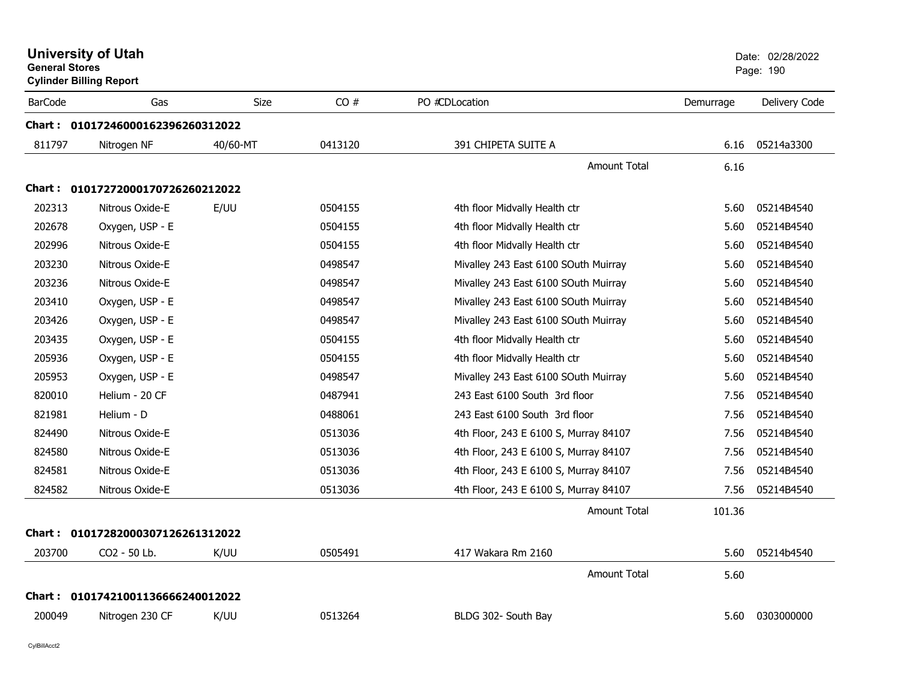|                | <b>University of Utah</b><br><b>General Stores</b><br><b>Cylinder Billing Report</b> |             |         |                                       | Date: 02/28/2022<br>Page: 190 |               |  |
|----------------|--------------------------------------------------------------------------------------|-------------|---------|---------------------------------------|-------------------------------|---------------|--|
| <b>BarCode</b> | Gas                                                                                  | <b>Size</b> | CO#     | PO #CDLocation                        | Demurrage                     | Delivery Code |  |
|                | Chart: 01017246000162396260312022                                                    |             |         |                                       |                               |               |  |
| 811797         | Nitrogen NF                                                                          | 40/60-MT    | 0413120 | 391 CHIPETA SUITE A                   | 6.16                          | 05214a3300    |  |
|                |                                                                                      |             |         | Amount Total                          | 6.16                          |               |  |
| Chart :        | 01017272000170726260212022                                                           |             |         |                                       |                               |               |  |
| 202313         | Nitrous Oxide-E                                                                      | E/UU        | 0504155 | 4th floor Midvally Health ctr         | 5.60                          | 05214B4540    |  |
| 202678         | Oxygen, USP - E                                                                      |             | 0504155 | 4th floor Midvally Health ctr         | 5.60                          | 05214B4540    |  |
| 202996         | Nitrous Oxide-E                                                                      |             | 0504155 | 4th floor Midvally Health ctr         | 5.60                          | 05214B4540    |  |
| 203230         | Nitrous Oxide-E                                                                      |             | 0498547 | Mivalley 243 East 6100 SOuth Muirray  | 5.60                          | 05214B4540    |  |
| 203236         | Nitrous Oxide-E                                                                      |             | 0498547 | Mivalley 243 East 6100 SOuth Muirray  | 5.60                          | 05214B4540    |  |
| 203410         | Oxygen, USP - E                                                                      |             | 0498547 | Mivalley 243 East 6100 SOuth Muirray  | 5.60                          | 05214B4540    |  |
| 203426         | Oxygen, USP - E                                                                      |             | 0498547 | Mivalley 243 East 6100 SOuth Muirray  | 5.60                          | 05214B4540    |  |
| 203435         | Oxygen, USP - E                                                                      |             | 0504155 | 4th floor Midvally Health ctr         | 5.60                          | 05214B4540    |  |
| 205936         | Oxygen, USP - E                                                                      |             | 0504155 | 4th floor Midvally Health ctr         | 5.60                          | 05214B4540    |  |
| 205953         | Oxygen, USP - E                                                                      |             | 0498547 | Mivalley 243 East 6100 SOuth Muirray  | 5.60                          | 05214B4540    |  |
| 820010         | Helium - 20 CF                                                                       |             | 0487941 | 243 East 6100 South 3rd floor         | 7.56                          | 05214B4540    |  |
| 821981         | Helium - D                                                                           |             | 0488061 | 243 East 6100 South 3rd floor         | 7.56                          | 05214B4540    |  |
| 824490         | Nitrous Oxide-E                                                                      |             | 0513036 | 4th Floor, 243 E 6100 S, Murray 84107 | 7.56                          | 05214B4540    |  |
| 824580         | Nitrous Oxide-E                                                                      |             | 0513036 | 4th Floor, 243 E 6100 S, Murray 84107 | 7.56                          | 05214B4540    |  |
| 824581         | Nitrous Oxide-E                                                                      |             | 0513036 | 4th Floor, 243 E 6100 S, Murray 84107 | 7.56                          | 05214B4540    |  |
| 824582         | Nitrous Oxide-E                                                                      |             | 0513036 | 4th Floor, 243 E 6100 S, Murray 84107 | 7.56                          | 05214B4540    |  |
|                |                                                                                      |             |         | Amount Total                          | 101.36                        |               |  |
|                | Chart: 01017282000307126261312022                                                    |             |         |                                       |                               |               |  |
| 203700         | CO2 - 50 Lb.                                                                         | K/UU        | 0505491 | 417 Wakara Rm 2160                    | 5.60                          | 05214b4540    |  |
|                |                                                                                      |             |         | Amount Total                          | 5.60                          |               |  |
|                | Chart: 01017421001136666240012022                                                    |             |         |                                       |                               |               |  |
| 200049         | Nitrogen 230 CF                                                                      | K/UU        | 0513264 | BLDG 302- South Bay                   | 5.60                          | 0303000000    |  |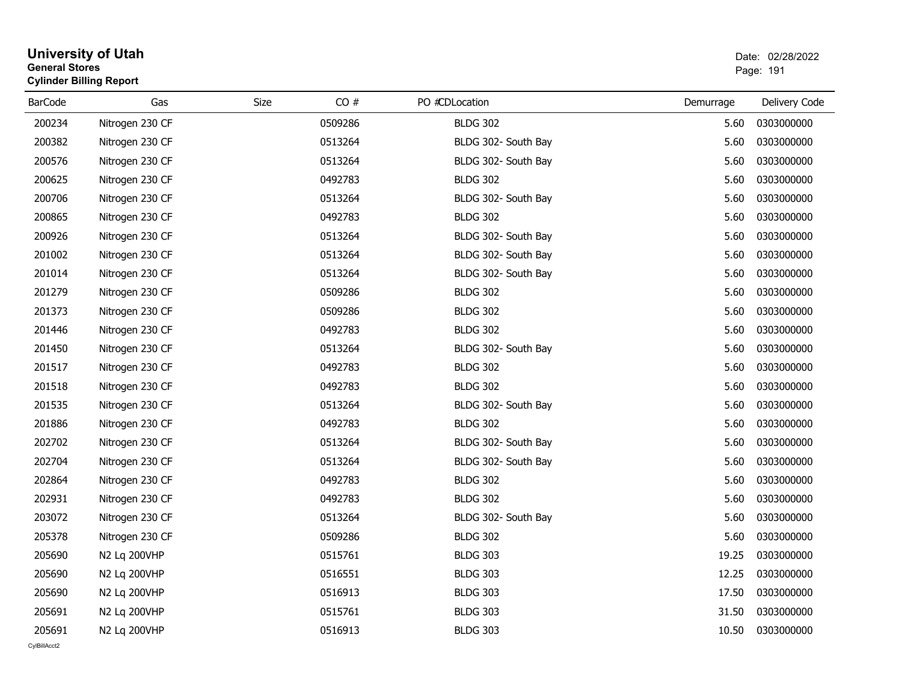| <b>General Stores</b> | <b>Cylinder Billing Report</b> |      |         |                     | Page: 191 |               |  |
|-----------------------|--------------------------------|------|---------|---------------------|-----------|---------------|--|
| <b>BarCode</b>        | Gas                            | Size | CO#     | PO #CDLocation      | Demurrage | Delivery Code |  |
| 200234                | Nitrogen 230 CF                |      | 0509286 | <b>BLDG 302</b>     | 5.60      | 0303000000    |  |
| 200382                | Nitrogen 230 CF                |      | 0513264 | BLDG 302- South Bay | 5.60      | 0303000000    |  |
| 200576                | Nitrogen 230 CF                |      | 0513264 | BLDG 302- South Bay | 5.60      | 0303000000    |  |
| 200625                | Nitrogen 230 CF                |      | 0492783 | <b>BLDG 302</b>     | 5.60      | 0303000000    |  |
| 200706                | Nitrogen 230 CF                |      | 0513264 | BLDG 302- South Bay | 5.60      | 0303000000    |  |
| 200865                | Nitrogen 230 CF                |      | 0492783 | <b>BLDG 302</b>     | 5.60      | 0303000000    |  |
| 200926                | Nitrogen 230 CF                |      | 0513264 | BLDG 302- South Bay | 5.60      | 0303000000    |  |
| 201002                | Nitrogen 230 CF                |      | 0513264 | BLDG 302- South Bay | 5.60      | 0303000000    |  |
| 201014                | Nitrogen 230 CF                |      | 0513264 | BLDG 302- South Bay | 5.60      | 0303000000    |  |
| 201279                | Nitrogen 230 CF                |      | 0509286 | <b>BLDG 302</b>     | 5.60      | 0303000000    |  |
| 201373                | Nitrogen 230 CF                |      | 0509286 | <b>BLDG 302</b>     | 5.60      | 0303000000    |  |
| 201446                | Nitrogen 230 CF                |      | 0492783 | <b>BLDG 302</b>     | 5.60      | 0303000000    |  |
| 201450                | Nitrogen 230 CF                |      | 0513264 | BLDG 302- South Bay | 5.60      | 0303000000    |  |
| 201517                | Nitrogen 230 CF                |      | 0492783 | <b>BLDG 302</b>     | 5.60      | 0303000000    |  |
| 201518                | Nitrogen 230 CF                |      | 0492783 | <b>BLDG 302</b>     | 5.60      | 0303000000    |  |
| 201535                | Nitrogen 230 CF                |      | 0513264 | BLDG 302- South Bay | 5.60      | 0303000000    |  |
| 201886                | Nitrogen 230 CF                |      | 0492783 | <b>BLDG 302</b>     | 5.60      | 0303000000    |  |
| 202702                | Nitrogen 230 CF                |      | 0513264 | BLDG 302- South Bay | 5.60      | 0303000000    |  |
| 202704                | Nitrogen 230 CF                |      | 0513264 | BLDG 302- South Bay | 5.60      | 0303000000    |  |
| 202864                | Nitrogen 230 CF                |      | 0492783 | <b>BLDG 302</b>     | 5.60      | 0303000000    |  |
| 202931                | Nitrogen 230 CF                |      | 0492783 | <b>BLDG 302</b>     | 5.60      | 0303000000    |  |
| 203072                | Nitrogen 230 CF                |      | 0513264 | BLDG 302- South Bay | 5.60      | 0303000000    |  |
| 205378                | Nitrogen 230 CF                |      | 0509286 | <b>BLDG 302</b>     | 5.60      | 0303000000    |  |
| 205690                | N2 Lq 200VHP                   |      | 0515761 | <b>BLDG 303</b>     | 19.25     | 0303000000    |  |
| 205690                | N2 Lq 200VHP                   |      | 0516551 | <b>BLDG 303</b>     | 12.25     | 0303000000    |  |
| 205690                | N2 Lq 200VHP                   |      | 0516913 | <b>BLDG 303</b>     | 17.50     | 0303000000    |  |
| 205691                | N2 Lq 200VHP                   |      | 0515761 | <b>BLDG 303</b>     | 31.50     | 0303000000    |  |
| 205691                | N2 Lq 200VHP                   |      | 0516913 | <b>BLDG 303</b>     | 10.50     | 0303000000    |  |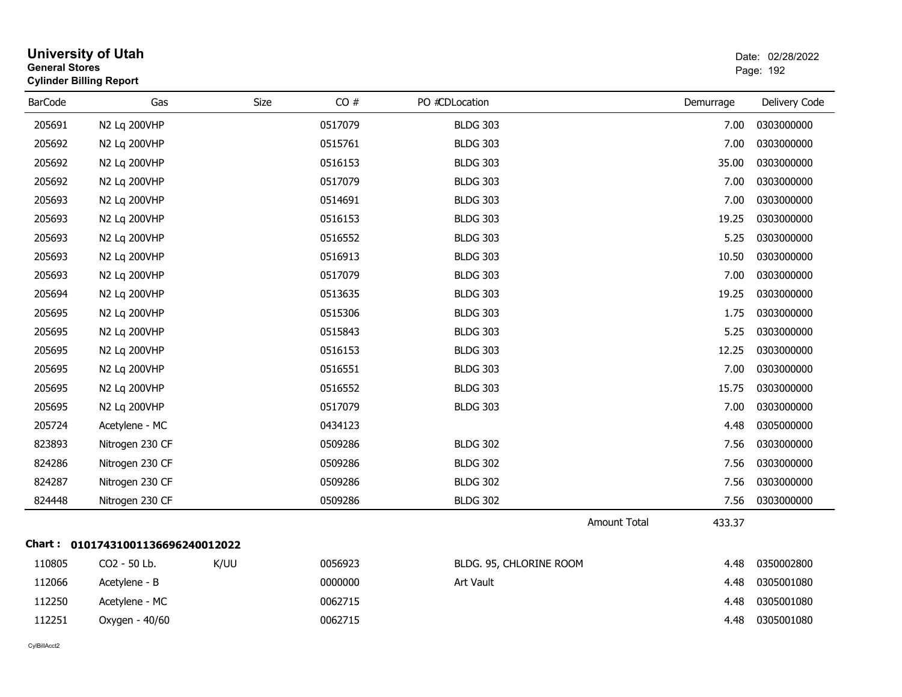|                | <b>University of Utah</b><br><b>General Stores</b><br><b>Cylinder Billing Report</b> |             |         |                         |                     | Date: 02/28/2022<br>Page: 192 |               |
|----------------|--------------------------------------------------------------------------------------|-------------|---------|-------------------------|---------------------|-------------------------------|---------------|
| <b>BarCode</b> | Gas                                                                                  | <b>Size</b> | CO#     | PO #CDLocation          |                     | Demurrage                     | Delivery Code |
| 205691         | N2 Lq 200VHP                                                                         |             | 0517079 | <b>BLDG 303</b>         |                     | 7.00                          | 0303000000    |
| 205692         | N2 Lq 200VHP                                                                         |             | 0515761 | <b>BLDG 303</b>         |                     | 7.00                          | 0303000000    |
| 205692         | N2 Lq 200VHP                                                                         |             | 0516153 | <b>BLDG 303</b>         |                     | 35.00                         | 0303000000    |
| 205692         | N2 Lq 200VHP                                                                         |             | 0517079 | <b>BLDG 303</b>         |                     | 7.00                          | 0303000000    |
| 205693         | N2 Lq 200VHP                                                                         |             | 0514691 | <b>BLDG 303</b>         |                     | 7.00                          | 0303000000    |
| 205693         | N2 Lq 200VHP                                                                         |             | 0516153 | <b>BLDG 303</b>         |                     | 19.25                         | 0303000000    |
| 205693         | N2 Lq 200VHP                                                                         |             | 0516552 | <b>BLDG 303</b>         |                     | 5.25                          | 0303000000    |
| 205693         | N2 Lq 200VHP                                                                         |             | 0516913 | <b>BLDG 303</b>         |                     | 10.50                         | 0303000000    |
| 205693         | N2 Lq 200VHP                                                                         |             | 0517079 | <b>BLDG 303</b>         |                     | 7.00                          | 0303000000    |
| 205694         | N2 Lq 200VHP                                                                         |             | 0513635 | <b>BLDG 303</b>         |                     | 19.25                         | 0303000000    |
| 205695         | N2 Lq 200VHP                                                                         |             | 0515306 | <b>BLDG 303</b>         |                     | 1.75                          | 0303000000    |
| 205695         | N2 Lq 200VHP                                                                         |             | 0515843 | <b>BLDG 303</b>         |                     | 5.25                          | 0303000000    |
| 205695         | N2 Lq 200VHP                                                                         |             | 0516153 | <b>BLDG 303</b>         |                     | 12.25                         | 0303000000    |
| 205695         | N2 Lq 200VHP                                                                         |             | 0516551 | <b>BLDG 303</b>         |                     | 7.00                          | 0303000000    |
| 205695         | N2 Lq 200VHP                                                                         |             | 0516552 | <b>BLDG 303</b>         |                     | 15.75                         | 0303000000    |
| 205695         | N2 Lq 200VHP                                                                         |             | 0517079 | <b>BLDG 303</b>         |                     | 7.00                          | 0303000000    |
| 205724         | Acetylene - MC                                                                       |             | 0434123 |                         |                     | 4.48                          | 0305000000    |
| 823893         | Nitrogen 230 CF                                                                      |             | 0509286 | <b>BLDG 302</b>         |                     | 7.56                          | 0303000000    |
| 824286         | Nitrogen 230 CF                                                                      |             | 0509286 | <b>BLDG 302</b>         |                     | 7.56                          | 0303000000    |
| 824287         | Nitrogen 230 CF                                                                      |             | 0509286 | <b>BLDG 302</b>         |                     | 7.56                          | 0303000000    |
| 824448         | Nitrogen 230 CF                                                                      |             | 0509286 | <b>BLDG 302</b>         |                     | 7.56                          | 0303000000    |
|                |                                                                                      |             |         |                         | <b>Amount Total</b> | 433.37                        |               |
|                | Chart: 01017431001136696240012022                                                    |             |         |                         |                     |                               |               |
| 110805         | CO2 - 50 Lb.                                                                         | K/UU        | 0056923 | BLDG. 95, CHLORINE ROOM |                     | 4.48                          | 0350002800    |
| 112066         | Acetylene - B                                                                        |             | 0000000 | Art Vault               |                     | 4.48                          | 0305001080    |
| 112250         | Acetylene - MC                                                                       |             | 0062715 |                         |                     | 4.48                          | 0305001080    |
| 112251         | Oxygen - 40/60                                                                       |             | 0062715 |                         |                     | 4.48                          | 0305001080    |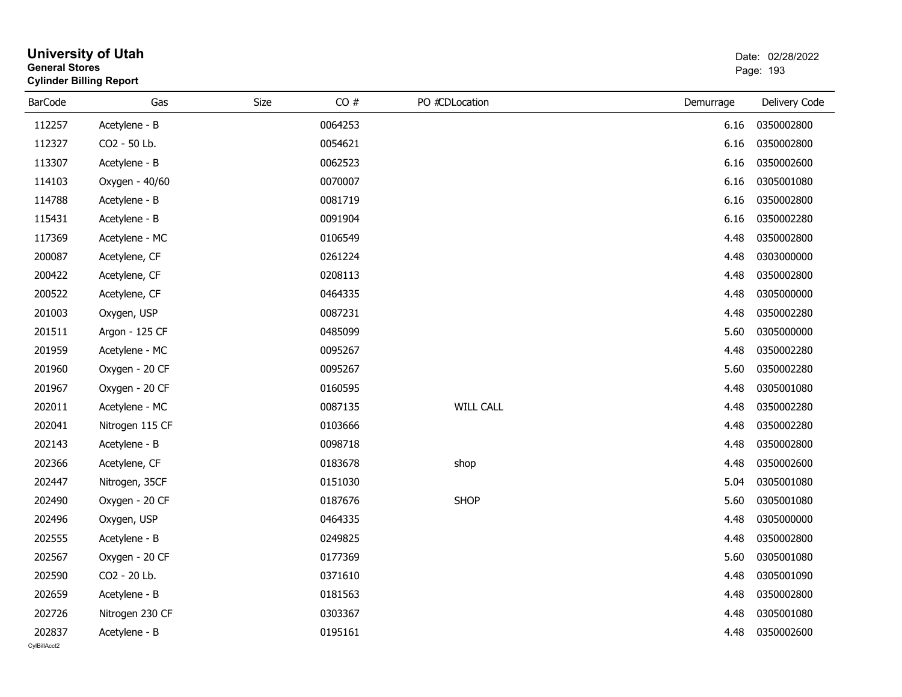| <b>General Stores</b> | <b>Cylinder Billing Report</b> |      |         |                  |           | Page: 193     |
|-----------------------|--------------------------------|------|---------|------------------|-----------|---------------|
| <b>BarCode</b>        | Gas                            | Size | CO#     | PO #CDLocation   | Demurrage | Delivery Code |
| 112257                | Acetylene - B                  |      | 0064253 |                  | 6.16      | 0350002800    |
| 112327                | CO2 - 50 Lb.                   |      | 0054621 |                  | 6.16      | 0350002800    |
| 113307                | Acetylene - B                  |      | 0062523 |                  | 6.16      | 0350002600    |
| 114103                | Oxygen - 40/60                 |      | 0070007 |                  | 6.16      | 0305001080    |
| 114788                | Acetylene - B                  |      | 0081719 |                  | 6.16      | 0350002800    |
| 115431                | Acetylene - B                  |      | 0091904 |                  | 6.16      | 0350002280    |
| 117369                | Acetylene - MC                 |      | 0106549 |                  | 4.48      | 0350002800    |
| 200087                | Acetylene, CF                  |      | 0261224 |                  | 4.48      | 0303000000    |
| 200422                | Acetylene, CF                  |      | 0208113 |                  | 4.48      | 0350002800    |
| 200522                | Acetylene, CF                  |      | 0464335 |                  | 4.48      | 0305000000    |
| 201003                | Oxygen, USP                    |      | 0087231 |                  | 4.48      | 0350002280    |
| 201511                | Argon - 125 CF                 |      | 0485099 |                  | 5.60      | 0305000000    |
| 201959                | Acetylene - MC                 |      | 0095267 |                  | 4.48      | 0350002280    |
| 201960                | Oxygen - 20 CF                 |      | 0095267 |                  | 5.60      | 0350002280    |
| 201967                | Oxygen - 20 CF                 |      | 0160595 |                  | 4.48      | 0305001080    |
| 202011                | Acetylene - MC                 |      | 0087135 | <b>WILL CALL</b> | 4.48      | 0350002280    |
| 202041                | Nitrogen 115 CF                |      | 0103666 |                  | 4.48      | 0350002280    |
| 202143                | Acetylene - B                  |      | 0098718 |                  | 4.48      | 0350002800    |
| 202366                | Acetylene, CF                  |      | 0183678 | shop             | 4.48      | 0350002600    |
| 202447                | Nitrogen, 35CF                 |      | 0151030 |                  | 5.04      | 0305001080    |
| 202490                | Oxygen - 20 CF                 |      | 0187676 | <b>SHOP</b>      | 5.60      | 0305001080    |
| 202496                | Oxygen, USP                    |      | 0464335 |                  | 4.48      | 0305000000    |
| 202555                | Acetylene - B                  |      | 0249825 |                  | 4.48      | 0350002800    |
| 202567                | Oxygen - 20 CF                 |      | 0177369 |                  | 5.60      | 0305001080    |
| 202590                | CO2 - 20 Lb.                   |      | 0371610 |                  | 4.48      | 0305001090    |
| 202659                | Acetylene - B                  |      | 0181563 |                  | 4.48      | 0350002800    |
| 202726                | Nitrogen 230 CF                |      | 0303367 |                  | 4.48      | 0305001080    |
| 202837                | Acetylene - B                  |      | 0195161 |                  | 4.48      | 0350002600    |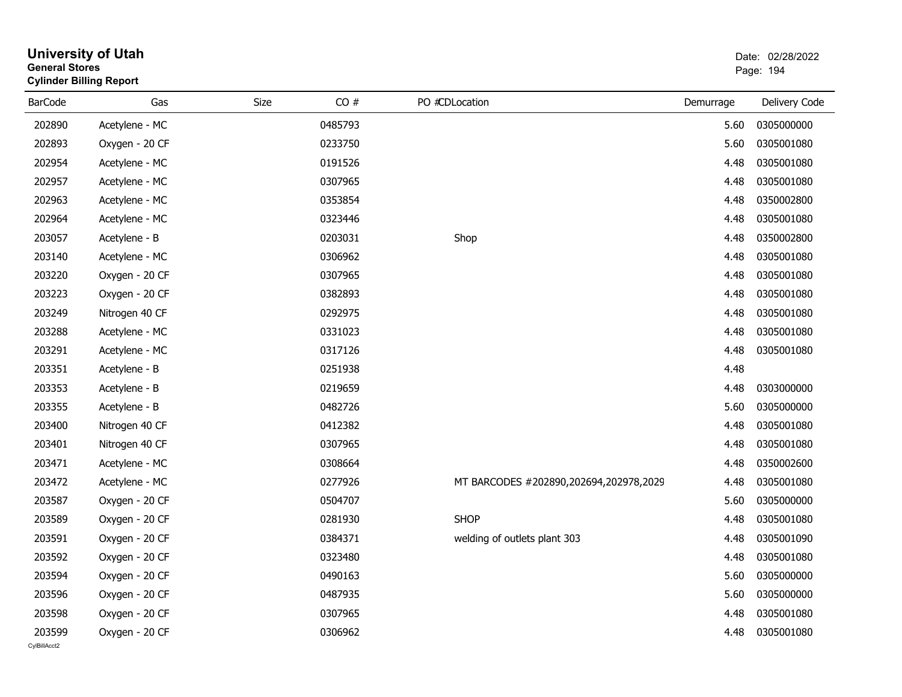| General Stores | <b>Cylinder Billing Report</b> |      |         |                                        |           | Page: 194     |
|----------------|--------------------------------|------|---------|----------------------------------------|-----------|---------------|
| BarCode        | Gas                            | Size | CO#     | PO #CDLocation                         | Demurrage | Delivery Code |
| 202890         | Acetylene - MC                 |      | 0485793 |                                        | 5.60      | 0305000000    |
| 202893         | Oxygen - 20 CF                 |      | 0233750 |                                        | 5.60      | 0305001080    |
| 202954         | Acetylene - MC                 |      | 0191526 |                                        | 4.48      | 0305001080    |
| 202957         | Acetylene - MC                 |      | 0307965 |                                        | 4.48      | 0305001080    |
| 202963         | Acetylene - MC                 |      | 0353854 |                                        | 4.48      | 0350002800    |
| 202964         | Acetylene - MC                 |      | 0323446 |                                        | 4.48      | 0305001080    |
| 203057         | Acetylene - B                  |      | 0203031 | Shop                                   | 4.48      | 0350002800    |
| 203140         | Acetylene - MC                 |      | 0306962 |                                        | 4.48      | 0305001080    |
| 203220         | Oxygen - 20 CF                 |      | 0307965 |                                        | 4.48      | 0305001080    |
| 203223         | Oxygen - 20 CF                 |      | 0382893 |                                        | 4.48      | 0305001080    |
| 203249         | Nitrogen 40 CF                 |      | 0292975 |                                        | 4.48      | 0305001080    |
| 203288         | Acetylene - MC                 |      | 0331023 |                                        | 4.48      | 0305001080    |
| 203291         | Acetylene - MC                 |      | 0317126 |                                        | 4.48      | 0305001080    |
| 203351         | Acetylene - B                  |      | 0251938 |                                        | 4.48      |               |
| 203353         | Acetylene - B                  |      | 0219659 |                                        | 4.48      | 0303000000    |
| 203355         | Acetylene - B                  |      | 0482726 |                                        | 5.60      | 0305000000    |
| 203400         | Nitrogen 40 CF                 |      | 0412382 |                                        | 4.48      | 0305001080    |
| 203401         | Nitrogen 40 CF                 |      | 0307965 |                                        | 4.48      | 0305001080    |
| 203471         | Acetylene - MC                 |      | 0308664 |                                        | 4.48      | 0350002600    |
| 203472         | Acetylene - MC                 |      | 0277926 | MT BARCODES #202890,202694,202978,2029 | 4.48      | 0305001080    |
| 203587         | Oxygen - 20 CF                 |      | 0504707 |                                        | 5.60      | 0305000000    |
| 203589         | Oxygen - 20 CF                 |      | 0281930 | <b>SHOP</b>                            | 4.48      | 0305001080    |
| 203591         | Oxygen - 20 CF                 |      | 0384371 | welding of outlets plant 303           | 4.48      | 0305001090    |
| 203592         | Oxygen - 20 CF                 |      | 0323480 |                                        | 4.48      | 0305001080    |
| 203594         | Oxygen - 20 CF                 |      | 0490163 |                                        | 5.60      | 0305000000    |
| 203596         | Oxygen - 20 CF                 |      | 0487935 |                                        | 5.60      | 0305000000    |
| 203598         | Oxygen - 20 CF                 |      | 0307965 |                                        | 4.48      | 0305001080    |
| 203599         | Oxygen - 20 CF                 |      | 0306962 |                                        | 4.48      | 0305001080    |

## **University of Utah** Date: 02/28/2022 **General Stores**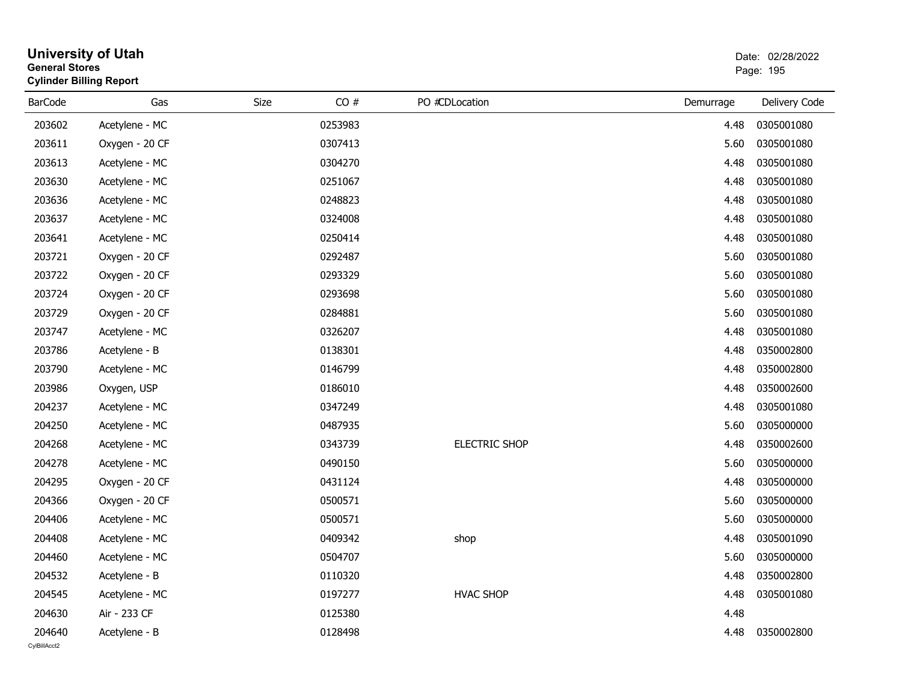| <b>General Stores</b> | <b>Cylinder Billing Report</b> |      |         |                      |           | Page: 195     |
|-----------------------|--------------------------------|------|---------|----------------------|-----------|---------------|
| <b>BarCode</b>        | Gas                            | Size | CO#     | PO #CDLocation       | Demurrage | Delivery Code |
| 203602                | Acetylene - MC                 |      | 0253983 |                      | 4.48      | 0305001080    |
| 203611                | Oxygen - 20 CF                 |      | 0307413 |                      | 5.60      | 0305001080    |
| 203613                | Acetylene - MC                 |      | 0304270 |                      | 4.48      | 0305001080    |
| 203630                | Acetylene - MC                 |      | 0251067 |                      | 4.48      | 0305001080    |
| 203636                | Acetylene - MC                 |      | 0248823 |                      | 4.48      | 0305001080    |
| 203637                | Acetylene - MC                 |      | 0324008 |                      | 4.48      | 0305001080    |
| 203641                | Acetylene - MC                 |      | 0250414 |                      | 4.48      | 0305001080    |
| 203721                | Oxygen - 20 CF                 |      | 0292487 |                      | 5.60      | 0305001080    |
| 203722                | Oxygen - 20 CF                 |      | 0293329 |                      | 5.60      | 0305001080    |
| 203724                | Oxygen - 20 CF                 |      | 0293698 |                      | 5.60      | 0305001080    |
| 203729                | Oxygen - 20 CF                 |      | 0284881 |                      | 5.60      | 0305001080    |
| 203747                | Acetylene - MC                 |      | 0326207 |                      | 4.48      | 0305001080    |
| 203786                | Acetylene - B                  |      | 0138301 |                      | 4.48      | 0350002800    |
| 203790                | Acetylene - MC                 |      | 0146799 |                      | 4.48      | 0350002800    |
| 203986                | Oxygen, USP                    |      | 0186010 |                      | 4.48      | 0350002600    |
| 204237                | Acetylene - MC                 |      | 0347249 |                      | 4.48      | 0305001080    |
| 204250                | Acetylene - MC                 |      | 0487935 |                      | 5.60      | 0305000000    |
| 204268                | Acetylene - MC                 |      | 0343739 | <b>ELECTRIC SHOP</b> | 4.48      | 0350002600    |
| 204278                | Acetylene - MC                 |      | 0490150 |                      | 5.60      | 0305000000    |
| 204295                | Oxygen - 20 CF                 |      | 0431124 |                      | 4.48      | 0305000000    |
| 204366                | Oxygen - 20 CF                 |      | 0500571 |                      | 5.60      | 0305000000    |
| 204406                | Acetylene - MC                 |      | 0500571 |                      | 5.60      | 0305000000    |
| 204408                | Acetylene - MC                 |      | 0409342 | shop                 | 4.48      | 0305001090    |
| 204460                | Acetylene - MC                 |      | 0504707 |                      | 5.60      | 0305000000    |
| 204532                | Acetylene - B                  |      | 0110320 |                      | 4.48      | 0350002800    |
| 204545                | Acetylene - MC                 |      | 0197277 | <b>HVAC SHOP</b>     | 4.48      | 0305001080    |
| 204630                | Air - 233 CF                   |      | 0125380 |                      | 4.48      |               |
| 204640                | Acetylene - B                  |      | 0128498 |                      | 4.48      | 0350002800    |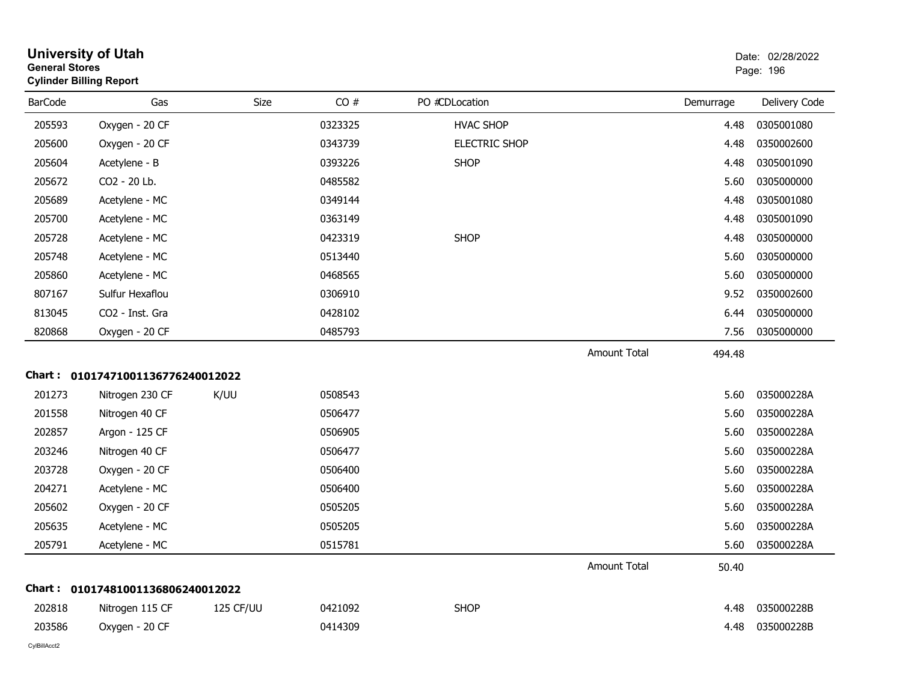| General Stores | <b>Cylinder Billing Report</b>    |           |         |                      |                     |           | Page: 196     |
|----------------|-----------------------------------|-----------|---------|----------------------|---------------------|-----------|---------------|
| <b>BarCode</b> | Gas                               | Size      | CO#     | PO #CDLocation       |                     | Demurrage | Delivery Code |
| 205593         | Oxygen - 20 CF                    |           | 0323325 | <b>HVAC SHOP</b>     |                     | 4.48      | 0305001080    |
| 205600         | Oxygen - 20 CF                    |           | 0343739 | <b>ELECTRIC SHOP</b> |                     | 4.48      | 0350002600    |
| 205604         | Acetylene - B                     |           | 0393226 | <b>SHOP</b>          |                     | 4.48      | 0305001090    |
| 205672         | CO2 - 20 Lb.                      |           | 0485582 |                      |                     | 5.60      | 0305000000    |
| 205689         | Acetylene - MC                    |           | 0349144 |                      |                     | 4.48      | 0305001080    |
| 205700         | Acetylene - MC                    |           | 0363149 |                      |                     | 4.48      | 0305001090    |
| 205728         | Acetylene - MC                    |           | 0423319 | <b>SHOP</b>          |                     | 4.48      | 0305000000    |
| 205748         | Acetylene - MC                    |           | 0513440 |                      |                     | 5.60      | 0305000000    |
| 205860         | Acetylene - MC                    |           | 0468565 |                      |                     | 5.60      | 0305000000    |
| 807167         | Sulfur Hexaflou                   |           | 0306910 |                      |                     | 9.52      | 0350002600    |
| 813045         | CO2 - Inst. Gra                   |           | 0428102 |                      |                     | 6.44      | 0305000000    |
| 820868         | Oxygen - 20 CF                    |           | 0485793 |                      |                     | 7.56      | 0305000000    |
|                |                                   |           |         |                      | <b>Amount Total</b> | 494.48    |               |
|                | Chart: 01017471001136776240012022 |           |         |                      |                     |           |               |
| 201273         | Nitrogen 230 CF                   | K/UU      | 0508543 |                      |                     | 5.60      | 035000228A    |
| 201558         | Nitrogen 40 CF                    |           | 0506477 |                      |                     | 5.60      | 035000228A    |
| 202857         | Argon - 125 CF                    |           | 0506905 |                      |                     | 5.60      | 035000228A    |
| 203246         | Nitrogen 40 CF                    |           | 0506477 |                      |                     | 5.60      | 035000228A    |
| 203728         | Oxygen - 20 CF                    |           | 0506400 |                      |                     | 5.60      | 035000228A    |
| 204271         | Acetylene - MC                    |           | 0506400 |                      |                     | 5.60      | 035000228A    |
| 205602         | Oxygen - 20 CF                    |           | 0505205 |                      |                     | 5.60      | 035000228A    |
| 205635         | Acetylene - MC                    |           | 0505205 |                      |                     | 5.60      | 035000228A    |
| 205791         | Acetylene - MC                    |           | 0515781 |                      |                     | 5.60      | 035000228A    |
|                |                                   |           |         |                      | <b>Amount Total</b> | 50.40     |               |
|                | Chart: 01017481001136806240012022 |           |         |                      |                     |           |               |
| 202818         | Nitrogen 115 CF                   | 125 CF/UU | 0421092 | <b>SHOP</b>          |                     | 4.48      | 035000228B    |
| 203586         | Oxygen - 20 CF                    |           | 0414309 |                      |                     | 4.48      | 035000228B    |
|                |                                   |           |         |                      |                     |           |               |

#### **University of Utah** Date: 02/28/2022 **General Stores**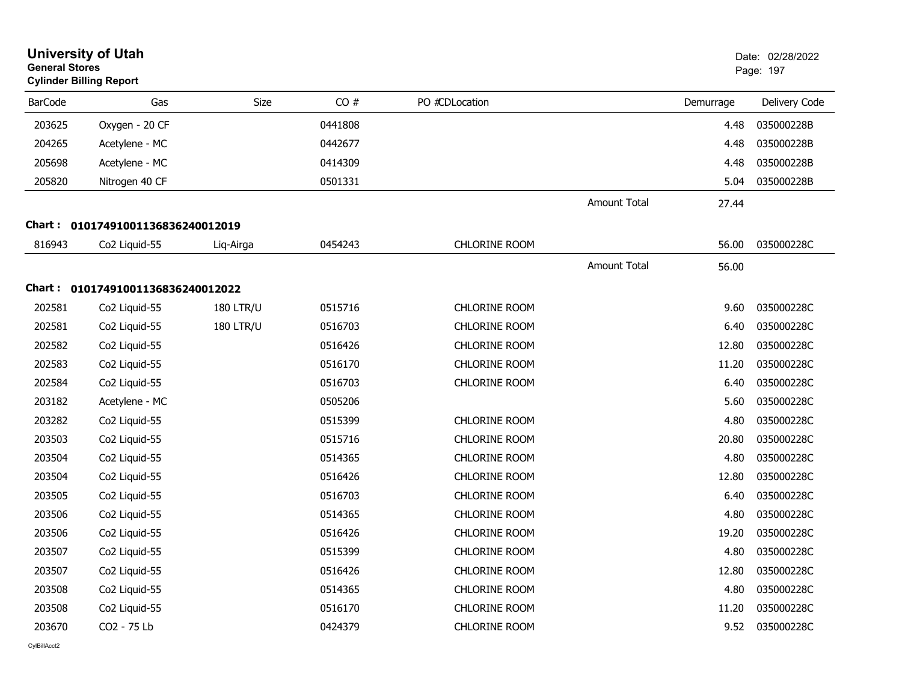| <b>General Stores</b> | <b>University of Utah</b><br><b>Cylinder Billing Report</b> |                  |         |                      |                     |           | Date: 02/28/2022<br>Page: 197 |
|-----------------------|-------------------------------------------------------------|------------------|---------|----------------------|---------------------|-----------|-------------------------------|
| <b>BarCode</b>        | Gas                                                         | Size             | CO#     | PO #CDLocation       |                     | Demurrage | Delivery Code                 |
| 203625                | Oxygen - 20 CF                                              |                  | 0441808 |                      |                     | 4.48      | 035000228B                    |
| 204265                | Acetylene - MC                                              |                  | 0442677 |                      |                     | 4.48      | 035000228B                    |
| 205698                | Acetylene - MC                                              |                  | 0414309 |                      |                     | 4.48      | 035000228B                    |
| 205820                | Nitrogen 40 CF                                              |                  | 0501331 |                      |                     | 5.04      | 035000228B                    |
|                       |                                                             |                  |         |                      | <b>Amount Total</b> | 27.44     |                               |
| Chart :               | 01017491001136836240012019                                  |                  |         |                      |                     |           |                               |
| 816943                | Co <sub>2</sub> Liquid-55                                   | Liq-Airga        | 0454243 | CHLORINE ROOM        |                     | 56.00     | 035000228C                    |
|                       |                                                             |                  |         |                      | <b>Amount Total</b> | 56.00     |                               |
| Chart :               | 01017491001136836240012022                                  |                  |         |                      |                     |           |                               |
| 202581                | Co <sub>2</sub> Liquid-55                                   | <b>180 LTR/U</b> | 0515716 | <b>CHLORINE ROOM</b> |                     | 9.60      | 035000228C                    |
| 202581                | Co2 Liquid-55                                               | <b>180 LTR/U</b> | 0516703 | <b>CHLORINE ROOM</b> |                     | 6.40      | 035000228C                    |
| 202582                | Co2 Liquid-55                                               |                  | 0516426 | CHLORINE ROOM        |                     | 12.80     | 035000228C                    |
| 202583                | Co2 Liquid-55                                               |                  | 0516170 | <b>CHLORINE ROOM</b> |                     | 11.20     | 035000228C                    |
| 202584                | Co2 Liquid-55                                               |                  | 0516703 | <b>CHLORINE ROOM</b> |                     | 6.40      | 035000228C                    |
| 203182                | Acetylene - MC                                              |                  | 0505206 |                      |                     | 5.60      | 035000228C                    |
| 203282                | Co2 Liquid-55                                               |                  | 0515399 | <b>CHLORINE ROOM</b> |                     | 4.80      | 035000228C                    |
| 203503                | Co <sub>2</sub> Liquid-55                                   |                  | 0515716 | <b>CHLORINE ROOM</b> |                     | 20.80     | 035000228C                    |
| 203504                | Co2 Liquid-55                                               |                  | 0514365 | <b>CHLORINE ROOM</b> |                     | 4.80      | 035000228C                    |
| 203504                | Co2 Liquid-55                                               |                  | 0516426 | <b>CHLORINE ROOM</b> |                     | 12.80     | 035000228C                    |
| 203505                | Co2 Liquid-55                                               |                  | 0516703 | <b>CHLORINE ROOM</b> |                     | 6.40      | 035000228C                    |
| 203506                | Co2 Liquid-55                                               |                  | 0514365 | CHLORINE ROOM        |                     | 4.80      | 035000228C                    |
| 203506                | Co2 Liquid-55                                               |                  | 0516426 | <b>CHLORINE ROOM</b> |                     | 19.20     | 035000228C                    |
| 203507                | Co2 Liquid-55                                               |                  | 0515399 | CHLORINE ROOM        |                     | 4.80      | 035000228C                    |
| 203507                | Co2 Liquid-55                                               |                  | 0516426 | <b>CHLORINE ROOM</b> |                     | 12.80     | 035000228C                    |
| 203508                | Co2 Liquid-55                                               |                  | 0514365 | <b>CHLORINE ROOM</b> |                     | 4.80      | 035000228C                    |
| 203508                | Co2 Liquid-55                                               |                  | 0516170 | <b>CHLORINE ROOM</b> |                     | 11.20     | 035000228C                    |
| 203670                | CO2 - 75 Lb                                                 |                  | 0424379 | CHLORINE ROOM        |                     | 9.52      | 035000228C                    |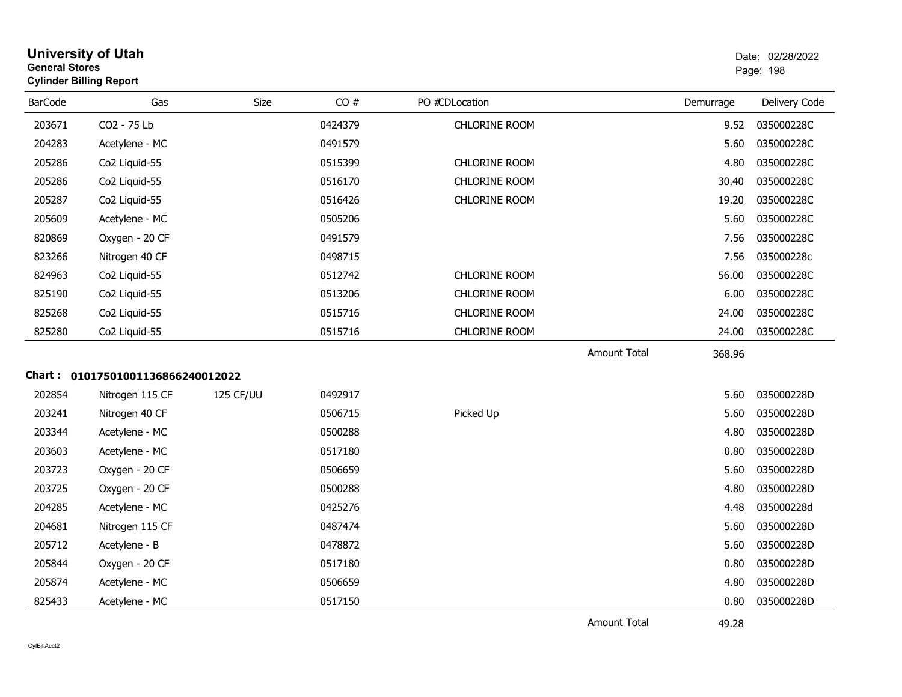| <b>University of Utah</b><br><b>General Stores</b><br><b>Cylinder Billing Report</b> |     |      |     |                | Date: 02/2<br>Page: 198 |  |
|--------------------------------------------------------------------------------------|-----|------|-----|----------------|-------------------------|--|
| <b>BarCode</b>                                                                       | Gas | Size | CO# | PO #CDLocation | Deliv<br>Demurrage      |  |

| <b>BarCode</b> | Gas                               | <b>Size</b> | CO#     | PO #CDLocation       |                     | Demurrage | Delivery Code |
|----------------|-----------------------------------|-------------|---------|----------------------|---------------------|-----------|---------------|
| 203671         | CO2 - 75 Lb                       |             | 0424379 | <b>CHLORINE ROOM</b> |                     | 9.52      | 035000228C    |
| 204283         | Acetylene - MC                    |             | 0491579 |                      |                     | 5.60      | 035000228C    |
| 205286         | Co2 Liquid-55                     |             | 0515399 | <b>CHLORINE ROOM</b> |                     | 4.80      | 035000228C    |
| 205286         | Co2 Liquid-55                     |             | 0516170 | <b>CHLORINE ROOM</b> |                     | 30.40     | 035000228C    |
| 205287         | Co2 Liquid-55                     |             | 0516426 | <b>CHLORINE ROOM</b> |                     | 19.20     | 035000228C    |
| 205609         | Acetylene - MC                    |             | 0505206 |                      |                     | 5.60      | 035000228C    |
| 820869         | Oxygen - 20 CF                    |             | 0491579 |                      |                     | 7.56      | 035000228C    |
| 823266         | Nitrogen 40 CF                    |             | 0498715 |                      |                     | 7.56      | 035000228c    |
| 824963         | Co2 Liquid-55                     |             | 0512742 | <b>CHLORINE ROOM</b> |                     | 56.00     | 035000228C    |
| 825190         | Co2 Liquid-55                     |             | 0513206 | CHLORINE ROOM        |                     | 6.00      | 035000228C    |
| 825268         | Co2 Liquid-55                     |             | 0515716 | <b>CHLORINE ROOM</b> |                     | 24.00     | 035000228C    |
| 825280         | Co2 Liquid-55                     |             | 0515716 | CHLORINE ROOM        |                     | 24.00     | 035000228C    |
|                |                                   |             |         |                      | <b>Amount Total</b> | 368.96    |               |
|                | Chart: 01017501001136866240012022 |             |         |                      |                     |           |               |
| 202854         | Nitrogen 115 CF                   | 125 CF/UU   | 0492917 |                      |                     | 5.60      | 035000228D    |
| 203241         | Nitrogen 40 CF                    |             | 0506715 | Picked Up            |                     | 5.60      | 035000228D    |
| 203344         | Acetylene - MC                    |             | 0500288 |                      |                     | 4.80      | 035000228D    |
| 203603         | Acetylene - MC                    |             | 0517180 |                      |                     | 0.80      | 035000228D    |
| 203723         | Oxygen - 20 CF                    |             | 0506659 |                      |                     | 5.60      | 035000228D    |
| 203725         | Oxygen - 20 CF                    |             | 0500288 |                      |                     | 4.80      | 035000228D    |
| 204285         | Acetylene - MC                    |             | 0425276 |                      |                     | 4.48      | 035000228d    |
| 204681         | Nitrogen 115 CF                   |             | 0487474 |                      |                     | 5.60      | 035000228D    |
| 205712         | Acetylene - B                     |             | 0478872 |                      |                     | 5.60      | 035000228D    |
| 205844         | Oxygen - 20 CF                    |             | 0517180 |                      |                     | 0.80      | 035000228D    |
| 205874         | Acetylene - MC                    |             | 0506659 |                      |                     | 4.80      | 035000228D    |
| 825433         | Acetylene - MC                    |             | 0517150 |                      |                     | 0.80      | 035000228D    |

Amount Total

49.28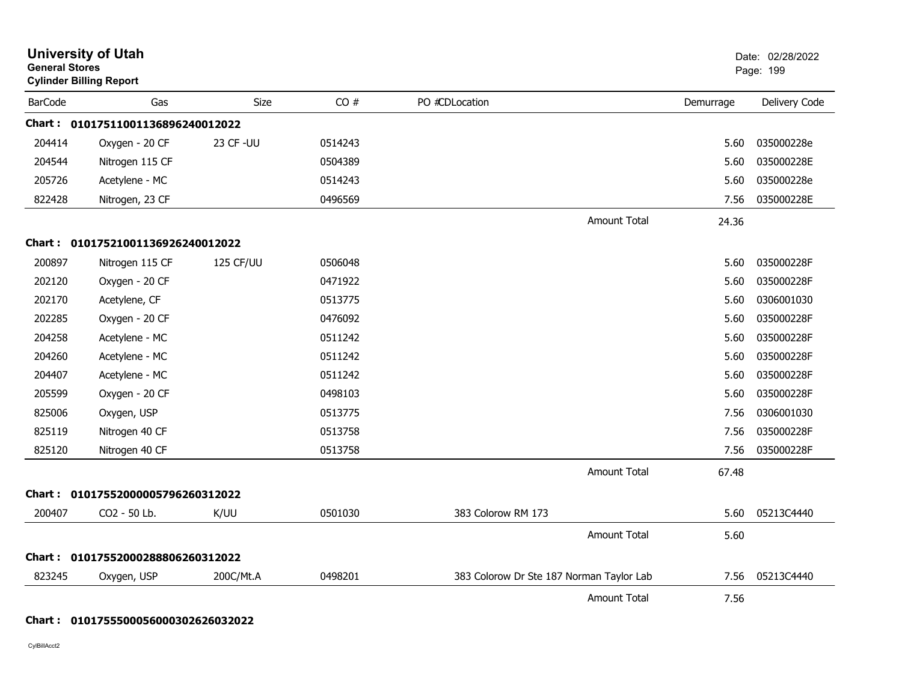| <b>University of Utah</b><br><b>General Stores</b><br><b>Cylinder Billing Report</b> |                                   |           |         |                                          |                     | Date: 02/28/2022<br>Page: 199 |               |
|--------------------------------------------------------------------------------------|-----------------------------------|-----------|---------|------------------------------------------|---------------------|-------------------------------|---------------|
| <b>BarCode</b>                                                                       | Gas                               | Size      | CO#     | PO #CDLocation                           |                     | Demurrage                     | Delivery Code |
|                                                                                      | Chart: 01017511001136896240012022 |           |         |                                          |                     |                               |               |
| 204414                                                                               | Oxygen - 20 CF                    | 23 CF-UU  | 0514243 |                                          |                     | 5.60                          | 035000228e    |
| 204544                                                                               | Nitrogen 115 CF                   |           | 0504389 |                                          |                     | 5.60                          | 035000228E    |
| 205726                                                                               | Acetylene - MC                    |           | 0514243 |                                          |                     | 5.60                          | 035000228e    |
| 822428                                                                               | Nitrogen, 23 CF                   |           | 0496569 |                                          |                     | 7.56                          | 035000228E    |
|                                                                                      |                                   |           |         |                                          | <b>Amount Total</b> | 24.36                         |               |
|                                                                                      | Chart: 01017521001136926240012022 |           |         |                                          |                     |                               |               |
| 200897                                                                               | Nitrogen 115 CF                   | 125 CF/UU | 0506048 |                                          |                     | 5.60                          | 035000228F    |
| 202120                                                                               | Oxygen - 20 CF                    |           | 0471922 |                                          |                     | 5.60                          | 035000228F    |
| 202170                                                                               | Acetylene, CF                     |           | 0513775 |                                          |                     | 5.60                          | 0306001030    |
| 202285                                                                               | Oxygen - 20 CF                    |           | 0476092 |                                          |                     | 5.60                          | 035000228F    |
| 204258                                                                               | Acetylene - MC                    |           | 0511242 |                                          |                     | 5.60                          | 035000228F    |
| 204260                                                                               | Acetylene - MC                    |           | 0511242 |                                          |                     | 5.60                          | 035000228F    |
| 204407                                                                               | Acetylene - MC                    |           | 0511242 |                                          |                     | 5.60                          | 035000228F    |
| 205599                                                                               | Oxygen - 20 CF                    |           | 0498103 |                                          |                     | 5.60                          | 035000228F    |
| 825006                                                                               | Oxygen, USP                       |           | 0513775 |                                          |                     | 7.56                          | 0306001030    |
| 825119                                                                               | Nitrogen 40 CF                    |           | 0513758 |                                          |                     | 7.56                          | 035000228F    |
| 825120                                                                               | Nitrogen 40 CF                    |           | 0513758 |                                          |                     | 7.56                          | 035000228F    |
|                                                                                      |                                   |           |         |                                          | <b>Amount Total</b> | 67.48                         |               |
|                                                                                      | Chart: 01017552000005796260312022 |           |         |                                          |                     |                               |               |
| 200407                                                                               | CO2 - 50 Lb.                      | K/UU      | 0501030 | 383 Colorow RM 173                       |                     | 5.60                          | 05213C4440    |
|                                                                                      |                                   |           |         |                                          | <b>Amount Total</b> | 5.60                          |               |
|                                                                                      | Chart: 01017552000288806260312022 |           |         |                                          |                     |                               |               |
| 823245                                                                               | Oxygen, USP                       | 200C/Mt.A | 0498201 | 383 Colorow Dr Ste 187 Norman Taylor Lab |                     | 7.56                          | 05213C4440    |
|                                                                                      |                                   |           |         |                                          | <b>Amount Total</b> | 7.56                          |               |

**Chart : 0101755500056000302626032022**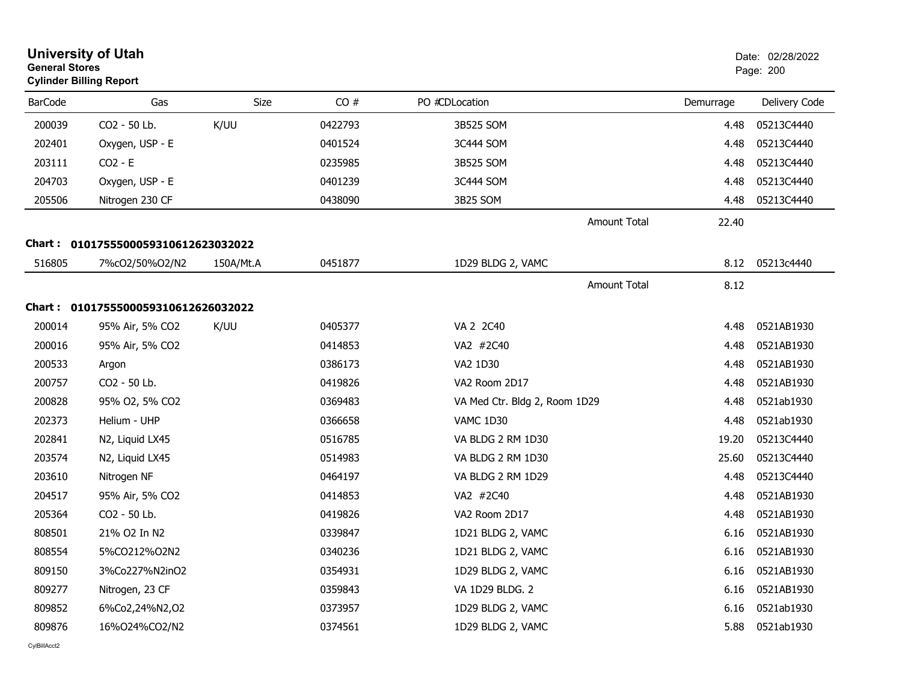| <b>General Stores</b> | <b>University of Utah</b><br><b>Cylinder Billing Report</b> |           |         |                               |           | Date: 02/28/2022<br>Page: 200 |
|-----------------------|-------------------------------------------------------------|-----------|---------|-------------------------------|-----------|-------------------------------|
| <b>BarCode</b>        | Gas                                                         | Size      | CO#     | PO #CDLocation                | Demurrage | Delivery Code                 |
| 200039                | CO2 - 50 Lb.                                                | K/UU      | 0422793 | 3B525 SOM                     | 4.48      | 05213C4440                    |
| 202401                | Oxygen, USP - E                                             |           | 0401524 | 3C444 SOM                     | 4.48      | 05213C4440                    |
| 203111                | $CO2 - E$                                                   |           | 0235985 | 3B525 SOM                     | 4.48      | 05213C4440                    |
| 204703                | Oxygen, USP - E                                             |           | 0401239 | 3C444 SOM                     | 4.48      | 05213C4440                    |
| 205506                | Nitrogen 230 CF                                             |           | 0438090 | 3B25 SOM                      | 4.48      | 05213C4440                    |
|                       |                                                             |           |         | <b>Amount Total</b>           | 22.40     |                               |
|                       | Chart: 0101755500059310612623032022                         |           |         |                               |           |                               |
| 516805                | 7%cO2/50%O2/N2                                              | 150A/Mt.A | 0451877 | 1D29 BLDG 2, VAMC             | 8.12      | 05213c4440                    |
|                       |                                                             |           |         | <b>Amount Total</b>           | 8.12      |                               |
|                       | Chart: 0101755500059310612626032022                         |           |         |                               |           |                               |
| 200014                | 95% Air, 5% CO2                                             | K/UU      | 0405377 | VA 2 2C40                     | 4.48      | 0521AB1930                    |
| 200016                | 95% Air, 5% CO2                                             |           | 0414853 | VA2 #2C40                     | 4.48      | 0521AB1930                    |
| 200533                | Argon                                                       |           | 0386173 | VA2 1D30                      | 4.48      | 0521AB1930                    |
| 200757                | CO2 - 50 Lb.                                                |           | 0419826 | VA2 Room 2D17                 | 4.48      | 0521AB1930                    |
| 200828                | 95% O2, 5% CO2                                              |           | 0369483 | VA Med Ctr. Bldg 2, Room 1D29 | 4.48      | 0521ab1930                    |
| 202373                | Helium - UHP                                                |           | 0366658 | VAMC 1D30                     | 4.48      | 0521ab1930                    |
| 202841                | N2, Liquid LX45                                             |           | 0516785 | VA BLDG 2 RM 1D30             | 19.20     | 05213C4440                    |
| 203574                | N2, Liquid LX45                                             |           | 0514983 | VA BLDG 2 RM 1D30             | 25.60     | 05213C4440                    |
| 203610                | Nitrogen NF                                                 |           | 0464197 | VA BLDG 2 RM 1D29             | 4.48      | 05213C4440                    |
| 204517                | 95% Air, 5% CO2                                             |           | 0414853 | VA2 #2C40                     | 4.48      | 0521AB1930                    |
| 205364                | CO <sub>2</sub> - 50 Lb.                                    |           | 0419826 | VA2 Room 2D17                 | 4.48      | 0521AB1930                    |
| 808501                | 21% O2 In N2                                                |           | 0339847 | 1D21 BLDG 2, VAMC             | 6.16      | 0521AB1930                    |
| 808554                | 5%CO212%O2N2                                                |           | 0340236 | 1D21 BLDG 2, VAMC             | 6.16      | 0521AB1930                    |
| 809150                | 3%Co227%N2inO2                                              |           | 0354931 | 1D29 BLDG 2, VAMC             | 6.16      | 0521AB1930                    |
| 809277                | Nitrogen, 23 CF                                             |           | 0359843 | VA 1D29 BLDG. 2               | 6.16      | 0521AB1930                    |
| 809852                | 6%Co2,24%N2,O2                                              |           | 0373957 | 1D29 BLDG 2, VAMC             | 6.16      | 0521ab1930                    |
| 809876                | 16%O24%CO2/N2                                               |           | 0374561 | 1D29 BLDG 2, VAMC             | 5.88      | 0521ab1930                    |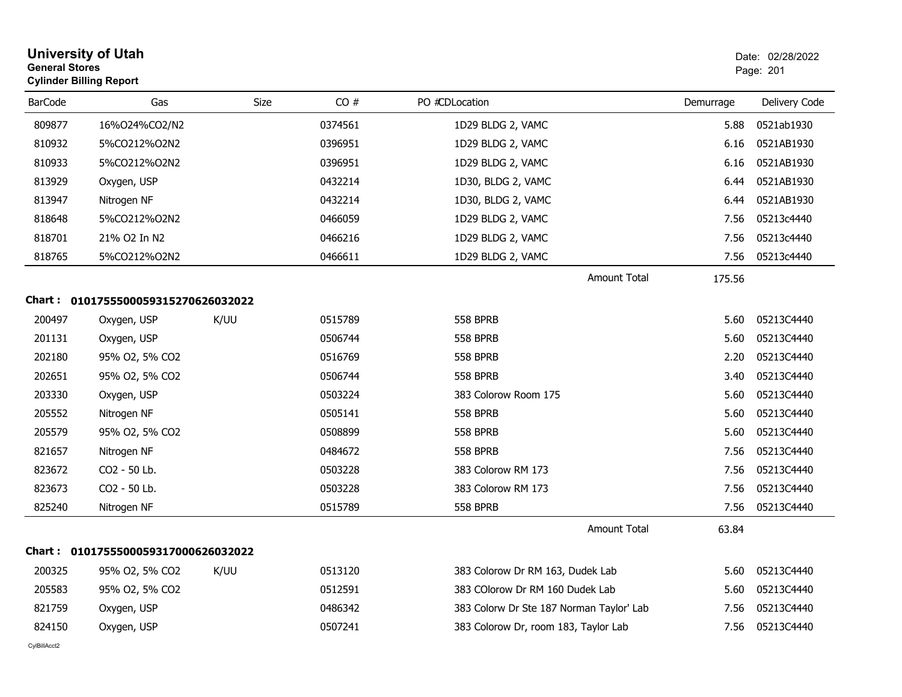| <b>University of Utah</b><br><b>General Stores</b><br><b>Cylinder Billing Report</b> |                              |             |         |                                          |           | Date: 02/28/2022<br>Page: 201 |  |
|--------------------------------------------------------------------------------------|------------------------------|-------------|---------|------------------------------------------|-----------|-------------------------------|--|
| <b>BarCode</b>                                                                       | Gas                          | <b>Size</b> | CO#     | PO #CDLocation                           | Demurrage | Delivery Code                 |  |
| 809877                                                                               | 16%O24%CO2/N2                |             | 0374561 | 1D29 BLDG 2, VAMC                        | 5.88      | 0521ab1930                    |  |
| 810932                                                                               | 5%CO212%O2N2                 |             | 0396951 | 1D29 BLDG 2, VAMC                        | 6.16      | 0521AB1930                    |  |
| 810933                                                                               | 5%CO212%O2N2                 |             | 0396951 | 1D29 BLDG 2, VAMC                        | 6.16      | 0521AB1930                    |  |
| 813929                                                                               | Oxygen, USP                  |             | 0432214 | 1D30, BLDG 2, VAMC                       | 6.44      | 0521AB1930                    |  |
| 813947                                                                               | Nitrogen NF                  |             | 0432214 | 1D30, BLDG 2, VAMC                       | 6.44      | 0521AB1930                    |  |
| 818648                                                                               | 5%CO212%O2N2                 |             | 0466059 | 1D29 BLDG 2, VAMC                        | 7.56      | 05213c4440                    |  |
| 818701                                                                               | 21% O2 In N2                 |             | 0466216 | 1D29 BLDG 2, VAMC                        | 7.56      | 05213c4440                    |  |
| 818765                                                                               | 5%CO212%O2N2                 |             | 0466611 | 1D29 BLDG 2, VAMC                        | 7.56      | 05213c4440                    |  |
|                                                                                      |                              |             |         | <b>Amount Total</b>                      | 175.56    |                               |  |
| Chart :                                                                              | 0101755500059315270626032022 |             |         |                                          |           |                               |  |
| 200497                                                                               | Oxygen, USP                  | K/UU        | 0515789 | <b>558 BPRB</b>                          | 5.60      | 05213C4440                    |  |
| 201131                                                                               | Oxygen, USP                  |             | 0506744 | <b>558 BPRB</b>                          | 5.60      | 05213C4440                    |  |
| 202180                                                                               | 95% O2, 5% CO2               |             | 0516769 | <b>558 BPRB</b>                          | 2.20      | 05213C4440                    |  |
| 202651                                                                               | 95% O2, 5% CO2               |             | 0506744 | <b>558 BPRB</b>                          | 3.40      | 05213C4440                    |  |
| 203330                                                                               | Oxygen, USP                  |             | 0503224 | 383 Colorow Room 175                     | 5.60      | 05213C4440                    |  |
| 205552                                                                               | Nitrogen NF                  |             | 0505141 | <b>558 BPRB</b>                          | 5.60      | 05213C4440                    |  |
| 205579                                                                               | 95% O2, 5% CO2               |             | 0508899 | <b>558 BPRB</b>                          | 5.60      | 05213C4440                    |  |
| 821657                                                                               | Nitrogen NF                  |             | 0484672 | <b>558 BPRB</b>                          | 7.56      | 05213C4440                    |  |
| 823672                                                                               | CO2 - 50 Lb.                 |             | 0503228 | 383 Colorow RM 173                       | 7.56      | 05213C4440                    |  |
| 823673                                                                               | CO2 - 50 Lb.                 |             | 0503228 | 383 Colorow RM 173                       | 7.56      | 05213C4440                    |  |
| 825240                                                                               | Nitrogen NF                  |             | 0515789 | <b>558 BPRB</b>                          | 7.56      | 05213C4440                    |  |
|                                                                                      |                              |             |         | Amount Total                             | 63.84     |                               |  |
| Chart :                                                                              | 0101755500059317000626032022 |             |         |                                          |           |                               |  |
| 200325                                                                               | 95% O2, 5% CO2               | K/UU        | 0513120 | 383 Colorow Dr RM 163, Dudek Lab         | 5.60      | 05213C4440                    |  |
| 205583                                                                               | 95% O2, 5% CO2               |             | 0512591 | 383 COlorow Dr RM 160 Dudek Lab          | 5.60      | 05213C4440                    |  |
| 821759                                                                               | Oxygen, USP                  |             | 0486342 | 383 Colorw Dr Ste 187 Norman Taylor' Lab | 7.56      | 05213C4440                    |  |
| 824150                                                                               | Oxygen, USP                  |             | 0507241 | 383 Colorow Dr, room 183, Taylor Lab     | 7.56      | 05213C4440                    |  |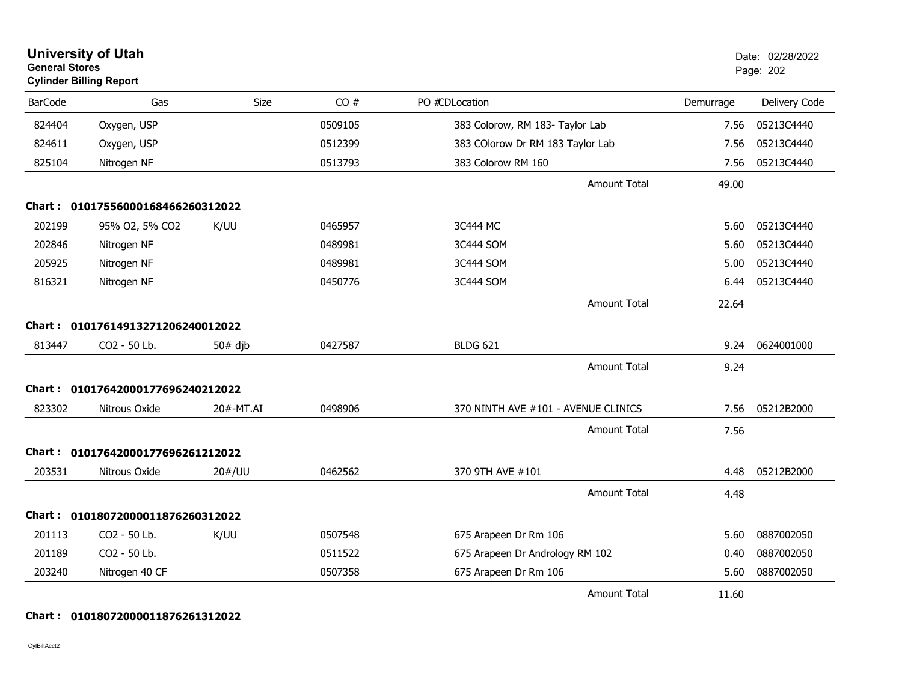| <b>General Stores</b> | <b>University of Utah</b><br><b>Cylinder Billing Report</b> |           |         |                                     |           | Date: 02/28/2022<br>Page: 202 |
|-----------------------|-------------------------------------------------------------|-----------|---------|-------------------------------------|-----------|-------------------------------|
| <b>BarCode</b>        | Gas                                                         | Size      | CO#     | PO #CDLocation                      | Demurrage | Delivery Code                 |
| 824404                | Oxygen, USP                                                 |           | 0509105 | 383 Colorow, RM 183- Taylor Lab     | 7.56      | 05213C4440                    |
| 824611                | Oxygen, USP                                                 |           | 0512399 | 383 COlorow Dr RM 183 Taylor Lab    | 7.56      | 05213C4440                    |
| 825104                | Nitrogen NF                                                 |           | 0513793 | 383 Colorow RM 160                  | 7.56      | 05213C4440                    |
|                       |                                                             |           |         | <b>Amount Total</b>                 | 49.00     |                               |
|                       | Chart: 01017556000168466260312022                           |           |         |                                     |           |                               |
| 202199                | 95% O2, 5% CO2                                              | K/UU      | 0465957 | 3C444 MC                            | 5.60      | 05213C4440                    |
| 202846                | Nitrogen NF                                                 |           | 0489981 | 3C444 SOM                           | 5.60      | 05213C4440                    |
| 205925                | Nitrogen NF                                                 |           | 0489981 | 3C444 SOM                           | 5.00      | 05213C4440                    |
| 816321                | Nitrogen NF                                                 |           | 0450776 | 3C444 SOM                           | 6.44      | 05213C4440                    |
|                       |                                                             |           |         | <b>Amount Total</b>                 | 22.64     |                               |
|                       | Chart: 01017614913271206240012022                           |           |         |                                     |           |                               |
| 813447                | CO2 - 50 Lb.                                                | $50#$ djb | 0427587 | <b>BLDG 621</b>                     | 9.24      | 0624001000                    |
|                       |                                                             |           |         | <b>Amount Total</b>                 | 9.24      |                               |
|                       | Chart: 01017642000177696240212022                           |           |         |                                     |           |                               |
| 823302                | Nitrous Oxide                                               | 20#-MT.AI | 0498906 | 370 NINTH AVE #101 - AVENUE CLINICS | 7.56      | 05212B2000                    |
|                       |                                                             |           |         | Amount Total                        | 7.56      |                               |
|                       | Chart: 01017642000177696261212022                           |           |         |                                     |           |                               |
| 203531                | Nitrous Oxide                                               | 20#/UU    | 0462562 | 370 9TH AVE #101                    | 4.48      | 05212B2000                    |
|                       |                                                             |           |         | <b>Amount Total</b>                 | 4.48      |                               |
|                       | Chart: 01018072000011876260312022                           |           |         |                                     |           |                               |
| 201113                | CO2 - 50 Lb.                                                | K/UU      | 0507548 | 675 Arapeen Dr Rm 106               | 5.60      | 0887002050                    |
| 201189                | CO2 - 50 Lb.                                                |           | 0511522 | 675 Arapeen Dr Andrology RM 102     | 0.40      | 0887002050                    |
| 203240                | Nitrogen 40 CF                                              |           | 0507358 | 675 Arapeen Dr Rm 106               | 5.60      | 0887002050                    |
|                       |                                                             |           |         | <b>Amount Total</b>                 | 11.60     |                               |

#### **Chart : 01018072000011876261312022**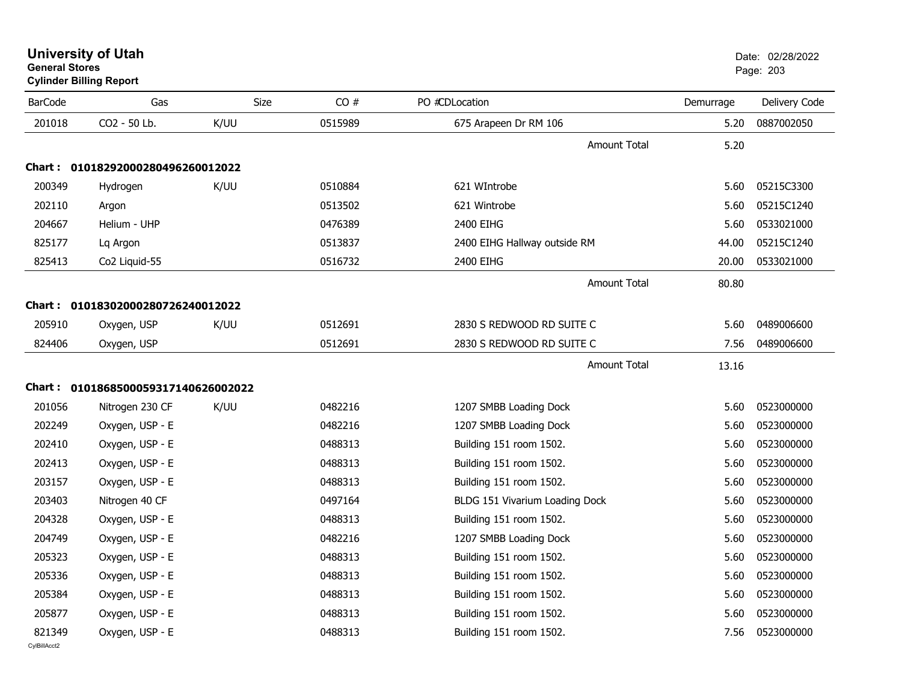| <b>BarCode</b> | Gas                                 | Size | CO#     | PO #CDLocation                 | Demurrage | Delivery Code |
|----------------|-------------------------------------|------|---------|--------------------------------|-----------|---------------|
| 201018         | CO2 - 50 Lb.                        | K/UU | 0515989 | 675 Arapeen Dr RM 106          | 5.20      | 0887002050    |
|                |                                     |      |         | <b>Amount Total</b>            | 5.20      |               |
|                | Chart: 01018292000280496260012022   |      |         |                                |           |               |
| 200349         | Hydrogen                            | K/UU | 0510884 | 621 WIntrobe                   | 5.60      | 05215C3300    |
| 202110         | Argon                               |      | 0513502 | 621 Wintrobe                   | 5.60      | 05215C1240    |
| 204667         | Helium - UHP                        |      | 0476389 | 2400 EIHG                      | 5.60      | 0533021000    |
| 825177         | Lq Argon                            |      | 0513837 | 2400 EIHG Hallway outside RM   | 44.00     | 05215C1240    |
| 825413         | Co2 Liquid-55                       |      | 0516732 | 2400 EIHG                      | 20.00     | 0533021000    |
|                |                                     |      |         | <b>Amount Total</b>            | 80.80     |               |
|                | Chart: 01018302000280726240012022   |      |         |                                |           |               |
| 205910         | Oxygen, USP                         | K/UU | 0512691 | 2830 S REDWOOD RD SUITE C      | 5.60      | 0489006600    |
| 824406         | Oxygen, USP                         |      | 0512691 | 2830 S REDWOOD RD SUITE C      | 7.56      | 0489006600    |
|                |                                     |      |         | <b>Amount Total</b>            | 13.16     |               |
|                | Chart: 0101868500059317140626002022 |      |         |                                |           |               |
| 201056         | Nitrogen 230 CF                     | K/UU | 0482216 | 1207 SMBB Loading Dock         | 5.60      | 0523000000    |
| 202249         | Oxygen, USP - E                     |      | 0482216 | 1207 SMBB Loading Dock         | 5.60      | 0523000000    |
| 202410         | Oxygen, USP - E                     |      | 0488313 | Building 151 room 1502.        | 5.60      | 0523000000    |
| 202413         | Oxygen, USP - E                     |      | 0488313 | Building 151 room 1502.        | 5.60      | 0523000000    |
| 203157         | Oxygen, USP - E                     |      | 0488313 | Building 151 room 1502.        | 5.60      | 0523000000    |
| 203403         | Nitrogen 40 CF                      |      | 0497164 | BLDG 151 Vivarium Loading Dock | 5.60      | 0523000000    |
| 204328         | Oxygen, USP - E                     |      | 0488313 | Building 151 room 1502.        | 5.60      | 0523000000    |
| 204749         | Oxygen, USP - E                     |      | 0482216 | 1207 SMBB Loading Dock         | 5.60      | 0523000000    |
| 205323         | Oxygen, USP - E                     |      | 0488313 | Building 151 room 1502.        | 5.60      | 0523000000    |
| 205336         | Oxygen, USP - E                     |      | 0488313 | Building 151 room 1502.        | 5.60      | 0523000000    |
| 205384         | Oxygen, USP - E                     |      | 0488313 | Building 151 room 1502.        | 5.60      | 0523000000    |
| 205877         | Oxygen, USP - E                     |      | 0488313 | Building 151 room 1502.        | 5.60      | 0523000000    |
| 821349         | Oxygen, USP - E                     |      | 0488313 | Building 151 room 1502.        | 7.56      | 0523000000    |

#### **University of Utah** Date: 02/28/2022 **General Stores**s and the contract of the contract of the contract of the contract of the contract of the contract of the contract of the contract of the contract of the contract of the contract of the contract of the contract of the cont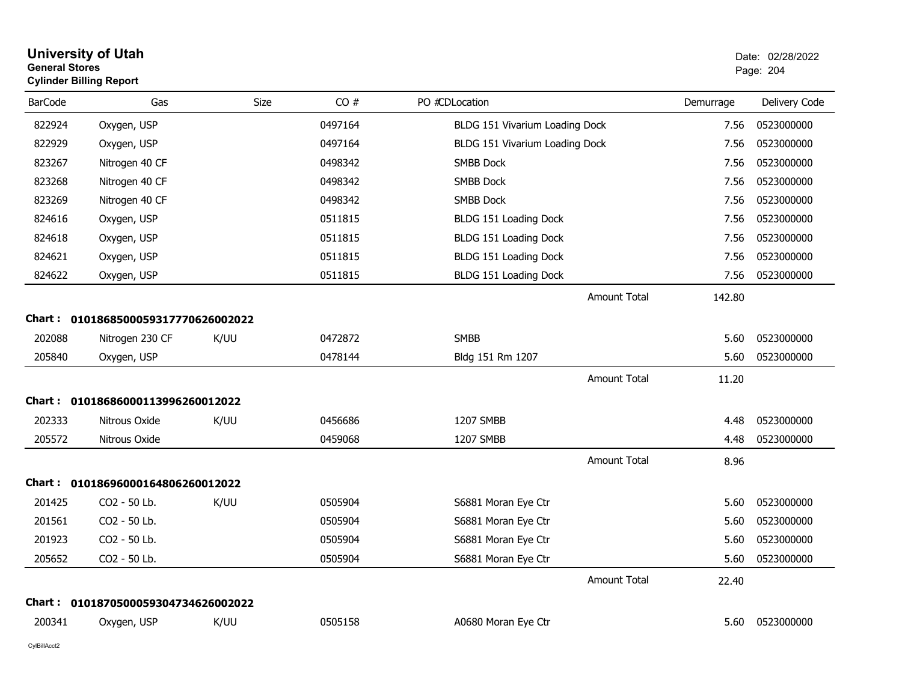| <b>General Stores</b> | <b>University of Utah</b><br><b>Cylinder Billing Report</b> |             |         |                                |           | Date: 02/28/2022<br>Page: 204 |
|-----------------------|-------------------------------------------------------------|-------------|---------|--------------------------------|-----------|-------------------------------|
| <b>BarCode</b>        | Gas                                                         | <b>Size</b> | CO#     | PO #CDLocation                 | Demurrage | Delivery Code                 |
| 822924                | Oxygen, USP                                                 |             | 0497164 | BLDG 151 Vivarium Loading Dock | 7.56      | 0523000000                    |
| 822929                | Oxygen, USP                                                 |             | 0497164 | BLDG 151 Vivarium Loading Dock | 7.56      | 0523000000                    |
| 823267                | Nitrogen 40 CF                                              |             | 0498342 | <b>SMBB Dock</b>               | 7.56      | 0523000000                    |
| 823268                | Nitrogen 40 CF                                              |             | 0498342 | <b>SMBB Dock</b>               | 7.56      | 0523000000                    |
| 823269                | Nitrogen 40 CF                                              |             | 0498342 | <b>SMBB Dock</b>               | 7.56      | 0523000000                    |
| 824616                | Oxygen, USP                                                 |             | 0511815 | BLDG 151 Loading Dock          | 7.56      | 0523000000                    |
| 824618                | Oxygen, USP                                                 |             | 0511815 | BLDG 151 Loading Dock          | 7.56      | 0523000000                    |
| 824621                | Oxygen, USP                                                 |             | 0511815 | BLDG 151 Loading Dock          | 7.56      | 0523000000                    |
| 824622                | Oxygen, USP                                                 |             | 0511815 | BLDG 151 Loading Dock          | 7.56      | 0523000000                    |
|                       |                                                             |             |         | <b>Amount Total</b>            | 142.80    |                               |
|                       | Chart: 0101868500059317770626002022                         |             |         |                                |           |                               |
| 202088                | Nitrogen 230 CF                                             | K/UU        | 0472872 | <b>SMBB</b>                    | 5.60      | 0523000000                    |
| 205840                | Oxygen, USP                                                 |             | 0478144 | Bldg 151 Rm 1207               | 5.60      | 0523000000                    |
|                       |                                                             |             |         | <b>Amount Total</b>            | 11.20     |                               |
|                       | Chart: 01018686000113996260012022                           |             |         |                                |           |                               |
| 202333                | Nitrous Oxide                                               | K/UU        | 0456686 | 1207 SMBB                      | 4.48      | 0523000000                    |
| 205572                | Nitrous Oxide                                               |             | 0459068 | 1207 SMBB                      | 4.48      | 0523000000                    |
|                       |                                                             |             |         | <b>Amount Total</b>            | 8.96      |                               |
|                       | Chart: 01018696000164806260012022                           |             |         |                                |           |                               |
| 201425                | CO <sub>2</sub> - 50 Lb.                                    | K/UU        | 0505904 | S6881 Moran Eye Ctr            | 5.60      | 0523000000                    |
| 201561                | CO2 - 50 Lb.                                                |             | 0505904 | S6881 Moran Eye Ctr            | 5.60      | 0523000000                    |
| 201923                | CO2 - 50 Lb.                                                |             | 0505904 | S6881 Moran Eye Ctr            | 5.60      | 0523000000                    |
| 205652                | CO <sub>2</sub> - 50 Lb.                                    |             | 0505904 | S6881 Moran Eye Ctr            | 5.60      | 0523000000                    |
|                       |                                                             |             |         | <b>Amount Total</b>            | 22.40     |                               |
|                       | Chart: 0101870500059304734626002022                         |             |         |                                |           |                               |
| 200341                | Oxygen, USP                                                 | K/UU        | 0505158 | A0680 Moran Eye Ctr            | 5.60      | 0523000000                    |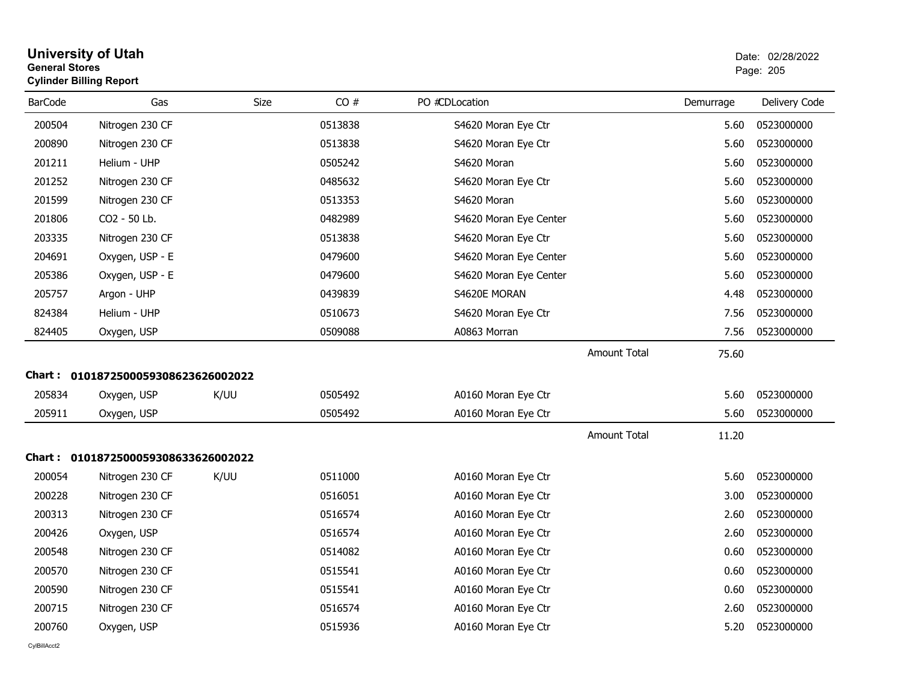| General Stores | <b>Cylinder Billing Report</b>      |             |         |                        |                     |           | Page: 205     |
|----------------|-------------------------------------|-------------|---------|------------------------|---------------------|-----------|---------------|
| <b>BarCode</b> | Gas                                 | <b>Size</b> | CO#     | PO #CDLocation         |                     | Demurrage | Delivery Code |
| 200504         | Nitrogen 230 CF                     |             | 0513838 | S4620 Moran Eye Ctr    |                     | 5.60      | 0523000000    |
| 200890         | Nitrogen 230 CF                     |             | 0513838 | S4620 Moran Eye Ctr    |                     | 5.60      | 0523000000    |
| 201211         | Helium - UHP                        |             | 0505242 | S4620 Moran            |                     | 5.60      | 0523000000    |
| 201252         | Nitrogen 230 CF                     |             | 0485632 | S4620 Moran Eye Ctr    |                     | 5.60      | 0523000000    |
| 201599         | Nitrogen 230 CF                     |             | 0513353 | S4620 Moran            |                     | 5.60      | 0523000000    |
| 201806         | CO2 - 50 Lb.                        |             | 0482989 | S4620 Moran Eye Center |                     | 5.60      | 0523000000    |
| 203335         | Nitrogen 230 CF                     |             | 0513838 | S4620 Moran Eye Ctr    |                     | 5.60      | 0523000000    |
| 204691         | Oxygen, USP - E                     |             | 0479600 | S4620 Moran Eye Center |                     | 5.60      | 0523000000    |
| 205386         | Oxygen, USP - E                     |             | 0479600 | S4620 Moran Eye Center |                     | 5.60      | 0523000000    |
| 205757         | Argon - UHP                         |             | 0439839 | S4620E MORAN           |                     | 4.48      | 0523000000    |
| 824384         | Helium - UHP                        |             | 0510673 | S4620 Moran Eye Ctr    |                     | 7.56      | 0523000000    |
| 824405         | Oxygen, USP                         |             | 0509088 | A0863 Morran           |                     | 7.56      | 0523000000    |
|                |                                     |             |         |                        | <b>Amount Total</b> | 75.60     |               |
|                | Chart: 0101872500059308623626002022 |             |         |                        |                     |           |               |
| 205834         | Oxygen, USP                         | K/UU        | 0505492 | A0160 Moran Eye Ctr    |                     | 5.60      | 0523000000    |
| 205911         | Oxygen, USP                         |             | 0505492 | A0160 Moran Eye Ctr    |                     | 5.60      | 0523000000    |
|                |                                     |             |         |                        | <b>Amount Total</b> | 11.20     |               |
|                | Chart: 0101872500059308633626002022 |             |         |                        |                     |           |               |
| 200054         | Nitrogen 230 CF                     | K/UU        | 0511000 | A0160 Moran Eye Ctr    |                     | 5.60      | 0523000000    |
| 200228         | Nitrogen 230 CF                     |             | 0516051 | A0160 Moran Eye Ctr    |                     | 3.00      | 0523000000    |
| 200313         | Nitrogen 230 CF                     |             | 0516574 | A0160 Moran Eye Ctr    |                     | 2.60      | 0523000000    |
| 200426         | Oxygen, USP                         |             | 0516574 | A0160 Moran Eye Ctr    |                     | 2.60      | 0523000000    |
| 200548         | Nitrogen 230 CF                     |             | 0514082 | A0160 Moran Eye Ctr    |                     | 0.60      | 0523000000    |
| 200570         | Nitrogen 230 CF                     |             | 0515541 | A0160 Moran Eye Ctr    |                     | 0.60      | 0523000000    |
| 200590         | Nitrogen 230 CF                     |             | 0515541 | A0160 Moran Eye Ctr    |                     | 0.60      | 0523000000    |
| 200715         | Nitrogen 230 CF                     |             | 0516574 | A0160 Moran Eye Ctr    |                     | 2.60      | 0523000000    |
| 200760         | Oxygen, USP                         |             | 0515936 | A0160 Moran Eye Ctr    |                     | 5.20      | 0523000000    |

### **University of Utah** Date: 02/28/2022 **General Stores**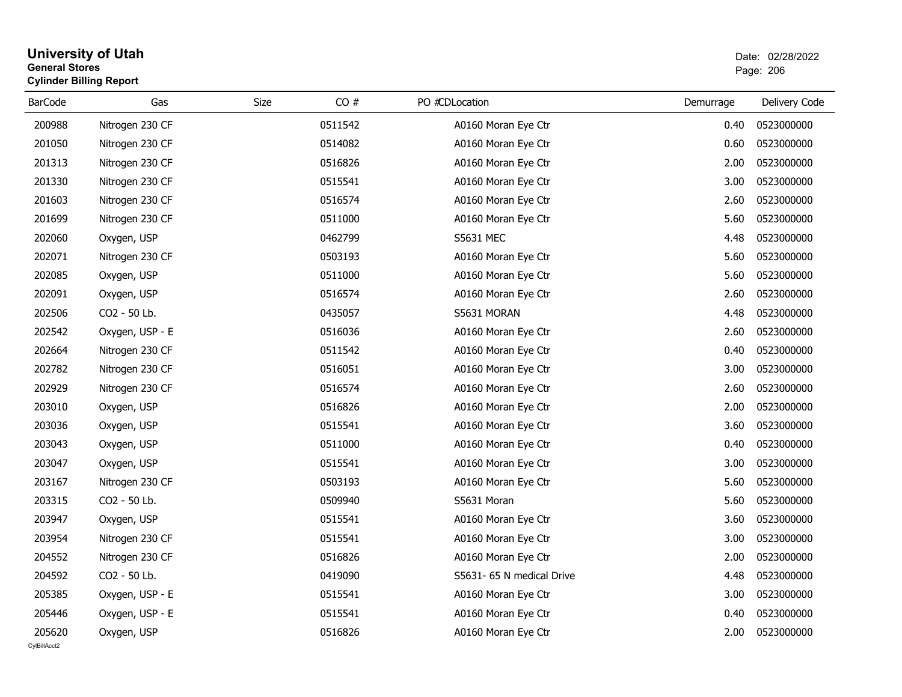#### **University of Utah** Date: 02/28/2022 **General Stores**entry of the contract of the contract of the contract of the contract of the contract of the contract of the contract of the contract of the contract of the contract of the contract of the contract of the contract of the c **Cylinder Billing Report**

| <b>BarCode</b> | Gas             | CO#<br>Size | PO #CDLocation            | Demurrage | Delivery Code |
|----------------|-----------------|-------------|---------------------------|-----------|---------------|
| 200988         | Nitrogen 230 CF | 0511542     | A0160 Moran Eye Ctr       | 0.40      | 0523000000    |
| 201050         | Nitrogen 230 CF | 0514082     | A0160 Moran Eye Ctr       | 0.60      | 0523000000    |
| 201313         | Nitrogen 230 CF | 0516826     | A0160 Moran Eye Ctr       | 2.00      | 0523000000    |
| 201330         | Nitrogen 230 CF | 0515541     | A0160 Moran Eye Ctr       | 3.00      | 0523000000    |
| 201603         | Nitrogen 230 CF | 0516574     | A0160 Moran Eye Ctr       | 2.60      | 0523000000    |
| 201699         | Nitrogen 230 CF | 0511000     | A0160 Moran Eye Ctr       | 5.60      | 0523000000    |
| 202060         | Oxygen, USP     | 0462799     | <b>S5631 MEC</b>          | 4.48      | 0523000000    |
| 202071         | Nitrogen 230 CF | 0503193     | A0160 Moran Eye Ctr       | 5.60      | 0523000000    |
| 202085         | Oxygen, USP     | 0511000     | A0160 Moran Eye Ctr       | 5.60      | 0523000000    |
| 202091         | Oxygen, USP     | 0516574     | A0160 Moran Eye Ctr       | 2.60      | 0523000000    |
| 202506         | CO2 - 50 Lb.    | 0435057     | S5631 MORAN               | 4.48      | 0523000000    |
| 202542         | Oxygen, USP - E | 0516036     | A0160 Moran Eye Ctr       | 2.60      | 0523000000    |
| 202664         | Nitrogen 230 CF | 0511542     | A0160 Moran Eye Ctr       | 0.40      | 0523000000    |
| 202782         | Nitrogen 230 CF | 0516051     | A0160 Moran Eye Ctr       | 3.00      | 0523000000    |
| 202929         | Nitrogen 230 CF | 0516574     | A0160 Moran Eye Ctr       | 2.60      | 0523000000    |
| 203010         | Oxygen, USP     | 0516826     | A0160 Moran Eye Ctr       | 2.00      | 0523000000    |
| 203036         | Oxygen, USP     | 0515541     | A0160 Moran Eye Ctr       | 3.60      | 0523000000    |
| 203043         | Oxygen, USP     | 0511000     | A0160 Moran Eye Ctr       | 0.40      | 0523000000    |
| 203047         | Oxygen, USP     | 0515541     | A0160 Moran Eye Ctr       | 3.00      | 0523000000    |
| 203167         | Nitrogen 230 CF | 0503193     | A0160 Moran Eye Ctr       | 5.60      | 0523000000    |
| 203315         | CO2 - 50 Lb.    | 0509940     | S5631 Moran               | 5.60      | 0523000000    |
| 203947         | Oxygen, USP     | 0515541     | A0160 Moran Eye Ctr       | 3.60      | 0523000000    |
| 203954         | Nitrogen 230 CF | 0515541     | A0160 Moran Eye Ctr       | 3.00      | 0523000000    |
| 204552         | Nitrogen 230 CF | 0516826     | A0160 Moran Eye Ctr       | 2.00      | 0523000000    |
| 204592         | CO2 - 50 Lb.    | 0419090     | S5631- 65 N medical Drive | 4.48      | 0523000000    |
| 205385         | Oxygen, USP - E | 0515541     | A0160 Moran Eye Ctr       | 3.00      | 0523000000    |
| 205446         | Oxygen, USP - E | 0515541     | A0160 Moran Eye Ctr       | 0.40      | 0523000000    |
| 205620         | Oxygen, USP     | 0516826     | A0160 Moran Eye Ctr       | 2.00      | 0523000000    |
| CvIBillAcct2   |                 |             |                           |           |               |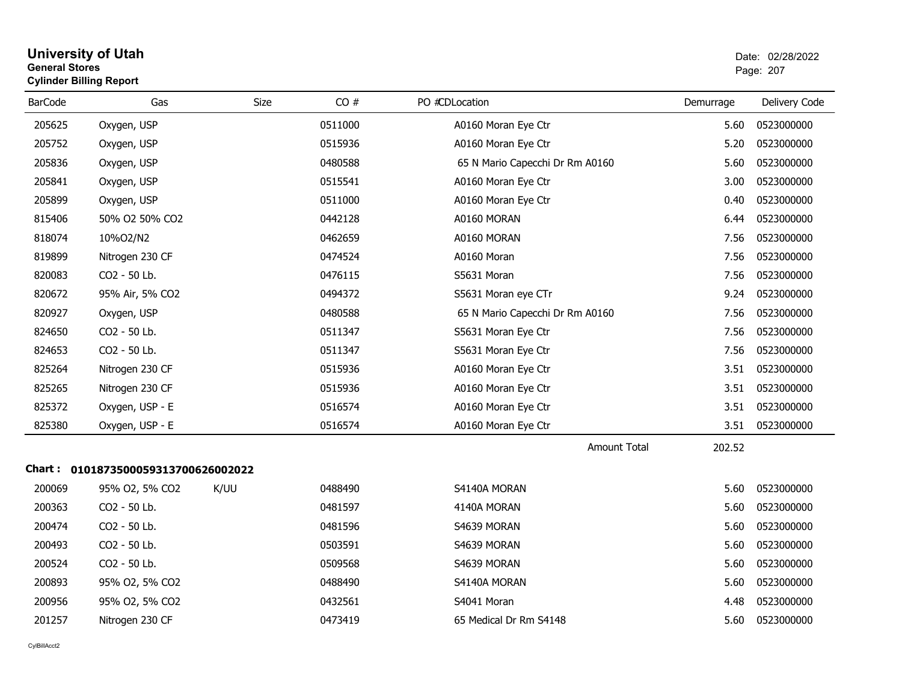| <b>University of Utah</b>      | Date: 02/2 |
|--------------------------------|------------|
| <b>General Stores</b>          | Page: 207  |
| <b>Cylinder Billing Report</b> |            |

| <b>BarCode</b> | Gas                                 | Size | CO#     | PO #CDLocation                  | Demurrage | Delivery Code |
|----------------|-------------------------------------|------|---------|---------------------------------|-----------|---------------|
| 205625         | Oxygen, USP                         |      | 0511000 | A0160 Moran Eye Ctr             | 5.60      | 0523000000    |
| 205752         | Oxygen, USP                         |      | 0515936 | A0160 Moran Eye Ctr             | 5.20      | 0523000000    |
| 205836         | Oxygen, USP                         |      | 0480588 | 65 N Mario Capecchi Dr Rm A0160 | 5.60      | 0523000000    |
| 205841         | Oxygen, USP                         |      | 0515541 | A0160 Moran Eye Ctr             | 3.00      | 0523000000    |
| 205899         | Oxygen, USP                         |      | 0511000 | A0160 Moran Eye Ctr             | 0.40      | 0523000000    |
| 815406         | 50% O2 50% CO2                      |      | 0442128 | A0160 MORAN                     | 6.44      | 0523000000    |
| 818074         | 10%O2/N2                            |      | 0462659 | A0160 MORAN                     | 7.56      | 0523000000    |
| 819899         | Nitrogen 230 CF                     |      | 0474524 | A0160 Moran                     | 7.56      | 0523000000    |
| 820083         | CO2 - 50 Lb.                        |      | 0476115 | S5631 Moran                     | 7.56      | 0523000000    |
| 820672         | 95% Air, 5% CO2                     |      | 0494372 | S5631 Moran eye CTr             | 9.24      | 0523000000    |
| 820927         | Oxygen, USP                         |      | 0480588 | 65 N Mario Capecchi Dr Rm A0160 | 7.56      | 0523000000    |
| 824650         | CO2 - 50 Lb.                        |      | 0511347 | S5631 Moran Eye Ctr             | 7.56      | 0523000000    |
| 824653         | CO2 - 50 Lb.                        |      | 0511347 | S5631 Moran Eye Ctr             | 7.56      | 0523000000    |
| 825264         | Nitrogen 230 CF                     |      | 0515936 | A0160 Moran Eye Ctr             | 3.51      | 0523000000    |
| 825265         | Nitrogen 230 CF                     |      | 0515936 | A0160 Moran Eye Ctr             | 3.51      | 0523000000    |
| 825372         | Oxygen, USP - E                     |      | 0516574 | A0160 Moran Eye Ctr             | 3.51      | 0523000000    |
| 825380         | Oxygen, USP - E                     |      | 0516574 | A0160 Moran Eye Ctr             | 3.51      | 0523000000    |
|                |                                     |      |         | <b>Amount Total</b>             | 202.52    |               |
|                | Chart: 0101873500059313700626002022 |      |         |                                 |           |               |
| 200069         | 95% O2, 5% CO2                      | K/UU | 0488490 | S4140A MORAN                    | 5.60      | 0523000000    |
| 200363         | CO2 - 50 Lb.                        |      | 0481597 | 4140A MORAN                     | 5.60      | 0523000000    |
| 200474         | CO2 - 50 Lb.                        |      | 0481596 | S4639 MORAN                     | 5.60      | 0523000000    |
| 200493         | CO2 - 50 Lb.                        |      | 0503591 | S4639 MORAN                     | 5.60      | 0523000000    |
| 200524         | CO2 - 50 Lb.                        |      | 0509568 | S4639 MORAN                     | 5.60      | 0523000000    |
| 200893         | 95% O2, 5% CO2                      |      | 0488490 | S4140A MORAN                    | 5.60      | 0523000000    |
| 200956         | 95% O2, 5% CO2                      |      | 0432561 | S4041 Moran                     | 4.48      | 0523000000    |
| 201257         | Nitrogen 230 CF                     |      | 0473419 | 65 Medical Dr Rm S4148          | 5.60      | 0523000000    |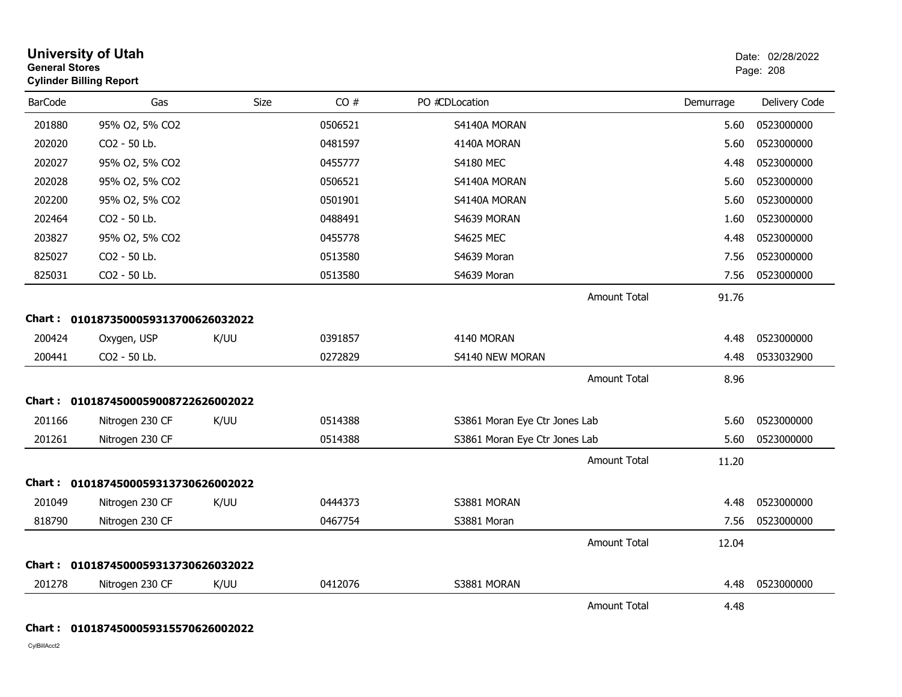| <b>General Stores</b> | <b>University of Utah</b><br><b>Cylinder Billing Report</b> |      |         |                               |           | Date: 02/28/2022<br>Page: 208 |
|-----------------------|-------------------------------------------------------------|------|---------|-------------------------------|-----------|-------------------------------|
| <b>BarCode</b>        | Gas                                                         | Size | CO#     | PO #CDLocation                | Demurrage | Delivery Code                 |
| 201880                | 95% O2, 5% CO2                                              |      | 0506521 | S4140A MORAN                  | 5.60      | 0523000000                    |
| 202020                | CO2 - 50 Lb.                                                |      | 0481597 | 4140A MORAN                   | 5.60      | 0523000000                    |
| 202027                | 95% O2, 5% CO2                                              |      | 0455777 | <b>S4180 MEC</b>              | 4.48      | 0523000000                    |
| 202028                | 95% O2, 5% CO2                                              |      | 0506521 | S4140A MORAN                  | 5.60      | 0523000000                    |
| 202200                | 95% O2, 5% CO2                                              |      | 0501901 | S4140A MORAN                  | 5.60      | 0523000000                    |
| 202464                | CO2 - 50 Lb.                                                |      | 0488491 | S4639 MORAN                   | 1.60      | 0523000000                    |
| 203827                | 95% O2, 5% CO2                                              |      | 0455778 | <b>S4625 MEC</b>              | 4.48      | 0523000000                    |
| 825027                | CO2 - 50 Lb.                                                |      | 0513580 | S4639 Moran                   | 7.56      | 0523000000                    |
| 825031                | CO2 - 50 Lb.                                                |      | 0513580 | S4639 Moran                   | 7.56      | 0523000000                    |
|                       |                                                             |      |         | <b>Amount Total</b>           | 91.76     |                               |
|                       | Chart: 0101873500059313700626032022                         |      |         |                               |           |                               |
| 200424                | Oxygen, USP                                                 | K/UU | 0391857 | 4140 MORAN                    | 4.48      | 0523000000                    |
| 200441                | CO2 - 50 Lb.                                                |      | 0272829 | S4140 NEW MORAN               | 4.48      | 0533032900                    |
|                       |                                                             |      |         | <b>Amount Total</b>           | 8.96      |                               |
|                       | Chart: 0101874500059008722626002022                         |      |         |                               |           |                               |
| 201166                | Nitrogen 230 CF                                             | K/UU | 0514388 | S3861 Moran Eye Ctr Jones Lab | 5.60      | 0523000000                    |
| 201261                | Nitrogen 230 CF                                             |      | 0514388 | S3861 Moran Eye Ctr Jones Lab | 5.60      | 0523000000                    |
|                       |                                                             |      |         | <b>Amount Total</b>           | 11.20     |                               |
|                       | Chart: 0101874500059313730626002022                         |      |         |                               |           |                               |
| 201049                | Nitrogen 230 CF                                             | K/UU | 0444373 | S3881 MORAN                   | 4.48      | 0523000000                    |
| 818790                | Nitrogen 230 CF                                             |      | 0467754 | S3881 Moran                   | 7.56      | 0523000000                    |
|                       |                                                             |      |         | <b>Amount Total</b>           | 12.04     |                               |
|                       | Chart: 0101874500059313730626032022                         |      |         |                               |           |                               |
| 201278                | Nitrogen 230 CF                                             | K/UU | 0412076 | S3881 MORAN                   | 4.48      | 0523000000                    |
|                       |                                                             |      |         | <b>Amount Total</b>           | 4.48      |                               |

#### **Chart : 0101874500059315570626002022**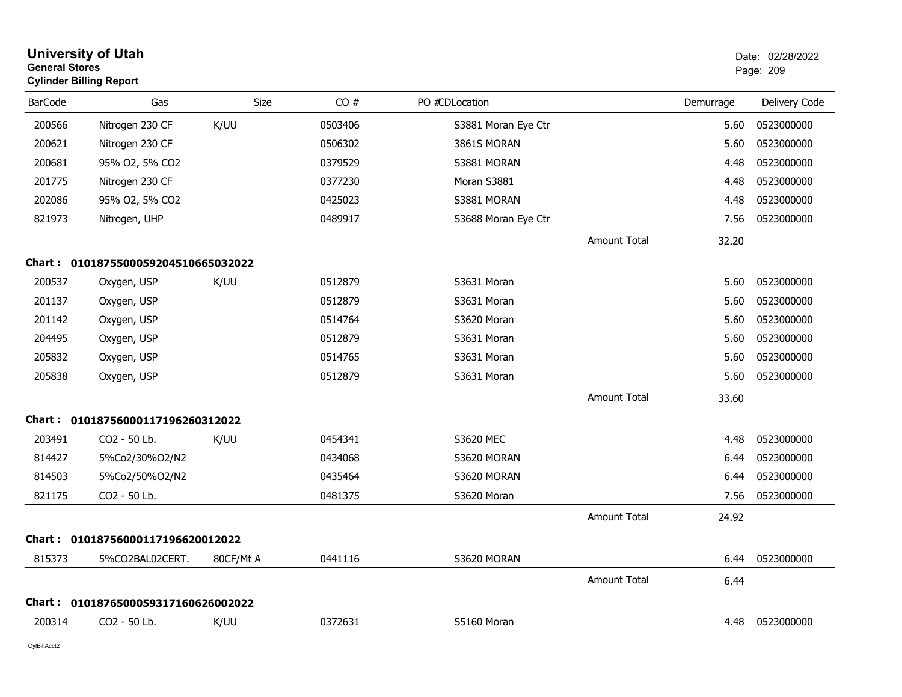| <b>University of Utah</b><br><b>General Stores</b><br><b>Cylinder Billing Report</b> |                                     |             |         |                     |                     | Date: 02/28/2022<br>Page: 209 |               |
|--------------------------------------------------------------------------------------|-------------------------------------|-------------|---------|---------------------|---------------------|-------------------------------|---------------|
| <b>BarCode</b>                                                                       | Gas                                 | <b>Size</b> | CO#     | PO #CDLocation      |                     | Demurrage                     | Delivery Code |
| 200566                                                                               | Nitrogen 230 CF                     | K/UU        | 0503406 | S3881 Moran Eye Ctr |                     | 5.60                          | 0523000000    |
| 200621                                                                               | Nitrogen 230 CF                     |             | 0506302 | 3861S MORAN         |                     | 5.60                          | 0523000000    |
| 200681                                                                               | 95% O2, 5% CO2                      |             | 0379529 | S3881 MORAN         |                     | 4.48                          | 0523000000    |
| 201775                                                                               | Nitrogen 230 CF                     |             | 0377230 | Moran S3881         |                     | 4.48                          | 0523000000    |
| 202086                                                                               | 95% O2, 5% CO2                      |             | 0425023 | S3881 MORAN         |                     | 4.48                          | 0523000000    |
| 821973                                                                               | Nitrogen, UHP                       |             | 0489917 | S3688 Moran Eye Ctr |                     | 7.56                          | 0523000000    |
|                                                                                      |                                     |             |         |                     | Amount Total        | 32.20                         |               |
|                                                                                      | Chart: 0101875500059204510665032022 |             |         |                     |                     |                               |               |
| 200537                                                                               | Oxygen, USP                         | K/UU        | 0512879 | S3631 Moran         |                     | 5.60                          | 0523000000    |
| 201137                                                                               | Oxygen, USP                         |             | 0512879 | S3631 Moran         |                     | 5.60                          | 0523000000    |
| 201142                                                                               | Oxygen, USP                         |             | 0514764 | S3620 Moran         |                     | 5.60                          | 0523000000    |
| 204495                                                                               | Oxygen, USP                         |             | 0512879 | S3631 Moran         |                     | 5.60                          | 0523000000    |
| 205832                                                                               | Oxygen, USP                         |             | 0514765 | S3631 Moran         |                     | 5.60                          | 0523000000    |
| 205838                                                                               | Oxygen, USP                         |             | 0512879 | S3631 Moran         |                     | 5.60                          | 0523000000    |
|                                                                                      |                                     |             |         |                     | Amount Total        | 33.60                         |               |
| Chart :                                                                              | 01018756000117196260312022          |             |         |                     |                     |                               |               |
| 203491                                                                               | CO2 - 50 Lb.                        | K/UU        | 0454341 | S3620 MEC           |                     | 4.48                          | 0523000000    |
| 814427                                                                               | 5%Co2/30%O2/N2                      |             | 0434068 | S3620 MORAN         |                     | 6.44                          | 0523000000    |
| 814503                                                                               | 5%Co2/50%O2/N2                      |             | 0435464 | S3620 MORAN         |                     | 6.44                          | 0523000000    |
| 821175                                                                               | CO2 - 50 Lb.                        |             | 0481375 | S3620 Moran         |                     | 7.56                          | 0523000000    |
|                                                                                      |                                     |             |         |                     | Amount Total        | 24.92                         |               |
| <b>Chart:</b>                                                                        | 01018756000117196620012022          |             |         |                     |                     |                               |               |
| 815373                                                                               | 5%CO2BAL02CERT.                     | 80CF/Mt A   | 0441116 | S3620 MORAN         |                     | 6.44                          | 0523000000    |
|                                                                                      |                                     |             |         |                     | <b>Amount Total</b> | 6.44                          |               |
| Chart :                                                                              | 0101876500059317160626002022        |             |         |                     |                     |                               |               |
| 200314                                                                               | CO <sub>2</sub> - 50 Lb.            | K/UU        | 0372631 | S5160 Moran         |                     | 4.48                          | 0523000000    |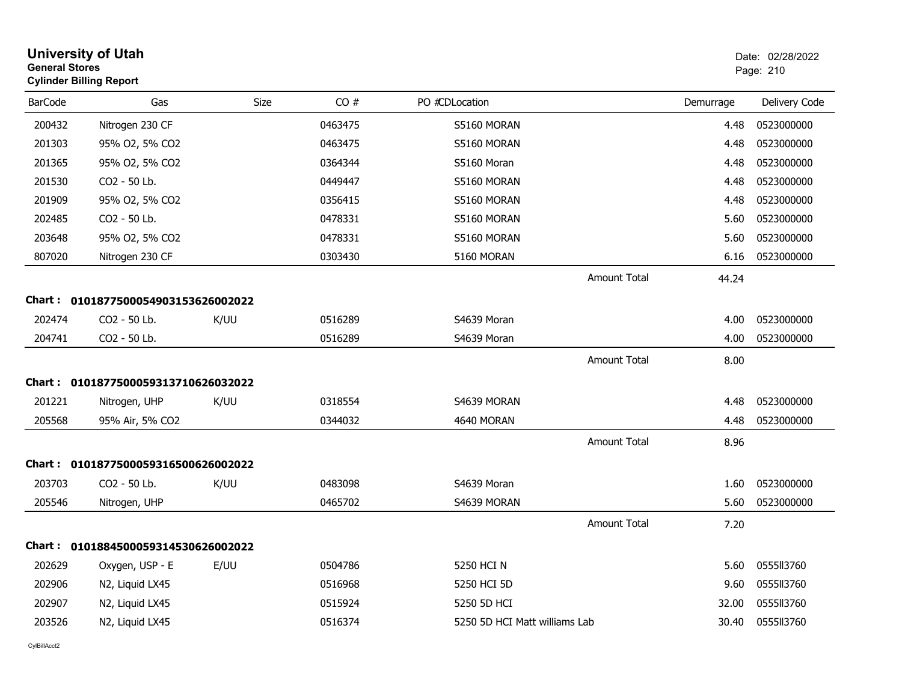| <b>General Stores</b> | <b>University of Utah</b><br><b>Cylinder Billing Report</b> |      |         |                               |                     |           | Date: 02/28/2022<br>Page: 210 |
|-----------------------|-------------------------------------------------------------|------|---------|-------------------------------|---------------------|-----------|-------------------------------|
| <b>BarCode</b>        | Gas                                                         | Size | CO#     | PO #CDLocation                |                     | Demurrage | Delivery Code                 |
| 200432                | Nitrogen 230 CF                                             |      | 0463475 | S5160 MORAN                   |                     | 4.48      | 0523000000                    |
| 201303                | 95% O2, 5% CO2                                              |      | 0463475 | S5160 MORAN                   |                     | 4.48      | 0523000000                    |
| 201365                | 95% O2, 5% CO2                                              |      | 0364344 | S5160 Moran                   |                     | 4.48      | 0523000000                    |
| 201530                | CO2 - 50 Lb.                                                |      | 0449447 | S5160 MORAN                   |                     | 4.48      | 0523000000                    |
| 201909                | 95% O2, 5% CO2                                              |      | 0356415 | S5160 MORAN                   |                     | 4.48      | 0523000000                    |
| 202485                | CO2 - 50 Lb.                                                |      | 0478331 | S5160 MORAN                   |                     | 5.60      | 0523000000                    |
| 203648                | 95% O2, 5% CO2                                              |      | 0478331 | S5160 MORAN                   |                     | 5.60      | 0523000000                    |
| 807020                | Nitrogen 230 CF                                             |      | 0303430 | 5160 MORAN                    |                     | 6.16      | 0523000000                    |
|                       |                                                             |      |         |                               | <b>Amount Total</b> | 44.24     |                               |
|                       | Chart: 0101877500054903153626002022                         |      |         |                               |                     |           |                               |
| 202474                | CO2 - 50 Lb.                                                | K/UU | 0516289 | S4639 Moran                   |                     | 4.00      | 0523000000                    |
| 204741                | CO2 - 50 Lb.                                                |      | 0516289 | S4639 Moran                   |                     | 4.00      | 0523000000                    |
|                       |                                                             |      |         |                               | <b>Amount Total</b> | 8.00      |                               |
|                       | Chart: 0101877500059313710626032022                         |      |         |                               |                     |           |                               |
| 201221                | Nitrogen, UHP                                               | K/UU | 0318554 | S4639 MORAN                   |                     | 4.48      | 0523000000                    |
| 205568                | 95% Air, 5% CO2                                             |      | 0344032 | 4640 MORAN                    |                     | 4.48      | 0523000000                    |
|                       |                                                             |      |         |                               | <b>Amount Total</b> | 8.96      |                               |
|                       | Chart: 0101877500059316500626002022                         |      |         |                               |                     |           |                               |
| 203703                | CO2 - 50 Lb.                                                | K/UU | 0483098 | S4639 Moran                   |                     | 1.60      | 0523000000                    |
| 205546                | Nitrogen, UHP                                               |      | 0465702 | S4639 MORAN                   |                     | 5.60      | 0523000000                    |
|                       |                                                             |      |         |                               | <b>Amount Total</b> | 7.20      |                               |
|                       | Chart: 0101884500059314530626002022                         |      |         |                               |                     |           |                               |
| 202629                | Oxygen, USP - E                                             | E/UU | 0504786 | 5250 HCI N                    |                     | 5.60      | 055513760                     |
| 202906                | N2, Liquid LX45                                             |      | 0516968 | 5250 HCI 5D                   |                     | 9.60      | 0555113760                    |
| 202907                | N2, Liquid LX45                                             |      | 0515924 | 5250 5D HCI                   |                     | 32.00     | 0555II3760                    |
| 203526                | N2, Liquid LX45                                             |      | 0516374 | 5250 5D HCI Matt williams Lab |                     | 30.40     | 0555113760                    |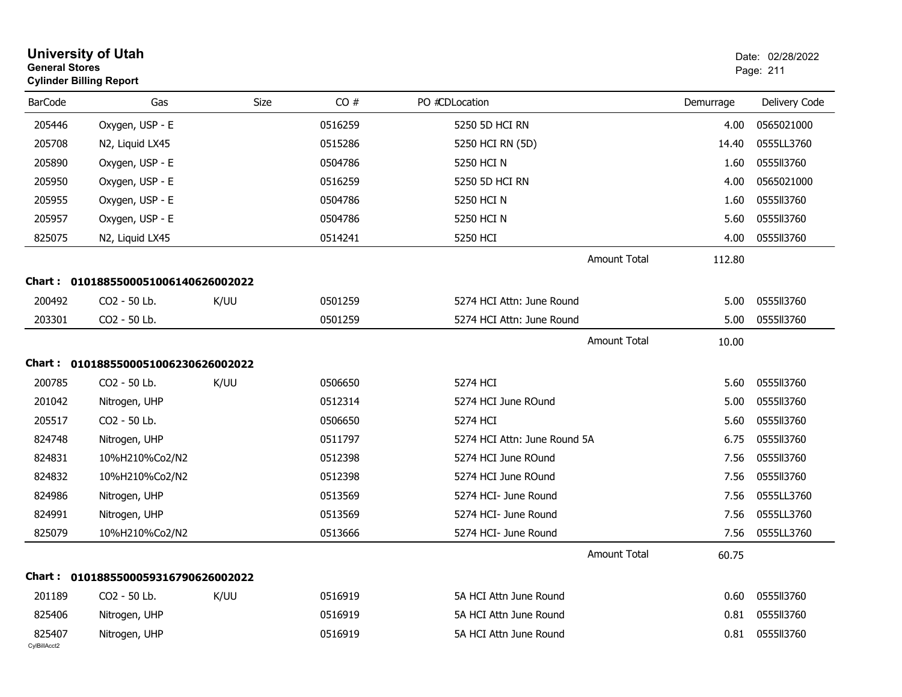|                        | <b>University of Utah</b><br><b>General Stores</b><br><b>Cylinder Billing Report</b> |             |         |                              |                     |           | Date: 02/28/2022<br>Page: 211 |  |
|------------------------|--------------------------------------------------------------------------------------|-------------|---------|------------------------------|---------------------|-----------|-------------------------------|--|
| <b>BarCode</b>         | Gas                                                                                  | <b>Size</b> | CO#     | PO #CDLocation               |                     | Demurrage | Delivery Code                 |  |
| 205446                 | Oxygen, USP - E                                                                      |             | 0516259 | 5250 5D HCI RN               |                     | 4.00      | 0565021000                    |  |
| 205708                 | N2, Liquid LX45                                                                      |             | 0515286 | 5250 HCI RN (5D)             |                     | 14.40     | 0555LL3760                    |  |
| 205890                 | Oxygen, USP - E                                                                      |             | 0504786 | 5250 HCI N                   |                     | 1.60      | 0555113760                    |  |
| 205950                 | Oxygen, USP - E                                                                      |             | 0516259 | 5250 5D HCI RN               |                     | 4.00      | 0565021000                    |  |
| 205955                 | Oxygen, USP - E                                                                      |             | 0504786 | 5250 HCI N                   |                     | 1.60      | 0555113760                    |  |
| 205957                 | Oxygen, USP - E                                                                      |             | 0504786 | 5250 HCI N                   |                     | 5.60      | 0555113760                    |  |
| 825075                 | N2, Liquid LX45                                                                      |             | 0514241 | 5250 HCI                     |                     | 4.00      | 0555113760                    |  |
|                        |                                                                                      |             |         |                              | <b>Amount Total</b> | 112.80    |                               |  |
|                        | Chart: 0101885500051006140626002022                                                  |             |         |                              |                     |           |                               |  |
| 200492                 | CO2 - 50 Lb.                                                                         | K/UU        | 0501259 | 5274 HCI Attn: June Round    |                     | 5.00      | 0555113760                    |  |
| 203301                 | CO2 - 50 Lb.                                                                         |             | 0501259 | 5274 HCI Attn: June Round    |                     | 5.00      | 0555113760                    |  |
|                        |                                                                                      |             |         |                              | <b>Amount Total</b> | 10.00     |                               |  |
|                        | Chart: 0101885500051006230626002022                                                  |             |         |                              |                     |           |                               |  |
| 200785                 | CO2 - 50 Lb.                                                                         | K/UU        | 0506650 | 5274 HCI                     |                     | 5.60      | 0555113760                    |  |
| 201042                 | Nitrogen, UHP                                                                        |             | 0512314 | 5274 HCI June ROund          |                     | 5.00      | 0555113760                    |  |
| 205517                 | CO2 - 50 Lb.                                                                         |             | 0506650 | 5274 HCI                     |                     | 5.60      | 0555113760                    |  |
| 824748                 | Nitrogen, UHP                                                                        |             | 0511797 | 5274 HCI Attn: June Round 5A |                     | 6.75      | 0555113760                    |  |
| 824831                 | 10%H210%Co2/N2                                                                       |             | 0512398 | 5274 HCI June ROund          |                     | 7.56      | 0555113760                    |  |
| 824832                 | 10%H210%Co2/N2                                                                       |             | 0512398 | 5274 HCI June ROund          |                     | 7.56      | 0555113760                    |  |
| 824986                 | Nitrogen, UHP                                                                        |             | 0513569 | 5274 HCI- June Round         |                     | 7.56      | 0555LL3760                    |  |
| 824991                 | Nitrogen, UHP                                                                        |             | 0513569 | 5274 HCI- June Round         |                     | 7.56      | 0555LL3760                    |  |
| 825079                 | 10%H210%Co2/N2                                                                       |             | 0513666 | 5274 HCI- June Round         |                     | 7.56      | 0555LL3760                    |  |
|                        |                                                                                      |             |         |                              | Amount Total        | 60.75     |                               |  |
|                        | Chart: 0101885500059316790626002022                                                  |             |         |                              |                     |           |                               |  |
| 201189                 | CO2 - 50 Lb.                                                                         | K/UU        | 0516919 | 5A HCI Attn June Round       |                     | 0.60      | 0555113760                    |  |
| 825406                 | Nitrogen, UHP                                                                        |             | 0516919 | 5A HCI Attn June Round       |                     | 0.81      | 0555113760                    |  |
| 825407<br>CylBillAcct2 | Nitrogen, UHP                                                                        |             | 0516919 | 5A HCI Attn June Round       |                     | 0.81      | 0555113760                    |  |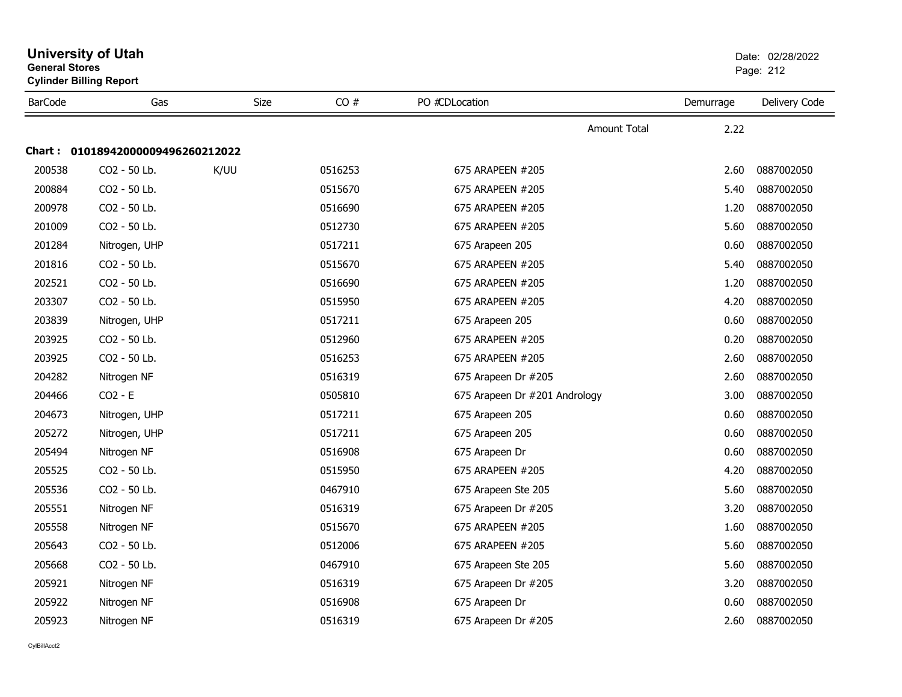| <b>General Stores</b> | <b>Cylinder Billing Report</b>    |             |         |                               | Page: 212 |               |  |
|-----------------------|-----------------------------------|-------------|---------|-------------------------------|-----------|---------------|--|
| <b>BarCode</b>        | Gas                               | <b>Size</b> | CO#     | PO #CDLocation                | Demurrage | Delivery Code |  |
|                       |                                   |             |         | <b>Amount Total</b>           | 2.22      |               |  |
|                       | Chart: 01018942000009496260212022 |             |         |                               |           |               |  |
| 200538                | CO2 - 50 Lb.                      | K/UU        | 0516253 | 675 ARAPEEN #205              | 2.60      | 0887002050    |  |
| 200884                | CO2 - 50 Lb.                      |             | 0515670 | 675 ARAPEEN #205              | 5.40      | 0887002050    |  |
| 200978                | CO2 - 50 Lb.                      |             | 0516690 | 675 ARAPEEN #205              | 1.20      | 0887002050    |  |
| 201009                | CO2 - 50 Lb.                      |             | 0512730 | 675 ARAPEEN #205              | 5.60      | 0887002050    |  |
| 201284                | Nitrogen, UHP                     |             | 0517211 | 675 Arapeen 205               | 0.60      | 0887002050    |  |
| 201816                | CO2 - 50 Lb.                      |             | 0515670 | 675 ARAPEEN #205              | 5.40      | 0887002050    |  |
| 202521                | CO2 - 50 Lb.                      |             | 0516690 | 675 ARAPEEN #205              | 1.20      | 0887002050    |  |
| 203307                | CO2 - 50 Lb.                      |             | 0515950 | 675 ARAPEEN #205              | 4.20      | 0887002050    |  |
| 203839                | Nitrogen, UHP                     |             | 0517211 | 675 Arapeen 205               | 0.60      | 0887002050    |  |
| 203925                | CO2 - 50 Lb.                      |             | 0512960 | 675 ARAPEEN #205              | 0.20      | 0887002050    |  |
| 203925                | CO2 - 50 Lb.                      |             | 0516253 | 675 ARAPEEN #205              | 2.60      | 0887002050    |  |
| 204282                | Nitrogen NF                       |             | 0516319 | 675 Arapeen Dr #205           | 2.60      | 0887002050    |  |
| 204466                | $CO2 - E$                         |             | 0505810 | 675 Arapeen Dr #201 Andrology | 3.00      | 0887002050    |  |
| 204673                | Nitrogen, UHP                     |             | 0517211 | 675 Arapeen 205               | 0.60      | 0887002050    |  |
| 205272                | Nitrogen, UHP                     |             | 0517211 | 675 Arapeen 205               | 0.60      | 0887002050    |  |
| 205494                | Nitrogen NF                       |             | 0516908 | 675 Arapeen Dr                | 0.60      | 0887002050    |  |
| 205525                | CO2 - 50 Lb.                      |             | 0515950 | 675 ARAPEEN #205              | 4.20      | 0887002050    |  |
| 205536                | CO2 - 50 Lb.                      |             | 0467910 | 675 Arapeen Ste 205           | 5.60      | 0887002050    |  |
| 205551                | Nitrogen NF                       |             | 0516319 | 675 Arapeen Dr #205           | 3.20      | 0887002050    |  |
| 205558                | Nitrogen NF                       |             | 0515670 | 675 ARAPEEN #205              | 1.60      | 0887002050    |  |
| 205643                | CO <sub>2</sub> - 50 Lb.          |             | 0512006 | 675 ARAPEEN #205              | 5.60      | 0887002050    |  |
| 205668                | CO2 - 50 Lb.                      |             | 0467910 | 675 Arapeen Ste 205           | 5.60      | 0887002050    |  |
| 205921                | Nitrogen NF                       |             | 0516319 | 675 Arapeen Dr #205           | 3.20      | 0887002050    |  |
| 205922                | Nitrogen NF                       |             | 0516908 | 675 Arapeen Dr                | 0.60      | 0887002050    |  |
| 205923                | Nitrogen NF                       |             | 0516319 | 675 Arapeen Dr #205           | 2.60      | 0887002050    |  |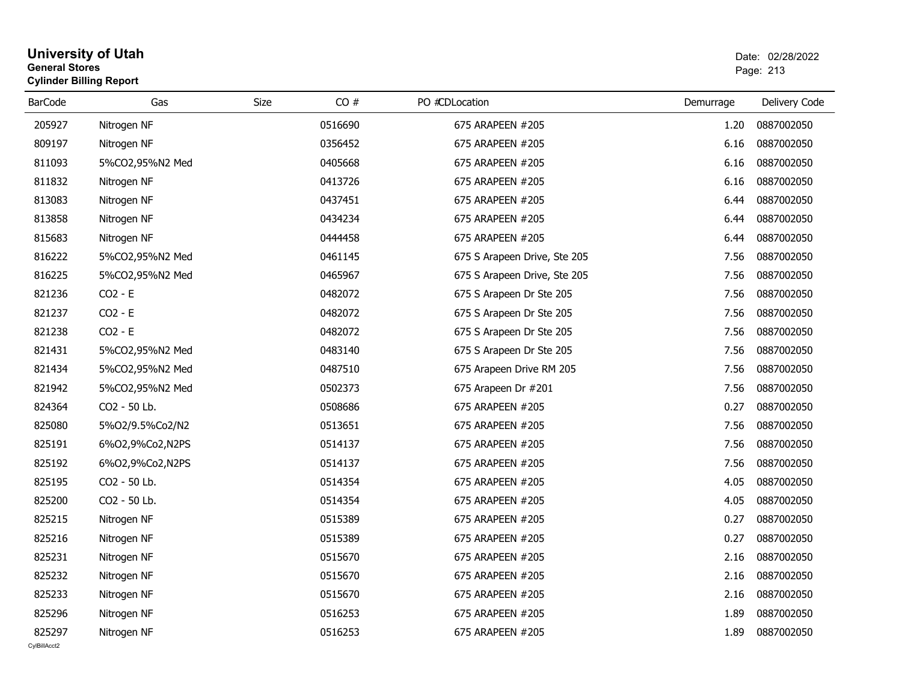| <b>General Stores</b> | <b>Cylinder Billing Report</b> |      | Page: 213 |                              |           |               |
|-----------------------|--------------------------------|------|-----------|------------------------------|-----------|---------------|
| <b>BarCode</b>        | Gas                            | Size | CO#       | PO #CDLocation               | Demurrage | Delivery Code |
| 205927                | Nitrogen NF                    |      | 0516690   | 675 ARAPEEN #205             | 1.20      | 0887002050    |
| 809197                | Nitrogen NF                    |      | 0356452   | 675 ARAPEEN #205             | 6.16      | 0887002050    |
| 811093                | 5%CO2,95%N2 Med                |      | 0405668   | 675 ARAPEEN #205             | 6.16      | 0887002050    |
| 811832                | Nitrogen NF                    |      | 0413726   | 675 ARAPEEN #205             | 6.16      | 0887002050    |
| 813083                | Nitrogen NF                    |      | 0437451   | 675 ARAPEEN #205             | 6.44      | 0887002050    |
| 813858                | Nitrogen NF                    |      | 0434234   | 675 ARAPEEN #205             | 6.44      | 0887002050    |
| 815683                | Nitrogen NF                    |      | 0444458   | 675 ARAPEEN #205             | 6.44      | 0887002050    |
| 816222                | 5%CO2,95%N2 Med                |      | 0461145   | 675 S Arapeen Drive, Ste 205 | 7.56      | 0887002050    |
| 816225                | 5%CO2,95%N2 Med                |      | 0465967   | 675 S Arapeen Drive, Ste 205 | 7.56      | 0887002050    |
| 821236                | $CO2 - E$                      |      | 0482072   | 675 S Arapeen Dr Ste 205     | 7.56      | 0887002050    |
| 821237                | $CO2 - E$                      |      | 0482072   | 675 S Arapeen Dr Ste 205     | 7.56      | 0887002050    |
| 821238                | $CO2 - E$                      |      | 0482072   | 675 S Arapeen Dr Ste 205     | 7.56      | 0887002050    |
| 821431                | 5%CO2,95%N2 Med                |      | 0483140   | 675 S Arapeen Dr Ste 205     | 7.56      | 0887002050    |
| 821434                | 5%CO2,95%N2 Med                |      | 0487510   | 675 Arapeen Drive RM 205     | 7.56      | 0887002050    |
| 821942                | 5%CO2,95%N2 Med                |      | 0502373   | 675 Arapeen Dr #201          | 7.56      | 0887002050    |
| 824364                | CO2 - 50 Lb.                   |      | 0508686   | 675 ARAPEEN #205             | 0.27      | 0887002050    |
| 825080                | 5%O2/9.5%Co2/N2                |      | 0513651   | 675 ARAPEEN #205             | 7.56      | 0887002050    |
| 825191                | 6%02,9%Co2,N2PS                |      | 0514137   | 675 ARAPEEN #205             | 7.56      | 0887002050    |
| 825192                | 6%02,9%Co2,N2PS                |      | 0514137   | 675 ARAPEEN #205             | 7.56      | 0887002050    |
| 825195                | CO2 - 50 Lb.                   |      | 0514354   | 675 ARAPEEN #205             | 4.05      | 0887002050    |
| 825200                | CO2 - 50 Lb.                   |      | 0514354   | 675 ARAPEEN #205             | 4.05      | 0887002050    |
| 825215                | Nitrogen NF                    |      | 0515389   | 675 ARAPEEN #205             | 0.27      | 0887002050    |
| 825216                | Nitrogen NF                    |      | 0515389   | 675 ARAPEEN #205             | 0.27      | 0887002050    |
| 825231                | Nitrogen NF                    |      | 0515670   | 675 ARAPEEN #205             | 2.16      | 0887002050    |
| 825232                | Nitrogen NF                    |      | 0515670   | 675 ARAPEEN #205             | 2.16      | 0887002050    |
| 825233                | Nitrogen NF                    |      | 0515670   | 675 ARAPEEN #205             | 2.16      | 0887002050    |
| 825296                | Nitrogen NF                    |      | 0516253   | 675 ARAPEEN #205             | 1.89      | 0887002050    |
| 825297                | Nitrogen NF                    |      | 0516253   | 675 ARAPEEN #205             | 1.89      | 0887002050    |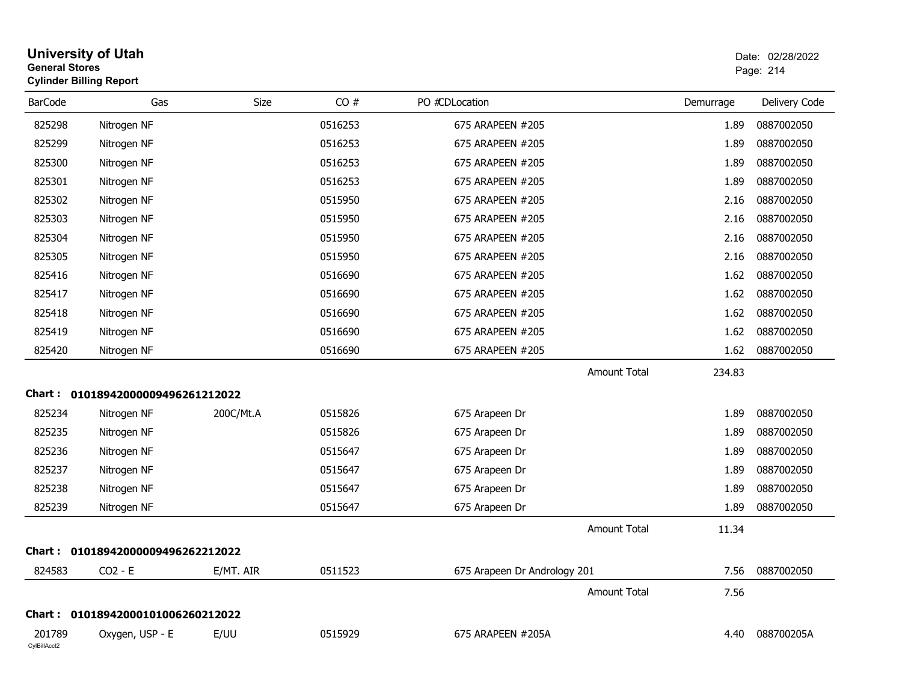| <b>General Stores</b>  | <b>University of Utah</b><br><b>Cylinder Billing Report</b> |           |         |                              |           | Date: 02/28/2022<br>Page: 214 |
|------------------------|-------------------------------------------------------------|-----------|---------|------------------------------|-----------|-------------------------------|
| <b>BarCode</b>         | Gas                                                         | Size      | CO#     | PO #CDLocation               | Demurrage | Delivery Code                 |
| 825298                 | Nitrogen NF                                                 |           | 0516253 | 675 ARAPEEN #205             | 1.89      | 0887002050                    |
| 825299                 | Nitrogen NF                                                 |           | 0516253 | 675 ARAPEEN #205             | 1.89      | 0887002050                    |
| 825300                 | Nitrogen NF                                                 |           | 0516253 | 675 ARAPEEN #205             | 1.89      | 0887002050                    |
| 825301                 | Nitrogen NF                                                 |           | 0516253 | 675 ARAPEEN #205             | 1.89      | 0887002050                    |
| 825302                 | Nitrogen NF                                                 |           | 0515950 | 675 ARAPEEN #205             | 2.16      | 0887002050                    |
| 825303                 | Nitrogen NF                                                 |           | 0515950 | 675 ARAPEEN #205             | 2.16      | 0887002050                    |
| 825304                 | Nitrogen NF                                                 |           | 0515950 | 675 ARAPEEN #205             | 2.16      | 0887002050                    |
| 825305                 | Nitrogen NF                                                 |           | 0515950 | 675 ARAPEEN #205             | 2.16      | 0887002050                    |
| 825416                 | Nitrogen NF                                                 |           | 0516690 | 675 ARAPEEN #205             | 1.62      | 0887002050                    |
| 825417                 | Nitrogen NF                                                 |           | 0516690 | 675 ARAPEEN #205             | 1.62      | 0887002050                    |
| 825418                 | Nitrogen NF                                                 |           | 0516690 | 675 ARAPEEN #205             | 1.62      | 0887002050                    |
| 825419                 | Nitrogen NF                                                 |           | 0516690 | 675 ARAPEEN #205             | 1.62      | 0887002050                    |
| 825420                 | Nitrogen NF                                                 |           | 0516690 | 675 ARAPEEN #205             | 1.62      | 0887002050                    |
|                        |                                                             |           |         | Amount Total                 | 234.83    |                               |
|                        | Chart: 01018942000009496261212022                           |           |         |                              |           |                               |
| 825234                 | Nitrogen NF                                                 | 200C/Mt.A | 0515826 | 675 Arapeen Dr               | 1.89      | 0887002050                    |
| 825235                 | Nitrogen NF                                                 |           | 0515826 | 675 Arapeen Dr               | 1.89      | 0887002050                    |
| 825236                 | Nitrogen NF                                                 |           | 0515647 | 675 Arapeen Dr               | 1.89      | 0887002050                    |
| 825237                 | Nitrogen NF                                                 |           | 0515647 | 675 Arapeen Dr               | 1.89      | 0887002050                    |
| 825238                 | Nitrogen NF                                                 |           | 0515647 | 675 Arapeen Dr               | 1.89      | 0887002050                    |
| 825239                 | Nitrogen NF                                                 |           | 0515647 | 675 Arapeen Dr               | 1.89      | 0887002050                    |
|                        |                                                             |           |         | Amount Total                 | 11.34     |                               |
|                        | Chart: 01018942000009496262212022                           |           |         |                              |           |                               |
| 824583                 | $CO2 - E$                                                   | E/MT. AIR | 0511523 | 675 Arapeen Dr Andrology 201 | 7.56      | 0887002050                    |
|                        |                                                             |           |         | Amount Total                 | 7.56      |                               |
|                        | Chart: 01018942000101006260212022                           |           |         |                              |           |                               |
| 201789<br>CylBillAcct2 | Oxygen, USP - E                                             | E/UU      | 0515929 | 675 ARAPEEN #205A            | 4.40      | 088700205A                    |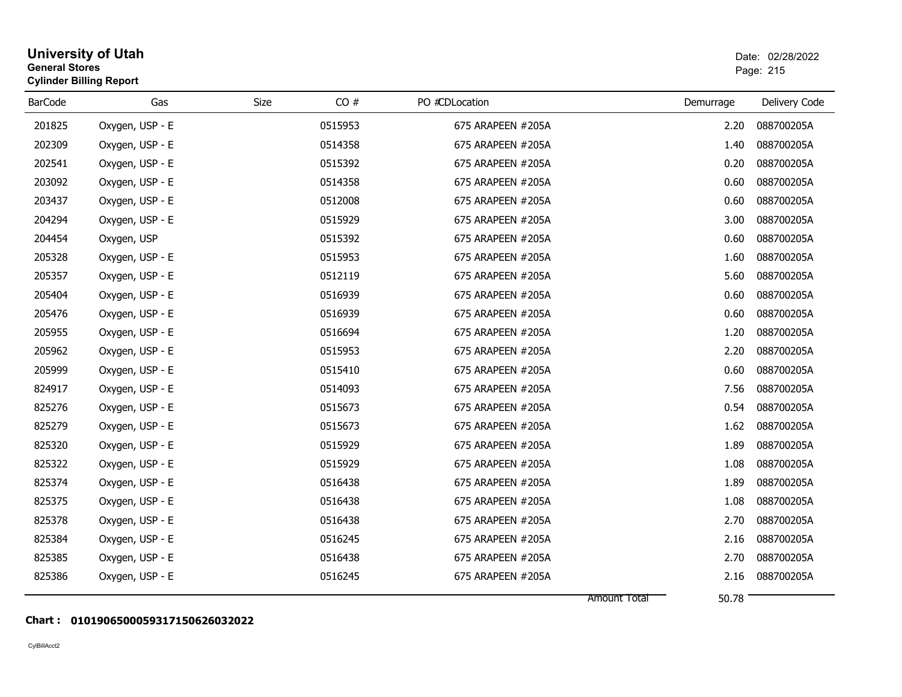| <b>University of Utah</b><br><b>General Stores</b><br><b>Cylinder Billing Report</b> |                 |      |         |                   |                       | Date: 02/28/2022<br>Page: 215 |  |
|--------------------------------------------------------------------------------------|-----------------|------|---------|-------------------|-----------------------|-------------------------------|--|
| <b>BarCode</b>                                                                       | Gas             | Size | CO#     | PO #CDLocation    | Demurrage             | Delivery Code                 |  |
| 201825                                                                               | Oxygen, USP - E |      | 0515953 | 675 ARAPEEN #205A | 2.20                  | 088700205A                    |  |
| 202309                                                                               | Oxygen, USP - E |      | 0514358 | 675 ARAPEEN #205A | 1.40                  | 088700205A                    |  |
| 202541                                                                               | Oxygen, USP - E |      | 0515392 | 675 ARAPEEN #205A | 0.20                  | 088700205A                    |  |
| 203092                                                                               | Oxygen, USP - E |      | 0514358 | 675 ARAPEEN #205A | 0.60                  | 088700205A                    |  |
| 203437                                                                               | Oxygen, USP - E |      | 0512008 | 675 ARAPEEN #205A | 0.60                  | 088700205A                    |  |
| 204294                                                                               | Oxygen, USP - E |      | 0515929 | 675 ARAPEEN #205A | 3.00                  | 088700205A                    |  |
| 204454                                                                               | Oxygen, USP     |      | 0515392 | 675 ARAPEEN #205A | 0.60                  | 088700205A                    |  |
| 205328                                                                               | Oxygen, USP - E |      | 0515953 | 675 ARAPEEN #205A | 1.60                  | 088700205A                    |  |
| 205357                                                                               | Oxygen, USP - E |      | 0512119 | 675 ARAPEEN #205A | 5.60                  | 088700205A                    |  |
| 205404                                                                               | Oxygen, USP - E |      | 0516939 | 675 ARAPEEN #205A | 0.60                  | 088700205A                    |  |
| 205476                                                                               | Oxygen, USP - E |      | 0516939 | 675 ARAPEEN #205A | 0.60                  | 088700205A                    |  |
| 205955                                                                               | Oxygen, USP - E |      | 0516694 | 675 ARAPEEN #205A | 1.20                  | 088700205A                    |  |
| 205962                                                                               | Oxygen, USP - E |      | 0515953 | 675 ARAPEEN #205A | 2.20                  | 088700205A                    |  |
| 205999                                                                               | Oxygen, USP - E |      | 0515410 | 675 ARAPEEN #205A | 0.60                  | 088700205A                    |  |
| 824917                                                                               | Oxygen, USP - E |      | 0514093 | 675 ARAPEEN #205A | 7.56                  | 088700205A                    |  |
| 825276                                                                               | Oxygen, USP - E |      | 0515673 | 675 ARAPEEN #205A | 0.54                  | 088700205A                    |  |
| 825279                                                                               | Oxygen, USP - E |      | 0515673 | 675 ARAPEEN #205A | 1.62                  | 088700205A                    |  |
| 825320                                                                               | Oxygen, USP - E |      | 0515929 | 675 ARAPEEN #205A | 1.89                  | 088700205A                    |  |
| 825322                                                                               | Oxygen, USP - E |      | 0515929 | 675 ARAPEEN #205A | 1.08                  | 088700205A                    |  |
| 825374                                                                               | Oxygen, USP - E |      | 0516438 | 675 ARAPEEN #205A | 1.89                  | 088700205A                    |  |
| 825375                                                                               | Oxygen, USP - E |      | 0516438 | 675 ARAPEEN #205A | 1.08                  | 088700205A                    |  |
| 825378                                                                               | Oxygen, USP - E |      | 0516438 | 675 ARAPEEN #205A | 2.70                  | 088700205A                    |  |
| 825384                                                                               | Oxygen, USP - E |      | 0516245 | 675 ARAPEEN #205A | 2.16                  | 088700205A                    |  |
| 825385                                                                               | Oxygen, USP - E |      | 0516438 | 675 ARAPEEN #205A | 2.70                  | 088700205A                    |  |
| 825386                                                                               | Oxygen, USP - E |      | 0516245 | 675 ARAPEEN #205A | 2.16                  | 088700205A                    |  |
|                                                                                      |                 |      |         |                   | 50.78<br>Amount Total |                               |  |

#### **Chart : 0101906500059317150626032022**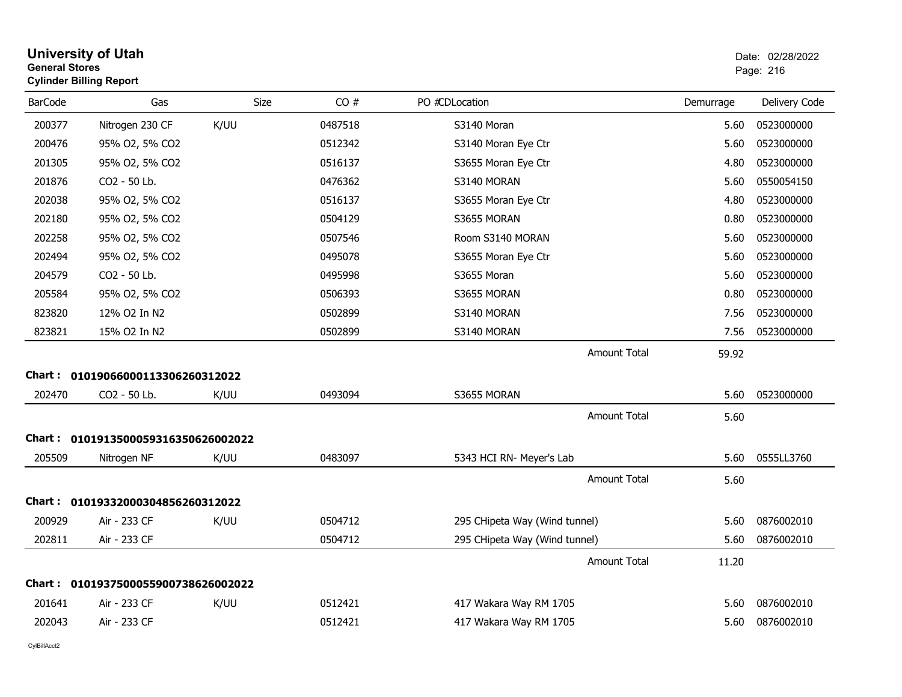| <b>General Stores</b><br><b>Cylinder Billing Report</b> |      | Page: 216                                                                                                                                            |                               |           |               |
|---------------------------------------------------------|------|------------------------------------------------------------------------------------------------------------------------------------------------------|-------------------------------|-----------|---------------|
| <b>BarCode</b><br>Gas                                   | Size | CO#                                                                                                                                                  | PO #CDLocation                | Demurrage | Delivery Code |
| Nitrogen 230 CF<br>200377                               | K/UU | 0487518                                                                                                                                              | S3140 Moran                   | 5.60      | 0523000000    |
| 200476<br>95% O2, 5% CO2                                |      | 0512342                                                                                                                                              | S3140 Moran Eye Ctr           | 5.60      | 0523000000    |
| 201305<br>95% O2, 5% CO2                                |      | 0516137                                                                                                                                              | S3655 Moran Eye Ctr           | 4.80      | 0523000000    |
| 201876<br>CO2 - 50 Lb.                                  |      | 0476362                                                                                                                                              | S3140 MORAN                   | 5.60      | 0550054150    |
| 202038<br>95% O2, 5% CO2                                |      | 0516137                                                                                                                                              | S3655 Moran Eye Ctr           | 4.80      | 0523000000    |
| 202180<br>95% O2, 5% CO2                                |      | 0504129                                                                                                                                              | S3655 MORAN                   | 0.80      | 0523000000    |
| 202258<br>95% O2, 5% CO2                                |      | 0507546                                                                                                                                              | Room S3140 MORAN              | 5.60      | 0523000000    |
| 202494<br>95% O2, 5% CO2                                |      | 0495078                                                                                                                                              | S3655 Moran Eye Ctr           | 5.60      | 0523000000    |
| 204579<br>CO2 - 50 Lb.                                  |      | 0495998                                                                                                                                              | S3655 Moran                   | 5.60      | 0523000000    |
| 205584<br>95% O2, 5% CO2                                |      | 0506393                                                                                                                                              | S3655 MORAN                   | 0.80      | 0523000000    |
| 823820<br>12% O2 In N2                                  |      | 0502899                                                                                                                                              | S3140 MORAN                   | 7.56      | 0523000000    |
| 823821<br>15% O2 In N2                                  |      | 0502899                                                                                                                                              | S3140 MORAN                   | 7.56      | 0523000000    |
|                                                         |      |                                                                                                                                                      | <b>Amount Total</b>           | 59.92     |               |
|                                                         |      |                                                                                                                                                      |                               |           |               |
| 202470<br>CO2 - 50 Lb.                                  | K/UU | 0493094                                                                                                                                              | S3655 MORAN                   | 5.60      | 0523000000    |
|                                                         |      |                                                                                                                                                      | <b>Amount Total</b>           | 5.60      |               |
|                                                         |      |                                                                                                                                                      |                               |           |               |
| 205509<br>Nitrogen NF                                   | K/UU | 0483097                                                                                                                                              | 5343 HCI RN- Meyer's Lab      | 5.60      | 0555LL3760    |
|                                                         |      |                                                                                                                                                      | <b>Amount Total</b>           | 5.60      |               |
|                                                         |      |                                                                                                                                                      |                               |           |               |
| 200929<br>Air - 233 CF                                  | K/UU | 0504712                                                                                                                                              | 295 CHipeta Way (Wind tunnel) | 5.60      | 0876002010    |
| 202811<br>Air - 233 CF                                  |      | 0504712                                                                                                                                              | 295 CHipeta Way (Wind tunnel) | 5.60      | 0876002010    |
|                                                         |      |                                                                                                                                                      | <b>Amount Total</b>           | 11.20     |               |
|                                                         |      |                                                                                                                                                      |                               |           |               |
| 201641<br>Air - 233 CF                                  | K/UU | 0512421                                                                                                                                              | 417 Wakara Way RM 1705        | 5.60      | 0876002010    |
| 202043<br>Air - 233 CF                                  |      | 0512421                                                                                                                                              | 417 Wakara Way RM 1705        | 5.60      | 0876002010    |
|                                                         |      | Chart: 01019066000113306260312022<br>Chart: 0101913500059316350626002022<br>Chart: 01019332000304856260312022<br>Chart: 0101937500055900738626002022 |                               |           |               |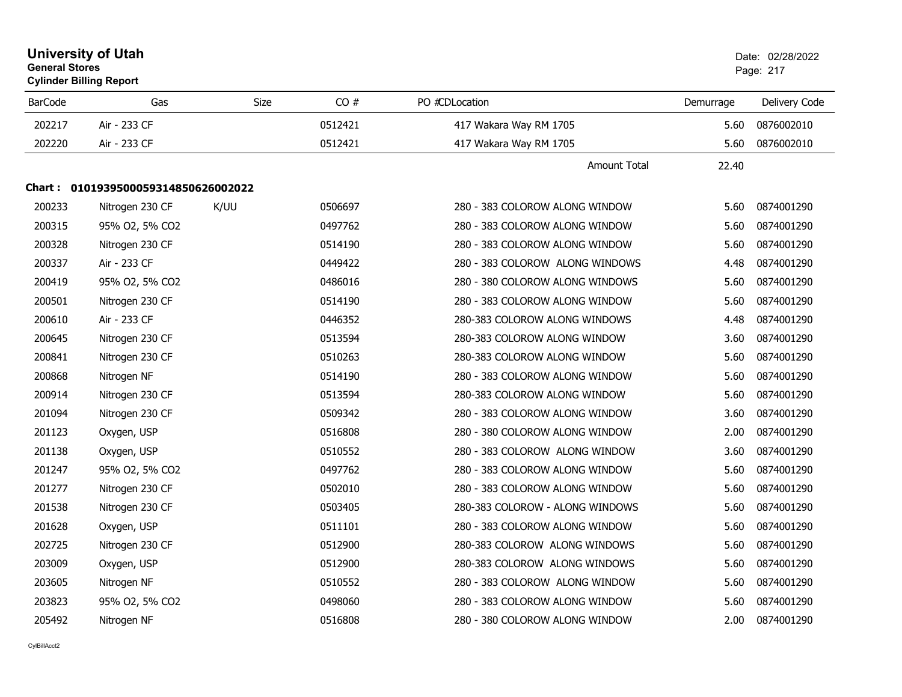| <b>University of Utah</b><br><b>General Stores</b><br><b>Cylinder Billing Report</b> |                                     |             |         |                                 | Date: 02/28/2022<br>Page: 217 |               |
|--------------------------------------------------------------------------------------|-------------------------------------|-------------|---------|---------------------------------|-------------------------------|---------------|
| <b>BarCode</b>                                                                       | Gas                                 | <b>Size</b> | CO#     | PO #CDLocation                  | Demurrage                     | Delivery Code |
| 202217                                                                               | Air - 233 CF                        |             | 0512421 | 417 Wakara Way RM 1705          | 5.60                          | 0876002010    |
| 202220                                                                               | Air - 233 CF                        |             | 0512421 | 417 Wakara Way RM 1705          | 5.60                          | 0876002010    |
|                                                                                      |                                     |             |         | <b>Amount Total</b>             | 22.40                         |               |
|                                                                                      | Chart: 0101939500059314850626002022 |             |         |                                 |                               |               |
| 200233                                                                               | Nitrogen 230 CF                     | K/UU        | 0506697 | 280 - 383 COLOROW ALONG WINDOW  | 5.60                          | 0874001290    |
| 200315                                                                               | 95% O2, 5% CO2                      |             | 0497762 | 280 - 383 COLOROW ALONG WINDOW  | 5.60                          | 0874001290    |
| 200328                                                                               | Nitrogen 230 CF                     |             | 0514190 | 280 - 383 COLOROW ALONG WINDOW  | 5.60                          | 0874001290    |
| 200337                                                                               | Air - 233 CF                        |             | 0449422 | 280 - 383 COLOROW ALONG WINDOWS | 4.48                          | 0874001290    |
| 200419                                                                               | 95% O2, 5% CO2                      |             | 0486016 | 280 - 380 COLOROW ALONG WINDOWS | 5.60                          | 0874001290    |
| 200501                                                                               | Nitrogen 230 CF                     |             | 0514190 | 280 - 383 COLOROW ALONG WINDOW  | 5.60                          | 0874001290    |
| 200610                                                                               | Air - 233 CF                        |             | 0446352 | 280-383 COLOROW ALONG WINDOWS   | 4.48                          | 0874001290    |
| 200645                                                                               | Nitrogen 230 CF                     |             | 0513594 | 280-383 COLOROW ALONG WINDOW    | 3.60                          | 0874001290    |
| 200841                                                                               | Nitrogen 230 CF                     |             | 0510263 | 280-383 COLOROW ALONG WINDOW    | 5.60                          | 0874001290    |
| 200868                                                                               | Nitrogen NF                         |             | 0514190 | 280 - 383 COLOROW ALONG WINDOW  | 5.60                          | 0874001290    |
| 200914                                                                               | Nitrogen 230 CF                     |             | 0513594 | 280-383 COLOROW ALONG WINDOW    | 5.60                          | 0874001290    |
| 201094                                                                               | Nitrogen 230 CF                     |             | 0509342 | 280 - 383 COLOROW ALONG WINDOW  | 3.60                          | 0874001290    |
| 201123                                                                               | Oxygen, USP                         |             | 0516808 | 280 - 380 COLOROW ALONG WINDOW  | 2.00                          | 0874001290    |
| 201138                                                                               | Oxygen, USP                         |             | 0510552 | 280 - 383 COLOROW ALONG WINDOW  | 3.60                          | 0874001290    |
| 201247                                                                               | 95% O2, 5% CO2                      |             | 0497762 | 280 - 383 COLOROW ALONG WINDOW  | 5.60                          | 0874001290    |
| 201277                                                                               | Nitrogen 230 CF                     |             | 0502010 | 280 - 383 COLOROW ALONG WINDOW  | 5.60                          | 0874001290    |
| 201538                                                                               | Nitrogen 230 CF                     |             | 0503405 | 280-383 COLOROW - ALONG WINDOWS | 5.60                          | 0874001290    |
| 201628                                                                               | Oxygen, USP                         |             | 0511101 | 280 - 383 COLOROW ALONG WINDOW  | 5.60                          | 0874001290    |
| 202725                                                                               | Nitrogen 230 CF                     |             | 0512900 | 280-383 COLOROW ALONG WINDOWS   | 5.60                          | 0874001290    |
| 203009                                                                               | Oxygen, USP                         |             | 0512900 | 280-383 COLOROW ALONG WINDOWS   | 5.60                          | 0874001290    |
| 203605                                                                               | Nitrogen NF                         |             | 0510552 | 280 - 383 COLOROW ALONG WINDOW  | 5.60                          | 0874001290    |
| 203823                                                                               | 95% O2, 5% CO2                      |             | 0498060 | 280 - 383 COLOROW ALONG WINDOW  | 5.60                          | 0874001290    |
| 205492                                                                               | Nitrogen NF                         |             | 0516808 | 280 - 380 COLOROW ALONG WINDOW  | 2.00                          | 0874001290    |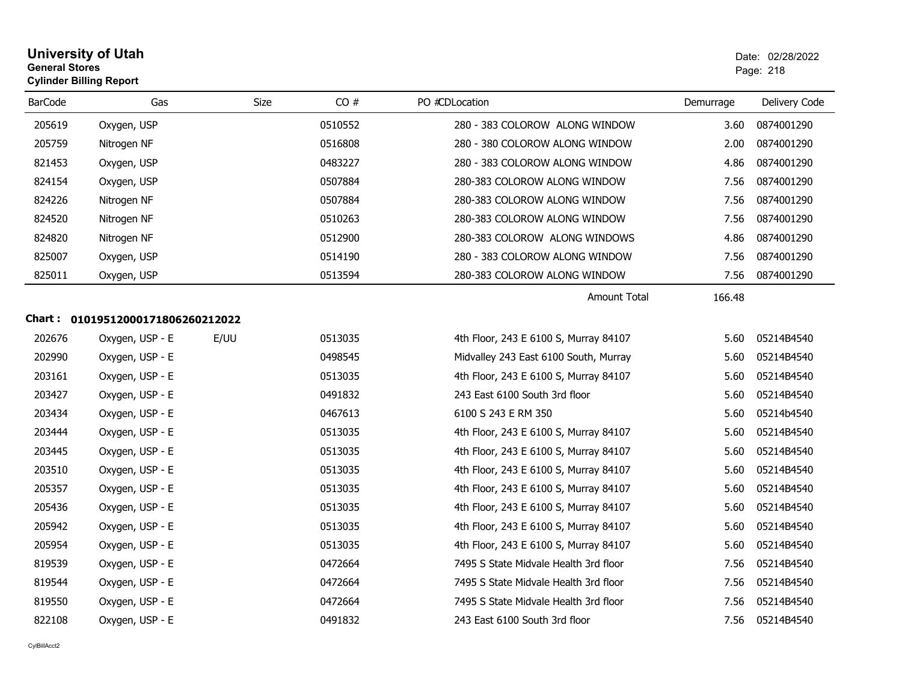| <b>University of Utah</b>      | Date: 02/2 |
|--------------------------------|------------|
| <b>General Stores</b>          | Page: 218  |
| <b>Cylinder Billing Report</b> |            |

| <b>BarCode</b> | Gas                               | Size | CO#     | PO #CDLocation                        | Demurrage | Delivery Code |
|----------------|-----------------------------------|------|---------|---------------------------------------|-----------|---------------|
| 205619         | Oxygen, USP                       |      | 0510552 | 280 - 383 COLOROW ALONG WINDOW        | 3.60      | 0874001290    |
| 205759         | Nitrogen NF                       |      | 0516808 | 280 - 380 COLOROW ALONG WINDOW        | 2.00      | 0874001290    |
| 821453         | Oxygen, USP                       |      | 0483227 | 280 - 383 COLOROW ALONG WINDOW        | 4.86      | 0874001290    |
| 824154         | Oxygen, USP                       |      | 0507884 | 280-383 COLOROW ALONG WINDOW          | 7.56      | 0874001290    |
| 824226         | Nitrogen NF                       |      | 0507884 | 280-383 COLOROW ALONG WINDOW          | 7.56      | 0874001290    |
| 824520         | Nitrogen NF                       |      | 0510263 | 280-383 COLOROW ALONG WINDOW          | 7.56      | 0874001290    |
| 824820         | Nitrogen NF                       |      | 0512900 | 280-383 COLOROW ALONG WINDOWS         | 4.86      | 0874001290    |
| 825007         | Oxygen, USP                       |      | 0514190 | 280 - 383 COLOROW ALONG WINDOW        | 7.56      | 0874001290    |
| 825011         | Oxygen, USP                       |      | 0513594 | 280-383 COLOROW ALONG WINDOW          | 7.56      | 0874001290    |
|                |                                   |      |         | Amount Total                          | 166.48    |               |
|                | Chart: 01019512000171806260212022 |      |         |                                       |           |               |
| 202676         | Oxygen, USP - E                   | E/UU | 0513035 | 4th Floor, 243 E 6100 S, Murray 84107 | 5.60      | 05214B4540    |
| 202990         | Oxygen, USP - E                   |      | 0498545 | Midvalley 243 East 6100 South, Murray | 5.60      | 05214B4540    |
| 203161         | Oxygen, USP - E                   |      | 0513035 | 4th Floor, 243 E 6100 S, Murray 84107 | 5.60      | 05214B4540    |
| 203427         | Oxygen, USP - E                   |      | 0491832 | 243 East 6100 South 3rd floor         | 5.60      | 05214B4540    |
| 203434         | Oxygen, USP - E                   |      | 0467613 | 6100 S 243 E RM 350                   | 5.60      | 05214b4540    |
| 203444         | Oxygen, USP - E                   |      | 0513035 | 4th Floor, 243 E 6100 S, Murray 84107 | 5.60      | 05214B4540    |
| 203445         | Oxygen, USP - E                   |      | 0513035 | 4th Floor, 243 E 6100 S, Murray 84107 | 5.60      | 05214B4540    |
| 203510         | Oxygen, USP - E                   |      | 0513035 | 4th Floor, 243 E 6100 S, Murray 84107 | 5.60      | 05214B4540    |
| 205357         | Oxygen, USP - E                   |      | 0513035 | 4th Floor, 243 E 6100 S, Murray 84107 | 5.60      | 05214B4540    |
| 205436         | Oxygen, USP - E                   |      | 0513035 | 4th Floor, 243 E 6100 S, Murray 84107 | 5.60      | 05214B4540    |
| 205942         | Oxygen, USP - E                   |      | 0513035 | 4th Floor, 243 E 6100 S, Murray 84107 | 5.60      | 05214B4540    |
| 205954         | Oxygen, USP - E                   |      | 0513035 | 4th Floor, 243 E 6100 S, Murray 84107 | 5.60      | 05214B4540    |
| 819539         | Oxygen, USP - E                   |      | 0472664 | 7495 S State Midvale Health 3rd floor | 7.56      | 05214B4540    |
| 819544         | Oxygen, USP - E                   |      | 0472664 | 7495 S State Midvale Health 3rd floor | 7.56      | 05214B4540    |
| 819550         | Oxygen, USP - E                   |      | 0472664 | 7495 S State Midvale Health 3rd floor | 7.56      | 05214B4540    |
| 822108         | Oxygen, USP - E                   |      | 0491832 | 243 East 6100 South 3rd floor         | 7.56      | 05214B4540    |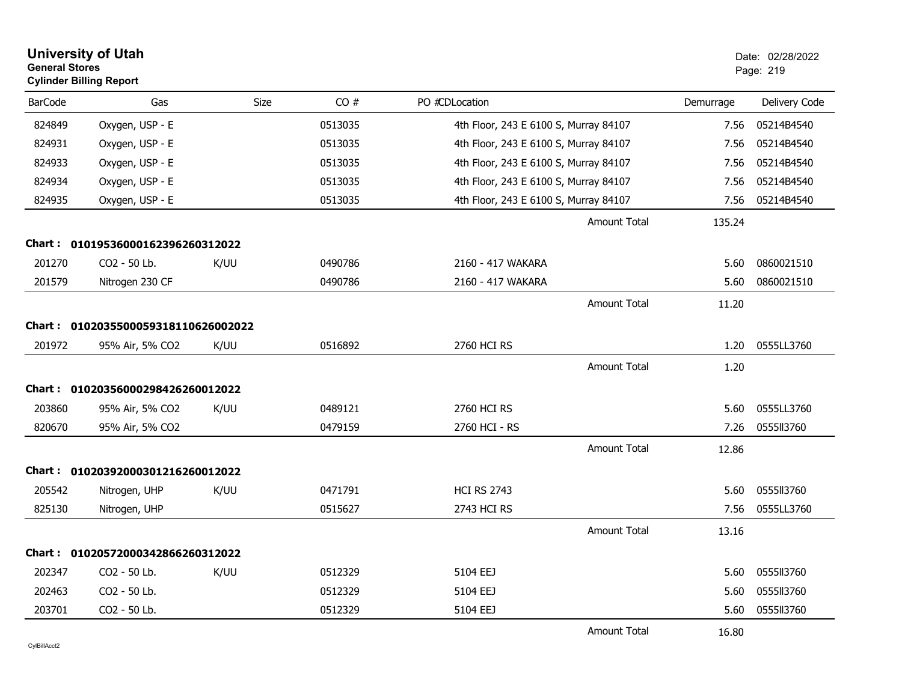| <b>General Stores</b> | <b>University of Utah</b><br><b>Cylinder Billing Report</b> |             |         |                                       |           | Date: 02/28/2022<br>Page: 219 |
|-----------------------|-------------------------------------------------------------|-------------|---------|---------------------------------------|-----------|-------------------------------|
| <b>BarCode</b>        | Gas                                                         | <b>Size</b> | CO#     | PO #CDLocation                        | Demurrage | Delivery Code                 |
| 824849                | Oxygen, USP - E                                             |             | 0513035 | 4th Floor, 243 E 6100 S, Murray 84107 | 7.56      | 05214B4540                    |
| 824931                | Oxygen, USP - E                                             |             | 0513035 | 4th Floor, 243 E 6100 S, Murray 84107 | 7.56      | 05214B4540                    |
| 824933                | Oxygen, USP - E                                             |             | 0513035 | 4th Floor, 243 E 6100 S, Murray 84107 | 7.56      | 05214B4540                    |
| 824934                | Oxygen, USP - E                                             |             | 0513035 | 4th Floor, 243 E 6100 S, Murray 84107 | 7.56      | 05214B4540                    |
| 824935                | Oxygen, USP - E                                             |             | 0513035 | 4th Floor, 243 E 6100 S, Murray 84107 | 7.56      | 05214B4540                    |
|                       |                                                             |             |         | <b>Amount Total</b>                   | 135.24    |                               |
|                       | Chart: 01019536000162396260312022                           |             |         |                                       |           |                               |
| 201270                | CO <sub>2</sub> - 50 Lb.                                    | K/UU        | 0490786 | 2160 - 417 WAKARA                     | 5.60      | 0860021510                    |
| 201579                | Nitrogen 230 CF                                             |             | 0490786 | 2160 - 417 WAKARA                     | 5.60      | 0860021510                    |
|                       |                                                             |             |         | Amount Total                          | 11.20     |                               |
|                       | Chart: 0102035500059318110626002022                         |             |         |                                       |           |                               |
| 201972                | 95% Air, 5% CO2                                             | K/UU        | 0516892 | 2760 HCI RS                           | 1.20      | 0555LL3760                    |
|                       |                                                             |             |         | <b>Amount Total</b>                   | 1.20      |                               |
|                       | Chart: 01020356000298426260012022                           |             |         |                                       |           |                               |
| 203860                | 95% Air, 5% CO2                                             | K/UU        | 0489121 | 2760 HCI RS                           | 5.60      | 0555LL3760                    |
| 820670                | 95% Air, 5% CO2                                             |             | 0479159 | 2760 HCI - RS                         | 7.26      | 0555113760                    |
|                       |                                                             |             |         | <b>Amount Total</b>                   | 12.86     |                               |
|                       | Chart: 01020392000301216260012022                           |             |         |                                       |           |                               |
| 205542                | Nitrogen, UHP                                               | K/UU        | 0471791 | <b>HCI RS 2743</b>                    | 5.60      | 0555113760                    |
| 825130                | Nitrogen, UHP                                               |             | 0515627 | 2743 HCI RS                           | 7.56      | 0555LL3760                    |
|                       |                                                             |             |         | <b>Amount Total</b>                   | 13.16     |                               |
| <b>Chart :</b>        | 01020572000342866260312022                                  |             |         |                                       |           |                               |
| 202347                | CO2 - 50 Lb.                                                | K/UU        | 0512329 | 5104 EEJ                              | 5.60      | 0555113760                    |
| 202463                | CO2 - 50 Lb.                                                |             | 0512329 | 5104 EEJ                              | 5.60      | 0555II3760                    |
| 203701                | CO2 - 50 Lb.                                                |             | 0512329 | 5104 EEJ                              | 5.60      | 0555113760                    |
|                       |                                                             |             |         | <b>Amount Total</b>                   | 16.80     |                               |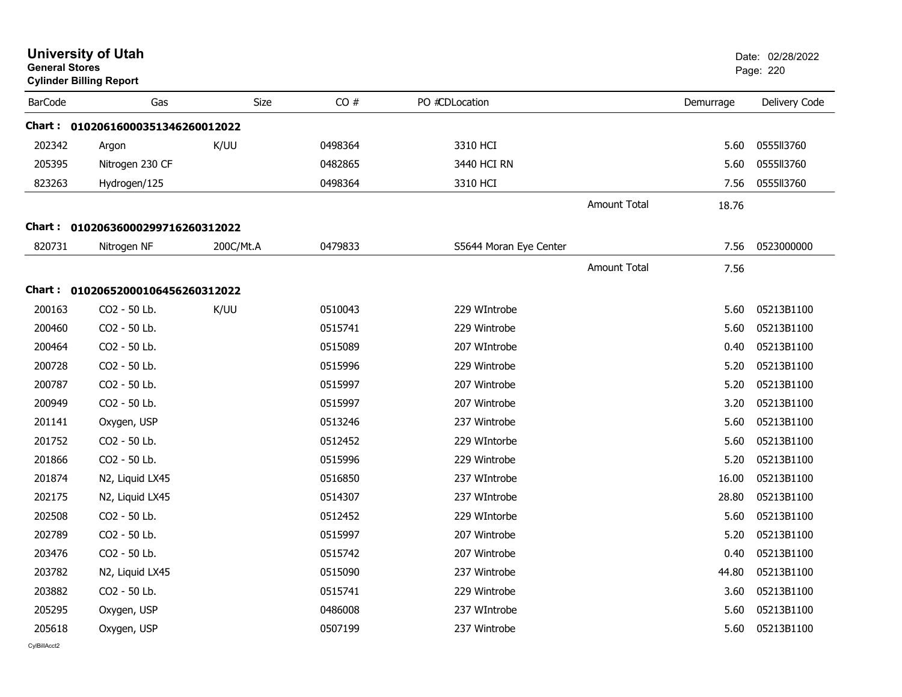| <b>General Stores</b> | <b>University of Utah</b><br><b>Cylinder Billing Report</b> |           |         |                        |                     |           | Date: 02/28/2022<br>Page: 220 |
|-----------------------|-------------------------------------------------------------|-----------|---------|------------------------|---------------------|-----------|-------------------------------|
| <b>BarCode</b>        | Gas                                                         | Size      | CO#     | PO #CDLocation         |                     | Demurrage | Delivery Code                 |
|                       | Chart: 01020616000351346260012022                           |           |         |                        |                     |           |                               |
| 202342                | Argon                                                       | K/UU      | 0498364 | 3310 HCI               |                     | 5.60      | 0555113760                    |
| 205395                | Nitrogen 230 CF                                             |           | 0482865 | 3440 HCI RN            |                     | 5.60      | 0555113760                    |
| 823263                | Hydrogen/125                                                |           | 0498364 | 3310 HCI               |                     | 7.56      | 0555113760                    |
|                       |                                                             |           |         |                        | <b>Amount Total</b> | 18.76     |                               |
|                       | Chart: 01020636000299716260312022                           |           |         |                        |                     |           |                               |
| 820731                | Nitrogen NF                                                 | 200C/Mt.A | 0479833 | S5644 Moran Eye Center |                     | 7.56      | 0523000000                    |
|                       |                                                             |           |         |                        | <b>Amount Total</b> | 7.56      |                               |
|                       | Chart: 01020652000106456260312022                           |           |         |                        |                     |           |                               |
| 200163                | CO2 - 50 Lb.                                                | K/UU      | 0510043 | 229 WIntrobe           |                     | 5.60      | 05213B1100                    |
| 200460                | CO2 - 50 Lb.                                                |           | 0515741 | 229 Wintrobe           |                     | 5.60      | 05213B1100                    |
| 200464                | CO2 - 50 Lb.                                                |           | 0515089 | 207 WIntrobe           |                     | 0.40      | 05213B1100                    |
| 200728                | CO2 - 50 Lb.                                                |           | 0515996 | 229 Wintrobe           |                     | 5.20      | 05213B1100                    |
| 200787                | CO2 - 50 Lb.                                                |           | 0515997 | 207 Wintrobe           |                     | 5.20      | 05213B1100                    |
| 200949                | CO2 - 50 Lb.                                                |           | 0515997 | 207 Wintrobe           |                     | 3.20      | 05213B1100                    |
| 201141                | Oxygen, USP                                                 |           | 0513246 | 237 Wintrobe           |                     | 5.60      | 05213B1100                    |
| 201752                | CO2 - 50 Lb.                                                |           | 0512452 | 229 WIntorbe           |                     | 5.60      | 05213B1100                    |
| 201866                | CO2 - 50 Lb.                                                |           | 0515996 | 229 Wintrobe           |                     | 5.20      | 05213B1100                    |
| 201874                | N2, Liquid LX45                                             |           | 0516850 | 237 WIntrobe           |                     | 16.00     | 05213B1100                    |
| 202175                | N2, Liquid LX45                                             |           | 0514307 | 237 WIntrobe           |                     | 28.80     | 05213B1100                    |
| 202508                | CO2 - 50 Lb.                                                |           | 0512452 | 229 WIntorbe           |                     | 5.60      | 05213B1100                    |
| 202789                | CO2 - 50 Lb.                                                |           | 0515997 | 207 Wintrobe           |                     | 5.20      | 05213B1100                    |
| 203476                | CO2 - 50 Lb.                                                |           | 0515742 | 207 Wintrobe           |                     | 0.40      | 05213B1100                    |
| 203782                | N2, Liquid LX45                                             |           | 0515090 | 237 Wintrobe           |                     | 44.80     | 05213B1100                    |
| 203882                | CO2 - 50 Lb.                                                |           | 0515741 | 229 Wintrobe           |                     | 3.60      | 05213B1100                    |
| 205295                | Oxygen, USP                                                 |           | 0486008 | 237 WIntrobe           |                     | 5.60      | 05213B1100                    |
| 205618                | Oxygen, USP                                                 |           | 0507199 | 237 Wintrobe           |                     | 5.60      | 05213B1100                    |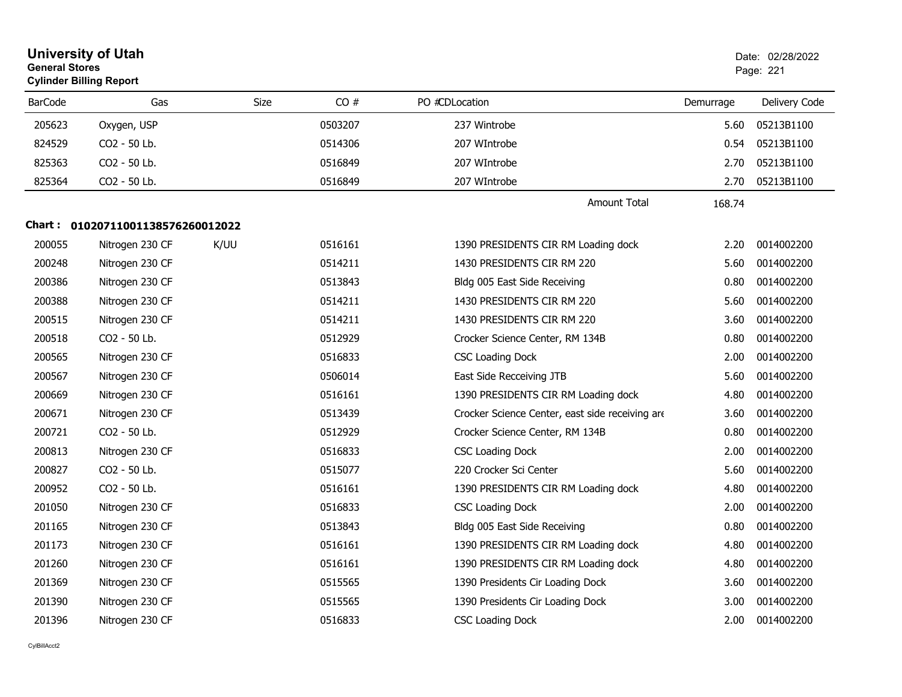| <b>General Stores</b> | <b>University of Utah</b><br><b>Cylinder Billing Report</b> |             |         |                                                 |           | Date: 02/28/2022<br>Page: 221 |
|-----------------------|-------------------------------------------------------------|-------------|---------|-------------------------------------------------|-----------|-------------------------------|
| <b>BarCode</b>        | Gas                                                         | <b>Size</b> | CO#     | PO #CDLocation                                  | Demurrage | Delivery Code                 |
| 205623                | Oxygen, USP                                                 |             | 0503207 | 237 Wintrobe                                    | 5.60      | 05213B1100                    |
| 824529                | CO2 - 50 Lb.                                                |             | 0514306 | 207 WIntrobe                                    | 0.54      | 05213B1100                    |
| 825363                | CO2 - 50 Lb.                                                |             | 0516849 | 207 WIntrobe                                    | 2.70      | 05213B1100                    |
| 825364                | CO2 - 50 Lb.                                                |             | 0516849 | 207 WIntrobe                                    | 2.70      | 05213B1100                    |
|                       |                                                             |             |         | <b>Amount Total</b>                             | 168.74    |                               |
|                       | Chart: 01020711001138576260012022                           |             |         |                                                 |           |                               |
| 200055                | Nitrogen 230 CF                                             | K/UU        | 0516161 | 1390 PRESIDENTS CIR RM Loading dock             | 2.20      | 0014002200                    |
| 200248                | Nitrogen 230 CF                                             |             | 0514211 | 1430 PRESIDENTS CIR RM 220                      | 5.60      | 0014002200                    |
| 200386                | Nitrogen 230 CF                                             |             | 0513843 | Bldg 005 East Side Receiving                    | 0.80      | 0014002200                    |
| 200388                | Nitrogen 230 CF                                             |             | 0514211 | 1430 PRESIDENTS CIR RM 220                      | 5.60      | 0014002200                    |
| 200515                | Nitrogen 230 CF                                             |             | 0514211 | 1430 PRESIDENTS CIR RM 220                      | 3.60      | 0014002200                    |
| 200518                | CO <sub>2</sub> - 50 Lb.                                    |             | 0512929 | Crocker Science Center, RM 134B                 | 0.80      | 0014002200                    |
| 200565                | Nitrogen 230 CF                                             |             | 0516833 | <b>CSC Loading Dock</b>                         | 2.00      | 0014002200                    |
| 200567                | Nitrogen 230 CF                                             |             | 0506014 | East Side Recceiving JTB                        | 5.60      | 0014002200                    |
| 200669                | Nitrogen 230 CF                                             |             | 0516161 | 1390 PRESIDENTS CIR RM Loading dock             | 4.80      | 0014002200                    |
| 200671                | Nitrogen 230 CF                                             |             | 0513439 | Crocker Science Center, east side receiving are | 3.60      | 0014002200                    |
| 200721                | CO <sub>2</sub> - 50 Lb.                                    |             | 0512929 | Crocker Science Center, RM 134B                 | 0.80      | 0014002200                    |
| 200813                | Nitrogen 230 CF                                             |             | 0516833 | <b>CSC Loading Dock</b>                         | 2.00      | 0014002200                    |
| 200827                | CO2 - 50 Lb.                                                |             | 0515077 | 220 Crocker Sci Center                          | 5.60      | 0014002200                    |
| 200952                | CO2 - 50 Lb.                                                |             | 0516161 | 1390 PRESIDENTS CIR RM Loading dock             | 4.80      | 0014002200                    |
| 201050                | Nitrogen 230 CF                                             |             | 0516833 | <b>CSC Loading Dock</b>                         | 2.00      | 0014002200                    |
| 201165                | Nitrogen 230 CF                                             |             | 0513843 | Bldg 005 East Side Receiving                    | 0.80      | 0014002200                    |
| 201173                | Nitrogen 230 CF                                             |             | 0516161 | 1390 PRESIDENTS CIR RM Loading dock             | 4.80      | 0014002200                    |
| 201260                | Nitrogen 230 CF                                             |             | 0516161 | 1390 PRESIDENTS CIR RM Loading dock             | 4.80      | 0014002200                    |
| 201369                | Nitrogen 230 CF                                             |             | 0515565 | 1390 Presidents Cir Loading Dock                | 3.60      | 0014002200                    |
| 201390                | Nitrogen 230 CF                                             |             | 0515565 | 1390 Presidents Cir Loading Dock                | 3.00      | 0014002200                    |
| 201396                | Nitrogen 230 CF                                             |             | 0516833 | <b>CSC Loading Dock</b>                         | 2.00      | 0014002200                    |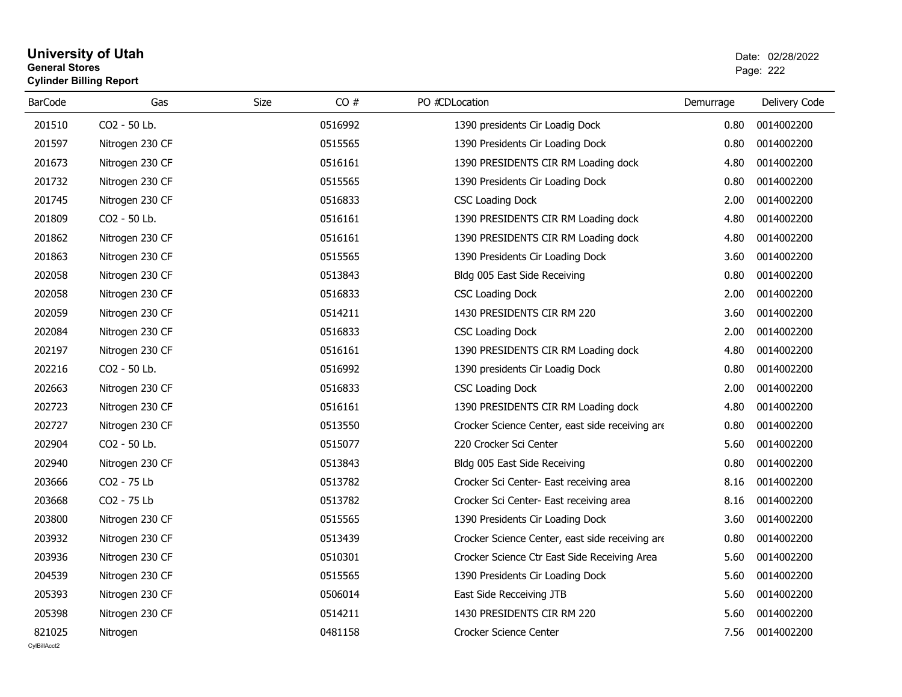# **University of Utah** Date: 02/28/2022 **General Stores**estate the control of the control of the control of the control of the control of the control of the control of the control of the control of the control of the control of the control of the control of the control of the c **Cylinder Billing Report**

| <b>BarCode</b> | Gas             | CO#<br>Size | PO #CDLocation                                  | Demurrage | Delivery Code |
|----------------|-----------------|-------------|-------------------------------------------------|-----------|---------------|
| 201510         | CO2 - 50 Lb.    | 0516992     | 1390 presidents Cir Loadig Dock                 | 0.80      | 0014002200    |
| 201597         | Nitrogen 230 CF | 0515565     | 1390 Presidents Cir Loading Dock                | 0.80      | 0014002200    |
| 201673         | Nitrogen 230 CF | 0516161     | 1390 PRESIDENTS CIR RM Loading dock             | 4.80      | 0014002200    |
| 201732         | Nitrogen 230 CF | 0515565     | 1390 Presidents Cir Loading Dock                | 0.80      | 0014002200    |
| 201745         | Nitrogen 230 CF | 0516833     | <b>CSC Loading Dock</b>                         | 2.00      | 0014002200    |
| 201809         | CO2 - 50 Lb.    | 0516161     | 1390 PRESIDENTS CIR RM Loading dock             | 4.80      | 0014002200    |
| 201862         | Nitrogen 230 CF | 0516161     | 1390 PRESIDENTS CIR RM Loading dock             | 4.80      | 0014002200    |
| 201863         | Nitrogen 230 CF | 0515565     | 1390 Presidents Cir Loading Dock                | 3.60      | 0014002200    |
| 202058         | Nitrogen 230 CF | 0513843     | Bldg 005 East Side Receiving                    | 0.80      | 0014002200    |
| 202058         | Nitrogen 230 CF | 0516833     | <b>CSC Loading Dock</b>                         | 2.00      | 0014002200    |
| 202059         | Nitrogen 230 CF | 0514211     | 1430 PRESIDENTS CIR RM 220                      | 3.60      | 0014002200    |
| 202084         | Nitrogen 230 CF | 0516833     | <b>CSC Loading Dock</b>                         | 2.00      | 0014002200    |
| 202197         | Nitrogen 230 CF | 0516161     | 1390 PRESIDENTS CIR RM Loading dock             | 4.80      | 0014002200    |
| 202216         | CO2 - 50 Lb.    | 0516992     | 1390 presidents Cir Loadig Dock                 | 0.80      | 0014002200    |
| 202663         | Nitrogen 230 CF | 0516833     | <b>CSC Loading Dock</b>                         | 2.00      | 0014002200    |
| 202723         | Nitrogen 230 CF | 0516161     | 1390 PRESIDENTS CIR RM Loading dock             | 4.80      | 0014002200    |
| 202727         | Nitrogen 230 CF | 0513550     | Crocker Science Center, east side receiving are | 0.80      | 0014002200    |
| 202904         | CO2 - 50 Lb.    | 0515077     | 220 Crocker Sci Center                          | 5.60      | 0014002200    |
| 202940         | Nitrogen 230 CF | 0513843     | Bldg 005 East Side Receiving                    | 0.80      | 0014002200    |
| 203666         | CO2 - 75 Lb     | 0513782     | Crocker Sci Center- East receiving area         | 8.16      | 0014002200    |
| 203668         | CO2 - 75 Lb     | 0513782     | Crocker Sci Center- East receiving area         | 8.16      | 0014002200    |
| 203800         | Nitrogen 230 CF | 0515565     | 1390 Presidents Cir Loading Dock                | 3.60      | 0014002200    |
| 203932         | Nitrogen 230 CF | 0513439     | Crocker Science Center, east side receiving are | 0.80      | 0014002200    |
| 203936         | Nitrogen 230 CF | 0510301     | Crocker Science Ctr East Side Receiving Area    | 5.60      | 0014002200    |
| 204539         | Nitrogen 230 CF | 0515565     | 1390 Presidents Cir Loading Dock                | 5.60      | 0014002200    |
| 205393         | Nitrogen 230 CF | 0506014     | East Side Recceiving JTB                        | 5.60      | 0014002200    |
| 205398         | Nitrogen 230 CF | 0514211     | 1430 PRESIDENTS CIR RM 220                      | 5.60      | 0014002200    |
| 821025         | Nitrogen        | 0481158     | Crocker Science Center                          | 7.56      | 0014002200    |
| CvIBillAcct2   |                 |             |                                                 |           |               |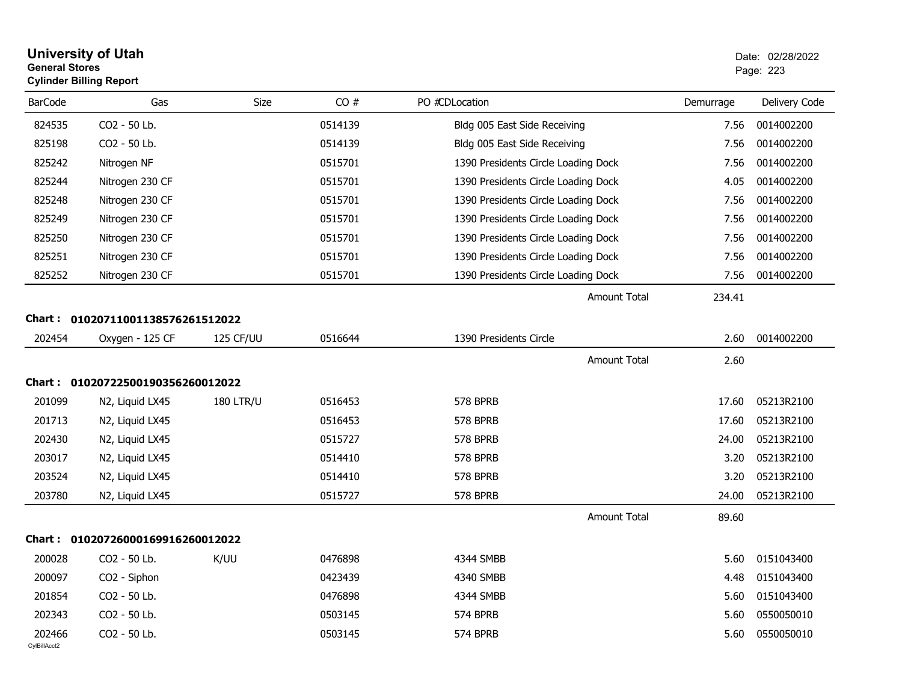| <b>General Stores</b>  | <b>University of Utah</b><br><b>Cylinder Billing Report</b> |                  |         |                                     |           | Date: 02/28/2022<br>Page: 223 |
|------------------------|-------------------------------------------------------------|------------------|---------|-------------------------------------|-----------|-------------------------------|
| <b>BarCode</b>         | Gas                                                         | Size             | CO#     | PO #CDLocation                      | Demurrage | Delivery Code                 |
| 824535                 | CO2 - 50 Lb.                                                |                  | 0514139 | Bldg 005 East Side Receiving        | 7.56      | 0014002200                    |
| 825198                 | CO2 - 50 Lb.                                                |                  | 0514139 | Bldg 005 East Side Receiving        | 7.56      | 0014002200                    |
| 825242                 | Nitrogen NF                                                 |                  | 0515701 | 1390 Presidents Circle Loading Dock | 7.56      | 0014002200                    |
| 825244                 | Nitrogen 230 CF                                             |                  | 0515701 | 1390 Presidents Circle Loading Dock | 4.05      | 0014002200                    |
| 825248                 | Nitrogen 230 CF                                             |                  | 0515701 | 1390 Presidents Circle Loading Dock | 7.56      | 0014002200                    |
| 825249                 | Nitrogen 230 CF                                             |                  | 0515701 | 1390 Presidents Circle Loading Dock | 7.56      | 0014002200                    |
| 825250                 | Nitrogen 230 CF                                             |                  | 0515701 | 1390 Presidents Circle Loading Dock | 7.56      | 0014002200                    |
| 825251                 | Nitrogen 230 CF                                             |                  | 0515701 | 1390 Presidents Circle Loading Dock | 7.56      | 0014002200                    |
| 825252                 | Nitrogen 230 CF                                             |                  | 0515701 | 1390 Presidents Circle Loading Dock | 7.56      | 0014002200                    |
|                        |                                                             |                  |         | Amount Total                        | 234.41    |                               |
| Chart :                | 01020711001138576261512022                                  |                  |         |                                     |           |                               |
| 202454                 | Oxygen - 125 CF                                             | 125 CF/UU        | 0516644 | 1390 Presidents Circle              | 2.60      | 0014002200                    |
|                        |                                                             |                  |         | <b>Amount Total</b>                 | 2.60      |                               |
| Chart :                | 01020722500190356260012022                                  |                  |         |                                     |           |                               |
| 201099                 | N2, Liquid LX45                                             | <b>180 LTR/U</b> | 0516453 | 578 BPRB                            | 17.60     | 05213R2100                    |
| 201713                 | N2, Liquid LX45                                             |                  | 0516453 | 578 BPRB                            | 17.60     | 05213R2100                    |
| 202430                 | N2, Liquid LX45                                             |                  | 0515727 | 578 BPRB                            | 24.00     | 05213R2100                    |
| 203017                 | N2, Liquid LX45                                             |                  | 0514410 | 578 BPRB                            | 3.20      | 05213R2100                    |
| 203524                 | N2, Liquid LX45                                             |                  | 0514410 | 578 BPRB                            | 3.20      | 05213R2100                    |
| 203780                 | N2, Liquid LX45                                             |                  | 0515727 | 578 BPRB                            | 24.00     | 05213R2100                    |
|                        |                                                             |                  |         | <b>Amount Total</b>                 | 89.60     |                               |
| Chart :                | 01020726000169916260012022                                  |                  |         |                                     |           |                               |
| 200028                 | CO2 - 50 Lb.                                                | K/UU             | 0476898 | 4344 SMBB                           | 5.60      | 0151043400                    |
| 200097                 | CO <sub>2</sub> - Siphon                                    |                  | 0423439 | 4340 SMBB                           | 4.48      | 0151043400                    |
| 201854                 | CO2 - 50 Lb.                                                |                  | 0476898 | 4344 SMBB                           | 5.60      | 0151043400                    |
| 202343                 | CO2 - 50 Lb.                                                |                  | 0503145 | 574 BPRB                            | 5.60      | 0550050010                    |
| 202466<br>CylBillAcct2 | CO2 - 50 Lb.                                                |                  | 0503145 | 574 BPRB                            | 5.60      | 0550050010                    |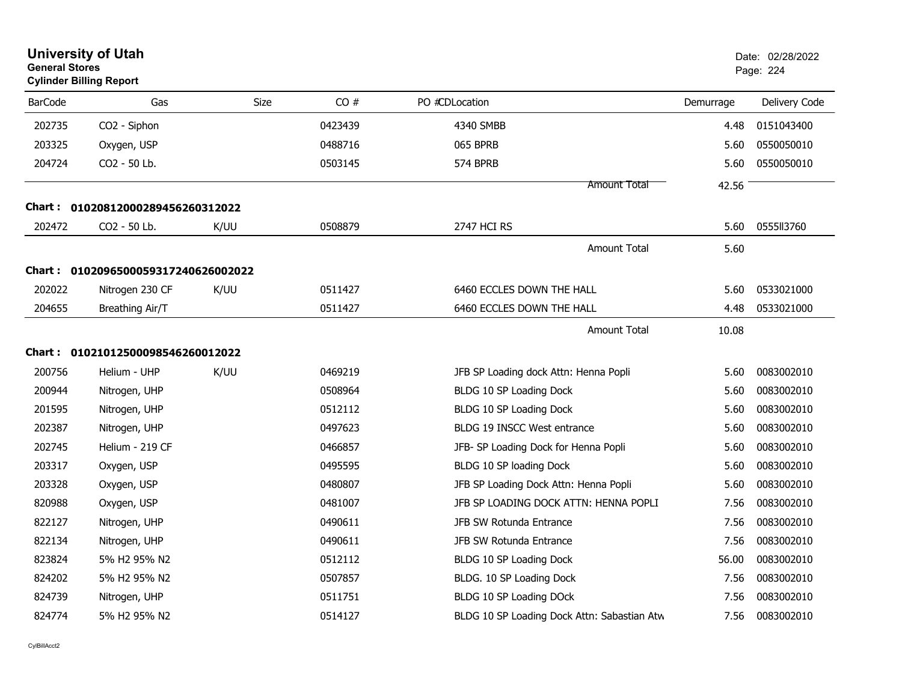| <b>General Stores</b> | <b>University of Utah</b><br><b>Cylinder Billing Report</b> |      |         |                                             |           | Date: 02/28/2022<br>Page: 224 |
|-----------------------|-------------------------------------------------------------|------|---------|---------------------------------------------|-----------|-------------------------------|
| <b>BarCode</b>        | Gas                                                         | Size | CO#     | PO #CDLocation                              | Demurrage | Delivery Code                 |
| 202735                | CO2 - Siphon                                                |      | 0423439 | 4340 SMBB                                   | 4.48      | 0151043400                    |
| 203325                | Oxygen, USP                                                 |      | 0488716 | 065 BPRB                                    | 5.60      | 0550050010                    |
| 204724                | CO2 - 50 Lb.                                                |      | 0503145 | 574 BPRB                                    | 5.60      | 0550050010                    |
|                       |                                                             |      |         | <b>Amount Total</b>                         | 42.56     |                               |
|                       | Chart: 01020812000289456260312022                           |      |         |                                             |           |                               |
| 202472                | CO2 - 50 Lb.                                                | K/UU | 0508879 | <b>2747 HCI RS</b>                          | 5.60      | 0555113760                    |
|                       |                                                             |      |         | <b>Amount Total</b>                         | 5.60      |                               |
|                       | Chart: 0102096500059317240626002022                         |      |         |                                             |           |                               |
| 202022                | Nitrogen 230 CF                                             | K/UU | 0511427 | 6460 ECCLES DOWN THE HALL                   | 5.60      | 0533021000                    |
| 204655                | Breathing Air/T                                             |      | 0511427 | 6460 ECCLES DOWN THE HALL                   | 4.48      | 0533021000                    |
|                       |                                                             |      |         | <b>Amount Total</b>                         | 10.08     |                               |
|                       | Chart: 01021012500098546260012022                           |      |         |                                             |           |                               |
| 200756                | Helium - UHP                                                | K/UU | 0469219 | JFB SP Loading dock Attn: Henna Popli       | 5.60      | 0083002010                    |
| 200944                | Nitrogen, UHP                                               |      | 0508964 | BLDG 10 SP Loading Dock                     | 5.60      | 0083002010                    |
| 201595                | Nitrogen, UHP                                               |      | 0512112 | BLDG 10 SP Loading Dock                     | 5.60      | 0083002010                    |
| 202387                | Nitrogen, UHP                                               |      | 0497623 | BLDG 19 INSCC West entrance                 | 5.60      | 0083002010                    |
| 202745                | Helium - 219 CF                                             |      | 0466857 | JFB- SP Loading Dock for Henna Popli        | 5.60      | 0083002010                    |
| 203317                | Oxygen, USP                                                 |      | 0495595 | BLDG 10 SP loading Dock                     | 5.60      | 0083002010                    |
| 203328                | Oxygen, USP                                                 |      | 0480807 | JFB SP Loading Dock Attn: Henna Popli       | 5.60      | 0083002010                    |
| 820988                | Oxygen, USP                                                 |      | 0481007 | JFB SP LOADING DOCK ATTN: HENNA POPLI       | 7.56      | 0083002010                    |
| 822127                | Nitrogen, UHP                                               |      | 0490611 | JFB SW Rotunda Entrance                     | 7.56      | 0083002010                    |
| 822134                | Nitrogen, UHP                                               |      | 0490611 | JFB SW Rotunda Entrance                     | 7.56      | 0083002010                    |
| 823824                | 5% H2 95% N2                                                |      | 0512112 | BLDG 10 SP Loading Dock                     | 56.00     | 0083002010                    |
| 824202                | 5% H2 95% N2                                                |      | 0507857 | BLDG. 10 SP Loading Dock                    | 7.56      | 0083002010                    |
| 824739                | Nitrogen, UHP                                               |      | 0511751 | BLDG 10 SP Loading DOck                     | 7.56      | 0083002010                    |
| 824774                | 5% H2 95% N2                                                |      | 0514127 | BLDG 10 SP Loading Dock Attn: Sabastian Atw | 7.56      | 0083002010                    |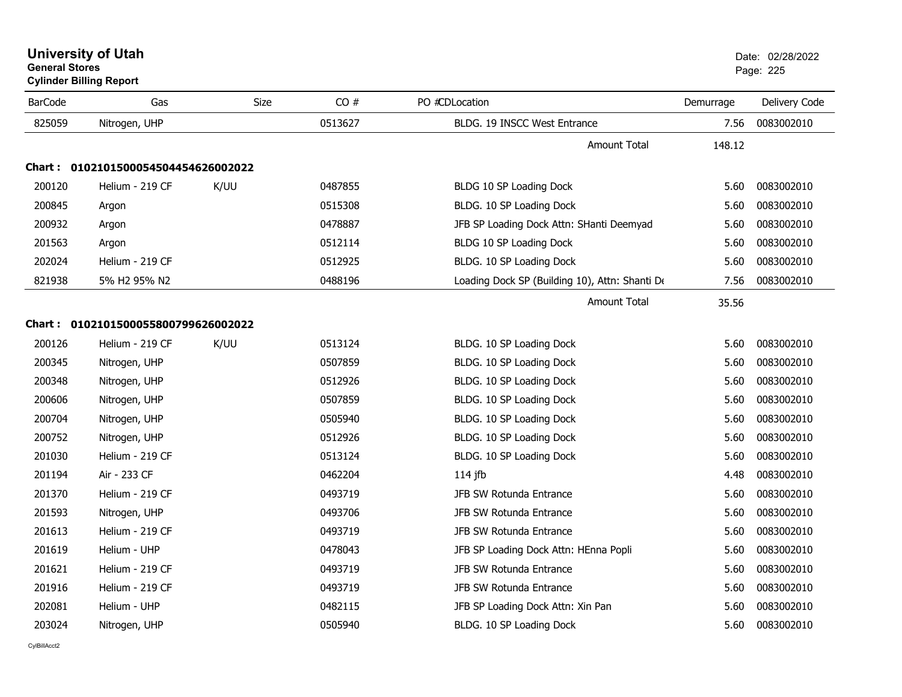| <b>University of Utah</b>      | Date: 02/2 |
|--------------------------------|------------|
| <b>General Stores</b>          | Page: 225  |
| <b>Cylinder Billing Report</b> |            |

| <b>BarCode</b> | Gas                                 | Size | CO#     | PO #CDLocation                                 | Demurrage | Delivery Code |
|----------------|-------------------------------------|------|---------|------------------------------------------------|-----------|---------------|
| 825059         | Nitrogen, UHP                       |      | 0513627 | BLDG. 19 INSCC West Entrance                   | 7.56      | 0083002010    |
|                |                                     |      |         | <b>Amount Total</b>                            | 148.12    |               |
|                | Chart: 0102101500054504454626002022 |      |         |                                                |           |               |
| 200120         | Helium - 219 CF                     | K/UU | 0487855 | BLDG 10 SP Loading Dock                        | 5.60      | 0083002010    |
| 200845         | Argon                               |      | 0515308 | BLDG. 10 SP Loading Dock                       | 5.60      | 0083002010    |
| 200932         | Argon                               |      | 0478887 | JFB SP Loading Dock Attn: SHanti Deemyad       | 5.60      | 0083002010    |
| 201563         | Argon                               |      | 0512114 | BLDG 10 SP Loading Dock                        | 5.60      | 0083002010    |
| 202024         | Helium - 219 CF                     |      | 0512925 | BLDG. 10 SP Loading Dock                       | 5.60      | 0083002010    |
| 821938         | 5% H2 95% N2                        |      | 0488196 | Loading Dock SP (Building 10), Attn: Shanti De | 7.56      | 0083002010    |
|                |                                     |      |         | Amount Total                                   | 35.56     |               |
|                | Chart: 0102101500055800799626002022 |      |         |                                                |           |               |
| 200126         | Helium - 219 CF                     | K/UU | 0513124 | BLDG. 10 SP Loading Dock                       | 5.60      | 0083002010    |
| 200345         | Nitrogen, UHP                       |      | 0507859 | BLDG. 10 SP Loading Dock                       | 5.60      | 0083002010    |
| 200348         | Nitrogen, UHP                       |      | 0512926 | BLDG. 10 SP Loading Dock                       | 5.60      | 0083002010    |
| 200606         | Nitrogen, UHP                       |      | 0507859 | BLDG. 10 SP Loading Dock                       | 5.60      | 0083002010    |
| 200704         | Nitrogen, UHP                       |      | 0505940 | BLDG. 10 SP Loading Dock                       | 5.60      | 0083002010    |
| 200752         | Nitrogen, UHP                       |      | 0512926 | BLDG. 10 SP Loading Dock                       | 5.60      | 0083002010    |
| 201030         | Helium - 219 CF                     |      | 0513124 | BLDG. 10 SP Loading Dock                       | 5.60      | 0083002010    |
| 201194         | Air - 233 CF                        |      | 0462204 | $114$ jfb                                      | 4.48      | 0083002010    |
| 201370         | Helium - 219 CF                     |      | 0493719 | JFB SW Rotunda Entrance                        | 5.60      | 0083002010    |
| 201593         | Nitrogen, UHP                       |      | 0493706 | JFB SW Rotunda Entrance                        | 5.60      | 0083002010    |
| 201613         | Helium - 219 CF                     |      | 0493719 | JFB SW Rotunda Entrance                        | 5.60      | 0083002010    |
| 201619         | Helium - UHP                        |      | 0478043 | JFB SP Loading Dock Attn: HEnna Popli          | 5.60      | 0083002010    |
| 201621         | Helium - 219 CF                     |      | 0493719 | JFB SW Rotunda Entrance                        | 5.60      | 0083002010    |
| 201916         | Helium - 219 CF                     |      | 0493719 | JFB SW Rotunda Entrance                        | 5.60      | 0083002010    |
| 202081         | Helium - UHP                        |      | 0482115 | JFB SP Loading Dock Attn: Xin Pan              | 5.60      | 0083002010    |
| 203024         | Nitrogen, UHP                       |      | 0505940 | BLDG. 10 SP Loading Dock                       | 5.60      | 0083002010    |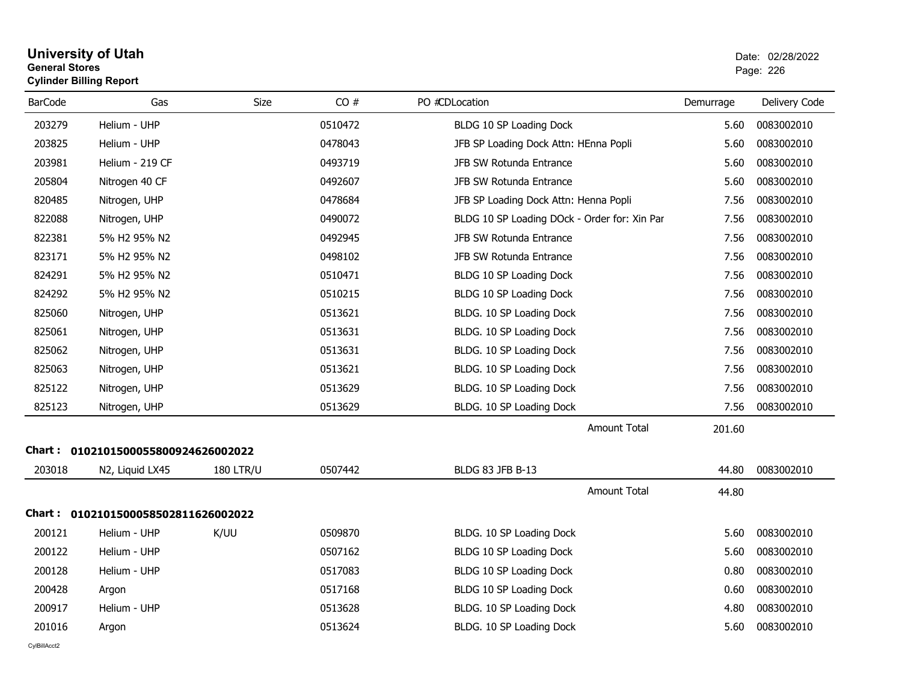# **University of Utah** Date: 02/28/2022 **General Stores**entry of the control of the control of the control of the control of the control of the control of the control of the control of the control of the control of the control of the control of the control of the control of the **Cylinder Billing Report**

| <b>BarCode</b> | Gas                                 | Size             | CO#     | PO #CDLocation                               | Demurrage | Delivery Code |
|----------------|-------------------------------------|------------------|---------|----------------------------------------------|-----------|---------------|
| 203279         | Helium - UHP                        |                  | 0510472 | BLDG 10 SP Loading Dock                      | 5.60      | 0083002010    |
| 203825         | Helium - UHP                        |                  | 0478043 | JFB SP Loading Dock Attn: HEnna Popli        | 5.60      | 0083002010    |
| 203981         | Helium - 219 CF                     |                  | 0493719 | JFB SW Rotunda Entrance                      | 5.60      | 0083002010    |
| 205804         | Nitrogen 40 CF                      |                  | 0492607 | JFB SW Rotunda Entrance                      | 5.60      | 0083002010    |
| 820485         | Nitrogen, UHP                       |                  | 0478684 | JFB SP Loading Dock Attn: Henna Popli        | 7.56      | 0083002010    |
| 822088         | Nitrogen, UHP                       |                  | 0490072 | BLDG 10 SP Loading DOck - Order for: Xin Par | 7.56      | 0083002010    |
| 822381         | 5% H2 95% N2                        |                  | 0492945 | JFB SW Rotunda Entrance                      | 7.56      | 0083002010    |
| 823171         | 5% H2 95% N2                        |                  | 0498102 | JFB SW Rotunda Entrance                      | 7.56      | 0083002010    |
| 824291         | 5% H2 95% N2                        |                  | 0510471 | BLDG 10 SP Loading Dock                      | 7.56      | 0083002010    |
| 824292         | 5% H2 95% N2                        |                  | 0510215 | BLDG 10 SP Loading Dock                      | 7.56      | 0083002010    |
| 825060         | Nitrogen, UHP                       |                  | 0513621 | BLDG. 10 SP Loading Dock                     | 7.56      | 0083002010    |
| 825061         | Nitrogen, UHP                       |                  | 0513631 | BLDG. 10 SP Loading Dock                     | 7.56      | 0083002010    |
| 825062         | Nitrogen, UHP                       |                  | 0513631 | BLDG. 10 SP Loading Dock                     | 7.56      | 0083002010    |
| 825063         | Nitrogen, UHP                       |                  | 0513621 | BLDG. 10 SP Loading Dock                     | 7.56      | 0083002010    |
| 825122         | Nitrogen, UHP                       |                  | 0513629 | BLDG. 10 SP Loading Dock                     | 7.56      | 0083002010    |
| 825123         | Nitrogen, UHP                       |                  | 0513629 | BLDG. 10 SP Loading Dock                     | 7.56      | 0083002010    |
|                |                                     |                  |         | Amount Total                                 | 201.60    |               |
|                | Chart: 0102101500055800924626002022 |                  |         |                                              |           |               |
| 203018         | N2, Liquid LX45                     | <b>180 LTR/U</b> | 0507442 | BLDG 83 JFB B-13                             | 44.80     | 0083002010    |
|                |                                     |                  |         | <b>Amount Total</b>                          | 44.80     |               |
| Chart :        | 0102101500058502811626002022        |                  |         |                                              |           |               |
| 200121         | Helium - UHP                        | K/UU             | 0509870 | BLDG. 10 SP Loading Dock                     | 5.60      | 0083002010    |
| 200122         | Helium - UHP                        |                  | 0507162 | BLDG 10 SP Loading Dock                      | 5.60      | 0083002010    |
| 200128         | Helium - UHP                        |                  | 0517083 | BLDG 10 SP Loading Dock                      | 0.80      | 0083002010    |
| 200428         | Argon                               |                  | 0517168 | BLDG 10 SP Loading Dock                      | 0.60      | 0083002010    |
| 200917         | Helium - UHP                        |                  | 0513628 | BLDG. 10 SP Loading Dock                     | 4.80      | 0083002010    |
| 201016         | Argon                               |                  | 0513624 | BLDG. 10 SP Loading Dock                     | 5.60      | 0083002010    |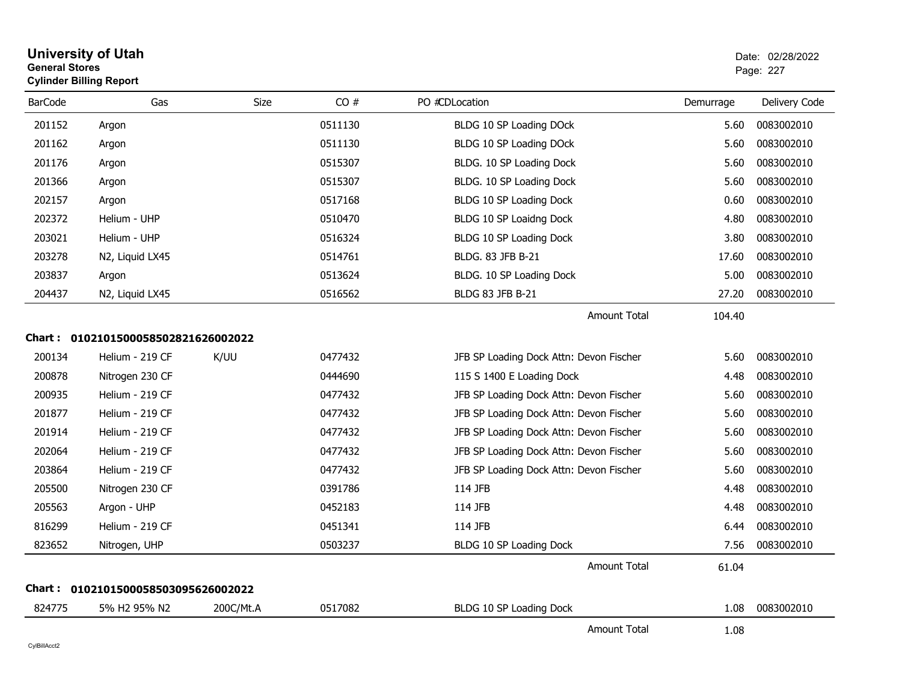|                | <b>Cylinder Billing Report</b>      |             |         |                                         |           |               |
|----------------|-------------------------------------|-------------|---------|-----------------------------------------|-----------|---------------|
| <b>BarCode</b> | Gas                                 | <b>Size</b> | CO#     | PO #CDLocation                          | Demurrage | Delivery Code |
| 201152         | Argon                               |             | 0511130 | BLDG 10 SP Loading DOck                 | 5.60      | 0083002010    |
| 201162         | Argon                               |             | 0511130 | BLDG 10 SP Loading DOck                 | 5.60      | 0083002010    |
| 201176         | Argon                               |             | 0515307 | BLDG. 10 SP Loading Dock                | 5.60      | 0083002010    |
| 201366         | Argon                               |             | 0515307 | BLDG. 10 SP Loading Dock                | 5.60      | 0083002010    |
| 202157         | Argon                               |             | 0517168 | BLDG 10 SP Loading Dock                 | 0.60      | 0083002010    |
| 202372         | Helium - UHP                        |             | 0510470 | BLDG 10 SP Loaidng Dock                 | 4.80      | 0083002010    |
| 203021         | Helium - UHP                        |             | 0516324 | BLDG 10 SP Loading Dock                 | 3.80      | 0083002010    |
| 203278         | N2, Liquid LX45                     |             | 0514761 | BLDG. 83 JFB B-21                       | 17.60     | 0083002010    |
| 203837         | Argon                               |             | 0513624 | BLDG. 10 SP Loading Dock                | 5.00      | 0083002010    |
| 204437         | N2, Liquid LX45                     |             | 0516562 | BLDG 83 JFB B-21                        | 27.20     | 0083002010    |
|                |                                     |             |         | <b>Amount Total</b>                     | 104.40    |               |
| Chart :        | 0102101500058502821626002022        |             |         |                                         |           |               |
| 200134         | Helium - 219 CF                     | K/UU        | 0477432 | JFB SP Loading Dock Attn: Devon Fischer | 5.60      | 0083002010    |
| 200878         | Nitrogen 230 CF                     |             | 0444690 | 115 S 1400 E Loading Dock               | 4.48      | 0083002010    |
| 200935         | Helium - 219 CF                     |             | 0477432 | JFB SP Loading Dock Attn: Devon Fischer | 5.60      | 0083002010    |
| 201877         | Helium - 219 CF                     |             | 0477432 | JFB SP Loading Dock Attn: Devon Fischer | 5.60      | 0083002010    |
| 201914         | Helium - 219 CF                     |             | 0477432 | JFB SP Loading Dock Attn: Devon Fischer | 5.60      | 0083002010    |
| 202064         | Helium - 219 CF                     |             | 0477432 | JFB SP Loading Dock Attn: Devon Fischer | 5.60      | 0083002010    |
| 203864         | Helium - 219 CF                     |             | 0477432 | JFB SP Loading Dock Attn: Devon Fischer | 5.60      | 0083002010    |
| 205500         | Nitrogen 230 CF                     |             | 0391786 | 114 JFB                                 | 4.48      | 0083002010    |
| 205563         | Argon - UHP                         |             | 0452183 | 114 JFB                                 | 4.48      | 0083002010    |
| 816299         | Helium - 219 CF                     |             | 0451341 | 114 JFB                                 | 6.44      | 0083002010    |
| 823652         | Nitrogen, UHP                       |             | 0503237 | BLDG 10 SP Loading Dock                 | 7.56      | 0083002010    |
|                |                                     |             |         | <b>Amount Total</b>                     | 61.04     |               |
|                | Chart: 0102101500058503095626002022 |             |         |                                         |           |               |
| 824775         | 5% H2 95% N2                        | 200C/Mt.A   | 0517082 | BLDG 10 SP Loading Dock                 | 1.08      | 0083002010    |
|                |                                     |             |         | Amount Total                            | 1.08      |               |

# **University of Utah** Date: 02/28/2022 **General Stores**estate the control of the control of the control of the control of the control of the control of the control of the control of the control of the control of the control of the control of the control of the control of the c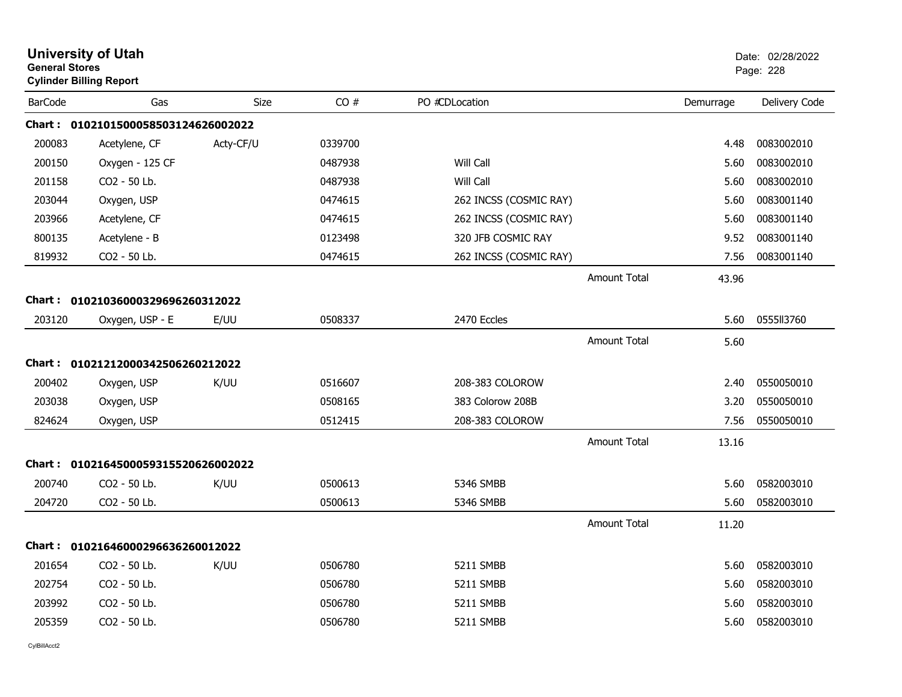| <b>General Stores</b> | <b>University of Utah</b><br><b>Cylinder Billing Report</b> |           |         |                        |                     |           | Date: 02/28/2022<br>Page: 228 |
|-----------------------|-------------------------------------------------------------|-----------|---------|------------------------|---------------------|-----------|-------------------------------|
| <b>BarCode</b>        | Gas                                                         | Size      | CO#     | PO #CDLocation         |                     | Demurrage | Delivery Code                 |
|                       | Chart: 0102101500058503124626002022                         |           |         |                        |                     |           |                               |
| 200083                | Acetylene, CF                                               | Acty-CF/U | 0339700 |                        |                     | 4.48      | 0083002010                    |
| 200150                | Oxygen - 125 CF                                             |           | 0487938 | Will Call              |                     | 5.60      | 0083002010                    |
| 201158                | CO2 - 50 Lb.                                                |           | 0487938 | Will Call              |                     | 5.60      | 0083002010                    |
| 203044                | Oxygen, USP                                                 |           | 0474615 | 262 INCSS (COSMIC RAY) |                     | 5.60      | 0083001140                    |
| 203966                | Acetylene, CF                                               |           | 0474615 | 262 INCSS (COSMIC RAY) |                     | 5.60      | 0083001140                    |
| 800135                | Acetylene - B                                               |           | 0123498 | 320 JFB COSMIC RAY     |                     | 9.52      | 0083001140                    |
| 819932                | CO2 - 50 Lb.                                                |           | 0474615 | 262 INCSS (COSMIC RAY) |                     | 7.56      | 0083001140                    |
|                       |                                                             |           |         |                        | <b>Amount Total</b> | 43.96     |                               |
|                       | Chart: 01021036000329696260312022                           |           |         |                        |                     |           |                               |
| 203120                | Oxygen, USP - E                                             | E/UU      | 0508337 | 2470 Eccles            |                     | 5.60      | 0555II3760                    |
|                       |                                                             |           |         |                        | <b>Amount Total</b> | 5.60      |                               |
|                       | Chart: 01021212000342506260212022                           |           |         |                        |                     |           |                               |
| 200402                | Oxygen, USP                                                 | K/UU      | 0516607 | 208-383 COLOROW        |                     | 2.40      | 0550050010                    |
| 203038                | Oxygen, USP                                                 |           | 0508165 | 383 Colorow 208B       |                     | 3.20      | 0550050010                    |
| 824624                | Oxygen, USP                                                 |           | 0512415 | 208-383 COLOROW        |                     | 7.56      | 0550050010                    |
|                       |                                                             |           |         |                        | <b>Amount Total</b> | 13.16     |                               |
|                       | Chart: 0102164500059315520626002022                         |           |         |                        |                     |           |                               |
| 200740                | CO2 - 50 Lb.                                                | K/UU      | 0500613 | 5346 SMBB              |                     | 5.60      | 0582003010                    |
| 204720                | CO2 - 50 Lb.                                                |           | 0500613 | 5346 SMBB              |                     | 5.60      | 0582003010                    |
|                       |                                                             |           |         |                        | <b>Amount Total</b> | 11.20     |                               |
|                       | Chart: 01021646000296636260012022                           |           |         |                        |                     |           |                               |
| 201654                | CO2 - 50 Lb.                                                | K/UU      | 0506780 | 5211 SMBB              |                     | 5.60      | 0582003010                    |
| 202754                | CO2 - 50 Lb.                                                |           | 0506780 | 5211 SMBB              |                     | 5.60      | 0582003010                    |
| 203992                | CO2 - 50 Lb.                                                |           | 0506780 | 5211 SMBB              |                     | 5.60      | 0582003010                    |
| 205359                | CO2 - 50 Lb.                                                |           | 0506780 | 5211 SMBB              |                     | 5.60      | 0582003010                    |
|                       |                                                             |           |         |                        |                     |           |                               |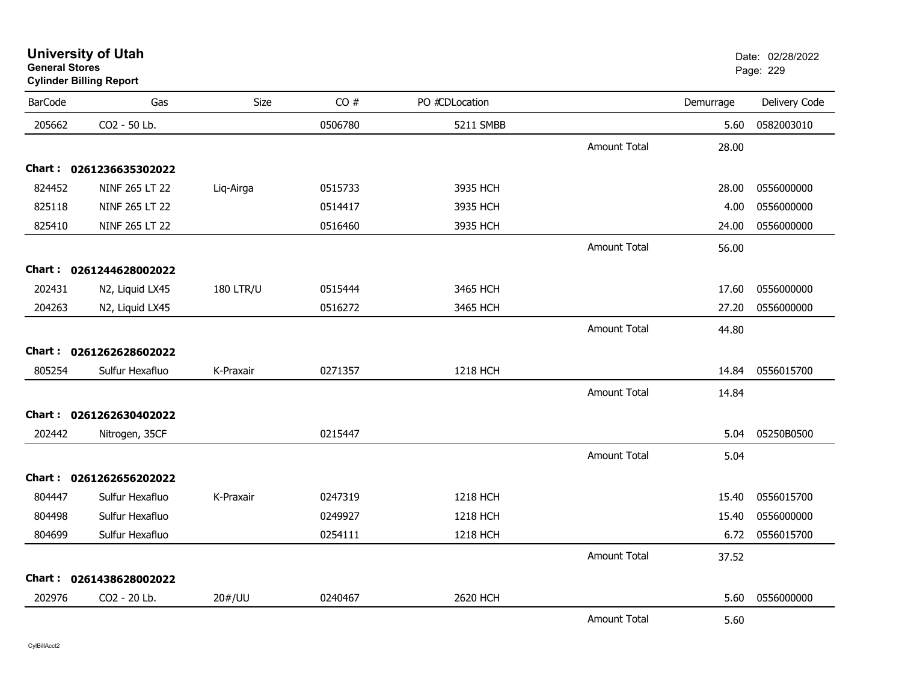| <b>BarCode</b> | Gas                     | Size             | CO#     | PO #CDLocation |                     | Demurrage | Delivery Code |
|----------------|-------------------------|------------------|---------|----------------|---------------------|-----------|---------------|
| 205662         | CO2 - 50 Lb.            |                  | 0506780 | 5211 SMBB      |                     | 5.60      | 0582003010    |
|                |                         |                  |         |                | Amount Total        | 28.00     |               |
|                | Chart: 0261236635302022 |                  |         |                |                     |           |               |
| 824452         | NINF 265 LT 22          | Liq-Airga        | 0515733 | 3935 HCH       |                     | 28.00     | 0556000000    |
| 825118         | NINF 265 LT 22          |                  | 0514417 | 3935 HCH       |                     | 4.00      | 0556000000    |
| 825410         | NINF 265 LT 22          |                  | 0516460 | 3935 HCH       |                     | 24.00     | 0556000000    |
|                |                         |                  |         |                | <b>Amount Total</b> | 56.00     |               |
|                | Chart: 0261244628002022 |                  |         |                |                     |           |               |
| 202431         | N2, Liquid LX45         | <b>180 LTR/U</b> | 0515444 | 3465 HCH       |                     | 17.60     | 0556000000    |
| 204263         | N2, Liquid LX45         |                  | 0516272 | 3465 HCH       |                     | 27.20     | 0556000000    |
|                |                         |                  |         |                | <b>Amount Total</b> | 44.80     |               |
|                | Chart: 0261262628602022 |                  |         |                |                     |           |               |
| 805254         | Sulfur Hexafluo         | K-Praxair        | 0271357 | 1218 HCH       |                     | 14.84     | 0556015700    |
|                |                         |                  |         |                | <b>Amount Total</b> | 14.84     |               |
|                | Chart: 0261262630402022 |                  |         |                |                     |           |               |
| 202442         | Nitrogen, 35CF          |                  | 0215447 |                |                     | 5.04      | 05250B0500    |
|                |                         |                  |         |                | <b>Amount Total</b> | 5.04      |               |
|                | Chart: 0261262656202022 |                  |         |                |                     |           |               |
| 804447         | Sulfur Hexafluo         | K-Praxair        | 0247319 | 1218 HCH       |                     | 15.40     | 0556015700    |
| 804498         | Sulfur Hexafluo         |                  | 0249927 | 1218 HCH       |                     | 15.40     | 0556000000    |
| 804699         | Sulfur Hexafluo         |                  | 0254111 | 1218 HCH       |                     | 6.72      | 0556015700    |
|                |                         |                  |         |                | <b>Amount Total</b> | 37.52     |               |
|                | Chart: 0261438628002022 |                  |         |                |                     |           |               |
| 202976         | CO2 - 20 Lb.            | 20#/UU           | 0240467 | 2620 HCH       |                     | 5.60      | 0556000000    |
|                |                         |                  |         |                | Amount Total        | 5.60      |               |

**University of Utah** Date: 02/28/2022 **General Stores**er and the state of the state of the state of the state of the state of the state of the state of the state of the state of the state of the state of the state of the state of the state of the state of the state of the sta **Cylinder Billing Report**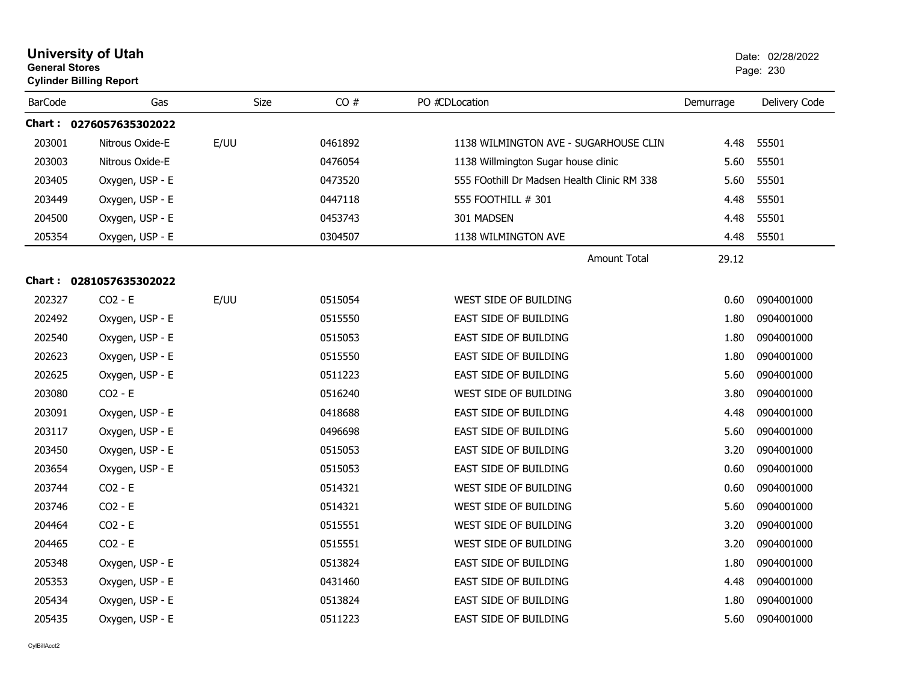| <b>General Stores</b> | <b>University of Utah</b><br><b>Cylinder Billing Report</b> |      |         |                                             |           | Date: 02/28/2022<br>Page: 230 |
|-----------------------|-------------------------------------------------------------|------|---------|---------------------------------------------|-----------|-------------------------------|
| <b>BarCode</b>        | Gas                                                         | Size | CO#     | PO #CDLocation                              | Demurrage | Delivery Code                 |
|                       | Chart: 0276057635302022                                     |      |         |                                             |           |                               |
| 203001                | Nitrous Oxide-E                                             | E/UU | 0461892 | 1138 WILMINGTON AVE - SUGARHOUSE CLIN       | 4.48      | 55501                         |
| 203003                | Nitrous Oxide-E                                             |      | 0476054 | 1138 Willmington Sugar house clinic         | 5.60      | 55501                         |
| 203405                | Oxygen, USP - E                                             |      | 0473520 | 555 FOothill Dr Madsen Health Clinic RM 338 | 5.60      | 55501                         |
| 203449                | Oxygen, USP - E                                             |      | 0447118 | 555 FOOTHILL # 301                          | 4.48      | 55501                         |
| 204500                | Oxygen, USP - E                                             |      | 0453743 | 301 MADSEN                                  | 4.48      | 55501                         |
| 205354                | Oxygen, USP - E                                             |      | 0304507 | 1138 WILMINGTON AVE                         | 4.48      | 55501                         |
|                       |                                                             |      |         | <b>Amount Total</b>                         | 29.12     |                               |
|                       | Chart: 0281057635302022                                     |      |         |                                             |           |                               |
| 202327                | $CO2 - E$                                                   | E/UU | 0515054 | WEST SIDE OF BUILDING                       | 0.60      | 0904001000                    |
| 202492                | Oxygen, USP - E                                             |      | 0515550 | EAST SIDE OF BUILDING                       | 1.80      | 0904001000                    |
| 202540                | Oxygen, USP - E                                             |      | 0515053 | <b>EAST SIDE OF BUILDING</b>                | 1.80      | 0904001000                    |
| 202623                | Oxygen, USP - E                                             |      | 0515550 | <b>EAST SIDE OF BUILDING</b>                | 1.80      | 0904001000                    |
| 202625                | Oxygen, USP - E                                             |      | 0511223 | <b>EAST SIDE OF BUILDING</b>                | 5.60      | 0904001000                    |
| 203080                | $CO2 - E$                                                   |      | 0516240 | WEST SIDE OF BUILDING                       | 3.80      | 0904001000                    |
| 203091                | Oxygen, USP - E                                             |      | 0418688 | EAST SIDE OF BUILDING                       | 4.48      | 0904001000                    |
| 203117                | Oxygen, USP - E                                             |      | 0496698 | <b>EAST SIDE OF BUILDING</b>                | 5.60      | 0904001000                    |
| 203450                | Oxygen, USP - E                                             |      | 0515053 | EAST SIDE OF BUILDING                       | 3.20      | 0904001000                    |
| 203654                | Oxygen, USP - E                                             |      | 0515053 | <b>EAST SIDE OF BUILDING</b>                | 0.60      | 0904001000                    |
| 203744                | $CO2 - E$                                                   |      | 0514321 | WEST SIDE OF BUILDING                       | 0.60      | 0904001000                    |
| 203746                | $CO2 - E$                                                   |      | 0514321 | WEST SIDE OF BUILDING                       | 5.60      | 0904001000                    |
| 204464                | $CO2 - E$                                                   |      | 0515551 | WEST SIDE OF BUILDING                       | 3.20      | 0904001000                    |
| 204465                | $CO2 - E$                                                   |      | 0515551 | WEST SIDE OF BUILDING                       | 3.20      | 0904001000                    |
| 205348                | Oxygen, USP - E                                             |      | 0513824 | EAST SIDE OF BUILDING                       | 1.80      | 0904001000                    |
| 205353                | Oxygen, USP - E                                             |      | 0431460 | EAST SIDE OF BUILDING                       | 4.48      | 0904001000                    |
| 205434                | Oxygen, USP - E                                             |      | 0513824 | <b>EAST SIDE OF BUILDING</b>                | 1.80      | 0904001000                    |
| 205435                | Oxygen, USP - E                                             |      | 0511223 | <b>EAST SIDE OF BUILDING</b>                | 5.60      | 0904001000                    |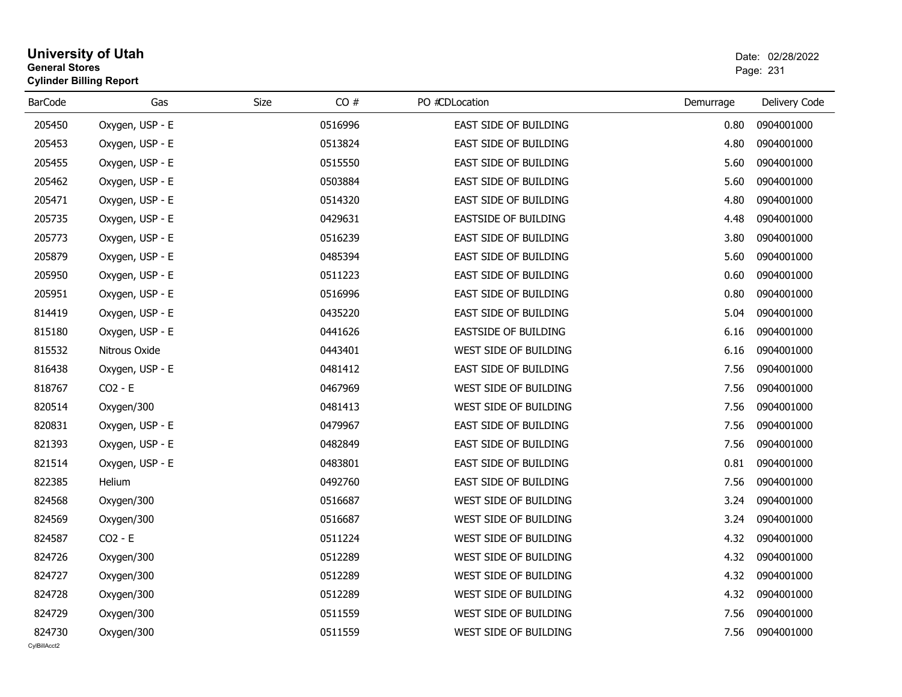## **University of Utah** Date: 02/28/2022 **General Stores**er and the state of the state of the state of the state of the state of the state of the Page: 231  $\,$ **Cylinder Billing Report**

| <b>BarCode</b>         | Gas             | CO#<br>Size | PO #CDLocation               | Demurrage | Delivery Code |
|------------------------|-----------------|-------------|------------------------------|-----------|---------------|
| 205450                 | Oxygen, USP - E | 0516996     | EAST SIDE OF BUILDING        | 0.80      | 0904001000    |
| 205453                 | Oxygen, USP - E | 0513824     | EAST SIDE OF BUILDING        | 4.80      | 0904001000    |
| 205455                 | Oxygen, USP - E | 0515550     | <b>EAST SIDE OF BUILDING</b> | 5.60      | 0904001000    |
| 205462                 | Oxygen, USP - E | 0503884     | EAST SIDE OF BUILDING        | 5.60      | 0904001000    |
| 205471                 | Oxygen, USP - E | 0514320     | <b>EAST SIDE OF BUILDING</b> | 4.80      | 0904001000    |
| 205735                 | Oxygen, USP - E | 0429631     | <b>EASTSIDE OF BUILDING</b>  | 4.48      | 0904001000    |
| 205773                 | Oxygen, USP - E | 0516239     | <b>EAST SIDE OF BUILDING</b> | 3.80      | 0904001000    |
| 205879                 | Oxygen, USP - E | 0485394     | EAST SIDE OF BUILDING        | 5.60      | 0904001000    |
| 205950                 | Oxygen, USP - E | 0511223     | <b>EAST SIDE OF BUILDING</b> | 0.60      | 0904001000    |
| 205951                 | Oxygen, USP - E | 0516996     | EAST SIDE OF BUILDING        | 0.80      | 0904001000    |
| 814419                 | Oxygen, USP - E | 0435220     | EAST SIDE OF BUILDING        | 5.04      | 0904001000    |
| 815180                 | Oxygen, USP - E | 0441626     | EASTSIDE OF BUILDING         | 6.16      | 0904001000    |
| 815532                 | Nitrous Oxide   | 0443401     | WEST SIDE OF BUILDING        | 6.16      | 0904001000    |
| 816438                 | Oxygen, USP - E | 0481412     | EAST SIDE OF BUILDING        | 7.56      | 0904001000    |
| 818767                 | $CO2 - E$       | 0467969     | WEST SIDE OF BUILDING        | 7.56      | 0904001000    |
| 820514                 | Oxygen/300      | 0481413     | WEST SIDE OF BUILDING        | 7.56      | 0904001000    |
| 820831                 | Oxygen, USP - E | 0479967     | EAST SIDE OF BUILDING        | 7.56      | 0904001000    |
| 821393                 | Oxygen, USP - E | 0482849     | EAST SIDE OF BUILDING        | 7.56      | 0904001000    |
| 821514                 | Oxygen, USP - E | 0483801     | EAST SIDE OF BUILDING        | 0.81      | 0904001000    |
| 822385                 | Helium          | 0492760     | EAST SIDE OF BUILDING        | 7.56      | 0904001000    |
| 824568                 | Oxygen/300      | 0516687     | WEST SIDE OF BUILDING        | 3.24      | 0904001000    |
| 824569                 | Oxygen/300      | 0516687     | WEST SIDE OF BUILDING        | 3.24      | 0904001000    |
| 824587                 | $CO2 - E$       | 0511224     | WEST SIDE OF BUILDING        | 4.32      | 0904001000    |
| 824726                 | Oxygen/300      | 0512289     | WEST SIDE OF BUILDING        | 4.32      | 0904001000    |
| 824727                 | Oxygen/300      | 0512289     | WEST SIDE OF BUILDING        | 4.32      | 0904001000    |
| 824728                 | Oxygen/300      | 0512289     | WEST SIDE OF BUILDING        | 4.32      | 0904001000    |
| 824729                 | Oxygen/300      | 0511559     | WEST SIDE OF BUILDING        | 7.56      | 0904001000    |
| 824730<br>CvIBillAcct2 | Oxygen/300      | 0511559     | WEST SIDE OF BUILDING        | 7.56      | 0904001000    |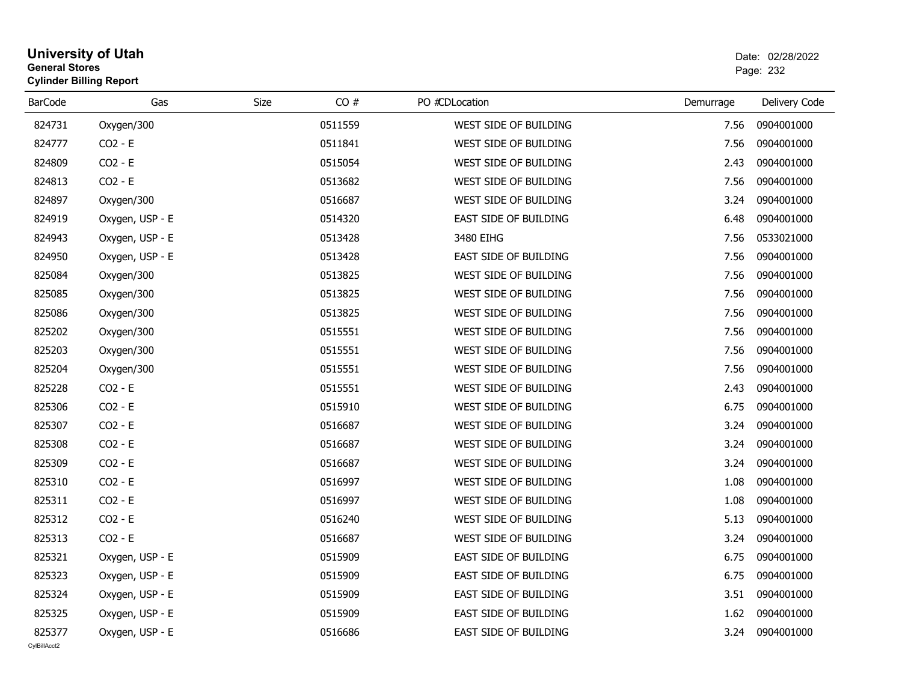# **University of Utah** Date: 02/28/2022 **General Stores**estate the control of the control of the control of the control of the control of the control of the control of the control of the control of the control of the control of the control of the control of the control of the c **Cylinder Billing Report**

| <b>BarCode</b> | Gas             | CO#<br>Size | PO #CDLocation        | Demurrage | Delivery Code |
|----------------|-----------------|-------------|-----------------------|-----------|---------------|
| 824731         | Oxygen/300      | 0511559     | WEST SIDE OF BUILDING | 7.56      | 0904001000    |
| 824777         | $CO2 - E$       | 0511841     | WEST SIDE OF BUILDING | 7.56      | 0904001000    |
| 824809         | $CO2 - E$       | 0515054     | WEST SIDE OF BUILDING | 2.43      | 0904001000    |
| 824813         | $CO2 - E$       | 0513682     | WEST SIDE OF BUILDING | 7.56      | 0904001000    |
| 824897         | Oxygen/300      | 0516687     | WEST SIDE OF BUILDING | 3.24      | 0904001000    |
| 824919         | Oxygen, USP - E | 0514320     | EAST SIDE OF BUILDING | 6.48      | 0904001000    |
| 824943         | Oxygen, USP - E | 0513428     | 3480 EIHG             | 7.56      | 0533021000    |
| 824950         | Oxygen, USP - E | 0513428     | EAST SIDE OF BUILDING | 7.56      | 0904001000    |
| 825084         | Oxygen/300      | 0513825     | WEST SIDE OF BUILDING | 7.56      | 0904001000    |
| 825085         | Oxygen/300      | 0513825     | WEST SIDE OF BUILDING | 7.56      | 0904001000    |
| 825086         | Oxygen/300      | 0513825     | WEST SIDE OF BUILDING | 7.56      | 0904001000    |
| 825202         | Oxygen/300      | 0515551     | WEST SIDE OF BUILDING | 7.56      | 0904001000    |
| 825203         | Oxygen/300      | 0515551     | WEST SIDE OF BUILDING | 7.56      | 0904001000    |
| 825204         | Oxygen/300      | 0515551     | WEST SIDE OF BUILDING | 7.56      | 0904001000    |
| 825228         | $CO2 - E$       | 0515551     | WEST SIDE OF BUILDING | 2.43      | 0904001000    |
| 825306         | $CO2 - E$       | 0515910     | WEST SIDE OF BUILDING | 6.75      | 0904001000    |
| 825307         | $CO2 - E$       | 0516687     | WEST SIDE OF BUILDING | 3.24      | 0904001000    |
| 825308         | $CO2 - E$       | 0516687     | WEST SIDE OF BUILDING | 3.24      | 0904001000    |
| 825309         | $CO2 - E$       | 0516687     | WEST SIDE OF BUILDING | 3.24      | 0904001000    |
| 825310         | $CO2 - E$       | 0516997     | WEST SIDE OF BUILDING | 1.08      | 0904001000    |
| 825311         | $CO2 - E$       | 0516997     | WEST SIDE OF BUILDING | 1.08      | 0904001000    |
| 825312         | $CO2 - E$       | 0516240     | WEST SIDE OF BUILDING | 5.13      | 0904001000    |
| 825313         | $CO2 - E$       | 0516687     | WEST SIDE OF BUILDING | 3.24      | 0904001000    |
| 825321         | Oxygen, USP - E | 0515909     | EAST SIDE OF BUILDING | 6.75      | 0904001000    |
| 825323         | Oxygen, USP - E | 0515909     | EAST SIDE OF BUILDING | 6.75      | 0904001000    |
| 825324         | Oxygen, USP - E | 0515909     | EAST SIDE OF BUILDING | 3.51      | 0904001000    |
| 825325         | Oxygen, USP - E | 0515909     | EAST SIDE OF BUILDING | 1.62      | 0904001000    |
| 825377         | Oxygen, USP - E | 0516686     | EAST SIDE OF BUILDING | 3.24      | 0904001000    |
| CvIBillAcct2   |                 |             |                       |           |               |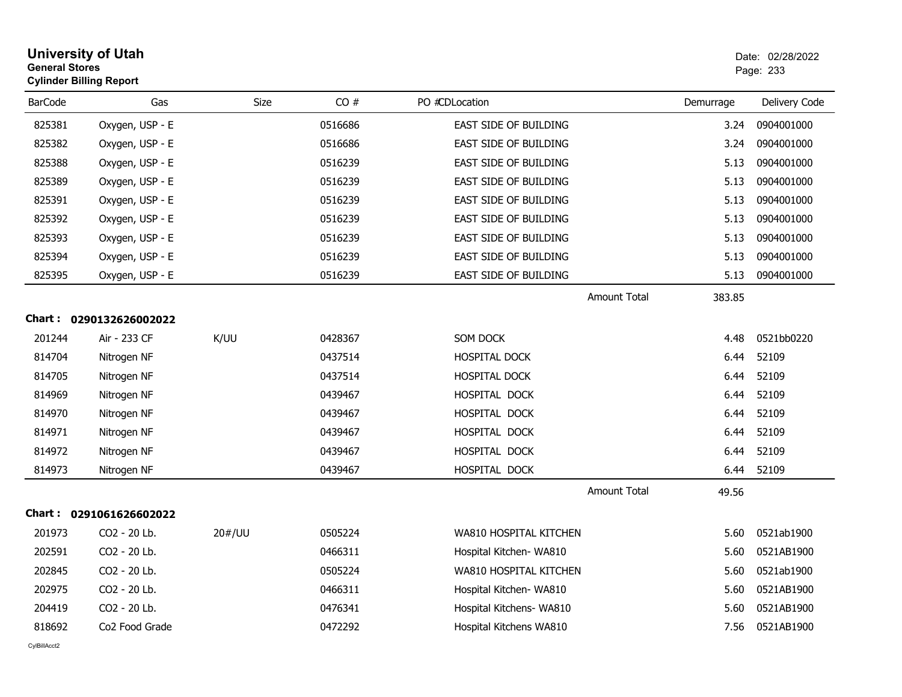|                | <b>University of Utah</b><br><b>General Stores</b><br><b>Cylinder Billing Report</b> |        |         |                              | Date: 02/28/2022<br>Page: 233 |           |               |
|----------------|--------------------------------------------------------------------------------------|--------|---------|------------------------------|-------------------------------|-----------|---------------|
| <b>BarCode</b> | Gas                                                                                  | Size   | CO#     | PO #CDLocation               |                               | Demurrage | Delivery Code |
| 825381         | Oxygen, USP - E                                                                      |        | 0516686 | EAST SIDE OF BUILDING        |                               | 3.24      | 0904001000    |
| 825382         | Oxygen, USP - E                                                                      |        | 0516686 | <b>EAST SIDE OF BUILDING</b> |                               | 3.24      | 0904001000    |
| 825388         | Oxygen, USP - E                                                                      |        | 0516239 | EAST SIDE OF BUILDING        |                               | 5.13      | 0904001000    |
| 825389         | Oxygen, USP - E                                                                      |        | 0516239 | <b>EAST SIDE OF BUILDING</b> |                               | 5.13      | 0904001000    |
| 825391         | Oxygen, USP - E                                                                      |        | 0516239 | EAST SIDE OF BUILDING        |                               | 5.13      | 0904001000    |
| 825392         | Oxygen, USP - E                                                                      |        | 0516239 | EAST SIDE OF BUILDING        |                               | 5.13      | 0904001000    |
| 825393         | Oxygen, USP - E                                                                      |        | 0516239 | EAST SIDE OF BUILDING        |                               | 5.13      | 0904001000    |
| 825394         | Oxygen, USP - E                                                                      |        | 0516239 | EAST SIDE OF BUILDING        |                               | 5.13      | 0904001000    |
| 825395         | Oxygen, USP - E                                                                      |        | 0516239 | EAST SIDE OF BUILDING        |                               | 5.13      | 0904001000    |
|                |                                                                                      |        |         |                              | <b>Amount Total</b>           | 383.85    |               |
|                | Chart: 0290132626002022                                                              |        |         |                              |                               |           |               |
| 201244         | Air - 233 CF                                                                         | K/UU   | 0428367 | SOM DOCK                     |                               | 4.48      | 0521bb0220    |
| 814704         | Nitrogen NF                                                                          |        | 0437514 | <b>HOSPITAL DOCK</b>         |                               | 6.44      | 52109         |
| 814705         | Nitrogen NF                                                                          |        | 0437514 | HOSPITAL DOCK                |                               | 6.44      | 52109         |
| 814969         | Nitrogen NF                                                                          |        | 0439467 | HOSPITAL DOCK                |                               | 6.44      | 52109         |
| 814970         | Nitrogen NF                                                                          |        | 0439467 | HOSPITAL DOCK                |                               | 6.44      | 52109         |
| 814971         | Nitrogen NF                                                                          |        | 0439467 | HOSPITAL DOCK                |                               | 6.44      | 52109         |
| 814972         | Nitrogen NF                                                                          |        | 0439467 | HOSPITAL DOCK                |                               | 6.44      | 52109         |
| 814973         | Nitrogen NF                                                                          |        | 0439467 | HOSPITAL DOCK                |                               | 6.44      | 52109         |
|                |                                                                                      |        |         |                              | <b>Amount Total</b>           | 49.56     |               |
|                | Chart: 0291061626602022                                                              |        |         |                              |                               |           |               |
| 201973         | CO <sub>2</sub> - 20 Lb.                                                             | 20#/UU | 0505224 | WA810 HOSPITAL KITCHEN       |                               | 5.60      | 0521ab1900    |
| 202591         | CO2 - 20 Lb.                                                                         |        | 0466311 | Hospital Kitchen- WA810      |                               | 5.60      | 0521AB1900    |
| 202845         | CO2 - 20 Lb.                                                                         |        | 0505224 | WA810 HOSPITAL KITCHEN       |                               | 5.60      | 0521ab1900    |
| 202975         | CO2 - 20 Lb.                                                                         |        | 0466311 | Hospital Kitchen- WA810      |                               | 5.60      | 0521AB1900    |
| 204419         | CO2 - 20 Lb.                                                                         |        | 0476341 | Hospital Kitchens- WA810     |                               | 5.60      | 0521AB1900    |
| 818692         | Co <sub>2</sub> Food Grade                                                           |        | 0472292 | Hospital Kitchens WA810      |                               | 7.56      | 0521AB1900    |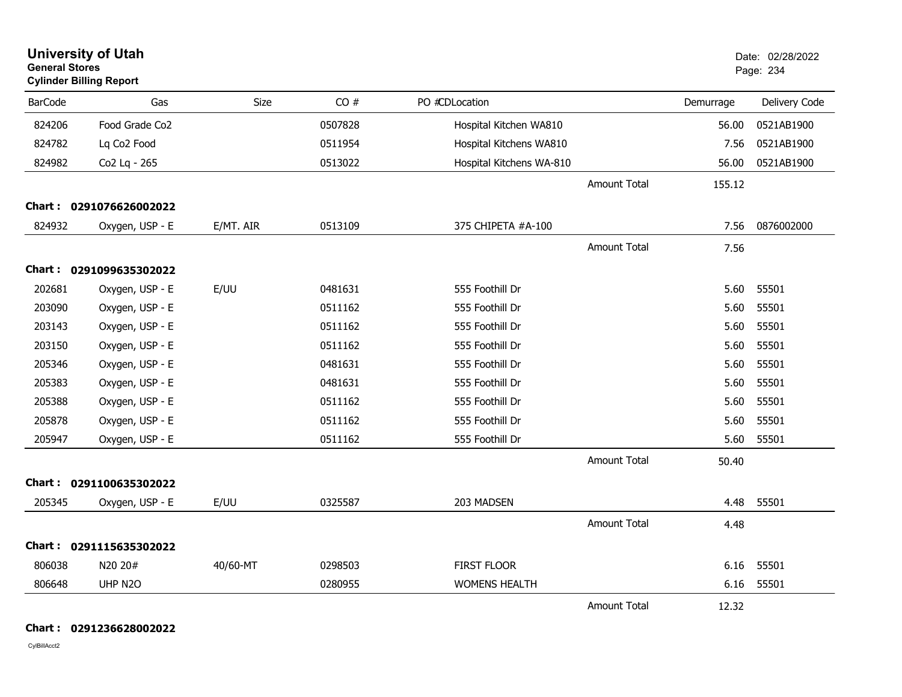| <b>University of Utah</b><br><b>General Stores</b><br><b>Cylinder Billing Report</b> |                         |           |         | Date: 02/28/2022<br>Page: 234 |                     |           |               |
|--------------------------------------------------------------------------------------|-------------------------|-----------|---------|-------------------------------|---------------------|-----------|---------------|
| <b>BarCode</b>                                                                       | Gas                     | Size      | CO#     | PO #CDLocation                |                     | Demurrage | Delivery Code |
| 824206                                                                               | Food Grade Co2          |           | 0507828 | Hospital Kitchen WA810        |                     | 56.00     | 0521AB1900    |
| 824782                                                                               | Lq Co2 Food             |           | 0511954 | Hospital Kitchens WA810       |                     | 7.56      | 0521AB1900    |
| 824982                                                                               | Co2 Lq - 265            |           | 0513022 | Hospital Kitchens WA-810      |                     | 56.00     | 0521AB1900    |
|                                                                                      |                         |           |         |                               | <b>Amount Total</b> | 155.12    |               |
|                                                                                      | Chart: 0291076626002022 |           |         |                               |                     |           |               |
| 824932                                                                               | Oxygen, USP - E         | E/MT. AIR | 0513109 | 375 CHIPETA #A-100            |                     | 7.56      | 0876002000    |
|                                                                                      |                         |           |         |                               | <b>Amount Total</b> | 7.56      |               |
|                                                                                      | Chart: 0291099635302022 |           |         |                               |                     |           |               |
| 202681                                                                               | Oxygen, USP - E         | E/UU      | 0481631 | 555 Foothill Dr               |                     | 5.60      | 55501         |
| 203090                                                                               | Oxygen, USP - E         |           | 0511162 | 555 Foothill Dr               |                     | 5.60      | 55501         |
| 203143                                                                               | Oxygen, USP - E         |           | 0511162 | 555 Foothill Dr               |                     | 5.60      | 55501         |
| 203150                                                                               | Oxygen, USP - E         |           | 0511162 | 555 Foothill Dr               |                     | 5.60      | 55501         |
| 205346                                                                               | Oxygen, USP - E         |           | 0481631 | 555 Foothill Dr               |                     | 5.60      | 55501         |
| 205383                                                                               | Oxygen, USP - E         |           | 0481631 | 555 Foothill Dr               |                     | 5.60      | 55501         |
| 205388                                                                               | Oxygen, USP - E         |           | 0511162 | 555 Foothill Dr               |                     | 5.60      | 55501         |
| 205878                                                                               | Oxygen, USP - E         |           | 0511162 | 555 Foothill Dr               |                     | 5.60      | 55501         |
| 205947                                                                               | Oxygen, USP - E         |           | 0511162 | 555 Foothill Dr               |                     | 5.60      | 55501         |
|                                                                                      |                         |           |         |                               | <b>Amount Total</b> | 50.40     |               |
|                                                                                      | Chart: 0291100635302022 |           |         |                               |                     |           |               |
| 205345                                                                               | Oxygen, USP - E         | E/UU      | 0325587 | 203 MADSEN                    |                     | 4.48      | 55501         |
|                                                                                      |                         |           |         |                               | <b>Amount Total</b> | 4.48      |               |
|                                                                                      | Chart: 0291115635302022 |           |         |                               |                     |           |               |
| 806038                                                                               | N20 20#                 | 40/60-MT  | 0298503 | <b>FIRST FLOOR</b>            |                     | 6.16      | 55501         |
| 806648                                                                               | UHP N2O                 |           | 0280955 | <b>WOMENS HEALTH</b>          |                     | 6.16      | 55501         |
|                                                                                      |                         |           |         |                               | <b>Amount Total</b> | 12.32     |               |

**Chart : 0291236628002022**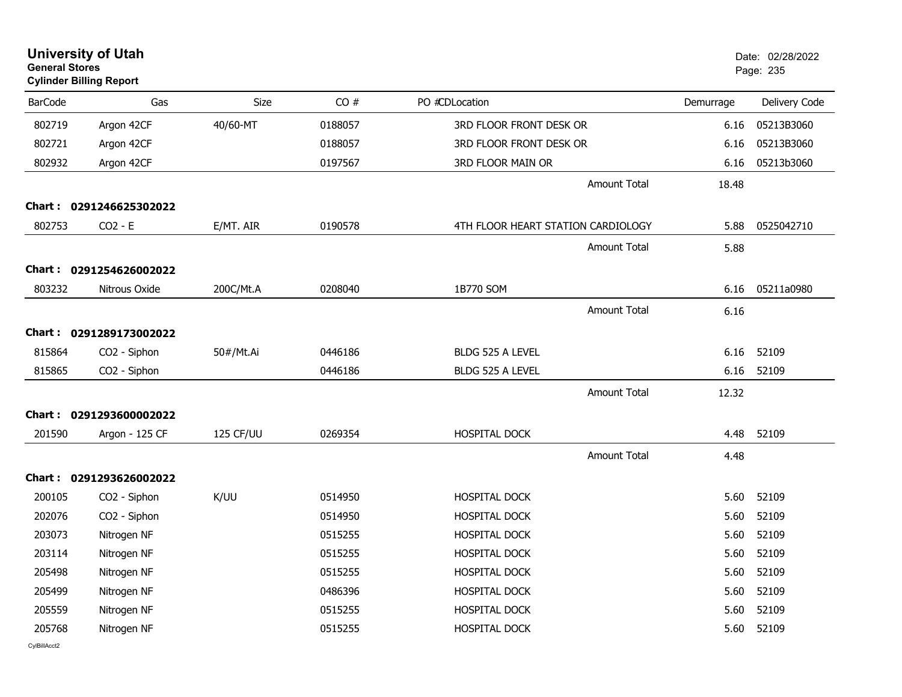| <b>General Stores</b> | <b>University of Utah</b><br><b>Cylinder Billing Report</b> |           |         |                                    |           | Date: 02/28/2022<br>Page: 235 |
|-----------------------|-------------------------------------------------------------|-----------|---------|------------------------------------|-----------|-------------------------------|
| <b>BarCode</b>        | Gas                                                         | Size      | CO#     | PO #CDLocation                     | Demurrage | Delivery Code                 |
| 802719                | Argon 42CF                                                  | 40/60-MT  | 0188057 | 3RD FLOOR FRONT DESK OR            | 6.16      | 05213B3060                    |
| 802721                | Argon 42CF                                                  |           | 0188057 | 3RD FLOOR FRONT DESK OR            | 6.16      | 05213B3060                    |
| 802932                | Argon 42CF                                                  |           | 0197567 | 3RD FLOOR MAIN OR                  | 6.16      | 05213b3060                    |
|                       |                                                             |           |         | <b>Amount Total</b>                | 18.48     |                               |
|                       | Chart: 0291246625302022                                     |           |         |                                    |           |                               |
| 802753                | $CO2 - E$                                                   | E/MT. AIR | 0190578 | 4TH FLOOR HEART STATION CARDIOLOGY | 5.88      | 0525042710                    |
|                       |                                                             |           |         | <b>Amount Total</b>                | 5.88      |                               |
|                       | Chart: 0291254626002022                                     |           |         |                                    |           |                               |
| 803232                | Nitrous Oxide                                               | 200C/Mt.A | 0208040 | 1B770 SOM                          | 6.16      | 05211a0980                    |
|                       |                                                             |           |         | <b>Amount Total</b>                | 6.16      |                               |
|                       | Chart: 0291289173002022                                     |           |         |                                    |           |                               |
| 815864                | CO2 - Siphon                                                | 50#/Mt.Ai | 0446186 | BLDG 525 A LEVEL                   | 6.16      | 52109                         |
| 815865                | CO2 - Siphon                                                |           | 0446186 | BLDG 525 A LEVEL                   | 6.16      | 52109                         |
|                       |                                                             |           |         | <b>Amount Total</b>                | 12.32     |                               |
|                       | Chart: 0291293600002022                                     |           |         |                                    |           |                               |
| 201590                | Argon - 125 CF                                              | 125 CF/UU | 0269354 | HOSPITAL DOCK                      | 4.48      | 52109                         |
|                       |                                                             |           |         | <b>Amount Total</b>                | 4.48      |                               |
|                       | Chart: 0291293626002022                                     |           |         |                                    |           |                               |
| 200105                | CO2 - Siphon                                                | K/UU      | 0514950 | HOSPITAL DOCK                      | 5.60      | 52109                         |
| 202076                | CO <sub>2</sub> - Siphon                                    |           | 0514950 | <b>HOSPITAL DOCK</b>               | 5.60      | 52109                         |
| 203073                | Nitrogen NF                                                 |           | 0515255 | HOSPITAL DOCK                      | 5.60      | 52109                         |
| 203114                | Nitrogen NF                                                 |           | 0515255 | <b>HOSPITAL DOCK</b>               | 5.60      | 52109                         |
| 205498                | Nitrogen NF                                                 |           | 0515255 | <b>HOSPITAL DOCK</b>               | 5.60      | 52109                         |
| 205499                | Nitrogen NF                                                 |           | 0486396 | <b>HOSPITAL DOCK</b>               | 5.60      | 52109                         |
| 205559                | Nitrogen NF                                                 |           | 0515255 | HOSPITAL DOCK                      | 5.60      | 52109                         |
| 205768                | Nitrogen NF                                                 |           | 0515255 | <b>HOSPITAL DOCK</b>               | 5.60      | 52109                         |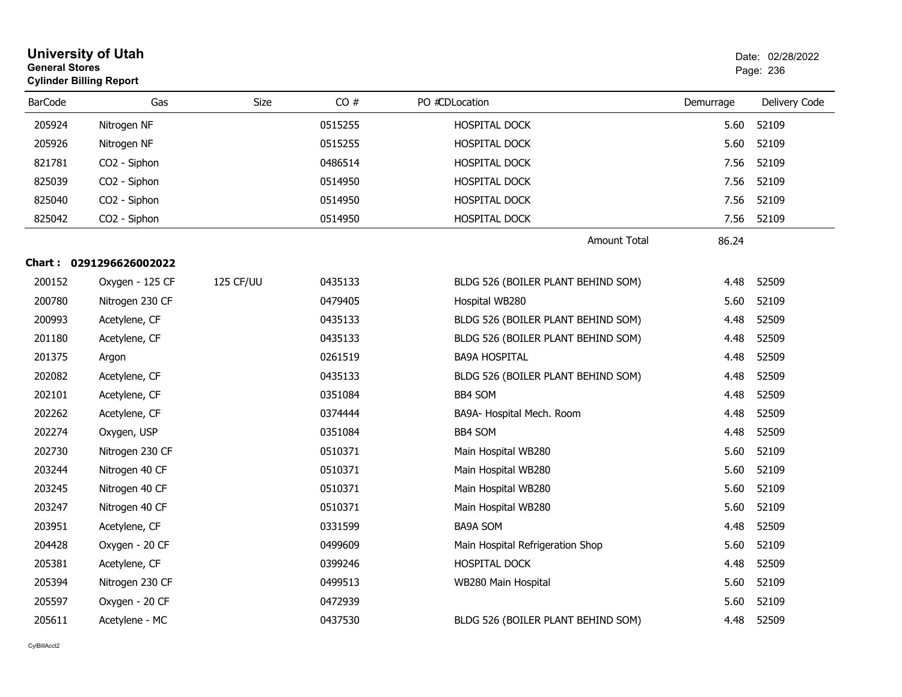| <b>General Stores</b> | <b>University of Utah</b><br><b>Cylinder Billing Report</b> |           |         | Date: 02/28/2022<br>Page: 236      |           |               |
|-----------------------|-------------------------------------------------------------|-----------|---------|------------------------------------|-----------|---------------|
| <b>BarCode</b>        | Gas                                                         | Size      | CO#     | PO #CDLocation                     | Demurrage | Delivery Code |
| 205924                | Nitrogen NF                                                 |           | 0515255 | HOSPITAL DOCK                      | 5.60      | 52109         |
| 205926                | Nitrogen NF                                                 |           | 0515255 | <b>HOSPITAL DOCK</b>               | 5.60      | 52109         |
| 821781                | CO <sub>2</sub> - Siphon                                    |           | 0486514 | HOSPITAL DOCK                      | 7.56      | 52109         |
| 825039                | CO2 - Siphon                                                |           | 0514950 | HOSPITAL DOCK                      | 7.56      | 52109         |
| 825040                | CO2 - Siphon                                                |           | 0514950 | HOSPITAL DOCK                      | 7.56      | 52109         |
| 825042                | CO2 - Siphon                                                |           | 0514950 | HOSPITAL DOCK                      | 7.56      | 52109         |
|                       |                                                             |           |         | <b>Amount Total</b>                | 86.24     |               |
|                       | Chart: 0291296626002022                                     |           |         |                                    |           |               |
| 200152                | Oxygen - 125 CF                                             | 125 CF/UU | 0435133 | BLDG 526 (BOILER PLANT BEHIND SOM) | 4.48      | 52509         |
| 200780                | Nitrogen 230 CF                                             |           | 0479405 | Hospital WB280                     | 5.60      | 52109         |
| 200993                | Acetylene, CF                                               |           | 0435133 | BLDG 526 (BOILER PLANT BEHIND SOM) | 4.48      | 52509         |
| 201180                | Acetylene, CF                                               |           | 0435133 | BLDG 526 (BOILER PLANT BEHIND SOM) | 4.48      | 52509         |
| 201375                | Argon                                                       |           | 0261519 | <b>BA9A HOSPITAL</b>               | 4.48      | 52509         |
| 202082                | Acetylene, CF                                               |           | 0435133 | BLDG 526 (BOILER PLANT BEHIND SOM) | 4.48      | 52509         |
| 202101                | Acetylene, CF                                               |           | 0351084 | <b>BB4 SOM</b>                     | 4.48      | 52509         |
| 202262                | Acetylene, CF                                               |           | 0374444 | BA9A- Hospital Mech. Room          | 4.48      | 52509         |
| 202274                | Oxygen, USP                                                 |           | 0351084 | <b>BB4 SOM</b>                     | 4.48      | 52509         |
| 202730                | Nitrogen 230 CF                                             |           | 0510371 | Main Hospital WB280                | 5.60      | 52109         |
| 203244                | Nitrogen 40 CF                                              |           | 0510371 | Main Hospital WB280                | 5.60      | 52109         |
| 203245                | Nitrogen 40 CF                                              |           | 0510371 | Main Hospital WB280                | 5.60      | 52109         |
| 203247                | Nitrogen 40 CF                                              |           | 0510371 | Main Hospital WB280                | 5.60      | 52109         |
| 203951                | Acetylene, CF                                               |           | 0331599 | <b>BA9A SOM</b>                    | 4.48      | 52509         |
| 204428                | Oxygen - 20 CF                                              |           | 0499609 | Main Hospital Refrigeration Shop   | 5.60      | 52109         |
| 205381                | Acetylene, CF                                               |           | 0399246 | HOSPITAL DOCK                      | 4.48      | 52509         |
| 205394                | Nitrogen 230 CF                                             |           | 0499513 | WB280 Main Hospital                | 5.60      | 52109         |
| 205597                | Oxygen - 20 CF                                              |           | 0472939 |                                    | 5.60      | 52109         |
| 205611                | Acetylene - MC                                              |           | 0437530 | BLDG 526 (BOILER PLANT BEHIND SOM) | 4.48      | 52509         |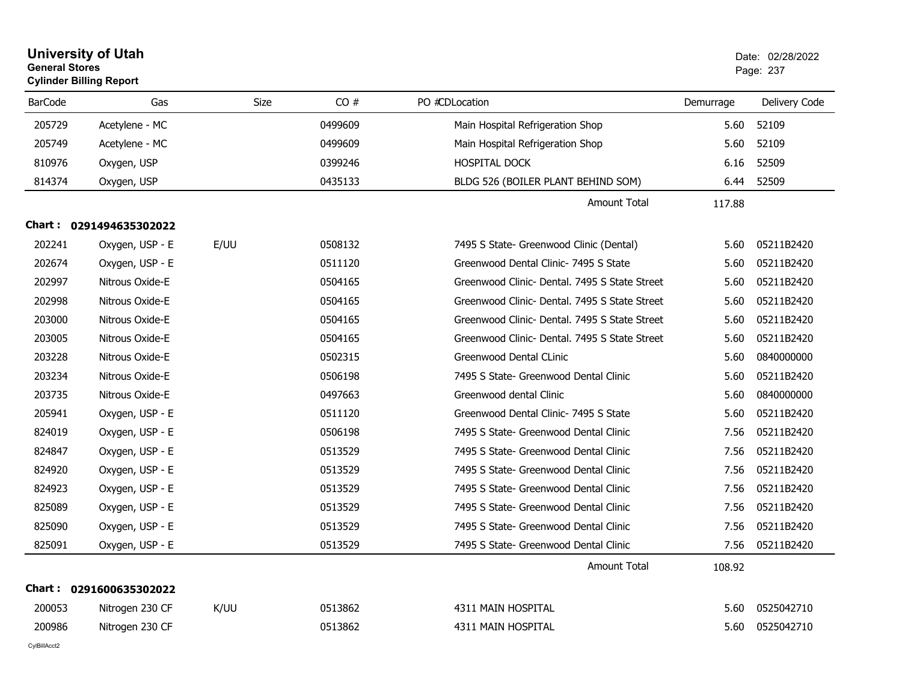| <b>General Stores</b> | <b>University of Utah</b><br><b>Cylinder Billing Report</b> |      |         |                                               |           | Date: 02/28/2022<br>Page: 237 |
|-----------------------|-------------------------------------------------------------|------|---------|-----------------------------------------------|-----------|-------------------------------|
| <b>BarCode</b>        | Gas                                                         | Size | CO#     | PO #CDLocation                                | Demurrage | Delivery Code                 |
| 205729                | Acetylene - MC                                              |      | 0499609 | Main Hospital Refrigeration Shop              | 5.60      | 52109                         |
| 205749                | Acetylene - MC                                              |      | 0499609 | Main Hospital Refrigeration Shop              | 5.60      | 52109                         |
| 810976                | Oxygen, USP                                                 |      | 0399246 | <b>HOSPITAL DOCK</b>                          | 6.16      | 52509                         |
| 814374                | Oxygen, USP                                                 |      | 0435133 | BLDG 526 (BOILER PLANT BEHIND SOM)            | 6.44      | 52509                         |
|                       |                                                             |      |         | <b>Amount Total</b>                           | 117.88    |                               |
|                       | Chart: 0291494635302022                                     |      |         |                                               |           |                               |
| 202241                | Oxygen, USP - E                                             | E/UU | 0508132 | 7495 S State- Greenwood Clinic (Dental)       | 5.60      | 05211B2420                    |
| 202674                | Oxygen, USP - E                                             |      | 0511120 | Greenwood Dental Clinic- 7495 S State         | 5.60      | 05211B2420                    |
| 202997                | Nitrous Oxide-E                                             |      | 0504165 | Greenwood Clinic- Dental, 7495 S State Street | 5.60      | 05211B2420                    |
| 202998                | Nitrous Oxide-E                                             |      | 0504165 | Greenwood Clinic- Dental, 7495 S State Street | 5.60      | 05211B2420                    |
| 203000                | Nitrous Oxide-E                                             |      | 0504165 | Greenwood Clinic- Dental, 7495 S State Street | 5.60      | 05211B2420                    |
| 203005                | Nitrous Oxide-E                                             |      | 0504165 | Greenwood Clinic- Dental, 7495 S State Street | 5.60      | 05211B2420                    |
| 203228                | Nitrous Oxide-E                                             |      | 0502315 | Greenwood Dental CLinic                       | 5.60      | 0840000000                    |
| 203234                | Nitrous Oxide-E                                             |      | 0506198 | 7495 S State- Greenwood Dental Clinic         | 5.60      | 05211B2420                    |
| 203735                | Nitrous Oxide-E                                             |      | 0497663 | Greenwood dental Clinic                       | 5.60      | 0840000000                    |
| 205941                | Oxygen, USP - E                                             |      | 0511120 | Greenwood Dental Clinic- 7495 S State         | 5.60      | 05211B2420                    |
| 824019                | Oxygen, USP - E                                             |      | 0506198 | 7495 S State- Greenwood Dental Clinic         | 7.56      | 05211B2420                    |
| 824847                | Oxygen, USP - E                                             |      | 0513529 | 7495 S State- Greenwood Dental Clinic         | 7.56      | 05211B2420                    |
| 824920                | Oxygen, USP - E                                             |      | 0513529 | 7495 S State- Greenwood Dental Clinic         | 7.56      | 05211B2420                    |
| 824923                | Oxygen, USP - E                                             |      | 0513529 | 7495 S State- Greenwood Dental Clinic         | 7.56      | 05211B2420                    |
| 825089                | Oxygen, USP - E                                             |      | 0513529 | 7495 S State- Greenwood Dental Clinic         | 7.56      | 05211B2420                    |
| 825090                | Oxygen, USP - E                                             |      | 0513529 | 7495 S State- Greenwood Dental Clinic         | 7.56      | 05211B2420                    |
| 825091                | Oxygen, USP - E                                             |      | 0513529 | 7495 S State- Greenwood Dental Clinic         | 7.56      | 05211B2420                    |
|                       |                                                             |      |         | Amount Total                                  | 108.92    |                               |
|                       | Chart: 0291600635302022                                     |      |         |                                               |           |                               |
| 200053                | Nitrogen 230 CF                                             | K/UU | 0513862 | 4311 MAIN HOSPITAL                            | 5.60      | 0525042710                    |
| 200986                | Nitrogen 230 CF                                             |      | 0513862 | 4311 MAIN HOSPITAL                            | 5.60      | 0525042710                    |
| CylBillAcct2          |                                                             |      |         |                                               |           |                               |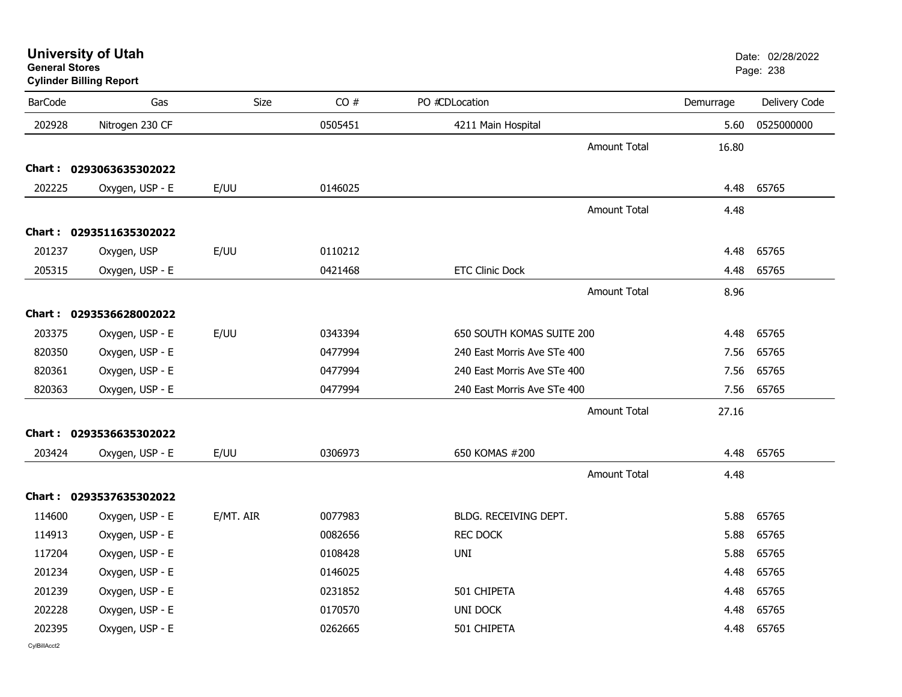s and the contract of the contract of the contract of the contract of the contract of the contract of the contract of the contract of the contract of the contract of the contract of the contract of the contract of the cont **Cylinder Billing Report** BarCode Gas Size CO # PO #CDLocation Demurrage Delivery Code 202928 UUH Nitrogen 230 CF <sup>0505451</sup> 4211 Main Hospital 5.60 <sup>0525000000</sup> Amount Total 16.80**Chart : 0293063635302022**202225Oxygen, USP - E E/UU 0146025 69765 69765 69765 69765 69765 69765 69765 69765 69765 69765 69765 69765 69765 697 Amount Total 4.48**Chart : 0293511635302022**201237 Oxy Uni-g Oxygen, USP E/UU <sup>0110212</sup> 4.48 <sup>65765</sup> 205315Oxygen, USP - E 2.48 65765 CH 2.48 0421468 ETC Clinic Dock 2.48 65765 CH 2.48 65765 Amount Total 8.96**Chart : 0293536628002022**203375Oxygen, USP - E E/UU 0343394 650 SOUTH KOMAS SUITE 200 4.48 65765 820350Oxygen, USP - E 05765 0477994 0477994 240 East Morris Ave STe 400 2010 1.56 65765 820361Oxygen, USP - E 240 East Morris Ave STe 400 240 East Morris Ave STe 400 240 East Morris Ave STe 400 240 East Morris Ave STe 400 247 E 820363Oxygen, USP - E 05765 0477994 0477994 240 East Morris Ave STe 400 2010 1.56 65765 Amount Total 27.16**Chart : 0293536635302022**203424424 Oxygen, USP - E E/UU 0306973 650 KOMAS #200 4.48 65765 Amount Total 4.48**Chart : 0293537635302022**114600Oxygen, USP - E E/MT. AIR 0077983 BLDG. RECEIVING DEPT. 5.88 65765 114913Oxygen, USP - E 0082656 0082656 REC DOCK 20082656 REC DOCK 5.88 65765 117204204 Oxygen, USP - E 0108428 UNI 5.88 65765 201234234 Oxygen, USP - E 0146025 4.48 65765 201239239 Oxygen, USP - E 0231852 501 CHIPETA 4.48 65765 202228228 Oxygen, USP - E 0170570 UNI DOCK 4.48 65765 202395395 Oxygen, USP - E 0262665 501 CHIPETA 4.48 65765

**University of Utah**  Date: 02/28/2022 **General Stores**